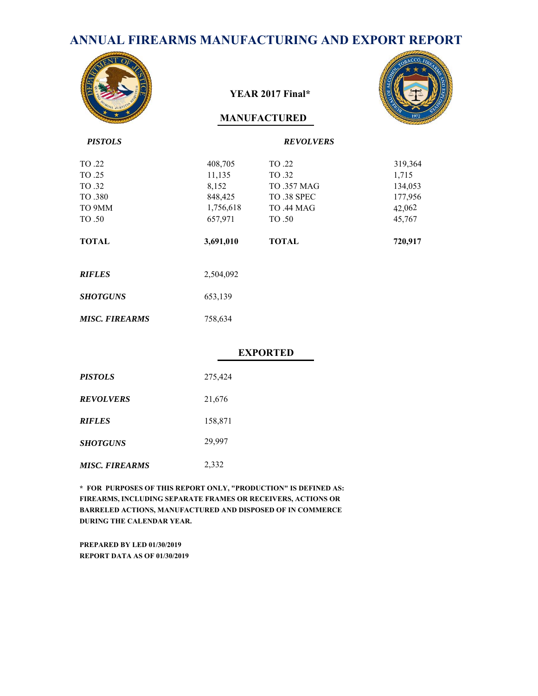# **ANNUAL FIREARMS MANUFACTURING AND EXPORT REPORT**



#### **YEAR 2017 Final\***

#### **MANUFACTURED**



| <b>PISTOLS</b>        |           | <b>REVOLVERS</b>   |         |
|-----------------------|-----------|--------------------|---------|
| TO .22                | 408,705   | TO .22             | 319,364 |
| TO .25                | 11,135    | TO .32             | 1,715   |
| TO .32                | 8,152     | <b>TO .357 MAG</b> | 134,053 |
| TO .380               | 848,425   | TO 38 SPEC         | 177,956 |
| TO 9MM                | 1,756,618 | <b>TO .44 MAG</b>  | 42,062  |
| TO .50                | 657,971   | TO .50             | 45,767  |
| <b>TOTAL</b>          | 3,691,010 | <b>TOTAL</b>       | 720,917 |
| <b>RIFLES</b>         | 2,504,092 |                    |         |
| <b>SHOTGUNS</b>       | 653,139   |                    |         |
| <b>MISC. FIREARMS</b> | 758,634   |                    |         |

#### **EXPORTED**

| <i><b>PISTOLS</b></i> | 275,424 |
|-----------------------|---------|
| <b>REVOLVERS</b>      | 21,676  |
| <b>RIFLES</b>         | 158,871 |
| <b>SHOTGUNS</b>       | 29,997  |
| <b>MISC. FIREARMS</b> | 2,332   |

**\* FOR PURPOSES OF THIS REPORT ONLY, "PRODUCTION" IS DEFINED AS: FIREARMS, INCLUDING SEPARATE FRAMES OR RECEIVERS, ACTIONS OR BARRELED ACTIONS, MANUFACTURED AND DISPOSED OF IN COMMERCE DURING THE CALENDAR YEAR.**

**PREPARED BY LED 01/30/2019 REPORT DATA AS OF 01/30/2019**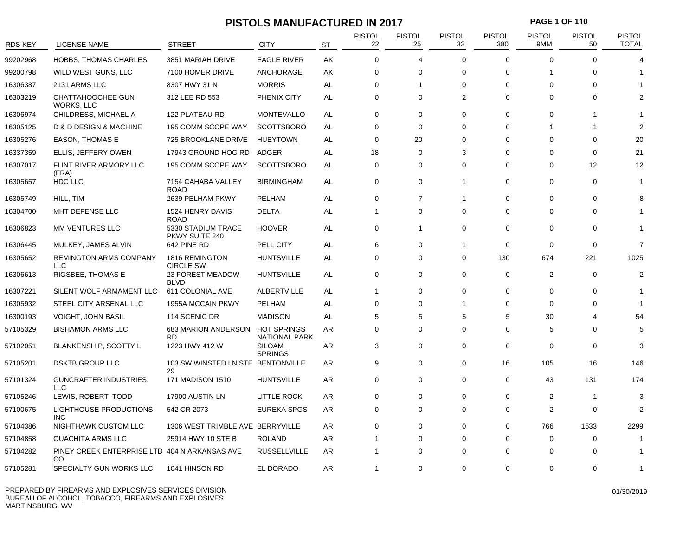# **PISTOLS MANUFACTURED IN 2017 PAGE 1 OF 110**

| <b>RDS KEY</b> | LICENSE NAME                                        | <b>STREET</b>                           | <b>CITY</b>                         | <b>ST</b> | <b>PISTOL</b><br>22 | <b>PISTOL</b><br>25 | <b>PISTOL</b><br>32 | <b>PISTOL</b><br>380 | <b>PISTOL</b><br>9MM | <b>PISTOL</b><br>50 | <b>PISTOL</b><br><b>TOTAL</b> |
|----------------|-----------------------------------------------------|-----------------------------------------|-------------------------------------|-----------|---------------------|---------------------|---------------------|----------------------|----------------------|---------------------|-------------------------------|
| 99202968       | <b>HOBBS, THOMAS CHARLES</b>                        | 3851 MARIAH DRIVE                       | <b>EAGLE RIVER</b>                  | AK        | $\Omega$            | $\overline{4}$      | $\Omega$            | $\Omega$             | $\Omega$             | $\Omega$            |                               |
| 99200798       | WILD WEST GUNS, LLC                                 | 7100 HOMER DRIVE                        | <b>ANCHORAGE</b>                    | AK        | $\mathbf 0$         | $\mathbf 0$         | $\Omega$            | 0                    | -1                   | $\Omega$            |                               |
| 16306387       | 2131 ARMS LLC                                       | 8307 HWY 31 N                           | <b>MORRIS</b>                       | AL        | 0                   | 1                   | $\Omega$            | $\Omega$             | $\Omega$             | $\Omega$            |                               |
| 16303219       | CHATTAHOOCHEE GUN<br>WORKS, LLC                     | 312 LEE RD 553                          | PHENIX CITY                         | AL        | $\mathbf 0$         | $\Omega$            | 2                   | 0                    | $\Omega$             | $\Omega$            |                               |
| 16306974       | CHILDRESS, MICHAEL A                                | 122 PLATEAU RD                          | <b>MONTEVALLO</b>                   | AL        | 0                   | 0                   | $\Omega$            | $\Omega$             | $\Omega$             |                     |                               |
| 16305125       | D & D DESIGN & MACHINE                              | 195 COMM SCOPE WAY                      | <b>SCOTTSBORO</b>                   | AL        | $\mathbf 0$         | $\mathbf 0$         | $\Omega$            | 0                    | 1                    | 1                   |                               |
| 16305276       | EASON, THOMAS E                                     | 725 BROOKLANE DRIVE                     | <b>HUEYTOWN</b>                     | AL        | $\mathbf 0$         | 20                  | $\Omega$            | $\mathbf 0$          | $\Omega$             | $\Omega$            | 20                            |
| 16337359       | ELLIS, JEFFERY OWEN                                 | 17943 GROUND HOG RD                     | ADGER                               | AL        | 18                  | 0                   | 3                   | 0                    | 0                    | 0                   | 21                            |
| 16307017       | FLINT RIVER ARMORY LLC<br>(FRA)                     | 195 COMM SCOPE WAY                      | <b>SCOTTSBORO</b>                   | AL        | $\mathbf 0$         | 0                   | $\Omega$            | 0                    | 0                    | 12                  | 12                            |
| 16305657       | HDC LLC                                             | 7154 CAHABA VALLEY<br><b>ROAD</b>       | <b>BIRMINGHAM</b>                   | AL        | $\mathbf 0$         | $\mathbf 0$         | $\overline{1}$      | $\mathbf 0$          | 0                    | $\mathbf 0$         |                               |
| 16305749       | HILL, TIM                                           | 2639 PELHAM PKWY                        | PELHAM                              | AL        | 0                   | 7                   | $\overline{1}$      | 0                    | 0                    | 0                   |                               |
| 16304700       | MHT DEFENSE LLC                                     | 1524 HENRY DAVIS<br><b>ROAD</b>         | <b>DELTA</b>                        | AL        | $\mathbf{1}$        | $\mathbf 0$         | $\Omega$            | 0                    | 0                    | 0                   |                               |
| 16306823       | MM VENTURES LLC                                     | 5330 STADIUM TRACE<br>PKWY SUITE 240    | <b>HOOVER</b>                       | AL        | 0                   | $\mathbf{1}$        | $\mathbf 0$         | 0                    | 0                    | 0                   |                               |
| 16306445       | MULKEY, JAMES ALVIN                                 | 642 PINE RD                             | PELL CITY                           | AL        | 6                   | $\mathbf 0$         | $\overline{1}$      | $\mathbf 0$          | $\Omega$             | $\mathbf 0$         | $\overline{7}$                |
| 16305652       | <b>REMINGTON ARMS COMPANY</b><br><b>LLC</b>         | 1816 REMINGTON<br><b>CIRCLE SW</b>      | <b>HUNTSVILLE</b>                   | AL        | 0                   | 0                   | $\mathbf 0$         | 130                  | 674                  | 221                 | 1025                          |
| 16306613       | RIGSBEE, THOMAS E                                   | 23 FOREST MEADOW<br><b>BLVD</b>         | <b>HUNTSVILLE</b>                   | AL        | $\mathbf 0$         | $\mathbf 0$         | $\mathbf 0$         | $\mathbf 0$          | 2                    | $\mathbf 0$         | 2                             |
| 16307221       | SILENT WOLF ARMAMENT LLC                            | 611 COLONIAL AVE                        | <b>ALBERTVILLE</b>                  | AL        | $\mathbf{1}$        | $\Omega$            | $\Omega$            | 0                    | 0                    | 0                   |                               |
| 16305932       | STEEL CITY ARSENAL LLC                              | 1955A MCCAIN PKWY                       | PELHAM                              | AL        | 0                   | $\Omega$            | $\overline{1}$      | 0                    | 0                    | 0                   |                               |
| 16300193       | VOIGHT, JOHN BASIL                                  | 114 SCENIC DR                           | <b>MADISON</b>                      | AL        | 5                   | 5                   | 5                   | 5                    | 30                   | Δ                   | 54                            |
| 57105329       | <b>BISHAMON ARMS LLC</b>                            | 683 MARION ANDERSON<br><b>RD</b>        | <b>HOT SPRINGS</b><br>NATIONAL PARK | AR        | 0                   | $\Omega$            | $\Omega$            | 0                    | 5                    | $\Omega$            | 5                             |
| 57102051       | <b>BLANKENSHIP, SCOTTY L</b>                        | 1223 HWY 412 W                          | <b>SILOAM</b><br><b>SPRINGS</b>     | AR        | 3                   | $\mathbf 0$         | $\Omega$            | $\mathbf 0$          | $\Omega$             | $\Omega$            | 3                             |
| 57105201       | <b>DSKTB GROUP LLC</b>                              | 103 SW WINSTED LN STE BENTONVILLE<br>29 |                                     | AR        | 9                   | $\mathbf 0$         | $\mathbf 0$         | 16                   | 105                  | 16                  | 146                           |
| 57101324       | GUNCRAFTER INDUSTRIES,<br><b>LLC</b>                | 171 MADISON 1510                        | <b>HUNTSVILLE</b>                   | AR        | $\mathbf 0$         | $\mathbf 0$         | $\Omega$            | $\mathbf 0$          | 43                   | 131                 | 174                           |
| 57105246       | LEWIS, ROBERT TODD                                  | 17900 AUSTIN LN                         | <b>LITTLE ROCK</b>                  | AR        | 0                   | $\Omega$            | $\Omega$            | 0                    | 2                    | -1                  | 3                             |
| 57100675       | <b>LIGHTHOUSE PRODUCTIONS</b><br>INC.               | 542 CR 2073                             | <b>EUREKA SPGS</b>                  | <b>AR</b> | $\mathbf 0$         | $\mathbf 0$         | $\Omega$            | $\mathbf 0$          | $\overline{2}$       | $\mathbf 0$         | 2                             |
| 57104386       | NIGHTHAWK CUSTOM LLC                                | 1306 WEST TRIMBLE AVE BERRYVILLE        |                                     | AR        | 0                   | 0                   | $\Omega$            | 0                    | 766                  | 1533                | 2299                          |
| 57104858       | <b>OUACHITA ARMS LLC</b>                            | 25914 HWY 10 STE B                      | <b>ROLAND</b>                       | AR        | 1                   | 0                   | $\Omega$            | 0                    | $\Omega$             | 0                   |                               |
| 57104282       | PINEY CREEK ENTERPRISE LTD 404 N ARKANSAS AVE<br>CO |                                         | <b>RUSSELLVILLE</b>                 | AR        | 1                   | $\Omega$            | $\Omega$            | $\Omega$             | $\Omega$             | O                   |                               |
| 57105281       | SPECIALTY GUN WORKS LLC                             | 1041 HINSON RD                          | EL DORADO                           | AR        | $\mathbf{1}$        | $\Omega$            | $\Omega$            | $\Omega$             | $\Omega$             | $\Omega$            | -1                            |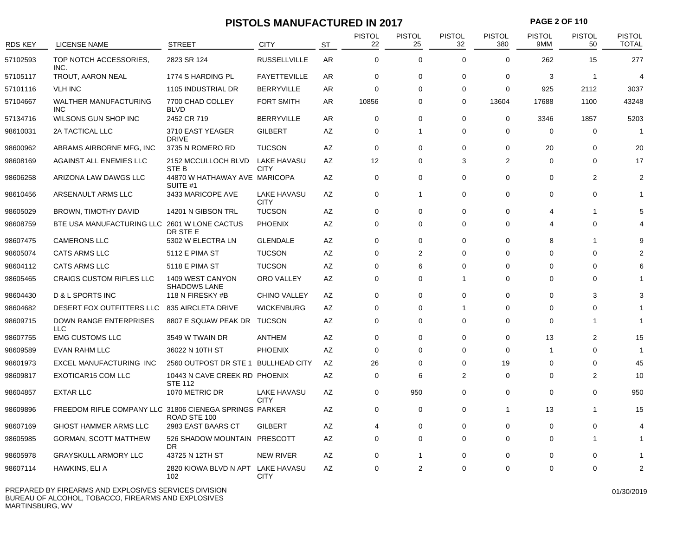# **PISTOLS MANUFACTURED IN 2017 PAGE 2 OF 110**

| RDS KEY  | <b>LICENSE NAME</b>                                    | <b>STREET</b>                                   | <b>CITY</b>                       | ST        | <b>PISTOL</b><br>22 | <b>PISTOL</b><br>25 | <b>PISTOL</b><br>32 | <b>PISTOL</b><br>380 | <b>PISTOL</b><br>9MM | <b>PISTOL</b><br>50 | <b>PISTOL</b><br><b>TOTAL</b> |
|----------|--------------------------------------------------------|-------------------------------------------------|-----------------------------------|-----------|---------------------|---------------------|---------------------|----------------------|----------------------|---------------------|-------------------------------|
| 57102593 | TOP NOTCH ACCESSORIES,<br>INC.                         | 2823 SR 124                                     | <b>RUSSELLVILLE</b>               | <b>AR</b> | $\mathbf 0$         | $\mathbf 0$         | $\Omega$            | $\Omega$             | 262                  | 15                  | 277                           |
| 57105117 | TROUT, AARON NEAL                                      | 1774 S HARDING PL                               | <b>FAYETTEVILLE</b>               | AR        | $\mathbf 0$         | 0                   | $\Omega$            | $\Omega$             | 3                    | -1                  | $\overline{4}$                |
| 57101116 | <b>VLH INC</b>                                         | 1105 INDUSTRIAL DR                              | <b>BERRYVILLE</b>                 | AR        | $\mathbf 0$         | $\Omega$            | $\mathbf 0$         | $\mathbf 0$          | 925                  | 2112                | 3037                          |
| 57104667 | <b>WALTHER MANUFACTURING</b><br><b>INC</b>             | 7700 CHAD COLLEY<br><b>BLVD</b>                 | <b>FORT SMITH</b>                 | AR        | 10856               | 0                   | $\Omega$            | 13604                | 17688                | 1100                | 43248                         |
| 57134716 | WILSONS GUN SHOP INC                                   | 2452 CR 719                                     | <b>BERRYVILLE</b>                 | AR        | $\mathbf 0$         | 0                   | $\mathbf 0$         | $\mathbf 0$          | 3346                 | 1857                | 5203                          |
| 98610031 | 2A TACTICAL LLC                                        | 3710 EAST YEAGER<br><b>DRIVE</b>                | <b>GILBERT</b>                    | AZ        | $\mathbf 0$         | -1                  | $\Omega$            | $\Omega$             | $\Omega$             | $\Omega$            |                               |
| 98600962 | ABRAMS AIRBORNE MFG, INC                               | 3735 N ROMERO RD                                | <b>TUCSON</b>                     | AZ        | $\mathbf 0$         | 0                   | $\mathbf 0$         | $\mathbf 0$          | 20                   | 0                   | 20                            |
| 98608169 | AGAINST ALL ENEMIES LLC                                | 2152 MCCULLOCH BLVD<br>STE B                    | <b>LAKE HAVASU</b><br><b>CITY</b> | <b>AZ</b> | 12 <sup>2</sup>     | $\Omega$            | 3                   | 2                    | $\Omega$             | $\Omega$            | 17                            |
| 98606258 | ARIZONA LAW DAWGS LLC                                  | 44870 W HATHAWAY AVE MARICOPA<br>SUITE #1       |                                   | ΑZ        | $\mathbf 0$         | 0                   | $\mathbf 0$         | $\mathbf 0$          | 0                    | $\overline{2}$      | $\overline{2}$                |
| 98610456 | ARSENAULT ARMS LLC                                     | 3433 MARICOPE AVE                               | LAKE HAVASU<br><b>CITY</b>        | ΑZ        | $\mathbf 0$         | -1                  | $\mathbf 0$         | 0                    | 0                    | 0                   |                               |
| 98605029 | <b>BROWN, TIMOTHY DAVID</b>                            | 14201 N GIBSON TRL                              | <b>TUCSON</b>                     | AZ        | $\mathbf 0$         | 0                   | $\Omega$            | 0                    | 4                    | 1                   |                               |
| 98608759 | BTE USA MANUFACTURING LLC 2601 W LONE CACTUS           | DR STE E                                        | <b>PHOENIX</b>                    | AZ        | $\mathbf 0$         | 0                   | $\Omega$            | 0                    | 4                    | 0                   |                               |
| 98607475 | <b>CAMERONS LLC</b>                                    | 5302 W ELECTRA LN                               | <b>GLENDALE</b>                   | AZ        | $\mathbf 0$         | 0                   | $\Omega$            | $\mathbf 0$          | 8                    | 1                   | o                             |
| 98605074 | <b>CATS ARMS LLC</b>                                   | 5112 E PIMA ST                                  | <b>TUCSON</b>                     | ΑZ        | 0                   | 2                   | $\Omega$            | 0                    | $\Omega$             | 0                   |                               |
| 98604112 | <b>CATS ARMS LLC</b>                                   | 5118 E PIMA ST                                  | <b>TUCSON</b>                     | AZ        | $\mathbf 0$         | 6                   | $\Omega$            | $\Omega$             | $\Omega$             | $\Omega$            |                               |
| 98605465 | <b>CRAIGS CUSTOM RIFLES LLC</b>                        | 1409 WEST CANYON<br><b>SHADOWS LANE</b>         | ORO VALLEY                        | AZ        | 0                   | 0                   | 1                   | 0                    | $\Omega$             | $\Omega$            |                               |
| 98604430 | D & L SPORTS INC                                       | 118 N FIRESKY #B                                | <b>CHINO VALLEY</b>               | AZ        | $\mathbf 0$         | 0                   | $\Omega$            | 0                    | $\Omega$             | 3                   |                               |
| 98604682 | DESERT FOX OUTFITTERS LLC                              | 835 AIRCLETA DRIVE                              | <b>WICKENBURG</b>                 | AZ        | $\mathbf 0$         | 0                   | 1                   | 0                    | 0                    | 0                   |                               |
| 98609715 | <b>DOWN RANGE ENTERPRISES</b><br><b>LLC</b>            | 8807 E SQUAW PEAK DR                            | <b>TUCSON</b>                     | AZ        | 0                   | 0                   | $\Omega$            | $\Omega$             | $\Omega$             | 1                   |                               |
| 98607755 | <b>EMG CUSTOMS LLC</b>                                 | 3549 W TWAIN DR                                 | ANTHEM                            | ΑZ        | $\mathbf 0$         | 0                   | $\Omega$            | 0                    | 13                   | 2                   | 15                            |
| 98609589 | <b>EVAN RAHM LLC</b>                                   | 36022 N 10TH ST                                 | <b>PHOENIX</b>                    | AZ        | $\Omega$            | $\Omega$            | $\Omega$            | $\Omega$             | $\overline{1}$       | $\Omega$            |                               |
| 98601973 | EXCEL MANUFACTURING INC                                | 2560 OUTPOST DR STE 1 BULLHEAD CITY             |                                   | AZ        | 26                  | 0                   | $\Omega$            | 19                   | $\Omega$             | $\Omega$            | 45                            |
| 98609817 | EXOTICAR15 COM LLC                                     | 10443 N CAVE CREEK RD PHOENIX<br><b>STE 112</b> |                                   | AZ        | $\mathbf 0$         | 6                   | $\mathfrak{p}$      | $\mathbf 0$          | 0                    | $\overline{2}$      | 10                            |
| 98604857 | <b>EXTAR LLC</b>                                       | 1070 METRIC DR                                  | LAKE HAVASU<br><b>CITY</b>        | AZ        | $\mathbf 0$         | 950                 | $\Omega$            | 0                    | $\Omega$             | $\mathbf 0$         | 950                           |
| 98609896 | FREEDOM RIFLE COMPANY LLC 31806 CIENEGA SPRINGS PARKER | ROAD STE 100                                    |                                   | ΑZ        | $\mathbf 0$         | 0                   | $\Omega$            | $\mathbf 1$          | 13                   | -1                  | 15                            |
| 98607169 | <b>GHOST HAMMER ARMS LLC</b>                           | 2983 EAST BAARS CT                              | <b>GILBERT</b>                    | AZ        | $\overline{4}$      | 0                   | $\Omega$            | $\Omega$             | $\Omega$             | $\Omega$            |                               |
| 98605985 | <b>GORMAN, SCOTT MATTHEW</b>                           | 526 SHADOW MOUNTAIN PRESCOTT<br>DR.             |                                   | AZ        | $\Omega$            | 0                   | $\Omega$            | $\mathbf 0$          | $\Omega$             | 1                   |                               |
| 98605978 | <b>GRAYSKULL ARMORY LLC</b>                            | 43725 N 12TH ST                                 | <b>NEW RIVER</b>                  | AZ        | $\mathbf 0$         | -1                  | $\Omega$            | $\Omega$             | 0                    | $\Omega$            |                               |
| 98607114 | HAWKINS, ELI A                                         | 2820 KIOWA BLVD N APT LAKE HAVASU<br>102        | <b>CITY</b>                       | ΑZ        | 0                   | $\overline{2}$      | $\Omega$            | $\Omega$             | $\Omega$             | $\Omega$            | $\overline{2}$                |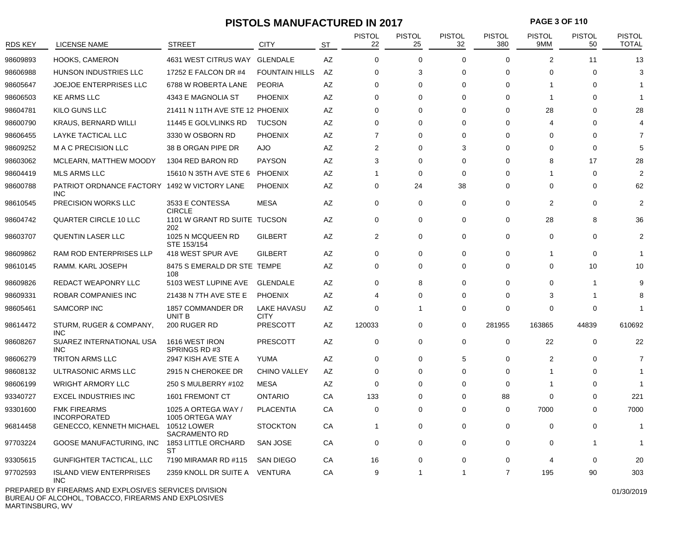## **PISTOLS MANUFACTURED IN 2017 PAGE 3 OF 110**

| <b>RDS KEY</b> | LICENSE NAME                                         | <b>STREET</b>                          | CITY                       | ST | <b>PISTOL</b><br>22 | <b>PISTOL</b><br>25 | <b>PISTOL</b><br>32 | <b>PISTOL</b><br>380 | PISTOL<br>9MM  | <b>PISTOL</b><br>50 | <b>PISTOL</b><br><b>TOTAL</b> |
|----------------|------------------------------------------------------|----------------------------------------|----------------------------|----|---------------------|---------------------|---------------------|----------------------|----------------|---------------------|-------------------------------|
| 98609893       | <b>HOOKS, CAMERON</b>                                | 4631 WEST CITRUS WAY                   | <b>GLENDALE</b>            | AZ | $\mathbf 0$         | 0                   | $\Omega$            | $\mathbf 0$          | $\overline{2}$ | 11                  | 13                            |
| 98606988       | HUNSON INDUSTRIES LLC                                | 17252 E FALCON DR #4                   | <b>FOUNTAIN HILLS</b>      | AZ | 0                   | 3                   | $\Omega$            | 0                    | 0              | $\Omega$            | 3                             |
| 98605647       | JOEJOE ENTERPRISES LLC                               | 6788 W ROBERTA LANE                    | <b>PEORIA</b>              | AZ | 0                   | 0                   | $\Omega$            | $\mathbf 0$          | 1              | $\Omega$            |                               |
| 98606503       | <b>KE ARMS LLC</b>                                   | 4343 E MAGNOLIA ST                     | <b>PHOENIX</b>             | AZ | 0                   | 0                   | $\Omega$            | $\mathbf 0$          | $\overline{1}$ | $\Omega$            |                               |
| 98604781       | KILO GUNS LLC                                        | 21411 N 11TH AVE STE 12 PHOENIX        |                            | AZ | 0                   | 0                   | $\Omega$            | $\mathbf 0$          | 28             | $\Omega$            | 28                            |
| 98600790       | <b>KRAUS, BERNARD WILLI</b>                          | 11445 E GOLVLINKS RD                   | <b>TUCSON</b>              | AZ | $\Omega$            | $\Omega$            | $\Omega$            | $\Omega$             | 4              | $\Omega$            |                               |
| 98606455       | LAYKE TACTICAL LLC                                   | 3330 W OSBORN RD                       | <b>PHOENIX</b>             | AZ | $\overline{7}$      | $\Omega$            | $\Omega$            | $\Omega$             | $\Omega$       | $\Omega$            | 7                             |
| 98609252       | M A C PRECISION LLC                                  | 38 B ORGAN PIPE DR                     | <b>AJO</b>                 | AΖ | $\overline{2}$      | 0                   | 3                   | $\Omega$             | $\Omega$       | $\Omega$            | 5                             |
| 98603062       | MCLEARN, MATTHEW MOODY                               | 1304 RED BARON RD                      | <b>PAYSON</b>              | AZ | 3                   | $\Omega$            | $\Omega$            | $\Omega$             | 8              | 17                  | 28                            |
| 98604419       | <b>MLS ARMS LLC</b>                                  | 15610 N 35TH AVE STE 6                 | <b>PHOENIX</b>             | AZ | $\overline{1}$      | 0                   | $\Omega$            | $\Omega$             | 1              | 0                   | $\overline{2}$                |
| 98600788       | PATRIOT ORDNANCE FACTORY 1492 W VICTORY LANE<br>INC. |                                        | <b>PHOENIX</b>             | AZ | $\mathbf 0$         | 24                  | 38                  | $\Omega$             | $\Omega$       | $\Omega$            | 62                            |
| 98610545       | <b>PRECISION WORKS LLC</b>                           | 3533 E CONTESSA<br><b>CIRCLE</b>       | <b>MESA</b>                | AZ | $\mathbf{0}$        | $\mathbf 0$         | $\mathbf 0$         | $\mathbf 0$          | $\overline{2}$ | $\mathbf 0$         | $\overline{2}$                |
| 98604742       | <b>QUARTER CIRCLE 10 LLC</b>                         | 1101 W GRANT RD SUITE TUCSON<br>202    |                            | AZ | $\mathbf 0$         | 0                   | $\Omega$            | $\mathbf 0$          | 28             | 8                   | 36                            |
| 98603707       | QUENTIN LASER LLC                                    | 1025 N MCQUEEN RD<br>STE 153/154       | <b>GILBERT</b>             | AZ | $\overline{2}$      | 0                   | $\Omega$            | $\mathbf 0$          | 0              | $\mathbf 0$         | 2                             |
| 98609862       | <b>RAM ROD ENTERPRISES LLP</b>                       | 418 WEST SPUR AVE                      | <b>GILBERT</b>             | AZ | $\mathbf 0$         | 0                   | $\Omega$            | $\mathbf 0$          | 1              | $\Omega$            | $\overline{\phantom{a}}$      |
| 98610145       | RAMM. KARL JOSEPH                                    | 8475 S EMERALD DR STE TEMPE<br>108     |                            | AZ | $\mathbf 0$         | 0                   | $\Omega$            | $\mathbf 0$          | $\Omega$       | 10                  | 10                            |
| 98609826       | REDACT WEAPONRY LLC                                  | 5103 WEST LUPINE AVE                   | <b>GLENDALE</b>            | AZ | 0                   | 8                   | $\Omega$            | $\mathbf 0$          | $\Omega$       | 1                   | 9                             |
| 98609331       | ROBAR COMPANIES INC                                  | 21438 N 7TH AVE STE E                  | <b>PHOENIX</b>             | AZ | $\overline{4}$      | 0                   | $\Omega$            | $\mathbf 0$          | 3              |                     | 8                             |
| 98605461       | SAMCORP INC                                          | 1857 COMMANDER DR<br>UNIT B            | LAKE HAVASU<br><b>CITY</b> | AZ | $\mathbf 0$         | $\mathbf 1$         | $\Omega$            | $\mathbf 0$          | 0              | $\Omega$            | -1                            |
| 98614472       | STURM, RUGER & COMPANY,<br>INC.                      | 200 RUGER RD                           | <b>PRESCOTT</b>            | AZ | 120033              | 0                   | 0                   | 281955               | 163865         | 44839               | 610692                        |
| 98608267       | SUAREZ INTERNATIONAL USA<br><b>INC</b>               | 1616 WEST IRON<br>SPRINGS RD#3         | <b>PRESCOTT</b>            | AZ | 0                   | 0                   | 0                   | 0                    | 22             | 0                   | 22                            |
| 98606279       | <b>TRITON ARMS LLC</b>                               | 2947 KISH AVE STE A                    | YUMA                       | AZ | $\mathbf 0$         | 0                   | 5                   | $\mathbf 0$          | $\overline{2}$ | $\Omega$            | $\overline{7}$                |
| 98608132       | ULTRASONIC ARMS LLC                                  | 2915 N CHEROKEE DR                     | <b>CHINO VALLEY</b>        | AZ | $\mathbf 0$         | $\Omega$            | $\Omega$            | $\Omega$             | 1              | $\Omega$            | -1                            |
| 98606199       | <b>WRIGHT ARMORY LLC</b>                             | 250 S MULBERRY #102                    | <b>MESA</b>                | ΑZ | $\mathbf 0$         | 0                   | $\Omega$            | $\mathbf 0$          | -1             | $\Omega$            |                               |
| 93340727       | <b>EXCEL INDUSTRIES INC</b>                          | 1601 FREMONT CT                        | <b>ONTARIO</b>             | CA | 133                 | 0                   | $\Omega$            | 88                   | 0              | $\Omega$            | 221                           |
| 93301600       | <b>FMK FIREARMS</b><br><b>INCORPORATED</b>           | 1025 A ORTEGA WAY /<br>1005 ORTEGA WAY | <b>PLACENTIA</b>           | СA | $\mathbf 0$         | 0                   | $\Omega$            | 0                    | 7000           | 0                   | 7000                          |
| 96814458       | GENECCO, KENNETH MICHAEL                             | 10512 LOWER<br>SACRAMENTO RD           | <b>STOCKTON</b>            | CA | $\overline{1}$      | 0                   | $\Omega$            | 0                    | $\Omega$       | $\Omega$            | -1                            |
| 97703224       | GOOSE MANUFACTURING, INC                             | <b>1853 LITTLE ORCHARD</b><br>ST       | <b>SAN JOSE</b>            | СA | 0                   | 0                   | $\Omega$            | 0                    | 0              | 1                   | -1                            |
| 93305615       | GUNFIGHTER TACTICAL, LLC                             | 7190 MIRAMAR RD #115                   | <b>SAN DIEGO</b>           | СA | 16                  | 0                   | $\Omega$            | $\mathbf 0$          | 4              | 0                   | 20                            |
| 97702593       | <b>ISLAND VIEW ENTERPRISES</b><br>INC.               | 2359 KNOLL DR SUITE A VENTURA          |                            | СA | 9                   | -1                  | 1                   | $\overline{7}$       | 195            | 90                  | 303                           |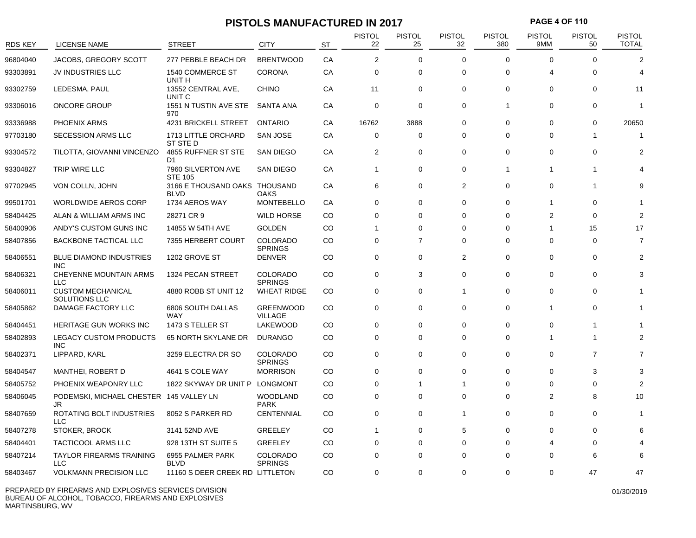# **PISTOLS MANUFACTURED IN 2017 PAGE 4 OF 110**

| RDS KEY  | LICENSE NAME                                  | <b>STREET</b>                        | <b>CITY</b>                       | <b>ST</b> | <b>PISTOL</b><br>22 | PISTOL<br>25   | PISTOL<br>32   | <b>PISTOL</b><br>380 | PISTOL<br>9MM  | <b>PISTOL</b><br>50 | <b>PISTOL</b><br><b>TOTAL</b> |
|----------|-----------------------------------------------|--------------------------------------|-----------------------------------|-----------|---------------------|----------------|----------------|----------------------|----------------|---------------------|-------------------------------|
| 96804040 | JACOBS, GREGORY SCOTT                         | 277 PEBBLE BEACH DR                  | <b>BRENTWOOD</b>                  | CA        | $\overline{2}$      | 0              | $\Omega$       | $\Omega$             | $\Omega$       | $\Omega$            | 2                             |
| 93303891 | JV INDUSTRIES LLC                             | 1540 COMMERCE ST<br>UNIT H           | <b>CORONA</b>                     | CA        | $\mathbf 0$         | 0              | $\Omega$       | $\mathbf 0$          | 4              | $\Omega$            |                               |
| 93302759 | LEDESMA, PAUL                                 | 13552 CENTRAL AVE,<br>UNIT C         | <b>CHINO</b>                      | CA        | 11                  | 0              | $\mathbf 0$    | $\mathbf 0$          | 0              | 0                   | 11                            |
| 93306016 | <b>ONCORE GROUP</b>                           | 1551 N TUSTIN AVE STE<br>970         | <b>SANTA ANA</b>                  | CA        | $\mathbf 0$         | 0              | $\Omega$       | $\overline{1}$       | 0              | 0                   | -1                            |
| 93336988 | PHOENIX ARMS                                  | 4231 BRICKELL STREET                 | <b>ONTARIO</b>                    | CA        | 16762               | 3888           | $\Omega$       | $\mathbf 0$          | 0              | 0                   | 20650                         |
| 97703180 | <b>SECESSION ARMS LLC</b>                     | 1713 LITTLE ORCHARD<br>ST STE D      | <b>SAN JOSE</b>                   | CA        | $\mathbf 0$         | 0              | $\Omega$       | $\mathbf 0$          | $\Omega$       | 1                   |                               |
| 93304572 | TILOTTA, GIOVANNI VINCENZO                    | 4855 RUFFNER ST STE<br>D1            | <b>SAN DIEGO</b>                  | CA        | 2                   | 0              | $\Omega$       | $\mathbf 0$          | 0              | 0                   | 2                             |
| 93304827 | TRIP WIRE LLC                                 | 7960 SILVERTON AVE<br><b>STE 105</b> | <b>SAN DIEGO</b>                  | СA        | $\mathbf{1}$        | 0              | 0              | $\overline{1}$       | 1              |                     |                               |
| 97702945 | VON COLLN, JOHN                               | 3166 E THOUSAND OAKS<br><b>BLVD</b>  | THOUSAND<br>OAKS                  | CA        | 6                   | 0              | 2              | $\mathbf 0$          | $\mathbf 0$    | 1                   | 9                             |
| 99501701 | <b>WORLDWIDE AEROS CORP</b>                   | 1734 AEROS WAY                       | <b>MONTEBELLO</b>                 | CA        | 0                   | 0              | $\Omega$       | $\mathbf 0$          | 1              | 0                   |                               |
| 58404425 | ALAN & WILLIAM ARMS INC                       | 28271 CR 9                           | <b>WILD HORSE</b>                 | CO        | $\Omega$            | 0              | $\Omega$       | $\Omega$             | $\overline{2}$ | $\Omega$            | 2                             |
| 58400906 | ANDY'S CUSTOM GUNS INC                        | 14855 W 54TH AVE                     | <b>GOLDEN</b>                     | CO        | -1                  | 0              | $\Omega$       | $\mathbf 0$          | 1              | 15                  | 17                            |
| 58407856 | <b>BACKBONE TACTICAL LLC</b>                  | 7355 HERBERT COURT                   | <b>COLORADO</b><br><b>SPRINGS</b> | CO        | $\mathbf 0$         | $\overline{7}$ | $\Omega$       | $\mathbf 0$          | 0              | 0                   | 7                             |
| 58406551 | <b>BLUE DIAMOND INDUSTRIES</b><br><b>INC</b>  | 1202 GROVE ST                        | <b>DENVER</b>                     | CO        | $\mathbf 0$         | 0              | $\overline{2}$ | $\mathbf 0$          | $\mathbf 0$    | 0                   | 2                             |
| 58406321 | <b>CHEYENNE MOUNTAIN ARMS</b><br><b>LLC</b>   | 1324 PECAN STREET                    | COLORADO<br><b>SPRINGS</b>        | CO        | 0                   | 3              | 0              | $\mathbf 0$          | 0              | 0                   | 3                             |
| 58406011 | <b>CUSTOM MECHANICAL</b><br>SOLUTIONS LLC     | 4880 ROBB ST UNIT 12                 | <b>WHEAT RIDGE</b>                | CO        | 0                   | 0              | 1              | $\mathbf 0$          | 0              | 0                   |                               |
| 58405862 | DAMAGE FACTORY LLC                            | 6806 SOUTH DALLAS<br>WAY             | <b>GREENWOOD</b><br>VILLAGE       | CO        | 0                   | 0              | $\Omega$       | $\mathbf 0$          | 1              | $\Omega$            |                               |
| 58404451 | HERITAGE GUN WORKS INC                        | 1473 S TELLER ST                     | LAKEWOOD                          | CO        | $\Omega$            | 0              | $\Omega$       | $\mathbf 0$          | $\Omega$       |                     |                               |
| 58402893 | <b>LEGACY CUSTOM PRODUCTS</b><br><b>INC</b>   | 65 NORTH SKYLANE DR                  | <b>DURANGO</b>                    | CO        | $\mathbf 0$         | 0              | 0              | $\mathbf 0$          | 1              | 1                   |                               |
| 58402371 | LIPPARD, KARL                                 | 3259 ELECTRA DR SO                   | <b>COLORADO</b><br><b>SPRINGS</b> | CO        | $\mathbf 0$         | 0              | $\Omega$       | $\mathbf 0$          | 0              | $\overline{7}$      | 7                             |
| 58404547 | MANTHEI, ROBERT D                             | 4641 S COLE WAY                      | <b>MORRISON</b>                   | CO        | 0                   | 0              | $\Omega$       | $\mathbf 0$          | 0              | 3                   | 3                             |
| 58405752 | PHOENIX WEAPONRY LLC                          | 1822 SKYWAY DR UNIT P                | LONGMONT                          | CO        | $\mathbf 0$         | 1              | 1              | $\mathbf 0$          | $\Omega$       | $\Omega$            | 2                             |
| 58406045 | PODEMSKI, MICHAEL CHESTER 145 VALLEY LN<br>JR |                                      | WOODLAND<br><b>PARK</b>           | CO        | $\Omega$            | 0              | $\Omega$       | 0                    | 2              | 8                   | 10                            |
| 58407659 | ROTATING BOLT INDUSTRIES<br><b>LLC</b>        | 8052 S PARKER RD                     | <b>CENTENNIAL</b>                 | CO        | $\mathbf 0$         | 0              | 1              | $\mathbf 0$          | $\Omega$       | $\Omega$            |                               |
| 58407278 | <b>STOKER, BROCK</b>                          | 3141 52ND AVE                        | <b>GREELEY</b>                    | CO        | 1                   | 0              | 5              | $\mathbf 0$          | $\Omega$       | $\Omega$            | 6                             |
| 58404401 | <b>TACTICOOL ARMS LLC</b>                     | 928 13TH ST SUITE 5                  | GREELEY                           | CO        | 0                   | 0              | $\Omega$       | $\mathbf 0$          | 4              | 0                   |                               |
| 58407214 | <b>TAYLOR FIREARMS TRAINING</b><br><b>LLC</b> | 6955 PALMER PARK<br><b>BLVD</b>      | COLORADO<br><b>SPRINGS</b>        | CO        | $\Omega$            | 0              | $\Omega$       | $\mathbf 0$          | $\Omega$       | 6                   | 6                             |
| 58403467 | <b>VOLKMANN PRECISION LLC</b>                 | 11160 S DEER CREEK RD LITTLETON      |                                   | CO        | 0                   | 0              | $\Omega$       | 0                    | 0              | 47                  | 47                            |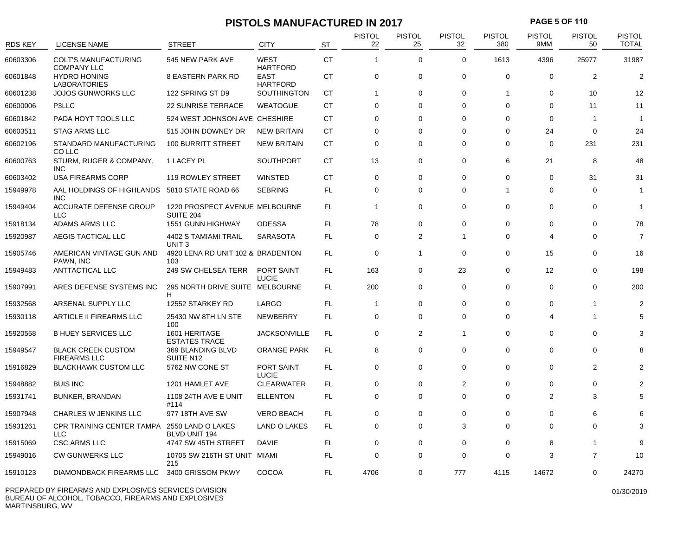# **PISTOLS MANUFACTURED IN 2017 PAGE 5 OF 110**

| RDS KEY  | LICENSE NAME                                      | <b>STREET</b>                                      | <b>CITY</b>                    | <b>ST</b> | <b>PISTOL</b><br>22 | <b>PISTOL</b><br>25 | PISTOL<br>32   | <b>PISTOL</b><br>380 | <b>PISTOL</b><br>9MM | <b>PISTOL</b><br>50 | <b>PISTOL</b><br><b>TOTAL</b> |
|----------|---------------------------------------------------|----------------------------------------------------|--------------------------------|-----------|---------------------|---------------------|----------------|----------------------|----------------------|---------------------|-------------------------------|
|          |                                                   |                                                    |                                |           |                     |                     |                |                      |                      |                     |                               |
| 60603306 | <b>COLT'S MANUFACTURING</b><br><b>COMPANY LLC</b> | 545 NEW PARK AVE                                   | <b>WEST</b><br><b>HARTFORD</b> | <b>CT</b> | $\mathbf{1}$        | $\mathbf 0$         | $\mathbf 0$    | 1613                 | 4396                 | 25977               | 31987                         |
| 60601848 | <b>HYDRO HONING</b><br><b>LABORATORIES</b>        | <b>8 EASTERN PARK RD</b>                           | <b>EAST</b><br>HARTFORD        | <b>CT</b> | 0                   | 0                   | $\Omega$       | $\mathbf 0$          | $\Omega$             | $\overline{2}$      | $\overline{2}$                |
| 60601238 | <b>JOJOS GUNWORKS LLC</b>                         | 122 SPRING ST D9                                   | SOUTHINGTON                    | <b>CT</b> | $\mathbf 1$         | 0                   | $\Omega$       | $\overline{1}$       | 0                    | 10                  | 12                            |
| 60600006 | P3LLC                                             | <b>22 SUNRISE TERRACE</b>                          | <b>WEATOGUE</b>                | <b>CT</b> | 0                   | $\Omega$            | $\Omega$       | $\Omega$             | $\Omega$             | 11                  | 11                            |
| 60601842 | PADA HOYT TOOLS LLC                               | 524 WEST JOHNSON AVE CHESHIRE                      |                                | <b>CT</b> | $\Omega$            | 0                   | $\Omega$       | $\Omega$             | $\Omega$             | -1                  | $\overline{\phantom{a}}$      |
| 60603511 | <b>STAG ARMS LLC</b>                              | 515 JOHN DOWNEY DR                                 | <b>NEW BRITAIN</b>             | <b>CT</b> | $\Omega$            | 0                   | $\Omega$       | $\Omega$             | 24                   | $\Omega$            | 24                            |
| 60602196 | STANDARD MANUFACTURING<br>CO LLC                  | 100 BURRITT STREET                                 | <b>NEW BRITAIN</b>             | СT        | 0                   | 0                   | $\Omega$       | $\mathbf 0$          | 0                    | 231                 | 231                           |
| 60600763 | STURM, RUGER & COMPANY,<br><b>INC</b>             | 1 LACEY PL                                         | <b>SOUTHPORT</b>               | <b>CT</b> | 13                  | $\mathbf 0$         | $\mathbf 0$    | 6                    | 21                   | 8                   | 48                            |
| 60603402 | USA FIREARMS CORP                                 | 119 ROWLEY STREET                                  | <b>WINSTED</b>                 | <b>CT</b> | $\mathbf 0$         | 0                   | $\Omega$       | $\mathbf 0$          | 0                    | 31                  | 31                            |
| 15949978 | AAL HOLDINGS OF HIGHLANDS<br><b>INC</b>           | 5810 STATE ROAD 66                                 | <b>SEBRING</b>                 | FL        | $\mathbf 0$         | 0                   | $\Omega$       | -1                   | $\Omega$             | $\Omega$            | -1                            |
| 15949404 | <b>ACCURATE DEFENSE GROUP</b><br><b>LLC</b>       | 1220 PROSPECT AVENUE MELBOURNE<br><b>SUITE 204</b> |                                | FL.       | $\mathbf{1}$        | 0                   | $\mathbf 0$    | $\mathbf 0$          | 0                    | 0                   | -1                            |
| 15918134 | ADAMS ARMS LLC                                    | 1551 GUNN HIGHWAY                                  | <b>ODESSA</b>                  | FL        | 78                  | 0                   | $\Omega$       | $\mathbf 0$          | 0                    | 0                   | 78                            |
| 15920987 | AEGIS TACTICAL LLC                                | 4402 S TAMIAMI TRAIL<br>UNIT <sub>3</sub>          | <b>SARASOTA</b>                | <b>FL</b> | $\mathbf 0$         | $\overline{2}$      | $\overline{1}$ | $\mathbf 0$          | 4                    | $\Omega$            | $\overline{7}$                |
| 15905746 | AMERICAN VINTAGE GUN AND<br>PAWN, INC             | 4920 LENA RD UNIT 102 & BRADENTON<br>103           |                                | <b>FL</b> | $\mathbf 0$         | $\mathbf{1}$        | $\mathbf 0$    | $\mathbf 0$          | 15                   | 0                   | 16                            |
| 15949483 | ANTTACTICAL LLC                                   | 249 SW CHELSEA TERR                                | PORT SAINT<br><b>LUCIE</b>     | FL        | 163                 | 0                   | 23             | 0                    | 12                   | 0                   | 198                           |
| 15907991 | ARES DEFENSE SYSTEMS INC                          | 295 NORTH DRIVE SUITE MELBOURNE<br>H               |                                | FL.       | 200                 | 0                   | $\Omega$       | $\mathbf 0$          | $\Omega$             | $\Omega$            | 200                           |
| 15932568 | ARSENAL SUPPLY LLC                                | 12552 STARKEY RD                                   | LARGO                          | FL        | -1                  | 0                   | $\Omega$       | $\mathbf 0$          | 0                    | 1                   | $\overline{2}$                |
| 15930118 | ARTICLE II FIREARMS LLC                           | 25430 NW 8TH LN STE<br>100                         | NEWBERRY                       | <b>FL</b> | 0                   | 0                   | $\Omega$       | $\Omega$             | 4                    | 1                   | 5                             |
| 15920558 | <b>B HUEY SERVICES LLC</b>                        | 1601 HERITAGE<br><b>ESTATES TRACE</b>              | <b>JACKSONVILLE</b>            | FL.       | $\mathbf 0$         | $\overline{2}$      | 1              | $\mathbf 0$          | $\Omega$             | $\Omega$            | 3                             |
| 15949547 | <b>BLACK CREEK CUSTOM</b><br><b>FIREARMS LLC</b>  | 369 BLANDING BLVD<br>SUITE N12                     | <b>ORANGE PARK</b>             | FL.       | 8                   | 0                   | $\mathbf 0$    | $\mathbf 0$          | 0                    | $\Omega$            |                               |
| 15916829 | <b>BLACKHAWK CUSTOM LLC</b>                       | 5762 NW CONE ST                                    | PORT SAINT<br><b>LUCIE</b>     | FL        | $\mathbf 0$         | 0                   | $\Omega$       | $\mathbf 0$          | 0                    | 2                   | 2                             |
| 15948882 | <b>BUIS INC</b>                                   | 1201 HAMLET AVE                                    | CLEARWATER                     | FL        | $\mathbf 0$         | 0                   | $\overline{2}$ | $\mathbf 0$          | $\Omega$             | $\Omega$            | 2                             |
| 15931741 | <b>BUNKER, BRANDAN</b>                            | 1108 24TH AVE E UNIT<br>#114                       | <b>ELLENTON</b>                | FL        | 0                   | 0                   | $\Omega$       | $\mathbf 0$          | $\overline{2}$       | 3                   | 5                             |
| 15907948 | CHARLES W JENKINS LLC                             | 977 18TH AVE SW                                    | <b>VERO BEACH</b>              | <b>FL</b> | 0                   | 0                   | $\Omega$       | 0                    | $\Omega$             | 6                   |                               |
| 15931261 | CPR TRAINING CENTER TAMPA<br><b>LLC</b>           | 2550 LAND O LAKES<br><b>BLVD UNIT 194</b>          | LAND O LAKES                   | FL        | 0                   | 0                   | 3              | $\mathbf 0$          | 0                    | 0                   | 3                             |
| 15915069 | <b>CSC ARMS LLC</b>                               | 4747 SW 45TH STREET                                | DAVIE                          | FL        | $\mathbf 0$         | 0                   | $\Omega$       | 0                    | 8                    | 1                   | g                             |
| 15949016 | <b>CW GUNWERKS LLC</b>                            | 10705 SW 216TH ST UNIT MIAMI<br>215                |                                | <b>FL</b> | $\Omega$            | 0                   | $\Omega$       | $\Omega$             | 3                    | 7                   | 10                            |
| 15910123 | DIAMONDBACK FIREARMS LLC                          | 3400 GRISSOM PKWY                                  | COCOA                          | FL        | 4706                | 0                   | 777            | 4115                 | 14672                | 0                   | 24270                         |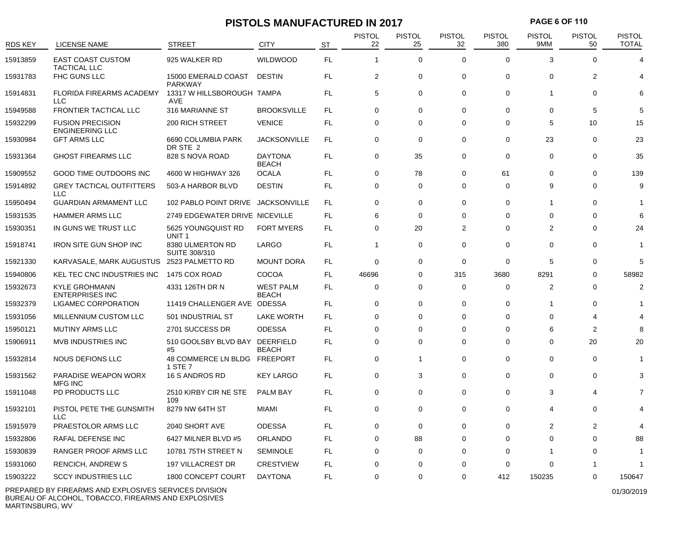# **PISTOLS MANUFACTURED IN 2017 PAGE 6 OF 110**

|                |                                                   |                                       |                                  |           | <b>PISTOL</b> | <b>PISTOL</b>  | <b>PISTOL</b> | <b>PISTOL</b> | <b>PISTOL</b>           | <b>PISTOL</b>  | <b>PISTOL</b>  |
|----------------|---------------------------------------------------|---------------------------------------|----------------------------------|-----------|---------------|----------------|---------------|---------------|-------------------------|----------------|----------------|
| <b>RDS KEY</b> | LICENSE NAME                                      | <b>STREET</b>                         | <b>CITY</b>                      | <b>ST</b> | 22            | 25             | 32            | 380           | 9MM                     | 50             | <b>TOTAL</b>   |
| 15913859       | <b>EAST COAST CUSTOM</b><br><b>TACTICAL LLC</b>   | 925 WALKER RD                         | <b>WILDWOOD</b>                  | FL        | $\mathbf{1}$  | $\mathbf 0$    | $\mathbf 0$   | $\Omega$      | 3                       | $\Omega$       | $\Delta$       |
| 15931783       | FHC GUNS LLC                                      | 15000 EMERALD COAST<br><b>PARKWAY</b> | <b>DESTIN</b>                    | <b>FL</b> | 2             | $\mathbf 0$    | $\mathbf 0$   | $\mathbf 0$   | $\mathbf 0$             | $\overline{2}$ |                |
| 15914831       | <b>FLORIDA FIREARMS ACADEMY</b><br><b>LLC</b>     | 13317 W HILLSBOROUGH TAMPA<br>AVE     |                                  | <b>FL</b> | 5             | $\mathbf 0$    | $\Omega$      | $\mathbf 0$   | $\overline{1}$          | $\Omega$       | 6              |
| 15949588       | FRONTIER TACTICAL LLC                             | 316 MARIANNE ST                       | <b>BROOKSVILLE</b>               | FL        | $\mathbf 0$   | 0              | $\mathbf 0$   | 0             | 0                       | 5              | 5              |
| 15932299       | <b>FUSION PRECISION</b><br><b>ENGINEERING LLC</b> | <b>200 RICH STREET</b>                | <b>VENICE</b>                    | FL        | $\mathbf 0$   | $\Omega$       | $\Omega$      | $\Omega$      | 5                       | 10             | 15             |
| 15930984       | <b>GFT ARMS LLC</b>                               | 6690 COLUMBIA PARK<br>DR STE 2        | <b>JACKSONVILLE</b>              | FL        | $\mathbf 0$   | $\mathbf 0$    | $\mathbf 0$   | 0             | 23                      | $\mathbf 0$    | 23             |
| 15931364       | <b>GHOST FIREARMS LLC</b>                         | 828 S NOVA ROAD                       | <b>DAYTONA</b><br><b>BEACH</b>   | FL        | $\mathbf 0$   | 35             | $\mathbf 0$   | $\mathbf 0$   | $\mathbf 0$             | $\Omega$       | 35             |
| 15909552       | <b>GOOD TIME OUTDOORS INC</b>                     | 4600 W HIGHWAY 326                    | <b>OCALA</b>                     | <b>FL</b> | $\mathbf 0$   | 78             | $\Omega$      | 61            | $\Omega$                | $\Omega$       | 139            |
| 15914892       | <b>GREY TACTICAL OUTFITTERS</b><br><b>LLC</b>     | 503-A HARBOR BLVD                     | <b>DESTIN</b>                    | FL        | $\mathbf 0$   | 0              | $\mathbf 0$   | 0             | 9                       | $\Omega$       | 9              |
| 15950494       | <b>GUARDIAN ARMAMENT LLC</b>                      | 102 PABLO POINT DRIVE JACKSONVILLE    |                                  | <b>FL</b> | $\Omega$      | $\mathbf 0$    | $\Omega$      | $\Omega$      | $\overline{\mathbf{1}}$ | $\Omega$       |                |
| 15931535       | <b>HAMMER ARMS LLC</b>                            | 2749 EDGEWATER DRIVE NICEVILLE        |                                  | FL.       | 6             | 0              | $\Omega$      | $\Omega$      | $\Omega$                | $\Omega$       | 6              |
| 15930351       | IN GUNS WE TRUST LLC                              | 5625 YOUNGQUIST RD<br>UNIT 1          | <b>FORT MYERS</b>                | FL        | $\mathbf 0$   | 20             | 2             | 0             | 2                       | $\Omega$       | 24             |
| 15918741       | <b>IRON SITE GUN SHOP INC</b>                     | 8380 ULMERTON RD<br>SUITE 308/310     | LARGO                            | FL        | 1             | $\mathbf 0$    | $\mathbf 0$   | $\mathbf 0$   | $\Omega$                | $\Omega$       |                |
| 15921330       | KARVASALE, MARK AUGUSTUS                          | 2523 PALMETTO RD                      | <b>MOUNT DORA</b>                | FL        | $\mathbf 0$   | 0              | $\mathbf 0$   | $\mathbf 0$   | 5                       | $\Omega$       | 5              |
| 15940806       | <b>KEL TEC CNC INDUSTRIES INC</b>                 | 1475 COX ROAD                         | COCOA                            | FL        | 46696         | 0              | 315           | 3680          | 8291                    | 0              | 58982          |
| 15932673       | <b>KYLE GROHMANN</b><br><b>ENTERPRISES INC</b>    | 4331 126TH DR N                       | <b>WEST PALM</b><br><b>BEACH</b> | <b>FL</b> | $\mathbf 0$   | 0              | $\mathbf 0$   | 0             | 2                       | 0              | $\overline{2}$ |
| 15932379       | LIGAMEC CORPORATION                               | 11419 CHALLENGER AVE ODESSA           |                                  | FL        | 0             | 0              | 0             | 0             | $\overline{1}$          | $\Omega$       |                |
| 15931056       | MILLENNIUM CUSTOM LLC                             | 501 INDUSTRIAL ST                     | <b>LAKE WORTH</b>                | <b>FL</b> | 0             | 0              | 0             | 0             | 0                       | 4              |                |
| 15950121       | <b>MUTINY ARMS LLC</b>                            | 2701 SUCCESS DR                       | <b>ODESSA</b>                    | <b>FL</b> | $\Omega$      | $\Omega$       | $\Omega$      | $\Omega$      | 6                       | $\overline{2}$ | 8              |
| 15906911       | <b>MVB INDUSTRIES INC</b>                         | 510 GOOLSBY BLVD BAY DEERFIELD<br>#5  | <b>BEACH</b>                     | FL        | $\mathbf 0$   | 0              | $\Omega$      | $\Omega$      | $\Omega$                | 20             | 20             |
| 15932814       | <b>NOUS DEFIONS LLC</b>                           | 48 COMMERCE LN BLDG<br>1 STE 7        | FREEPORT                         | <b>FL</b> | $\mathbf 0$   | $\overline{1}$ | $\Omega$      | $\mathbf 0$   | $\Omega$                | $\Omega$       |                |
| 15931562       | PARADISE WEAPON WORX<br><b>MFG INC</b>            | 16 S ANDROS RD                        | <b>KEY LARGO</b>                 | <b>FL</b> | $\mathbf 0$   | 3              | $\mathbf 0$   | 0             | $\mathbf 0$             | 0              | 3              |
| 15911048       | PD PRODUCTS LLC                                   | 2510 KIRBY CIR NE STE<br>109          | <b>PALM BAY</b>                  | FL        | $\mathbf{0}$  | $\mathbf 0$    | $\Omega$      | $\mathbf 0$   | 3                       | 4              |                |
| 15932101       | PISTOL PETE THE GUNSMITH<br><b>LLC</b>            | 8279 NW 64TH ST                       | <b>MIAMI</b>                     | FL        | $\mathbf 0$   | 0              | $\Omega$      | $\Omega$      | 4                       | $\Omega$       |                |
| 15915979       | PRAESTOLOR ARMS LLC                               | 2040 SHORT AVE                        | <b>ODESSA</b>                    | <b>FL</b> | $\mathbf 0$   | $\mathbf 0$    | $\Omega$      | $\Omega$      | 2                       | $\overline{2}$ |                |
| 15932806       | RAFAL DEFENSE INC                                 | 6427 MILNER BLVD #5                   | <b>ORLANDO</b>                   | FL        | $\Omega$      | 88             | $\Omega$      | $\Omega$      | $\Omega$                | $\Omega$       | 88             |
| 15930839       | RANGER PROOF ARMS LLC                             | 10781 75TH STREET N                   | <b>SEMINOLE</b>                  | FL        | 0             | 0              | 0             | $\Omega$      | 1                       | 0              |                |
| 15931060       | RENCICH, ANDREW S                                 | <b>197 VILLACREST DR</b>              | <b>CRESTVIEW</b>                 | FL        | 0             | $\Omega$       | $\Omega$      | $\Omega$      | $\Omega$                |                |                |
| 15903222       | <b>SCCY INDUSTRIES LLC</b>                        | 1800 CONCEPT COURT                    | <b>DAYTONA</b>                   | <b>FL</b> | $\Omega$      | $\Omega$       | $\Omega$      | 412           | 150235                  | $\Omega$       | 150647         |

PREPARED BY FIREARMS AND EXPLOSIVES SERVICES DIVISION BUREAU OF ALCOHOL, TOBACCO, FIREARMS AND EXPLOSIVES MARTINSBURG, WV

01/30/2019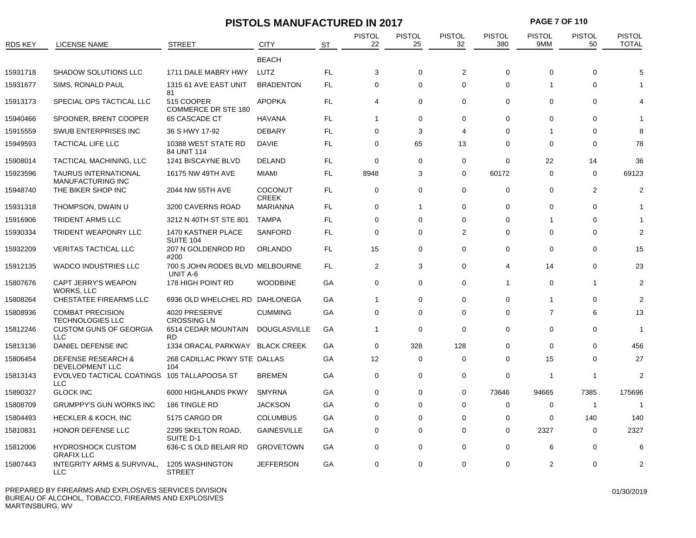| <b>RDS KEY</b> | LICENSE NAME                                            | <b>STREET</b>                                      | <b>CITY</b>             | <b>ST</b> | <b>PISTOL</b><br>22 | <b>PISTOL</b><br>25 | <b>PISTOL</b><br>32   | <b>PISTOL</b><br>380 | <b>PISTOL</b><br>9MM | <b>PISTOL</b><br>50 | <b>PISTOL</b><br><b>TOTAL</b> |
|----------------|---------------------------------------------------------|----------------------------------------------------|-------------------------|-----------|---------------------|---------------------|-----------------------|----------------------|----------------------|---------------------|-------------------------------|
|                |                                                         |                                                    | <b>BEACH</b>            |           |                     |                     |                       |                      |                      |                     |                               |
| 15931718       | <b>SHADOW SOLUTIONS LLC</b>                             | 1711 DALE MABRY HWY                                | LUTZ                    | FL        | 3                   | $\mathbf 0$         | 2                     | 0                    | $\Omega$             | 0                   |                               |
| 15931677       | SIMS, RONALD PAUL                                       | 1315 61 AVE EAST UNIT<br>81                        | <b>BRADENTON</b>        | FL        | 0                   | 0                   | $\mathbf 0$           | 0                    |                      | 0                   |                               |
| 15913173       | SPECIAL OPS TACTICAL LLC                                | 515 COOPER<br>COMMERCE DR STE 180                  | <b>APOPKA</b>           | FL        | 4                   | $\mathbf 0$         | $\Omega$              | 0                    | $\mathbf 0$          | 0                   |                               |
| 15940466       | SPOONER, BRENT COOPER                                   | 65 CASCADE CT                                      | <b>HAVANA</b>           | FL        | 1                   | 0                   | $\Omega$              | $\Omega$             | $\Omega$             | 0                   |                               |
| 15915559       | SWUB ENTERPRISES INC                                    | 36 S HWY 17-92                                     | <b>DEBARY</b>           | <b>FL</b> | $\Omega$            | 3                   | $\boldsymbol{\Delta}$ | 0                    |                      | 0                   |                               |
| 15949593       | TACTICAL LIFE LLC                                       | 10388 WEST STATE RD<br>84 UNIT 114                 | DAVIE                   | FL        | $\mathbf 0$         | 65                  | 13                    | $\Omega$             | 0                    | 0                   | 78                            |
| 15908014       | TACTICAL MACHINING, LLC                                 | 1241 BISCAYNE BLVD                                 | <b>DELAND</b>           | <b>FL</b> | $\Omega$            | 0                   | $\Omega$              | $\Omega$             | 22                   | 14                  | 36                            |
| 15923596       | <b>TAURUS INTERNATIONAL</b><br><b>MANUFACTURING INC</b> | 16175 NW 49TH AVE                                  | <b>MIAMI</b>            | FL        | 8948                | 3                   | $\mathbf 0$           | 60172                | 0                    | $\mathbf 0$         | 69123                         |
| 15948740       | THE BIKER SHOP INC                                      | 2044 NW 55TH AVE                                   | COCONUT<br><b>CREEK</b> | FL        | 0                   | $\Omega$            | $\Omega$              | $\Omega$             | $\Omega$             | 2                   | 2                             |
| 15931318       | THOMPSON, DWAIN U                                       | 3200 CAVERNS ROAD                                  | <b>MARIANNA</b>         | FL        | 0                   | $\mathbf{1}$        | $\mathbf 0$           | 0                    | $\Omega$             | 0                   |                               |
| 15916906       | <b>TRIDENT ARMS LLC</b>                                 | 3212 N 40TH ST STE 801                             | <b>TAMPA</b>            | FL        | $\mathbf 0$         | 0                   | $\mathbf 0$           | 0                    | -1                   | 0                   |                               |
| 15930334       | <b>TRIDENT WEAPONRY LLC</b>                             | 1470 KASTNER PLACE<br>SUITE 104                    | <b>SANFORD</b>          | <b>FL</b> | $\Omega$            | $\Omega$            | $\overline{2}$        | $\Omega$             | $\Omega$             | 0                   |                               |
| 15932209       | <b>VERITAS TACTICAL LLC</b>                             | 207 N GOLDENROD RD<br>#200                         | ORLANDO                 | FL        | 15                  | $\mathbf 0$         | $\mathbf 0$           | 0                    | $\mathbf 0$          | 0                   | 15                            |
| 15912135       | <b>WADCO INDUSTRIES LLC</b>                             | 700 S JOHN RODES BLVD MELBOURNE<br><b>UNIT A-6</b> |                         | FL        | $\overline{c}$      | 3                   | $\mathbf 0$           | 4                    | 14                   | 0                   | 23                            |
| 15807676       | CAPT JERRY'S WEAPON<br>WORKS, LLC                       | 178 HIGH POINT RD                                  | <b>WOODBINE</b>         | GA        | 0                   | $\Omega$            | $\Omega$              | $\overline{1}$       | $\Omega$             | 1                   |                               |
| 15808264       | CHESTATEE FIREARMS LLC                                  | 6936 OLD WHELCHEL RD DAHLONEGA                     |                         | GA        | $\mathbf{1}$        | 0                   | $\Omega$              | $\Omega$             |                      | 0                   |                               |
| 15808936       | <b>COMBAT PRECISION</b><br><b>TECHNOLOGIES LLC</b>      | 4020 PRESERVE<br><b>CROSSING LN</b>                | <b>CUMMING</b>          | GA        | $\mathbf 0$         | $\mathbf 0$         | $\mathbf 0$           | $\mathbf 0$          | $\overline{7}$       | 6                   | 13                            |
| 15812246       | <b>CUSTOM GUNS OF GEORGIA</b><br><b>LLC</b>             | 6514 CEDAR MOUNTAIN<br><b>RD</b>                   | <b>DOUGLASVILLE</b>     | GA        | $\mathbf{1}$        | $\Omega$            | $\Omega$              | $\Omega$             | $\Omega$             | 0                   |                               |
| 15813136       | DANIEL DEFENSE INC                                      | 1334 ORACAL PARKWAY                                | <b>BLACK CREEK</b>      | GА        | $\Omega$            | 328                 | 128                   | $\Omega$             | $\Omega$             | 0                   | 456                           |
| 15806454       | <b>DEFENSE RESEARCH &amp;</b><br>DEVELOPMENT LLC        | 268 CADILLAC PKWY STE DALLAS<br>104                |                         | GA        | 12                  | $\mathbf 0$         | $\mathbf 0$           | 0                    | 15                   | 0                   | 27                            |
| 15813143       | EVOLVED TACTICAL COATINGS<br><b>LLC</b>                 | 105 TALLAPOOSA ST                                  | <b>BREMEN</b>           | GA        | $\mathbf 0$         | 0                   | $\Omega$              | $\Omega$             | -1                   | -1                  | 2                             |
| 15890327       | <b>GLOCK INC</b>                                        | 6000 HIGHLANDS PKWY                                | <b>SMYRNA</b>           | GА        | $\Omega$            | $\Omega$            | $\Omega$              | 73646                | 94665                | 7385                | 175696                        |
| 15808709       | <b>GRUMPPY'S GUN WORKS INC</b>                          | 186 TINGLE RD                                      | <b>JACKSON</b>          | GA        | $\mathbf 0$         | 0                   | $\mathbf 0$           | 0                    | $\mathbf 0$          | $\mathbf{1}$        | -1                            |
| 15804493       | <b>HECKLER &amp; KOCH, INC</b>                          | 5175 CARGO DR                                      | <b>COLUMBUS</b>         | GA        | $\Omega$            | 0                   | $\Omega$              | $\Omega$             | $\Omega$             | 140                 | 140                           |
| 15810831       | HONOR DEFENSE LLC                                       | 2295 SKELTON ROAD,<br>SUITE D-1                    | <b>GAINESVILLE</b>      | GА        | $\mathbf 0$         | $\Omega$            | $\Omega$              | 0                    | 2327                 | 0                   | 2327                          |
| 15812006       | <b>HYDROSHOCK CUSTOM</b><br><b>GRAFIX LLC</b>           | 636-C S OLD BELAIR RD                              | <b>GROVETOWN</b>        | GА        | $\Omega$            | $\Omega$            | $\Omega$              | $\Omega$             | 6                    | $\Omega$            | 6                             |
| 15807443       | <b>INTEGRITY ARMS &amp; SURVIVAL,</b>                   | 1205 WASHINGTON                                    | <b>JEFFERSON</b>        | GA        | $\Omega$            | $\Omega$            | $\Omega$              | 0                    | 2                    | 0                   |                               |

**PISTOLS MANUFACTURED IN 2017 PAGE 7 OF 110**

STREET

LLC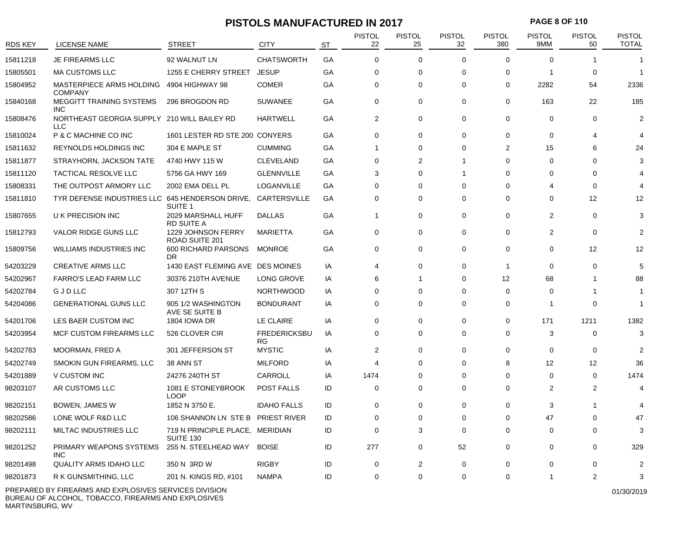#### **PISTOLS MANUFACTURED IN 2017 PAGE 8 OF 110**

| <b>RDS KEY</b> | LICENSE NAME                                              | <b>STREET</b>                                | CITY                       | <b>ST</b> | <b>PISTOL</b><br>22 | <b>PISTOL</b><br>25 | PISTOL<br>32 | <b>PISTOL</b><br>380 | PISTOL<br>9MM | <b>PISTOL</b><br>50 | PISTOL<br><b>TOTAL</b> |
|----------------|-----------------------------------------------------------|----------------------------------------------|----------------------------|-----------|---------------------|---------------------|--------------|----------------------|---------------|---------------------|------------------------|
| 15811218       | <b>JE FIREARMS LLC</b>                                    | 92 WALNUT LN                                 | <b>CHATSWORTH</b>          | GA        | $\mathbf 0$         | 0                   | $\Omega$     | $\mathbf 0$          | $\Omega$      |                     |                        |
| 15805501       | <b>MA CUSTOMS LLC</b>                                     | 1255 E CHERRY STREET                         | <b>JESUP</b>               | GA        | 0                   | 0                   | $\Omega$     | $\mathbf 0$          | -1            | $\mathbf 0$         | 1                      |
| 15804952       | MASTERPIECE ARMS HOLDING<br><b>COMPANY</b>                | 4904 HIGHWAY 98                              | <b>COMER</b>               | GA        | $\mathbf 0$         | 0                   | $\Omega$     | $\mathbf 0$          | 2282          | 54                  | 2336                   |
| 15840168       | <b>MEGGITT TRAINING SYSTEMS</b><br><b>INC</b>             | 296 BROGDON RD                               | <b>SUWANEE</b>             | GA        | $\mathbf 0$         | 0                   | $\Omega$     | $\mathbf 0$          | 163           | 22                  | 185                    |
| 15808476       | NORTHEAST GEORGIA SUPPLY 210 WILL BAILEY RD<br><b>LLC</b> |                                              | <b>HARTWELL</b>            | GA        | 2                   | 0                   | $\mathbf 0$  | $\mathbf 0$          | 0             | $\mathbf 0$         | $\overline{2}$         |
| 15810024       | P & C MACHINE CO INC                                      | 1601 LESTER RD STE 200 CONYERS               |                            | GA        | $\Omega$            | $\Omega$            | $\Omega$     | $\Omega$             | $\Omega$      | 4                   | 4                      |
| 15811632       | REYNOLDS HOLDINGS INC                                     | 304 E MAPLE ST                               | <b>CUMMING</b>             | GA        | $\mathbf 1$         | 0                   | $\Omega$     | 2                    | 15            | 6                   | 24                     |
| 15811877       | STRAYHORN, JACKSON TATE                                   | 4740 HWY 115 W                               | <b>CLEVELAND</b>           | GA        | $\mathbf 0$         | $\overline{2}$      | 1            | $\Omega$             | $\Omega$      | $\Omega$            | 3                      |
| 15811120       | TACTICAL RESOLVE LLC                                      | 5756 GA HWY 169                              | <b>GLENNVILLE</b>          | GA        | 3                   | 0                   | 1            | $\Omega$             | $\Omega$      | $\Omega$            |                        |
| 15808331       | THE OUTPOST ARMORY LLC                                    | 2002 EMA DELL PL                             | LOGANVILLE                 | GA        | $\Omega$            | 0                   | $\Omega$     | $\Omega$             | 4             | 0                   |                        |
| 15811810       | TYR DEFENSE INDUSTRIES LLC 645 HENDERSON DRIVE,           | SUITE <sub>1</sub>                           | CARTERSVILLE               | GA        | $\mathbf 0$         | 0                   | $\Omega$     | $\Omega$             | $\Omega$      | 12                  | 12                     |
| 15807655       | U K PRECISION INC                                         | 2029 MARSHALL HUFF<br><b>RD SUITE A</b>      | <b>DALLAS</b>              | GA        | $\mathbf{1}$        | 0                   | $\Omega$     | $\mathbf 0$          | 2             | $\Omega$            | 3                      |
| 15812793       | VALOR RIDGE GUNS LLC                                      | 1229 JOHNSON FERRY<br>ROAD SUITE 201         | <b>MARIETTA</b>            | GA        | $\mathbf 0$         | 0                   | $\Omega$     | $\mathbf 0$          | 2             | $\mathbf 0$         | 2                      |
| 15809756       | WILLIAMS INDUSTRIES INC                                   | 600 RICHARD PARSONS<br>DR                    | MONROE                     | GA        | $\Omega$            | 0                   | $\Omega$     | $\Omega$             | $\Omega$      | 12                  | 12                     |
| 54203229       | <b>CREATIVE ARMS LLC</b>                                  | 1430 EAST FLEMING AVE DES MOINES             |                            | IA        | 4                   | 0                   | $\Omega$     | $\overline{1}$       | $\Omega$      | $\Omega$            | 5                      |
| 54202967       | <b>FARRO'S LEAD FARM LLC</b>                              | 30376 210TH AVENUE                           | LONG GROVE                 | IA        | 6                   | $\mathbf{1}$        | $\mathbf 0$  | 12                   | 68            | $\mathbf 1$         | 88                     |
| 54202784       | GJDLLC                                                    | 307 12TH S                                   | <b>NORTHWOOD</b>           | IA        | $\mathbf 0$         | 0                   | $\Omega$     | $\mathbf 0$          | $\Omega$      | -1                  | -1                     |
| 54204086       | <b>GENERATIONAL GUNS LLC</b>                              | 905 1/2 WASHINGTON<br>AVE SE SUITE B         | <b>BONDURANT</b>           | IA        | 0                   | 0                   | $\Omega$     | 0                    | -1            | $\Omega$            | 1                      |
| 54201706       | LES BAER CUSTOM INC                                       | <b>1804 IOWA DR</b>                          | LE CLAIRE                  | IA        | $\Omega$            | $\Omega$            | $\Omega$     | $\mathbf 0$          | 171           | 1211                | 1382                   |
| 54203954       | <b>MCF CUSTOM FIREARMS LLC</b>                            | 526 CLOVER CIR                               | <b>FREDERICKSBU</b><br>RG. | IA        | $\Omega$            | $\Omega$            | $\Omega$     | $\Omega$             | 3             | $\Omega$            | 3                      |
| 54202783       | MOORMAN, FRED A                                           | 301 JEFFERSON ST                             | <b>MYSTIC</b>              | IA        | $\overline{c}$      | 0                   | $\Omega$     | $\mathbf 0$          | 0             | $\mathbf 0$         | $\overline{2}$         |
| 54202749       | SMOKIN GUN FIREARMS, LLC                                  | 38 ANN ST                                    | <b>MILFORD</b>             | IA        | $\overline{4}$      | 0                   | $\Omega$     | 8                    | 12            | 12                  | 36                     |
| 54201889       | V CUSTOM INC                                              | 24276 240TH ST                               | CARROLL                    | IA        | 1474                | 0                   | $\Omega$     | $\mathbf 0$          | $\mathbf 0$   | $\mathbf 0$         | 1474                   |
| 98203107       | AR CUSTOMS LLC                                            | 1081 E STONEYBROOK<br><b>LOOP</b>            | POST FALLS                 | ID        | $\Omega$            | $\Omega$            | $\Omega$     | $\Omega$             | 2             | 2                   | 4                      |
| 98202151       | <b>BOWEN, JAMES W</b>                                     | 1852 N 3750 E.                               | <b>IDAHO FALLS</b>         | ID        | 0                   | 0                   | $\Omega$     | $\Omega$             | 3             | 1                   |                        |
| 98202586       | LONE WOLF R&D LLC                                         | 106 SHANNON LN STE B PRIEST RIVER            |                            | ID        | $\mathbf 0$         | 0                   | 0            | $\Omega$             | 47            | $\Omega$            | 47                     |
| 98202111       | MILTAC INDUSTRIES LLC                                     | 719 N PRINCIPLE PLACE, MERIDIAN<br>SUITE 130 |                            | ID        | $\mathbf 0$         | 3                   | $\Omega$     | $\mathbf 0$          | 0             | $\Omega$            | 3                      |
| 98201252       | PRIMARY WEAPONS SYSTEMS<br><b>INC</b>                     | 255 N. STEELHEAD WAY                         | <b>BOISE</b>               | ID        | 277                 | 0                   | 52           | $\Omega$             | $\Omega$      | $\Omega$            | 329                    |
| 98201498       | <b>QUALITY ARMS IDAHO LLC</b>                             | 350 N 3RD W                                  | <b>RIGBY</b>               | ID        | 0                   | $\overline{2}$      | $\Omega$     | 0                    | 0             | 0                   | 2                      |
| 98201873       | R K GUNSMITHING, LLC                                      | 201 N. KINGS RD, #101                        | <b>NAMPA</b>               | ID        | $\mathbf 0$         | 0                   | $\Omega$     | $\Omega$             | 1             | 2                   | 3                      |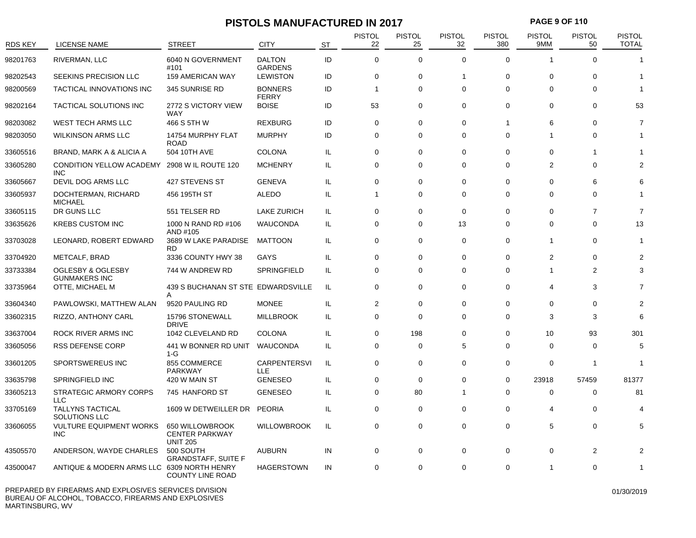# **PISTOLS MANUFACTURED IN 2017 PAGE 9 OF 110**

| <b>RDS KEY</b> | <b>LICENSE NAME</b>                             | <b>STREET</b>                                               | <b>CITY</b>                       | ST  | <b>PISTOL</b><br>22 | <b>PISTOL</b><br>25 | <b>PISTOL</b><br>32 | <b>PISTOL</b><br>380 | <b>PISTOL</b><br>9MM | <b>PISTOL</b><br>50 | <b>PISTOL</b><br><b>TOTAL</b> |
|----------------|-------------------------------------------------|-------------------------------------------------------------|-----------------------------------|-----|---------------------|---------------------|---------------------|----------------------|----------------------|---------------------|-------------------------------|
| 98201763       | RIVERMAN, LLC                                   | 6040 N GOVERNMENT<br>#101                                   | <b>DALTON</b><br><b>GARDENS</b>   | ID  | $\mathbf 0$         | $\mathbf 0$         | $\Omega$            | $\Omega$             |                      | $\Omega$            | 1                             |
| 98202543       | SEEKINS PRECISION LLC                           | <b>159 AMERICAN WAY</b>                                     | <b>LEWISTON</b>                   | ID  | $\mathbf 0$         | $\mathbf 0$         | $\overline{1}$      | $\mathbf 0$          | $\mathbf 0$          | 0                   | 1                             |
| 98200569       | TACTICAL INNOVATIONS INC                        | 345 SUNRISE RD                                              | <b>BONNERS</b><br><b>FERRY</b>    | ID  | $\overline{1}$      | $\Omega$            | $\mathbf 0$         | 0                    | $\Omega$             | $\Omega$            |                               |
| 98202164       | TACTICAL SOLUTIONS INC                          | 2772 S VICTORY VIEW<br><b>WAY</b>                           | <b>BOISE</b>                      | ID  | 53                  | 0                   | $\mathbf 0$         | 0                    | 0                    | $\mathbf 0$         | 53                            |
| 98203082       | WEST TECH ARMS LLC                              | 466 S 5TH W                                                 | <b>REXBURG</b>                    | ID  | $\mathbf 0$         | $\mathbf 0$         | $\mathbf 0$         | $\overline{1}$       | 6                    | $\mathbf 0$         | $\overline{7}$                |
| 98203050       | <b>WILKINSON ARMS LLC</b>                       | 14754 MURPHY FLAT<br><b>ROAD</b>                            | <b>MURPHY</b>                     | ID  | $\mathbf 0$         | $\mathbf 0$         | $\mathbf 0$         | $\mathbf 0$          | 1                    | $\mathbf 0$         |                               |
| 33605516       | BRAND, MARK A & ALICIA A                        | 504 10TH AVE                                                | <b>COLONA</b>                     | IL. | $\mathbf 0$         | $\mathbf 0$         | $\Omega$            | $\Omega$             | $\Omega$             | -1                  |                               |
| 33605280       | <b>CONDITION YELLOW ACADEMY</b><br><b>INC</b>   | 2908 W IL ROUTE 120                                         | <b>MCHENRY</b>                    | IL. | $\Omega$            | $\Omega$            | $\Omega$            | $\Omega$             | $\overline{2}$       | $\Omega$            | 2                             |
| 33605667       | DEVIL DOG ARMS LLC                              | 427 STEVENS ST                                              | <b>GENEVA</b>                     | IL. | $\mathbf 0$         | $\mathbf 0$         | $\Omega$            | 0                    | $\Omega$             | 6                   | 6                             |
| 33605937       | DOCHTERMAN, RICHARD<br><b>MICHAEL</b>           | 456 195TH ST                                                | <b>ALEDO</b>                      | IL. | $\mathbf 1$         | 0                   | $\Omega$            | $\Omega$             | $\Omega$             | $\Omega$            | 1                             |
| 33605115       | DR GUNS LLC                                     | 551 TELSER RD                                               | <b>LAKE ZURICH</b>                | IL. | 0                   | $\Omega$            | $\mathbf 0$         | 0                    | $\Omega$             | $\overline{7}$      | $\overline{7}$                |
| 33635626       | <b>KREBS CUSTOM INC</b>                         | 1000 N RAND RD #106<br>AND #105                             | WAUCONDA                          | IL. | $\Omega$            | $\Omega$            | 13                  | $\Omega$             | $\Omega$             | $\Omega$            | 13                            |
| 33703028       | LEONARD, ROBERT EDWARD                          | 3689 W LAKE PARADISE<br>RD.                                 | <b>MATTOON</b>                    | IL. | 0                   | 0                   | 0                   | 0                    | 1                    | 0                   | 1                             |
| 33704920       | METCALF, BRAD                                   | 3336 COUNTY HWY 38                                          | <b>GAYS</b>                       | IL. | 0                   | $\Omega$            | $\Omega$            | 0                    | $\overline{2}$       | $\Omega$            |                               |
| 33733384       | OGLESBY & OGLESBY<br><b>GUNMAKERS INC</b>       | 744 W ANDREW RD                                             | SPRINGFIELD                       | IL. | 0                   | 0                   | $\Omega$            | $\Omega$             | 1                    | 2                   |                               |
| 33735964       | OTTE, MICHAEL M                                 | 439 S BUCHANAN ST STE EDWARDSVILLE<br>A                     |                                   | IL. | $\mathbf 0$         | $\mathbf 0$         | $\Omega$            | 0                    | 4                    | 3                   | $\overline{7}$                |
| 33604340       | PAWLOWSKI, MATTHEW ALAN                         | 9520 PAULING RD                                             | <b>MONEE</b>                      | IL. | 2                   | $\mathbf 0$         | $\mathbf 0$         | $\mathbf 0$          | $\mathbf 0$          | $\mathbf 0$         | $\overline{2}$                |
| 33602315       | RIZZO, ANTHONY CARL                             | 15796 STONEWALL<br><b>DRIVE</b>                             | <b>MILLBROOK</b>                  | IL. | $\mathbf 0$         | $\mathbf 0$         | $\Omega$            | $\Omega$             | 3                    | 3                   | 6                             |
| 33637004       | ROCK RIVER ARMS INC                             | 1042 CLEVELAND RD                                           | <b>COLONA</b>                     | IL. | 0                   | 198                 | $\mathbf 0$         | 0                    | 10                   | 93                  | 301                           |
| 33605056       | <b>RSS DEFENSE CORP</b>                         | 441 W BONNER RD UNIT<br>$1-G$                               | WAUCONDA                          | IL. | 0                   | 0                   | 5                   | $\Omega$             | $\Omega$             | 0                   | 5                             |
| 33601205       | SPORTSWEREUS INC                                | 855 COMMERCE<br><b>PARKWAY</b>                              | <b>CARPENTERSVI</b><br><b>LLE</b> | IL  | $\mathbf 0$         | $\mathbf 0$         | $\mathbf 0$         | $\mathbf 0$          | $\mathbf 0$          | -1                  | 1                             |
| 33635798       | SPRINGFIELD INC                                 | 420 W MAIN ST                                               | <b>GENESEO</b>                    | IL. | $\mathbf 0$         | $\mathbf 0$         | $\mathbf 0$         | $\mathbf 0$          | 23918                | 57459               | 81377                         |
| 33605213       | <b>STRATEGIC ARMORY CORPS</b><br><b>LLC</b>     | 745 HANFORD ST                                              | <b>GENESEO</b>                    | IL  | $\Omega$            | 80                  | $\overline{1}$      | $\mathbf 0$          | $\mathbf 0$          | $\Omega$            | 81                            |
| 33705169       | <b>TALLYNS TACTICAL</b><br><b>SOLUTIONS LLC</b> | 1609 W DETWEILLER DR                                        | <b>PEORIA</b>                     | IL. | $\Omega$            | $\mathbf 0$         | $\Omega$            | $\mathbf 0$          | 4                    | $\mathbf 0$         |                               |
| 33606055       | <b>VULTURE EQUIPMENT WORKS</b><br><b>INC</b>    | 650 WILLOWBROOK<br><b>CENTER PARKWAY</b><br><b>UNIT 205</b> | <b>WILLOWBROOK</b>                | IL. | $\mathbf 0$         | $\mathbf 0$         | $\Omega$            | 0                    | 5                    | 0                   | 5                             |
| 43505570       | ANDERSON, WAYDE CHARLES                         | 500 SOUTH<br><b>GRANDSTAFF, SUITE F</b>                     | <b>AUBURN</b>                     | IN  | 0                   | 0                   | 0                   | 0                    | 0                    | 2                   |                               |
| 43500047       | ANTIQUE & MODERN ARMS LLC 6309 NORTH HENRY      | <b>COUNTY LINE ROAD</b>                                     | <b>HAGERSTOWN</b>                 | IN  | 0                   | 0                   | $\mathbf 0$         | 0                    | -1                   | $\Omega$            |                               |
|                |                                                 |                                                             |                                   |     |                     |                     |                     |                      |                      |                     |                               |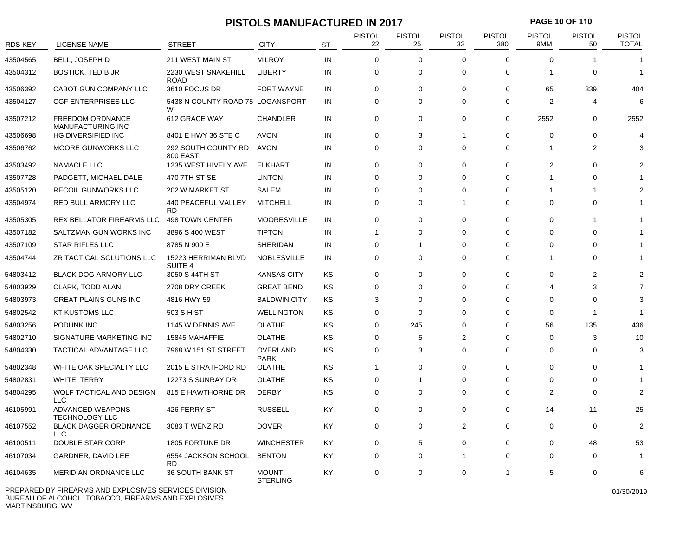# **PISTOLS MANUFACTURED IN 2017 PAGE 10 OF 110**

| <b>RDS KEY</b> | LICENSE NAME                                        | <b>STREET</b>                             | <b>CITY</b>                     | <b>ST</b> | <b>PISTOL</b><br>22 | <b>PISTOL</b><br>25 | <b>PISTOL</b><br>32 | <b>PISTOL</b><br>380 | <b>PISTOL</b><br>9MM | <b>PISTOL</b><br>50   | <b>PISTOL</b><br><b>TOTAL</b> |
|----------------|-----------------------------------------------------|-------------------------------------------|---------------------------------|-----------|---------------------|---------------------|---------------------|----------------------|----------------------|-----------------------|-------------------------------|
| 43504565       | <b>BELL, JOSEPH D</b>                               | 211 WEST MAIN ST                          | <b>MILROY</b>                   | IN        | $\mathbf 0$         | $\mathbf 0$         | $\Omega$            | 0                    | $\Omega$             |                       | 1                             |
| 43504312       | <b>BOSTICK, TED B JR</b>                            | 2230 WEST SNAKEHILL<br><b>ROAD</b>        | <b>LIBERTY</b>                  | IN        | 0                   | $\mathbf 0$         | $\Omega$            | 0                    | -1                   | $\Omega$              | -1                            |
| 43506392       | CABOT GUN COMPANY LLC                               | 3610 FOCUS DR                             | <b>FORT WAYNE</b>               | IN        | $\mathbf 0$         | 0                   | $\mathbf 0$         | 0                    | 65                   | 339                   | 404                           |
| 43504127       | <b>CGF ENTERPRISES LLC</b>                          | 5438 N COUNTY ROAD 75 LOGANSPORT<br>W     |                                 | IN        | 0                   | $\Omega$            | $\Omega$            | 0                    | $\overline{2}$       | $\boldsymbol{\Delta}$ | 6                             |
| 43507212       | <b>FREEDOM ORDNANCE</b><br><b>MANUFACTURING INC</b> | 612 GRACE WAY                             | <b>CHANDLER</b>                 | IN        | $\mathbf 0$         | 0                   | $\Omega$            | 0                    | 2552                 | 0                     | 2552                          |
| 43506698       | HG DIVERSIFIED INC                                  | 8401 E HWY 36 STE C                       | <b>AVON</b>                     | IN        | 0                   | 3                   | $\mathbf 1$         | 0                    | $\Omega$             | $\Omega$              |                               |
| 43506762       | MOORE GUNWORKS LLC                                  | 292 SOUTH COUNTY RD<br>800 EAST           | <b>AVON</b>                     | IN        | $\mathbf 0$         | $\mathbf 0$         | $\Omega$            | 0                    | -1                   | $\overline{2}$        |                               |
| 43503492       | NAMACLE LLC                                         | 1235 WEST HIVELY AVE                      | <b>ELKHART</b>                  | IN        | $\mathbf 0$         | 0                   | 0                   | 0                    | $\overline{2}$       | 0                     |                               |
| 43507728       | PADGETT, MICHAEL DALE                               | 470 7TH ST SE                             | <b>LINTON</b>                   | IN        | 0                   | $\mathbf 0$         | $\Omega$            | 0                    | 1                    | $\Omega$              |                               |
| 43505120       | RECOIL GUNWORKS LLC                                 | 202 W MARKET ST                           | <b>SALEM</b>                    | IN        | $\mathbf 0$         | 0                   | $\Omega$            | 0                    | -1                   | $\mathbf 1$           |                               |
| 43504974       | RED BULL ARMORY LLC                                 | 440 PEACEFUL VALLEY<br><b>RD</b>          | <b>MITCHELL</b>                 | IN        | 0                   | 0                   | $\overline{1}$      | 0                    | 0                    | 0                     |                               |
| 43505305       | REX BELLATOR FIREARMS LLC                           | 498 TOWN CENTER                           | <b>MOORESVILLE</b>              | IN        | $\mathbf 0$         | $\mathbf 0$         | $\Omega$            | $\mathbf 0$          | $\mathbf 0$          | -1                    |                               |
| 43507182       | SALTZMAN GUN WORKS INC                              | 3896 S 400 WEST                           | <b>TIPTON</b>                   | IN        | 1                   | 0                   | $\Omega$            | 0                    | $\Omega$             | $\Omega$              |                               |
| 43507109       | <b>STAR RIFLES LLC</b>                              | 8785 N 900 E                              | <b>SHERIDAN</b>                 | IN        | 0                   | 1                   | $\Omega$            | 0                    | $\Omega$             | $\Omega$              |                               |
| 43504744       | ZR TACTICAL SOLUTIONS LLC                           | 15223 HERRIMAN BLVD<br>SUITE <sub>4</sub> | <b>NOBLESVILLE</b>              | IN        | 0                   | 0                   | $\Omega$            | 0                    | 1                    | $\Omega$              |                               |
| 54803412       | <b>BLACK DOG ARMORY LLC</b>                         | 3050 S 44TH ST                            | <b>KANSAS CITY</b>              | KS        | $\mathbf 0$         | 0                   | $\mathbf 0$         | $\mathbf 0$          | $\Omega$             | $\overline{2}$        |                               |
| 54803929       | CLARK, TODD ALAN                                    | 2708 DRY CREEK                            | <b>GREAT BEND</b>               | KS        | 0                   | 0                   | $\Omega$            | 0                    | 4                    | 3                     | 7                             |
| 54803973       | <b>GREAT PLAINS GUNS INC</b>                        | 4816 HWY 59                               | <b>BALDWIN CITY</b>             | KS        | 3                   | 0                   | 0                   | 0                    | $\Omega$             | $\Omega$              | 3                             |
| 54802542       | <b>KT KUSTOMS LLC</b>                               | 503 S H ST                                | <b>WELLINGTON</b>               | KS        | 0                   | $\Omega$            | $\Omega$            | $\Omega$             | $\Omega$             |                       | -1                            |
| 54803256       | PODUNK INC                                          | 1145 W DENNIS AVE                         | <b>OLATHE</b>                   | KS        | $\mathbf 0$         | 245                 | $\Omega$            | $\Omega$             | 56                   | 135                   | 436                           |
| 54802710       | SIGNATURE MARKETING INC                             | 15845 MAHAFFIE                            | <b>OLATHE</b>                   | KS        | $\mathbf 0$         | 5                   | 2                   | $\mathbf 0$          | $\Omega$             | 3                     | 10                            |
| 54804330       | TACTICAL ADVANTAGE LLC                              | 7968 W 151 ST STREET                      | OVERLAND<br><b>PARK</b>         | KS        | $\mathbf 0$         | 3                   | $\Omega$            | 0                    | $\Omega$             | 0                     | 3                             |
| 54802348       | WHITE OAK SPECIALTY LLC                             | 2015 E STRATFORD RD                       | <b>OLATHE</b>                   | KS        | 1                   | 0                   | $\Omega$            | $\Omega$             | $\Omega$             | $\Omega$              |                               |
| 54802831       | <b>WHITE, TERRY</b>                                 | 12273 S SUNRAY DR                         | <b>OLATHE</b>                   | KS        | $\mathbf 0$         | 1                   | $\Omega$            | $\Omega$             | $\Omega$             | 0                     |                               |
| 54804295       | WOLF TACTICAL AND DESIGN<br><b>LLC</b>              | 815 E HAWTHORNE DR                        | <b>DERBY</b>                    | KS        | $\mathbf 0$         | 0                   | $\Omega$            | 0                    | 2                    | 0                     | 2                             |
| 46105991       | ADVANCED WEAPONS<br><b>TECHNOLOGY LLC</b>           | 426 FERRY ST                              | <b>RUSSELL</b>                  | KY        | $\mathbf 0$         | $\mathbf 0$         | $\Omega$            | 0                    | 14                   | 11                    | 25                            |
| 46107552       | <b>BLACK DAGGER ORDNANCE</b><br><b>LLC</b>          | 3083 T WENZ RD                            | <b>DOVER</b>                    | KY        | 0                   | 0                   | 2                   | 0                    | 0                    | $\mathbf 0$           | 2                             |
| 46100511       | DOUBLE STAR CORP                                    | 1805 FORTUNE DR                           | <b>WINCHESTER</b>               | KY        | $\mathbf 0$         | 5                   | 0                   | 0                    | 0                    | 48                    | 53                            |
| 46107034       | GARDNER, DAVID LEE                                  | 6554 JACKSON SCHOOL<br>RD.                | <b>BENTON</b>                   | KY        | 0                   | 0                   | $\overline{1}$      | 0                    | 0                    | 0                     |                               |
| 46104635       | <b>MERIDIAN ORDNANCE LLC</b>                        | <b>36 SOUTH BANK ST</b>                   | <b>MOUNT</b><br><b>STERLING</b> | KY        | 0                   | 0                   | 0                   | -1                   | 5                    | 0                     | 6                             |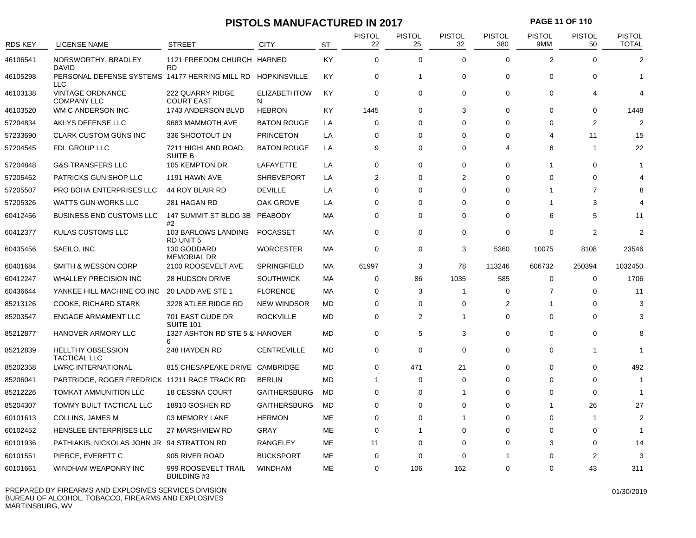# **PISTOLS MANUFACTURED IN 2017 PAGE 11 OF 110**

| <b>RDS KEY</b> | LICENSE NAME                                                              | <b>STREET</b>                             | <b>CITY</b>              | <b>ST</b> | <b>PISTOL</b><br>22 | <b>PISTOL</b><br>25 | <b>PISTOL</b><br>32 | <b>PISTOL</b><br>380 | <b>PISTOL</b><br>9MM | <b>PISTOL</b><br>50 | <b>PISTOL</b><br><b>TOTAL</b> |
|----------------|---------------------------------------------------------------------------|-------------------------------------------|--------------------------|-----------|---------------------|---------------------|---------------------|----------------------|----------------------|---------------------|-------------------------------|
| 46106541       | NORSWORTHY, BRADLEY<br><b>DAVID</b>                                       | 1121 FREEDOM CHURCH HARNED<br><b>RD</b>   |                          | KY        | $\mathbf 0$         | $\mathbf 0$         | $\Omega$            | $\Omega$             | $\overline{2}$       | $\Omega$            | $\overline{2}$                |
| 46105298       | PERSONAL DEFENSE SYSTEMS 14177 HERRING MILL RD HOPKINSVILLE<br><b>LLC</b> |                                           |                          | KY        | 0                   | $\mathbf{1}$        | $\mathbf 0$         | $\mathbf 0$          | 0                    | $\Omega$            | 1                             |
| 46103138       | <b>VINTAGE ORDNANCE</b><br><b>COMPANY LLC</b>                             | 222 QUARRY RIDGE<br><b>COURT EAST</b>     | <b>ELIZABETHTOW</b><br>N | KY        | $\mathbf 0$         | $\mathbf 0$         | $\mathbf 0$         | $\mathbf 0$          | 0                    | Δ                   |                               |
| 46103520       | WM C ANDERSON INC                                                         | 1743 ANDERSON BLVD                        | <b>HEBRON</b>            | KY        | 1445                | $\mathbf 0$         | 3                   | $\mathbf 0$          | 0                    | 0                   | 1448                          |
| 57204834       | AKLYS DEFENSE LLC                                                         | 9683 MAMMOTH AVE                          | <b>BATON ROUGE</b>       | LA        | $\mathbf 0$         | $\mathbf 0$         | $\Omega$            | $\Omega$             | $\Omega$             | 2                   | $\mathcal{P}$                 |
| 57233690       | <b>CLARK CUSTOM GUNS INC</b>                                              | 336 SHOOTOUT LN                           | <b>PRINCETON</b>         | LA        | 0                   | 0                   | $\Omega$            | 0                    | 4                    | 11                  | 15                            |
| 57204545       | FDL GROUP LLC                                                             | 7211 HIGHLAND ROAD,<br><b>SUITE B</b>     | <b>BATON ROUGE</b>       | LA        | 9                   | 0                   | $\Omega$            | $\overline{4}$       | 8                    |                     | 22                            |
| 57204848       | <b>G&amp;S TRANSFERS LLC</b>                                              | 105 KEMPTON DR                            | LAFAYETTE                | LA        | $\mathbf 0$         | $\mathbf 0$         | $\mathbf 0$         | $\mathbf 0$          | 1                    | 0                   |                               |
| 57205462       | PATRICKS GUN SHOP LLC                                                     | 1191 HAWN AVE                             | <b>SHREVEPORT</b>        | LA        | $\overline{2}$      | $\mathbf 0$         | $\overline{2}$      | $\Omega$             | $\Omega$             | $\Omega$            |                               |
| 57205507       | PRO BOHA ENTERPRISES LLC                                                  | 44 ROY BLAIR RD                           | <b>DEVILLE</b>           | LA        | $\mathbf 0$         | $\mathbf 0$         | $\Omega$            | $\mathbf 0$          | 1                    | $\overline{7}$      |                               |
| 57205326       | <b>WATTS GUN WORKS LLC</b>                                                | 281 HAGAN RD                              | OAK GROVE                | LA        | $\Omega$            | $\mathbf 0$         | $\Omega$            | $\Omega$             | 1                    | 3                   |                               |
| 60412456       | <b>BUSINESS END CUSTOMS LLC</b>                                           | 147 SUMMIT ST BLDG 3B<br>#2               | PEABODY                  | МA        | $\mathbf 0$         | $\mathbf 0$         | $\mathbf 0$         | $\mathbf 0$          | 6                    | 5                   | 11                            |
| 60412377       | KULAS CUSTOMS LLC                                                         | 103 BARLOWS LANDING<br>RD UNIT 5          | POCASSET                 | МA        | $\mathbf 0$         | $\mathbf 0$         | $\Omega$            | $\mathbf 0$          | 0                    | 2                   | $\mathfrak{p}$                |
| 60435456       | SAEILO, INC                                                               | 130 GODDARD<br><b>MEMORIAL DR</b>         | <b>WORCESTER</b>         | МA        | 0                   | 0                   | 3                   | 5360                 | 10075                | 8108                | 23546                         |
| 60401684       | SMITH & WESSON CORP                                                       | 2100 ROOSEVELT AVE                        | <b>SPRINGFIELD</b>       | MA        | 61997               | 3                   | 78                  | 113246               | 606732               | 250394              | 1032450                       |
| 60412247       | <b>WHALLEY PRECISION INC</b>                                              | <b>28 HUDSON DRIVE</b>                    | <b>SOUTHWICK</b>         | МA        | 0                   | 86                  | 1035                | 585                  | 0                    | 0                   | 1706                          |
| 60436644       | YANKEE HILL MACHINE CO INC                                                | 20 LADD AVE STE 1                         | <b>FLORENCE</b>          | <b>MA</b> | $\Omega$            | 3                   | 1                   | $\mathbf 0$          | $\overline{7}$       | $\Omega$            | 11                            |
| 85213126       | <b>COOKE, RICHARD STARK</b>                                               | 3228 ATLEE RIDGE RD                       | <b>NEW WINDSOR</b>       | MD        | $\mathbf 0$         | $\mathbf 0$         | $\Omega$            | 2                    | -1                   | $\Omega$            | 3                             |
| 85203547       | <b>ENGAGE ARMAMENT LLC</b>                                                | 701 EAST GUDE DR<br>SUITE 101             | <b>ROCKVILLE</b>         | <b>MD</b> | $\mathbf 0$         | $\overline{2}$      | 1                   | $\Omega$             | $\Omega$             | $\Omega$            | 3                             |
| 85212877       | HANOVER ARMORY LLC                                                        | 1327 ASHTON RD STE 5 & HANOVER<br>6       |                          | <b>MD</b> | $\mathbf 0$         | 5                   | 3                   | $\mathbf 0$          | $\Omega$             | $\Omega$            | 8                             |
| 85212839       | <b>HELLTHY OBSESSION</b><br><b>TACTICAL LLC</b>                           | 248 HAYDEN RD                             | <b>CENTREVILLE</b>       | <b>MD</b> | $\mathbf 0$         | $\mathbf 0$         | $\Omega$            | $\mathbf 0$          | 0                    | 1                   | $\overline{\phantom{a}}$      |
| 85202358       | <b>LWRC INTERNATIONAL</b>                                                 | 815 CHESAPEAKE DRIVE CAMBRIDGE            |                          | MD        | $\mathbf 0$         | 471                 | 21                  | $\mathbf 0$          | 0                    | 0                   | 492                           |
| 85206041       | PARTRIDGE, ROGER FREDRICK 11211 RACE TRACK RD                             |                                           | <b>BERLIN</b>            | MD        | 1                   | 0                   | $\Omega$            | $\Omega$             | $\Omega$             | $\Omega$            | -1                            |
| 85212226       | TOMKAT AMMUNITION LLC                                                     | <b>18 CESSNA COURT</b>                    | <b>GAITHERSBURG</b>      | MD        | 0                   | 0                   | 1                   | $\Omega$             | 0                    | 0                   | $\overline{\phantom{a}}$      |
| 85204307       | TOMMY BUILT TACTICAL LLC                                                  | 18910 GOSHEN RD                           | <b>GAITHERSBURG</b>      | <b>MD</b> | 0                   | $\Omega$            | $\Omega$            | $\Omega$             | 1                    | 26                  | 27                            |
| 60101613       | <b>COLLINS, JAMES M</b>                                                   | 03 MEMORY LANE                            | <b>HERMON</b>            | ME        | $\mathbf 0$         | 0                   | -1                  | $\Omega$             | 0                    | 1                   | 2                             |
| 60102452       | HENSLEE ENTERPRISES LLC                                                   | 27 MARSHVIEW RD                           | <b>GRAY</b>              | ME        | $\Omega$            | 1                   | $\Omega$            | $\Omega$             | $\Omega$             | $\Omega$            | -1                            |
| 60101936       | PATHIAKIS, NICKOLAS JOHN JR 94 STRATTON RD                                |                                           | <b>RANGELEY</b>          | ME        | 11                  | 0                   | $\Omega$            | $\Omega$             | 3                    | 0                   | 14                            |
| 60101551       | PIERCE, EVERETT C                                                         | 905 RIVER ROAD                            | <b>BUCKSPORT</b>         | ME        | $\mathbf 0$         | $\Omega$            | $\Omega$            | 1                    | $\Omega$             | $\overline{2}$      | 3                             |
| 60101661       | WINDHAM WEAPONRY INC                                                      | 999 ROOSEVELT TRAIL<br><b>BUILDING #3</b> | <b>WINDHAM</b>           | ME        | $\Omega$            | 106                 | 162                 | $\Omega$             | $\Omega$             | 43                  | 311                           |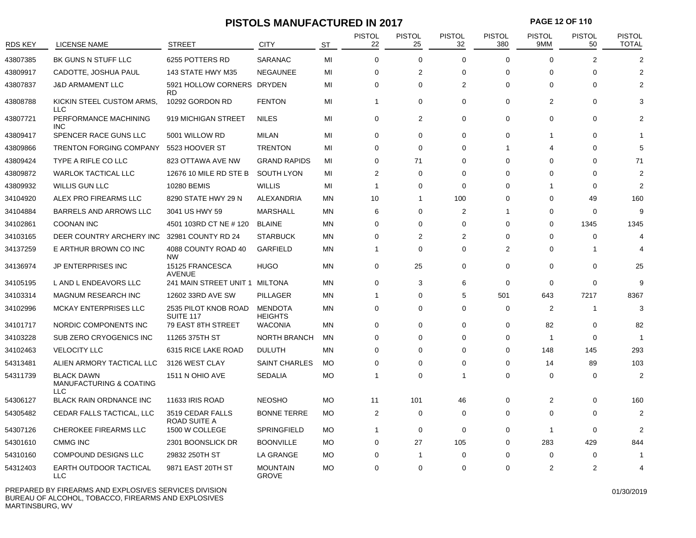#### **PISTOLS MANUFACTURED IN 2017 PAGE 12 OF 110**

| <b>RDS KEY</b> | <b>LICENSE NAME</b>                                 | <b>STREET</b>                     | <b>CITY</b>                      | <b>ST</b> | <b>PISTOL</b><br>22 | <b>PISTOL</b><br>25 | <b>PISTOL</b><br>32 | <b>PISTOL</b><br>380 | PISTOL<br>9MM | <b>PISTOL</b><br>50 | <b>PISTOL</b><br><b>TOTAL</b> |
|----------------|-----------------------------------------------------|-----------------------------------|----------------------------------|-----------|---------------------|---------------------|---------------------|----------------------|---------------|---------------------|-------------------------------|
| 43807385       | BK GUNS N STUFF LLC                                 | 6255 POTTERS RD                   | SARANAC                          | MI        | $\mathbf 0$         | $\Omega$            | $\Omega$            | $\Omega$             | $\Omega$      | $\overline{2}$      | $\overline{2}$                |
| 43809917       | CADOTTE, JOSHUA PAUL                                | 143 STATE HWY M35                 | <b>NEGAUNEE</b>                  | MI        | $\mathbf 0$         | $\overline{2}$      | $\mathbf 0$         | $\mathbf 0$          | $\Omega$      | $\Omega$            | 2                             |
| 43807837       | <b>J&amp;D ARMAMENT LLC</b>                         | 5921 HOLLOW CORNERS<br>RD         | <b>DRYDEN</b>                    | MI        | $\mathbf 0$         | $\Omega$            | $\overline{2}$      | 0                    | $\Omega$      | $\Omega$            | $\mathfrak{p}$                |
| 43808788       | KICKIN STEEL CUSTOM ARMS,<br><b>LLC</b>             | 10292 GORDON RD                   | <b>FENTON</b>                    | MI        | 1                   | $\Omega$            | $\Omega$            | $\Omega$             | 2             | $\Omega$            |                               |
| 43807721       | PERFORMANCE MACHINING<br><b>INC</b>                 | 919 MICHIGAN STREET               | <b>NILES</b>                     | MI        | $\mathbf 0$         | $\overline{2}$      | $\Omega$            | $\Omega$             | 0             | $\Omega$            |                               |
| 43809417       | SPENCER RACE GUNS LLC                               | 5001 WILLOW RD                    | <b>MILAN</b>                     | MI        | $\mathbf 0$         | $\mathbf 0$         | $\mathbf 0$         | $\mathbf 0$          | 1             | $\Omega$            |                               |
| 43809866       | <b>TRENTON FORGING COMPANY</b>                      | 5523 HOOVER ST                    | <b>TRENTON</b>                   | MI        | 0                   | 0                   | $\mathbf 0$         | -1                   | 4             | $\Omega$            | 5                             |
| 43809424       | TYPE A RIFLE CO LLC                                 | 823 OTTAWA AVE NW                 | <b>GRAND RAPIDS</b>              | MI        | $\Omega$            | 71                  | $\Omega$            | $\Omega$             | $\Omega$      | $\Omega$            | 71                            |
| 43809872       | <b>WARLOK TACTICAL LLC</b>                          | 12676 10 MILE RD STE B            | <b>SOUTH LYON</b>                | МI        | $\overline{2}$      | $\Omega$            | $\Omega$            | 0                    | $\Omega$      | $\Omega$            | $\mathfrak{p}$                |
| 43809932       | <b>WILLIS GUN LLC</b>                               | 10280 BEMIS                       | <b>WILLIS</b>                    | MI        | 1                   | 0                   | $\Omega$            | $\Omega$             | 1             | $\Omega$            | $\mathcal{P}$                 |
| 34104920       | ALEX PRO FIREARMS LLC                               | 8290 STATE HWY 29 N               | ALEXANDRIA                       | ΜN        | 10                  | $\mathbf 1$         | 100                 | 0                    | $\Omega$      | 49                  | 160                           |
| 34104884       | <b>BARRELS AND ARROWS LLC</b>                       | 3041 US HWY 59                    | <b>MARSHALL</b>                  | ΜN        | 6                   | $\Omega$            | $\overline{2}$      | 1                    | $\Omega$      | 0                   | 9                             |
| 34102861       | <b>COONAN INC</b>                                   | 4501 103RD CT NE #120             | <b>BLAINE</b>                    | ΜN        | $\mathbf 0$         | 0                   | $\mathbf 0$         | 0                    | $\Omega$      | 1345                | 1345                          |
| 34103165       | DEER COUNTRY ARCHERY INC                            | 32981 COUNTY RD 24                | <b>STARBUCK</b>                  | ΜN        | 0                   | $\overline{2}$      | $\overline{2}$      | 0                    | $\Omega$      | 0                   | $\boldsymbol{\Delta}$         |
| 34137259       | E ARTHUR BROWN CO INC                               | 4088 COUNTY ROAD 40<br><b>NW</b>  | <b>GARFIELD</b>                  | ΜN        | 1                   | $\mathbf 0$         | $\mathbf 0$         | 2                    | $\Omega$      | -1                  |                               |
| 34136974       | JP ENTERPRISES INC                                  | 15125 FRANCESCA<br><b>AVENUE</b>  | <b>HUGO</b>                      | ΜN        | $\mathbf 0$         | 25                  | $\mathbf 0$         | 0                    | 0             | 0                   | 25                            |
| 34105195       | L AND L ENDEAVORS LLC                               | 241 MAIN STREET UNIT 1            | MILTONA                          | ΜN        | $\mathbf 0$         | 3                   | 6                   | 0                    | $\Omega$      | $\mathbf 0$         | q                             |
| 34103314       | <b>MAGNUM RESEARCH INC</b>                          | 12602 33RD AVE SW                 | <b>PILLAGER</b>                  | ΜN        | 1                   | $\Omega$            | 5                   | 501                  | 643           | 7217                | 8367                          |
| 34102996       | MCKAY ENTERPRISES LLC                               | 2535 PILOT KNOB ROAD<br>SUITE 117 | <b>MENDOTA</b><br><b>HEIGHTS</b> | ΜN        | 0                   | $\mathbf 0$         | $\mathbf 0$         | 0                    | 2             | -1                  | 3                             |
| 34101717       | NORDIC COMPONENTS INC                               | 79 EAST 8TH STREET                | <b>WACONIA</b>                   | ΜN        | $\Omega$            | 0                   | $\Omega$            | 0                    | 82            | $\Omega$            | 82                            |
| 34103228       | SUB ZERO CRYOGENICS INC                             | 11265 375TH ST                    | <b>NORTH BRANCH</b>              | MN        | 0                   | 0                   | $\mathbf 0$         | 0                    | -1            | 0                   | -1                            |
| 34102463       | <b>VELOCITY LLC</b>                                 | 6315 RICE LAKE ROAD               | <b>DULUTH</b>                    | ΜN        | $\Omega$            | 0                   | $\Omega$            | $\Omega$             | 148           | 145                 | 293                           |
| 54313481       | ALIEN ARMORY TACTICAL LLC                           | 3126 WEST CLAY                    | <b>SAINT CHARLES</b>             | <b>MO</b> | $\mathbf 0$         | $\Omega$            | $\mathbf 0$         | 0                    | 14            | 89                  | 103                           |
| 54311739       | <b>BLACK DAWN</b><br>MANUFACTURING & COATING<br>LLC | 1511 N OHIO AVE                   | <b>SEDALIA</b>                   | <b>MO</b> | 1                   | $\Omega$            | $\overline{1}$      | $\Omega$             | $\Omega$      | $\Omega$            | $\overline{2}$                |
| 54306127       | <b>BLACK RAIN ORDNANCE INC</b>                      | 11633 IRIS ROAD                   | <b>NEOSHO</b>                    | <b>MO</b> | 11                  | 101                 | 46                  | 0                    | 2             | 0                   | 160                           |
| 54305482       | CEDAR FALLS TACTICAL, LLC                           | 3519 CEDAR FALLS<br>ROAD SUITE A  | <b>BONNE TERRE</b>               | <b>MO</b> | $\overline{2}$      | $\Omega$            | $\mathbf 0$         | 0                    | $\Omega$      | $\Omega$            | 2                             |
| 54307126       | CHEROKEE FIREARMS LLC                               | 1500 W COLLEGE                    | <b>SPRINGFIELD</b>               | <b>MO</b> | $\mathbf{1}$        | $\mathbf 0$         | $\mathbf 0$         | $\Omega$             | -1            | $\mathbf 0$         | $\mathcal{P}$                 |
| 54301610       | <b>CMMG INC</b>                                     | 2301 BOONSLICK DR                 | <b>BOONVILLE</b>                 | МO        | 0                   | 27                  | 105                 | $\Omega$             | 283           | 429                 | 844                           |
| 54310160       | COMPOUND DESIGNS LLC                                | 29832 250TH ST                    | LA GRANGE                        | MO        | $\mathbf 0$         | $\mathbf{1}$        | $\mathbf 0$         | $\Omega$             | $\Omega$      | 0                   |                               |
| 54312403       | EARTH OUTDOOR TACTICAL<br>LLC                       | 9871 EAST 20TH ST                 | <b>MOUNTAIN</b><br><b>GROVE</b>  | <b>MO</b> | $\Omega$            | $\Omega$            | $\Omega$            | 0                    | 2             | 2                   | 4                             |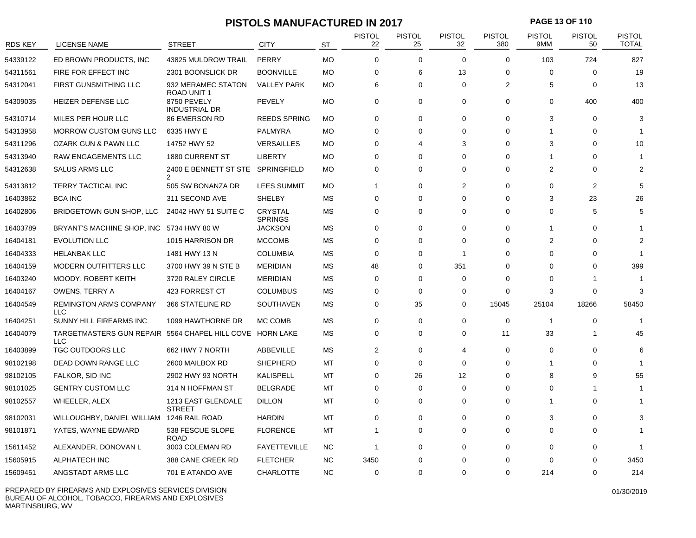# **PISTOLS MANUFACTURED IN 2017 PAGE 13 OF 110**

| <b>RDS KEY</b> | LICENSE NAME                                                           | <b>STREET</b>                       | <b>CITY</b>                      | <b>ST</b> | <b>PISTOL</b><br>22 | <b>PISTOL</b><br>25 | <b>PISTOL</b><br>32 | <b>PISTOL</b><br>380 | <b>PISTOL</b><br>9MM    | <b>PISTOL</b><br>50 | <b>PISTOL</b><br><b>TOTAL</b> |
|----------------|------------------------------------------------------------------------|-------------------------------------|----------------------------------|-----------|---------------------|---------------------|---------------------|----------------------|-------------------------|---------------------|-------------------------------|
| 54339122       | ED BROWN PRODUCTS, INC                                                 | 43825 MULDROW TRAIL                 | PERRY                            | <b>MO</b> | $\Omega$            | $\Omega$            | $\Omega$            | $\Omega$             | 103                     | 724                 | 827                           |
| 54311561       | FIRE FOR EFFECT INC                                                    | 2301 BOONSLICK DR                   | <b>BOONVILLE</b>                 | <b>MO</b> | 0                   | 6                   | 13                  | 0                    | 0                       | 0                   | 19                            |
| 54312041       | FIRST GUNSMITHING LLC                                                  | 932 MERAMEC STATON<br>ROAD UNIT 1   | <b>VALLEY PARK</b>               | <b>MO</b> | 6                   | 0                   | $\Omega$            | $\overline{2}$       | 5                       | 0                   | 13                            |
| 54309035       | HEIZER DEFENSE LLC                                                     | 8750 PEVELY<br><b>INDUSTRIAL DR</b> | <b>PEVELY</b>                    | <b>MO</b> | $\Omega$            | 0                   | $\Omega$            | $\Omega$             | $\Omega$                | 400                 | 400                           |
| 54310714       | MILES PER HOUR LLC                                                     | <b>86 EMERSON RD</b>                | <b>REEDS SPRING</b>              | <b>MO</b> | $\mathbf 0$         | $\Omega$            | $\Omega$            | $\mathbf 0$          | 3                       | $\Omega$            | 3                             |
| 54313958       | <b>MORROW CUSTOM GUNS LLC</b>                                          | 6335 HWY E                          | PALMYRA                          | MO        | $\Omega$            | $\Omega$            | $\Omega$            | $\Omega$             |                         | $\Omega$            |                               |
| 54311296       | OZARK GUN & PAWN LLC                                                   | 14752 HWY 52                        | <b>VERSAILLES</b>                | <b>MO</b> | $\mathbf 0$         | 4                   | 3                   | $\Omega$             | 3                       | $\Omega$            | 10                            |
| 54313940       | RAW ENGAGEMENTS LLC                                                    | <b>1880 CURRENT ST</b>              | <b>LIBERTY</b>                   | <b>MO</b> | 0                   | $\Omega$            | $\Omega$            | $\Omega$             |                         | $\Omega$            |                               |
| 54312638       | <b>SALUS ARMS LLC</b>                                                  | 2400 E BENNETT ST STE               | SPRINGFIELD                      | <b>MO</b> | 0                   | $\Omega$            | $\Omega$            | $\Omega$             | $\overline{2}$          | $\Omega$            |                               |
| 54313812       | TERRY TACTICAL INC                                                     | 505 SW BONANZA DR                   | <b>LEES SUMMIT</b>               | MO        | -1                  | $\Omega$            | $\overline{2}$      | $\Omega$             | $\Omega$                | 2                   | 5                             |
| 16403862       | <b>BCA INC</b>                                                         | 311 SECOND AVE                      | <b>SHELBY</b>                    | MS        | 0                   | $\Omega$            | $\Omega$            | $\Omega$             | 3                       | 23                  | 26                            |
| 16402806       | BRIDGETOWN GUN SHOP, LLC                                               | 24042 HWY 51 SUITE C                | <b>CRYSTAL</b><br><b>SPRINGS</b> | <b>MS</b> | $\mathbf 0$         | $\mathbf 0$         | $\Omega$            | 0                    | $\Omega$                | 5                   | 5                             |
| 16403789       | BRYANT'S MACHINE SHOP, INC                                             | 5734 HWY 80 W                       | <b>JACKSON</b>                   | MS        | $\mathbf 0$         | $\mathbf 0$         | $\Omega$            | $\mathbf 0$          | -1                      | $\Omega$            |                               |
| 16404181       | <b>EVOLUTION LLC</b>                                                   | 1015 HARRISON DR                    | <b>MCCOMB</b>                    | <b>MS</b> | $\mathbf 0$         | $\Omega$            | $\Omega$            | 0                    | $\overline{2}$          | $\Omega$            |                               |
| 16404333       | <b>HELANBAK LLC</b>                                                    | 1481 HWY 13 N                       | <b>COLUMBIA</b>                  | <b>MS</b> | $\Omega$            | $\Omega$            | $\overline{1}$      | $\Omega$             | $\Omega$                | $\Omega$            |                               |
| 16404159       | <b>MODERN OUTFITTERS LLC</b>                                           | 3700 HWY 39 N STE B                 | <b>MERIDIAN</b>                  | MS        | 48                  | 0                   | 351                 | $\Omega$             | $\Omega$                | $\Omega$            | 399                           |
| 16403240       | MOODY, ROBERT KEITH                                                    | 3720 RALEY CIRCLE                   | <b>MERIDIAN</b>                  | MS        | $\Omega$            | $\Omega$            | $\Omega$            | $\Omega$             | $\Omega$                |                     |                               |
| 16404167       | <b>OWENS, TERRY A</b>                                                  | <b>423 FORREST CT</b>               | <b>COLUMBUS</b>                  | <b>MS</b> | $\mathbf 0$         | $\mathbf 0$         | $\Omega$            | 0                    | 3                       | $\Omega$            | 3                             |
| 16404549       | <b>REMINGTON ARMS COMPANY</b><br><b>LLC</b>                            | 366 STATELINE RD                    | SOUTHAVEN                        | <b>MS</b> | $\Omega$            | 35                  | $\Omega$            | 15045                | 25104                   | 18266               | 58450                         |
| 16404251       | SUNNY HILL FIREARMS INC                                                | 1099 HAWTHORNE DR                   | MC COMB                          | <b>MS</b> | $\mathbf 0$         | $\mathbf 0$         | $\Omega$            | $\mathbf 0$          | $\overline{\mathbf{1}}$ | $\Omega$            | 1                             |
| 16404079       | TARGETMASTERS GUN REPAIR 5564 CHAPEL HILL COVE HORN LAKE<br><b>LLC</b> |                                     |                                  | MS        | $\Omega$            | $\mathbf 0$         | $\Omega$            | 11                   | 33                      | -1                  | 45                            |
| 16403899       | TGC OUTDOORS LLC                                                       | 662 HWY 7 NORTH                     | ABBEVILLE                        | <b>MS</b> | $\overline{2}$      | 0                   | $\overline{4}$      | $\Omega$             | $\Omega$                | $\Omega$            | 6                             |
| 98102198       | DEAD DOWN RANGE LLC                                                    | 2600 MAILBOX RD                     | <b>SHEPHERD</b>                  | MT        | $\mathbf 0$         | $\mathbf 0$         | $\Omega$            | $\Omega$             | 1                       | $\Omega$            |                               |
| 98102105       | FALKOR, SID INC                                                        | 2902 HWY 93 NORTH                   | <b>KALISPELL</b>                 | MT        | $\mathbf 0$         | 26                  | 12                  | $\Omega$             | 8                       | 9                   | 55                            |
| 98101025       | <b>GENTRY CUSTOM LLC</b>                                               | 314 N HOFFMAN ST                    | BELGRADE                         | MT        | 0                   | 0                   | $\Omega$            | $\Omega$             | $\Omega$                | -1                  |                               |
| 98102557       | WHEELER, ALEX                                                          | 1213 EAST GLENDALE<br><b>STREET</b> | <b>DILLON</b>                    | MT        | 0                   | 0                   | $\Omega$            | 0                    | -1                      | 0                   |                               |
| 98102031       | WILLOUGHBY, DANIEL WILLIAM 1246 RAIL ROAD                              |                                     | <b>HARDIN</b>                    | MT        | 0                   | $\Omega$            | $\Omega$            | 0                    | 3                       | $\Omega$            |                               |
| 98101871       | YATES, WAYNE EDWARD                                                    | 538 FESCUE SLOPE<br><b>ROAD</b>     | <b>FLORENCE</b>                  | MT        | -1                  | 0                   | 0                   | 0                    | 0                       | $\Omega$            |                               |
| 15611452       | ALEXANDER, DONOVAN L                                                   | 3003 COLEMAN RD                     | <b>FAYETTEVILLE</b>              | <b>NC</b> | $\overline{1}$      | $\Omega$            | $\Omega$            | 0                    | $\Omega$                | $\Omega$            |                               |
| 15605915       | ALPHATECH INC                                                          | 388 CANE CREEK RD                   | <b>FLETCHER</b>                  | <b>NC</b> | 3450                | 0                   | $\Omega$            | $\Omega$             | $\Omega$                |                     | 3450                          |
| 15609451       | ANGSTADT ARMS LLC                                                      | 701 E ATANDO AVE                    | CHARLOTTE                        | <b>NC</b> | $\Omega$            | $\Omega$            | $\Omega$            | $\Omega$             | 214                     | $\Omega$            | 214                           |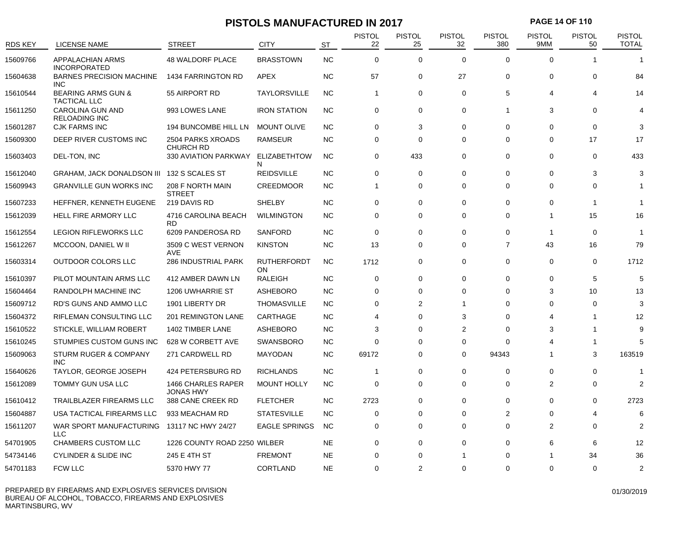# **PISTOLS MANUFACTURED IN 2017 PAGE 14 OF 110**

| <b>RDS KEY</b> | <b>LICENSE NAME</b>                                  | <b>STREET</b>                          | <b>CITY</b>               | <b>ST</b> | <b>PISTOL</b><br>22 | <b>PISTOL</b><br>25 | <b>PISTOL</b><br>32 | <b>PISTOL</b><br>380 | <b>PISTOL</b><br>9MM | <b>PISTOL</b><br>50 | <b>PISTOL</b><br><b>TOTAL</b> |
|----------------|------------------------------------------------------|----------------------------------------|---------------------------|-----------|---------------------|---------------------|---------------------|----------------------|----------------------|---------------------|-------------------------------|
| 15609766       | APPALACHIAN ARMS<br><b>INCORPORATED</b>              | <b>48 WALDORF PLACE</b>                | <b>BRASSTOWN</b>          | <b>NC</b> | $\Omega$            | $\Omega$            | $\Omega$            | $\Omega$             | $\Omega$             |                     |                               |
| 15604638       | <b>BARNES PRECISION MACHINE</b><br><b>INC</b>        | 1434 FARRINGTON RD                     | APEX                      | <b>NC</b> | 57                  | 0                   | 27                  | $\mathbf 0$          | $\mathbf 0$          | 0                   | 84                            |
| 15610544       | <b>BEARING ARMS GUN &amp;</b><br><b>TACTICAL LLC</b> | 55 AIRPORT RD                          | <b>TAYLORSVILLE</b>       | <b>NC</b> | $\mathbf{1}$        | 0                   | 0                   | 5                    | $\Delta$             | 4                   | 14                            |
| 15611250       | CAROLINA GUN AND<br><b>RELOADING INC</b>             | 993 LOWES LANE                         | <b>IRON STATION</b>       | <b>NC</b> | $\mathbf 0$         | 0                   | $\mathbf 0$         | $\mathbf{1}$         | 3                    | $\Omega$            |                               |
| 15601287       | <b>CJK FARMS INC</b>                                 | 194 BUNCOMBE HILL LN                   | <b>MOUNT OLIVE</b>        | <b>NC</b> | $\Omega$            | 3                   | $\Omega$            | $\Omega$             | $\Omega$             | $\mathbf 0$         | З                             |
| 15609300       | DEEP RIVER CUSTOMS INC                               | 2504 PARKS XROADS<br><b>CHURCH RD</b>  | <b>RAMSEUR</b>            | <b>NC</b> | $\mathbf 0$         | 0                   | $\Omega$            | $\mathbf 0$          | $\Omega$             | 17                  | 17                            |
| 15603403       | DEL-TON, INC                                         | 330 AVIATION PARKWAY                   | <b>ELIZABETHTOW</b><br>N  | <b>NC</b> | $\mathbf 0$         | 433                 | $\mathbf 0$         | $\mathbf 0$          | $\Omega$             | $\mathbf 0$         | 433                           |
| 15612040       | <b>GRAHAM, JACK DONALDSON III</b>                    | 132 S SCALES ST                        | <b>REIDSVILLE</b>         | <b>NC</b> | $\Omega$            | $\mathbf 0$         | $\Omega$            | $\Omega$             | $\Omega$             | 3                   | 3                             |
| 15609943       | <b>GRANVILLE GUN WORKS INC</b>                       | 208 F NORTH MAIN<br><b>STREET</b>      | <b>CREEDMOOR</b>          | <b>NC</b> | $\mathbf{1}$        | 0                   | $\mathbf 0$         | 0                    | $\Omega$             | 0                   |                               |
| 15607233       | HEFFNER, KENNETH EUGENE                              | 219 DAVIS RD                           | <b>SHELBY</b>             | <b>NC</b> | $\Omega$            | 0                   | $\Omega$            | $\Omega$             | $\Omega$             | -1                  | -1                            |
| 15612039       | HELL FIRE ARMORY LLC                                 | 4716 CAROLINA BEACH<br><b>RD</b>       | <b>WILMINGTON</b>         | <b>NC</b> | $\mathbf 0$         | 0                   | $\Omega$            | 0                    | $\overline{1}$       | 15                  | 16                            |
| 15612554       | <b>LEGION RIFLEWORKS LLC</b>                         | 6209 PANDEROSA RD                      | <b>SANFORD</b>            | <b>NC</b> | $\Omega$            | 0                   | $\Omega$            | $\Omega$             | -1                   | $\mathbf 0$         |                               |
| 15612267       | MCCOON, DANIEL W II                                  | 3509 C WEST VERNON<br><b>AVE</b>       | <b>KINSTON</b>            | <b>NC</b> | 13                  | $\mathbf 0$         | $\mathbf 0$         | $\overline{7}$       | 43                   | 16                  | 79                            |
| 15603314       | OUTDOOR COLORS LLC                                   | 286 INDUSTRIAL PARK                    | <b>RUTHERFORDT</b><br>ON. | <b>NC</b> | 1712                | 0                   | 0                   | 0                    | $\Omega$             | $\Omega$            | 1712                          |
| 15610397       | PILOT MOUNTAIN ARMS LLC                              | 412 AMBER DAWN LN                      | <b>RALEIGH</b>            | <b>NC</b> | $\Omega$            | 0                   | $\Omega$            | $\Omega$             | $\Omega$             | 5                   | 5                             |
| 15604464       | RANDOLPH MACHINE INC                                 | 1206 UWHARRIE ST                       | <b>ASHEBORO</b>           | <b>NC</b> | $\mathbf 0$         | $\mathbf 0$         | $\Omega$            | 0                    | 3                    | 10                  | 13                            |
| 15609712       | RD'S GUNS AND AMMO LLC                               | 1901 LIBERTY DR                        | <b>THOMASVILLE</b>        | <b>NC</b> | $\mathbf 0$         | 2                   | 1                   | $\Omega$             | $\Omega$             | $\Omega$            | 3                             |
| 15604372       | RIFLEMAN CONSULTING LLC                              | 201 REMINGTON LANE                     | CARTHAGE                  | <b>NC</b> | $\overline{4}$      | $\mathbf 0$         | 3                   | $\Omega$             | Δ                    | 1                   | 12                            |
| 15610522       | STICKLE, WILLIAM ROBERT                              | 1402 TIMBER LANE                       | <b>ASHEBORO</b>           | <b>NC</b> | 3                   | 0                   | $\overline{2}$      | $\Omega$             | 3                    |                     | 9                             |
| 15610245       | STUMPIES CUSTOM GUNS INC                             | 628 W CORBETT AVE                      | <b>SWANSBORO</b>          | <b>NC</b> | $\mathbf 0$         | 0                   | $\mathbf 0$         | $\Omega$             |                      | -1                  | 5                             |
| 15609063       | STURM RUGER & COMPANY<br><b>INC</b>                  | 271 CARDWELL RD                        | <b>MAYODAN</b>            | <b>NC</b> | 69172               | $\Omega$            | $\Omega$            | 94343                | 1                    | 3                   | 163519                        |
| 15640626       | TAYLOR, GEORGE JOSEPH                                | 424 PETERSBURG RD                      | <b>RICHLANDS</b>          | <b>NC</b> | $\mathbf{1}$        | 0                   | $\Omega$            | $\Omega$             | $\Omega$             | $\Omega$            | -1                            |
| 15612089       | TOMMY GUN USA LLC                                    | <b>1466 CHARLES RAPER</b><br>JONAS HWY | <b>MOUNT HOLLY</b>        | <b>NC</b> | $\mathbf 0$         | $\mathbf 0$         | $\Omega$            | 0                    | 2                    | $\Omega$            | $\overline{2}$                |
| 15610412       | TRAILBLAZER FIREARMS LLC                             | 388 CANE CREEK RD                      | <b>FLETCHER</b>           | <b>NC</b> | 2723                | 0                   | 0                   | 0                    | $\Omega$             | 0                   | 2723                          |
| 15604887       | USA TACTICAL FIREARMS LLC                            | 933 MEACHAM RD                         | <b>STATESVILLE</b>        | <b>NC</b> | $\Omega$            | 0                   | $\Omega$            | $\overline{2}$       | $\Omega$             | 4                   | 6                             |
| 15611207       | WAR SPORT MANUFACTURING<br><b>LLC</b>                | 13117 NC HWY 24/27                     | <b>EAGLE SPRINGS</b>      | <b>NC</b> | $\Omega$            | 0                   | $\Omega$            | $\Omega$             | 2                    | $\Omega$            | $\overline{2}$                |
| 54701905       | CHAMBERS CUSTOM LLC                                  | 1226 COUNTY ROAD 2250 WILBER           |                           | <b>NE</b> | $\Omega$            | 0                   | $\Omega$            | $\Omega$             | 6                    | 6                   | 12                            |
| 54734146       | <b>CYLINDER &amp; SLIDE INC</b>                      | 245 E 4TH ST                           | <b>FREMONT</b>            | <b>NE</b> | $\Omega$            | $\Omega$            | 1                   | $\Omega$             |                      | 34                  | 36                            |
| 54701183       | <b>FCW LLC</b>                                       | 5370 HWY 77                            | CORTLAND                  | <b>NE</b> | $\Omega$            | $\overline{2}$      | $\Omega$            | $\Omega$             | $\Omega$             | $\Omega$            | $\overline{2}$                |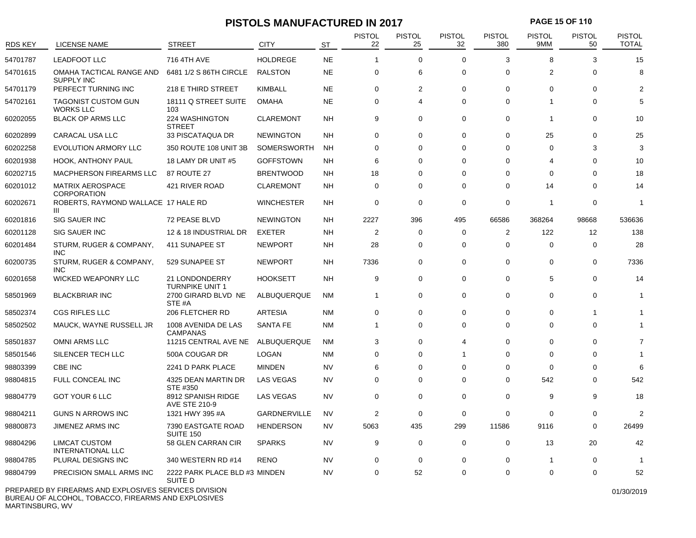# **PISTOLS MANUFACTURED IN 2017 PAGE 15 OF 110**

| <b>RDS KEY</b> | LICENSE NAME                                          | <b>STREET</b>                              | <b>CITY</b>         | <b>ST</b> | <b>PISTOL</b><br>22 | PISTOL<br>25 | PISTOL<br>32   | <b>PISTOL</b><br>380 | PISTOL<br>9MM  | <b>PISTOL</b><br>50 | <b>PISTOL</b><br><b>TOTAL</b> |
|----------------|-------------------------------------------------------|--------------------------------------------|---------------------|-----------|---------------------|--------------|----------------|----------------------|----------------|---------------------|-------------------------------|
| 54701787       | <b>LEADFOOT LLC</b>                                   | 716 4TH AVE                                | <b>HOLDREGE</b>     | <b>NE</b> | $\overline{1}$      | 0            | $\Omega$       | 3                    | 8              | 3                   | 15                            |
| 54701615       | OMAHA TACTICAL RANGE AND<br><b>SUPPLY INC</b>         | 6481 1/2 S 86TH CIRCLE                     | <b>RALSTON</b>      | <b>NE</b> | 0                   | 6            | $\Omega$       | $\mathbf 0$          | $\overline{2}$ | 0                   | 8                             |
| 54701179       | PERFECT TURNING INC                                   | 218 E THIRD STREET                         | <b>KIMBALL</b>      | <b>NE</b> | $\mathbf 0$         | 2            | $\mathbf 0$    | $\mathbf 0$          | 0              | 0                   | 2                             |
| 54702161       | <b>TAGONIST CUSTOM GUN</b><br><b>WORKS LLC</b>        | 18111 Q STREET SUITE<br>103                | <b>OMAHA</b>        | <b>NE</b> | $\mathbf 0$         | 4            | $\Omega$       | $\mathbf 0$          | 1              | 0                   | 5                             |
| 60202055       | <b>BLACK OP ARMS LLC</b>                              | 224 WASHINGTON<br>STREET                   | <b>CLAREMONT</b>    | <b>NH</b> | 9                   | 0            | $\Omega$       | $\mathbf 0$          | 1              | 0                   | 10                            |
| 60202899       | CARACAL USA LLC                                       | 33 PISCATAQUA DR                           | <b>NEWINGTON</b>    | <b>NH</b> | $\mathbf 0$         | 0            | $\mathbf 0$    | $\mathbf 0$          | 25             | $\mathbf 0$         | 25                            |
| 60202258       | <b>EVOLUTION ARMORY LLC</b>                           | 350 ROUTE 108 UNIT 3B                      | <b>SOMERSWORTH</b>  | <b>NH</b> | $\mathbf 0$         | 0            | $\Omega$       | $\mathbf 0$          | $\Omega$       | 3                   | 3                             |
| 60201938       | <b>HOOK, ANTHONY PAUL</b>                             | 18 LAMY DR UNIT #5                         | <b>GOFFSTOWN</b>    | <b>NH</b> | 6                   | 0            | $\Omega$       | $\Omega$             | 4              | $\Omega$            | 10                            |
| 60202715       | MACPHERSON FIREARMS LLC                               | 87 ROUTE 27                                | <b>BRENTWOOD</b>    | <b>NH</b> | 18                  | 0            | $\Omega$       | $\mathbf 0$          | 0              | 0                   | 18                            |
| 60201012       | <b>MATRIX AEROSPACE</b><br><b>CORPORATION</b>         | 421 RIVER ROAD                             | <b>CLAREMONT</b>    | NH        | 0                   | 0            | $\Omega$       | $\mathbf 0$          | 14             | $\Omega$            | 14                            |
| 60202671       | ROBERTS, RAYMOND WALLACE 17 HALE RD<br>Ш              |                                            | <b>WINCHESTER</b>   | <b>NH</b> | $\mathbf 0$         | 0            | $\Omega$       | $\mathbf 0$          | $\mathbf{1}$   | $\mathbf 0$         | $\overline{1}$                |
| 60201816       | <b>SIG SAUER INC</b>                                  | 72 PEASE BLVD                              | <b>NEWINGTON</b>    | <b>NH</b> | 2227                | 396          | 495            | 66586                | 368264         | 98668               | 536636                        |
| 60201128       | <b>SIG SAUER INC</b>                                  | 12 & 18 INDUSTRIAL DR                      | <b>EXETER</b>       | <b>NH</b> | 2                   | 0            | $\Omega$       | 2                    | 122            | 12                  | 138                           |
| 60201484       | STURM, RUGER & COMPANY,<br>INC.                       | 411 SUNAPEE ST                             | <b>NEWPORT</b>      | NΗ        | 28                  | 0            | $\Omega$       | $\mathbf 0$          | 0              | $\mathbf 0$         | 28                            |
| 60200735       | STURM, RUGER & COMPANY,<br><b>INC</b>                 | 529 SUNAPEE ST                             | <b>NEWPORT</b>      | <b>NH</b> | 7336                | 0            | $\Omega$       | $\mathbf 0$          | 0              | 0                   | 7336                          |
| 60201658       | <b>WICKED WEAPONRY LLC</b>                            | 21 LONDONDERRY<br><b>TURNPIKE UNIT 1</b>   | <b>HOOKSETT</b>     | <b>NH</b> | 9                   | 0            | $\Omega$       | $\mathbf 0$          | 5              | $\Omega$            | 14                            |
| 58501969       | <b>BLACKBRIAR INC</b>                                 | 2700 GIRARD BLVD NE<br>STE #A              | ALBUQUERQUE         | <b>NM</b> | -1                  | 0            | $\mathbf 0$    | $\mathbf 0$          | $\mathbf 0$    | 0                   | $\overline{1}$                |
| 58502374       | <b>CGS RIFLES LLC</b>                                 | 206 FLETCHER RD                            | <b>ARTESIA</b>      | <b>NM</b> | $\mathbf 0$         | 0            | $\Omega$       | $\mathbf 0$          | 0              |                     |                               |
| 58502502       | MAUCK, WAYNE RUSSELL JR                               | 1008 AVENIDA DE LAS<br><b>CAMPANAS</b>     | SANTA FE            | <b>NM</b> | $\overline{1}$      | $\Omega$     | $\Omega$       | $\Omega$             | $\Omega$       | $\Omega$            |                               |
| 58501837       | <b>OMNI ARMS LLC</b>                                  | 11215 CENTRAL AVE NE                       | ALBUQUERQUE         | <b>NM</b> | 3                   | 0            | $\overline{4}$ | $\mathbf 0$          | 0              | $\Omega$            | $\overline{7}$                |
| 58501546       | SILENCER TECH LLC                                     | 500A COUGAR DR                             | <b>LOGAN</b>        | <b>NM</b> | 0                   | 0            | 1              | $\mathbf 0$          | $\Omega$       | $\Omega$            |                               |
| 98803399       | CBE INC                                               | 2241 D PARK PLACE                          | <b>MINDEN</b>       | <b>NV</b> | 6                   | 0            | $\Omega$       | $\mathbf 0$          | 0              | 0                   | 6                             |
| 98804815       | FULL CONCEAL INC                                      | 4325 DEAN MARTIN DR<br>STE #350            | <b>LAS VEGAS</b>    | <b>NV</b> | $\mathbf 0$         | 0            | $\Omega$       | $\mathbf 0$          | 542            | $\Omega$            | 542                           |
| 98804779       | GOT YOUR 6 LLC                                        | 8912 SPANISH RIDGE<br><b>AVE STE 210-9</b> | <b>LAS VEGAS</b>    | <b>NV</b> | $\Omega$            | 0            | $\Omega$       | $\Omega$             | 9              | 9                   | 18                            |
| 98804211       | <b>GUNS N ARROWS INC</b>                              | 1321 HWY 395 #A                            | <b>GARDNERVILLE</b> | NV        | 2                   | 0            | $\Omega$       | $\mathbf 0$          | 0              | 0                   | $\overline{2}$                |
| 98800873       | JIMENEZ ARMS INC                                      | 7390 EASTGATE ROAD<br><b>SUITE 150</b>     | <b>HENDERSON</b>    | <b>NV</b> | 5063                | 435          | 299            | 11586                | 9116           | $\Omega$            | 26499                         |
| 98804296       | <b>LIMCAT CUSTOM</b><br><b>INTERNATIONAL LLC</b>      | 58 GLEN CARRAN CIR                         | <b>SPARKS</b>       | <b>NV</b> | 9                   | $\mathbf 0$  | $\mathbf 0$    | $\mathbf 0$          | 13             | 20                  | 42                            |
| 98804785       | PLURAL DESIGNS INC                                    | 340 WESTERN RD #14                         | <b>RENO</b>         | <b>NV</b> | $\mathbf 0$         | 0            | $\Omega$       | $\mathbf 0$          | 1              | 0                   | -1                            |
| 98804799       | PRECISION SMALL ARMS INC                              | 2222 PARK PLACE BLD #3 MINDEN<br>SUITE D   |                     | <b>NV</b> | $\Omega$            | 52           | $\Omega$       | $\Omega$             | $\Omega$       | $\Omega$            | 52                            |
|                | PREPARED BY FIREARMS AND EXPLOSIVES SERVICES DIVISION |                                            |                     |           |                     |              |                |                      |                |                     | 01/30/2019                    |

BUREAU OF ALCOHOL, TOBACCO, FIREARMS AND EXPLOSIVES MARTINSBURG, WV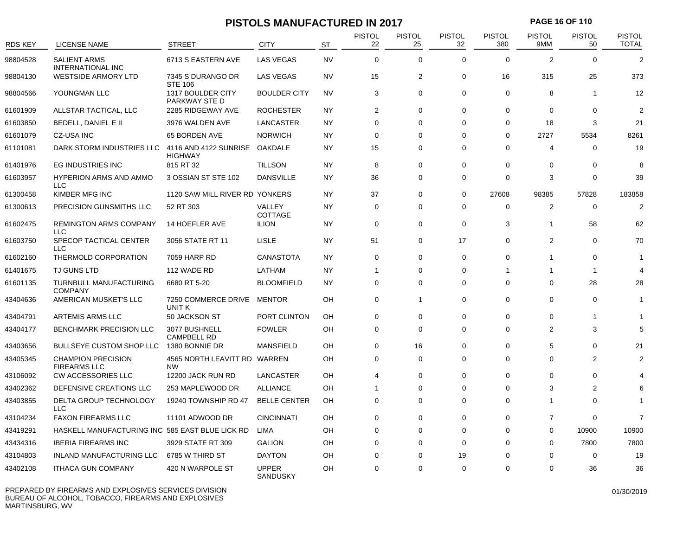# **PISTOLS MANUFACTURED IN 2017 PAGE 16 OF 110**

| <b>RDS KEY</b> | <b>LICENSE NAME</b>                                    | <b>STREET</b>                                        | <b>CITY</b>                     | <b>ST</b> | <b>PISTOL</b><br>22 | <b>PISTOL</b><br>25 | <b>PISTOL</b><br>32 | <b>PISTOL</b><br>380 | <b>PISTOL</b><br>9MM | <b>PISTOL</b><br>50     | <b>PISTOL</b><br><b>TOTAL</b> |
|----------------|--------------------------------------------------------|------------------------------------------------------|---------------------------------|-----------|---------------------|---------------------|---------------------|----------------------|----------------------|-------------------------|-------------------------------|
| 98804528       | <b>SALIENT ARMS</b>                                    | 6713 S EASTERN AVE                                   | <b>LAS VEGAS</b>                | <b>NV</b> | $\mathbf 0$         | $\Omega$            | $\Omega$            | $\Omega$             | 2                    | $\Omega$                | $\overline{2}$                |
| 98804130       | <b>INTERNATIONAL INC</b><br><b>WESTSIDE ARMORY LTD</b> | 7345 S DURANGO DR                                    | <b>LAS VEGAS</b>                | <b>NV</b> | 15                  | 2                   | $\Omega$            | 16                   | 315                  | 25                      | 373                           |
| 98804566       | YOUNGMAN LLC                                           | <b>STE 106</b><br>1317 BOULDER CITY<br>PARKWAY STE D | <b>BOULDER CITY</b>             | <b>NV</b> | 3                   | $\mathbf 0$         | $\mathbf 0$         | $\mathbf 0$          | 8                    | $\overline{1}$          | 12                            |
| 61601909       | ALLSTAR TACTICAL, LLC                                  | 2285 RIDGEWAY AVE                                    | <b>ROCHESTER</b>                | <b>NY</b> | 2                   | $\mathbf 0$         | $\mathbf 0$         | $\mathbf 0$          | $\Omega$             | 0                       | $\overline{2}$                |
| 61603850       | BEDELL, DANIEL E II                                    | 3976 WALDEN AVE                                      | LANCASTER                       | <b>NY</b> | $\mathbf 0$         | 0                   | $\mathbf 0$         | 0                    | 18                   | 3                       | 21                            |
| 61601079       | <b>CZ-USA INC</b>                                      | 65 BORDEN AVE                                        | <b>NORWICH</b>                  | <b>NY</b> | $\mathbf 0$         | 0                   | $\Omega$            | $\mathbf 0$          | 2727                 | 5534                    | 8261                          |
| 61101081       | DARK STORM INDUSTRIES LLC                              | 4116 AND 4122 SUNRISE<br><b>HIGHWAY</b>              | OAKDALE                         | <b>NY</b> | 15                  | $\mathbf 0$         | $\Omega$            | $\mathbf 0$          | $\overline{4}$       | $\mathbf 0$             | 19                            |
| 61401976       | EG INDUSTRIES INC                                      | 815 RT 32                                            | <b>TILLSON</b>                  | <b>NY</b> | 8                   | 0                   | $\mathbf 0$         | 0                    | 0                    | 0                       | 8                             |
| 61603957       | <b>HYPERION ARMS AND AMMO</b><br><b>LLC</b>            | 3 OSSIAN ST STE 102                                  | <b>DANSVILLE</b>                | <b>NY</b> | 36                  | $\mathbf 0$         | $\Omega$            | $\Omega$             | 3                    | $\Omega$                | 39                            |
| 61300458       | KIMBER MFG INC                                         | 1120 SAW MILL RIVER RD YONKERS                       |                                 | <b>NY</b> | 37                  | $\mathbf 0$         | $\Omega$            | 27608                | 98385                | 57828                   | 183858                        |
| 61300613       | PRECISION GUNSMITHS LLC                                | 52 RT 303                                            | VALLEY<br><b>COTTAGE</b>        | NY        | 0                   | 0                   | 0                   | 0                    | 2                    | 0                       | $\overline{2}$                |
| 61602475       | <b>REMINGTON ARMS COMPANY</b><br><b>LLC</b>            | 14 HOEFLER AVE                                       | <b>ILION</b>                    | <b>NY</b> | $\mathbf 0$         | $\mathbf 0$         | $\mathbf 0$         | 3                    | $\overline{1}$       | 58                      | 62                            |
| 61603750       | SPECOP TACTICAL CENTER<br><b>LLC</b>                   | 3056 STATE RT 11                                     | <b>LISLE</b>                    | <b>NY</b> | 51                  | 0                   | 17                  | $\mathbf 0$          | 2                    | $\mathbf 0$             | 70                            |
| 61602160       | THERMOLD CORPORATION                                   | 7059 HARP RD                                         | <b>CANASTOTA</b>                | NY        | 0                   | 0                   | 0                   | 0                    | -1                   | 0                       |                               |
| 61401675       | TJ GUNS LTD                                            | 112 WADE RD                                          | LATHAM                          | <b>NY</b> | 1                   | 0                   | $\mathbf 0$         | $\mathbf{1}$         | 1                    | $\overline{\mathbf{1}}$ | 4                             |
| 61601135       | TURNBULL MANUFACTURING<br><b>COMPANY</b>               | 6680 RT 5-20                                         | <b>BLOOMFIELD</b>               | NY        | 0                   | 0                   | $\Omega$            | 0                    | 0                    | 28                      | 28                            |
| 43404636       | AMERICAN MUSKET'S LLC                                  | 7250 COMMERCE DRIVE<br>UNIT K                        | <b>MENTOR</b>                   | OH        | $\mathbf 0$         | -1                  | $\mathbf 0$         | 0                    | 0                    | 0                       | -1                            |
| 43404791       | <b>ARTEMIS ARMS LLC</b>                                | 50 JACKSON ST                                        | PORT CLINTON                    | OH        | $\mathbf 0$         | 0                   | $\mathbf 0$         | 0                    | 0                    | -1                      |                               |
| 43404177       | <b>BENCHMARK PRECISION LLC</b>                         | 3077 BUSHNELL<br><b>CAMPBELL RD</b>                  | <b>FOWLER</b>                   | OH        | $\mathbf 0$         | $\mathbf 0$         | $\mathbf 0$         | $\Omega$             | 2                    | 3                       | 5                             |
| 43403656       | <b>BULLSEYE CUSTOM SHOP LLC</b>                        | 1380 BONNIE DR                                       | <b>MANSFIELD</b>                | OH        | $\mathbf 0$         | 16                  | $\mathbf 0$         | $\mathbf 0$          | 5                    | 0                       | 21                            |
| 43405345       | <b>CHAMPION PRECISION</b><br><b>FIREARMS LLC</b>       | 4565 NORTH LEAVITT RD WARREN<br><b>NW</b>            |                                 | OH        | $\Omega$            | 0                   | $\Omega$            | $\Omega$             | $\Omega$             | 2                       | $\overline{2}$                |
| 43106092       | <b>CW ACCESSORIES LLC</b>                              | 12200 JACK RUN RD                                    | LANCASTER                       | OH        | 4                   | 0                   | $\Omega$            | $\Omega$             | $\Omega$             | $\Omega$                |                               |
| 43402362       | DEFENSIVE CREATIONS LLC                                | 253 MAPLEWOOD DR                                     | <b>ALLIANCE</b>                 | OH        | $\mathbf{1}$        | $\mathbf 0$         | $\mathbf 0$         | $\Omega$             | 3                    | $\overline{2}$          | 6                             |
| 43403855       | DELTA GROUP TECHNOLOGY<br><b>LLC</b>                   | 19240 TOWNSHIP RD 47                                 | <b>BELLE CENTER</b>             | OH        | 0                   | 0                   | $\Omega$            | $\Omega$             | -1                   | $\Omega$                | -1                            |
| 43104234       | <b>FAXON FIREARMS LLC</b>                              | 11101 ADWOOD DR                                      | <b>CINCINNATI</b>               | OH        | $\Omega$            | $\Omega$            | $\Omega$            | $\Omega$             | 7                    | $\Omega$                | 7                             |
| 43419291       | HASKELL MANUFACTURING INC 585 EAST BLUE LICK RD        |                                                      | <b>LIMA</b>                     | OH        | $\mathbf 0$         | $\mathbf 0$         | $\mathbf 0$         | $\Omega$             | $\mathbf 0$          | 10900                   | 10900                         |
| 43434316       | <b>IBERIA FIREARMS INC</b>                             | 3929 STATE RT 309                                    | <b>GALION</b>                   | OH        | $\Omega$            | 0                   | $\Omega$            | $\Omega$             | $\Omega$             | 7800                    | 7800                          |
| 43104803       | <b>INLAND MANUFACTURING LLC</b>                        | 6785 W THIRD ST                                      | <b>DAYTON</b>                   | OH        | $\mathbf 0$         | 0                   | 19                  | $\Omega$             | $\Omega$             | $\mathbf 0$             | 19                            |
| 43402108       | <b>ITHACA GUN COMPANY</b>                              | 420 N WARPOLE ST                                     | <b>UPPER</b><br><b>SANDUSKY</b> | OH        | $\mathbf 0$         | $\Omega$            | $\Omega$            | $\Omega$             | 0                    | 36                      | 36                            |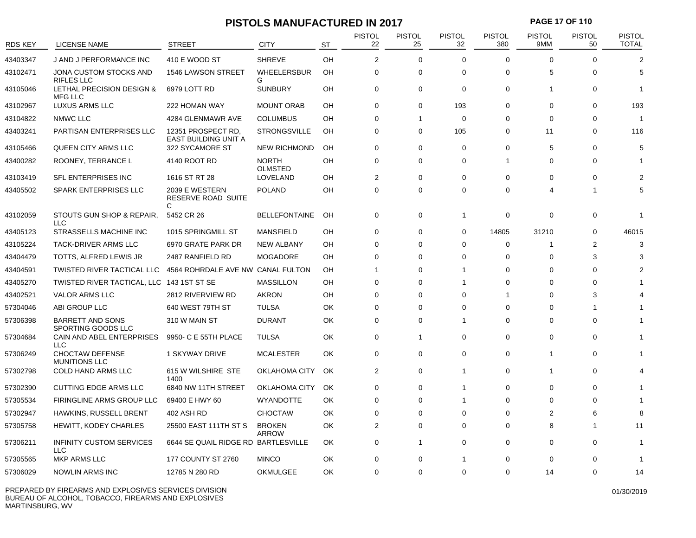# **PISTOLS MANUFACTURED IN 2017 PAGE 17 OF 110**

| RDS KEY  | <b>LICENSE NAME</b>                            | STREET                                     | <b>CITY</b>                    | <b>ST</b> | <b>PISTOL</b><br>22 | <b>PISTOL</b><br>25 | <b>PISTOL</b><br>32 | <b>PISTOL</b><br>380 | <b>PISTOL</b><br>9MM    | <b>PISTOL</b><br>50 | <b>PISTOL</b><br><b>TOTAL</b> |
|----------|------------------------------------------------|--------------------------------------------|--------------------------------|-----------|---------------------|---------------------|---------------------|----------------------|-------------------------|---------------------|-------------------------------|
| 43403347 | J AND J PERFORMANCE INC                        | 410 E WOOD ST                              | <b>SHREVE</b>                  | OH        | $\overline{2}$      | $\mathbf 0$         | $\Omega$            | $\Omega$             | $\Omega$                | $\Omega$            | $\overline{2}$                |
| 43102471 | JONA CUSTOM STOCKS AND<br><b>RIFLES LLC</b>    | 1546 LAWSON STREET                         | <b>WHEELERSBUR</b><br>G        | OH        | 0                   | 0                   | $\Omega$            | $\Omega$             | 5                       | $\Omega$            | 5                             |
| 43105046 | LETHAL PRECISION DESIGN &<br><b>MFG LLC</b>    | 6979 LOTT RD                               | <b>SUNBURY</b>                 | OH        | $\mathbf 0$         | 0                   | $\mathbf 0$         | $\mathbf 0$          |                         | $\Omega$            | -1                            |
| 43102967 | LUXUS ARMS LLC                                 | 222 HOMAN WAY                              | <b>MOUNT ORAB</b>              | OH        | 0                   | 0                   | 193                 | $\Omega$             | $\Omega$                | $\Omega$            | 193                           |
| 43104822 | NMWC LLC                                       | 4284 GLENMAWR AVE                          | <b>COLUMBUS</b>                | OH        | $\Omega$            | -1                  | $\mathbf 0$         | $\Omega$             | $\Omega$                | $\Omega$            | -1                            |
| 43403241 | PARTISAN ENTERPRISES LLC                       | 12351 PROSPECT RD.<br>EAST BUILDING UNIT A | <b>STRONGSVILLE</b>            | OH        | 0                   | 0                   | 105                 | 0                    | 11                      | $\Omega$            | 116                           |
| 43105466 | QUEEN CITY ARMS LLC                            | 322 SYCAMORE ST                            | <b>NEW RICHMOND</b>            | OH        | $\Omega$            | 0                   | $\Omega$            | $\Omega$             | 5                       | $\Omega$            | 5                             |
| 43400282 | ROONEY, TERRANCE L                             | 4140 ROOT RD                               | <b>NORTH</b><br><b>OLMSTED</b> | OН        | $\Omega$            | $\Omega$            | $\Omega$            | $\mathbf{1}$         | $\Omega$                | $\Omega$            | -1                            |
| 43103419 | SFL ENTERPRISES INC                            | 1616 ST RT 28                              | LOVELAND                       | OH        | $\overline{2}$      | 0                   | $\Omega$            | $\mathbf 0$          | $\Omega$                | $\Omega$            | $\overline{2}$                |
| 43405502 | SPARK ENTERPRISES LLC                          | 2039 E WESTERN<br>RESERVE ROAD SUITE<br>C  | <b>POLAND</b>                  | OH        | $\mathbf 0$         | 0                   | $\Omega$            | $\Omega$             | Δ                       | 1                   | 5                             |
| 43102059 | STOUTS GUN SHOP & REPAIR,<br>LLC               | 5452 CR 26                                 | <b>BELLEFONTAINE</b>           | OH        | $\mathbf 0$         | 0                   | $\mathbf{1}$        | 0                    | $\Omega$                | $\Omega$            | -1                            |
| 43405123 | STRASSELLS MACHINE INC                         | 1015 SPRINGMILL ST                         | <b>MANSFIELD</b>               | OH        | $\mathbf 0$         | 0                   | $\mathbf 0$         | 14805                | 31210                   | $\mathbf 0$         | 46015                         |
| 43105224 | TACK-DRIVER ARMS LLC                           | 6970 GRATE PARK DR                         | <b>NEW ALBANY</b>              | OH        | $\mathbf 0$         | 0                   | $\Omega$            | 0                    | -1                      | 2                   | 3                             |
| 43404479 | TOTTS, ALFRED LEWIS JR                         | 2487 RANFIELD RD                           | <b>MOGADORE</b>                | OH        | $\mathbf 0$         | $\Omega$            | $\Omega$            | $\mathbf 0$          | $\Omega$                | 3                   | 3                             |
| 43404591 | TWISTED RIVER TACTICAL LLC                     | 4564 ROHRDALE AVE NW CANAL FULTON          |                                | OH        |                     | 0                   | 1                   | $\Omega$             | $\Omega$                | $\Omega$            | 2                             |
| 43405270 | TWISTED RIVER TACTICAL, LLC 143 1ST ST SE      |                                            | <b>MASSILLON</b>               | OH        | $\Omega$            | $\Omega$            | 1                   | $\Omega$             | $\Omega$                | $\Omega$            |                               |
| 43402521 | <b>VALOR ARMS LLC</b>                          | 2812 RIVERVIEW RD                          | <b>AKRON</b>                   | OН        | 0                   | 0                   | $\Omega$            | -1                   | $\Omega$                | 3                   |                               |
| 57304046 | ABI GROUP LLC                                  | 640 WEST 79TH ST                           | <b>TULSA</b>                   | OK        | $\Omega$            | 0                   | $\Omega$            | $\Omega$             | $\Omega$                | 1                   |                               |
| 57306398 | <b>BARRETT AND SONS</b><br>SPORTING GOODS LLC  | 310 W MAIN ST                              | <b>DURANT</b>                  | OK        | $\mathbf 0$         | 0                   | 1                   | $\Omega$             | $\Omega$                | $\Omega$            |                               |
| 57304684 | CAIN AND ABEL ENTERPRISES<br><b>LLC</b>        | 9950- C E 55TH PLACE                       | <b>TULSA</b>                   | OK        | 0                   | 1                   | $\Omega$            | $\Omega$             | $\Omega$                | $\Omega$            |                               |
| 57306249 | <b>CHOCTAW DEFENSE</b><br><b>MUNITIONS LLC</b> | 1 SKYWAY DRIVE                             | <b>MCALESTER</b>               | OK        | $\mathbf 0$         | 0                   | $\mathbf 0$         | $\mathbf 0$          | $\overline{\mathbf{1}}$ | $\Omega$            |                               |
| 57302798 | COLD HAND ARMS LLC                             | 615 W WILSHIRE STE<br>1400                 | OKLAHOMA CITY                  | OK        | 2                   | 0                   | $\mathbf{1}$        | 0                    | $\overline{1}$          | $\mathbf 0$         |                               |
| 57302390 | CUTTING EDGE ARMS LLC                          | 6840 NW 11TH STREET                        | OKLAHOMA CITY                  | OK        | $\Omega$            | 0                   | 1                   | $\Omega$             | $\Omega$                | $\Omega$            |                               |
| 57305534 | FIRINGLINE ARMS GROUP LLC                      | 69400 E HWY 60                             | WYANDOTTE                      | OK        | $\Omega$            | $\Omega$            | 1                   | $\Omega$             | $\Omega$                | $\Omega$            |                               |
| 57302947 | HAWKINS, RUSSELL BRENT                         | 402 ASH RD                                 | <b>CHOCTAW</b>                 | OK        | 0                   | 0                   | $\Omega$            | 0                    | 2                       | 6                   | 8                             |
| 57305758 | HEWITT, KODEY CHARLES                          | 25500 EAST 111TH ST S                      | <b>BROKEN</b><br>ARROW         | OK        | 2                   | 0                   | $\mathbf 0$         | 0                    | 8                       | 1                   | 11                            |
| 57306211 | <b>INFINITY CUSTOM SERVICES</b><br><b>LLC</b>  | 6644 SE QUAIL RIDGE RD BARTLESVILLE        |                                | OK        | $\mathbf 0$         | $\mathbf{1}$        | $\mathbf 0$         | 0                    | $\mathbf 0$             | $\Omega$            | -1                            |
| 57305565 | <b>MKP ARMS LLC</b>                            | <b>177 COUNTY ST 2760</b>                  | <b>MINCO</b>                   | OK        | 0                   | 0                   | 1                   | $\Omega$             | $\Omega$                | 0                   | -1                            |
| 57306029 | <b>NOWLIN ARMS INC</b>                         | 12785 N 280 RD                             | <b>OKMULGEE</b>                | OK        | $\Omega$            | $\Omega$            | $\Omega$            | $\Omega$             | 14                      | $\Omega$            | 14                            |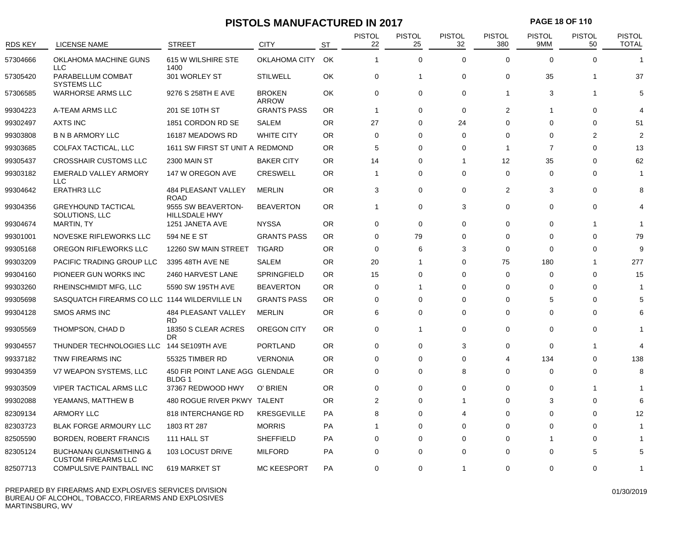# **PISTOLS MANUFACTURED IN 2017 PAGE 18 OF 110**

| RDS KEY  | <b>LICENSE NAME</b>                                             | <b>STREET</b>                                   | <b>CITY</b>            | <b>ST</b> | <b>PISTOL</b><br>22 | <b>PISTOL</b><br>25 | <b>PISTOL</b><br>32 | <b>PISTOL</b><br>380  | <b>PISTOL</b><br>9MM | <b>PISTOL</b><br>50 | <b>PISTOL</b><br><b>TOTAL</b> |
|----------|-----------------------------------------------------------------|-------------------------------------------------|------------------------|-----------|---------------------|---------------------|---------------------|-----------------------|----------------------|---------------------|-------------------------------|
| 57304666 | OKLAHOMA MACHINE GUNS<br><b>LLC</b>                             | 615 W WILSHIRE STE<br>1400                      | OKLAHOMA CITY          | OK        | $\overline{1}$      | $\mathbf 0$         | $\Omega$            | $\Omega$              | $\Omega$             | $\Omega$            | 1                             |
| 57305420 | PARABELLUM COMBAT<br><b>SYSTEMS LLC</b>                         | 301 WORLEY ST                                   | <b>STILWELL</b>        | OK        | 0                   | $\mathbf{1}$        | 0                   | 0                     | 35                   | -1                  | 37                            |
| 57306585 | <b>WARHORSE ARMS LLC</b>                                        | 9276 S 258TH E AVE                              | <b>BROKEN</b><br>ARROW | OK        | $\mathbf 0$         | 0                   | $\Omega$            | $\mathbf{1}$          | 3                    | -1                  | 5                             |
| 99304223 | A-TEAM ARMS LLC                                                 | 201 SE 10TH ST                                  | <b>GRANTS PASS</b>     | <b>OR</b> | $\overline{1}$      | 0                   | $\mathbf 0$         | $\overline{2}$        | -1                   | 0                   | 4                             |
| 99302497 | <b>AXTS INC</b>                                                 | 1851 CORDON RD SE                               | <b>SALEM</b>           | <b>OR</b> | 27                  | 0                   | 24                  | $\Omega$              | $\Omega$             | $\Omega$            | 51                            |
| 99303808 | <b>B N B ARMORY LLC</b>                                         | 16187 MEADOWS RD                                | <b>WHITE CITY</b>      | OR.       | $\Omega$            | $\Omega$            | $\Omega$            | $\Omega$              | $\Omega$             | 2                   | 2                             |
| 99303685 | COLFAX TACTICAL, LLC                                            | 1611 SW FIRST ST UNIT A REDMOND                 |                        | OR        | 5                   | $\Omega$            | $\Omega$            | -1                    | $\overline{7}$       | $\Omega$            | 13                            |
| 99305437 | <b>CROSSHAIR CUSTOMS LLC</b>                                    | 2300 MAIN ST                                    | <b>BAKER CITY</b>      | OR.       | 14                  | $\Omega$            | 1                   | 12                    | 35                   | $\Omega$            | 62                            |
| 99303182 | <b>EMERALD VALLEY ARMORY</b><br><b>LLC</b>                      | 147 W OREGON AVE                                | <b>CRESWELL</b>        | OR.       | $\mathbf 1$         | 0                   | $\Omega$            | $\mathbf 0$           | $\Omega$             | $\Omega$            |                               |
| 99304642 | <b>ERATHR3 LLC</b>                                              | 484 PLEASANT VALLEY<br><b>ROAD</b>              | <b>MERLIN</b>          | OR.       | 3                   | 0                   | $\mathbf 0$         | $\overline{2}$        | 3                    | $\mathbf 0$         | 8                             |
| 99304356 | <b>GREYHOUND TACTICAL</b><br>SOLUTIONS, LLC                     | 9555 SW BEAVERTON-<br><b>HILLSDALE HWY</b>      | <b>BEAVERTON</b>       | <b>OR</b> | $\mathbf{1}$        | 0                   | 3                   | 0                     | $\Omega$             | $\Omega$            | $\overline{4}$                |
| 99304674 | <b>MARTIN, TY</b>                                               | 1251 JANETA AVE                                 | <b>NYSSA</b>           | <b>OR</b> | $\mathbf 0$         | $\mathbf 0$         | $\Omega$            | $\Omega$              | $\Omega$             | 1                   | 1                             |
| 99301001 | NOVESKE RIFLEWORKS LLC                                          | 594 NE E ST                                     | <b>GRANTS PASS</b>     | <b>OR</b> | $\mathbf 0$         | 79                  | $\Omega$            | $\Omega$              | $\Omega$             | 0                   | 79                            |
| 99305168 | OREGON RIFLEWORKS LLC                                           | 12260 SW MAIN STREET                            | <b>TIGARD</b>          | OR.       | $\mathbf 0$         | 6                   | 3                   | $\Omega$              | $\Omega$             | $\Omega$            | 9                             |
| 99303209 | PACIFIC TRADING GROUP LLC                                       | 3395 48TH AVE NE                                | <b>SALEM</b>           | <b>OR</b> | 20                  | 1                   | $\mathbf 0$         | 75                    | 180                  | $\overline{1}$      | 277                           |
| 99304160 | PIONEER GUN WORKS INC                                           | 2460 HARVEST LANE                               | SPRINGFIELD            | <b>OR</b> | 15                  | 0                   | $\Omega$            | 0                     | $\mathbf 0$          | 0                   | 15                            |
| 99303260 | RHEINSCHMIDT MFG, LLC                                           | 5590 SW 195TH AVE                               | <b>BEAVERTON</b>       | OR.       | $\mathbf 0$         | -1                  | $\Omega$            | 0                     | $\Omega$             | $\Omega$            | 1                             |
| 99305698 | SASQUATCH FIREARMS CO LLC 1144 WILDERVILLE LN                   |                                                 | <b>GRANTS PASS</b>     | OR.       | 0                   | 0                   | 0                   | 0                     | 5                    | $\Omega$            | 5                             |
| 99304128 | <b>SMOS ARMS INC</b>                                            | 484 PLEASANT VALLEY<br><b>RD</b>                | <b>MERLIN</b>          | <b>OR</b> | 6                   | 0                   | $\mathbf 0$         | 0                     | $\Omega$             | $\Omega$            | 6                             |
| 99305569 | THOMPSON, CHAD D                                                | 18350 S CLEAR ACRES<br><b>DR</b>                | OREGON CITY            | <b>OR</b> | $\mathbf 0$         | $\mathbf{1}$        | $\mathbf 0$         | 0                     | $\Omega$             | 0                   | 1                             |
| 99304557 | THUNDER TECHNOLOGIES LLC 144 SE109TH AVE                        |                                                 | <b>PORTLAND</b>        | <b>OR</b> | $\Omega$            | 0                   | 3                   | $\Omega$              | $\Omega$             |                     | $\boldsymbol{\Delta}$         |
| 99337182 | TNW FIREARMS INC                                                | 55325 TIMBER RD                                 | <b>VERNONIA</b>        | OR.       | $\mathbf 0$         | $\Omega$            | $\Omega$            | $\boldsymbol{\Delta}$ | 134                  | $\Omega$            | 138                           |
| 99304359 | V7 WEAPON SYSTEMS, LLC                                          | 450 FIR POINT LANE AGG GLENDALE<br><b>BLDG1</b> |                        | <b>OR</b> | $\mathbf 0$         | 0                   | 8                   | $\Omega$              | $\Omega$             | $\Omega$            | 8                             |
| 99303509 | <b>VIPER TACTICAL ARMS LLC</b>                                  | 37367 REDWOOD HWY                               | O' BRIEN               | <b>OR</b> | $\mathbf 0$         | 0                   | $\Omega$            | $\mathbf 0$           | $\Omega$             |                     | 1                             |
| 99302088 | YEAMANS, MATTHEW B                                              | 480 ROGUE RIVER PKWY TALENT                     |                        | <b>OR</b> | $\overline{2}$      | 0                   | 1                   | $\Omega$              | 3                    | $\Omega$            |                               |
| 82309134 | <b>ARMORY LLC</b>                                               | 818 INTERCHANGE RD                              | <b>KRESGEVILLE</b>     | PA        | 8                   | 0                   | 4                   | $\Omega$              | $\Omega$             | $\Omega$            | 12                            |
| 82303723 | <b>BLAK FORGE ARMOURY LLC</b>                                   | 1803 RT 287                                     | <b>MORRIS</b>          | PA        |                     | 0                   | $\Omega$            | $\Omega$              | $\Omega$             | $\Omega$            |                               |
| 82505590 | <b>BORDEN, ROBERT FRANCIS</b>                                   | 111 HALL ST                                     | <b>SHEFFIELD</b>       | PA        | 0                   | 0                   | $\Omega$            | $\Omega$              |                      | $\Omega$            |                               |
| 82305124 | <b>BUCHANAN GUNSMITHING &amp;</b><br><b>CUSTOM FIREARMS LLC</b> | 103 LOCUST DRIVE                                | <b>MILFORD</b>         | PA        | $\Omega$            | $\Omega$            | $\Omega$            | $\Omega$              | $\Omega$             | 5                   | 5                             |
| 82507713 | COMPULSIVE PAINTBALL INC                                        | 619 MARKET ST                                   | <b>MC KEESPORT</b>     | PA        | 0                   | 0                   | 1                   | $\Omega$              | $\Omega$             | ∩                   |                               |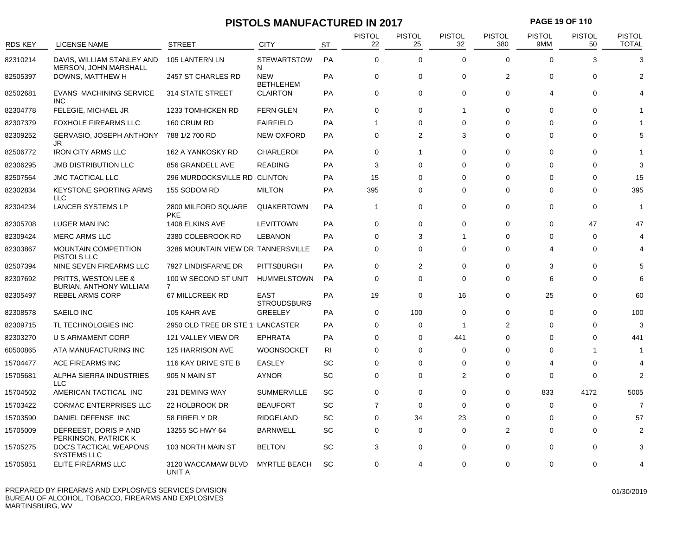# **PISTOLS MANUFACTURED IN 2017 PAGE 19 OF 110**

| <b>RDS KEY</b> | LICENSE NAME                                        | <b>STREET</b>                          | <b>CITY</b>                    | ST        | <b>PISTOL</b><br>22 | <b>PISTOL</b><br>25 | <b>PISTOL</b><br>32 | <b>PISTOL</b><br>380 | <b>PISTOL</b><br>9MM  | <b>PISTOL</b><br>50 | <b>PISTOL</b><br><b>TOTAL</b> |
|----------------|-----------------------------------------------------|----------------------------------------|--------------------------------|-----------|---------------------|---------------------|---------------------|----------------------|-----------------------|---------------------|-------------------------------|
| 82310214       | DAVIS, WILLIAM STANLEY AND<br>MERSON, JOHN MARSHALL | 105 LANTERN LN                         | <b>STEWARTSTOW</b><br>N        | PA        | $\Omega$            | $\mathbf 0$         | $\Omega$            | $\Omega$             | $\Omega$              | 3                   | 3                             |
| 82505397       | DOWNS, MATTHEW H                                    | 2457 ST CHARLES RD                     | <b>NEW</b><br><b>BETHLEHEM</b> | PA        | $\mathbf 0$         | $\mathbf 0$         | $\mathbf 0$         | 2                    | $\mathbf 0$           | 0                   | 2                             |
| 82502681       | <b>EVANS MACHINING SERVICE</b><br><b>INC</b>        | 314 STATE STREET                       | <b>CLAIRTON</b>                | PA        | $\mathbf 0$         | $\mathbf 0$         | $\Omega$            | $\Omega$             | $\boldsymbol{\Delta}$ | $\Omega$            |                               |
| 82304778       | FELEGIE, MICHAEL JR                                 | <b>1233 TOMHICKEN RD</b>               | <b>FERN GLEN</b>               | PA        | $\mathbf 0$         | 0                   | 1                   | 0                    | 0                     | 0                   |                               |
| 82307379       | <b>FOXHOLE FIREARMS LLC</b>                         | 160 CRUM RD                            | <b>FAIRFIELD</b>               | PA        | 1                   | 0                   | $\Omega$            | $\Omega$             | $\Omega$              | $\Omega$            |                               |
| 82309252       | <b>GERVASIO, JOSEPH ANTHONY</b><br>JR               | 788 1/2 700 RD                         | <b>NEW OXFORD</b>              | PA        | $\mathbf 0$         | $\overline{2}$      | 3                   | $\Omega$             | $\Omega$              | $\Omega$            |                               |
| 82506772       | <b>IRON CITY ARMS LLC</b>                           | 162 A YANKOSKY RD                      | <b>CHARLEROI</b>               | PA        | $\mathbf 0$         | -1                  | $\mathbf 0$         | $\Omega$             | $\Omega$              | $\Omega$            |                               |
| 82306295       | <b>JMB DISTRIBUTION LLC</b>                         | 856 GRANDELL AVE                       | <b>READING</b>                 | PA        | 3                   | 0                   | 0                   | $\Omega$             | $\Omega$              | $\Omega$            | 3                             |
| 82507564       | <b>JMC TACTICAL LLC</b>                             | 296 MURDOCKSVILLE RD CLINTON           |                                | PA        | 15                  | 0                   | $\Omega$            | $\Omega$             | $\Omega$              | $\Omega$            | 15                            |
| 82302834       | <b>KEYSTONE SPORTING ARMS</b><br><b>LLC</b>         | 155 SODOM RD                           | <b>MILTON</b>                  | <b>PA</b> | 395                 | 0                   | $\Omega$            | $\Omega$             | $\Omega$              | $\Omega$            | 395                           |
| 82304234       | LANCER SYSTEMS LP                                   | 2800 MILFORD SQUARE<br><b>PKE</b>      | QUAKERTOWN                     | PA        | $\mathbf{1}$        | $\Omega$            | $\Omega$            | $\Omega$             | $\Omega$              | $\Omega$            | -1                            |
| 82305708       | LUGER MAN INC                                       | 1408 ELKINS AVE                        | <b>LEVITTOWN</b>               | PA        | $\mathbf 0$         | 0                   | $\Omega$            | $\Omega$             | $\Omega$              | 47                  | 47                            |
| 82309424       | <b>MERC ARMS LLC</b>                                | 2380 COLEBROOK RD                      | <b>LEBANON</b>                 | PA        | $\Omega$            | 3                   | 1                   | $\Omega$             | $\Omega$              | $\Omega$            |                               |
| 82303867       | <b>MOUNTAIN COMPETITION</b><br>PISTOLS LLC          | 3286 MOUNTAIN VIEW DR TANNERSVILLE     |                                | <b>PA</b> | $\mathbf 0$         | $\Omega$            | $\Omega$            | $\Omega$             | 4                     | $\Omega$            |                               |
| 82507394       | NINE SEVEN FIREARMS LLC                             | 7927 LINDISFARNE DR                    | <b>PITTSBURGH</b>              | PA        | $\mathbf 0$         | 2                   | $\Omega$            | $\Omega$             | 3                     | $\Omega$            | 5                             |
| 82307692       | PRITTS, WESTON LEE &<br>BURIAN, ANTHONY WILLIAM     | 100 W SECOND ST UNIT<br>$\overline{7}$ | <b>HUMMELSTOWN</b>             | <b>PA</b> | $\mathbf 0$         | $\mathbf 0$         | $\Omega$            | $\Omega$             | 6                     | $\Omega$            | 6                             |
| 82305497       | <b>REBEL ARMS CORP</b>                              | 67 MILLCREEK RD                        | EAST<br><b>STROUDSBURG</b>     | PA        | 19                  | 0                   | 16                  | $\Omega$             | 25                    | $\Omega$            | 60                            |
| 82308578       | SAEILO INC                                          | 105 KAHR AVE                           | <b>GREELEY</b>                 | PA        | $\mathbf 0$         | 100                 | $\mathbf 0$         | $\mathbf 0$          | $\Omega$              | $\Omega$            | 100                           |
| 82309715       | TL TECHNOLOGIES INC                                 | 2950 OLD TREE DR STE 1 LANCASTER       |                                | PA        | $\Omega$            | 0                   | $\overline{1}$      | $\overline{2}$       | $\Omega$              | $\Omega$            | 3                             |
| 82303270       | <b>U S ARMAMENT CORP</b>                            | 121 VALLEY VIEW DR                     | <b>EPHRATA</b>                 | <b>PA</b> | $\Omega$            | 0                   | 441                 | $\Omega$             | $\Omega$              | $\Omega$            | 441                           |
| 60500865       | ATA MANUFACTURING INC                               | 125 HARRISON AVE                       | <b>WOONSOCKET</b>              | RI        | $\Omega$            | 0                   | $\Omega$            | $\Omega$             | $\Omega$              |                     |                               |
| 15704477       | ACE FIREARMS INC                                    | 116 KAY DRIVE STE B                    | EASLEY                         | SC        | $\Omega$            | 0                   | $\Omega$            | $\Omega$             | Δ                     | $\Omega$            | $\overline{4}$                |
| 15705681       | ALPHA SIERRA INDUSTRIES<br><b>LLC</b>               | 905 N MAIN ST                          | <b>AYNOR</b>                   | SC        | $\mathbf 0$         | 0                   | $\overline{2}$      | 0                    | 0                     | 0                   | $\overline{2}$                |
| 15704502       | AMERICAN TACTICAL INC                               | 231 DEMING WAY                         | <b>SUMMERVILLE</b>             | SC        | $\mathbf 0$         | 0                   | $\Omega$            | $\Omega$             | 833                   | 4172                | 5005                          |
| 15703422       | <b>CORMAC ENTERPRISES LLC</b>                       | 22 HOLBROOK DR                         | <b>BEAUFORT</b>                | SC        | $\overline{7}$      | $\Omega$            | $\Omega$            | $\Omega$             | $\Omega$              | $\Omega$            | 7                             |
| 15703590       | DANIEL DEFENSE INC                                  | 58 FIREFLY DR                          | <b>RIDGELAND</b>               | SC        | $\Omega$            | 34                  | 23                  | $\Omega$             | $\Omega$              | $\Omega$            | 57                            |
| 15705009       | DEFREEST, DORIS P AND<br>PERKINSON, PATRICK K       | 13255 SC HWY 64                        | <b>BARNWELL</b>                | <b>SC</b> | $\Omega$            | 0                   | $\Omega$            | 2                    | $\Omega$              | $\Omega$            | 2                             |
| 15705275       | DOC'S TACTICAL WEAPONS<br><b>SYSTEMS LLC</b>        | 103 NORTH MAIN ST                      | <b>BELTON</b>                  | <b>SC</b> | 3                   | $\mathbf 0$         | $\mathbf 0$         | $\mathbf 0$          | $\Omega$              | $\Omega$            |                               |
| 15705851       | ELITE FIREARMS LLC                                  | 3120 WACCAMAW BLVD<br>UNIT A           | <b>MYRTLE BEACH</b>            | SC        | $\mathbf 0$         | 4                   | $\mathbf 0$         | 0                    | $\Omega$              | 0                   |                               |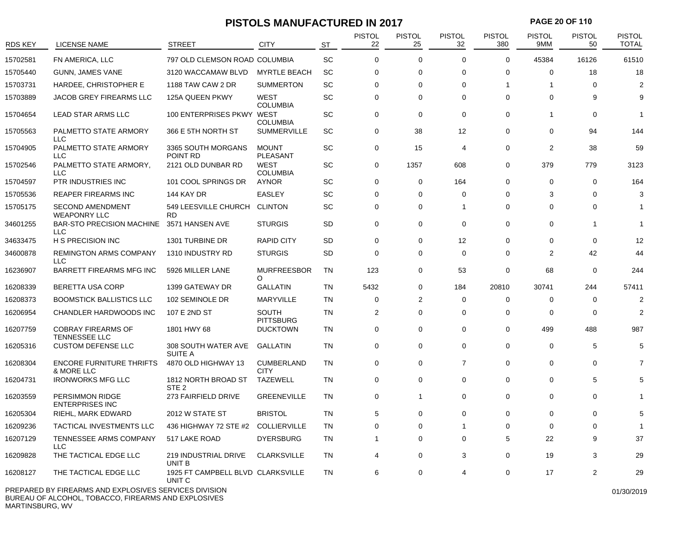# **PISTOLS MANUFACTURED IN 2017 PAGE 20 OF 110**

| RDS KEY  | <b>LICENSE NAME</b>                                   | <b>STREET</b>                               | <b>CITY</b>                      | <b>ST</b> | <b>PISTOL</b><br>22 | <b>PISTOL</b><br>25 | <b>PISTOL</b><br>32 | <b>PISTOL</b><br>380 | <b>PISTOL</b><br>9MM | <b>PISTOL</b><br>50 | <b>PISTOL</b><br><b>TOTAL</b> |
|----------|-------------------------------------------------------|---------------------------------------------|----------------------------------|-----------|---------------------|---------------------|---------------------|----------------------|----------------------|---------------------|-------------------------------|
| 15702581 | FN AMERICA, LLC                                       | 797 OLD CLEMSON ROAD COLUMBIA               |                                  | SC        | $\mathbf 0$         | 0                   | $\mathbf 0$         | $\mathbf 0$          | 45384                | 16126               | 61510                         |
| 15705440 | <b>GUNN, JAMES VANE</b>                               | 3120 WACCAMAW BLVD                          | <b>MYRTLE BEACH</b>              | SC        | 0                   | 0                   | $\Omega$            | $\Omega$             | $\Omega$             | 18                  | 18                            |
| 15703731 | HARDEE, CHRISTOPHER E                                 | 1188 TAW CAW 2 DR                           | <b>SUMMERTON</b>                 | SC        | 0                   | 0                   | 0                   | -1                   |                      | 0                   | $\overline{2}$                |
| 15703889 | JACOB GREY FIREARMS LLC                               | 125A QUEEN PKWY                             | <b>WEST</b><br><b>COLUMBIA</b>   | SC        | 0                   | 0                   | 0                   | 0                    | $\Omega$             | 9                   | 9                             |
| 15704654 | LEAD STAR ARMS LLC                                    | 100 ENTERPRISES PKWY WEST                   | <b>COLUMBIA</b>                  | SC        | $\mathbf 0$         | 0                   | $\mathbf 0$         | 0                    | -1                   | $\Omega$            | -1                            |
| 15705563 | PALMETTO STATE ARMORY<br><b>LLC</b>                   | 366 E 5TH NORTH ST                          | <b>SUMMERVILLE</b>               | SC        | 0                   | 38                  | 12                  | 0                    | $\Omega$             | 94                  | 144                           |
| 15704905 | PALMETTO STATE ARMORY<br><b>LLC</b>                   | 3365 SOUTH MORGANS<br>POINT RD              | <b>MOUNT</b><br><b>PLEASANT</b>  | SC        | $\mathbf 0$         | 15                  | 4                   | 0                    | $\overline{2}$       | 38                  | 59                            |
| 15702546 | PALMETTO STATE ARMORY,<br><b>LLC</b>                  | 2121 OLD DUNBAR RD                          | <b>WEST</b><br><b>COLUMBIA</b>   | SC        | 0                   | 1357                | 608                 | 0                    | 379                  | 779                 | 3123                          |
| 15704597 | PTR INDUSTRIES INC                                    | 101 COOL SPRINGS DR                         | <b>AYNOR</b>                     | SC        | 0                   | 0                   | 164                 | 0                    | $\Omega$             | $\Omega$            | 164                           |
| 15705536 | REAPER FIREARMS INC                                   | 144 KAY DR                                  | <b>EASLEY</b>                    | SC        | 0                   | 0                   | 0                   | 0                    | 3                    | 0                   | 3                             |
| 15705175 | <b>SECOND AMENDMENT</b><br><b>WEAPONRY LLC</b>        | 549 LEESVILLE CHURCH<br><b>RD</b>           | <b>CLINTON</b>                   | SC        | $\mathbf 0$         | 0                   | 1                   | 0                    | $\Omega$             | 0                   |                               |
| 34601255 | <b>BAR-STO PRECISION MACHINE</b><br><b>LLC</b>        | 3571 HANSEN AVE                             | <b>STURGIS</b>                   | <b>SD</b> | 0                   | 0                   | $\mathbf 0$         | 0                    | $\Omega$             | -1                  |                               |
| 34633475 | H S PRECISION INC                                     | 1301 TURBINE DR                             | <b>RAPID CITY</b>                | <b>SD</b> | 0                   | 0                   | 12                  | $\Omega$             | 0                    | $\Omega$            | 12                            |
| 34600878 | <b>REMINGTON ARMS COMPANY</b><br><b>LLC</b>           | 1310 INDUSTRY RD                            | <b>STURGIS</b>                   | <b>SD</b> | $\mathbf 0$         | 0                   | $\mathbf 0$         | 0                    | $\overline{2}$       | 42                  | 44                            |
| 16236907 | <b>BARRETT FIREARMS MFG INC</b>                       | 5926 MILLER LANE                            | <b>MURFREESBOR</b><br>O          | TN        | 123                 | 0                   | 53                  | 0                    | 68                   | 0                   | 244                           |
| 16208339 | <b>BERETTA USA CORP</b>                               | 1399 GATEWAY DR                             | <b>GALLATIN</b>                  | <b>TN</b> | 5432                | 0                   | 184                 | 20810                | 30741                | 244                 | 57411                         |
| 16208373 | <b>BOOMSTICK BALLISTICS LLC</b>                       | 102 SEMINOLE DR                             | <b>MARYVILLE</b>                 | <b>TN</b> | 0                   | 2                   | 0                   | 0                    | $\Omega$             | 0                   | $\overline{2}$                |
| 16206954 | CHANDLER HARDWOODS INC                                | 107 E 2ND ST                                | <b>SOUTH</b><br><b>PITTSBURG</b> | TN        | 2                   | 0                   | $\mathbf 0$         | 0                    | $\Omega$             | $\Omega$            | $\overline{2}$                |
| 16207759 | <b>COBRAY FIREARMS OF</b><br>TENNESSEE LLC            | 1801 HWY 68                                 | <b>DUCKTOWN</b>                  | TN        | 0                   | 0                   | 0                   | 0                    | 499                  | 488                 | 987                           |
| 16205316 | <b>CUSTOM DEFENSE LLC</b>                             | 308 SOUTH WATER AVE<br><b>SUITE A</b>       | <b>GALLATIN</b>                  | TN        | 0                   | 0                   | 0                   | 0                    | $\mathbf 0$          | 5                   | 5                             |
| 16208304 | <b>ENCORE FURNITURE THRIFTS</b><br>& MORE LLC         | 4870 OLD HIGHWAY 13                         | <b>CUMBERLAND</b><br><b>CITY</b> | TN        | 0                   | 0                   | $\overline{7}$      | 0                    | 0                    | 0                   | 7                             |
| 16204731 | <b>IRONWORKS MFG LLC</b>                              | 1812 NORTH BROAD ST<br>STE <sub>2</sub>     | <b>TAZEWELL</b>                  | TN        | 0                   | 0                   | $\mathbf 0$         | 0                    | $\Omega$             | 5                   | 5                             |
| 16203559 | <b>PERSIMMON RIDGE</b><br><b>ENTERPRISES INC</b>      | 273 FAIRFIELD DRIVE                         | <b>GREENEVILLE</b>               | TN        | 0                   | $\mathbf 1$         | $\mathbf 0$         | 0                    | 0                    | 0                   |                               |
| 16205304 | RIEHL, MARK EDWARD                                    | 2012 W STATE ST                             | <b>BRISTOL</b>                   | TN        | 5                   | 0                   | 0                   | $\Omega$             | $\Omega$             | 0                   | 5                             |
| 16209236 | TACTICAL INVESTMENTS LLC                              | 436 HIGHWAY 72 STE #2                       | <b>COLLIERVILLE</b>              | TN        | 0                   | 0                   | 1                   | 0                    | 0                    | 0                   |                               |
| 16207129 | TENNESSEE ARMS COMPANY<br><b>LLC</b>                  | 517 LAKE ROAD                               | <b>DYERSBURG</b>                 | TN        | 1                   | 0                   | 0                   | 5                    | 22                   | 9                   | 37                            |
| 16209828 | THE TACTICAL EDGE LLC                                 | 219 INDUSTRIAL DRIVE<br>UNIT B              | <b>CLARKSVILLE</b>               | TN        | 4                   | 0                   | 3                   | 0                    | 19                   | 3                   | 29                            |
| 16208127 | THE TACTICAL EDGE LLC                                 | 1925 FT CAMPBELL BLVD CLARKSVILLE<br>UNIT C |                                  | TN        | 6                   | 0                   | 4                   | 0                    | 17                   | $\overline{2}$      | 29                            |
|          | PREPARED BY FIREARMS AND EXPLOSIVES SERVICES DIVISION |                                             |                                  |           |                     |                     |                     |                      |                      |                     | 01/30/2019                    |

BUREAU OF ALCOHOL, TOBACCO, FIREARMS AND EXPLOSIVES MARTINSBURG, WV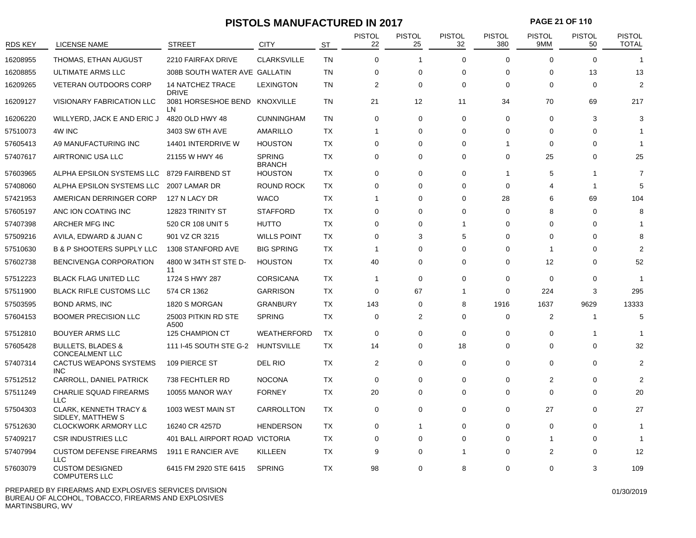# **PISTOLS MANUFACTURED IN 2017 PAGE 21 OF 110**

| <b>RDS KEY</b> | <b>LICENSE NAME</b>                                    | <b>STREET</b>                           | <b>CITY</b>                    | <b>ST</b> | <b>PISTOL</b><br>22 | <b>PISTOL</b><br>25 | <b>PISTOL</b><br>32 | <b>PISTOL</b><br>380    | <b>PISTOL</b><br>9MM | <b>PISTOL</b><br>50 | <b>PISTOL</b><br><b>TOTAL</b> |
|----------------|--------------------------------------------------------|-----------------------------------------|--------------------------------|-----------|---------------------|---------------------|---------------------|-------------------------|----------------------|---------------------|-------------------------------|
| 16208955       | THOMAS, ETHAN AUGUST                                   | 2210 FAIRFAX DRIVE                      | <b>CLARKSVILLE</b>             | <b>TN</b> | $\Omega$            | 1                   | $\Omega$            | $\Omega$                | $\Omega$             | $\Omega$            | 1                             |
| 16208855       | ULTIMATE ARMS LLC                                      | 308B SOUTH WATER AVE GALLATIN           |                                | <b>TN</b> | $\Omega$            | 0                   | $\Omega$            | $\Omega$                | $\Omega$             | 13                  | 13                            |
| 16209265       | <b>VETERAN OUTDOORS CORP</b>                           | <b>14 NATCHEZ TRACE</b><br><b>DRIVE</b> | <b>LEXINGTON</b>               | <b>TN</b> | $\overline{2}$      | 0                   | $\Omega$            | $\Omega$                | $\Omega$             | $\mathbf 0$         | $\overline{2}$                |
| 16209127       | VISIONARY FABRICATION LLC                              | 3081 HORSESHOE BEND KNOXVILLE<br>LN     |                                | <b>TN</b> | 21                  | 12                  | 11                  | 34                      | 70                   | 69                  | 217                           |
| 16206220       | WILLYERD, JACK E AND ERIC J                            | 4820 OLD HWY 48                         | <b>CUNNINGHAM</b>              | TN        | $\mathbf 0$         | 0                   | $\mathbf 0$         | 0                       | 0                    | 3                   | 3                             |
| 57510073       | 4W INC                                                 | 3403 SW 6TH AVE                         | AMARILLO                       | ТX        | -1                  | 0                   | $\mathbf 0$         | 0                       | $\Omega$             | 0                   |                               |
| 57605413       | A9 MANUFACTURING INC                                   | 14401 INTERDRIVE W                      | <b>HOUSTON</b>                 | <b>TX</b> | $\mathbf 0$         | 0                   | $\Omega$            | $\overline{\mathbf{1}}$ | $\Omega$             | $\Omega$            |                               |
| 57407617       | AIRTRONIC USA LLC                                      | 21155 W HWY 46                          | <b>SPRING</b><br><b>BRANCH</b> | <b>TX</b> | $\mathbf 0$         | 0                   | $\mathbf 0$         | 0                       | 25                   | 0                   | 25                            |
| 57603965       | ALPHA EPSILON SYSTEMS LLC                              | 8729 FAIRBEND ST                        | <b>HOUSTON</b>                 | TX        | $\mathbf 0$         | $\Omega$            | $\Omega$            | -1                      | 5                    |                     | 7                             |
| 57408060       | ALPHA EPSILON SYSTEMS LLC                              | 2007 LAMAR DR                           | <b>ROUND ROCK</b>              | <b>TX</b> | $\mathbf 0$         | $\Omega$            | $\Omega$            | $\Omega$                | 4                    | -1                  | 5                             |
| 57421953       | AMERICAN DERRINGER CORP                                | 127 N LACY DR                           | <b>WACO</b>                    | TX        | 1                   | $\Omega$            | $\mathbf 0$         | 28                      | 6                    | 69                  | 104                           |
| 57605197       | ANC ION COATING INC                                    | 12823 TRINITY ST                        | <b>STAFFORD</b>                | <b>TX</b> | $\mathbf 0$         | $\Omega$            | $\Omega$            | 0                       | 8                    | 0                   | 8                             |
| 57407398       | ARCHER MFG INC                                         | 520 CR 108 UNIT 5                       | <b>HUTTO</b>                   | <b>TX</b> | $\mathbf 0$         | $\Omega$            | $\overline{1}$      | 0                       | $\Omega$             | 0                   |                               |
| 57509216       | AVILA, EDWARD & JUAN C                                 | 901 VZ CR 3215                          | <b>WILLS POINT</b>             | <b>TX</b> | $\mathbf 0$         | 3                   | 5                   | $\mathbf 0$             | $\Omega$             | $\Omega$            | 8                             |
| 57510630       | <b>B &amp; P SHOOTERS SUPPLY LLC</b>                   | 1308 STANFORD AVE                       | <b>BIG SPRING</b>              | <b>TX</b> | $\overline{1}$      | 0                   | $\mathbf 0$         | 0                       | -1                   | 0                   | っ                             |
| 57602738       | BENCIVENGA CORPORATION                                 | 4800 W 34TH ST STE D-<br>11             | <b>HOUSTON</b>                 | <b>TX</b> | 40                  | $\Omega$            | $\Omega$            | $\Omega$                | 12                   | $\Omega$            | 52                            |
| 57512223       | <b>BLACK FLAG UNITED LLC</b>                           | 1724 S HWY 287                          | <b>CORSICANA</b>               | <b>TX</b> | $\overline{1}$      | $\mathbf 0$         | $\Omega$            | $\Omega$                | $\Omega$             | $\Omega$            | $\overline{\mathbf{1}}$       |
| 57511900       | <b>BLACK RIFLE CUSTOMS LLC</b>                         | 574 CR 1362                             | <b>GARRISON</b>                | <b>TX</b> | $\mathbf 0$         | 67                  | $\mathbf{1}$        | 0                       | 224                  | 3                   | 295                           |
| 57503595       | <b>BOND ARMS, INC</b>                                  | 1820 S MORGAN                           | <b>GRANBURY</b>                | <b>TX</b> | 143                 | 0                   | 8                   | 1916                    | 1637                 | 9629                | 13333                         |
| 57604153       | <b>BOOMER PRECISION LLC</b>                            | 25003 PITKIN RD STE<br>A500             | <b>SPRING</b>                  | <b>TX</b> | $\mathbf 0$         | $\overline{2}$      | $\Omega$            | $\mathbf 0$             | $\overline{2}$       |                     | 5                             |
| 57512810       | <b>BOUYER ARMS LLC</b>                                 | 125 CHAMPION CT                         | <b>WEATHERFORD</b>             | <b>TX</b> | 0                   | 0                   | $\mathbf 0$         | 0                       | $\Omega$             | -1                  |                               |
| 57605428       | <b>BULLETS, BLADES &amp;</b><br>CONCEALMENT LLC        | 111 I-45 SOUTH STE G-2                  | <b>HUNTSVILLE</b>              | TX        | 14                  | $\Omega$            | 18                  | $\Omega$                | $\Omega$             | $\Omega$            | 32                            |
| 57407314       | <b>CACTUS WEAPONS SYSTEMS</b><br><b>INC</b>            | 109 PIERCE ST                           | DEL RIO                        | TX        | $\overline{2}$      | 0                   | $\Omega$            | $\Omega$                | $\Omega$             | $\Omega$            | 2                             |
| 57512512       | CARROLL, DANIEL PATRICK                                | 738 FECHTLER RD                         | <b>NOCONA</b>                  | TX        | $\Omega$            | 0                   | $\Omega$            | $\Omega$                | $\overline{2}$       | $\Omega$            | $\mathcal{P}$                 |
| 57511249       | <b>CHARLIE SQUAD FIREARMS</b><br><b>LLC</b>            | 10055 MANOR WAY                         | <b>FORNEY</b>                  | <b>TX</b> | 20                  | 0                   | $\mathbf 0$         | $\mathbf 0$             | $\Omega$             | $\mathbf 0$         | 20                            |
| 57504303       | <b>CLARK, KENNETH TRACY &amp;</b><br>SIDLEY, MATTHEW S | 1003 WEST MAIN ST                       | CARROLLTON                     | <b>TX</b> | 0                   | 0                   | $\mathbf 0$         | 0                       | 27                   | $\Omega$            | 27                            |
| 57512630       | <b>CLOCKWORK ARMORY LLC</b>                            | 16240 CR 4257D                          | <b>HENDERSON</b>               | <b>TX</b> | $\mathbf 0$         | 1                   | $\mathbf 0$         | $\Omega$                | $\Omega$             | $\Omega$            | 1                             |
| 57409217       | <b>CSR INDUSTRIES LLC</b>                              | 401 BALL AIRPORT ROAD VICTORIA          |                                | ТX        | $\Omega$            | $\Omega$            | $\Omega$            | $\Omega$                |                      | $\Omega$            |                               |
| 57407994       | <b>CUSTOM DEFENSE FIREARMS</b><br><b>LLC</b>           | 1911 E RANCIER AVE                      | KILLEEN                        | <b>TX</b> | 9                   | $\Omega$            | -1                  | 0                       | 2                    | $\Omega$            | 12                            |
| 57603079       | <b>CUSTOM DESIGNED</b><br><b>COMPUTERS LLC</b>         | 6415 FM 2920 STE 6415                   | <b>SPRING</b>                  | <b>TX</b> | 98                  | $\Omega$            | 8                   | 0                       | $\Omega$             | 3                   | 109                           |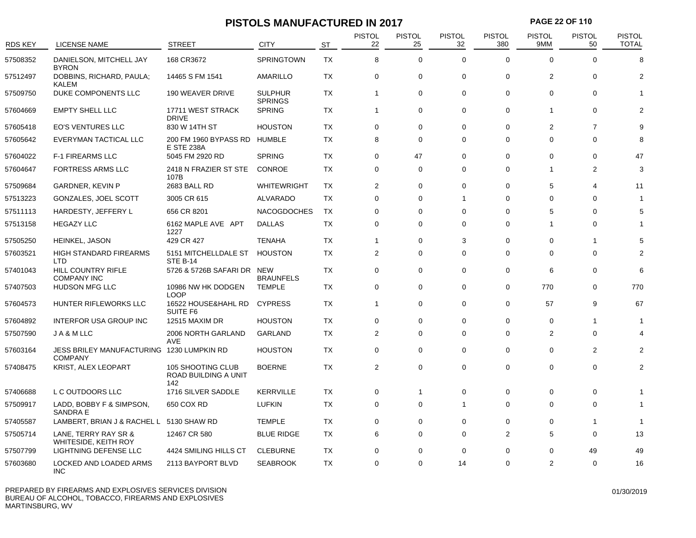# **PISTOLS MANUFACTURED IN 2017 PAGE 22 OF 110**

| <b>RDS KEY</b> | <b>LICENSE NAME</b>                                         | <b>STREET</b>                                    | <b>CITY</b>                      | <b>ST</b> | <b>PISTOL</b><br>22 | <b>PISTOL</b><br>25 | <b>PISTOL</b><br>32 | <b>PISTOL</b><br>380 | <b>PISTOL</b><br>9MM | <b>PISTOL</b><br>50 | <b>PISTOL</b><br><b>TOTAL</b> |
|----------------|-------------------------------------------------------------|--------------------------------------------------|----------------------------------|-----------|---------------------|---------------------|---------------------|----------------------|----------------------|---------------------|-------------------------------|
| 57508352       | DANIELSON, MITCHELL JAY<br><b>BYRON</b>                     | 168 CR3672                                       | SPRINGTOWN                       | <b>TX</b> | 8                   | $\mathbf 0$         | $\Omega$            | $\Omega$             | $\Omega$             | $\Omega$            | 8                             |
| 57512497       | DOBBINS, RICHARD, PAULA;<br><b>KALEM</b>                    | 14465 S FM 1541                                  | AMARILLO                         | TX        | $\mathbf 0$         | 0                   | $\mathbf 0$         | $\Omega$             | $\overline{2}$       | 0                   | 2                             |
| 57509750       | DUKE COMPONENTS LLC                                         | 190 WEAVER DRIVE                                 | <b>SULPHUR</b><br><b>SPRINGS</b> | <b>TX</b> | $\mathbf{1}$        | $\mathbf 0$         | $\mathbf 0$         | $\mathbf 0$          | 0                    | 0                   |                               |
| 57604669       | <b>EMPTY SHELL LLC</b>                                      | 17711 WEST STRACK<br><b>DRIVE</b>                | <b>SPRING</b>                    | TX        | $\mathbf{1}$        | $\mathbf 0$         | $\mathbf 0$         | $\mathbf 0$          | 1                    | $\mathbf 0$         |                               |
| 57605418       | <b>EO'S VENTURES LLC</b>                                    | 830 W 14TH ST                                    | <b>HOUSTON</b>                   | TX        | $\mathbf 0$         | $\mathbf 0$         | $\mathbf 0$         | $\mathbf 0$          | $\overline{2}$       | $\overline{7}$      | g                             |
| 57605642       | EVERYMAN TACTICAL LLC                                       | 200 FM 1960 BYPASS RD<br><b>E STE 238A</b>       | <b>HUMBLE</b>                    | TX        | 8                   | 0                   | 0                   | 0                    | 0                    | $\mathbf 0$         | 8                             |
| 57604022       | <b>F-1 FIREARMS LLC</b>                                     | 5045 FM 2920 RD                                  | <b>SPRING</b>                    | <b>TX</b> | $\mathbf 0$         | 47                  | $\mathbf 0$         | 0                    | $\Omega$             | $\Omega$            | 47                            |
| 57604647       | <b>FORTRESS ARMS LLC</b>                                    | 2418 N FRAZIER ST STE<br>107B                    | <b>CONROE</b>                    | TX        | $\mathbf 0$         | 0                   | $\mathbf 0$         | 0                    | 1                    | $\overline{2}$      | 3                             |
| 57509684       | <b>GARDNER, KEVIN P</b>                                     | 2683 BALL RD                                     | <b>WHITEWRIGHT</b>               | ТX        | $\overline{2}$      | $\Omega$            | $\Omega$            | 0                    | 5                    | 4                   | 11                            |
| 57513223       | GONZALES, JOEL SCOTT                                        | 3005 CR 615                                      | ALVARADO                         | TX        | $\mathbf 0$         | 0                   | $\overline{1}$      | 0                    | 0                    | 0                   | -1                            |
| 57511113       | HARDESTY, JEFFERY L                                         | 656 CR 8201                                      | <b>NACOGDOCHES</b>               | TX        | $\mathbf 0$         | 0                   | $\mathbf 0$         | 0                    | 5                    | 0                   | 5                             |
| 57513158       | <b>HEGAZY LLC</b>                                           | 6162 MAPLE AVE APT<br>1227                       | <b>DALLAS</b>                    | TX        | $\mathbf 0$         | $\mathbf 0$         | $\mathbf 0$         | $\mathbf 0$          | 1                    | 0                   |                               |
| 57505250       | HEINKEL, JASON                                              | 429 CR 427                                       | TENAHA                           | TX        | 1                   | 0                   | 3                   | 0                    | 0                    | -1                  | 5                             |
| 57603521       | <b>HIGH STANDARD FIREARMS</b><br>LTD                        | 5151 MITCHELLDALE ST<br><b>STE B-14</b>          | <b>HOUSTON</b>                   | TX        | $\overline{2}$      | $\Omega$            | $\Omega$            | $\Omega$             | 0                    | $\Omega$            | 2                             |
| 57401043       | HILL COUNTRY RIFLE<br><b>COMPANY INC</b>                    | 5726 & 5726B SAFARI DR NEW                       | <b>BRAUNFELS</b>                 | TX        | 0                   | 0                   | $\mathbf 0$         | 0                    | 6                    | 0                   | 6                             |
| 57407503       | <b>HUDSON MFG LLC</b>                                       | 10986 NW HK DODGEN<br><b>LOOP</b>                | <b>TEMPLE</b>                    | TX        | $\mathbf 0$         | $\mathbf 0$         | $\mathbf 0$         | $\mathbf 0$          | 770                  | 0                   | 770                           |
| 57604573       | HUNTER RIFLEWORKS LLC                                       | 16522 HOUSE&HAHL RD<br>SUITE F6                  | <b>CYPRESS</b>                   | TX        | 1                   | 0                   | $\Omega$            | $\mathbf 0$          | 57                   | 9                   | 67                            |
| 57604892       | <b>INTERFOR USA GROUP INC</b>                               | 12515 MAXIM DR                                   | <b>HOUSTON</b>                   | TX        | $\mathbf 0$         | 0                   | $\mathbf 0$         | 0                    | 0                    | -1                  | 1                             |
| 57507590       | JA&MLLC                                                     | 2006 NORTH GARLAND<br><b>AVE</b>                 | GARLAND                          | TX        | $\overline{2}$      | $\Omega$            | $\mathbf 0$         | $\mathbf 0$          | $\overline{2}$       | $\mathbf 0$         |                               |
| 57603164       | JESS BRILEY MANUFACTURING 1230 LUMPKIN RD<br><b>COMPANY</b> |                                                  | <b>HOUSTON</b>                   | ТX        | 0                   | 0                   | $\Omega$            | 0                    | 0                    | $\overline{2}$      | 2                             |
| 57408475       | <b>KRIST, ALEX LEOPART</b>                                  | 105 SHOOTING CLUB<br>ROAD BUILDING A UNIT<br>142 | <b>BOERNE</b>                    | TX        | $\overline{2}$      | $\mathbf 0$         | $\mathbf 0$         | $\mathbf 0$          | 0                    | $\mathbf 0$         | $\overline{2}$                |
| 57406688       | L C OUTDOORS LLC                                            | 1716 SILVER SADDLE                               | <b>KERRVILLE</b>                 | TX        | 0                   | $\mathbf{1}$        | 0                   | 0                    | 0                    | 0                   | 1                             |
| 57509917       | LADD, BOBBY F & SIMPSON,<br><b>SANDRA E</b>                 | 650 COX RD                                       | <b>LUFKIN</b>                    | TX        | $\mathbf 0$         | 0                   | $\overline{1}$      | 0                    | 0                    | $\Omega$            | -1                            |
| 57405587       | LAMBERT, BRIAN J & RACHEL L 5130 SHAW RD                    |                                                  | <b>TEMPLE</b>                    | <b>TX</b> | $\mathbf 0$         | $\mathbf 0$         | $\Omega$            | $\mathbf 0$          | 0                    |                     | 1                             |
| 57505714       | LANE, TERRY RAY SR &<br>WHITESIDE, KEITH ROY                | 12467 CR 580                                     | <b>BLUE RIDGE</b>                | TX        | 6                   | $\mathbf 0$         | $\mathbf 0$         | 2                    | 5                    | $\Omega$            | 13                            |
| 57507799       | LIGHTNING DEFENSE LLC                                       | 4424 SMILING HILLS CT                            | <b>CLEBURNE</b>                  | TX        | $\mathbf 0$         | $\Omega$            | $\mathbf 0$         | 0                    | 0                    | 49                  | 49                            |
| 57603680       | LOCKED AND LOADED ARMS<br><b>INC</b>                        | 2113 BAYPORT BLVD                                | <b>SEABROOK</b>                  | ТX        | $\mathbf 0$         | 0                   | 14                  | 0                    | 2                    | 0                   | 16                            |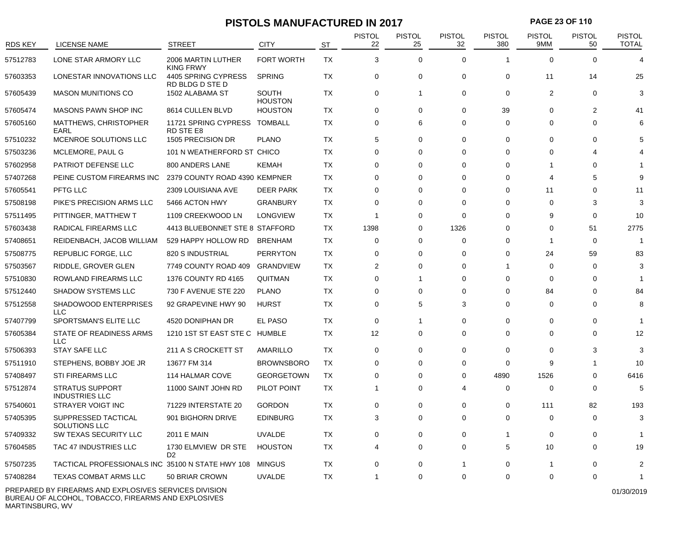# **PISTOLS MANUFACTURED IN 2017 PAGE 23 OF 110**

| <b>RDS KEY</b> | <b>LICENSE NAME</b>                                        | <b>STREET</b>                          | <b>CITY</b>                    | <b>ST</b> | <b>PISTOL</b><br>22 | <b>PISTOL</b><br>25 | <b>PISTOL</b><br>32 | <b>PISTOL</b><br>380 | <b>PISTOL</b><br>9MM  | <b>PISTOL</b><br>50 | <b>PISTOL</b><br><b>TOTAL</b> |
|----------------|------------------------------------------------------------|----------------------------------------|--------------------------------|-----------|---------------------|---------------------|---------------------|----------------------|-----------------------|---------------------|-------------------------------|
| 57512783       | LONE STAR ARMORY LLC                                       | 2006 MARTIN LUTHER<br><b>KING FRWY</b> | <b>FORT WORTH</b>              | <b>TX</b> | 3                   | $\mathbf 0$         | $\mathbf 0$         | $\mathbf 1$          | $\mathbf 0$           | $\Omega$            |                               |
| 57603353       | LONESTAR INNOVATIONS LLC                                   | 4405 SPRING CYPRESS<br>RD BLDG D STE D | <b>SPRING</b>                  | <b>TX</b> | $\mathbf 0$         | 0                   | 0                   | $\mathbf 0$          | 11                    | 14                  | 25                            |
| 57605439       | <b>MASON MUNITIONS CO</b>                                  | 1502 ALABAMA ST                        | <b>SOUTH</b><br><b>HOUSTON</b> | <b>TX</b> | $\mathbf 0$         | -1                  | $\mathbf 0$         | $\mathbf 0$          | $\overline{2}$        | $\mathbf 0$         | 3                             |
| 57605474       | MASONS PAWN SHOP INC                                       | 8614 CULLEN BLVD                       | <b>HOUSTON</b>                 | TX        | $\mathbf 0$         | 0                   | $\Omega$            | 39                   | $\Omega$              | $\mathbf{2}$        | 41                            |
| 57605160       | MATTHEWS, CHRISTOPHER<br>EARL                              | 11721 SPRING CYPRESS<br>RD STE E8      | TOMBALL                        | ТX        | $\mathbf 0$         | 6                   | $\mathbf 0$         | 0                    | $\Omega$              | $\Omega$            | 6                             |
| 57510232       | MCENROE SOLUTIONS LLC                                      | 1505 PRECISION DR                      | <b>PLANO</b>                   | TX        | 5                   | 0                   | $\Omega$            | $\Omega$             | $\Omega$              | $\Omega$            |                               |
| 57503236       | MCLEMORE, PAUL G                                           | 101 N WEATHERFORD ST CHICO             |                                | <b>TX</b> | $\mathbf 0$         | 0                   | $\mathbf 0$         | $\Omega$             | $\Omega$              | Δ                   |                               |
| 57602958       | <b>PATRIOT DEFENSE LLC</b>                                 | 800 ANDERS LANE                        | <b>KEMAH</b>                   | TX        | $\mathbf 0$         | 0                   | $\Omega$            | $\Omega$             | -1                    | $\Omega$            |                               |
| 57407268       | PEINE CUSTOM FIREARMS INC                                  | 2379 COUNTY ROAD 4390 KEMPNER          |                                | TX        | $\mathbf 0$         | 0                   | $\Omega$            | $\Omega$             | $\boldsymbol{\Delta}$ | 5                   | 9                             |
| 57605541       | PFTG LLC                                                   | 2309 LOUISIANA AVE                     | <b>DEER PARK</b>               | TX        | $\mathbf 0$         | 0                   | $\Omega$            | $\Omega$             | 11                    | $\Omega$            | 11                            |
| 57508198       | PIKE'S PRECISION ARMS LLC                                  | 5466 ACTON HWY                         | <b>GRANBURY</b>                | TX        | $\mathbf 0$         | 0                   | $\Omega$            | $\Omega$             | $\Omega$              | 3                   | 3                             |
| 57511495       | PITTINGER, MATTHEW T                                       | 1109 CREEKWOOD LN                      | <b>LONGVIEW</b>                | ТX        | $\overline{1}$      | 0                   | $\mathbf{0}$        | $\Omega$             | 9                     | $\mathbf 0$         | 10                            |
| 57603438       | RADICAL FIREARMS LLC                                       | 4413 BLUEBONNET STE 8 STAFFORD         |                                | ТX        | 1398                | 0                   | 1326                | $\Omega$             | $\Omega$              | 51                  | 2775                          |
| 57408651       | REIDENBACH, JACOB WILLIAM                                  | 529 HAPPY HOLLOW RD                    | <b>BRENHAM</b>                 | TX        | $\mathbf 0$         | 0                   | $\mathbf 0$         | 0                    | $\overline{1}$        | $\mathbf 0$         | $\overline{1}$                |
| 57508775       | REPUBLIC FORGE, LLC                                        | 820 S INDUSTRIAL                       | <b>PERRYTON</b>                | <b>TX</b> | $\mathbf 0$         | 0                   | $\Omega$            | $\mathbf 0$          | 24                    | 59                  | 83                            |
| 57503567       | RIDDLE, GROVER GLEN                                        | 7749 COUNTY ROAD 409                   | <b>GRANDVIEW</b>               | <b>TX</b> | $\overline{2}$      | 0                   | $\Omega$            | -1                   | $\Omega$              | 0                   | 3                             |
| 57510830       | ROWLAND FIREARMS LLC                                       | 1376 COUNTY RD 4165                    | <b>QUITMAN</b>                 | <b>TX</b> | 0                   | 1                   | $\mathbf 0$         | 0                    | $\Omega$              | $\Omega$            | -1                            |
| 57512440       | <b>SHADOW SYSTEMS LLC</b>                                  | 730 F AVENUE STE 220                   | <b>PLANO</b>                   | TX        | $\mathbf 0$         | 0                   | $\Omega$            | $\Omega$             | 84                    | $\Omega$            | 84                            |
| 57512558       | SHADOWOOD ENTERPRISES<br><b>LLC</b>                        | 92 GRAPEVINE HWY 90                    | <b>HURST</b>                   | TX        | $\Omega$            | 5                   | 3                   | $\Omega$             | $\Omega$              | $\Omega$            | 8                             |
| 57407799       | SPORTSMAN'S ELITE LLC                                      | 4520 DONIPHAN DR                       | EL PASO                        | ТX        | $\mathbf 0$         | 1                   | $\Omega$            | 0                    | $\Omega$              | $\mathbf 0$         | -1                            |
| 57605384       | STATE OF READINESS ARMS<br><b>LLC</b>                      | 1210 1ST ST EAST STE C HUMBLE          |                                | TX        | 12                  | 0                   | $\Omega$            | $\Omega$             | $\Omega$              | $\Omega$            | 12                            |
| 57506393       | <b>STAY SAFE LLC</b>                                       | 211 A S CROCKETT ST                    | AMARILLO                       | TX        | $\mathbf 0$         | 0                   | $\Omega$            | 0                    | $\Omega$              | 3                   | 3                             |
| 57511910       | STEPHENS, BOBBY JOE JR                                     | 13677 FM 314                           | <b>BROWNSBORO</b>              | <b>TX</b> | 0                   | 0                   | $\Omega$            | $\Omega$             | 9                     | -1                  | 10                            |
| 57408497       | STI FIREARMS LLC                                           | 114 HALMAR COVE                        | <b>GEORGETOWN</b>              | <b>TX</b> | 0                   | 0                   | $\mathbf 0$         | 4890                 | 1526                  | 0                   | 6416                          |
| 57512874       | <b>STRATUS SUPPORT</b><br><b>INDUSTRIES LLC</b>            | 11000 SAINT JOHN RD                    | PILOT POINT                    | TX        | -1                  | 0                   | 4                   | 0                    | $\Omega$              | $\Omega$            | 5                             |
| 57540601       | STRAYER VOIGT INC                                          | 71229 INTERSTATE 20                    | <b>GORDON</b>                  | <b>TX</b> | 0                   | 0                   | $\mathbf 0$         | 0                    | 111                   | 82                  | 193                           |
| 57405395       | SUPPRESSED TACTICAL<br><b>SOLUTIONS LLC</b>                | 901 BIGHORN DRIVE                      | <b>EDINBURG</b>                | TX        | 3                   | 0                   | $\Omega$            | 0                    | $\Omega$              | $\Omega$            | 3                             |
| 57409332       | SW TEXAS SECURITY LLC                                      | 2011 E MAIN                            | <b>UVALDE</b>                  | TX        | 0                   | 0                   | $\mathbf 0$         | $\mathbf 1$          | $\mathbf 0$           | 0                   |                               |
| 57604585       | TAC 47 INDUSTRIES LLC                                      | 1730 ELMVIEW DR STE<br>D <sub>2</sub>  | <b>HOUSTON</b>                 | ТX        | $\overline{4}$      | 0                   | $\mathbf 0$         | 5                    | 10                    | $\mathbf 0$         | 19                            |
| 57507235       | TACTICAL PROFESSIONALS INC 35100 N STATE HWY 108           |                                        | <b>MINGUS</b>                  | ТX        | $\mathbf 0$         | 0                   | 1                   | 0                    | 1                     | $\Omega$            | $\overline{2}$                |
| 57408284       | <b>TEXAS COMBAT ARMS LLC</b>                               | 50 BRIAR CROWN                         | <b>UVALDE</b>                  | TX        | $\overline{1}$      | 0                   | $\mathbf 0$         | $\Omega$             | $\Omega$              | $\Omega$            | 1                             |
|                | BREBARED BY FIREABMO AND EVELOON (FO OFB) (IOFO BIL(IOION) |                                        |                                |           |                     |                     |                     |                      |                       |                     |                               |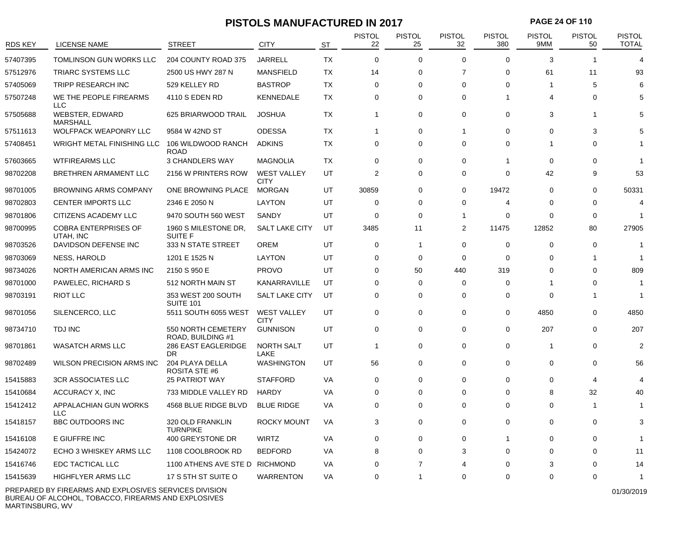### **PISTOLS MANUFACTURED IN 2017 PAGE 24 OF 110**

| <b>RDS KEY</b> | LICENSE NAME                             | <b>STREET</b>                           | <b>CITY</b>                       | ST        | <b>PISTOL</b><br>22 | <b>PISTOL</b><br>25 | <b>PISTOL</b><br>32   | <b>PISTOL</b><br>380 | <b>PISTOL</b><br>9MM | <b>PISTOL</b><br>50 | <b>PISTOL</b><br><b>TOTAL</b> |
|----------------|------------------------------------------|-----------------------------------------|-----------------------------------|-----------|---------------------|---------------------|-----------------------|----------------------|----------------------|---------------------|-------------------------------|
| 57407395       | <b>TOMLINSON GUN WORKS LLC</b>           | 204 COUNTY ROAD 375                     | <b>JARRELL</b>                    | <b>TX</b> | $\mathbf 0$         | $\mathbf 0$         | $\Omega$              | $\Omega$             | 3                    | -1                  | $\boldsymbol{\Delta}$         |
| 57512976       | TRIARC SYSTEMS LLC                       | 2500 US HWY 287 N                       | <b>MANSFIELD</b>                  | <b>TX</b> | 14                  | $\mathbf 0$         | $\overline{7}$        | $\mathbf 0$          | 61                   | 11                  | 93                            |
| 57405069       | <b>TRIPP RESEARCH INC</b>                | 529 KELLEY RD                           | <b>BASTROP</b>                    | TX        | $\mathbf 0$         | $\Omega$            | $\Omega$              | $\Omega$             | 1                    | 5                   | 6                             |
| 57507248       | WE THE PEOPLE FIREARMS<br>LLC            | 4110 S EDEN RD                          | <b>KENNEDALE</b>                  | <b>TX</b> | $\Omega$            | $\Omega$            | $\Omega$              | $\overline{1}$       | $\overline{4}$       | $\Omega$            | 5                             |
| 57505688       | WEBSTER, EDWARD<br><b>MARSHALL</b>       | 625 BRIARWOOD TRAIL                     | <b>JOSHUA</b>                     | TX        | 1                   | $\mathbf 0$         | $\mathbf 0$           | $\mathbf 0$          | 3                    | -1                  |                               |
| 57511613       | <b>WOLFPACK WEAPONRY LLC</b>             | 9584 W 42ND ST                          | <b>ODESSA</b>                     | TX        | $\mathbf{1}$        | $\mathbf 0$         | $\mathbf 1$           | $\mathbf 0$          | $\Omega$             | 3                   |                               |
| 57408451       | WRIGHT METAL FINISHING LLC               | 106 WILDWOOD RANCH<br><b>ROAD</b>       | <b>ADKINS</b>                     | TX        | 0                   | 0                   | $\Omega$              | 0                    | 1                    | 0                   |                               |
| 57603665       | <b>WTFIREARMS LLC</b>                    | 3 CHANDLERS WAY                         | <b>MAGNOLIA</b>                   | TX        | 0                   | 0                   | 0                     | $\mathbf 1$          | 0                    | 0                   |                               |
| 98702208       | BRETHREN ARMAMENT LLC                    | 2156 W PRINTERS ROW                     | <b>WEST VALLEY</b><br><b>CITY</b> | UT        | 2                   | 0                   | 0                     | 0                    | 42                   | 9                   | 53                            |
| 98701005       | <b>BROWNING ARMS COMPANY</b>             | ONE BROWNING PLACE                      | <b>MORGAN</b>                     | UT        | 30859               | $\Omega$            | $\Omega$              | 19472                | $\Omega$             | $\Omega$            | 50331                         |
| 98702803       | <b>CENTER IMPORTS LLC</b>                | 2346 E 2050 N                           | <b>LAYTON</b>                     | UT        | 0                   | $\Omega$            | $\mathbf 0$           | 4                    | $\Omega$             | $\mathbf 0$         | 4                             |
| 98701806       | CITIZENS ACADEMY LLC                     | 9470 SOUTH 560 WEST                     | SANDY                             | UT        | 0                   | $\mathbf 0$         | $\overline{1}$        | 0                    | $\Omega$             | $\mathbf 0$         | 1                             |
| 98700995       | <b>COBRA ENTERPRISES OF</b><br>UTAH, INC | 1960 S MILESTONE DR,<br>SUITE F         | <b>SALT LAKE CITY</b>             | UT        | 3485                | 11                  | $\overline{2}$        | 11475                | 12852                | 80                  | 27905                         |
| 98703526       | DAVIDSON DEFENSE INC                     | 333 N STATE STREET                      | <b>OREM</b>                       | UT        | $\mathbf 0$         | -1                  | $\Omega$              | $\mathbf 0$          | $\Omega$             | $\Omega$            | -1                            |
| 98703069       | <b>NESS, HAROLD</b>                      | 1201 E 1525 N                           | <b>LAYTON</b>                     | UT        | 0                   | $\mathbf 0$         | $\Omega$              | 0                    | $\Omega$             |                     | -1                            |
| 98734026       | NORTH AMERICAN ARMS INC                  | 2150 S 950 E                            | <b>PROVO</b>                      | UT        | 0                   | 50                  | 440                   | 319                  | $\Omega$             | $\Omega$            | 809                           |
| 98701000       | PAWELEC, RICHARD S                       | 512 NORTH MAIN ST                       | KANARRAVILLE                      | UT        | $\mathbf 0$         | 0                   | $\mathbf 0$           | $\mathbf 0$          | 1                    | $\mathbf 0$         | -1                            |
| 98703191       | <b>RIOT LLC</b>                          | 353 WEST 200 SOUTH<br>SUITE 101         | <b>SALT LAKE CITY</b>             | UT        | $\mathbf 0$         | $\mathbf 0$         | $\Omega$              | 0                    | $\Omega$             | -1                  | -1                            |
| 98701056       | SILENCERCO, LLC                          | 5511 SOUTH 6055 WEST                    | <b>WEST VALLEY</b><br><b>CITY</b> | UT        | $\Omega$            | $\Omega$            | $\Omega$              | $\mathbf 0$          | 4850                 | $\Omega$            | 4850                          |
| 98734710       | <b>TDJ INC</b>                           | 550 NORTH CEMETERY<br>ROAD, BUILDING #1 | <b>GUNNISON</b>                   | UT        | $\mathbf 0$         | 0                   | $\Omega$              | 0                    | 207                  | 0                   | 207                           |
| 98701861       | <b>WASATCH ARMS LLC</b>                  | 286 EAST EAGLERIDGE<br><b>DR</b>        | <b>NORTH SALT</b><br>LAKE         | UT        | $\mathbf{1}$        | 0                   | 0                     | 0                    | -1                   | 0                   | $\overline{2}$                |
| 98702489       | WILSON PRECISION ARMS INC                | 204 PLAYA DELLA<br><b>ROSITA STE #6</b> | <b>WASHINGTON</b>                 | UT        | 56                  | $\mathbf 0$         | $\mathbf 0$           | $\mathbf 0$          | $\mathbf 0$          | $\mathbf 0$         | 56                            |
| 15415883       | <b>3CR ASSOCIATES LLC</b>                | <b>25 PATRIOT WAY</b>                   | <b>STAFFORD</b>                   | <b>VA</b> | $\mathbf 0$         | $\mathbf 0$         | $\Omega$              | $\mathbf 0$          | 0                    | 4                   | $\boldsymbol{\Delta}$         |
| 15410684       | ACCURACY X, INC                          | 733 MIDDLE VALLEY RD                    | <b>HARDY</b>                      | VA        | $\Omega$            | $\Omega$            | $\Omega$              | $\Omega$             | 8                    | 32                  | 40                            |
| 15412412       | APPALACHIAN GUN WORKS<br><b>LLC</b>      | 4568 BLUE RIDGE BLVD                    | <b>BLUE RIDGE</b>                 | VA        | $\Omega$            | $\mathbf 0$         | $\Omega$              | $\Omega$             | $\Omega$             | -1                  |                               |
| 15418157       | <b>BBC OUTDOORS INC</b>                  | 320 OLD FRANKLIN<br><b>TURNPIKE</b>     | ROCKY MOUNT                       | VA        | 3                   | $\mathbf 0$         | $\Omega$              | $\mathbf 0$          | $\Omega$             | $\Omega$            | 3                             |
| 15416108       | E GIUFFRE INC                            | 400 GREYSTONE DR                        | <b>WIRTZ</b>                      | VA        | 0                   | 0                   | 0                     | $\mathbf{1}$         | 0                    | 0                   | 1                             |
| 15424072       | ECHO 3 WHISKEY ARMS LLC                  | 1108 COOLBROOK RD                       | <b>BEDFORD</b>                    | VA        | 8                   | $\Omega$            | 3                     | 0                    | $\Omega$             | 0                   | 11                            |
| 15416746       | EDC TACTICAL LLC                         | 1100 ATHENS AVE STE D RICHMOND          |                                   | VA        | 0                   | $\overline{7}$      | $\boldsymbol{\Delta}$ | 0                    | 3                    | $\Omega$            | 14                            |
| 15415639       | HIGHFLYER ARMS LLC                       | 17 S 5TH ST SUITE O                     | <b>WARRENTON</b>                  | VA        | 0                   | 1                   | $\Omega$              | 0                    | $\Omega$             | $\Omega$            | -1                            |
|                |                                          |                                         |                                   |           |                     |                     |                       |                      |                      |                     |                               |

PREPARED BY FIREARMS AND EXPLOSIVES SERVICES DIVISION BUREAU OF ALCOHOL, TOBACCO, FIREARMS AND EXPLOSIVES MARTINSBURG, WV

01/30/2019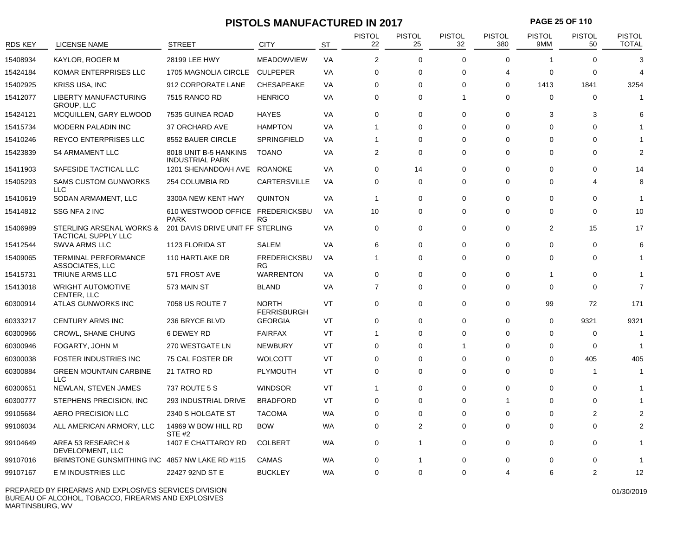### **PISTOLS MANUFACTURED IN 2017 PAGE 25 OF 110**

| <b>RDS KEY</b> | LICENSE NAME                                           | <b>STREET</b>                                   | CITY                               | <b>ST</b> | <b>PISTOL</b><br>22 | <b>PISTOL</b><br>25 | <b>PISTOL</b><br>32 | <b>PISTOL</b><br>380 | <b>PISTOL</b><br>9MM | <b>PISTOL</b><br>50 | PISTOL<br><b>TOTAL</b> |
|----------------|--------------------------------------------------------|-------------------------------------------------|------------------------------------|-----------|---------------------|---------------------|---------------------|----------------------|----------------------|---------------------|------------------------|
| 15408934       | KAYLOR. ROGER M                                        | 28199 LEE HWY                                   | <b>MEADOWVIEW</b>                  | VA        | 2                   | 0                   | $\Omega$            | $\mathbf 0$          | -1                   | $\Omega$            | 3                      |
| 15424184       | KOMAR ENTERPRISES LLC                                  | 1705 MAGNOLIA CIRCLE                            | <b>CULPEPER</b>                    | VA        | $\mathbf 0$         | 0                   | $\Omega$            | $\overline{4}$       | 0                    | 0                   | 4                      |
| 15402925       | KRISS USA, INC                                         | 912 CORPORATE LANE                              | CHESAPEAKE                         | VA        | $\Omega$            | $\Omega$            | $\Omega$            | $\Omega$             | 1413                 | 1841                | 3254                   |
| 15412077       | <b>LIBERTY MANUFACTURING</b><br><b>GROUP, LLC</b>      | 7515 RANCO RD                                   | <b>HENRICO</b>                     | VA        | $\Omega$            | $\Omega$            | 1                   | $\mathbf 0$          | $\Omega$             | $\Omega$            |                        |
| 15424121       | MCQUILLEN, GARY ELWOOD                                 | 7535 GUINEA ROAD                                | <b>HAYES</b>                       | VA        | 0                   | 0                   | $\Omega$            | $\mathbf 0$          | 3                    | 3                   |                        |
| 15415734       | <b>MODERN PALADIN INC</b>                              | 37 ORCHARD AVE                                  | <b>HAMPTON</b>                     | VA        | $\overline{1}$      | 0                   | $\Omega$            | $\mathbf 0$          | $\Omega$             | $\Omega$            |                        |
| 15410246       | <b>REYCO ENTERPRISES LLC</b>                           | 8552 BAUER CIRCLE                               | <b>SPRINGFIELD</b>                 | VA        | -1                  | 0                   | $\Omega$            | $\Omega$             | 0                    | $\Omega$            |                        |
| 15423839       | <b>S4 ARMAMENT LLC</b>                                 | 8018 UNIT B-5 HANKINS<br><b>INDUSTRIAL PARK</b> | <b>TOANO</b>                       | VA        | 2                   | $\Omega$            | $\Omega$            | $\Omega$             | $\Omega$             | $\Omega$            | 2                      |
| 15411903       | SAFESIDE TACTICAL LLC                                  | 1201 SHENANDOAH AVE                             | <b>ROANOKE</b>                     | <b>VA</b> | $\Omega$            | 14                  | $\Omega$            | $\Omega$             | $\Omega$             | $\Omega$            | 14                     |
| 15405293       | <b>SAMS CUSTOM GUNWORKS</b><br><b>LLC</b>              | 254 COLUMBIA RD                                 | <b>CARTERSVILLE</b>                | VA        | $\mathbf 0$         | 0                   | 0                   | 0                    | 0                    | 4                   | 8                      |
| 15410619       | SODAN ARMAMENT, LLC                                    | 3300A NEW KENT HWY                              | <b>QUINTON</b>                     | VA        | $\mathbf{1}$        | 0                   | $\Omega$            | $\mathbf 0$          | 0                    | 0                   | -1                     |
| 15414812       | SSG NFA 2 INC                                          | 610 WESTWOOD OFFICE FREDERICKSBU<br><b>PARK</b> | RG                                 | VA        | 10                  | 0                   | $\Omega$            | $\Omega$             | $\Omega$             | $\Omega$            | 10                     |
| 15406989       | STERLING ARSENAL WORKS &<br><b>TACTICAL SUPPLY LLC</b> | 201 DAVIS DRIVE UNIT FF STERLING                |                                    | <b>VA</b> | $\mathbf 0$         | 0                   | $\mathbf 0$         | $\mathbf 0$          | 2                    | 15                  | 17                     |
| 15412544       | <b>SWVA ARMS LLC</b>                                   | 1123 FLORIDA ST                                 | <b>SALEM</b>                       | VA        | 6                   | 0                   | $\Omega$            | $\mathbf 0$          | $\Omega$             | $\mathbf 0$         | 6                      |
| 15409065       | <b>TERMINAL PERFORMANCE</b><br>ASSOCIATES, LLC         | 110 HARTLAKE DR                                 | <b>FREDERICKSBU</b><br><b>RG</b>   | VA        | $\mathbf{1}$        | 0                   | $\Omega$            | $\mathbf 0$          | 0                    | 0                   |                        |
| 15415731       | <b>TRIUNE ARMS LLC</b>                                 | 571 FROST AVE                                   | <b>WARRENTON</b>                   | VA        | $\mathbf 0$         | 0                   | $\Omega$            | 0                    | -1                   | 0                   |                        |
| 15413018       | <b>WRIGHT AUTOMOTIVE</b><br>CENTER, LLC                | 573 MAIN ST                                     | <b>BLAND</b>                       | VA        | $\overline{7}$      | 0                   | $\Omega$            | $\mathbf 0$          | $\Omega$             | $\Omega$            | $\overline{7}$         |
| 60300914       | ATLAS GUNWORKS INC                                     | 7058 US ROUTE 7                                 | <b>NORTH</b><br><b>FERRISBURGH</b> | VT        | $\mathbf 0$         | 0                   | $\Omega$            | $\mathbf 0$          | 99                   | 72                  | 171                    |
| 60333217       | <b>CENTURY ARMS INC</b>                                | 236 BRYCE BLVD                                  | <b>GEORGIA</b>                     | VT        | $\mathbf 0$         | 0                   | $\Omega$            | $\mathbf 0$          | $\mathbf 0$          | 9321                | 9321                   |
| 60300966       | <b>CROWL, SHANE CHUNG</b>                              | 6 DEWEY RD                                      | <b>FAIRFAX</b>                     | VT        | $\overline{1}$      | 0                   | $\Omega$            | 0                    | 0                    | 0                   | -1                     |
| 60300946       | FOGARTY, JOHN M                                        | 270 WESTGATE LN                                 | <b>NEWBURY</b>                     | VT        | $\mathbf 0$         | $\Omega$            | 1                   | $\Omega$             | $\Omega$             | $\mathbf 0$         | -1                     |
| 60300038       | FOSTER INDUSTRIES INC                                  | 75 CAL FOSTER DR                                | <b>WOLCOTT</b>                     | VT        | 0                   | 0                   | $\Omega$            | 0                    | 0                    | 405                 | 405                    |
| 60300884       | <b>GREEN MOUNTAIN CARBINE</b><br><b>LLC</b>            | 21 TATRO RD                                     | <b>PLYMOUTH</b>                    | VT        | $\mathbf 0$         | 0                   | $\Omega$            | 0                    | $\Omega$             | $\mathbf 1$         |                        |
| 60300651       | NEWLAN, STEVEN JAMES                                   | 737 ROUTE 5 S                                   | <b>WINDSOR</b>                     | VT        | $\overline{1}$      | 0                   | $\Omega$            | $\mathbf 0$          | $\Omega$             | 0                   |                        |
| 60300777       | STEPHENS PRECISION, INC                                | 293 INDUSTRIAL DRIVE                            | <b>BRADFORD</b>                    | VT        | 0                   | 0                   | $\Omega$            | -1                   | $\Omega$             | 0                   |                        |
| 99105684       | <b>AERO PRECISION LLC</b>                              | 2340 S HOLGATE ST                               | <b>TACOMA</b>                      | <b>WA</b> | $\mathbf 0$         | 0                   | $\Omega$            | $\mathbf 0$          | $\Omega$             | 2                   |                        |
| 99106034       | ALL AMERICAN ARMORY, LLC                               | 14969 W BOW HILL RD<br>STE #2                   | <b>BOW</b>                         | <b>WA</b> | $\mathbf 0$         | 2                   | 0                   | 0                    | 0                    | $\Omega$            |                        |
| 99104649       | AREA 53 RESEARCH &<br>DEVELOPMENT, LLC                 | 1407 E CHATTAROY RD                             | <b>COLBERT</b>                     | <b>WA</b> | 0                   | $\mathbf{1}$        | 0                   | 0                    | 0                    | 0                   |                        |
| 99107016       | BRIMSTONE GUNSMITHING INC                              | 4857 NW LAKE RD #115                            | CAMAS                              | WA        | 0                   |                     | $\Omega$            | $\Omega$             | $\Omega$             | $\Omega$            |                        |
| 99107167       | E M INDUSTRIES LLC                                     | 22427 92ND ST E                                 | <b>BUCKLEY</b>                     | <b>WA</b> | $\Omega$            | $\Omega$            | $\Omega$            | 4                    | 6                    | $\mathcal{P}$       | 12                     |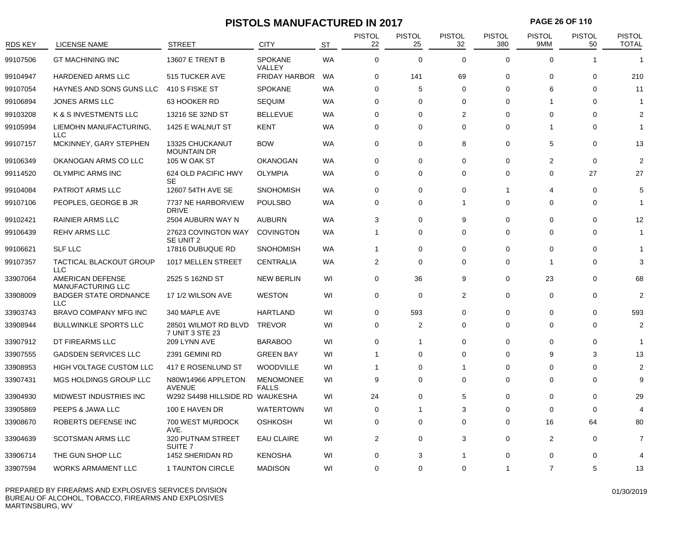# **PISTOLS MANUFACTURED IN 2017 PAGE 26 OF 110**

| <b>RDS KEY</b> | <b>LICENSE NAME</b>                          | <b>STREET</b>                           | <b>CITY</b>                      | <b>ST</b> | <b>PISTOL</b><br>22 | PISTOL<br>25   | <b>PISTOL</b><br>32 | <b>PISTOL</b><br>380 | <b>PISTOL</b><br>9MM | <b>PISTOL</b><br>50 | <b>PISTOL</b><br><b>TOTAL</b> |
|----------------|----------------------------------------------|-----------------------------------------|----------------------------------|-----------|---------------------|----------------|---------------------|----------------------|----------------------|---------------------|-------------------------------|
| 99107506       | <b>GT MACHINING INC</b>                      | 13607 E TRENT B                         | <b>SPOKANE</b><br>VALLEY         | <b>WA</b> | 0                   | $\Omega$       | $\Omega$            | $\Omega$             | $\Omega$             |                     | 1                             |
| 99104947       | <b>HARDENED ARMS LLC</b>                     | 515 TUCKER AVE                          | <b>FRIDAY HARBOR</b>             | <b>WA</b> | 0                   | 141            | 69                  | $\mathbf 0$          | $\Omega$             | 0                   | 210                           |
| 99107054       | HAYNES AND SONS GUNS LLC                     | 410 S FISKE ST                          | <b>SPOKANE</b>                   | <b>WA</b> | $\mathbf 0$         | 5              | $\Omega$            | $\Omega$             | 6                    | $\Omega$            | 11                            |
| 99106894       | <b>JONES ARMS LLC</b>                        | 63 HOOKER RD                            | <b>SEQUIM</b>                    | WA        | $\mathbf 0$         | $\Omega$       | $\Omega$            | 0                    | -1                   | $\Omega$            | -1                            |
| 99103208       | K & S INVESTMENTS LLC                        | 13216 SE 32ND ST                        | <b>BELLEVUE</b>                  | <b>WA</b> | 0                   | $\Omega$       | 2                   | 0                    | $\Omega$             | $\Omega$            | 2                             |
| 99105994       | LIEMOHN MANUFACTURING,<br>LLC                | 1425 E WALNUT ST                        | <b>KENT</b>                      | WA        | $\mathbf 0$         | $\Omega$       | $\mathbf 0$         | 0                    |                      | $\Omega$            |                               |
| 99107157       | MCKINNEY, GARY STEPHEN                       | 13325 CHUCKANUT<br><b>MOUNTAIN DR</b>   | <b>BOW</b>                       | WA        | $\mathbf 0$         | $\Omega$       | 8                   | 0                    | 5                    | $\Omega$            | 13                            |
| 99106349       | OKANOGAN ARMS CO LLC                         | <b>105 W OAK ST</b>                     | <b>OKANOGAN</b>                  | WA        | 0                   | 0              | $\mathbf 0$         | $\Omega$             | 2                    | $\Omega$            | 2                             |
| 99114520       | <b>OLYMPIC ARMS INC</b>                      | 624 OLD PACIFIC HWY<br>SE               | <b>OLYMPIA</b>                   | <b>WA</b> | $\Omega$            | $\Omega$       | $\Omega$            | $\mathbf 0$          | $\Omega$             | 27                  | 27                            |
| 99104084       | <b>PATRIOT ARMS LLC</b>                      | 12607 54TH AVE SE                       | <b>SNOHOMISH</b>                 | WA        | 0                   | 0              | $\mathbf 0$         | -1                   | 4                    | $\Omega$            | 5                             |
| 99107106       | PEOPLES, GEORGE B JR                         | 7737 NE HARBORVIEW<br><b>DRIVE</b>      | <b>POULSBO</b>                   | WA        | 0                   | $\Omega$       | -1                  | 0                    | 0                    | $\Omega$            | -1                            |
| 99102421       | <b>RAINIER ARMS LLC</b>                      | 2504 AUBURN WAY N                       | <b>AUBURN</b>                    | WA        | 3                   | $\Omega$       | 9                   | $\Omega$             | $\Omega$             | $\Omega$            | 12                            |
| 99106439       | <b>REHV ARMS LLC</b>                         | 27623 COVINGTON WAY<br>SE UNIT 2        | <b>COVINGTON</b>                 | WA        | 1                   | $\Omega$       | $\Omega$            | $\mathbf 0$          | 0                    | $\Omega$            | 1                             |
| 99106621       | <b>SLF LLC</b>                               | 17816 DUBUQUE RD                        | <b>SNOHOMISH</b>                 | WA        | $\mathbf{1}$        | $\Omega$       | $\Omega$            | 0                    | $\Omega$             | $\Omega$            | 1                             |
| 99107357       | <b>TACTICAL BLACKOUT GROUP</b><br><b>LLC</b> | 1017 MELLEN STREET                      | <b>CENTRALIA</b>                 | WA        | 2                   | 0              | $\mathbf 0$         | 0                    | -1                   | $\Omega$            | 3                             |
| 33907064       | AMERICAN DEFENSE<br><b>MANUFACTURING LLC</b> | 2525 S 162ND ST                         | <b>NEW BERLIN</b>                | WI        | $\Omega$            | 36             | 9                   | 0                    | 23                   | $\Omega$            | 68                            |
| 33908009       | <b>BADGER STATE ORDNANCE</b><br>LLC          | 17 1/2 WILSON AVE                       | <b>WESTON</b>                    | WI        | 0                   | 0              | 2                   | $\Omega$             | 0                    | $\Omega$            | 2                             |
| 33903743       | BRAVO COMPANY MFG INC                        | 340 MAPLE AVE                           | <b>HARTLAND</b>                  | WI        | 0                   | 593            | $\Omega$            | $\Omega$             | $\Omega$             | $\Omega$            | 593                           |
| 33908944       | <b>BULLWINKLE SPORTS LLC</b>                 | 28501 WILMOT RD BLVD<br>7 UNIT 3 STE 23 | <b>TREVOR</b>                    | WI        | $\Omega$            | $\overline{2}$ | $\Omega$            | $\Omega$             | $\Omega$             | $\Omega$            | 2                             |
| 33907912       | DT FIREARMS LLC                              | 209 LYNN AVE                            | <b>BARABOO</b>                   | WI        | 0                   | -1             | $\mathbf 0$         | 0                    | 0                    | 0                   | 1                             |
| 33907555       | <b>GADSDEN SERVICES LLC</b>                  | 2391 GEMINI RD                          | <b>GREEN BAY</b>                 | WI        | 1                   | $\Omega$       | $\Omega$            | 0                    | 9                    | 3                   | 13                            |
| 33908953       | HIGH VOLTAGE CUSTOM LLC                      | 417 E ROSENLUND ST                      | <b>WOODVILLE</b>                 | WI        | 1                   | $\Omega$       | -1                  | 0                    | $\Omega$             | $\Omega$            | $\overline{2}$                |
| 33907431       | MGS HOLDINGS GROUP LLC                       | N80W14966 APPLETON<br><b>AVENUE</b>     | <b>MENOMONEE</b><br><b>FALLS</b> | WI        | 9                   | $\mathbf 0$    | $\Omega$            | $\Omega$             | $\Omega$             | $\Omega$            | $\mathbf{Q}$                  |
| 33904930       | MIDWEST INDUSTRIES INC                       | W292 S4498 HILLSIDE RD WAUKESHA         |                                  | WI        | 24                  | 0              | 5                   | 0                    | 0                    | $\Omega$            | 29                            |
| 33905869       | PEEPS & JAWA LLC                             | 100 E HAVEN DR                          | <b>WATERTOWN</b>                 | WI        | $\mathbf 0$         | -1             | 3                   | $\mathbf 0$          | 0                    | $\Omega$            |                               |
| 33908670       | ROBERTS DEFENSE INC                          | 700 WEST MURDOCK<br>AVE.                | <b>OSHKOSH</b>                   | WI        | $\mathbf 0$         | $\mathbf 0$    | $\Omega$            | $\mathbf 0$          | 16                   | 64                  | 80                            |
| 33904639       | <b>SCOTSMAN ARMS LLC</b>                     | 320 PUTNAM STREET<br>SUITE <sub>7</sub> | EAU CLAIRE                       | WI        | $\mathbf{2}$        | 0              | 3                   | 0                    | $\overline{2}$       | $\Omega$            | 7                             |
| 33906714       | THE GUN SHOP LLC                             | 1452 SHERIDAN RD                        | <b>KENOSHA</b>                   | WI        | 0                   | 3              |                     | $\Omega$             | $\Omega$             | $\Omega$            |                               |
| 33907594       | <b>WORKS ARMAMENT LLC</b>                    | 1 TAUNTON CIRCLE                        | <b>MADISON</b>                   | WI        | $\Omega$            | $\Omega$       | $\Omega$            | -1                   | $\overline{7}$       | 5                   | 13                            |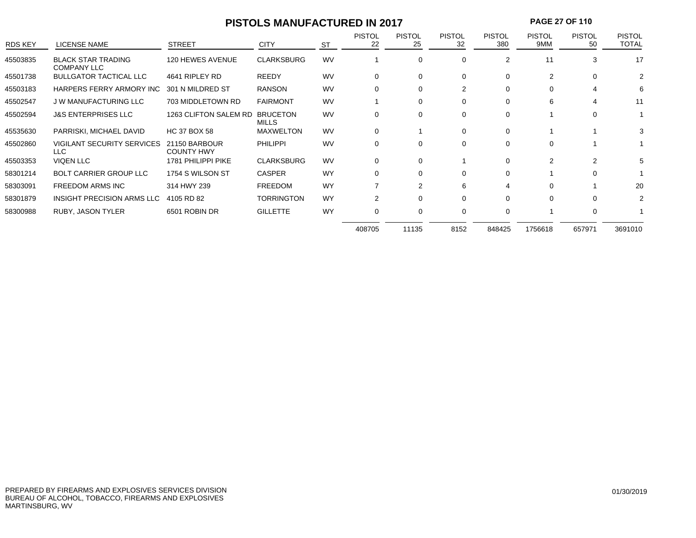# **PISTOLS MANUFACTURED IN 2017 PAGE 27 OF 110**

| <b>RDS KEY</b> | <b>LICENSE NAME</b>                             | <b>STREET</b>                      | <b>CITY</b>              | <b>ST</b> | <b>PISTOL</b><br>22 | <b>PISTOL</b><br>25 | <b>PISTOL</b><br>32 | <b>PISTOL</b><br>380 | <b>PISTOL</b><br>9MM | <b>PISTOL</b><br>50 | <b>PISTOL</b><br><b>TOTAL</b> |
|----------------|-------------------------------------------------|------------------------------------|--------------------------|-----------|---------------------|---------------------|---------------------|----------------------|----------------------|---------------------|-------------------------------|
| 45503835       | <b>BLACK STAR TRADING</b><br><b>COMPANY LLC</b> | 120 HEWES AVENUE                   | <b>CLARKSBURG</b>        | <b>WV</b> |                     | 0                   | 0                   | 2                    | 11                   | 3                   | 17                            |
| 45501738       | <b>BULLGATOR TACTICAL LLC</b>                   | 4641 RIPLEY RD                     | <b>REEDY</b>             | <b>WV</b> | 0                   | 0                   | $\Omega$            | 0                    | $\overline{2}$       | $\Omega$            | 2                             |
| 45503183       | HARPERS FERRY ARMORY INC                        | 301 N MILDRED ST                   | <b>RANSON</b>            | <b>WV</b> | $\Omega$            | $\Omega$            | 2                   | $\Omega$             |                      | 4                   | 6                             |
| 45502547       | <b>J W MANUFACTURING LLC</b>                    | 703 MIDDLETOWN RD                  | <b>FAIRMONT</b>          | <b>WV</b> |                     | $\Omega$            | 0                   | $\Omega$             | 6                    | 4                   | 11                            |
| 45502594       | <b>J&amp;S ENTERPRISES LLC</b>                  | 1263 CLIFTON SALEM RD              | <b>BRUCETON</b><br>MILLS | <b>WV</b> | 0                   | 0                   | 0                   | 0                    |                      | $\Omega$            |                               |
| 45535630       | PARRISKI, MICHAEL DAVID                         | <b>HC 37 BOX 58</b>                | <b>MAXWELTON</b>         | <b>WV</b> | 0                   |                     | $\Omega$            | $\Omega$             |                      |                     | 3                             |
| 45502860       | <b>VIGILANT SECURITY SERVICES</b><br>LLC.       | 21150 BARBOUR<br><b>COUNTY HWY</b> | <b>PHILIPPI</b>          | <b>WV</b> | 0                   | 0                   | 0                   | 0                    | $\Omega$             |                     |                               |
| 45503353       | <b>VIQEN LLC</b>                                | 1781 PHILIPPI PIKE                 | <b>CLARKSBURG</b>        | <b>WV</b> | 0                   | 0                   |                     | $\Omega$             | $\mathcal{P}$        | 2                   | 5                             |
| 58301214       | <b>BOLT CARRIER GROUP LLC</b>                   | 1754 S WILSON ST                   | <b>CASPER</b>            | <b>WY</b> | 0                   | $\Omega$            | 0                   | $\Omega$             |                      | $\Omega$            |                               |
| 58303091       | <b>FREEDOM ARMS INC</b>                         | 314 HWY 239                        | <b>FREEDOM</b>           | <b>WY</b> |                     | 2                   | 6                   | 4                    | $\Omega$             |                     | 20                            |
| 58301879       | INSIGHT PRECISION ARMS LLC                      | 4105 RD 82                         | <b>TORRINGTON</b>        | <b>WY</b> | 2                   | $\Omega$            | $\Omega$            | $\Omega$             | $\Omega$             | $\Omega$            | 2                             |
| 58300988       | RUBY, JASON TYLER                               | 6501 ROBIN DR                      | <b>GILLETTE</b>          | <b>WY</b> | $\Omega$            | 0                   | 0                   | 0                    |                      | $\Omega$            |                               |
|                |                                                 |                                    |                          |           | 408705              | 11135               | 8152                | 848425               | 1756618              | 657971              | 3691010                       |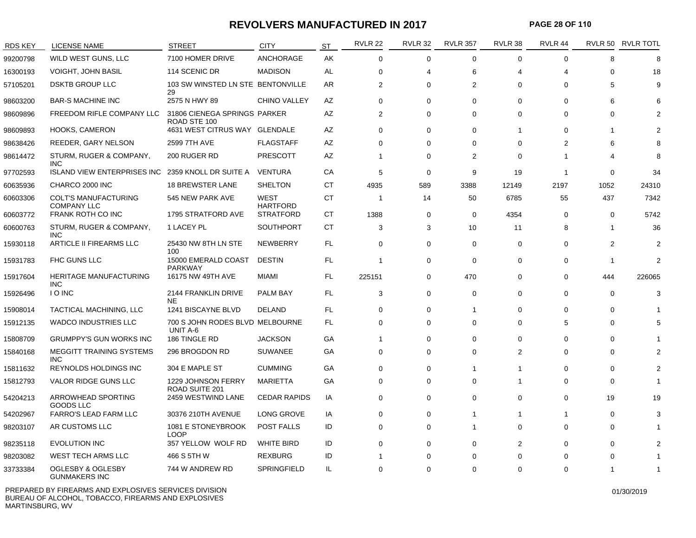#### **REVOLVERS MANUFACTURED IN 2017**

**PAGE 28 OF 110**

| <b>RDS KEY</b> | <b>LICENSE NAME</b>                                  | <b>STREET</b>                                | <b>CITY</b>             | <b>ST</b> | <b>RVLR 22</b> | <b>RVLR 32</b> | <b>RVLR 357</b> | RVLR 38        | RVLR 44                  |                | RVLR 50 RVLR TOTL |
|----------------|------------------------------------------------------|----------------------------------------------|-------------------------|-----------|----------------|----------------|-----------------|----------------|--------------------------|----------------|-------------------|
| 99200798       | WILD WEST GUNS, LLC                                  | 7100 HOMER DRIVE                             | <b>ANCHORAGE</b>        | AK        | $\Omega$       | $\mathbf 0$    | $\Omega$        | $\mathbf 0$    | $\Omega$                 | 8              | 8                 |
| 16300193       | <b>VOIGHT, JOHN BASIL</b>                            | 114 SCENIC DR                                | <b>MADISON</b>          | AL        | $\Omega$       | 4              | 6               | 4              | 4                        | 0              | 18                |
| 57105201       | <b>DSKTB GROUP LLC</b>                               | 103 SW WINSTED LN STE BENTONVILLE<br>29      |                         | AR.       | 2              | $\Omega$       | 2               | $\Omega$       | $\Omega$                 | 5              | 9                 |
| 98603200       | <b>BAR-S MACHINE INC</b>                             | 2575 N HWY 89                                | <b>CHINO VALLEY</b>     | AZ        | $\mathbf 0$    | $\mathbf 0$    | $\mathbf 0$     | $\mathbf 0$    | $\Omega$                 | 6              | 6                 |
| 98609896       | FREEDOM RIFLE COMPANY LLC                            | 31806 CIENEGA SPRINGS PARKER<br>ROAD STE 100 |                         | AZ        | 2              | $\mathbf 0$    | $\mathbf 0$     | $\mathbf 0$    | $\Omega$                 | 0              | 2                 |
| 98609893       | <b>HOOKS, CAMERON</b>                                | 4631 WEST CITRUS WAY GLENDALE                |                         | AZ        | $\Omega$       | $\Omega$       | $\Omega$        | 1              | $\Omega$                 | 1              |                   |
| 98638426       | REEDER, GARY NELSON                                  | 2599 7TH AVE                                 | <b>FLAGSTAFF</b>        | AZ        | $\Omega$       | 0              | 0               | 0              | 2                        | 6              | 8                 |
| 98614472       | STURM, RUGER & COMPANY,<br><b>INC</b>                | 200 RUGER RD                                 | <b>PRESCOTT</b>         | AZ        | 1              | 0              | $\overline{2}$  | $\mathbf 0$    | $\overline{\phantom{a}}$ | 4              | 8                 |
| 97702593       | <b>ISLAND VIEW ENTERPRISES INC</b>                   | 2359 KNOLL DR SUITE A                        | VENTURA                 | CA        | 5              | $\mathbf 0$    | 9               | 19             | $\overline{1}$           | 0              | 34                |
| 60635936       | CHARCO 2000 INC                                      | <b>18 BREWSTER LANE</b>                      | <b>SHELTON</b>          | <b>CT</b> | 4935           | 589            | 3388            | 12149          | 2197                     | 1052           | 24310             |
| 60603306       | <b>COLT'S MANUFACTURING</b><br><b>COMPANY LLC</b>    | 545 NEW PARK AVE                             | WEST<br><b>HARTFORD</b> | <b>CT</b> | -1             | 14             | 50              | 6785           | 55                       | 437            | 7342              |
| 60603772       | FRANK ROTH CO INC                                    | 1795 STRATFORD AVE                           | <b>STRATFORD</b>        | СT        | 1388           | 0              | $\mathbf 0$     | 4354           | $\Omega$                 | 0              | 5742              |
| 60600763       | STURM, RUGER & COMPANY,<br><b>INC</b>                | 1 LACEY PL                                   | <b>SOUTHPORT</b>        | СT        | 3              | 3              | 10              | 11             | 8                        | 1              | 36                |
| 15930118       | ARTICLE II FIREARMS LLC                              | 25430 NW 8TH LN STE<br>100                   | <b>NEWBERRY</b>         | FL.       | $\Omega$       | 0              | 0               | 0              | $\Omega$                 | $\overline{2}$ | 2                 |
| 15931783       | FHC GUNS LLC                                         | 15000 EMERALD COAST<br><b>PARKWAY</b>        | <b>DESTIN</b>           | FL.       | -1             | $\mathbf 0$    | $\mathbf 0$     | $\mathbf 0$    | 0                        | -1             | $\overline{2}$    |
| 15917604       | <b>HERITAGE MANUFACTURING</b><br><b>INC</b>          | 16175 NW 49TH AVE                            | MIAMI                   | FL.       | 225151         | $\mathbf 0$    | 470             | $\mathbf 0$    | $\Omega$                 | 444            | 226065            |
| 15926496       | <b>IO INC</b>                                        | 2144 FRANKLIN DRIVE<br><b>NE</b>             | <b>PALM BAY</b>         | FL.       | 3              | 0              | $\Omega$        | 0              | $\Omega$                 | 0              | 3                 |
| 15908014       | TACTICAL MACHINING, LLC                              | 1241 BISCAYNE BLVD                           | <b>DELAND</b>           | FL.       | 0              | 0              | -1              | 0              | $\Omega$                 | 0              |                   |
| 15912135       | <b>WADCO INDUSTRIES LLC</b>                          | 700 S JOHN RODES BLVD MELBOURNE<br>UNIT A-6  |                         | FL.       | $\mathbf 0$    | $\mathbf 0$    | $\mathbf 0$     | $\mathbf 0$    | 5                        | 0              |                   |
| 15808709       | <b>GRUMPPY'S GUN WORKS INC</b>                       | 186 TINGLE RD                                | <b>JACKSON</b>          | GA        | 1              | 0              | $\Omega$        | $\Omega$       | 0                        | 0              |                   |
| 15840168       | <b>MEGGITT TRAINING SYSTEMS</b><br><b>INC</b>        | 296 BROGDON RD                               | <b>SUWANEE</b>          | GA        | $\Omega$       | $\Omega$       | $\Omega$        | $\overline{2}$ | $\Omega$                 | 0              |                   |
| 15811632       | <b>REYNOLDS HOLDINGS INC</b>                         | 304 E MAPLE ST                               | <b>CUMMING</b>          | GA        | $\Omega$       | 0              | 1               | 1              | $\Omega$                 | 0              |                   |
| 15812793       | VALOR RIDGE GUNS LLC                                 | 1229 JOHNSON FERRY<br>ROAD SUITE 201         | <b>MARIETTA</b>         | GA        | 0              | $\mathbf 0$    | $\mathbf 0$     | $\mathbf{1}$   | $\Omega$                 | 0              |                   |
| 54204213       | ARROWHEAD SPORTING<br><b>GOODS LLC</b>               | 2459 WESTWIND LANE                           | <b>CEDAR RAPIDS</b>     | IA        | $\Omega$       | $\mathbf 0$    | $\Omega$        | $\Omega$       | $\Omega$                 | 19             | 19                |
| 54202967       | <b>FARRO'S LEAD FARM LLC</b>                         | 30376 210TH AVENUE                           | LONG GROVE              | IA        | $\Omega$       | 0              | 1               | 1              | 1                        | 0              | 3                 |
| 98203107       | AR CUSTOMS LLC                                       | 1081 E STONEYBROOK<br>LOOP                   | <b>POST FALLS</b>       | ID        | 0              | $\mathbf 0$    | 1               | $\mathbf 0$    | $\Omega$                 | 0              |                   |
| 98235118       | <b>EVOLUTION INC</b>                                 | 357 YELLOW WOLF RD                           | <b>WHITE BIRD</b>       | ID        | $\Omega$       | 0              | $\Omega$        | $\overline{2}$ | $\Omega$                 | 0              | 2                 |
| 98203082       | <b>WEST TECH ARMS LLC</b>                            | 466 S 5TH W                                  | <b>REXBURG</b>          | ID        |                | 0              | $\Omega$        | $\Omega$       | $\Omega$                 | 0              |                   |
| 33733384       | <b>OGLESBY &amp; OGLESBY</b><br><b>GUNMAKERS INC</b> | 744 W ANDREW RD                              | SPRINGFIELD             | IL        | $\Omega$       | $\Omega$       | $\mathbf 0$     | $\mathbf 0$    | $\Omega$                 |                |                   |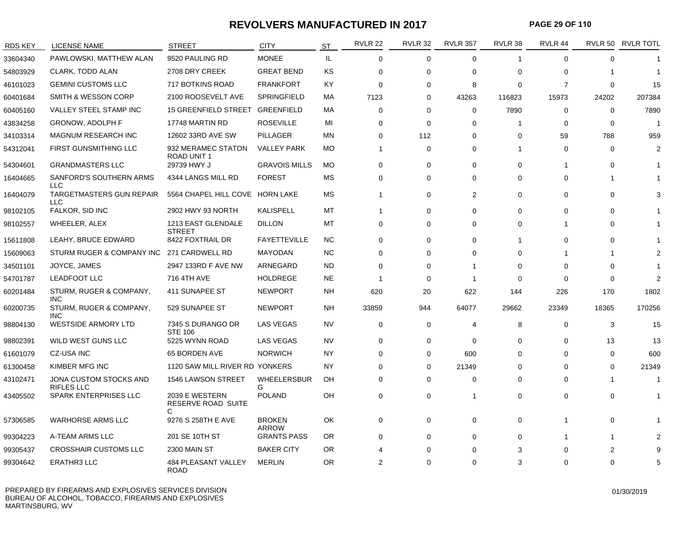#### **REVOLVERS MANUFACTURED IN 2017**

**PAGE 29 OF 110**

| <b>RDS KEY</b> | <b>LICENSE NAME</b>                           | <b>STREET</b>                             | <b>CITY</b>                   | <b>ST</b> | <b>RVLR 22</b> | <b>RVLR 32</b> | <b>RVLR 357</b> | RVLR 38      | RVLR 44        |             | RVLR 50 RVLR TOTL |
|----------------|-----------------------------------------------|-------------------------------------------|-------------------------------|-----------|----------------|----------------|-----------------|--------------|----------------|-------------|-------------------|
| 33604340       | PAWLOWSKI, MATTHEW ALAN                       | 9520 PAULING RD                           | <b>MONEE</b>                  | IL.       | $\mathbf 0$    | $\mathbf 0$    | $\mathbf 0$     | $\mathbf{1}$ | $\Omega$       | $\Omega$    |                   |
| 54803929       | CLARK, TODD ALAN                              | 2708 DRY CREEK                            | <b>GREAT BEND</b>             | <b>KS</b> | $\Omega$       | $\Omega$       | $\Omega$        | $\Omega$     | $\Omega$       |             | -1                |
| 46101023       | <b>GEMINI CUSTOMS LLC</b>                     | 717 BOTKINS ROAD                          | <b>FRANKFORT</b>              | KY        | 0              | 0              | 8               | $\mathbf 0$  | 7              | $\mathbf 0$ | 15                |
| 60401684       | SMITH & WESSON CORP                           | 2100 ROOSEVELT AVE                        | <b>SPRINGFIELD</b>            | МA        | 7123           | 0              | 43263           | 116823       | 15973          | 24202       | 207384            |
| 60405160       | VALLEY STEEL STAMP INC                        | <b>15 GREENFIELD STREET</b>               | <b>GREENFIELD</b>             | MA        | 0              | $\mathbf 0$    | 0               | 7890         | 0              | $\mathbf 0$ | 7890              |
| 43834258       | <b>GRONOW, ADOLPH F</b>                       | 17748 MARTIN RD                           | <b>ROSEVILLE</b>              | MI        | $\Omega$       | $\mathbf 0$    | $\mathbf 0$     | 1            | $\Omega$       | $\Omega$    | -1                |
| 34103314       | MAGNUM RESEARCH INC                           | 12602 33RD AVE SW                         | <b>PILLAGER</b>               | <b>MN</b> | 0              | 112            | $\mathbf 0$     | 0            | 59             | 788         | 959               |
| 54312041       | <b>FIRST GUNSMITHING LLC</b>                  | 932 MERAMEC STATON<br><b>ROAD UNIT 1</b>  | <b>VALLEY PARK</b>            | MO        | 1              | $\mathbf 0$    | $\Omega$        | $\mathbf 1$  | $\Omega$       | $\mathbf 0$ | $\overline{2}$    |
| 54304601       | <b>GRANDMASTERS LLC</b>                       | 29739 HWY J                               | <b>GRAVOIS MILLS</b>          | MO        | $\Omega$       | $\mathbf 0$    | $\mathbf 0$     | $\mathbf 0$  | $\overline{1}$ | $\Omega$    |                   |
| 16404665       | SANFORD'S SOUTHERN ARMS<br><b>LLC</b>         | 4344 LANGS MILL RD                        | <b>FOREST</b>                 | МS        | $\Omega$       | $\mathbf 0$    | $\Omega$        | $\Omega$     | $\Omega$       |             |                   |
| 16404079       | <b>TARGETMASTERS GUN REPAIR</b><br><b>LLC</b> | 5564 CHAPEL HILL COVE                     | <b>HORN LAKE</b>              | <b>MS</b> | 1              | $\mathbf 0$    | 2               | $\mathbf 0$  | $\Omega$       | $\Omega$    | 3                 |
| 98102105       | FALKOR, SID INC                               | 2902 HWY 93 NORTH                         | <b>KALISPELL</b>              | MT        | 1              | $\mathbf 0$    | $\mathbf 0$     | 0            | $\mathbf 0$    | $\Omega$    | 1                 |
| 98102557       | WHEELER, ALEX                                 | 1213 EAST GLENDALE<br><b>STREET</b>       | <b>DILLON</b>                 | MT        | $\Omega$       | $\mathbf 0$    | $\Omega$        | $\Omega$     | -1             | $\Omega$    | 1                 |
| 15611808       | LEAHY, BRUCE EDWARD                           | 8422 FOXTRAIL DR                          | <b>FAYETTEVILLE</b>           | <b>NC</b> | $\mathbf 0$    | $\mathbf 0$    | $\Omega$        | $\mathbf 1$  | $\mathbf 0$    | $\Omega$    | 1                 |
| 15609063       | STURM RUGER & COMPANY INC                     | 271 CARDWELL RD                           | <b>MAYODAN</b>                | <b>NC</b> | $\Omega$       | $\mathbf 0$    | 0               | $\mathbf 0$  | -1             |             | 2                 |
| 34501101       | JOYCE, JAMES                                  | 2947 133RD F AVE NW                       | ARNEGARD                      | <b>ND</b> | $\Omega$       | 0              | -1              | $\Omega$     | $\Omega$       | $\Omega$    |                   |
| 54701787       | <b>LEADFOOT LLC</b>                           | 716 4TH AVE                               | <b>HOLDREGE</b>               | <b>NE</b> | -1             | $\mathbf 0$    | $\mathbf{1}$    | $\mathbf 0$  | $\Omega$       | $\Omega$    | $\overline{2}$    |
| 60201484       | STURM, RUGER & COMPANY,<br><b>INC</b>         | 411 SUNAPEE ST                            | <b>NEWPORT</b>                | <b>NH</b> | 620            | 20             | 622             | 144          | 226            | 170         | 1802              |
| 60200735       | STURM, RUGER & COMPANY,<br><b>INC</b>         | 529 SUNAPEE ST                            | <b>NEWPORT</b>                | <b>NH</b> | 33859          | 944            | 64077           | 29662        | 23349          | 18365       | 170256            |
| 98804130       | <b>WESTSIDE ARMORY LTD</b>                    | 7345 S DURANGO DR<br><b>STE 106</b>       | <b>LAS VEGAS</b>              | <b>NV</b> | $\mathbf 0$    | 0              | 4               | 8            | $\mathbf 0$    | 3           | 15                |
| 98802391       | <b>WILD WEST GUNS LLC</b>                     | 5225 WYNN ROAD                            | LAS VEGAS                     | <b>NV</b> | $\Omega$       | $\mathbf 0$    | $\Omega$        | $\Omega$     | $\Omega$       | 13          | 13                |
| 61601079       | <b>CZ-USA INC</b>                             | 65 BORDEN AVE                             | <b>NORWICH</b>                | <b>NY</b> | 0              | $\mathbf 0$    | 600             | 0            | $\Omega$       | $\mathbf 0$ | 600               |
| 61300458       | KIMBER MFG INC                                | 1120 SAW MILL RIVER RD YONKERS            |                               | NY        | $\Omega$       | 0              | 21349           | 0            | $\Omega$       | $\mathbf 0$ | 21349             |
| 43102471       | JONA CUSTOM STOCKS AND<br><b>RIFLES LLC</b>   | 1546 LAWSON STREET                        | <b>WHEELERSBUR</b><br>G       | OH        | $\Omega$       | $\mathbf 0$    | $\Omega$        | 0            | $\Omega$       |             | $\mathbf{1}$      |
| 43405502       | SPARK ENTERPRISES LLC                         | 2039 E WESTERN<br>RESERVE ROAD SUITE<br>C | <b>POLAND</b>                 | OH        | $\Omega$       | $\mathbf 0$    | -1              | $\mathbf 0$  | $\mathbf 0$    | $\Omega$    | 1                 |
| 57306585       | <b>WARHORSE ARMS LLC</b>                      | 9276 S 258TH E AVE                        | <b>BROKEN</b><br><b>ARROW</b> | OK        | $\Omega$       | 0              | $\mathbf 0$     | $\mathbf 0$  | $\overline{1}$ | $\Omega$    |                   |
| 99304223       | A-TEAM ARMS LLC                               | 201 SE 10TH ST                            | <b>GRANTS PASS</b>            | OR.       | $\Omega$       | $\mathbf 0$    | $\Omega$        | $\Omega$     | $\overline{1}$ |             | $\overline{2}$    |
| 99305437       | <b>CROSSHAIR CUSTOMS LLC</b>                  | <b>2300 MAIN ST</b>                       | <b>BAKER CITY</b>             | 0R        |                | $\Omega$       | $\Omega$        | 3            | $\Omega$       | 2           | 9                 |
| 99304642       | <b>ERATHR3 LLC</b>                            | 484 PLEASANT VALLEY<br><b>ROAD</b>        | <b>MERLIN</b>                 | <b>OR</b> | $\overline{2}$ | 0              | $\Omega$        | 3            | 0              | $\Omega$    | 5                 |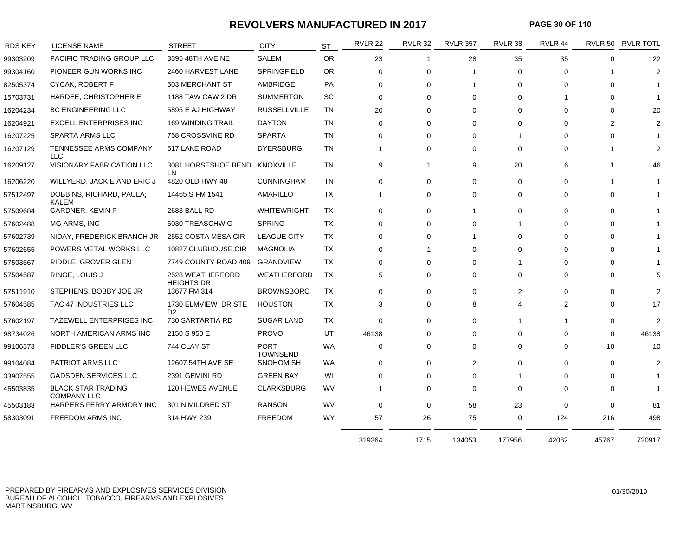#### **REVOLVERS MANUFACTURED IN 2017**

**PAGE 30 OF 110**

| <b>RDS KEY</b> | LICENSE NAME                                    | <b>STREET</b>                         | <b>CITY</b>                    | <b>ST</b> | <b>RVLR 22</b> | <b>RVLR 32</b> | <b>RVLR 357</b> | RVLR 38     | RVLR 44  |                | RVLR 50 RVLR TOTL |
|----------------|-------------------------------------------------|---------------------------------------|--------------------------------|-----------|----------------|----------------|-----------------|-------------|----------|----------------|-------------------|
| 99303209       | PACIFIC TRADING GROUP LLC                       | 3395 48TH AVE NE                      | <b>SALEM</b>                   | <b>OR</b> | 23             | $\mathbf{1}$   | 28              | 35          | 35       | $\Omega$       | 122               |
| 99304160       | PIONEER GUN WORKS INC                           | 2460 HARVEST LANE                     | SPRINGFIELD                    | OR.       | $\Omega$       | $\Omega$       | -1              | 0           | $\Omega$ |                | $\overline{2}$    |
| 82505374       | CYCAK, ROBERT F                                 | 503 MERCHANT ST                       | AMBRIDGE                       | PA        | $\Omega$       | $\Omega$       | -1              | 0           | $\Omega$ | 0              |                   |
| 15703731       | HARDEE, CHRISTOPHER E                           | 1188 TAW CAW 2 DR                     | <b>SUMMERTON</b>               | SC        | 0              | 0              | 0               | 0           |          | 0              |                   |
| 16204234       | <b>BC ENGINEERING LLC</b>                       | 5895 E AJ HIGHWAY                     | <b>RUSSELLVILLE</b>            | TN        | 20             | $\Omega$       | 0               | $\Omega$    | $\Omega$ | 0              | 20                |
| 16204921       | <b>EXCELL ENTERPRISES INC</b>                   | <b>169 WINDING TRAIL</b>              | <b>DAYTON</b>                  | TN        | $\Omega$       | 0              | $\Omega$        | $\Omega$    | $\Omega$ | $\overline{2}$ | $\overline{2}$    |
| 16207225       | <b>SPARTA ARMS LLC</b>                          | 758 CROSSVINE RD                      | <b>SPARTA</b>                  | TN        | 0              | $\Omega$       | $\Omega$        |             | $\Omega$ | 0              |                   |
| 16207129       | TENNESSEE ARMS COMPANY<br><b>LLC</b>            | 517 LAKE ROAD                         | <b>DYERSBURG</b>               | TN        | -1             | 0              | $\Omega$        | $\mathbf 0$ | $\Omega$ |                | $\overline{2}$    |
| 16209127       | <b>VISIONARY FABRICATION LLC</b>                | 3081 HORSESHOE BEND<br>LN             | KNOXVILLE                      | TN        | 9              | -1             | 9               | 20          | 6        |                | 46                |
| 16206220       | WILLYERD, JACK E AND ERIC J                     | 4820 OLD HWY 48                       | <b>CUNNINGHAM</b>              | <b>TN</b> | $\Omega$       | $\Omega$       | $\Omega$        | 0           | $\Omega$ |                |                   |
| 57512497       | DOBBINS, RICHARD, PAULA;<br>KALEM               | 14465 S FM 1541                       | <b>AMARILLO</b>                | <b>TX</b> |                | $\mathbf 0$    | 0               | 0           | $\Omega$ | 0              |                   |
| 57509684       | <b>GARDNER, KEVIN P</b>                         | 2683 BALL RD                          | <b>WHITEWRIGHT</b>             | <b>TX</b> | 0              | $\mathbf 0$    |                 | $\mathbf 0$ | $\Omega$ | 0              |                   |
| 57602488       | MG ARMS, INC                                    | 6030 TREASCHWIG                       | <b>SPRING</b>                  | TX        | $\Omega$       | $\Omega$       | 0               |             | $\Omega$ | 0              |                   |
| 57602739       | NIDAY, FREDERICK BRANCH JR                      | 2552 COSTA MESA CIR                   | <b>LEAGUE CITY</b>             | TX        | $\Omega$       | $\Omega$       | -1              | $\Omega$    | $\Omega$ | 0              |                   |
| 57602655       | POWERS METAL WORKS LLC                          | 10827 CLUBHOUSE CIR                   | <b>MAGNOLIA</b>                | TX        | 0              |                | $\Omega$        | 0           | $\Omega$ | 0              |                   |
| 57503567       | RIDDLE, GROVER GLEN                             | 7749 COUNTY ROAD 409                  | <b>GRANDVIEW</b>               | <b>TX</b> | 0              | $\Omega$       | $\Omega$        |             | $\Omega$ | 0              |                   |
| 57504587       | RINGE, LOUIS J                                  | 2528 WEATHERFORD<br><b>HEIGHTS DR</b> | <b>WEATHERFORD</b>             | TX        | 5              | 0              | $\Omega$        | 0           | $\Omega$ | 0              | 5                 |
| 57511910       | STEPHENS, BOBBY JOE JR                          | 13677 FM 314                          | <b>BROWNSBORO</b>              | <b>TX</b> | $\Omega$       | $\Omega$       | $\Omega$        | 2           | $\Omega$ | 0              | $\mathcal{P}$     |
| 57604585       | TAC 47 INDUSTRIES LLC                           | 1730 ELMVIEW DR STE<br>D <sub>2</sub> | <b>HOUSTON</b>                 | <b>TX</b> | 3              | 0              | 8               | 4           | 2        | 0              | 17                |
| 57602197       | TAZEWELL ENTERPRISES INC                        | 730 SARTARTIA RD                      | <b>SUGAR LAND</b>              | TX        | $\mathbf 0$    | 0              | 0               |             |          | 0              | $\overline{2}$    |
| 98734026       | NORTH AMERICAN ARMS INC                         | 2150 S 950 E                          | <b>PROVO</b>                   | UT        | 46138          | $\Omega$       | 0               | $\Omega$    | $\Omega$ | 0              | 46138             |
| 99106373       | <b>FIDDLER'S GREEN LLC</b>                      | 744 CLAY ST                           | <b>PORT</b><br><b>TOWNSEND</b> | WA        | 0              | 0              | $\Omega$        | 0           | $\Omega$ | 10             | 10                |
| 99104084       | <b>PATRIOT ARMS LLC</b>                         | 12607 54TH AVE SE                     | <b>SNOHOMISH</b>               | WA.       | 0              | $\Omega$       | 2               | $\Omega$    | $\Omega$ | 0              | $\mathcal{P}$     |
| 33907555       | <b>GADSDEN SERVICES LLC</b>                     | 2391 GEMINI RD                        | <b>GREEN BAY</b>               | WI        | 0              | $\Omega$       | $\Omega$        |             | $\Omega$ | 0              |                   |
| 45503835       | <b>BLACK STAR TRADING</b><br><b>COMPANY LLC</b> | 120 HEWES AVENUE                      | <b>CLARKSBURG</b>              | <b>WV</b> |                | $\Omega$       | $\Omega$        | 0           | $\Omega$ | 0              |                   |
| 45503183       | HARPERS FERRY ARMORY INC                        | 301 N MILDRED ST                      | <b>RANSON</b>                  | WV        | 0              | 0              | 58              | 23          | $\Omega$ | 0              | 81                |
| 58303091       | FREEDOM ARMS INC                                | 314 HWY 239                           | <b>FREEDOM</b>                 | <b>WY</b> | 57             | 26             | 75              | 0           | 124      | 216            | 498               |
|                |                                                 |                                       |                                |           | 319364         | 1715           | 134053          | 177956      | 42062    | 45767          | 720917            |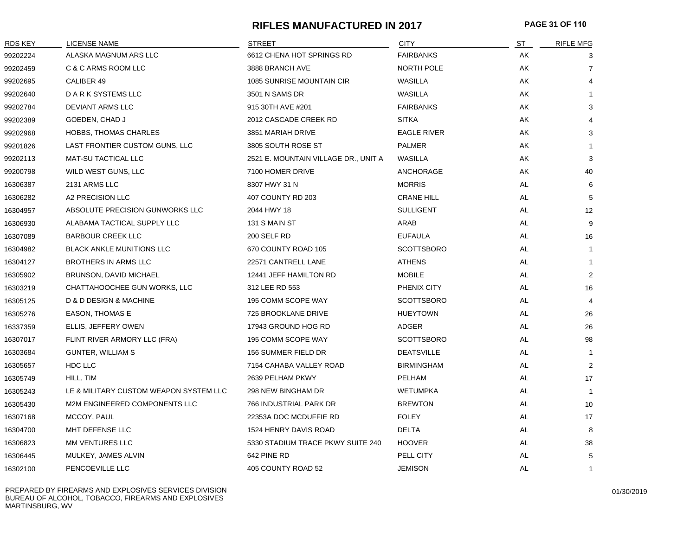#### **RIFLES MANUFACTURED IN 2017 PAGE 31 OF 110**

| <b>RDS KEY</b> | LICENSE NAME                           | <b>STREET</b>                        | <b>CITY</b>        | <u>ST</u> | <b>RIFLE MFG</b> |
|----------------|----------------------------------------|--------------------------------------|--------------------|-----------|------------------|
| 99202224       | ALASKA MAGNUM ARS LLC                  | 6612 CHENA HOT SPRINGS RD            | <b>FAIRBANKS</b>   | AK        | 3                |
| 99202459       | C & C ARMS ROOM LLC                    | 3888 BRANCH AVE                      | NORTH POLE         | AK        | $\overline{7}$   |
| 99202695       | CALIBER 49                             | 1085 SUNRISE MOUNTAIN CIR            | WASILLA            | AK        | 4                |
| 99202640       | D A R K SYSTEMS LLC                    | 3501 N SAMS DR                       | WASILLA            | AK        |                  |
| 99202784       | DEVIANT ARMS LLC                       | 915 30TH AVE #201                    | <b>FAIRBANKS</b>   | AK        | 3                |
| 99202389       | GOEDEN, CHAD J                         | 2012 CASCADE CREEK RD                | <b>SITKA</b>       | AK        |                  |
| 99202968       | <b>HOBBS, THOMAS CHARLES</b>           | 3851 MARIAH DRIVE                    | <b>EAGLE RIVER</b> | AK        | 3                |
| 99201826       | LAST FRONTIER CUSTOM GUNS, LLC         | 3805 SOUTH ROSE ST                   | <b>PALMER</b>      | AK        |                  |
| 99202113       | <b>MAT-SU TACTICAL LLC</b>             | 2521 E. MOUNTAIN VILLAGE DR., UNIT A | WASILLA            | AK        | 3                |
| 99200798       | WILD WEST GUNS, LLC                    | 7100 HOMER DRIVE                     | ANCHORAGE          | AK        | 40               |
| 16306387       | 2131 ARMS LLC                          | 8307 HWY 31 N                        | <b>MORRIS</b>      | AL        | 6                |
| 16306282       | A2 PRECISION LLC                       | 407 COUNTY RD 203                    | <b>CRANE HILL</b>  | AL        | 5                |
| 16304957       | ABSOLUTE PRECISION GUNWORKS LLC        | 2044 HWY 18                          | <b>SULLIGENT</b>   | AL        | 12               |
| 16306930       | ALABAMA TACTICAL SUPPLY LLC            | 131 S MAIN ST                        | ARAB               | AL        | 9                |
| 16307089       | <b>BARBOUR CREEK LLC</b>               | 200 SELF RD                          | <b>EUFAULA</b>     | AL        | 16               |
| 16304982       | <b>BLACK ANKLE MUNITIONS LLC</b>       | 670 COUNTY ROAD 105                  | <b>SCOTTSBORO</b>  | AL        | $\mathbf{1}$     |
| 16304127       | <b>BROTHERS IN ARMS LLC</b>            | 22571 CANTRELL LANE                  | <b>ATHENS</b>      | AL        | $\mathbf{1}$     |
| 16305902       | <b>BRUNSON, DAVID MICHAEL</b>          | 12441 JEFF HAMILTON RD               | <b>MOBILE</b>      | AL        | 2                |
| 16303219       | CHATTAHOOCHEE GUN WORKS, LLC           | 312 LEE RD 553                       | PHENIX CITY        | AL        | 16               |
| 16305125       | D & D DESIGN & MACHINE                 | 195 COMM SCOPE WAY                   | <b>SCOTTSBORO</b>  | AL        | 4                |
| 16305276       | <b>EASON, THOMAS E</b>                 | 725 BROOKLANE DRIVE                  | <b>HUEYTOWN</b>    | AL        | 26               |
| 16337359       | ELLIS, JEFFERY OWEN                    | 17943 GROUND HOG RD                  | ADGER              | AL        | 26               |
| 16307017       | FLINT RIVER ARMORY LLC (FRA)           | 195 COMM SCOPE WAY                   | <b>SCOTTSBORO</b>  | AL        | 98               |
| 16303684       | <b>GUNTER, WILLIAM S</b>               | 156 SUMMER FIELD DR                  | <b>DEATSVILLE</b>  | AL        | $\mathbf{1}$     |
| 16305657       | HDC LLC                                | 7154 CAHABA VALLEY ROAD              | <b>BIRMINGHAM</b>  | AL        | 2                |
| 16305749       | HILL, TIM                              | 2639 PELHAM PKWY                     | PELHAM             | AL        | 17               |
| 16305243       | LE & MILITARY CUSTOM WEAPON SYSTEM LLC | 298 NEW BINGHAM DR                   | <b>WETUMPKA</b>    | AL        | -1               |
| 16305430       | M2M ENGINEERED COMPONENTS LLC          | 766 INDUSTRIAL PARK DR               | <b>BREWTON</b>     | AL        | 10               |
| 16307168       | MCCOY, PAUL                            | 22353A DOC MCDUFFIE RD               | <b>FOLEY</b>       | AL        | 17               |
| 16304700       | MHT DEFENSE LLC                        | 1524 HENRY DAVIS ROAD                | <b>DELTA</b>       | AL        | 8                |
| 16306823       | MM VENTURES LLC                        | 5330 STADIUM TRACE PKWY SUITE 240    | <b>HOOVER</b>      | AL        | 38               |
| 16306445       | MULKEY, JAMES ALVIN                    | 642 PINE RD                          | PELL CITY          | AL        | 5                |
| 16302100       | PENCOEVILLE LLC                        | 405 COUNTY ROAD 52                   | <b>JEMISON</b>     | AL        | $\mathbf{1}$     |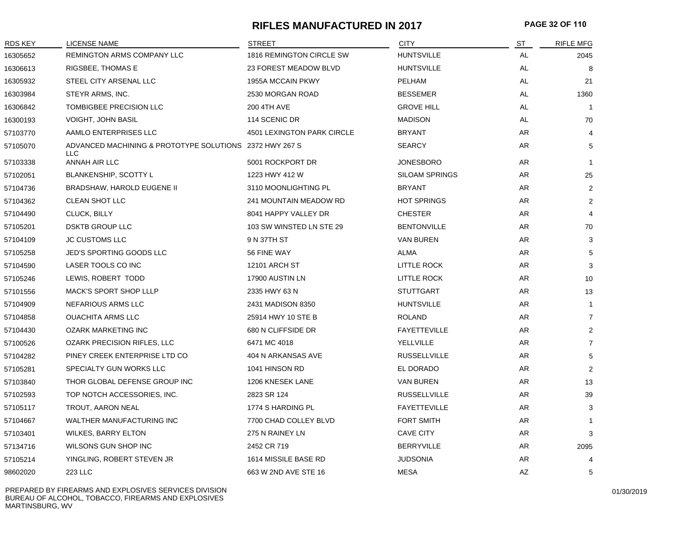#### **RIFLES MANUFACTURED IN 2017 PAGE 32 OF 110**

| RDS KEY  | <b>LICENSE NAME</b>                                             | <b>STREET</b>              | <b>CITY</b>           | ST  | <b>RIFLE MFG</b> |
|----------|-----------------------------------------------------------------|----------------------------|-----------------------|-----|------------------|
| 16305652 | REMINGTON ARMS COMPANY LLC                                      | 1816 REMINGTON CIRCLE SW   | <b>HUNTSVILLE</b>     | AL  | 2045             |
| 16306613 | RIGSBEE, THOMAS E                                               | 23 FOREST MEADOW BLVD      | <b>HUNTSVILLE</b>     | AL  | 8                |
| 16305932 | STEEL CITY ARSENAL LLC                                          | 1955A MCCAIN PKWY          | PELHAM                | AL  | 21               |
| 16303984 | STEYR ARMS, INC.                                                | 2530 MORGAN ROAD           | <b>BESSEMER</b>       | AL. | 1360             |
| 16306842 | TOMBIGBEE PRECISION LLC                                         | 200 4TH AVE                | <b>GROVE HILL</b>     | AL  | $\overline{1}$   |
| 16300193 | <b>VOIGHT, JOHN BASIL</b>                                       | 114 SCENIC DR              | <b>MADISON</b>        | AL  | 70               |
| 57103770 | AAMLO ENTERPRISES LLC                                           | 4501 LEXINGTON PARK CIRCLE | <b>BRYANT</b>         | AR  | $\overline{4}$   |
| 57105070 | ADVANCED MACHINING & PROTOTYPE SOLUTIONS 2372 HWY 267 S<br>LLC. |                            | <b>SEARCY</b>         | AR  | 5                |
| 57103338 | ANNAH AIR LLC                                                   | 5001 ROCKPORT DR           | <b>JONESBORO</b>      | AR  | $\mathbf{1}$     |
| 57102051 | BLANKENSHIP, SCOTTY L                                           | 1223 HWY 412 W             | <b>SILOAM SPRINGS</b> | AR  | 25               |
| 57104736 | BRADSHAW, HAROLD EUGENE II                                      | 3110 MOONLIGHTING PL       | <b>BRYANT</b>         | AR  | 2                |
| 57104362 | <b>CLEAN SHOT LLC</b>                                           | 241 MOUNTAIN MEADOW RD     | <b>HOT SPRINGS</b>    | AR  | 2                |
| 57104490 | CLUCK, BILLY                                                    | 8041 HAPPY VALLEY DR       | <b>CHESTER</b>        | AR  | $\overline{4}$   |
| 57105201 | <b>DSKTB GROUP LLC</b>                                          | 103 SW WINSTED LN STE 29   | <b>BENTONVILLE</b>    | AR  | 70               |
| 57104109 | <b>JC CUSTOMS LLC</b>                                           | 9 N 37TH ST                | <b>VAN BUREN</b>      | AR  | 3                |
| 57105258 | JED'S SPORTING GOODS LLC                                        | 56 FINE WAY                | ALMA                  | AR  | 5                |
| 57104590 | LASER TOOLS CO INC                                              | 12101 ARCH ST              | LITTLE ROCK           | AR  | 3                |
| 57105246 | LEWIS, ROBERT TODD                                              | 17900 AUSTIN LN            | LITTLE ROCK           | AR  | 10               |
| 57101556 | MACK'S SPORT SHOP LLLP                                          | 2335 HWY 63 N              | <b>STUTTGART</b>      | AR  | 13               |
| 57104909 | NEFARIOUS ARMS LLC                                              | 2431 MADISON 8350          | <b>HUNTSVILLE</b>     | AR  | $\mathbf{1}$     |
| 57104858 | <b>OUACHITA ARMS LLC</b>                                        | 25914 HWY 10 STE B         | <b>ROLAND</b>         | AR  | $\overline{7}$   |
| 57104430 | <b>OZARK MARKETING INC</b>                                      | 680 N CLIFFSIDE DR         | <b>FAYETTEVILLE</b>   | AR  | 2                |
| 57100526 | OZARK PRECISION RIFLES, LLC                                     | 6471 MC 4018               | YELLVILLE             | AR  | $\overline{7}$   |
| 57104282 | PINEY CREEK ENTERPRISE LTD CO                                   | 404 N ARKANSAS AVE         | <b>RUSSELLVILLE</b>   | AR  | 5                |
| 57105281 | SPECIALTY GUN WORKS LLC                                         | 1041 HINSON RD             | EL DORADO             | AR  | 2                |
| 57103840 | THOR GLOBAL DEFENSE GROUP INC                                   | 1206 KNESEK LANE           | VAN BUREN             | AR  | 13               |
| 57102593 | TOP NOTCH ACCESSORIES, INC.                                     | 2823 SR 124                | <b>RUSSELLVILLE</b>   | AR  | 39               |
| 57105117 | TROUT, AARON NEAL                                               | 1774 S HARDING PL          | <b>FAYETTEVILLE</b>   | AR  | 3                |
| 57104667 | WALTHER MANUFACTURING INC                                       | 7700 CHAD COLLEY BLVD      | <b>FORT SMITH</b>     | AR  |                  |
| 57103401 | <b>WILKES, BARRY ELTON</b>                                      | 275 N RAINEY LN            | <b>CAVE CITY</b>      | AR  | 3                |
| 57134716 | WILSONS GUN SHOP INC                                            | 2452 CR 719                | <b>BERRYVILLE</b>     | AR  | 2095             |
| 57105214 | YINGLING, ROBERT STEVEN JR                                      | 1614 MISSILE BASE RD       | <b>JUDSONIA</b>       | AR  | 4                |
| 98602020 | 223 LLC                                                         | 663 W 2ND AVE STE 16       | <b>MESA</b>           | AZ  | 5                |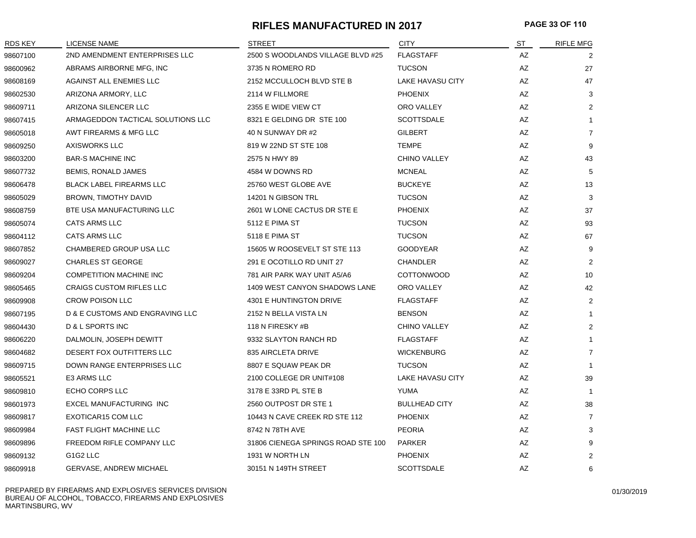#### **RIFLES MANUFACTURED IN 2017 PAGE 33 OF 110**

| <b>RDS KEY</b> | <b>LICENSE NAME</b>               | <b>STREET</b>                      | <b>CITY</b>             | ST | <b>RIFLE MFG</b> |
|----------------|-----------------------------------|------------------------------------|-------------------------|----|------------------|
| 98607100       | 2ND AMENDMENT ENTERPRISES LLC     | 2500 S WOODLANDS VILLAGE BLVD #25  | <b>FLAGSTAFF</b>        | AZ | 2                |
| 98600962       | ABRAMS AIRBORNE MFG. INC          | 3735 N ROMERO RD                   | <b>TUCSON</b>           | AZ | 27               |
| 98608169       | AGAINST ALL ENEMIES LLC           | 2152 MCCULLOCH BLVD STE B          | <b>LAKE HAVASU CITY</b> | AZ | 47               |
| 98602530       | ARIZONA ARMORY, LLC               | 2114 W FILLMORE                    | <b>PHOENIX</b>          | AZ | 3                |
| 98609711       | ARIZONA SILENCER LLC              | 2355 E WIDE VIEW CT                | ORO VALLEY              | AZ | $\overline{2}$   |
| 98607415       | ARMAGEDDON TACTICAL SOLUTIONS LLC | 8321 E GELDING DR STE 100          | <b>SCOTTSDALE</b>       | AZ | $\mathbf{1}$     |
| 98605018       | AWT FIREARMS & MFG LLC            | 40 N SUNWAY DR #2                  | <b>GILBERT</b>          | AZ | $\overline{7}$   |
| 98609250       | <b>AXISWORKS LLC</b>              | 819 W 22ND ST STE 108              | <b>TEMPE</b>            | AZ | 9                |
| 98603200       | <b>BAR-S MACHINE INC</b>          | 2575 N HWY 89                      | <b>CHINO VALLEY</b>     | AZ | 43               |
| 98607732       | <b>BEMIS, RONALD JAMES</b>        | 4584 W DOWNS RD                    | MCNEAL                  | ΑZ | 5                |
| 98606478       | <b>BLACK LABEL FIREARMS LLC</b>   | 25760 WEST GLOBE AVE               | <b>BUCKEYE</b>          | AZ | 13               |
| 98605029       | BROWN, TIMOTHY DAVID              | 14201 N GIBSON TRL                 | <b>TUCSON</b>           | AZ | 3                |
| 98608759       | BTE USA MANUFACTURING LLC         | 2601 W LONE CACTUS DR STE E        | <b>PHOENIX</b>          | AZ | 37               |
| 98605074       | CATS ARMS LLC                     | 5112 E PIMA ST                     | <b>TUCSON</b>           | AZ | 93               |
| 98604112       | <b>CATS ARMS LLC</b>              | 5118 E PIMA ST                     | <b>TUCSON</b>           | AZ | 67               |
| 98607852       | CHAMBERED GROUP USA LLC           | 15605 W ROOSEVELT ST STE 113       | <b>GOODYEAR</b>         | AZ | 9                |
| 98609027       | <b>CHARLES ST GEORGE</b>          | 291 E OCOTILLO RD UNIT 27          | <b>CHANDLER</b>         | AZ | $\overline{2}$   |
| 98609204       | <b>COMPETITION MACHINE INC</b>    | 781 AIR PARK WAY UNIT A5/A6        | <b>COTTONWOOD</b>       | AZ | 10               |
| 98605465       | <b>CRAIGS CUSTOM RIFLES LLC</b>   | 1409 WEST CANYON SHADOWS LANE      | ORO VALLEY              | AZ | 42               |
| 98609908       | <b>CROW POISON LLC</b>            | 4301 E HUNTINGTON DRIVE            | <b>FLAGSTAFF</b>        | AZ | $\overline{2}$   |
| 98607195       | D & E CUSTOMS AND ENGRAVING LLC   | 2152 N BELLA VISTA LN              | <b>BENSON</b>           | AZ | $\mathbf{1}$     |
| 98604430       | D & L SPORTS INC                  | 118 N FIRESKY #B                   | <b>CHINO VALLEY</b>     | AZ | $\overline{2}$   |
| 98606220       | DALMOLIN, JOSEPH DEWITT           | 9332 SLAYTON RANCH RD              | <b>FLAGSTAFF</b>        | AZ | $\mathbf{1}$     |
| 98604682       | DESERT FOX OUTFITTERS LLC         | 835 AIRCLETA DRIVE                 | <b>WICKENBURG</b>       | AZ | $\overline{7}$   |
| 98609715       | DOWN RANGE ENTERPRISES LLC        | 8807 E SQUAW PEAK DR               | <b>TUCSON</b>           | AZ | 1                |
| 98605521       | E3 ARMS LLC                       | 2100 COLLEGE DR UNIT#108           | <b>LAKE HAVASU CITY</b> | AZ | 39               |
| 98609810       | ECHO CORPS LLC                    | 3178 E 33RD PL STE B               | YUMA                    | AZ | $\mathbf{1}$     |
| 98601973       | EXCEL MANUFACTURING INC           | 2560 OUTPOST DR STE 1              | <b>BULLHEAD CITY</b>    | AZ | 38               |
| 98609817       | EXOTICAR15 COM LLC                | 10443 N CAVE CREEK RD STE 112      | <b>PHOENIX</b>          | AZ | $\overline{7}$   |
| 98609984       | <b>FAST FLIGHT MACHINE LLC</b>    | 8742 N 78TH AVE                    | <b>PEORIA</b>           | AZ | 3                |
| 98609896       | FREEDOM RIFLE COMPANY LLC         | 31806 CIENEGA SPRINGS ROAD STE 100 | <b>PARKER</b>           | AZ | 9                |
| 98609132       | G1G2 LLC                          | 1931 W NORTH LN                    | <b>PHOENIX</b>          | AZ | $\overline{2}$   |
| 98609918       | <b>GERVASE, ANDREW MICHAEL</b>    | 30151 N 149TH STREET               | <b>SCOTTSDALE</b>       | AZ | 6                |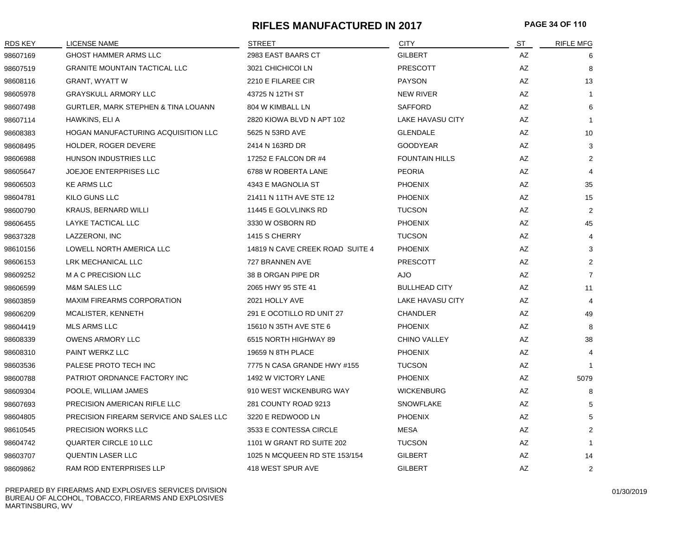#### **RIFLES MANUFACTURED IN 2017 PAGE 34 OF 110**

| <b>RDS KEY</b> | <b>LICENSE NAME</b>                        | STREET                          | <b>CITY</b>             | ST | <b>RIFLE MFG</b> |
|----------------|--------------------------------------------|---------------------------------|-------------------------|----|------------------|
| 98607169       | <b>GHOST HAMMER ARMS LLC</b>               | 2983 EAST BAARS CT              | <b>GILBERT</b>          | AZ | 6                |
| 98607519       | <b>GRANITE MOUNTAIN TACTICAL LLC</b>       | 3021 CHICHICOI LN               | PRESCOTT                | AZ | 8                |
| 98608116       | <b>GRANT, WYATT W</b>                      | 2210 E FILAREE CIR              | <b>PAYSON</b>           | AZ | 13               |
| 98605978       | <b>GRAYSKULL ARMORY LLC</b>                | 43725 N 12TH ST                 | <b>NEW RIVER</b>        | AZ | -1               |
| 98607498       | GURTLER, MARK STEPHEN & TINA LOUANN        | 804 W KIMBALL LN                | <b>SAFFORD</b>          | AZ | 6                |
| 98607114       | HAWKINS, ELI A                             | 2820 KIOWA BLVD N APT 102       | LAKE HAVASU CITY        | AZ | $\overline{1}$   |
| 98608383       | <b>HOGAN MANUFACTURING ACQUISITION LLC</b> | 5625 N 53RD AVE                 | <b>GLENDALE</b>         | AZ | 10               |
| 98608495       | HOLDER, ROGER DEVERE                       | 2414 N 163RD DR                 | <b>GOODYEAR</b>         | AZ | 3                |
| 98606988       | HUNSON INDUSTRIES LLC                      | 17252 E FALCON DR #4            | <b>FOUNTAIN HILLS</b>   | AZ | 2                |
| 98605647       | <b>JOEJOE ENTERPRISES LLC</b>              | 6788 W ROBERTA LANE             | <b>PEORIA</b>           | AZ | 4                |
| 98606503       | <b>KE ARMS LLC</b>                         | 4343 E MAGNOLIA ST              | <b>PHOENIX</b>          | AZ | 35               |
| 98604781       | KILO GUNS LLC                              | 21411 N 11TH AVE STE 12         | <b>PHOENIX</b>          | AZ | 15               |
| 98600790       | <b>KRAUS, BERNARD WILLI</b>                | 11445 E GOLVLINKS RD            | <b>TUCSON</b>           | AZ | 2                |
| 98606455       | LAYKE TACTICAL LLC                         | 3330 W OSBORN RD                | <b>PHOENIX</b>          | AZ | 45               |
| 98637328       | LAZZERONI, INC                             | 1415 S CHERRY                   | <b>TUCSON</b>           | AZ | $\overline{4}$   |
| 98610156       | LOWELL NORTH AMERICA LLC                   | 14819 N CAVE CREEK ROAD SUITE 4 | <b>PHOENIX</b>          | AZ | 3                |
| 98606153       | LRK MECHANICAL LLC                         | 727 BRANNEN AVE                 | <b>PRESCOTT</b>         | AZ | $\overline{2}$   |
| 98609252       | M A C PRECISION LLC                        | 38 B ORGAN PIPE DR              | <b>AJO</b>              | AZ | $\overline{7}$   |
| 98606599       | <b>M&amp;M SALES LLC</b>                   | 2065 HWY 95 STE 41              | <b>BULLHEAD CITY</b>    | AZ | 11               |
| 98603859       | <b>MAXIM FIREARMS CORPORATION</b>          | 2021 HOLLY AVE                  | <b>LAKE HAVASU CITY</b> | AZ | $\overline{4}$   |
| 98606209       | MCALISTER, KENNETH                         | 291 E OCOTILLO RD UNIT 27       | <b>CHANDLER</b>         | AZ | 49               |
| 98604419       | <b>MLS ARMS LLC</b>                        | 15610 N 35TH AVE STE 6          | <b>PHOENIX</b>          | AZ | 8                |
| 98608339       | <b>OWENS ARMORY LLC</b>                    | 6515 NORTH HIGHWAY 89           | <b>CHINO VALLEY</b>     | AZ | 38               |
| 98608310       | PAINT WERKZ LLC                            | 19659 N 8TH PLACE               | <b>PHOENIX</b>          | AZ | 4                |
| 98603536       | PALESE PROTO TECH INC                      | 7775 N CASA GRANDE HWY #155     | <b>TUCSON</b>           | AZ | $\mathbf 1$      |
| 98600788       | PATRIOT ORDNANCE FACTORY INC               | 1492 W VICTORY LANE             | <b>PHOENIX</b>          | AZ | 5079             |
| 98609304       | POOLE, WILLIAM JAMES                       | 910 WEST WICKENBURG WAY         | <b>WICKENBURG</b>       | AZ | 8                |
| 98607693       | PRECISION AMERICAN RIFLE LLC               | 281 COUNTY ROAD 9213            | <b>SNOWFLAKE</b>        | AZ | 5                |
| 98604805       | PRECISION FIREARM SERVICE AND SALES LLC    | 3220 E REDWOOD LN               | <b>PHOENIX</b>          | AZ | 5                |
| 98610545       | <b>PRECISION WORKS LLC</b>                 | 3533 E CONTESSA CIRCLE          | <b>MESA</b>             | AZ | $\overline{2}$   |
| 98604742       | <b>QUARTER CIRCLE 10 LLC</b>               | 1101 W GRANT RD SUITE 202       | <b>TUCSON</b>           | AZ | -1               |
| 98603707       | <b>QUENTIN LASER LLC</b>                   | 1025 N MCQUEEN RD STE 153/154   | <b>GILBERT</b>          | AZ | 14               |
| 98609862       | RAM ROD ENTERPRISES LLP                    | 418 WEST SPUR AVE               | <b>GILBERT</b>          | AZ | $\overline{2}$   |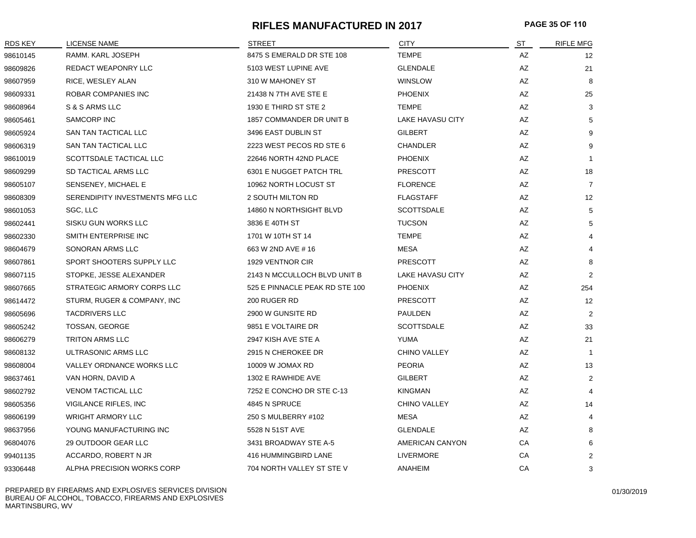#### **RIFLES MANUFACTURED IN 2017 PAGE 35 OF 110**

| <b>RDS KEY</b> | LICENSE NAME                    | <b>STREET</b>                  | <b>CITY</b>         | ST | <b>RIFLE MFG</b>  |
|----------------|---------------------------------|--------------------------------|---------------------|----|-------------------|
| 98610145       | RAMM. KARL JOSEPH               | 8475 S EMERALD DR STE 108      | <b>TEMPE</b>        | AZ | $12 \overline{ }$ |
| 98609826       | REDACT WEAPONRY LLC             | 5103 WEST LUPINE AVE           | <b>GLENDALE</b>     | AZ | 21                |
| 98607959       | RICE, WESLEY ALAN               | 310 W MAHONEY ST               | <b>WINSLOW</b>      | AZ | 8                 |
| 98609331       | ROBAR COMPANIES INC             | 21438 N 7TH AVE STE E          | <b>PHOENIX</b>      | AZ | 25                |
| 98608964       | S & S ARMS LLC                  | 1930 E THIRD ST STE 2          | <b>TEMPE</b>        | AZ | 3                 |
| 98605461       | SAMCORP INC                     | 1857 COMMANDER DR UNIT B       | LAKE HAVASU CITY    | AZ | 5                 |
| 98605924       | SAN TAN TACTICAL LLC            | 3496 EAST DUBLIN ST            | <b>GILBERT</b>      | AZ | 9                 |
| 98606319       | SAN TAN TACTICAL LLC            | 2223 WEST PECOS RD STE 6       | <b>CHANDLER</b>     | AZ | 9                 |
| 98610019       | SCOTTSDALE TACTICAL LLC         | 22646 NORTH 42ND PLACE         | <b>PHOENIX</b>      | AZ | $\mathbf{1}$      |
| 98609299       | SD TACTICAL ARMS LLC            | 6301 E NUGGET PATCH TRL        | <b>PRESCOTT</b>     | AZ | 18                |
| 98605107       | SENSENEY, MICHAEL E             | 10962 NORTH LOCUST ST          | <b>FLORENCE</b>     | AZ | $\overline{7}$    |
| 98608309       | SERENDIPITY INVESTMENTS MFG LLC | 2 SOUTH MILTON RD              | <b>FLAGSTAFF</b>    | AZ | 12                |
| 98601053       | SGC, LLC                        | 14860 N NORTHSIGHT BLVD        | <b>SCOTTSDALE</b>   | AZ | 5                 |
| 98602441       | SISKU GUN WORKS LLC             | 3836 E 40TH ST                 | <b>TUCSON</b>       | AZ | 5                 |
| 98602330       | SMITH ENTERPRISE INC            | 1701 W 10TH ST 14              | <b>TEMPE</b>        | AZ |                   |
| 98604679       | SONORAN ARMS LLC                | 663 W 2ND AVE # 16             | <b>MESA</b>         | AZ |                   |
| 98607861       | SPORT SHOOTERS SUPPLY LLC       | 1929 VENTNOR CIR               | <b>PRESCOTT</b>     | AZ | 8                 |
| 98607115       | STOPKE, JESSE ALEXANDER         | 2143 N MCCULLOCH BLVD UNIT B   | LAKE HAVASU CITY    | AZ | $\overline{2}$    |
| 98607665       | STRATEGIC ARMORY CORPS LLC      | 525 E PINNACLE PEAK RD STE 100 | <b>PHOENIX</b>      | AZ | 254               |
| 98614472       | STURM, RUGER & COMPANY, INC     | 200 RUGER RD                   | <b>PRESCOTT</b>     | AZ | 12                |
| 98605696       | <b>TACDRIVERS LLC</b>           | 2900 W GUNSITE RD              | <b>PAULDEN</b>      | AZ | $\overline{2}$    |
| 98605242       | TOSSAN, GEORGE                  | 9851 E VOLTAIRE DR             | <b>SCOTTSDALE</b>   | AZ | 33                |
| 98606279       | <b>TRITON ARMS LLC</b>          | 2947 KISH AVE STE A            | <b>YUMA</b>         | AZ | 21                |
| 98608132       | ULTRASONIC ARMS LLC             | 2915 N CHEROKEE DR             | <b>CHINO VALLEY</b> | AZ | $\mathbf{1}$      |
| 98608004       | VALLEY ORDNANCE WORKS LLC       | 10009 W JOMAX RD               | <b>PEORIA</b>       | AZ | 13                |
| 98637461       | VAN HORN, DAVID A               | 1302 E RAWHIDE AVE             | <b>GILBERT</b>      | AZ | 2                 |
| 98602792       | <b>VENOM TACTICAL LLC</b>       | 7252 E CONCHO DR STE C-13      | <b>KINGMAN</b>      | AZ | $\overline{4}$    |
| 98605356       | VIGILANCE RIFLES, INC           | 4845 N SPRUCE                  | CHINO VALLEY        | AZ | 14                |
| 98606199       | <b>WRIGHT ARMORY LLC</b>        | 250 S MULBERRY #102            | <b>MESA</b>         | AZ | $\overline{4}$    |
| 98637956       | YOUNG MANUFACTURING INC         | 5528 N 51ST AVE                | <b>GLENDALE</b>     | AZ | 8                 |
| 96804076       | 29 OUTDOOR GEAR LLC             | 3431 BROADWAY STE A-5          | AMERICAN CANYON     | CA | 6                 |
| 99401135       | ACCARDO, ROBERT N JR            | 416 HUMMINGBIRD LANE           | LIVERMORE           | CA | $\overline{2}$    |
| 93306448       | ALPHA PRECISION WORKS CORP      | 704 NORTH VALLEY ST STE V      | ANAHEIM             | CA | 3                 |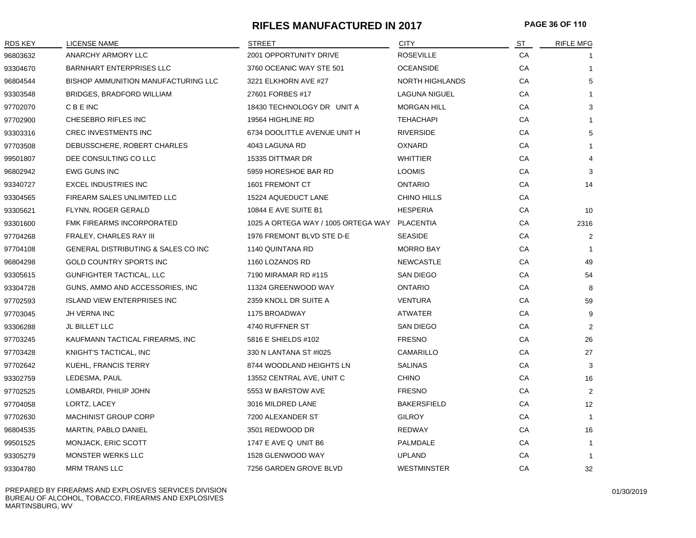#### **RIFLES MANUFACTURED IN 2017 PAGE 36 OF 110**

| <b>RDS KEY</b> | LICENSE NAME                               | <b>STREET</b>                       | <b>CITY</b>            | ST | <b>RIFLE MFG</b> |
|----------------|--------------------------------------------|-------------------------------------|------------------------|----|------------------|
| 96803632       | ANARCHY ARMORY LLC                         | 2001 OPPORTUNITY DRIVE              | <b>ROSEVILLE</b>       | CA |                  |
| 93304670       | <b>BARNHART ENTERPRISES LLC</b>            | 3760 OCEANIC WAY STE 501            | <b>OCEANSIDE</b>       | CA | $\mathbf{1}$     |
| 96804544       | <b>BISHOP AMMUNITION MANUFACTURING LLC</b> | 3221 ELKHORN AVE #27                | <b>NORTH HIGHLANDS</b> | CA | 5                |
| 93303548       | <b>BRIDGES, BRADFORD WILLIAM</b>           | 27601 FORBES #17                    | <b>LAGUNA NIGUEL</b>   | CA | $\mathbf{1}$     |
| 97702070       | C B E INC                                  | 18430 TECHNOLOGY DR UNIT A          | <b>MORGAN HILL</b>     | CA | 3                |
| 97702900       | CHESEBRO RIFLES INC                        | 19564 HIGHLINE RD                   | <b>TEHACHAPI</b>       | CA | 1                |
| 93303316       | <b>CREC INVESTMENTS INC</b>                | 6734 DOOLITTLE AVENUE UNIT H        | <b>RIVERSIDE</b>       | CA | 5                |
| 97703508       | DEBUSSCHERE, ROBERT CHARLES                | 4043 LAGUNA RD                      | OXNARD                 | CA | $\mathbf{1}$     |
| 99501807       | DEE CONSULTING CO LLC                      | 15335 DITTMAR DR                    | <b>WHITTIER</b>        | CA | 4                |
| 96802942       | <b>EWG GUNS INC</b>                        | 5959 HORESHOE BAR RD                | <b>LOOMIS</b>          | СA | 3                |
| 93340727       | <b>EXCEL INDUSTRIES INC</b>                | 1601 FREMONT CT                     | <b>ONTARIO</b>         | CA | 14               |
| 93304565       | FIREARM SALES UNLIMITED LLC                | 15224 AQUEDUCT LANE                 | CHINO HILLS            | CA |                  |
| 93305621       | FLYNN, ROGER GERALD                        | 10844 E AVE SUITE B1                | <b>HESPERIA</b>        | CA | 10               |
| 93301600       | FMK FIREARMS INCORPORATED                  | 1025 A ORTEGA WAY / 1005 ORTEGA WAY | <b>PLACENTIA</b>       | CA | 2316             |
| 97704268       | FRALEY, CHARLES RAY III                    | 1976 FREMONT BLVD STE D-E           | <b>SEASIDE</b>         | CA | $\overline{2}$   |
| 97704108       | GENERAL DISTRIBUTING & SALES CO INC        | 1140 QUINTANA RD                    | <b>MORRO BAY</b>       | CA | -1               |
| 96804298       | GOLD COUNTRY SPORTS INC                    | 1160 LOZANOS RD                     | <b>NEWCASTLE</b>       | CA | 49               |
| 93305615       | GUNFIGHTER TACTICAL, LLC                   | 7190 MIRAMAR RD #115                | <b>SAN DIEGO</b>       | CA | 54               |
| 93304728       | GUNS, AMMO AND ACCESSORIES, INC.           | 11324 GREENWOOD WAY                 | <b>ONTARIO</b>         | CA | 8                |
| 97702593       | <b>ISLAND VIEW ENTERPRISES INC</b>         | 2359 KNOLL DR SUITE A               | <b>VENTURA</b>         | CA | 59               |
| 97703045       | JH VERNA INC                               | 1175 BROADWAY                       | <b>ATWATER</b>         | CA | 9                |
| 93306288       | JL BILLET LLC                              | 4740 RUFFNER ST                     | <b>SAN DIEGO</b>       | CA | $\overline{2}$   |
| 97703245       | KAUFMANN TACTICAL FIREARMS, INC            | 5816 E SHIELDS #102                 | <b>FRESNO</b>          | CA | 26               |
| 97703428       | KNIGHT'S TACTICAL, INC                     | 330 N LANTANA ST #1025              | CAMARILLO              | CA | 27               |
| 97702642       | KUEHL, FRANCIS TERRY                       | 8744 WOODLAND HEIGHTS LN            | <b>SALINAS</b>         | CA | 3                |
| 93302759       | LEDESMA, PAUL                              | 13552 CENTRAL AVE, UNIT C           | <b>CHINO</b>           | CA | 16               |
| 97702525       | LOMBARDI, PHILIP JOHN                      | 5553 W BARSTOW AVE                  | <b>FRESNO</b>          | CA | $\overline{c}$   |
| 97704058       | LORTZ, LACEY                               | 3016 MILDRED LANE                   | <b>BAKERSFIELD</b>     | CA | 12               |
| 97702630       | <b>MACHINIST GROUP CORP</b>                | 7200 ALEXANDER ST                   | <b>GILROY</b>          | СA | $\overline{1}$   |
| 96804535       | MARTIN, PABLO DANIEL                       | 3501 REDWOOD DR                     | REDWAY                 | СA | 16               |
| 99501525       | MONJACK, ERIC SCOTT                        | 1747 E AVE Q UNIT B6                | PALMDALE               | СA | $\mathbf{1}$     |
| 93305279       | <b>MONSTER WERKS LLC</b>                   | 1528 GLENWOOD WAY                   | <b>UPLAND</b>          | СA | $\overline{1}$   |
| 93304780       | <b>MRM TRANS LLC</b>                       | 7256 GARDEN GROVE BLVD              | <b>WESTMINSTER</b>     | CA | 32               |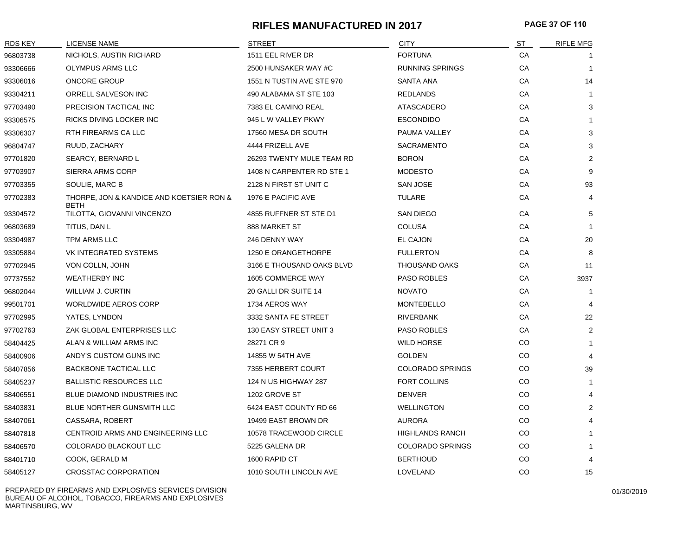# **RIFLES MANUFACTURED IN 2017 PAGE 37 OF 110**

| <b>RDS KEY</b> | LICENSE NAME                                            | <b>STREET</b>             | <b>CITY</b>             | ST        | <b>RIFLE MFG</b>      |
|----------------|---------------------------------------------------------|---------------------------|-------------------------|-----------|-----------------------|
| 96803738       | NICHOLS, AUSTIN RICHARD                                 | 1511 EEL RIVER DR         | <b>FORTUNA</b>          | СA        |                       |
| 93306666       | OLYMPUS ARMS LLC                                        | 2500 HUNSAKER WAY #C      | <b>RUNNING SPRINGS</b>  | CA        | $\mathbf 1$           |
| 93306016       | <b>ONCORE GROUP</b>                                     | 1551 N TUSTIN AVE STE 970 | <b>SANTA ANA</b>        | CA        | 14                    |
| 93304211       | ORRELL SALVESON INC                                     | 490 ALABAMA ST STE 103    | <b>REDLANDS</b>         | CA        |                       |
| 97703490       | PRECISION TACTICAL INC                                  | 7383 EL CAMINO REAL       | <b>ATASCADERO</b>       | CA        | 3                     |
| 93306575       | RICKS DIVING LOCKER INC                                 | 945 L W VALLEY PKWY       | <b>ESCONDIDO</b>        | CA        | $\mathbf{1}$          |
| 93306307       | RTH FIREARMS CA LLC                                     | 17560 MESA DR SOUTH       | PAUMA VALLEY            | CA        | 3                     |
| 96804747       | RUUD, ZACHARY                                           | 4444 FRIZELL AVE          | <b>SACRAMENTO</b>       | CA        | 3                     |
| 97701820       | SEARCY, BERNARD L                                       | 26293 TWENTY MULE TEAM RD | <b>BORON</b>            | CA        | $\overline{2}$        |
| 97703907       | SIERRA ARMS CORP                                        | 1408 N CARPENTER RD STE 1 | <b>MODESTO</b>          | CA        | 9                     |
| 97703355       | SOULIE, MARC B                                          | 2128 N FIRST ST UNIT C    | <b>SAN JOSE</b>         | CA        | 93                    |
| 97702383       | THORPE, JON & KANDICE AND KOETSIER RON &<br><b>BETH</b> | 1976 E PACIFIC AVE        | <b>TULARE</b>           | CA        | 4                     |
| 93304572       | TILOTTA, GIOVANNI VINCENZO                              | 4855 RUFFNER ST STE D1    | <b>SAN DIEGO</b>        | CA        | 5                     |
| 96803689       | TITUS, DAN L                                            | 888 MARKET ST             | <b>COLUSA</b>           | CA        | $\mathbf 1$           |
| 93304987       | TPM ARMS LLC                                            | 246 DENNY WAY             | EL CAJON                | CA        | 20                    |
| 93305884       | VK INTEGRATED SYSTEMS                                   | 1250 E ORANGETHORPE       | <b>FULLERTON</b>        | CA        | 8                     |
| 97702945       | VON COLLN, JOHN                                         | 3166 E THOUSAND OAKS BLVD | <b>THOUSAND OAKS</b>    | CA        | 11                    |
| 97737552       | <b>WEATHERBY INC</b>                                    | 1605 COMMERCE WAY         | <b>PASO ROBLES</b>      | CA        | 3937                  |
| 96802044       | <b>WILLIAM J. CURTIN</b>                                | 20 GALLI DR SUITE 14      | <b>NOVATO</b>           | CA        | $\mathbf 1$           |
| 99501701       | <b>WORLDWIDE AEROS CORP</b>                             | 1734 AEROS WAY            | <b>MONTEBELLO</b>       | CA        | $\overline{4}$        |
| 97702995       | YATES, LYNDON                                           | 3332 SANTA FE STREET      | <b>RIVERBANK</b>        | CA        | 22                    |
| 97702763       | ZAK GLOBAL ENTERPRISES LLC                              | 130 EASY STREET UNIT 3    | PASO ROBLES             | CA        | 2                     |
| 58404425       | ALAN & WILLIAM ARMS INC                                 | 28271 CR 9                | <b>WILD HORSE</b>       | CO        | -1                    |
| 58400906       | ANDY'S CUSTOM GUNS INC                                  | 14855 W 54TH AVE          | <b>GOLDEN</b>           | CO.       | $\overline{4}$        |
| 58407856       | <b>BACKBONE TACTICAL LLC</b>                            | 7355 HERBERT COURT        | <b>COLORADO SPRINGS</b> | CO        | 39                    |
| 58405237       | <b>BALLISTIC RESOURCES LLC</b>                          | 124 N US HIGHWAY 287      | FORT COLLINS            | CO        | -1                    |
| 58406551       | <b>BLUE DIAMOND INDUSTRIES INC</b>                      | 1202 GROVE ST             | <b>DENVER</b>           | <b>CO</b> | $\boldsymbol{\Delta}$ |
| 58403831       | <b>BLUE NORTHER GUNSMITH LLC</b>                        | 6424 EAST COUNTY RD 66    | <b>WELLINGTON</b>       | CO        | $\overline{2}$        |
| 58407061       | CASSARA, ROBERT                                         | 19499 EAST BROWN DR       | <b>AURORA</b>           | CO.       | 4                     |
| 58407818       | CENTROID ARMS AND ENGINEERING LLC                       | 10578 TRACEWOOD CIRCLE    | <b>HIGHLANDS RANCH</b>  | CO        |                       |
| 58406570       | COLORADO BLACKOUT LLC                                   | 5225 GALENA DR            | <b>COLORADO SPRINGS</b> | CO        |                       |
| 58401710       | COOK, GERALD M                                          | 1600 RAPID CT             | <b>BERTHOUD</b>         | CO        | 4                     |
| 58405127       | <b>CROSSTAC CORPORATION</b>                             | 1010 SOUTH LINCOLN AVE    | LOVELAND                | CO        | 15                    |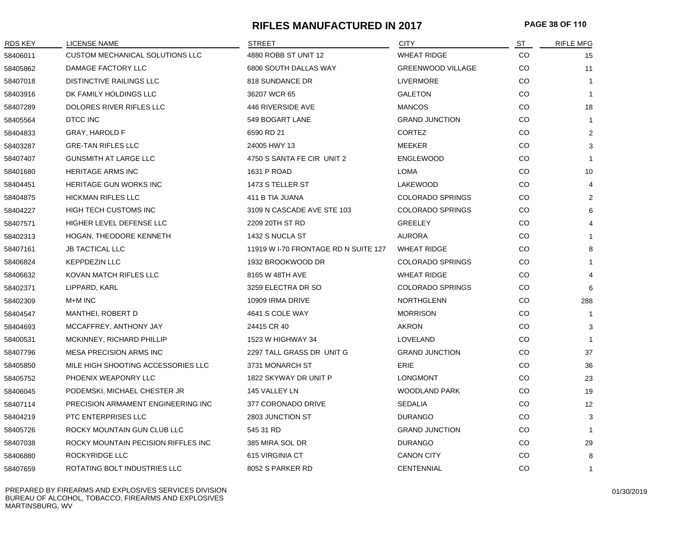# **RIFLES MANUFACTURED IN 2017 PAGE 38 OF 110**

| <b>RDS KEY</b> | <b>LICENSE NAME</b>                    | <b>STREET</b>                        | <b>CITY</b>              | ST  | <b>RIFLE MFG</b> |
|----------------|----------------------------------------|--------------------------------------|--------------------------|-----|------------------|
| 58406011       | <b>CUSTOM MECHANICAL SOLUTIONS LLC</b> | 4880 ROBB ST UNIT 12                 | <b>WHEAT RIDGE</b>       | CO  | 15               |
| 58405862       | DAMAGE FACTORY LLC                     | 6806 SOUTH DALLAS WAY                | <b>GREENWOOD VILLAGE</b> | CO  | 11               |
| 58407018       | <b>DISTINCTIVE RAILINGS LLC</b>        | 818 SUNDANCE DR                      | <b>LIVERMORE</b>         | CO  | $\mathbf{1}$     |
| 58403916       | DK FAMILY HOLDINGS LLC                 | 36207 WCR 65                         | <b>GALETON</b>           | CO  | $\mathbf{1}$     |
| 58407289       | DOLORES RIVER RIFLES LLC               | 446 RIVERSIDE AVE                    | <b>MANCOS</b>            | CO  | 18               |
| 58405564       | DTCC INC                               | 549 BOGART LANE                      | <b>GRAND JUNCTION</b>    | CO  | $\mathbf{1}$     |
| 58404833       | <b>GRAY, HAROLD F</b>                  | 6590 RD 21                           | <b>CORTEZ</b>            | CO  | $\overline{2}$   |
| 58403287       | <b>GRE-TAN RIFLES LLC</b>              | 24005 HWY 13                         | MEEKER                   | CO  | 3                |
| 58407407       | <b>GUNSMITH AT LARGE LLC</b>           | 4750 S SANTA FE CIR UNIT 2           | <b>ENGLEWOOD</b>         | CO  | $\mathbf{1}$     |
| 58401680       | HERITAGE ARMS INC                      | 1631 P ROAD                          | LOMA                     | CO  | 10               |
| 58404451       | <b>HERITAGE GUN WORKS INC</b>          | 1473 S TELLER ST                     | <b>LAKEWOOD</b>          | CO. | 4                |
| 58404875       | <b>HICKMAN RIFLES LLC</b>              | 411 B TIA JUANA                      | <b>COLORADO SPRINGS</b>  | CO  | 2                |
| 58404227       | HIGH TECH CUSTOMS INC                  | 3109 N CASCADE AVE STE 103           | <b>COLORADO SPRINGS</b>  | CO  | 6                |
| 58407571       | HIGHER LEVEL DEFENSE LLC               | 2209 20TH ST RD                      | <b>GREELEY</b>           | CO  | $\overline{4}$   |
| 58402313       | HOGAN, THEODORE KENNETH                | 1432 S NUCLA ST                      | <b>AURORA</b>            | CO  | 1                |
| 58407161       | <b>JB TACTICAL LLC</b>                 | 11919 W I-70 FRONTAGE RD N SUITE 127 | <b>WHEAT RIDGE</b>       | CO  | 8                |
| 58406824       | <b>KEPPDEZIN LLC</b>                   | 1932 BROOKWOOD DR                    | <b>COLORADO SPRINGS</b>  | CO  | $\mathbf 1$      |
| 58406632       | KOVAN MATCH RIFLES LLC                 | 8165 W 48TH AVE                      | <b>WHEAT RIDGE</b>       | CO  | $\overline{4}$   |
| 58402371       | LIPPARD, KARL                          | 3259 ELECTRA DR SO                   | <b>COLORADO SPRINGS</b>  | CO  | 6                |
| 58402309       | M+M INC                                | 10909 IRMA DRIVE                     | <b>NORTHGLENN</b>        | CO  | 288              |
| 58404547       | MANTHEI, ROBERT D                      | 4641 S COLE WAY                      | <b>MORRISON</b>          | CO  | $\mathbf{1}$     |
| 58404693       | MCCAFFREY, ANTHONY JAY                 | 24415 CR 40                          | <b>AKRON</b>             | CO  | 3                |
| 58400531       | MCKINNEY, RICHARD PHILLIP              | 1523 W HIGHWAY 34                    | LOVELAND                 | CO  | $\mathbf{1}$     |
| 58407796       | <b>MESA PRECISION ARMS INC</b>         | 2297 TALL GRASS DR UNIT G            | <b>GRAND JUNCTION</b>    | CO  | 37               |
| 58405850       | MILE HIGH SHOOTING ACCESSORIES LLC     | 3731 MONARCH ST                      | ERIE                     | CO  | 36               |
| 58405752       | PHOENIX WEAPONRY LLC                   | 1822 SKYWAY DR UNIT P                | <b>LONGMONT</b>          | CO  | 23               |
| 58406045       | PODEMSKI, MICHAEL CHESTER JR           | 145 VALLEY LN                        | <b>WOODLAND PARK</b>     | CO  | 19               |
| 58407114       | PRECISION ARMAMENT ENGINEERING INC     | 377 CORONADO DRIVE                   | <b>SEDALIA</b>           | CO  | 12               |
| 58404219       | <b>PTC ENTERPRISES LLC</b>             | 2803 JUNCTION ST                     | <b>DURANGO</b>           | CO  | 3                |
| 58405726       | ROCKY MOUNTAIN GUN CLUB LLC            | 545 31 RD                            | <b>GRAND JUNCTION</b>    | CO  | $\mathbf{1}$     |
| 58407038       | ROCKY MOUNTAIN PECISION RIFFLES INC    | 385 MIRA SOL DR                      | <b>DURANGO</b>           | CO  | 29               |
| 58406880       | ROCKYRIDGE LLC                         | 615 VIRGINIA CT                      | <b>CANON CITY</b>        | CO  | 8                |
| 58407659       | ROTATING BOLT INDUSTRIES LLC           | 8052 S PARKER RD                     | <b>CENTENNIAL</b>        | CO  | $\mathbf{1}$     |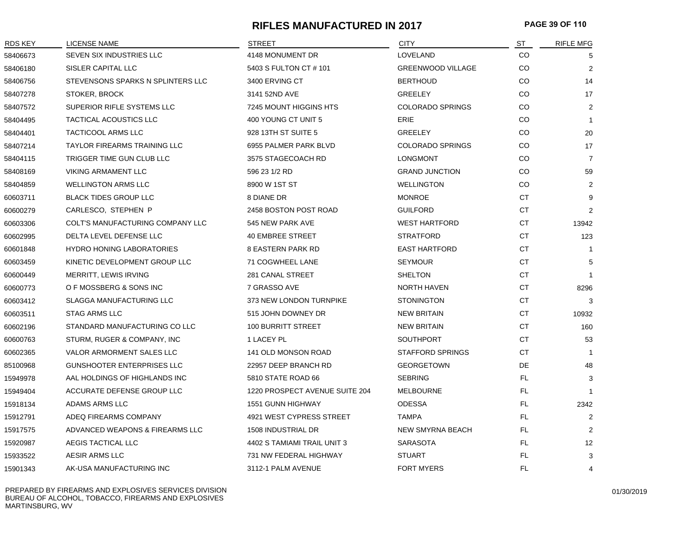# **RIFLES MANUFACTURED IN 2017 PAGE 39 OF 110**

| <b>RDS KEY</b> | LICENSE NAME                        | <b>STREET</b>                  | <b>CITY</b>              | ST        | <b>RIFLE MFG</b> |
|----------------|-------------------------------------|--------------------------------|--------------------------|-----------|------------------|
| 58406673       | SEVEN SIX INDUSTRIES LLC            | 4148 MONUMENT DR               | LOVELAND                 | <b>CO</b> | 5                |
| 58406180       | SISLER CAPITAL LLC                  | 5403 S FULTON CT # 101         | <b>GREENWOOD VILLAGE</b> | CO        | 2                |
| 58406756       | STEVENSONS SPARKS N SPLINTERS LLC   | 3400 ERVING CT                 | <b>BERTHOUD</b>          | CO        | 14               |
| 58407278       | STOKER, BROCK                       | 3141 52ND AVE                  | <b>GREELEY</b>           | CO        | 17               |
| 58407572       | SUPERIOR RIFLE SYSTEMS LLC          | 7245 MOUNT HIGGINS HTS         | <b>COLORADO SPRINGS</b>  | CO        | 2                |
| 58404495       | TACTICAL ACOUSTICS LLC              | 400 YOUNG CT UNIT 5            | ERIE                     | CO        | $\mathbf{1}$     |
| 58404401       | <b>TACTICOOL ARMS LLC</b>           | 928 13TH ST SUITE 5            | <b>GREELEY</b>           | CO        | 20               |
| 58407214       | <b>TAYLOR FIREARMS TRAINING LLC</b> | 6955 PALMER PARK BLVD          | <b>COLORADO SPRINGS</b>  | CO        | 17               |
| 58404115       | TRIGGER TIME GUN CLUB LLC           | 3575 STAGECOACH RD             | <b>LONGMONT</b>          | CO        | $\overline{7}$   |
| 58408169       | <b>VIKING ARMAMENT LLC</b>          | 596 23 1/2 RD                  | <b>GRAND JUNCTION</b>    | CO        | 59               |
| 58404859       | <b>WELLINGTON ARMS LLC</b>          | 8900 W 1ST ST                  | <b>WELLINGTON</b>        | CO        | 2                |
| 60603711       | <b>BLACK TIDES GROUP LLC</b>        | 8 DIANE DR                     | <b>MONROE</b>            | <b>CT</b> | 9                |
| 60600279       | CARLESCO, STEPHEN P                 | 2458 BOSTON POST ROAD          | <b>GUILFORD</b>          | <b>CT</b> | 2                |
| 60603306       | COLT'S MANUFACTURING COMPANY LLC    | 545 NEW PARK AVE               | <b>WEST HARTFORD</b>     | <b>CT</b> | 13942            |
| 60602995       | DELTA LEVEL DEFENSE LLC             | <b>40 EMBREE STREET</b>        | <b>STRATFORD</b>         | CT        | 123              |
| 60601848       | <b>HYDRO HONING LABORATORIES</b>    | <b>8 EASTERN PARK RD</b>       | <b>EAST HARTFORD</b>     | CT        | -1               |
| 60603459       | KINETIC DEVELOPMENT GROUP LLC       | 71 COGWHEEL LANE               | <b>SEYMOUR</b>           | CT        | 5                |
| 60600449       | MERRITT, LEWIS IRVING               | 281 CANAL STREET               | <b>SHELTON</b>           | <b>CT</b> | $\overline{1}$   |
| 60600773       | O F MOSSBERG & SONS INC             | 7 GRASSO AVE                   | <b>NORTH HAVEN</b>       | <b>CT</b> | 8296             |
| 60603412       | <b>SLAGGA MANUFACTURING LLC</b>     | 373 NEW LONDON TURNPIKE        | <b>STONINGTON</b>        | <b>CT</b> | 3                |
| 60603511       | <b>STAG ARMS LLC</b>                | 515 JOHN DOWNEY DR             | <b>NEW BRITAIN</b>       | CT        | 10932            |
| 60602196       | STANDARD MANUFACTURING CO LLC       | <b>100 BURRITT STREET</b>      | <b>NEW BRITAIN</b>       | <b>CT</b> | 160              |
| 60600763       | STURM, RUGER & COMPANY, INC         | 1 LACEY PL                     | <b>SOUTHPORT</b>         | CT        | 53               |
| 60602365       | VALOR ARMORMENT SALES LLC           | 141 OLD MONSON ROAD            | <b>STAFFORD SPRINGS</b>  | <b>CT</b> | $\mathbf{1}$     |
| 85100968       | <b>GUNSHOOTER ENTERPRISES LLC</b>   | 22957 DEEP BRANCH RD           | <b>GEORGETOWN</b>        | DE        | 48               |
| 15949978       | AAL HOLDINGS OF HIGHLANDS INC       | 5810 STATE ROAD 66             | <b>SEBRING</b>           | FL.       | 3                |
| 15949404       | ACCURATE DEFENSE GROUP LLC          | 1220 PROSPECT AVENUE SUITE 204 | <b>MELBOURNE</b>         | FL.       | $\mathbf 1$      |
| 15918134       | ADAMS ARMS LLC                      | <b>1551 GUNN HIGHWAY</b>       | <b>ODESSA</b>            | FL.       | 2342             |
| 15912791       | ADEQ FIREARMS COMPANY               | 4921 WEST CYPRESS STREET       | <b>TAMPA</b>             | FL.       | 2                |
| 15917575       | ADVANCED WEAPONS & FIREARMS LLC     | 1508 INDUSTRIAL DR             | <b>NEW SMYRNA BEACH</b>  | FL.       | 2                |
| 15920987       | AEGIS TACTICAL LLC                  | 4402 S TAMIAMI TRAIL UNIT 3    | <b>SARASOTA</b>          | FL.       | 12               |
| 15933522       | AESIR ARMS LLC                      | 731 NW FEDERAL HIGHWAY         | <b>STUART</b>            | FL.       | 3                |
| 15901343       | AK-USA MANUFACTURING INC            | 3112-1 PALM AVENUE             | <b>FORT MYERS</b>        | <b>FL</b> | 4                |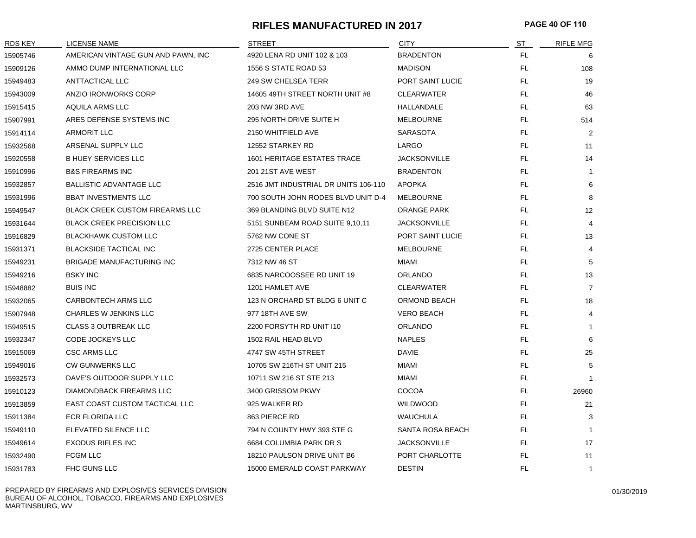## **RIFLES MANUFACTURED IN 2017 PAGE 40 OF 110**

| RDS KEY  | LICENSE NAME                           | <b>STREET</b>                        | <b>CITY</b>         | ST        | <b>RIFLE MFG</b> |
|----------|----------------------------------------|--------------------------------------|---------------------|-----------|------------------|
| 15905746 | AMERICAN VINTAGE GUN AND PAWN, INC     | 4920 LENA RD UNIT 102 & 103          | <b>BRADENTON</b>    | FL.       | 6                |
| 15909126 | AMMO DUMP INTERNATIONAL LLC            | 1556 S STATE ROAD 53                 | <b>MADISON</b>      | FL        | 108              |
| 15949483 | ANTTACTICAL LLC                        | <b>249 SW CHELSEA TERR</b>           | PORT SAINT LUCIE    | FL        | 19               |
| 15943009 | ANZIO IRONWORKS CORP                   | 14605 49TH STREET NORTH UNIT #8      | <b>CLEARWATER</b>   | FL.       | 46               |
| 15915415 | AQUILA ARMS LLC                        | 203 NW 3RD AVE                       | HALLANDALE          | <b>FL</b> | 63               |
| 15907991 | ARES DEFENSE SYSTEMS INC               | 295 NORTH DRIVE SUITE H              | <b>MELBOURNE</b>    | FL        | 514              |
| 15914114 | <b>ARMORIT LLC</b>                     | 2150 WHITFIELD AVE                   | <b>SARASOTA</b>     | FL.       | 2                |
| 15932568 | ARSENAL SUPPLY LLC                     | 12552 STARKEY RD                     | LARGO               | FL.       | 11               |
| 15920558 | <b>B HUEY SERVICES LLC</b>             | <b>1601 HERITAGE ESTATES TRACE</b>   | <b>JACKSONVILLE</b> | FL        | 14               |
| 15910996 | <b>B&amp;S FIREARMS INC</b>            | 201 21ST AVE WEST                    | <b>BRADENTON</b>    | FL        | $\mathbf{1}$     |
| 15932857 | <b>BALLISTIC ADVANTAGE LLC</b>         | 2516 JMT INDUSTRIAL DR UNITS 106-110 | <b>APOPKA</b>       | FL.       | 6                |
| 15931996 | <b>BBAT INVESTMENTS LLC</b>            | 700 SOUTH JOHN RODES BLVD UNIT D-4   | <b>MELBOURNE</b>    | FL        | 8                |
| 15949547 | <b>BLACK CREEK CUSTOM FIREARMS LLC</b> | 369 BLANDING BLVD SUITE N12          | <b>ORANGE PARK</b>  | <b>FL</b> | 12               |
| 15931644 | <b>BLACK CREEK PRECISION LLC</b>       | 5151 SUNBEAM ROAD SUITE 9,10,11      | <b>JACKSONVILLE</b> | <b>FL</b> | 4                |
| 15916829 | <b>BLACKHAWK CUSTOM LLC</b>            | 5762 NW CONE ST                      | PORT SAINT LUCIE    | <b>FL</b> | 13               |
| 15931371 | <b>BLACKSIDE TACTICAL INC</b>          | 2725 CENTER PLACE                    | <b>MELBOURNE</b>    | FL.       | 4                |
| 15949231 | <b>BRIGADE MANUFACTURING INC</b>       | 7312 NW 46 ST                        | MIAMI               | FL        | 5                |
| 15949216 | <b>BSKY INC</b>                        | 6835 NARCOOSSEE RD UNIT 19           | <b>ORLANDO</b>      | FL        | 13               |
| 15948882 | <b>BUIS INC</b>                        | 1201 HAMLET AVE                      | <b>CLEARWATER</b>   | FL        | $\overline{7}$   |
| 15932065 | <b>CARBONTECH ARMS LLC</b>             | 123 N ORCHARD ST BLDG 6 UNIT C       | ORMOND BEACH        | FL.       | 18               |
| 15907948 | <b>CHARLES W JENKINS LLC</b>           | 977 18TH AVE SW                      | <b>VERO BEACH</b>   | FL.       | 4                |
| 15949515 | <b>CLASS 3 OUTBREAK LLC</b>            | 2200 FORSYTH RD UNIT I10             | <b>ORLANDO</b>      | FL.       | -1               |
| 15932347 | CODE JOCKEYS LLC                       | 1502 RAIL HEAD BLVD                  | <b>NAPLES</b>       | FL        | 6                |
| 15915069 | <b>CSC ARMS LLC</b>                    | 4747 SW 45TH STREET                  | DAVIE               | <b>FL</b> | 25               |
| 15949016 | <b>CW GUNWERKS LLC</b>                 | 10705 SW 216TH ST UNIT 215           | MIAMI               | <b>FL</b> | 5                |
| 15932573 | DAVE'S OUTDOOR SUPPLY LLC              | 10711 SW 216 ST STE 213              | MIAMI               | FL        |                  |
| 15910123 | DIAMONDBACK FIREARMS LLC               | 3400 GRISSOM PKWY                    | <b>COCOA</b>        | FL        | 26960            |
| 15913859 | EAST COAST CUSTOM TACTICAL LLC         | 925 WALKER RD                        | <b>WILDWOOD</b>     | FL        | 21               |
| 15911384 | ECR FLORIDA LLC                        | 863 PIERCE RD                        | WAUCHULA            | FL        | 3                |
| 15949110 | ELEVATED SILENCE LLC                   | 794 N COUNTY HWY 393 STE G           | SANTA ROSA BEACH    | FL        |                  |
| 15949614 | <b>EXODUS RIFLES INC</b>               | 6684 COLUMBIA PARK DR S              | <b>JACKSONVILLE</b> | FL.       | 17               |
| 15932490 | FCGM LLC                               | 18210 PAULSON DRIVE UNIT B6          | PORT CHARLOTTE      | <b>FL</b> | 11               |
| 15931783 | <b>FHC GUNS LLC</b>                    | 15000 EMERALD COAST PARKWAY          | <b>DESTIN</b>       | <b>FL</b> | $\mathbf{1}$     |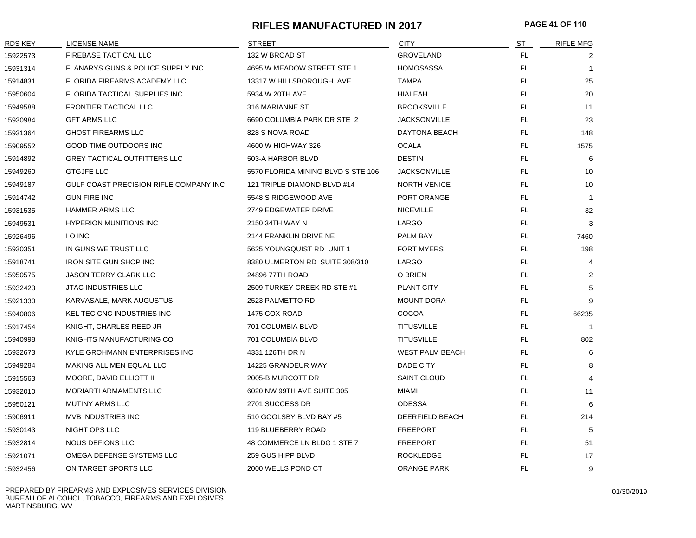#### **RIFLES MANUFACTURED IN 2017 PAGE 41 OF 110**

| <b>RDS KEY</b> | LICENSE NAME                           | STREET                             | <b>CITY</b>            | ST  | <b>RIFLE MFG</b> |
|----------------|----------------------------------------|------------------------------------|------------------------|-----|------------------|
| 15922573       | FIREBASE TACTICAL LLC                  | 132 W BROAD ST                     | <b>GROVELAND</b>       | FL. | 2                |
| 15931314       | FLANARYS GUNS & POLICE SUPPLY INC      | 4695 W MEADOW STREET STE 1         | <b>HOMOSASSA</b>       | FL. | $\overline{1}$   |
| 15914831       | FLORIDA FIREARMS ACADEMY LLC           | 13317 W HILLSBOROUGH AVE           | <b>TAMPA</b>           | FL. | 25               |
| 15950604       | FLORIDA TACTICAL SUPPLIES INC          | 5934 W 20TH AVE                    | HIALEAH                | FL. | 20               |
| 15949588       | <b>FRONTIER TACTICAL LLC</b>           | 316 MARIANNE ST                    | <b>BROOKSVILLE</b>     | FL  | 11               |
| 15930984       | <b>GFT ARMS LLC</b>                    | 6690 COLUMBIA PARK DR STE 2        | <b>JACKSONVILLE</b>    | FL. | 23               |
| 15931364       | <b>GHOST FIREARMS LLC</b>              | 828 S NOVA ROAD                    | DAYTONA BEACH          | FL. | 148              |
| 15909552       | GOOD TIME OUTDOORS INC                 | 4600 W HIGHWAY 326                 | <b>OCALA</b>           | FL. | 1575             |
| 15914892       | <b>GREY TACTICAL OUTFITTERS LLC</b>    | 503-A HARBOR BLVD                  | <b>DESTIN</b>          | FL. | 6                |
| 15949260       | <b>GTGJFE LLC</b>                      | 5570 FLORIDA MINING BLVD S STE 106 | <b>JACKSONVILLE</b>    | FL. | 10               |
| 15949187       | GULF COAST PRECISION RIFLE COMPANY INC | 121 TRIPLE DIAMOND BLVD #14        | <b>NORTH VENICE</b>    | FL. | 10               |
| 15914742       | <b>GUN FIRE INC</b>                    | 5548 S RIDGEWOOD AVE               | PORT ORANGE            | FL. | $\mathbf{1}$     |
| 15931535       | <b>HAMMER ARMS LLC</b>                 | 2749 EDGEWATER DRIVE               | <b>NICEVILLE</b>       | FL. | 32               |
| 15949531       | <b>HYPERION MUNITIONS INC</b>          | 2150 34TH WAY N                    | LARGO                  | FL. | 3                |
| 15926496       | <b>IO INC</b>                          | 2144 FRANKLIN DRIVE NE             | PALM BAY               | FL. | 7460             |
| 15930351       | IN GUNS WE TRUST LLC                   | 5625 YOUNGQUIST RD UNIT 1          | <b>FORT MYERS</b>      | FL. | 198              |
| 15918741       | <b>IRON SITE GUN SHOP INC</b>          | 8380 ULMERTON RD SUITE 308/310     | LARGO                  | FL. | 4                |
| 15950575       | <b>JASON TERRY CLARK LLC</b>           | 24896 77TH ROAD                    | O BRIEN                | FL. | $\overline{2}$   |
| 15932423       | <b>JTAC INDUSTRIES LLC</b>             | 2509 TURKEY CREEK RD STE #1        | PLANT CITY             | FL  | 5                |
| 15921330       | KARVASALE, MARK AUGUSTUS               | 2523 PALMETTO RD                   | <b>MOUNT DORA</b>      | FL. | 9                |
| 15940806       | KEL TEC CNC INDUSTRIES INC             | 1475 COX ROAD                      | <b>COCOA</b>           | FL  | 66235            |
| 15917454       | KNIGHT, CHARLES REED JR                | 701 COLUMBIA BLVD                  | <b>TITUSVILLE</b>      | FL. | -1               |
| 15940998       | KNIGHTS MANUFACTURING CO               | 701 COLUMBIA BLVD                  | <b>TITUSVILLE</b>      | FL. | 802              |
| 15932673       | KYLE GROHMANN ENTERPRISES INC          | 4331 126TH DR N                    | <b>WEST PALM BEACH</b> | FL  | 6                |
| 15949284       | MAKING ALL MEN EQUAL LLC               | 14225 GRANDEUR WAY                 | DADE CITY              | FL. | 8                |
| 15915563       | MOORE, DAVID ELLIOTT II                | 2005-B MURCOTT DR                  | <b>SAINT CLOUD</b>     | FL  | $\overline{4}$   |
| 15932010       | MORIARTI ARMAMENTS LLC                 | 6020 NW 99TH AVE SUITE 305         | <b>MIAMI</b>           | FL. | 11               |
| 15950121       | <b>MUTINY ARMS LLC</b>                 | 2701 SUCCESS DR                    | <b>ODESSA</b>          | FL  | 6                |
| 15906911       | <b>MVB INDUSTRIES INC</b>              | 510 GOOLSBY BLVD BAY #5            | DEERFIELD BEACH        | FL. | 214              |
| 15930143       | NIGHT OPS LLC                          | 119 BLUEBERRY ROAD                 | <b>FREEPORT</b>        | FL. | 5                |
| 15932814       | NOUS DEFIONS LLC                       | 48 COMMERCE LN BLDG 1 STE 7        | <b>FREEPORT</b>        | FL  | 51               |
| 15921071       | OMEGA DEFENSE SYSTEMS LLC              | 259 GUS HIPP BLVD                  | <b>ROCKLEDGE</b>       | FL. | 17               |
| 15932456       | ON TARGET SPORTS LLC                   | 2000 WELLS POND CT                 | <b>ORANGE PARK</b>     | FL  | 9                |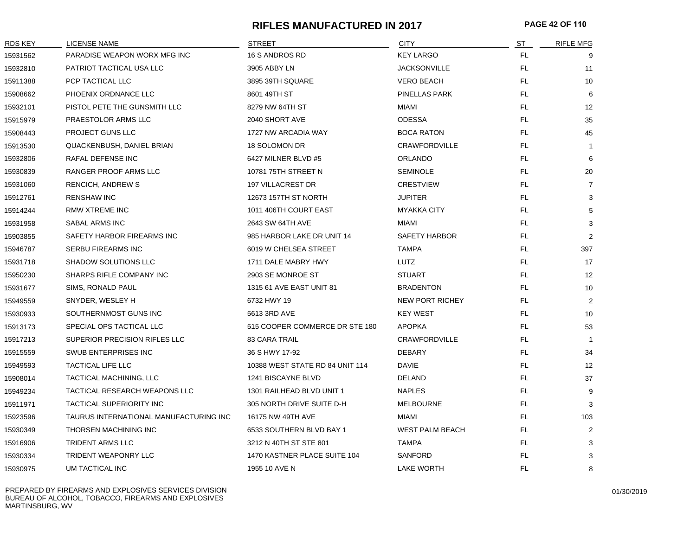# **RIFLES MANUFACTURED IN 2017 PAGE 42 OF 110**

| <b>RDS KEY</b> | <b>LICENSE NAME</b>                    | <b>STREET</b>                   | <b>CITY</b>            | ST        | <b>RIFLE MFG</b> |
|----------------|----------------------------------------|---------------------------------|------------------------|-----------|------------------|
| 15931562       | PARADISE WEAPON WORX MFG INC           | 16 S ANDROS RD                  | <b>KEY LARGO</b>       | FL.       | 9                |
| 15932810       | PATRIOT TACTICAL USA LLC               | 3905 ABBY LN                    | <b>JACKSONVILLE</b>    | FL.       | 11               |
| 15911388       | PCP TACTICAL LLC                       | 3895 39TH SQUARE                | <b>VERO BEACH</b>      | FL.       | 10               |
| 15908662       | PHOENIX ORDNANCE LLC                   | 8601 49TH ST                    | PINELLAS PARK          | FL.       | 6                |
| 15932101       | PISTOL PETE THE GUNSMITH LLC           | 8279 NW 64TH ST                 | MIAMI                  | FL.       | 12               |
| 15915979       | PRAESTOLOR ARMS LLC                    | 2040 SHORT AVE                  | <b>ODESSA</b>          | FL.       | 35               |
| 15908443       | PROJECT GUNS LLC                       | 1727 NW ARCADIA WAY             | <b>BOCA RATON</b>      | FL.       | 45               |
| 15913530       | QUACKENBUSH, DANIEL BRIAN              | 18 SOLOMON DR                   | CRAWFORDVILLE          | FL.       | $\mathbf{1}$     |
| 15932806       | RAFAL DEFENSE INC                      | 6427 MILNER BLVD #5             | <b>ORLANDO</b>         | FL.       | 6                |
| 15930839       | RANGER PROOF ARMS LLC                  | 10781 75TH STREET N             | <b>SEMINOLE</b>        | FL        | 20               |
| 15931060       | <b>RENCICH, ANDREW S</b>               | <b>197 VILLACREST DR</b>        | <b>CRESTVIEW</b>       | FL.       | $\overline{7}$   |
| 15912761       | <b>RENSHAW INC</b>                     | 12673 157TH ST NORTH            | <b>JUPITER</b>         | FL        | 3                |
| 15914244       | RMW XTREME INC                         | 1011 406TH COURT EAST           | <b>MYAKKA CITY</b>     | FL        | 5                |
| 15931958       | SABAL ARMS INC                         | 2643 SW 64TH AVE                | MIAMI                  | FL.       | 3                |
| 15903855       | SAFETY HARBOR FIREARMS INC             | 985 HARBOR LAKE DR UNIT 14      | SAFETY HARBOR          | FL.       | $\overline{2}$   |
| 15946787       | SERBU FIREARMS INC                     | 6019 W CHELSEA STREET           | <b>TAMPA</b>           | FL        | 397              |
| 15931718       | SHADOW SOLUTIONS LLC                   | 1711 DALE MABRY HWY             | LUTZ                   | FL.       | 17               |
| 15950230       | SHARPS RIFLE COMPANY INC               | 2903 SE MONROE ST               | <b>STUART</b>          | FL.       | 12               |
| 15931677       | SIMS, RONALD PAUL                      | 1315 61 AVE EAST UNIT 81        | <b>BRADENTON</b>       | FL.       | 10               |
| 15949559       | SNYDER, WESLEY H                       | 6732 HWY 19                     | <b>NEW PORT RICHEY</b> | FL.       | $\overline{2}$   |
| 15930933       | SOUTHERNMOST GUNS INC                  | 5613 3RD AVE                    | <b>KEY WEST</b>        | FL.       | 10               |
| 15913173       | SPECIAL OPS TACTICAL LLC               | 515 COOPER COMMERCE DR STE 180  | <b>APOPKA</b>          | FL.       | 53               |
| 15917213       | SUPERIOR PRECISION RIFLES LLC          | <b>83 CARA TRAIL</b>            | CRAWFORDVILLE          | FL.       | $\overline{1}$   |
| 15915559       | SWUB ENTERPRISES INC                   | 36 S HWY 17-92                  | <b>DEBARY</b>          | FL        | 34               |
| 15949593       | <b>TACTICAL LIFE LLC</b>               | 10388 WEST STATE RD 84 UNIT 114 | <b>DAVIE</b>           | FL.       | 12               |
| 15908014       | TACTICAL MACHINING, LLC                | 1241 BISCAYNE BLVD              | DELAND                 | FL.       | 37               |
| 15949234       | TACTICAL RESEARCH WEAPONS LLC          | 1301 RAILHEAD BLVD UNIT 1       | <b>NAPLES</b>          | FL        | 9                |
| 15911971       | <b>TACTICAL SUPERIORITY INC</b>        | 305 NORTH DRIVE SUITE D-H       | <b>MELBOURNE</b>       | FL.       | 3                |
| 15923596       | TAURUS INTERNATIONAL MANUFACTURING INC | 16175 NW 49TH AVE               | MIAMI                  | FL.       | 103              |
| 15930349       | THORSEN MACHINING INC                  | 6533 SOUTHERN BLVD BAY 1        | <b>WEST PALM BEACH</b> | FL        | $\overline{2}$   |
| 15916906       | <b>TRIDENT ARMS LLC</b>                | 3212 N 40TH ST STE 801          | <b>TAMPA</b>           | FL.       | 3                |
| 15930334       | <b>TRIDENT WEAPONRY LLC</b>            | 1470 KASTNER PLACE SUITE 104    | <b>SANFORD</b>         | FL.       | 3                |
| 15930975       | UM TACTICAL INC                        | 1955 10 AVE N                   | <b>LAKE WORTH</b>      | <b>FL</b> | 8                |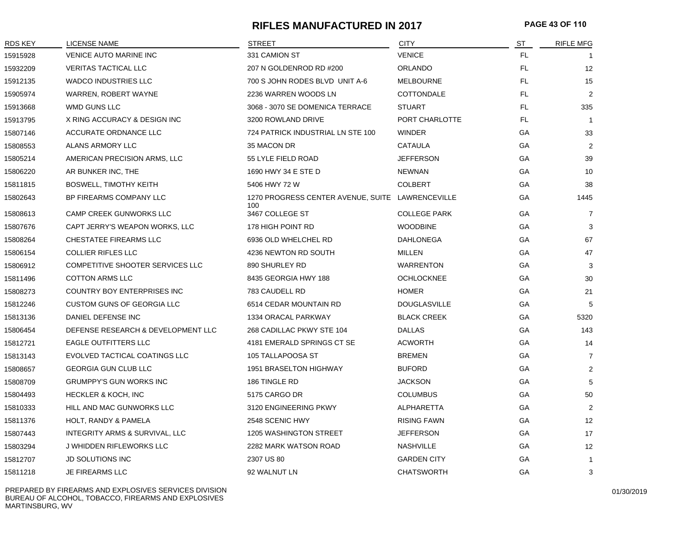### **RIFLES MANUFACTURED IN 2017 PAGE 43 OF 110**

| <b>RDS KEY</b> | LICENSE NAME                       | <b>STREET</b>                                           | <b>CITY</b>         | <u>ST</u> | <b>RIFLE MFG</b> |
|----------------|------------------------------------|---------------------------------------------------------|---------------------|-----------|------------------|
| 15915928       | VENICE AUTO MARINE INC             | 331 CAMION ST                                           | <b>VENICE</b>       | FL.       |                  |
| 15932209       | <b>VERITAS TACTICAL LLC</b>        | 207 N GOLDENROD RD #200                                 | <b>ORLANDO</b>      | FL.       | 12               |
| 15912135       | <b>WADCO INDUSTRIES LLC</b>        | 700 S JOHN RODES BLVD UNIT A-6                          | <b>MELBOURNE</b>    | FL.       | 15               |
| 15905974       | WARREN, ROBERT WAYNE               | 2236 WARREN WOODS LN                                    | <b>COTTONDALE</b>   | FL.       | $\overline{2}$   |
| 15913668       | WMD GUNS LLC                       | 3068 - 3070 SE DOMENICA TERRACE                         | <b>STUART</b>       | FL.       | 335              |
| 15913795       | X RING ACCURACY & DESIGN INC       | 3200 ROWLAND DRIVE                                      | PORT CHARLOTTE      | FL.       | $\overline{1}$   |
| 15807146       | ACCURATE ORDNANCE LLC              | 724 PATRICK INDUSTRIAL LN STE 100                       | <b>WINDER</b>       | GA        | 33               |
| 15808553       | ALANS ARMORY LLC                   | 35 MACON DR                                             | <b>CATAULA</b>      | GA        | $\overline{2}$   |
| 15805214       | AMERICAN PRECISION ARMS, LLC       | 55 LYLE FIELD ROAD                                      | <b>JEFFERSON</b>    | <b>GA</b> | 39               |
| 15806220       | AR BUNKER INC, THE                 | 1690 HWY 34 E STE D                                     | <b>NEWNAN</b>       | GA        | 10               |
| 15811815       | <b>BOSWELL, TIMOTHY KEITH</b>      | 5406 HWY 72 W                                           | <b>COLBERT</b>      | GA        | 38               |
| 15802643       | BP FIREARMS COMPANY LLC            | 1270 PROGRESS CENTER AVENUE, SUITE LAWRENCEVILLE<br>100 |                     | GA        | 1445             |
| 15808613       | <b>CAMP CREEK GUNWORKS LLC</b>     | 3467 COLLEGE ST                                         | <b>COLLEGE PARK</b> | GA        | 7                |
| 15807676       | CAPT JERRY'S WEAPON WORKS, LLC     | 178 HIGH POINT RD                                       | <b>WOODBINE</b>     | GA        | 3                |
| 15808264       | CHESTATEE FIREARMS LLC             | 6936 OLD WHELCHEL RD                                    | <b>DAHLONEGA</b>    | GA        | 67               |
| 15806154       | <b>COLLIER RIFLES LLC</b>          | 4236 NEWTON RD SOUTH                                    | <b>MILLEN</b>       | GA        | 47               |
| 15806912       | COMPETITIVE SHOOTER SERVICES LLC   | 890 SHURLEY RD                                          | <b>WARRENTON</b>    | GA        | 3                |
| 15811496       | <b>COTTON ARMS LLC</b>             | 8435 GEORGIA HWY 188                                    | <b>OCHLOCKNEE</b>   | GA        | 30               |
| 15808273       | COUNTRY BOY ENTERPRISES INC        | 783 CAUDELL RD                                          | <b>HOMER</b>        | GA        | 21               |
| 15812246       | <b>CUSTOM GUNS OF GEORGIA LLC</b>  | 6514 CEDAR MOUNTAIN RD                                  | <b>DOUGLASVILLE</b> | GA        | 5                |
| 15813136       | DANIEL DEFENSE INC                 | 1334 ORACAL PARKWAY                                     | <b>BLACK CREEK</b>  | GA        | 5320             |
| 15806454       | DEFENSE RESEARCH & DEVELOPMENT LLC | 268 CADILLAC PKWY STE 104                               | <b>DALLAS</b>       | GA        | 143              |
| 15812721       | <b>EAGLE OUTFITTERS LLC</b>        | 4181 EMERALD SPRINGS CT SE                              | <b>ACWORTH</b>      | GA        | 14               |
| 15813143       | EVOLVED TACTICAL COATINGS LLC      | 105 TALLAPOOSA ST                                       | <b>BREMEN</b>       | GA        | $\overline{7}$   |
| 15808657       | <b>GEORGIA GUN CLUB LLC</b>        | 1951 BRASELTON HIGHWAY                                  | <b>BUFORD</b>       | GA        | $\overline{2}$   |
| 15808709       | GRUMPPY'S GUN WORKS INC            | 186 TINGLE RD                                           | <b>JACKSON</b>      | GA        | 5                |
| 15804493       | <b>HECKLER &amp; KOCH, INC</b>     | 5175 CARGO DR                                           | <b>COLUMBUS</b>     | GA        | 50               |
| 15810333       | HILL AND MAC GUNWORKS LLC          | 3120 ENGINEERING PKWY                                   | ALPHARETTA          | GA        | 2                |
| 15811376       | <b>HOLT, RANDY &amp; PAMELA</b>    | 2548 SCENIC HWY                                         | <b>RISING FAWN</b>  | GA        | 12               |
| 15807443       | INTEGRITY ARMS & SURVIVAL, LLC     | <b>1205 WASHINGTON STREET</b>                           | <b>JEFFERSON</b>    | GA        | 17               |
| 15803294       | J WHIDDEN RIFLEWORKS LLC           | 2282 MARK WATSON ROAD                                   | NASHVILLE           | GA        | 12               |
| 15812707       | JD SOLUTIONS INC                   | 2307 US 80                                              | <b>GARDEN CITY</b>  | GA        | $\mathbf{1}$     |
| 15811218       | <b>JE FIREARMS LLC</b>             | 92 WALNUT LN                                            | <b>CHATSWORTH</b>   | GA        | 3                |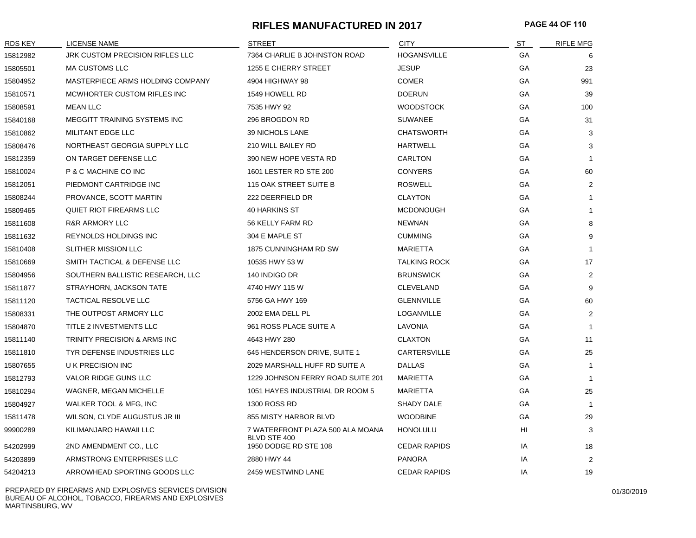## **RIFLES MANUFACTURED IN 2017 PAGE 44 OF 110**

| <b>RDS KEY</b> | <b>LICENSE NAME</b>                 | <b>STREET</b>                                    | <b>CITY</b>         | ST        | <b>RIFLE MFG</b> |
|----------------|-------------------------------------|--------------------------------------------------|---------------------|-----------|------------------|
| 15812982       | JRK CUSTOM PRECISION RIFLES LLC     | 7364 CHARLIE B JOHNSTON ROAD                     | <b>HOGANSVILLE</b>  | GA        | 6                |
| 15805501       | <b>MA CUSTOMS LLC</b>               | 1255 E CHERRY STREET                             | <b>JESUP</b>        | GA        | 23               |
| 15804952       | MASTERPIECE ARMS HOLDING COMPANY    | 4904 HIGHWAY 98                                  | <b>COMER</b>        | GA        | 991              |
| 15810571       | MCWHORTER CUSTOM RIFLES INC         | 1549 HOWELL RD                                   | <b>DOERUN</b>       | GA        | 39               |
| 15808591       | <b>MEAN LLC</b>                     | 7535 HWY 92                                      | <b>WOODSTOCK</b>    | GA        | 100              |
| 15840168       | <b>MEGGITT TRAINING SYSTEMS INC</b> | 296 BROGDON RD                                   | <b>SUWANEE</b>      | GA        | 31               |
| 15810862       | MILITANT EDGE LLC                   | 39 NICHOLS LANE                                  | <b>CHATSWORTH</b>   | GA        | 3                |
| 15808476       | NORTHEAST GEORGIA SUPPLY LLC        | 210 WILL BAILEY RD                               | <b>HARTWELL</b>     | GA        | 3                |
| 15812359       | ON TARGET DEFENSE LLC               | 390 NEW HOPE VESTA RD                            | CARLTON             | GA        | $\overline{1}$   |
| 15810024       | P & C MACHINE CO INC                | 1601 LESTER RD STE 200                           | <b>CONYERS</b>      | GA        | 60               |
| 15812051       | PIEDMONT CARTRIDGE INC              | 115 OAK STREET SUITE B                           | <b>ROSWELL</b>      | <b>GA</b> | 2                |
| 15808244       | PROVANCE, SCOTT MARTIN              | 222 DEERFIELD DR                                 | <b>CLAYTON</b>      | GA        | -1               |
| 15809465       | <b>QUIET RIOT FIREARMS LLC</b>      | <b>40 HARKINS ST</b>                             | <b>MCDONOUGH</b>    | GA        | $\mathbf{1}$     |
| 15811608       | <b>R&amp;R ARMORY LLC</b>           | 56 KELLY FARM RD                                 | <b>NEWNAN</b>       | GA        | 8                |
| 15811632       | <b>REYNOLDS HOLDINGS INC</b>        | 304 E MAPLE ST                                   | <b>CUMMING</b>      | GA        | 9                |
| 15810408       | SLITHER MISSION LLC                 | 1875 CUNNINGHAM RD SW                            | <b>MARIETTA</b>     | GA        | $\mathbf{1}$     |
| 15810669       | SMITH TACTICAL & DEFENSE LLC        | 10535 HWY 53 W                                   | <b>TALKING ROCK</b> | GA        | 17               |
| 15804956       | SOUTHERN BALLISTIC RESEARCH, LLC    | 140 INDIGO DR                                    | <b>BRUNSWICK</b>    | GA        | $\overline{2}$   |
| 15811877       | STRAYHORN, JACKSON TATE             | 4740 HWY 115 W                                   | <b>CLEVELAND</b>    | GA        | 9                |
| 15811120       | <b>TACTICAL RESOLVE LLC</b>         | 5756 GA HWY 169                                  | <b>GLENNVILLE</b>   | GA        | 60               |
| 15808331       | THE OUTPOST ARMORY LLC              | 2002 EMA DELL PL                                 | LOGANVILLE          | GA        | $\overline{2}$   |
| 15804870       | TITLE 2 INVESTMENTS LLC             | 961 ROSS PLACE SUITE A                           | LAVONIA             | GA        | -1               |
| 15811140       | TRINITY PRECISION & ARMS INC        | 4643 HWY 280                                     | <b>CLAXTON</b>      | GA        | 11               |
| 15811810       | TYR DEFENSE INDUSTRIES LLC          | 645 HENDERSON DRIVE, SUITE 1                     | CARTERSVILLE        | GA        | 25               |
| 15807655       | U K PRECISION INC                   | 2029 MARSHALL HUFF RD SUITE A                    | <b>DALLAS</b>       | GA        | -1               |
| 15812793       | VALOR RIDGE GUNS LLC                | 1229 JOHNSON FERRY ROAD SUITE 201                | <b>MARIETTA</b>     | GА        | $\overline{1}$   |
| 15810294       | WAGNER, MEGAN MICHELLE              | 1051 HAYES INDUSTRIAL DR ROOM 5                  | <b>MARIETTA</b>     | GA        | 25               |
| 15804927       | WALKER TOOL & MFG, INC              | <b>1300 ROSS RD</b>                              | SHADY DALE          | GA        | -1               |
| 15811478       | WILSON, CLYDE AUGUSTUS JR III       | 855 MISTY HARBOR BLVD                            | <b>WOODBINE</b>     | GA        | 29               |
| 99900289       | KILIMANJARO HAWAII LLC              | 7 WATERFRONT PLAZA 500 ALA MOANA<br>BLVD STE 400 | <b>HONOLULU</b>     | HI        | 3                |
| 54202999       | 2ND AMENDMENT CO., LLC              | 1950 DODGE RD STE 108                            | <b>CEDAR RAPIDS</b> | IA        | 18               |
| 54203899       | ARMSTRONG ENTERPRISES LLC           | 2880 HWY 44                                      | <b>PANORA</b>       | IA        | $\overline{2}$   |
| 54204213       | ARROWHEAD SPORTING GOODS LLC        | 2459 WESTWIND LANE                               | <b>CEDAR RAPIDS</b> | IA        | 19               |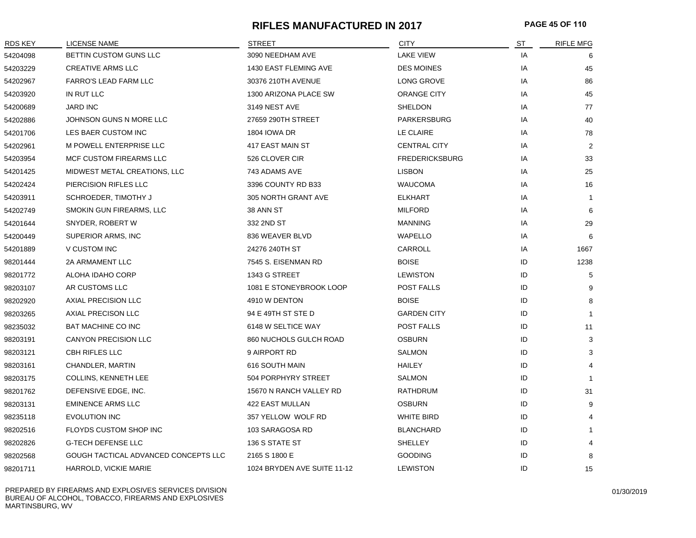# **RIFLES MANUFACTURED IN 2017 PAGE 45 OF 110**

| RDS KEY  | <b>LICENSE NAME</b>                  | <b>STREET</b>               | <b>CITY</b>           | ST | <b>RIFLE MFG</b> |
|----------|--------------------------------------|-----------------------------|-----------------------|----|------------------|
| 54204098 | BETTIN CUSTOM GUNS LLC               | 3090 NEEDHAM AVE            | <b>LAKE VIEW</b>      | IA | 6                |
| 54203229 | <b>CREATIVE ARMS LLC</b>             | 1430 EAST FLEMING AVE       | <b>DES MOINES</b>     | IA | 45               |
| 54202967 | FARRO'S LEAD FARM LLC                | 30376 210TH AVENUE          | LONG GROVE            | IA | 86               |
| 54203920 | IN RUT LLC                           | 1300 ARIZONA PLACE SW       | <b>ORANGE CITY</b>    | IA | 45               |
| 54200689 | <b>JARD INC</b>                      | 3149 NEST AVE               | SHELDON               | IA | 77               |
| 54202886 | JOHNSON GUNS N MORE LLC              | 27659 290TH STREET          | PARKERSBURG           | IA | 40               |
| 54201706 | LES BAER CUSTOM INC                  | 1804 IOWA DR                | LE CLAIRE             | IA | 78               |
| 54202961 | <b>M POWELL ENTERPRISE LLC</b>       | 417 EAST MAIN ST            | <b>CENTRAL CITY</b>   | IA | $\overline{2}$   |
| 54203954 | MCF CUSTOM FIREARMS LLC              | 526 CLOVER CIR              | <b>FREDERICKSBURG</b> | IA | 33               |
| 54201425 | MIDWEST METAL CREATIONS, LLC         | 743 ADAMS AVE               | <b>LISBON</b>         | IA | 25               |
| 54202424 | PIERCISION RIFLES LLC                | 3396 COUNTY RD B33          | <b>WAUCOMA</b>        | IA | 16               |
| 54203911 | SCHROEDER, TIMOTHY J                 | 305 NORTH GRANT AVE         | <b>ELKHART</b>        | IA | -1               |
| 54202749 | SMOKIN GUN FIREARMS, LLC             | 38 ANN ST                   | <b>MILFORD</b>        | IA | 6                |
| 54201644 | SNYDER, ROBERT W                     | 332 2ND ST                  | <b>MANNING</b>        | IA | 29               |
| 54200449 | SUPERIOR ARMS, INC                   | 836 WEAVER BLVD             | WAPELLO               | IA | 6                |
| 54201889 | V CUSTOM INC                         | 24276 240TH ST              | CARROLL               | IA | 1667             |
| 98201444 | 2A ARMAMENT LLC                      | 7545 S. EISENMAN RD         | <b>BOISE</b>          | ID | 1238             |
| 98201772 | ALOHA IDAHO CORP                     | 1343 G STREET               | <b>LEWISTON</b>       | ID | 5                |
| 98203107 | AR CUSTOMS LLC                       | 1081 E STONEYBROOK LOOP     | POST FALLS            | ID | 9                |
| 98202920 | AXIAL PRECISION LLC                  | 4910 W DENTON               | <b>BOISE</b>          | ID | 8                |
| 98203265 | AXIAL PRECISON LLC                   | 94 E 49TH ST STE D          | <b>GARDEN CITY</b>    | ID | -1               |
| 98235032 | <b>BAT MACHINE CO INC</b>            | 6148 W SELTICE WAY          | <b>POST FALLS</b>     | ID | 11               |
| 98203191 | <b>CANYON PRECISION LLC</b>          | 860 NUCHOLS GULCH ROAD      | <b>OSBURN</b>         | ID | 3                |
| 98203121 | CBH RIFLES LLC                       | 9 AIRPORT RD                | <b>SALMON</b>         | ID | 3                |
| 98203161 | CHANDLER, MARTIN                     | 616 SOUTH MAIN              | <b>HAILEY</b>         | ID |                  |
| 98203175 | <b>COLLINS, KENNETH LEE</b>          | 504 PORPHYRY STREET         | SALMON                | ID |                  |
| 98201762 | DEFENSIVE EDGE, INC.                 | 15670 N RANCH VALLEY RD     | RATHDRUM              | ID | 31               |
| 98203131 | <b>EMINENCE ARMS LLC</b>             | 422 EAST MULLAN             | <b>OSBURN</b>         | ID | 9                |
| 98235118 | <b>EVOLUTION INC</b>                 | 357 YELLOW WOLF RD          | <b>WHITE BIRD</b>     | ID |                  |
| 98202516 | FLOYDS CUSTOM SHOP INC               | 103 SARAGOSA RD             | <b>BLANCHARD</b>      | ID |                  |
| 98202826 | <b>G-TECH DEFENSE LLC</b>            | 136 S STATE ST              | <b>SHELLEY</b>        | ID |                  |
| 98202568 | GOUGH TACTICAL ADVANCED CONCEPTS LLC | 2165 S 1800 E               | <b>GOODING</b>        | ID | 8                |
| 98201711 | HARROLD, VICKIE MARIE                | 1024 BRYDEN AVE SUITE 11-12 | <b>LEWISTON</b>       | ID | 15               |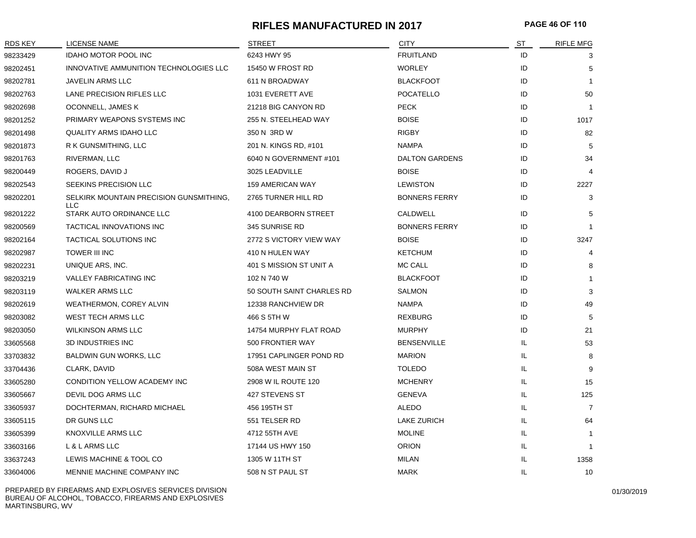## **RIFLES MANUFACTURED IN 2017 PAGE 46 OF 110**

| <b>RDS KEY</b> | <b>LICENSE NAME</b>                                   | <b>STREET</b>             | <b>CITY</b>           | ST | <b>RIFLE MFG</b> |
|----------------|-------------------------------------------------------|---------------------------|-----------------------|----|------------------|
| 98233429       | <b>IDAHO MOTOR POOL INC</b>                           | 6243 HWY 95               | <b>FRUITLAND</b>      | ID | 3                |
| 98202451       | INNOVATIVE AMMUNITION TECHNOLOGIES LLC                | 15450 W FROST RD          | <b>WORLEY</b>         | ID | 5                |
| 98202781       | <b>JAVELIN ARMS LLC</b>                               | 611 N BROADWAY            | <b>BLACKFOOT</b>      | ID | $\overline{1}$   |
| 98202763       | LANE PRECISION RIFLES LLC                             | 1031 EVERETT AVE          | POCATELLO             | ID | 50               |
| 98202698       | OCONNELL, JAMES K                                     | 21218 BIG CANYON RD       | <b>PECK</b>           | ID | $\overline{1}$   |
| 98201252       | PRIMARY WEAPONS SYSTEMS INC                           | 255 N. STEELHEAD WAY      | <b>BOISE</b>          | ID | 1017             |
| 98201498       | <b>QUALITY ARMS IDAHO LLC</b>                         | 350 N 3RD W               | <b>RIGBY</b>          | ID | 82               |
| 98201873       | R K GUNSMITHING, LLC                                  | 201 N. KINGS RD, #101     | <b>NAMPA</b>          | ID | 5                |
| 98201763       | RIVERMAN, LLC                                         | 6040 N GOVERNMENT #101    | <b>DALTON GARDENS</b> | ID | 34               |
| 98200449       | ROGERS, DAVID J                                       | 3025 LEADVILLE            | <b>BOISE</b>          | ID | 4                |
| 98202543       | SEEKINS PRECISION LLC                                 | <b>159 AMERICAN WAY</b>   | <b>LEWISTON</b>       | ID | 2227             |
| 98202201       | SELKIRK MOUNTAIN PRECISION GUNSMITHING,<br><b>LLC</b> | 2765 TURNER HILL RD       | <b>BONNERS FERRY</b>  | ID | 3                |
| 98201222       | STARK AUTO ORDINANCE LLC                              | 4100 DEARBORN STREET      | CALDWELL              | ID | 5                |
| 98200569       | TACTICAL INNOVATIONS INC                              | 345 SUNRISE RD            | <b>BONNERS FERRY</b>  | ID | $\overline{1}$   |
| 98202164       | TACTICAL SOLUTIONS INC                                | 2772 S VICTORY VIEW WAY   | <b>BOISE</b>          | ID | 3247             |
| 98202987       | <b>TOWER III INC</b>                                  | 410 N HULEN WAY           | <b>KETCHUM</b>        | ID | $\overline{4}$   |
| 98202231       | UNIQUE ARS, INC.                                      | 401 S MISSION ST UNIT A   | <b>MC CALL</b>        | ID | 8                |
| 98203219       | <b>VALLEY FABRICATING INC</b>                         | 102 N 740 W               | <b>BLACKFOOT</b>      | ID | -1               |
| 98203119       | <b>WALKER ARMS LLC</b>                                | 50 SOUTH SAINT CHARLES RD | <b>SALMON</b>         | ID | 3                |
| 98202619       | <b>WEATHERMON, COREY ALVIN</b>                        | 12338 RANCHVIEW DR        | <b>NAMPA</b>          | ID | 49               |
| 98203082       | <b>WEST TECH ARMS LLC</b>                             | 466 S 5TH W               | <b>REXBURG</b>        | ID | 5                |
| 98203050       | <b>WILKINSON ARMS LLC</b>                             | 14754 MURPHY FLAT ROAD    | <b>MURPHY</b>         | ID | 21               |
| 33605568       | 3D INDUSTRIES INC                                     | 500 FRONTIER WAY          | <b>BENSENVILLE</b>    | IL | 53               |
| 33703832       | <b>BALDWIN GUN WORKS, LLC</b>                         | 17951 CAPLINGER POND RD   | <b>MARION</b>         | IL | 8                |
| 33704436       | <b>CLARK, DAVID</b>                                   | 508A WEST MAIN ST         | <b>TOLEDO</b>         | IL | 9                |
| 33605280       | CONDITION YELLOW ACADEMY INC                          | 2908 W IL ROUTE 120       | <b>MCHENRY</b>        | IL | 15               |
| 33605667       | <b>DEVIL DOG ARMS LLC</b>                             | 427 STEVENS ST            | <b>GENEVA</b>         | IL | 125              |
| 33605937       | DOCHTERMAN, RICHARD MICHAEL                           | 456 195TH ST              | <b>ALEDO</b>          | IL | $\overline{7}$   |
| 33605115       | DR GUNS LLC                                           | 551 TELSER RD             | <b>LAKE ZURICH</b>    | IL | 64               |
| 33605399       | KNOXVILLE ARMS LLC                                    | 4712 55TH AVE             | <b>MOLINE</b>         | IL | $\overline{1}$   |
| 33603166       | L & L ARMS LLC                                        | 17144 US HWY 150          | <b>ORION</b>          | IL | -1               |
| 33637243       | LEWIS MACHINE & TOOL CO                               | 1305 W 11TH ST            | <b>MILAN</b>          | IL | 1358             |
| 33604006       | MENNIE MACHINE COMPANY INC                            | 508 N ST PAUL ST          | <b>MARK</b>           | IL | 10               |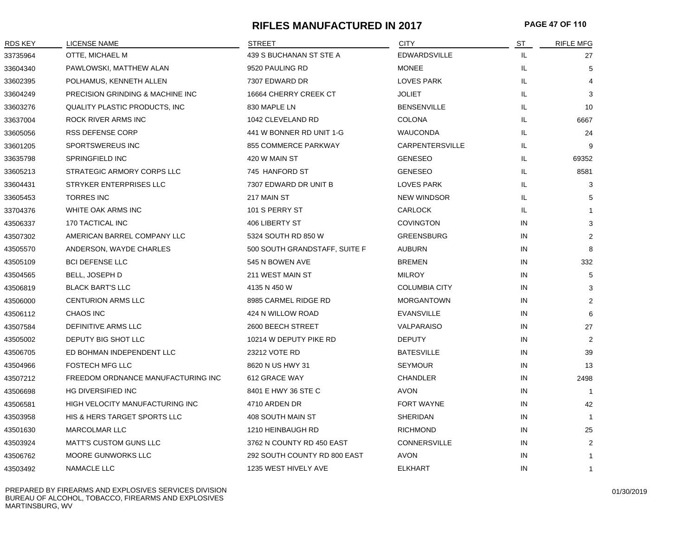# **RIFLES MANUFACTURED IN 2017 PAGE 47 OF 110**

| RDS KEY  | <b>LICENSE NAME</b>                | <b>STREET</b>                 | <b>CITY</b>          | <u>ST</u> | <b>RIFLE MFG</b> |
|----------|------------------------------------|-------------------------------|----------------------|-----------|------------------|
| 33735964 | OTTE, MICHAEL M                    | 439 S BUCHANAN ST STE A       | <b>EDWARDSVILLE</b>  | IL.       | 27               |
| 33604340 | PAWLOWSKI, MATTHEW ALAN            | 9520 PAULING RD               | <b>MONEE</b>         | IL.       | 5                |
| 33602395 | POLHAMUS, KENNETH ALLEN            | 7307 EDWARD DR                | <b>LOVES PARK</b>    | IL        |                  |
| 33604249 | PRECISION GRINDING & MACHINE INC   | 16664 CHERRY CREEK CT         | <b>JOLIET</b>        | IL        | 3                |
| 33603276 | QUALITY PLASTIC PRODUCTS, INC      | 830 MAPLE LN                  | <b>BENSENVILLE</b>   | IL        | 10               |
| 33637004 | ROCK RIVER ARMS INC                | 1042 CLEVELAND RD             | <b>COLONA</b>        | IL        | 6667             |
| 33605056 | <b>RSS DEFENSE CORP</b>            | 441 W BONNER RD UNIT 1-G      | <b>WAUCONDA</b>      | IL        | 24               |
| 33601205 | SPORTSWEREUS INC                   | 855 COMMERCE PARKWAY          | CARPENTERSVILLE      | IL        | 9                |
| 33635798 | SPRINGFIELD INC                    | 420 W MAIN ST                 | <b>GENESEO</b>       | IL.       | 69352            |
| 33605213 | STRATEGIC ARMORY CORPS LLC         | 745 HANFORD ST                | <b>GENESEO</b>       | IL.       | 8581             |
| 33604431 | STRYKER ENTERPRISES LLC            | 7307 EDWARD DR UNIT B         | LOVES PARK           | IL        | 3                |
| 33605453 | <b>TORRES INC</b>                  | 217 MAIN ST                   | <b>NEW WINDSOR</b>   | IL        | 5                |
| 33704376 | WHITE OAK ARMS INC                 | 101 S PERRY ST                | <b>CARLOCK</b>       | IL        | $\mathbf{1}$     |
| 43506337 | 170 TACTICAL INC                   | 406 LIBERTY ST                | <b>COVINGTON</b>     | IN        | 3                |
| 43507302 | AMERICAN BARREL COMPANY LLC        | 5324 SOUTH RD 850 W           | <b>GREENSBURG</b>    | IN        | 2                |
| 43505570 | ANDERSON, WAYDE CHARLES            | 500 SOUTH GRANDSTAFF, SUITE F | <b>AUBURN</b>        | IN        | 8                |
| 43505109 | <b>BCI DEFENSE LLC</b>             | 545 N BOWEN AVE               | <b>BREMEN</b>        | IN        | 332              |
| 43504565 | BELL, JOSEPH D                     | 211 WEST MAIN ST              | <b>MILROY</b>        | IN        | 5                |
| 43506819 | <b>BLACK BART'S LLC</b>            | 4135 N 450 W                  | <b>COLUMBIA CITY</b> | IN        | 3                |
| 43506000 | <b>CENTURION ARMS LLC</b>          | 8985 CARMEL RIDGE RD          | <b>MORGANTOWN</b>    | IN        | 2                |
| 43506112 | <b>CHAOS INC</b>                   | 424 N WILLOW ROAD             | <b>EVANSVILLE</b>    | IN        | 6                |
| 43507584 | DEFINITIVE ARMS LLC                | 2600 BEECH STREET             | VALPARAISO           | IN        | 27               |
| 43505002 | DEPUTY BIG SHOT LLC                | 10214 W DEPUTY PIKE RD        | <b>DEPUTY</b>        | IN        | 2                |
| 43506705 | ED BOHMAN INDEPENDENT LLC          | 23212 VOTE RD                 | <b>BATESVILLE</b>    | IN        | 39               |
| 43504966 | <b>FOSTECH MFG LLC</b>             | 8620 N US HWY 31              | <b>SEYMOUR</b>       | IN        | 13               |
| 43507212 | FREEDOM ORDNANCE MANUFACTURING INC | 612 GRACE WAY                 | <b>CHANDLER</b>      | IN        | 2498             |
| 43506698 | HG DIVERSIFIED INC                 | 8401 E HWY 36 STE C           | <b>AVON</b>          | IN        |                  |
| 43506581 | HIGH VELOCITY MANUFACTURING INC    | 4710 ARDEN DR                 | <b>FORT WAYNE</b>    | IN        | 42               |
| 43503958 | HIS & HERS TARGET SPORTS LLC       | 408 SOUTH MAIN ST             | SHERIDAN             | IN        | -1               |
| 43501630 | <b>MARCOLMAR LLC</b>               | 1210 HEINBAUGH RD             | <b>RICHMOND</b>      | IN        | 25               |
| 43503924 | <b>MATT'S CUSTOM GUNS LLC</b>      | 3762 N COUNTY RD 450 EAST     | <b>CONNERSVILLE</b>  | IN        | 2                |
| 43506762 | <b>MOORE GUNWORKS LLC</b>          | 292 SOUTH COUNTY RD 800 EAST  | AVON                 | IN        | -1               |
| 43503492 | <b>NAMACLE LLC</b>                 | 1235 WEST HIVELY AVE          | <b>ELKHART</b>       | IN        | $\mathbf{1}$     |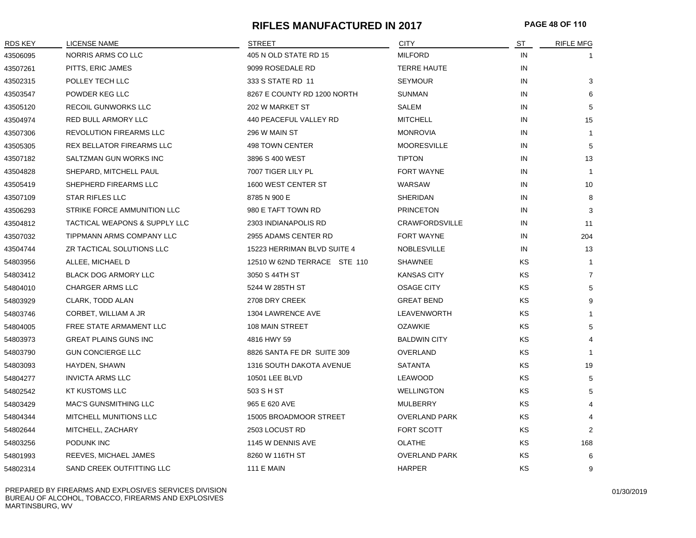# **RIFLES MANUFACTURED IN 2017 PAGE 48 OF 110**

| RDS KEY  | LICENSE NAME                   | <b>STREET</b>                | <b>CITY</b>           | ST | <b>RIFLE MFG</b> |
|----------|--------------------------------|------------------------------|-----------------------|----|------------------|
| 43506095 | NORRIS ARMS CO LLC             | 405 N OLD STATE RD 15        | <b>MILFORD</b>        | IN |                  |
| 43507261 | PITTS, ERIC JAMES              | 9099 ROSEDALE RD             | <b>TERRE HAUTE</b>    | IN |                  |
| 43502315 | POLLEY TECH LLC                | 333 S STATE RD 11            | <b>SEYMOUR</b>        | IN | 3                |
| 43503547 | POWDER KEG LLC                 | 8267 E COUNTY RD 1200 NORTH  | <b>SUNMAN</b>         | IN | 6                |
| 43505120 | <b>RECOIL GUNWORKS LLC</b>     | 202 W MARKET ST              | SALEM                 | IN | 5                |
| 43504974 | RED BULL ARMORY LLC            | 440 PEACEFUL VALLEY RD       | <b>MITCHELL</b>       | IN | 15               |
| 43507306 | <b>REVOLUTION FIREARMS LLC</b> | 296 W MAIN ST                | <b>MONROVIA</b>       | IN | 1                |
| 43505305 | REX BELLATOR FIREARMS LLC      | 498 TOWN CENTER              | <b>MOORESVILLE</b>    | IN | 5                |
| 43507182 | SALTZMAN GUN WORKS INC         | 3896 S 400 WEST              | <b>TIPTON</b>         | IN | 13               |
| 43504828 | SHEPARD, MITCHELL PAUL         | 7007 TIGER LILY PL           | <b>FORT WAYNE</b>     | IN | $\mathbf{1}$     |
| 43505419 | SHEPHERD FIREARMS LLC          | 1600 WEST CENTER ST          | WARSAW                | IN | 10               |
| 43507109 | <b>STAR RIFLES LLC</b>         | 8785 N 900 E                 | <b>SHERIDAN</b>       | IN | 8                |
| 43506293 | STRIKE FORCE AMMUNITION LLC    | 980 E TAFT TOWN RD           | <b>PRINCETON</b>      | IN | 3                |
| 43504812 | TACTICAL WEAPONS & SUPPLY LLC  | 2303 INDIANAPOLIS RD         | <b>CRAWFORDSVILLE</b> | IN | 11               |
| 43507032 | TIPPMANN ARMS COMPANY LLC      | 2955 ADAMS CENTER RD         | <b>FORT WAYNE</b>     | IN | 204              |
| 43504744 | ZR TACTICAL SOLUTIONS LLC      | 15223 HERRIMAN BLVD SUITE 4  | <b>NOBLESVILLE</b>    | IN | 13               |
| 54803956 | ALLEE, MICHAEL D               | 12510 W 62ND TERRACE STE 110 | <b>SHAWNEE</b>        | KS | $\mathbf{1}$     |
| 54803412 | BLACK DOG ARMORY LLC           | 3050 S 44TH ST               | <b>KANSAS CITY</b>    | KS | $\overline{7}$   |
| 54804010 | CHARGER ARMS LLC               | 5244 W 285TH ST              | OSAGE CITY            | KS | 5                |
| 54803929 | CLARK, TODD ALAN               | 2708 DRY CREEK               | <b>GREAT BEND</b>     | KS | 9                |
| 54803746 | CORBET, WILLIAM A JR           | 1304 LAWRENCE AVE            | LEAVENWORTH           | KS | $\mathbf 1$      |
| 54804005 | FREE STATE ARMAMENT LLC        | 108 MAIN STREET              | <b>OZAWKIE</b>        | KS | 5                |
| 54803973 | <b>GREAT PLAINS GUNS INC</b>   | 4816 HWY 59                  | <b>BALDWIN CITY</b>   | KS | $\overline{4}$   |
| 54803790 | <b>GUN CONCIERGE LLC</b>       | 8826 SANTA FE DR SUITE 309   | OVERLAND              | KS | $\mathbf 1$      |
| 54803093 | HAYDEN, SHAWN                  | 1316 SOUTH DAKOTA AVENUE     | <b>SATANTA</b>        | KS | 19               |
| 54804277 | <b>INVICTA ARMS LLC</b>        | 10501 LEE BLVD               | LEAWOOD               | KS | 5                |
| 54802542 | <b>KT KUSTOMS LLC</b>          | 503 S H ST                   | <b>WELLINGTON</b>     | KS | 5                |
| 54803429 | <b>MAC'S GUNSMITHING LLC</b>   | 965 E 620 AVE                | MULBERRY              | KS | $\overline{4}$   |
| 54804344 | MITCHELL MUNITIONS LLC         | 15005 BROADMOOR STREET       | <b>OVERLAND PARK</b>  | KS |                  |
| 54802644 | MITCHELL, ZACHARY              | 2503 LOCUST RD               | FORT SCOTT            | KS | 2                |
| 54803256 | PODUNK INC                     | 1145 W DENNIS AVE            | <b>OLATHE</b>         | KS | 168              |
| 54801993 | REEVES, MICHAEL JAMES          | 8260 W 116TH ST              | <b>OVERLAND PARK</b>  | KS | 6                |
| 54802314 | SAND CREEK OUTFITTING LLC      | <b>111 E MAIN</b>            | <b>HARPER</b>         | KS | 9                |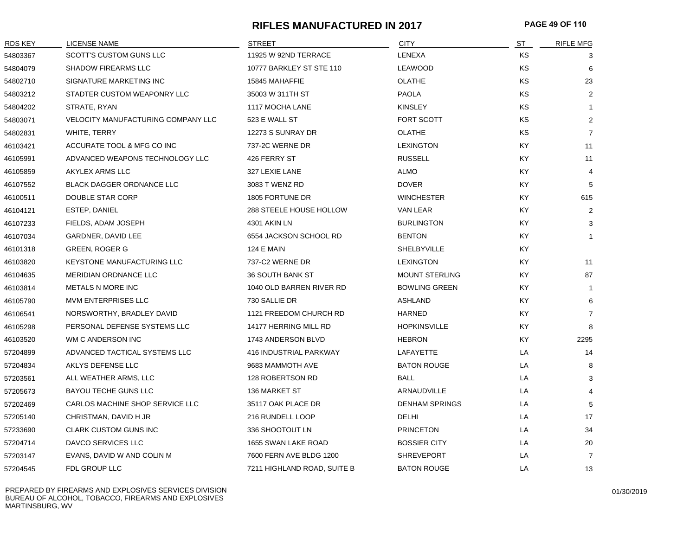# **RIFLES MANUFACTURED IN 2017 PAGE 49 OF 110**

| <b>RDS KEY</b> | LICENSE NAME                       | <b>STREET</b>               | <b>CITY</b>           | <u>ST</u> | <b>RIFLE MFG</b> |
|----------------|------------------------------------|-----------------------------|-----------------------|-----------|------------------|
| 54803367       | <b>SCOTT'S CUSTOM GUNS LLC</b>     | 11925 W 92ND TERRACE        | LENEXA                | KS        | 3                |
| 54804079       | <b>SHADOW FIREARMS LLC</b>         | 10777 BARKLEY ST STE 110    | LEAWOOD               | KS        | 6                |
| 54802710       | SIGNATURE MARKETING INC            | 15845 MAHAFFIE              | <b>OLATHE</b>         | KS        | 23               |
| 54803212       | STADTER CUSTOM WEAPONRY LLC        | 35003 W 311TH ST            | <b>PAOLA</b>          | KS        | 2                |
| 54804202       | STRATE, RYAN                       | 1117 MOCHA LANE             | <b>KINSLEY</b>        | <b>KS</b> | $\mathbf{1}$     |
| 54803071       | VELOCITY MANUFACTURING COMPANY LLC | 523 E WALL ST               | FORT SCOTT            | KS        | 2                |
| 54802831       | WHITE, TERRY                       | 12273 S SUNRAY DR           | <b>OLATHE</b>         | <b>KS</b> | $\overline{7}$   |
| 46103421       | ACCURATE TOOL & MFG CO INC         | 737-2C WERNE DR             | <b>LEXINGTON</b>      | KY        | 11               |
| 46105991       | ADVANCED WEAPONS TECHNOLOGY LLC    | 426 FERRY ST                | <b>RUSSELL</b>        | KY        | 11               |
| 46105859       | <b>AKYLEX ARMS LLC</b>             | 327 LEXIE LANE              | <b>ALMO</b>           | <b>KY</b> | $\overline{4}$   |
| 46107552       | <b>BLACK DAGGER ORDNANCE LLC</b>   | 3083 T WENZ RD              | <b>DOVER</b>          | KY        | 5                |
| 46100511       | DOUBLE STAR CORP                   | 1805 FORTUNE DR             | <b>WINCHESTER</b>     | KY        | 615              |
| 46104121       | ESTEP, DANIEL                      | 288 STEELE HOUSE HOLLOW     | VAN LEAR              | KY        | $\overline{2}$   |
| 46107233       | FIELDS, ADAM JOSEPH                | 4301 AKIN LN                | <b>BURLINGTON</b>     | KY        | 3                |
| 46107034       | GARDNER, DAVID LEE                 | 6554 JACKSON SCHOOL RD      | <b>BENTON</b>         | <b>KY</b> | $\mathbf 1$      |
| 46101318       | <b>GREEN, ROGER G</b>              | <b>124 E MAIN</b>           | <b>SHELBYVILLE</b>    | KY        |                  |
| 46103820       | <b>KEYSTONE MANUFACTURING LLC</b>  | 737-C2 WERNE DR             | <b>LEXINGTON</b>      | KY        | 11               |
| 46104635       | MERIDIAN ORDNANCE LLC              | 36 SOUTH BANK ST            | <b>MOUNT STERLING</b> | KY        | 87               |
| 46103814       | <b>METALS N MORE INC</b>           | 1040 OLD BARREN RIVER RD    | <b>BOWLING GREEN</b>  | KY        | $\overline{1}$   |
| 46105790       | <b>MVM ENTERPRISES LLC</b>         | 730 SALLIE DR               | <b>ASHLAND</b>        | KY.       | 6                |
| 46106541       | NORSWORTHY, BRADLEY DAVID          | 1121 FREEDOM CHURCH RD      | <b>HARNED</b>         | <b>KY</b> | $\overline{7}$   |
| 46105298       | PERSONAL DEFENSE SYSTEMS LLC       | 14177 HERRING MILL RD       | <b>HOPKINSVILLE</b>   | KY        | 8                |
| 46103520       | WM C ANDERSON INC                  | 1743 ANDERSON BLVD          | <b>HEBRON</b>         | KY        | 2295             |
| 57204899       | ADVANCED TACTICAL SYSTEMS LLC      | 416 INDUSTRIAL PARKWAY      | LAFAYETTE             | LA        | 14               |
| 57204834       | AKLYS DEFENSE LLC                  | 9683 MAMMOTH AVE            | <b>BATON ROUGE</b>    | LA        | 8                |
| 57203561       | ALL WEATHER ARMS, LLC              | 128 ROBERTSON RD            | BALL                  | LA        | 3                |
| 57205673       | <b>BAYOU TECHE GUNS LLC</b>        | 136 MARKET ST               | <b>ARNAUDVILLE</b>    | LA        | $\overline{4}$   |
| 57202469       | CARLOS MACHINE SHOP SERVICE LLC    | 35117 OAK PLACE DR          | <b>DENHAM SPRINGS</b> | LA        | 5                |
| 57205140       | CHRISTMAN, DAVID H JR              | 216 RUNDELL LOOP            | DELHI                 | LA        | 17               |
| 57233690       | <b>CLARK CUSTOM GUNS INC</b>       | 336 SHOOTOUT LN             | <b>PRINCETON</b>      | LA        | 34               |
| 57204714       | DAVCO SERVICES LLC                 | 1655 SWAN LAKE ROAD         | <b>BOSSIER CITY</b>   | LA        | 20               |
| 57203147       | EVANS, DAVID W AND COLIN M         | 7600 FERN AVE BLDG 1200     | <b>SHREVEPORT</b>     | LA        | $\overline{7}$   |
| 57204545       | FDL GROUP LLC                      | 7211 HIGHLAND ROAD, SUITE B | <b>BATON ROUGE</b>    | LA        | 13               |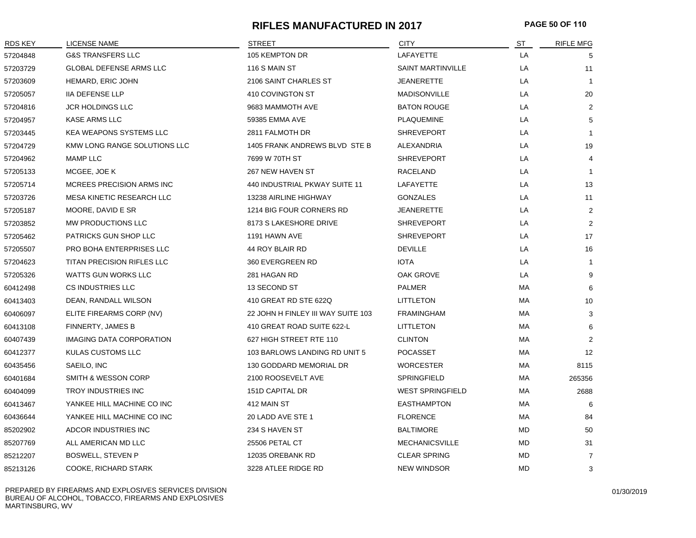# **RIFLES MANUFACTURED IN 2017 PAGE 50 OF 110**

| RDS KEY  | LICENSE NAME                      | <b>STREET</b>                      | <b>CITY</b>              | ST        | <b>RIFLE MFG</b> |
|----------|-----------------------------------|------------------------------------|--------------------------|-----------|------------------|
| 57204848 | <b>G&amp;S TRANSFERS LLC</b>      | 105 KEMPTON DR                     | LAFAYETTE                | LA        | 5                |
| 57203729 | <b>GLOBAL DEFENSE ARMS LLC</b>    | 116 S MAIN ST                      | <b>SAINT MARTINVILLE</b> | LA        | 11               |
| 57203609 | HEMARD, ERIC JOHN                 | 2106 SAINT CHARLES ST              | <b>JEANERETTE</b>        | LA        | $\overline{1}$   |
| 57205057 | <b>IIA DEFENSE LLP</b>            | 410 COVINGTON ST                   | <b>MADISONVILLE</b>      | LA        | 20               |
| 57204816 | <b>JCR HOLDINGS LLC</b>           | 9683 MAMMOTH AVE                   | <b>BATON ROUGE</b>       | LA        | 2                |
| 57204957 | <b>KASE ARMS LLC</b>              | 59385 EMMA AVE                     | <b>PLAQUEMINE</b>        | LA        | 5                |
| 57203445 | <b>KEA WEAPONS SYSTEMS LLC</b>    | 2811 FALMOTH DR                    | <b>SHREVEPORT</b>        | LA        | -1               |
| 57204729 | KMW LONG RANGE SOLUTIONS LLC      | 1405 FRANK ANDREWS BLVD STE B      | ALEXANDRIA               | LA        | 19               |
| 57204962 | MAMP LLC                          | 7699 W 70TH ST                     | <b>SHREVEPORT</b>        | LA        | $\overline{4}$   |
| 57205133 | MCGEE, JOE K                      | 267 NEW HAVEN ST                   | RACELAND                 | LA        | -1               |
| 57205714 | MCREES PRECISION ARMS INC         | 440 INDUSTRIAL PKWAY SUITE 11      | LAFAYETTE                | LA        | 13               |
| 57203726 | MESA KINETIC RESEARCH LLC         | 13238 AIRLINE HIGHWAY              | <b>GONZALES</b>          | LA        | 11               |
| 57205187 | MOORE, DAVID E SR                 | 1214 BIG FOUR CORNERS RD           | <b>JEANERETTE</b>        | LA        | $\overline{2}$   |
| 57203852 | MW PRODUCTIONS LLC                | 8173 S LAKESHORE DRIVE             | <b>SHREVEPORT</b>        | LA        | $\overline{2}$   |
| 57205462 | PATRICKS GUN SHOP LLC             | 1191 HAWN AVE                      | <b>SHREVEPORT</b>        | LA        | 17               |
| 57205507 | PRO BOHA ENTERPRISES LLC          | 44 ROY BLAIR RD                    | <b>DEVILLE</b>           | LA        | 16               |
| 57204623 | <b>TITAN PRECISION RIFLES LLC</b> | 360 EVERGREEN RD                   | <b>IOTA</b>              | LA        | -1               |
| 57205326 | <b>WATTS GUN WORKS LLC</b>        | 281 HAGAN RD                       | <b>OAK GROVE</b>         | LA        | 9                |
| 60412498 | CS INDUSTRIES LLC                 | 13 SECOND ST                       | <b>PALMER</b>            | МA        | 6                |
| 60413403 | DEAN, RANDALL WILSON              | 410 GREAT RD STE 622Q              | <b>LITTLETON</b>         | MA        | 10               |
| 60406097 | ELITE FIREARMS CORP (NV)          | 22 JOHN H FINLEY III WAY SUITE 103 | <b>FRAMINGHAM</b>        | МA        | 3                |
| 60413108 | FINNERTY, JAMES B                 | 410 GREAT ROAD SUITE 622-L         | <b>LITTLETON</b>         | MA        | 6                |
| 60407439 | <b>IMAGING DATA CORPORATION</b>   | 627 HIGH STREET RTE 110            | <b>CLINTON</b>           | МA        | $\overline{2}$   |
| 60412377 | KULAS CUSTOMS LLC                 | 103 BARLOWS LANDING RD UNIT 5      | <b>POCASSET</b>          | МA        | 12               |
| 60435456 | SAEILO, INC                       | 130 GODDARD MEMORIAL DR            | <b>WORCESTER</b>         | МA        | 8115             |
| 60401684 | <b>SMITH &amp; WESSON CORP</b>    | 2100 ROOSEVELT AVE                 | <b>SPRINGFIELD</b>       | МA        | 265356           |
| 60404099 | TROY INDUSTRIES INC               | 151D CAPITAL DR                    | <b>WEST SPRINGFIELD</b>  | МA        | 2688             |
| 60413467 | YANKEE HILL MACHINE CO INC        | 412 MAIN ST                        | <b>EASTHAMPTON</b>       | МA        | 6                |
| 60436644 | YANKEE HILL MACHINE CO INC        | 20 LADD AVE STE 1                  | <b>FLORENCE</b>          | МA        | 84               |
| 85202902 | ADCOR INDUSTRIES INC              | 234 S HAVEN ST                     | <b>BALTIMORE</b>         | MD        | 50               |
| 85207769 | ALL AMERICAN MD LLC               | 25506 PETAL CT                     | <b>MECHANICSVILLE</b>    | MD        | 31               |
| 85212207 | <b>BOSWELL, STEVEN P</b>          | 12035 OREBANK RD                   | <b>CLEAR SPRING</b>      | <b>MD</b> | $\overline{7}$   |
| 85213126 | COOKE, RICHARD STARK              | 3228 ATLEE RIDGE RD                | <b>NEW WINDSOR</b>       | MD        | 3                |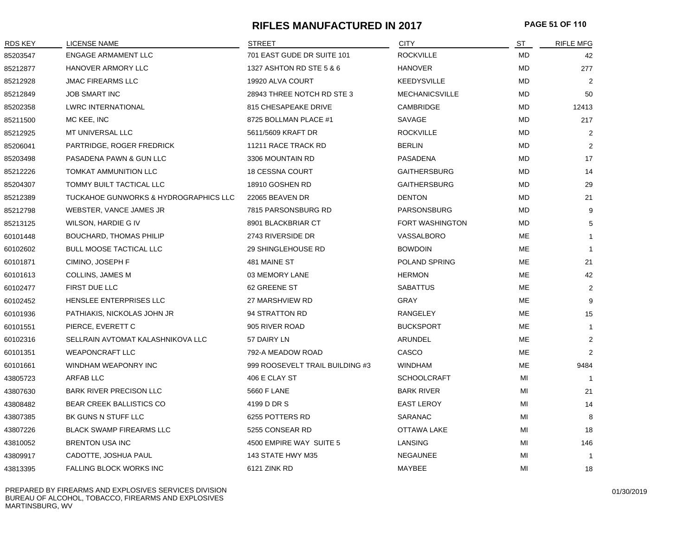# **RIFLES MANUFACTURED IN 2017 PAGE 51 OF 110**

| RDS KEY  | <b>LICENSE NAME</b>                   | <b>STREET</b>                   | <b>CITY</b>           | ST        | <b>RIFLE MFG</b> |
|----------|---------------------------------------|---------------------------------|-----------------------|-----------|------------------|
| 85203547 | <b>ENGAGE ARMAMENT LLC</b>            | 701 EAST GUDE DR SUITE 101      | <b>ROCKVILLE</b>      | <b>MD</b> | 42               |
| 85212877 | <b>HANOVER ARMORY LLC</b>             | 1327 ASHTON RD STE 5 & 6        | <b>HANOVER</b>        | <b>MD</b> | 277              |
| 85212928 | <b>JMAC FIREARMS LLC</b>              | 19920 ALVA COURT                | <b>KEEDYSVILLE</b>    | MD        | $\overline{2}$   |
| 85212849 | <b>JOB SMART INC</b>                  | 28943 THREE NOTCH RD STE 3      | <b>MECHANICSVILLE</b> | MD        | 50               |
| 85202358 | <b>LWRC INTERNATIONAL</b>             | 815 CHESAPEAKE DRIVE            | CAMBRIDGE             | MD        | 12413            |
| 85211500 | MC KEE, INC                           | 8725 BOLLMAN PLACE #1           | SAVAGE                | MD        | 217              |
| 85212925 | MT UNIVERSAL LLC                      | 5611/5609 KRAFT DR              | <b>ROCKVILLE</b>      | MD        | 2                |
| 85206041 | PARTRIDGE, ROGER FREDRICK             | 11211 RACE TRACK RD             | <b>BERLIN</b>         | MD        | 2                |
| 85203498 | PASADENA PAWN & GUN LLC               | 3306 MOUNTAIN RD                | PASADENA              | MD        | 17               |
| 85212226 | <b>TOMKAT AMMUNITION LLC</b>          | <b>18 CESSNA COURT</b>          | <b>GAITHERSBURG</b>   | MD        | 14               |
| 85204307 | TOMMY BUILT TACTICAL LLC              | 18910 GOSHEN RD                 | <b>GAITHERSBURG</b>   | <b>MD</b> | 29               |
| 85212389 | TUCKAHOE GUNWORKS & HYDROGRAPHICS LLC | 22065 BEAVEN DR                 | <b>DENTON</b>         | MD        | 21               |
| 85212798 | WEBSTER, VANCE JAMES JR               | 7815 PARSONSBURG RD             | PARSONSBURG           | MD        | 9                |
| 85213125 | WILSON, HARDIE G IV                   | 8901 BLACKBRIAR CT              | FORT WASHINGTON       | MD        | 5                |
| 60101448 | <b>BOUCHARD, THOMAS PHILIP</b>        | 2743 RIVERSIDE DR               | VASSALBORO            | ME        |                  |
| 60102602 | <b>BULL MOOSE TACTICAL LLC</b>        | 29 SHINGLEHOUSE RD              | <b>BOWDOIN</b>        | ME        |                  |
| 60101871 | CIMINO, JOSEPH F                      | 481 MAINE ST                    | POLAND SPRING         | ME        | 21               |
| 60101613 | COLLINS, JAMES M                      | 03 MEMORY LANE                  | <b>HERMON</b>         | ME        | 42               |
| 60102477 | FIRST DUE LLC                         | 62 GREENE ST                    | <b>SABATTUS</b>       | ME        | 2                |
| 60102452 | HENSLEE ENTERPRISES LLC               | 27 MARSHVIEW RD                 | GRAY                  | ME        | 9                |
| 60101936 | PATHIAKIS, NICKOLAS JOHN JR           | 94 STRATTON RD                  | RANGELEY              | ME        | 15               |
| 60101551 | PIERCE, EVERETT C                     | 905 RIVER ROAD                  | <b>BUCKSPORT</b>      | ME        | $\overline{1}$   |
| 60102316 | SELLRAIN AVTOMAT KALASHNIKOVA LLC     | 57 DAIRY LN                     | ARUNDEL               | <b>ME</b> | 2                |
| 60101351 | <b>WEAPONCRAFT LLC</b>                | 792-A MEADOW ROAD               | CASCO                 | ME        | 2                |
| 60101661 | WINDHAM WEAPONRY INC                  | 999 ROOSEVELT TRAIL BUILDING #3 | WINDHAM               | ME        | 9484             |
| 43805723 | ARFAB LLC                             | 406 E CLAY ST                   | <b>SCHOOLCRAFT</b>    | MI        |                  |
| 43807630 | <b>BARK RIVER PRECISON LLC</b>        | 5660 F LANE                     | <b>BARK RIVER</b>     | MI        | 21               |
| 43808482 | <b>BEAR CREEK BALLISTICS CO</b>       | 4199 D DR S                     | <b>EAST LEROY</b>     | MI        | 14               |
| 43807385 | BK GUNS N STUFF LLC                   | 6255 POTTERS RD                 | SARANAC               | MI        | 8                |
| 43807226 | <b>BLACK SWAMP FIREARMS LLC</b>       | 5255 CONSEAR RD                 | OTTAWA LAKE           | MI        | 18               |
| 43810052 | <b>BRENTON USA INC</b>                | 4500 EMPIRE WAY SUITE 5         | LANSING               | MI        | 146              |
| 43809917 | CADOTTE, JOSHUA PAUL                  | 143 STATE HWY M35               | NEGAUNEE              | MI        | $\overline{1}$   |
| 43813395 | FALLING BLOCK WORKS INC               | 6121 ZINK RD                    | MAYBEE                | MI        | 18               |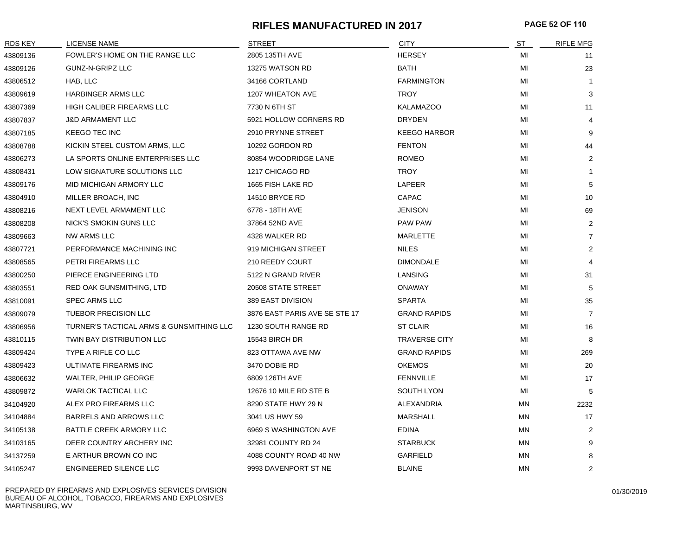## **RIFLES MANUFACTURED IN 2017 PAGE 52 OF 110**

| <b>RDS KEY</b> | <b>LICENSE NAME</b>                      | <b>STREET</b>                 | <b>CITY</b>          | ST | <b>RIFLE MFG</b> |
|----------------|------------------------------------------|-------------------------------|----------------------|----|------------------|
| 43809136       | FOWLER'S HOME ON THE RANGE LLC           | 2805 135TH AVE                | <b>HERSEY</b>        | MI | 11               |
| 43809126       | GUNZ-N-GRIPZ LLC                         | 13275 WATSON RD               | <b>BATH</b>          | MI | 23               |
| 43806512       | HAB, LLC                                 | 34166 CORTLAND                | <b>FARMINGTON</b>    | MI | $\mathbf{1}$     |
| 43809619       | HARBINGER ARMS LLC                       | 1207 WHEATON AVE              | <b>TROY</b>          | MI | 3                |
| 43807369       | HIGH CALIBER FIREARMS LLC                | 7730 N 6TH ST                 | <b>KALAMAZOO</b>     | MI | 11               |
| 43807837       | <b>J&amp;D ARMAMENT LLC</b>              | 5921 HOLLOW CORNERS RD        | <b>DRYDEN</b>        | MI | 4                |
| 43807185       | <b>KEEGO TEC INC</b>                     | 2910 PRYNNE STREET            | <b>KEEGO HARBOR</b>  | MI | 9                |
| 43808788       | KICKIN STEEL CUSTOM ARMS, LLC            | 10292 GORDON RD               | <b>FENTON</b>        | MI | 44               |
| 43806273       | LA SPORTS ONLINE ENTERPRISES LLC         | 80854 WOODRIDGE LANE          | <b>ROMEO</b>         | MI | 2                |
| 43808431       | LOW SIGNATURE SOLUTIONS LLC              | 1217 CHICAGO RD               | <b>TROY</b>          | MI | $\mathbf{1}$     |
| 43809176       | MID MICHIGAN ARMORY LLC                  | 1665 FISH LAKE RD             | LAPEER               | МI | 5                |
| 43804910       | MILLER BROACH, INC                       | <b>14510 BRYCE RD</b>         | <b>CAPAC</b>         | MI | 10               |
| 43808216       | NEXT LEVEL ARMAMENT LLC                  | 6778 - 18TH AVE               | <b>JENISON</b>       | MI | 69               |
| 43808208       | NICK'S SMOKIN GUNS LLC                   | 37864 52ND AVE                | <b>PAW PAW</b>       | MI | $\overline{2}$   |
| 43809663       | <b>NW ARMS LLC</b>                       | 4328 WALKER RD                | <b>MARLETTE</b>      | MI | $\overline{7}$   |
| 43807721       | PERFORMANCE MACHINING INC                | 919 MICHIGAN STREET           | <b>NILES</b>         | MI | $\overline{2}$   |
| 43808565       | PETRI FIREARMS LLC                       | 210 REEDY COURT               | <b>DIMONDALE</b>     | MI | 4                |
| 43800250       | PIERCE ENGINEERING LTD                   | 5122 N GRAND RIVER            | LANSING              | MI | 31               |
| 43803551       | RED OAK GUNSMITHING, LTD                 | 20508 STATE STREET            | <b>ONAWAY</b>        | MI | 5                |
| 43810091       | <b>SPEC ARMS LLC</b>                     | 389 EAST DIVISION             | <b>SPARTA</b>        | MI | 35               |
| 43809079       | TUEBOR PRECISION LLC                     | 3876 EAST PARIS AVE SE STE 17 | <b>GRAND RAPIDS</b>  | MI | $\overline{7}$   |
| 43806956       | TURNER'S TACTICAL ARMS & GUNSMITHING LLC | 1230 SOUTH RANGE RD           | <b>ST CLAIR</b>      | MI | 16               |
| 43810115       | <b>TWIN BAY DISTRIBUTION LLC</b>         | <b>15543 BIRCH DR</b>         | <b>TRAVERSE CITY</b> | MI | 8                |
| 43809424       | TYPE A RIFLE CO LLC                      | 823 OTTAWA AVE NW             | <b>GRAND RAPIDS</b>  | MI | 269              |
| 43809423       | ULTIMATE FIREARMS INC                    | 3470 DOBIE RD                 | <b>OKEMOS</b>        | MI | 20               |
| 43806632       | <b>WALTER, PHILIP GEORGE</b>             | 6809 126TH AVE                | <b>FENNVILLE</b>     | MI | 17               |
| 43809872       | <b>WARLOK TACTICAL LLC</b>               | 12676 10 MILE RD STE B        | SOUTH LYON           | MI | 5                |
| 34104920       | ALEX PRO FIREARMS LLC                    | 8290 STATE HWY 29 N           | ALEXANDRIA           | MN | 2232             |
| 34104884       | BARRELS AND ARROWS LLC                   | 3041 US HWY 59                | MARSHALL             | MN | 17               |
| 34105138       | BATTLE CREEK ARMORY LLC                  | 6969 S WASHINGTON AVE         | <b>EDINA</b>         | MN | 2                |
| 34103165       | DEER COUNTRY ARCHERY INC                 | 32981 COUNTY RD 24            | <b>STARBUCK</b>      | ΜN | 9                |
| 34137259       | E ARTHUR BROWN CO INC                    | 4088 COUNTY ROAD 40 NW        | <b>GARFIELD</b>      | ΜN | 8                |
| 34105247       | ENGINEERED SILENCE LLC                   | 9993 DAVENPORT ST NE          | <b>BLAINE</b>        | ΜN | $\overline{2}$   |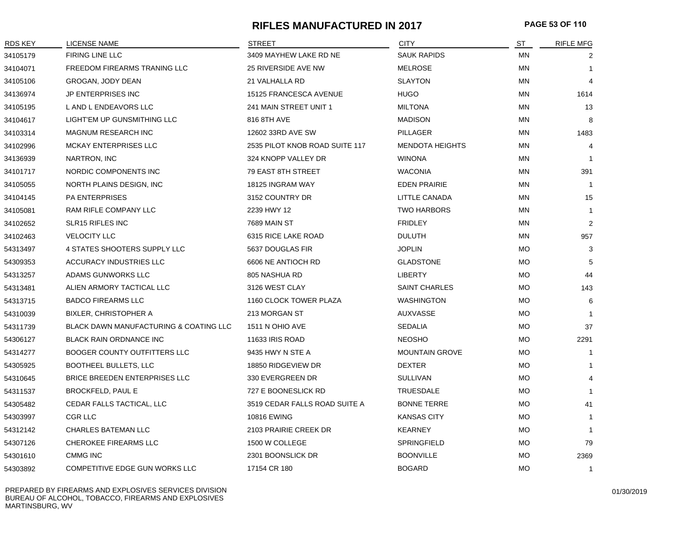# **RIFLES MANUFACTURED IN 2017 PAGE 53 OF 110**

| <b>RDS KEY</b> | <b>LICENSE NAME</b>                    | <b>STREET</b>                  | <b>CITY</b>            | ST        | <b>RIFLE MFG</b> |
|----------------|----------------------------------------|--------------------------------|------------------------|-----------|------------------|
| 34105179       | FIRING LINE LLC                        | 3409 MAYHEW LAKE RD NE         | <b>SAUK RAPIDS</b>     | MN        | 2                |
| 34104071       | FREEDOM FIREARMS TRANING LLC           | 25 RIVERSIDE AVE NW            | <b>MELROSE</b>         | MN        | $\mathbf{1}$     |
| 34105106       | GROGAN, JODY DEAN                      | 21 VALHALLA RD                 | <b>SLAYTON</b>         | MN        | 4                |
| 34136974       | JP ENTERPRISES INC                     | 15125 FRANCESCA AVENUE         | <b>HUGO</b>            | MN        | 1614             |
| 34105195       | L AND L ENDEAVORS LLC                  | 241 MAIN STREET UNIT 1         | <b>MILTONA</b>         | MN        | 13               |
| 34104617       | LIGHT'EM UP GUNSMITHING LLC            | 816 8TH AVE                    | <b>MADISON</b>         | MN        | 8                |
| 34103314       | MAGNUM RESEARCH INC                    | 12602 33RD AVE SW              | PILLAGER               | ΜN        | 1483             |
| 34102996       | MCKAY ENTERPRISES LLC                  | 2535 PILOT KNOB ROAD SUITE 117 | <b>MENDOTA HEIGHTS</b> | MN        | 4                |
| 34136939       | <b>NARTRON, INC</b>                    | 324 KNOPP VALLEY DR            | <b>WINONA</b>          | MN        | $\overline{1}$   |
| 34101717       | NORDIC COMPONENTS INC                  | 79 EAST 8TH STREET             | <b>WACONIA</b>         | MN        | 391              |
| 34105055       | NORTH PLAINS DESIGN, INC               | 18125 INGRAM WAY               | <b>EDEN PRAIRIE</b>    | MN        | $\overline{1}$   |
| 34104145       | <b>PA ENTERPRISES</b>                  | 3152 COUNTRY DR                | LITTLE CANADA          | ΜN        | 15               |
| 34105081       | RAM RIFLE COMPANY LLC                  | 2239 HWY 12                    | <b>TWO HARBORS</b>     | ΜN        | $\mathbf{1}$     |
| 34102652       | <b>SLR15 RIFLES INC</b>                | <b>7689 MAIN ST</b>            | <b>FRIDLEY</b>         | MN        | $\overline{2}$   |
| 34102463       | <b>VELOCITY LLC</b>                    | 6315 RICE LAKE ROAD            | <b>DULUTH</b>          | MN        | 957              |
| 54313497       | 4 STATES SHOOTERS SUPPLY LLC           | 5637 DOUGLAS FIR               | <b>JOPLIN</b>          | <b>MO</b> | 3                |
| 54309353       | ACCURACY INDUSTRIES LLC                | 6606 NE ANTIOCH RD             | <b>GLADSTONE</b>       | <b>MO</b> | 5                |
| 54313257       | ADAMS GUNWORKS LLC                     | 805 NASHUA RD                  | <b>LIBERTY</b>         | MO        | 44               |
| 54313481       | ALIEN ARMORY TACTICAL LLC              | 3126 WEST CLAY                 | <b>SAINT CHARLES</b>   | <b>MO</b> | 143              |
| 54313715       | <b>BADCO FIREARMS LLC</b>              | 1160 CLOCK TOWER PLAZA         | <b>WASHINGTON</b>      | <b>MO</b> | 6                |
| 54310039       | <b>BIXLER, CHRISTOPHER A</b>           | 213 MORGAN ST                  | AUXVASSE               | <b>MO</b> |                  |
| 54311739       | BLACK DAWN MANUFACTURING & COATING LLC | 1511 N OHIO AVE                | <b>SEDALIA</b>         | MO        | 37               |
| 54306127       | <b>BLACK RAIN ORDNANCE INC</b>         | 11633 IRIS ROAD                | <b>NEOSHO</b>          | <b>MO</b> | 2291             |
| 54314277       | <b>BOOGER COUNTY OUTFITTERS LLC</b>    | 9435 HWY N STE A               | <b>MOUNTAIN GROVE</b>  | <b>MO</b> | $\mathbf{1}$     |
| 54305925       | BOOTHEEL BULLETS, LLC                  | 18850 RIDGEVIEW DR             | <b>DEXTER</b>          | <b>MO</b> | $\mathbf{1}$     |
| 54310645       | <b>BRICE BREEDEN ENTERPRISES LLC</b>   | 330 EVERGREEN DR               | <b>SULLIVAN</b>        | <b>MO</b> | 4                |
| 54311537       | <b>BROCKFELD, PAUL E</b>               | 727 E BOONESLICK RD            | <b>TRUESDALE</b>       | MO        | $\mathbf{1}$     |
| 54305482       | CEDAR FALLS TACTICAL, LLC              | 3519 CEDAR FALLS ROAD SUITE A  | <b>BONNE TERRE</b>     | <b>MO</b> | 41               |
| 54303997       | CGR LLC                                | <b>10816 EWING</b>             | <b>KANSAS CITY</b>     | <b>MO</b> | $\mathbf{1}$     |
| 54312142       | CHARLES BATEMAN LLC                    | 2103 PRAIRIE CREEK DR          | <b>KEARNEY</b>         | <b>MO</b> | $\mathbf{1}$     |
| 54307126       | CHEROKEE FIREARMS LLC                  | 1500 W COLLEGE                 | SPRINGFIELD            | MO        | 79               |
| 54301610       | <b>CMMG INC</b>                        | 2301 BOONSLICK DR              | <b>BOONVILLE</b>       | <b>MO</b> | 2369             |
| 54303892       | COMPETITIVE EDGE GUN WORKS LLC         | 17154 CR 180                   | <b>BOGARD</b>          | <b>MO</b> | $\mathbf{1}$     |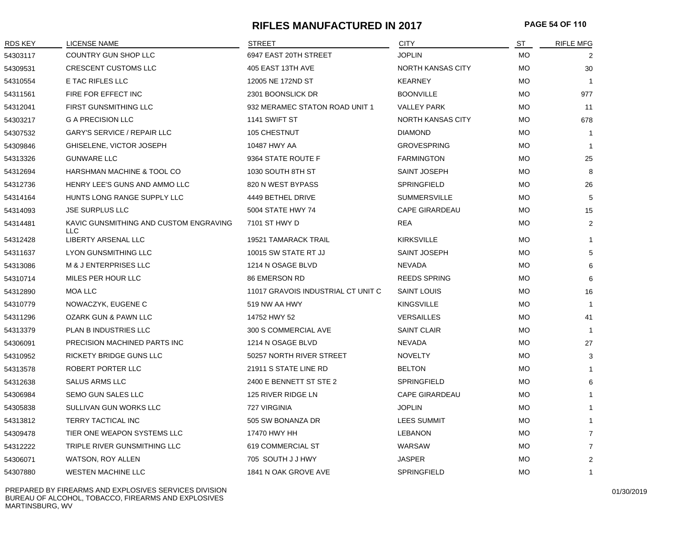# **RIFLES MANUFACTURED IN 2017 PAGE 54 OF 110**

| RDS KEY  | <b>LICENSE NAME</b>                           | <b>STREET</b>                      | <b>CITY</b>              | ST        | <b>RIFLE MFG</b> |
|----------|-----------------------------------------------|------------------------------------|--------------------------|-----------|------------------|
| 54303117 | COUNTRY GUN SHOP LLC                          | 6947 EAST 20TH STREET              | <b>JOPLIN</b>            | МO        | 2                |
| 54309531 | <b>CRESCENT CUSTOMS LLC</b>                   | 405 EAST 13TH AVE                  | NORTH KANSAS CITY        | <b>MO</b> | 30               |
| 54310554 | E TAC RIFLES LLC                              | 12005 NE 172ND ST                  | <b>KEARNEY</b>           | <b>MO</b> |                  |
| 54311561 | FIRE FOR EFFECT INC                           | 2301 BOONSLICK DR                  | <b>BOONVILLE</b>         | <b>MO</b> | 977              |
| 54312041 | <b>FIRST GUNSMITHING LLC</b>                  | 932 MERAMEC STATON ROAD UNIT 1     | <b>VALLEY PARK</b>       | МO        | 11               |
| 54303217 | <b>G A PRECISION LLC</b>                      | 1141 SWIFT ST                      | <b>NORTH KANSAS CITY</b> | <b>MO</b> | 678              |
| 54307532 | <b>GARY'S SERVICE / REPAIR LLC</b>            | 105 CHESTNUT                       | <b>DIAMOND</b>           | <b>MO</b> | -1               |
| 54309846 | GHISELENE, VICTOR JOSEPH                      | 10487 HWY AA                       | <b>GROVESPRING</b>       | <b>MO</b> | -1               |
| 54313326 | <b>GUNWARE LLC</b>                            | 9364 STATE ROUTE F                 | <b>FARMINGTON</b>        | <b>MO</b> | 25               |
| 54312694 | HARSHMAN MACHINE & TOOL CO                    | 1030 SOUTH 8TH ST                  | <b>SAINT JOSEPH</b>      | МO        | 8                |
| 54312736 | HENRY LEE'S GUNS AND AMMO LLC                 | 820 N WEST BYPASS                  | SPRINGFIELD              | <b>MO</b> | 26               |
| 54314164 | HUNTS LONG RANGE SUPPLY LLC                   | 4449 BETHEL DRIVE                  | <b>SUMMERSVILLE</b>      | <b>MO</b> | 5                |
| 54314093 | <b>JSE SURPLUS LLC</b>                        | 5004 STATE HWY 74                  | <b>CAPE GIRARDEAU</b>    | <b>MO</b> | 15               |
| 54314481 | KAVIC GUNSMITHING AND CUSTOM ENGRAVING<br>LLC | 7101 ST HWY D                      | <b>REA</b>               | <b>MO</b> | $\overline{2}$   |
| 54312428 | LIBERTY ARSENAL LLC                           | <b>19521 TAMARACK TRAIL</b>        | <b>KIRKSVILLE</b>        | <b>MO</b> | $\mathbf{1}$     |
| 54311637 | <b>LYON GUNSMITHING LLC</b>                   | 10015 SW STATE RT JJ               | SAINT JOSEPH             | <b>MO</b> | 5                |
| 54313086 | M & J ENTERPRISES LLC                         | 1214 N OSAGE BLVD                  | <b>NEVADA</b>            | <b>MO</b> | 6                |
| 54310714 | MILES PER HOUR LLC                            | 86 EMERSON RD                      | <b>REEDS SPRING</b>      | МO        | 6                |
| 54312890 | MOA LLC                                       | 11017 GRAVOIS INDUSTRIAL CT UNIT C | <b>SAINT LOUIS</b>       | МO        | 16               |
| 54310779 | NOWACZYK, EUGENE C                            | 519 NW AA HWY                      | <b>KINGSVILLE</b>        | <b>MO</b> | $\overline{1}$   |
| 54311296 | OZARK GUN & PAWN LLC                          | 14752 HWY 52                       | <b>VERSAILLES</b>        | <b>MO</b> | 41               |
| 54313379 | PLAN B INDUSTRIES LLC                         | 300 S COMMERCIAL AVE               | <b>SAINT CLAIR</b>       | МO        | $\overline{1}$   |
| 54306091 | PRECISION MACHINED PARTS INC                  | 1214 N OSAGE BLVD                  | NEVADA                   | МO        | 27               |
| 54310952 | RICKETY BRIDGE GUNS LLC                       | 50257 NORTH RIVER STREET           | <b>NOVELTY</b>           | МO        | 3                |
| 54313578 | ROBERT PORTER LLC                             | 21911 S STATE LINE RD              | <b>BELTON</b>            | МO        | -1               |
| 54312638 | <b>SALUS ARMS LLC</b>                         | 2400 E BENNETT ST STE 2            | <b>SPRINGFIELD</b>       | МO        | 6                |
| 54306984 | SEMO GUN SALES LLC                            | 125 RIVER RIDGE LN                 | <b>CAPE GIRARDEAU</b>    | МO        | $\mathbf 1$      |
| 54305838 | SULLIVAN GUN WORKS LLC                        | 727 VIRGINIA                       | <b>JOPLIN</b>            | <b>MO</b> | $\mathbf 1$      |
| 54313812 | TERRY TACTICAL INC                            | 505 SW BONANZA DR                  | LEES SUMMIT              | <b>MO</b> |                  |
| 54309478 | TIER ONE WEAPON SYSTEMS LLC                   | 17470 HWY HH                       | <b>LEBANON</b>           | МO        | $\overline{7}$   |
| 54312222 | TRIPLE RIVER GUNSMITHING LLC                  | 619 COMMERCIAL ST                  | WARSAW                   | <b>MO</b> | $\overline{7}$   |
| 54306071 | <b>WATSON, ROY ALLEN</b>                      | 705 SOUTH J J HWY                  | <b>JASPER</b>            | MO        | $\overline{2}$   |
| 54307880 | <b>WESTEN MACHINE LLC</b>                     | 1841 N OAK GROVE AVE               | SPRINGFIELD              | MO        | 1                |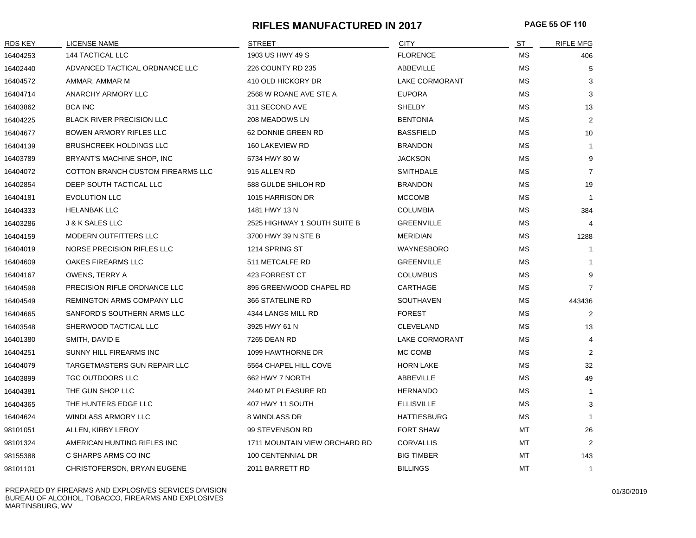## **RIFLES MANUFACTURED IN 2017 PAGE 55 OF 110**

| RDS KEY  | LICENSE NAME                      | <b>STREET</b>                 | <b>CITY</b>           | ST        | <b>RIFLE MFG</b> |
|----------|-----------------------------------|-------------------------------|-----------------------|-----------|------------------|
| 16404253 | <b>144 TACTICAL LLC</b>           | 1903 US HWY 49 S              | <b>FLORENCE</b>       | МS        | 406              |
| 16402440 | ADVANCED TACTICAL ORDNANCE LLC    | 226 COUNTY RD 235             | ABBEVILLE             | МS        | 5                |
| 16404572 | AMMAR, AMMAR M                    | 410 OLD HICKORY DR            | <b>LAKE CORMORANT</b> | <b>MS</b> | 3                |
| 16404714 | ANARCHY ARMORY LLC                | 2568 W ROANE AVE STE A        | <b>EUPORA</b>         | <b>MS</b> | 3                |
| 16403862 | <b>BCA INC</b>                    | 311 SECOND AVE                | SHELBY                | <b>MS</b> | 13               |
| 16404225 | <b>BLACK RIVER PRECISION LLC</b>  | 208 MEADOWS LN                | <b>BENTONIA</b>       | <b>MS</b> | $\overline{2}$   |
| 16404677 | <b>BOWEN ARMORY RIFLES LLC</b>    | 62 DONNIE GREEN RD            | <b>BASSFIELD</b>      | <b>MS</b> | 10               |
| 16404139 | <b>BRUSHCREEK HOLDINGS LLC</b>    | 160 LAKEVIEW RD               | <b>BRANDON</b>        | МS        | $\mathbf{1}$     |
| 16403789 | BRYANT'S MACHINE SHOP, INC        | 5734 HWY 80 W                 | <b>JACKSON</b>        | МS        | 9                |
| 16404072 | COTTON BRANCH CUSTOM FIREARMS LLC | 915 ALLEN RD                  | <b>SMITHDALE</b>      | МS        | $\overline{7}$   |
| 16402854 | DEEP SOUTH TACTICAL LLC           | 588 GULDE SHILOH RD           | <b>BRANDON</b>        | МS        | 19               |
| 16404181 | <b>EVOLUTION LLC</b>              | 1015 HARRISON DR              | <b>MCCOMB</b>         | <b>MS</b> | -1               |
| 16404333 | <b>HELANBAK LLC</b>               | 1481 HWY 13 N                 | <b>COLUMBIA</b>       | <b>MS</b> | 384              |
| 16403286 | J & K SALES LLC                   | 2525 HIGHWAY 1 SOUTH SUITE B  | <b>GREENVILLE</b>     | МS        | 4                |
| 16404159 | MODERN OUTFITTERS LLC             | 3700 HWY 39 N STE B           | <b>MERIDIAN</b>       | МS        | 1288             |
| 16404019 | NORSE PRECISION RIFLES LLC        | 1214 SPRING ST                | <b>WAYNESBORO</b>     | <b>MS</b> | $\mathbf{1}$     |
| 16404609 | OAKES FIREARMS LLC                | 511 METCALFE RD               | <b>GREENVILLE</b>     | <b>MS</b> | $\mathbf{1}$     |
| 16404167 | OWENS, TERRY A                    | 423 FORREST CT                | <b>COLUMBUS</b>       | МS        | 9                |
| 16404598 | PRECISION RIFLE ORDNANCE LLC      | 895 GREENWOOD CHAPEL RD       | CARTHAGE              | МS        | $\overline{7}$   |
| 16404549 | REMINGTON ARMS COMPANY LLC        | 366 STATELINE RD              | SOUTHAVEN             | <b>MS</b> | 443436           |
| 16404665 | SANFORD'S SOUTHERN ARMS LLC       | 4344 LANGS MILL RD            | <b>FOREST</b>         | <b>MS</b> | $\overline{2}$   |
| 16403548 | SHERWOOD TACTICAL LLC             | 3925 HWY 61 N                 | <b>CLEVELAND</b>      | <b>MS</b> | 13               |
| 16401380 | SMITH, DAVID E                    | 7265 DEAN RD                  | <b>LAKE CORMORANT</b> | <b>MS</b> | 4                |
| 16404251 | SUNNY HILL FIREARMS INC           | 1099 HAWTHORNE DR             | MC COMB               | МS        | 2                |
| 16404079 | TARGETMASTERS GUN REPAIR LLC      | 5564 CHAPEL HILL COVE         | <b>HORN LAKE</b>      | <b>MS</b> | 32               |
| 16403899 | TGC OUTDOORS LLC                  | 662 HWY 7 NORTH               | ABBEVILLE             | МS        | 49               |
| 16404381 | THE GUN SHOP LLC                  | 2440 MT PLEASURE RD           | <b>HERNANDO</b>       | МS        | $\mathbf{1}$     |
| 16404365 | THE HUNTERS EDGE LLC              | 407 HWY 11 SOUTH              | <b>ELLISVILLE</b>     | МS        | 3                |
| 16404624 | <b>WINDLASS ARMORY LLC</b>        | 8 WINDLASS DR                 | <b>HATTIESBURG</b>    | <b>MS</b> | $\mathbf{1}$     |
| 98101051 | ALLEN, KIRBY LEROY                | 99 STEVENSON RD               | <b>FORT SHAW</b>      | MT        | 26               |
| 98101324 | AMERICAN HUNTING RIFLES INC       | 1711 MOUNTAIN VIEW ORCHARD RD | <b>CORVALLIS</b>      | MT        | $\overline{2}$   |
| 98155388 | C SHARPS ARMS CO INC              | 100 CENTENNIAL DR             | <b>BIG TIMBER</b>     | MT        | 143              |
| 98101101 | CHRISTOFERSON, BRYAN EUGENE       | 2011 BARRETT RD               | <b>BILLINGS</b>       | MT        | $\mathbf{1}$     |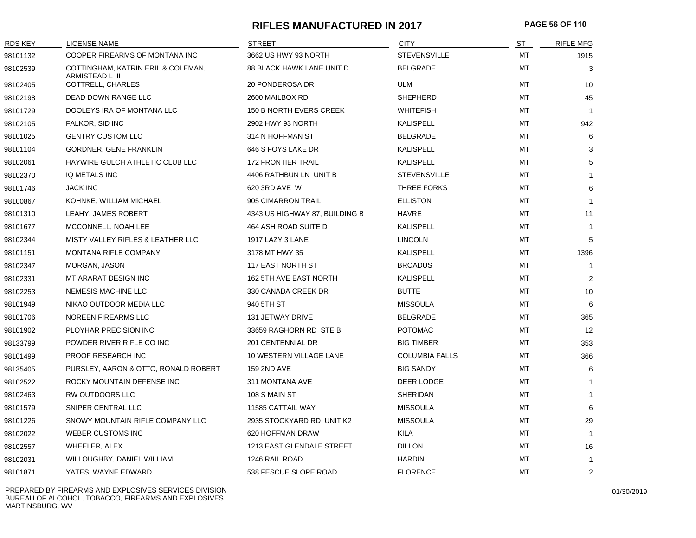# **RIFLES MANUFACTURED IN 2017 PAGE 56 OF 110**

| <b>RDS KEY</b> | <b>LICENSE NAME</b>                                  | <b>STREET</b>                    | <b>CITY</b>           | ST        | <b>RIFLE MFG</b> |
|----------------|------------------------------------------------------|----------------------------------|-----------------------|-----------|------------------|
| 98101132       | COOPER FIREARMS OF MONTANA INC                       | 3662 US HWY 93 NORTH             | <b>STEVENSVILLE</b>   | <b>MT</b> | 1915             |
| 98102539       | COTTINGHAM, KATRIN ERIL & COLEMAN,<br>ARMISTEAD L II | <b>88 BLACK HAWK LANE UNIT D</b> | <b>BELGRADE</b>       | MT        | 3                |
| 98102405       | COTTRELL, CHARLES                                    | 20 PONDEROSA DR                  | <b>ULM</b>            | MT        | 10               |
| 98102198       | DEAD DOWN RANGE LLC                                  | 2600 MAILBOX RD                  | <b>SHEPHERD</b>       | MT        | 45               |
| 98101729       | DOOLEYS IRA OF MONTANA LLC                           | 150 B NORTH EVERS CREEK          | <b>WHITEFISH</b>      | MT        | $\overline{1}$   |
| 98102105       | FALKOR, SID INC                                      | 2902 HWY 93 NORTH                | KALISPELL             | МT        | 942              |
| 98101025       | <b>GENTRY CUSTOM LLC</b>                             | 314 N HOFFMAN ST                 | <b>BELGRADE</b>       | МT        | 6                |
| 98101104       | GORDNER, GENE FRANKLIN                               | 646 S FOYS LAKE DR               | KALISPELL             | MT        | 3                |
| 98102061       | HAYWIRE GULCH ATHLETIC CLUB LLC                      | <b>172 FRONTIER TRAIL</b>        | <b>KALISPELL</b>      | MT        | 5                |
| 98102370       | IQ METALS INC                                        | 4406 RATHBUN LN UNIT B           | <b>STEVENSVILLE</b>   | MT        | $\mathbf{1}$     |
| 98101746       | <b>JACK INC</b>                                      | 620 3RD AVE W                    | THREE FORKS           | МT        | 6                |
| 98100867       | KOHNKE, WILLIAM MICHAEL                              | 905 CIMARRON TRAIL               | <b>ELLISTON</b>       | MT        | $\overline{1}$   |
| 98101310       | LEAHY, JAMES ROBERT                                  | 4343 US HIGHWAY 87, BUILDING B   | <b>HAVRE</b>          | MT        | 11               |
| 98101677       | MCCONNELL, NOAH LEE                                  | 464 ASH ROAD SUITE D             | <b>KALISPELL</b>      | MT        | $\overline{1}$   |
| 98102344       | MISTY VALLEY RIFLES & LEATHER LLC                    | 1917 LAZY 3 LANE                 | <b>LINCOLN</b>        | MT        | 5                |
| 98101151       | MONTANA RIFLE COMPANY                                | 3178 MT HWY 35                   | <b>KALISPELL</b>      | МT        | 1396             |
| 98102347       | MORGAN, JASON                                        | <b>117 EAST NORTH ST</b>         | <b>BROADUS</b>        | MT        | $\overline{1}$   |
| 98102331       | MT ARARAT DESIGN INC                                 | 162 5TH AVE EAST NORTH           | <b>KALISPELL</b>      | <b>MT</b> | 2                |
| 98102253       | NEMESIS MACHINE LLC                                  | 330 CANADA CREEK DR              | <b>BUTTE</b>          | <b>MT</b> | 10               |
| 98101949       | NIKAO OUTDOOR MEDIA LLC                              | 940 5TH ST                       | <b>MISSOULA</b>       | МT        | 6                |
| 98101706       | NOREEN FIREARMS LLC                                  | 131 JETWAY DRIVE                 | <b>BELGRADE</b>       | МT        | 365              |
| 98101902       | PLOYHAR PRECISION INC                                | 33659 RAGHORN RD STE B           | <b>POTOMAC</b>        | МT        | 12               |
| 98133799       | POWDER RIVER RIFLE CO INC                            | 201 CENTENNIAL DR                | <b>BIG TIMBER</b>     | MT        | 353              |
| 98101499       | <b>PROOF RESEARCH INC</b>                            | 10 WESTERN VILLAGE LANE          | <b>COLUMBIA FALLS</b> | MT        | 366              |
| 98135405       | PURSLEY, AARON & OTTO, RONALD ROBERT                 | <b>159 2ND AVE</b>               | <b>BIG SANDY</b>      | МT        | 6                |
| 98102522       | ROCKY MOUNTAIN DEFENSE INC                           | 311 MONTANA AVE                  | DEER LODGE            | МT        | $\mathbf{1}$     |
| 98102463       | RW OUTDOORS LLC                                      | 108 S MAIN ST                    | <b>SHERIDAN</b>       | МT        | $\mathbf{1}$     |
| 98101579       | SNIPER CENTRAL LLC                                   | 11585 CATTAIL WAY                | <b>MISSOULA</b>       | MT        | 6                |
| 98101226       | SNOWY MOUNTAIN RIFLE COMPANY LLC                     | 2935 STOCKYARD RD UNIT K2        | <b>MISSOULA</b>       | MT        | 29               |
| 98102022       | <b>WEBER CUSTOMS INC</b>                             | 620 HOFFMAN DRAW                 | <b>KILA</b>           | МT        | $\overline{1}$   |
| 98102557       | WHEELER, ALEX                                        | 1213 EAST GLENDALE STREET        | <b>DILLON</b>         | МT        | 16               |
| 98102031       | WILLOUGHBY, DANIEL WILLIAM                           | 1246 RAIL ROAD                   | <b>HARDIN</b>         | MT        | $\overline{1}$   |
| 98101871       | YATES, WAYNE EDWARD                                  | 538 FESCUE SLOPE ROAD            | <b>FLORENCE</b>       | MT        | 2                |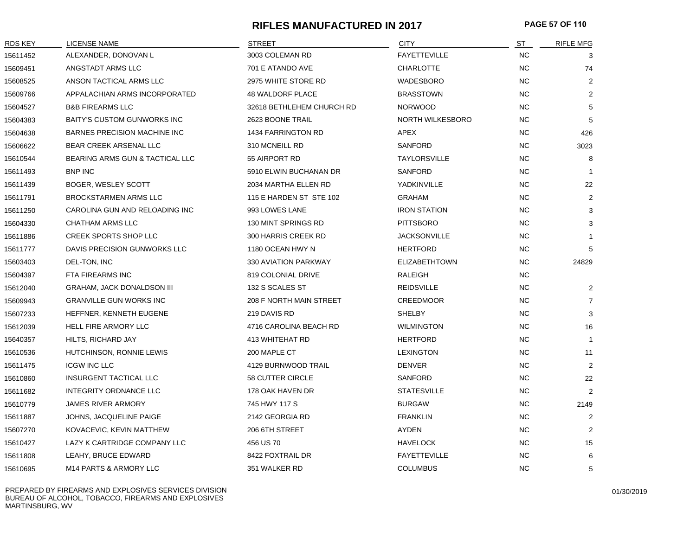# **RIFLES MANUFACTURED IN 2017 PAGE 57 OF 110**

| RDS KEY  | LICENSE NAME                        | <b>STREET</b>             | <b>CITY</b>             | ST        | <b>RIFLE MFG</b> |
|----------|-------------------------------------|---------------------------|-------------------------|-----------|------------------|
| 15611452 | ALEXANDER, DONOVAN L                | 3003 COLEMAN RD           | <b>FAYETTEVILLE</b>     | <b>NC</b> | 3                |
| 15609451 | ANGSTADT ARMS LLC                   | 701 E ATANDO AVE          | <b>CHARLOTTE</b>        | <b>NC</b> | 74               |
| 15608525 | ANSON TACTICAL ARMS LLC             | 2975 WHITE STORE RD       | <b>WADESBORO</b>        | <b>NC</b> | 2                |
| 15609766 | APPALACHIAN ARMS INCORPORATED       | <b>48 WALDORF PLACE</b>   | <b>BRASSTOWN</b>        | <b>NC</b> | 2                |
| 15604527 | <b>B&amp;B FIREARMS LLC</b>         | 32618 BETHLEHEM CHURCH RD | <b>NORWOOD</b>          | <b>NC</b> | 5                |
| 15604383 | <b>BAITY'S CUSTOM GUNWORKS INC</b>  | 2623 BOONE TRAIL          | <b>NORTH WILKESBORO</b> | <b>NC</b> | 5                |
| 15604638 | <b>BARNES PRECISION MACHINE INC</b> | 1434 FARRINGTON RD        | APEX                    | NC        | 426              |
| 15606622 | BEAR CREEK ARSENAL LLC              | 310 MCNEILL RD            | <b>SANFORD</b>          | <b>NC</b> | 3023             |
| 15610544 | BEARING ARMS GUN & TACTICAL LLC     | 55 AIRPORT RD             | <b>TAYLORSVILLE</b>     | <b>NC</b> | 8                |
| 15611493 | <b>BNP INC</b>                      | 5910 ELWIN BUCHANAN DR    | <b>SANFORD</b>          | NC.       | $\mathbf{1}$     |
| 15611439 | BOGER, WESLEY SCOTT                 | 2034 MARTHA ELLEN RD      | YADKINVILLE             | NC.       | 22               |
| 15611791 | <b>BROCKSTARMEN ARMS LLC</b>        | 115 E HARDEN ST STE 102   | <b>GRAHAM</b>           | <b>NC</b> | 2                |
| 15611250 | CAROLINA GUN AND RELOADING INC      | 993 LOWES LANE            | <b>IRON STATION</b>     | <b>NC</b> | 3                |
| 15604330 | CHATHAM ARMS LLC                    | 130 MINT SPRINGS RD       | <b>PITTSBORO</b>        | <b>NC</b> | 3                |
| 15611886 | <b>CREEK SPORTS SHOP LLC</b>        | 300 HARRIS CREEK RD       | <b>JACKSONVILLE</b>     | <b>NC</b> | $\mathbf{1}$     |
| 15611777 | DAVIS PRECISION GUNWORKS LLC        | 1180 OCEAN HWY N          | <b>HERTFORD</b>         | <b>NC</b> | 5                |
| 15603403 | DEL-TON, INC                        | 330 AVIATION PARKWAY      | <b>ELIZABETHTOWN</b>    | <b>NC</b> | 24829            |
| 15604397 | FTA FIREARMS INC                    | 819 COLONIAL DRIVE        | RALEIGH                 | <b>NC</b> |                  |
| 15612040 | <b>GRAHAM, JACK DONALDSON III</b>   | 132 S SCALES ST           | <b>REIDSVILLE</b>       | <b>NC</b> | $\overline{2}$   |
| 15609943 | <b>GRANVILLE GUN WORKS INC</b>      | 208 F NORTH MAIN STREET   | <b>CREEDMOOR</b>        | <b>NC</b> | $\overline{7}$   |
| 15607233 | HEFFNER, KENNETH EUGENE             | 219 DAVIS RD              | <b>SHELBY</b>           | NC.       | 3                |
| 15612039 | HELL FIRE ARMORY LLC                | 4716 CAROLINA BEACH RD    | <b>WILMINGTON</b>       | <b>NC</b> | 16               |
| 15640357 | HILTS, RICHARD JAY                  | 413 WHITEHAT RD           | <b>HERTFORD</b>         | <b>NC</b> | $\mathbf{1}$     |
| 15610536 | HUTCHINSON, RONNIE LEWIS            | 200 MAPLE CT              | <b>LEXINGTON</b>        | <b>NC</b> | 11               |
| 15611475 | <b>ICGW INC LLC</b>                 | 4129 BURNWOOD TRAIL       | <b>DENVER</b>           | <b>NC</b> | $\overline{2}$   |
| 15610860 | <b>INSURGENT TACTICAL LLC</b>       | 58 CUTTER CIRCLE          | <b>SANFORD</b>          | <b>NC</b> | 22               |
| 15611682 | INTEGRITY ORDNANCE LLC              | 178 OAK HAVEN DR          | <b>STATESVILLE</b>      | <b>NC</b> | 2                |
| 15610779 | <b>JAMES RIVER ARMORY</b>           | 745 HWY 117 S             | <b>BURGAW</b>           | NC.       | 2149             |
| 15611887 | JOHNS, JACQUELINE PAIGE             | 2142 GEORGIA RD           | <b>FRANKLIN</b>         | NC.       | $\overline{2}$   |
| 15607270 | KOVACEVIC, KEVIN MATTHEW            | 206 6TH STREET            | AYDEN                   | NC.       | 2                |
| 15610427 | LAZY K CARTRIDGE COMPANY LLC        | 456 US 70                 | <b>HAVELOCK</b>         | NC        | 15               |
| 15611808 | LEAHY, BRUCE EDWARD                 | 8422 FOXTRAIL DR          | <b>FAYETTEVILLE</b>     | <b>NC</b> | 6                |
| 15610695 | M14 PARTS & ARMORY LLC              | 351 WALKER RD             | <b>COLUMBUS</b>         | <b>NC</b> | 5                |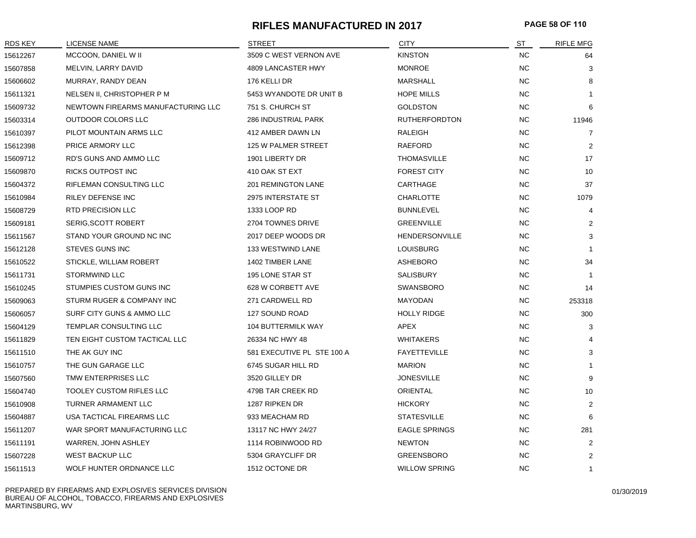# **RIFLES MANUFACTURED IN 2017 PAGE 58 OF 110**

| RDS KEY  | LICENSE NAME                       | <b>STREET</b>              | <b>CITY</b>           | ST        | <b>RIFLE MFG</b> |
|----------|------------------------------------|----------------------------|-----------------------|-----------|------------------|
| 15612267 | MCCOON, DANIEL W II                | 3509 C WEST VERNON AVE     | <b>KINSTON</b>        | <b>NC</b> | 64               |
| 15607858 | MELVIN, LARRY DAVID                | 4809 LANCASTER HWY         | <b>MONROE</b>         | NC        | 3                |
| 15606602 | MURRAY, RANDY DEAN                 | 176 KELLI DR               | <b>MARSHALL</b>       | <b>NC</b> | 8                |
| 15611321 | NELSEN II, CHRISTOPHER P M         | 5453 WYANDOTE DR UNIT B    | <b>HOPE MILLS</b>     | <b>NC</b> |                  |
| 15609732 | NEWTOWN FIREARMS MANUFACTURING LLC | 751 S. CHURCH ST           | <b>GOLDSTON</b>       | <b>NC</b> | 6                |
| 15603314 | OUTDOOR COLORS LLC                 | 286 INDUSTRIAL PARK        | <b>RUTHERFORDTON</b>  | NC.       | 11946            |
| 15610397 | PILOT MOUNTAIN ARMS LLC            | 412 AMBER DAWN LN          | RALEIGH               | <b>NC</b> | $\overline{7}$   |
| 15612398 | <b>PRICE ARMORY LLC</b>            | 125 W PALMER STREET        | <b>RAEFORD</b>        | <b>NC</b> | $\overline{2}$   |
| 15609712 | RD'S GUNS AND AMMO LLC             | 1901 LIBERTY DR            | <b>THOMASVILLE</b>    | NC.       | 17               |
| 15609870 | <b>RICKS OUTPOST INC</b>           | 410 OAK ST EXT             | <b>FOREST CITY</b>    | NC.       | 10               |
| 15604372 | RIFLEMAN CONSULTING LLC            | 201 REMINGTON LANE         | CARTHAGE              | NC.       | 37               |
| 15610984 | RILEY DEFENSE INC                  | 2975 INTERSTATE ST         | <b>CHARLOTTE</b>      | <b>NC</b> | 1079             |
| 15608729 | RTD PRECISION LLC                  | 1333 LOOP RD               | <b>BUNNLEVEL</b>      | NC.       | $\overline{4}$   |
| 15609181 | <b>SERIG, SCOTT ROBERT</b>         | 2704 TOWNES DRIVE          | <b>GREENVILLE</b>     | NC.       | 2                |
| 15611567 | STAND YOUR GROUND NC INC           | 2017 DEEP WOODS DR         | <b>HENDERSONVILLE</b> | NC.       | 3                |
| 15612128 | <b>STEVES GUNS INC</b>             | 133 WESTWIND LANE          | <b>LOUISBURG</b>      | NC.       |                  |
| 15610522 | STICKLE, WILLIAM ROBERT            | 1402 TIMBER LANE           | <b>ASHEBORO</b>       | NC.       | 34               |
| 15611731 | <b>STORMWIND LLC</b>               | 195 LONE STAR ST           | <b>SALISBURY</b>      | <b>NC</b> |                  |
| 15610245 | STUMPIES CUSTOM GUNS INC           | 628 W CORBETT AVE          | <b>SWANSBORO</b>      | <b>NC</b> | 14               |
| 15609063 | STURM RUGER & COMPANY INC          | 271 CARDWELL RD            | MAYODAN               | <b>NC</b> | 253318           |
| 15606057 | SURF CITY GUNS & AMMO LLC          | 127 SOUND ROAD             | <b>HOLLY RIDGE</b>    | NC.       | 300              |
| 15604129 | TEMPLAR CONSULTING LLC             | 104 BUTTERMILK WAY         | APEX                  | <b>NC</b> | 3                |
| 15611829 | TEN EIGHT CUSTOM TACTICAL LLC      | 26334 NC HWY 48            | <b>WHITAKERS</b>      | <b>NC</b> | $\overline{4}$   |
| 15611510 | THE AK GUY INC                     | 581 EXECUTIVE PL STE 100 A | <b>FAYETTEVILLE</b>   | <b>NC</b> | 3                |
| 15610757 | THE GUN GARAGE LLC                 | 6745 SUGAR HILL RD         | <b>MARION</b>         | <b>NC</b> |                  |
| 15607560 | TMW ENTERPRISES LLC                | 3520 GILLEY DR             | <b>JONESVILLE</b>     | <b>NC</b> | 9                |
| 15604740 | <b>TOOLEY CUSTOM RIFLES LLC</b>    | 479B TAR CREEK RD          | ORIENTAL              | <b>NC</b> | 10               |
| 15610908 | TURNER ARMAMENT LLC                | 1287 RIPKEN DR             | <b>HICKORY</b>        | NC.       | 2                |
| 15604887 | USA TACTICAL FIREARMS LLC          | 933 MEACHAM RD             | <b>STATESVILLE</b>    | <b>NC</b> | 6                |
| 15611207 | WAR SPORT MANUFACTURING LLC        | 13117 NC HWY 24/27         | <b>EAGLE SPRINGS</b>  | <b>NC</b> | 281              |
| 15611191 | WARREN, JOHN ASHLEY                | 1114 ROBINWOOD RD          | <b>NEWTON</b>         | <b>NC</b> | 2                |
| 15607228 | <b>WEST BACKUP LLC</b>             | 5304 GRAYCLIFF DR          | <b>GREENSBORO</b>     | <b>NC</b> | $\overline{2}$   |
| 15611513 | WOLF HUNTER ORDNANCE LLC           | 1512 OCTONE DR             | <b>WILLOW SPRING</b>  | NC.       | $\mathbf{1}$     |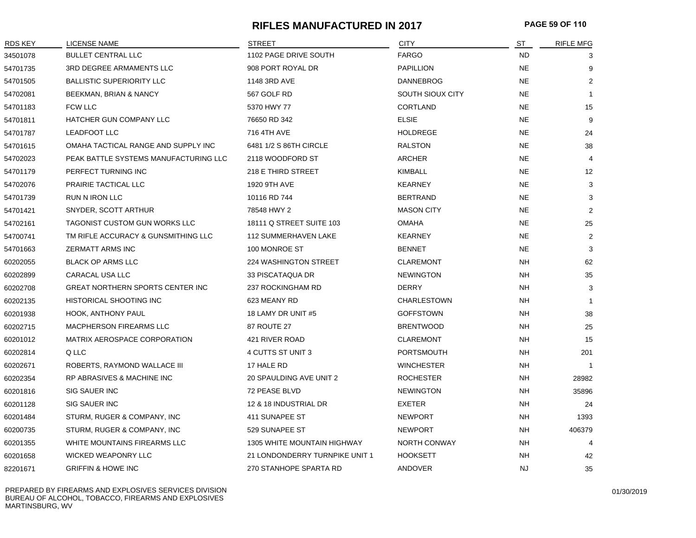# **RIFLES MANUFACTURED IN 2017 PAGE 59 OF 110**

| <b>RDS KEY</b> | <b>LICENSE NAME</b>                     | <b>STREET</b>                      | <b>CITY</b>         | ST        | <b>RIFLE MFG</b> |
|----------------|-----------------------------------------|------------------------------------|---------------------|-----------|------------------|
| 34501078       | <b>BULLET CENTRAL LLC</b>               | 1102 PAGE DRIVE SOUTH              | <b>FARGO</b>        | <b>ND</b> | 3                |
| 54701735       | 3RD DEGREE ARMAMENTS LLC                | 908 PORT ROYAL DR                  | <b>PAPILLION</b>    | <b>NE</b> | 9                |
| 54701505       | <b>BALLISTIC SUPERIORITY LLC</b>        | 1148 3RD AVE                       | <b>DANNEBROG</b>    | <b>NE</b> | $\overline{2}$   |
| 54702081       | BEEKMAN, BRIAN & NANCY                  | 567 GOLF RD                        | SOUTH SIOUX CITY    | <b>NE</b> | $\mathbf{1}$     |
| 54701183       | <b>FCW LLC</b>                          | 5370 HWY 77                        | CORTLAND            | <b>NE</b> | 15               |
| 54701811       | <b>HATCHER GUN COMPANY LLC</b>          | 76650 RD 342                       | <b>ELSIE</b>        | <b>NE</b> | 9                |
| 54701787       | <b>LEADFOOT LLC</b>                     | 716 4TH AVE                        | <b>HOLDREGE</b>     | <b>NE</b> | 24               |
| 54701615       | OMAHA TACTICAL RANGE AND SUPPLY INC     | 6481 1/2 S 86TH CIRCLE             | <b>RALSTON</b>      | <b>NE</b> | 38               |
| 54702023       | PEAK BATTLE SYSTEMS MANUFACTURING LLC   | 2118 WOODFORD ST                   | ARCHER              | <b>NE</b> | $\overline{4}$   |
| 54701179       | PERFECT TURNING INC                     | 218 E THIRD STREET                 | KIMBALL             | <b>NE</b> | 12               |
| 54702076       | PRAIRIE TACTICAL LLC                    | 1920 9TH AVE                       | <b>KEARNEY</b>      | <b>NE</b> | 3                |
| 54701739       | <b>RUN N IRON LLC</b>                   | 10116 RD 744                       | <b>BERTRAND</b>     | <b>NE</b> | 3                |
| 54701421       | SNYDER, SCOTT ARTHUR                    | 78548 HWY 2                        | <b>MASON CITY</b>   | <b>NE</b> | $\overline{2}$   |
| 54702161       | TAGONIST CUSTOM GUN WORKS LLC           | 18111 Q STREET SUITE 103           | <b>OMAHA</b>        | <b>NE</b> | 25               |
| 54700741       | TM RIFLE ACCURACY & GUNSMITHING LLC     | <b>112 SUMMERHAVEN LAKE</b>        | <b>KEARNEY</b>      | <b>NE</b> | $\overline{2}$   |
| 54701663       | ZERMATT ARMS INC                        | 100 MONROE ST                      | <b>BENNET</b>       | <b>NE</b> | 3                |
| 60202055       | <b>BLACK OP ARMS LLC</b>                | <b>224 WASHINGTON STREET</b>       | <b>CLAREMONT</b>    | <b>NH</b> | 62               |
| 60202899       | CARACAL USA LLC                         | 33 PISCATAQUA DR                   | <b>NEWINGTON</b>    | NΗ        | 35               |
| 60202708       | <b>GREAT NORTHERN SPORTS CENTER INC</b> | 237 ROCKINGHAM RD                  | <b>DERRY</b>        | <b>NH</b> | 3                |
| 60202135       | <b>HISTORICAL SHOOTING INC</b>          | 623 MEANY RD                       | <b>CHARLESTOWN</b>  | <b>NH</b> | 1                |
| 60201938       | HOOK, ANTHONY PAUL                      | 18 LAMY DR UNIT #5                 | <b>GOFFSTOWN</b>    | NΗ        | 38               |
| 60202715       | MACPHERSON FIREARMS LLC                 | 87 ROUTE 27                        | <b>BRENTWOOD</b>    | NΗ        | 25               |
| 60201012       | MATRIX AEROSPACE CORPORATION            | 421 RIVER ROAD                     | <b>CLAREMONT</b>    | NΗ        | 15               |
| 60202814       | Q LLC                                   | 4 CUTTS ST UNIT 3                  | <b>PORTSMOUTH</b>   | NΗ        | 201              |
| 60202671       | ROBERTS, RAYMOND WALLACE III            | 17 HALE RD                         | <b>WINCHESTER</b>   | NΗ        | -1               |
| 60202354       | <b>RP ABRASIVES &amp; MACHINE INC</b>   | 20 SPAULDING AVE UNIT 2            | <b>ROCHESTER</b>    | <b>NH</b> | 28982            |
| 60201816       | SIG SAUER INC                           | 72 PEASE BLVD                      | <b>NEWINGTON</b>    | <b>NH</b> | 35896            |
| 60201128       | SIG SAUER INC                           | 12 & 18 INDUSTRIAL DR              | <b>EXETER</b>       | NΗ        | 24               |
| 60201484       | STURM, RUGER & COMPANY, INC             | 411 SUNAPEE ST                     | <b>NEWPORT</b>      | NΗ        | 1393             |
| 60200735       | STURM, RUGER & COMPANY, INC             | 529 SUNAPEE ST                     | <b>NEWPORT</b>      | NΗ        | 406379           |
| 60201355       | WHITE MOUNTAINS FIREARMS LLC            | <b>1305 WHITE MOUNTAIN HIGHWAY</b> | <b>NORTH CONWAY</b> | NΗ        | 4                |
| 60201658       | <b>WICKED WEAPONRY LLC</b>              | 21 LONDONDERRY TURNPIKE UNIT 1     | <b>HOOKSETT</b>     | <b>NH</b> | 42               |
| 82201671       | <b>GRIFFIN &amp; HOWE INC</b>           | 270 STANHOPE SPARTA RD             | <b>ANDOVER</b>      | <b>NJ</b> | 35               |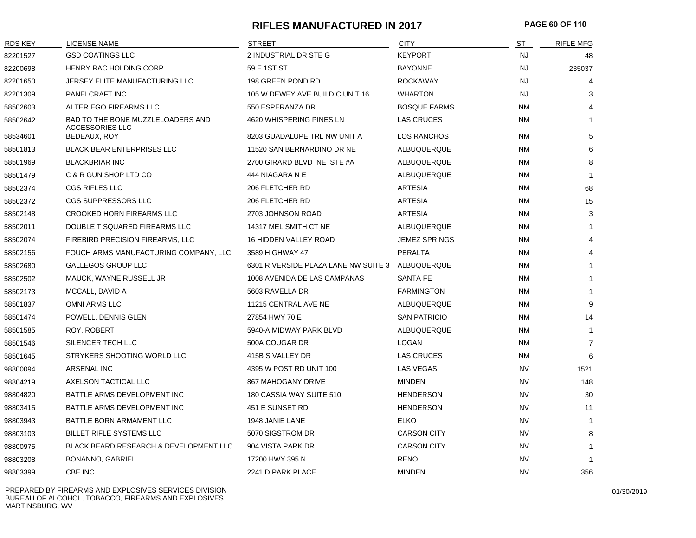## **RIFLES MANUFACTURED IN 2017 PAGE 60 OF 110**

| <b>RDS KEY</b> | <b>LICENSE NAME</b>                                         | <b>STREET</b>                        | <b>CITY</b>          | ST        | <b>RIFLE MFG</b> |
|----------------|-------------------------------------------------------------|--------------------------------------|----------------------|-----------|------------------|
| 82201527       | <b>GSD COATINGS LLC</b>                                     | 2 INDUSTRIAL DR STE G                | <b>KEYPORT</b>       | <b>NJ</b> | 48               |
| 82200698       | <b>HENRY RAC HOLDING CORP</b>                               | 59 E 1ST ST                          | <b>BAYONNE</b>       | <b>NJ</b> | 235037           |
| 82201650       | JERSEY ELITE MANUFACTURING LLC                              | 198 GREEN POND RD                    | <b>ROCKAWAY</b>      | <b>NJ</b> | 4                |
| 82201309       | PANELCRAFT INC                                              | 105 W DEWEY AVE BUILD C UNIT 16      | WHARTON              | NJ        | 3                |
| 58502603       | ALTER EGO FIREARMS LLC                                      | 550 ESPERANZA DR                     | <b>BOSQUE FARMS</b>  | ΝM        | 4                |
| 58502642       | BAD TO THE BONE MUZZLELOADERS AND<br><b>ACCESSORIES LLC</b> | 4620 WHISPERING PINES LN             | LAS CRUCES           | ΝM        | $\mathbf{1}$     |
| 58534601       | BEDEAUX, ROY                                                | 8203 GUADALUPE TRL NW UNIT A         | LOS RANCHOS          | ΝM        | 5                |
| 58501813       | <b>BLACK BEAR ENTERPRISES LLC</b>                           | 11520 SAN BERNARDINO DR NE           | ALBUQUERQUE          | NM        | 6                |
| 58501969       | <b>BLACKBRIAR INC</b>                                       | 2700 GIRARD BLVD NE STE #A           | ALBUQUERQUE          | <b>NM</b> | 8                |
| 58501479       | C & R GUN SHOP LTD CO                                       | 444 NIAGARA N E                      | ALBUQUERQUE          | NM        | $\overline{1}$   |
| 58502374       | <b>CGS RIFLES LLC</b>                                       | 206 FLETCHER RD                      | <b>ARTESIA</b>       | ΝM        | 68               |
| 58502372       | CGS SUPPRESSORS LLC                                         | 206 FLETCHER RD                      | <b>ARTESIA</b>       | ΝM        | 15               |
| 58502148       | <b>CROOKED HORN FIREARMS LLC</b>                            | 2703 JOHNSON ROAD                    | <b>ARTESIA</b>       | <b>NM</b> | 3                |
| 58502011       | DOUBLE T SQUARED FIREARMS LLC                               | 14317 MEL SMITH CT NE                | ALBUQUERQUE          | <b>NM</b> | $\mathbf{1}$     |
| 58502074       | FIREBIRD PRECISION FIREARMS, LLC                            | 16 HIDDEN VALLEY ROAD                | <b>JEMEZ SPRINGS</b> | <b>NM</b> | 4                |
| 58502156       | FOUCH ARMS MANUFACTURING COMPANY, LLC                       | 3589 HIGHWAY 47                      | PERALTA              | <b>NM</b> | 4                |
| 58502680       | <b>GALLEGOS GROUP LLC</b>                                   | 6301 RIVERSIDE PLAZA LANE NW SUITE 3 | ALBUQUERQUE          | <b>NM</b> | $\mathbf{1}$     |
| 58502502       | MAUCK, WAYNE RUSSELL JR                                     | 1008 AVENIDA DE LAS CAMPANAS         | <b>SANTA FE</b>      | <b>NM</b> | $\mathbf{1}$     |
| 58502173       | MCCALL, DAVID A                                             | 5603 RAVELLA DR                      | <b>FARMINGTON</b>    | NM        | 1                |
| 58501837       | OMNI ARMS LLC                                               | 11215 CENTRAL AVE NE                 | ALBUQUERQUE          | NM        | 9                |
| 58501474       | POWELL, DENNIS GLEN                                         | 27854 HWY 70 E                       | <b>SAN PATRICIO</b>  | NM        | 14               |
| 58501585       | ROY, ROBERT                                                 | 5940-A MIDWAY PARK BLVD              | ALBUQUERQUE          | NM        | $\mathbf{1}$     |
| 58501546       | SILENCER TECH LLC                                           | 500A COUGAR DR                       | <b>LOGAN</b>         | NM        | $\overline{7}$   |
| 58501645       | STRYKERS SHOOTING WORLD LLC                                 | 415B S VALLEY DR                     | <b>LAS CRUCES</b>    | NM        | 6                |
| 98800094       | ARSENAL INC                                                 | 4395 W POST RD UNIT 100              | <b>LAS VEGAS</b>     | <b>NV</b> | 1521             |
| 98804219       | AXELSON TACTICAL LLC                                        | 867 MAHOGANY DRIVE                   | <b>MINDEN</b>        | <b>NV</b> | 148              |
| 98804820       | BATTLE ARMS DEVELOPMENT INC                                 | 180 CASSIA WAY SUITE 510             | <b>HENDERSON</b>     | <b>NV</b> | 30               |
| 98803415       | BATTLE ARMS DEVELOPMENT INC                                 | 451 E SUNSET RD                      | <b>HENDERSON</b>     | <b>NV</b> | 11               |
| 98803943       | BATTLE BORN ARMAMENT LLC                                    | 1948 JANIE LANE                      | ELKO                 | <b>NV</b> | $\mathbf{1}$     |
| 98803103       | BILLET RIFLE SYSTEMS LLC                                    | 5070 SIGSTROM DR                     | <b>CARSON CITY</b>   | <b>NV</b> | 8                |
| 98800975       | BLACK BEARD RESEARCH & DEVELOPMENT LLC                      | 904 VISTA PARK DR                    | <b>CARSON CITY</b>   | <b>NV</b> | 1                |
| 98803208       | BONANNO, GABRIEL                                            | 17200 HWY 395 N                      | <b>RENO</b>          | <b>NV</b> | $\mathbf{1}$     |
| 98803399       | CBE INC                                                     | 2241 D PARK PLACE                    | <b>MINDEN</b>        | <b>NV</b> | 356              |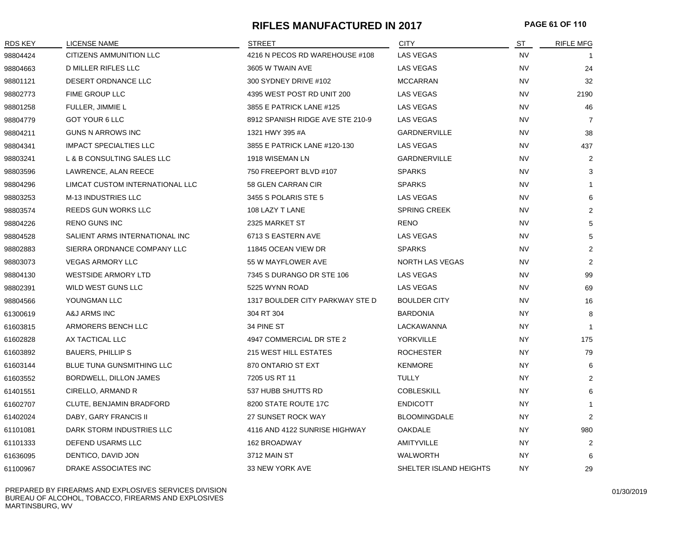## **RIFLES MANUFACTURED IN 2017 PAGE 61 OF 110**

| <b>RDS KEY</b> | LICENSE NAME                     | <b>STREET</b>                    | <b>CITY</b>            | ST        | <b>RIFLE MFG</b> |
|----------------|----------------------------------|----------------------------------|------------------------|-----------|------------------|
| 98804424       | <b>CITIZENS AMMUNITION LLC</b>   | 4216 N PECOS RD WAREHOUSE #108   | <b>LAS VEGAS</b>       | <b>NV</b> |                  |
| 98804663       | <b>D MILLER RIFLES LLC</b>       | 3605 W TWAIN AVE                 | <b>LAS VEGAS</b>       | <b>NV</b> | 24               |
| 98801121       | DESERT ORDNANCE LLC              | 300 SYDNEY DRIVE #102            | <b>MCCARRAN</b>        | <b>NV</b> | 32               |
| 98802773       | FIME GROUP LLC                   | 4395 WEST POST RD UNIT 200       | LAS VEGAS              | <b>NV</b> | 2190             |
| 98801258       | FULLER, JIMMIE L                 | 3855 E PATRICK LANE #125         | LAS VEGAS              | <b>NV</b> | 46               |
| 98804779       | GOT YOUR 6 LLC                   | 8912 SPANISH RIDGE AVE STE 210-9 | <b>LAS VEGAS</b>       | <b>NV</b> | $\overline{7}$   |
| 98804211       | <b>GUNS N ARROWS INC</b>         | 1321 HWY 395 #A                  | <b>GARDNERVILLE</b>    | <b>NV</b> | 38               |
| 98804341       | <b>IMPACT SPECIALTIES LLC</b>    | 3855 E PATRICK LANE #120-130     | <b>LAS VEGAS</b>       | <b>NV</b> | 437              |
| 98803241       | L & B CONSULTING SALES LLC       | 1918 WISEMAN LN                  | <b>GARDNERVILLE</b>    | <b>NV</b> | 2                |
| 98803596       | LAWRENCE, ALAN REECE             | 750 FREEPORT BLVD #107           | <b>SPARKS</b>          | <b>NV</b> | 3                |
| 98804296       | LIMCAT CUSTOM INTERNATIONAL LLC  | 58 GLEN CARRAN CIR               | <b>SPARKS</b>          | <b>NV</b> | $\mathbf{1}$     |
| 98803253       | M-13 INDUSTRIES LLC              | 3455 S POLARIS STE 5             | <b>LAS VEGAS</b>       | NV        | 6                |
| 98803574       | REEDS GUN WORKS LLC              | 108 LAZY T LANE                  | <b>SPRING CREEK</b>    | <b>NV</b> | $\overline{2}$   |
| 98804226       | <b>RENO GUNS INC</b>             | 2325 MARKET ST                   | RENO                   | <b>NV</b> | 5                |
| 98804528       | SALIENT ARMS INTERNATIONAL INC   | 6713 S EASTERN AVE               | LAS VEGAS              | <b>NV</b> | 5                |
| 98802883       | SIERRA ORDNANCE COMPANY LLC      | 11845 OCEAN VIEW DR              | <b>SPARKS</b>          | <b>NV</b> | 2                |
| 98803073       | <b>VEGAS ARMORY LLC</b>          | 55 W MAYFLOWER AVE               | NORTH LAS VEGAS        | <b>NV</b> | 2                |
| 98804130       | <b>WESTSIDE ARMORY LTD</b>       | 7345 S DURANGO DR STE 106        | <b>LAS VEGAS</b>       | <b>NV</b> | 99               |
| 98802391       | WILD WEST GUNS LLC               | 5225 WYNN ROAD                   | <b>LAS VEGAS</b>       | <b>NV</b> | 69               |
| 98804566       | YOUNGMAN LLC                     | 1317 BOULDER CITY PARKWAY STE D  | <b>BOULDER CITY</b>    | <b>NV</b> | 16               |
| 61300619       | A&J ARMS INC                     | 304 RT 304                       | <b>BARDONIA</b>        | NY.       | 8                |
| 61603815       | ARMORERS BENCH LLC               | 34 PINE ST                       | LACKAWANNA             | <b>NY</b> | $\mathbf{1}$     |
| 61602828       | AX TACTICAL LLC                  | 4947 COMMERCIAL DR STE 2         | YORKVILLE              | <b>NY</b> | 175              |
| 61603892       | <b>BAUERS, PHILLIPS</b>          | <b>215 WEST HILL ESTATES</b>     | <b>ROCHESTER</b>       | NY.       | 79               |
| 61603144       | <b>BLUE TUNA GUNSMITHING LLC</b> | 870 ONTARIO ST EXT               | <b>KENMORE</b>         | <b>NY</b> | 6                |
| 61603552       | BORDWELL, DILLON JAMES           | 7205 US RT 11                    | <b>TULLY</b>           | NY        | 2                |
| 61401551       | CIRELLO, ARMAND R                | 537 HUBB SHUTTS RD               | <b>COBLESKILL</b>      | NY.       | 6                |
| 61602707       | CLUTE, BENJAMIN BRADFORD         | 8200 STATE ROUTE 17C             | <b>ENDICOTT</b>        | ΝY        | 1                |
| 61402024       | DABY, GARY FRANCIS II            | 27 SUNSET ROCK WAY               | <b>BLOOMINGDALE</b>    | NY.       | $\overline{2}$   |
| 61101081       | DARK STORM INDUSTRIES LLC        | 4116 AND 4122 SUNRISE HIGHWAY    | <b>OAKDALE</b>         | <b>NY</b> | 980              |
| 61101333       | DEFEND USARMS LLC                | 162 BROADWAY                     | AMITYVILLE             | NY.       | $\overline{2}$   |
| 61636095       | DENTICO, DAVID JON               | 3712 MAIN ST                     | <b>WALWORTH</b>        | <b>NY</b> | 6                |
| 61100967       | DRAKE ASSOCIATES INC             | 33 NEW YORK AVE                  | SHELTER ISLAND HEIGHTS | NY.       | 29               |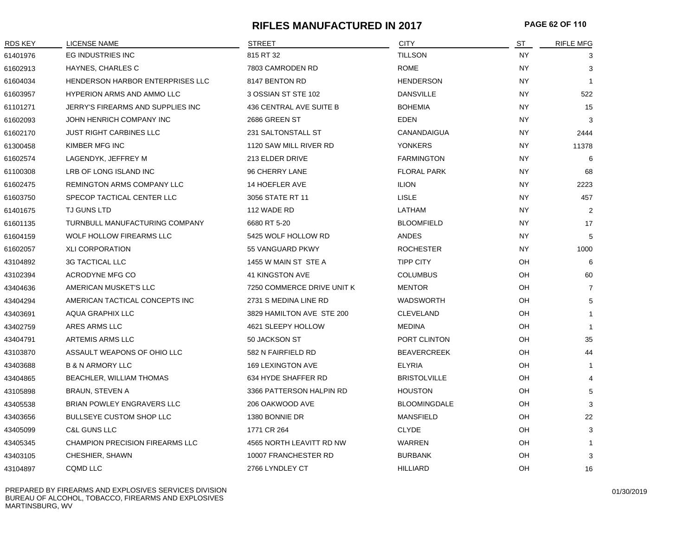# **RIFLES MANUFACTURED IN 2017 PAGE 62 OF 110**

| RDS KEY  | LICENSE NAME                           | <b>STREET</b>              | <b>CITY</b>         | ST        | <b>RIFLE MFG</b> |
|----------|----------------------------------------|----------------------------|---------------------|-----------|------------------|
| 61401976 | EG INDUSTRIES INC                      | 815 RT 32                  | <b>TILLSON</b>      | <b>NY</b> | 3                |
| 61602913 | HAYNES, CHARLES C                      | 7803 CAMRODEN RD           | <b>ROME</b>         | <b>NY</b> | 3                |
| 61604034 | HENDERSON HARBOR ENTERPRISES LLC       | 8147 BENTON RD             | <b>HENDERSON</b>    | <b>NY</b> |                  |
| 61603957 | <b>HYPERION ARMS AND AMMO LLC</b>      | 3 OSSIAN ST STE 102        | <b>DANSVILLE</b>    | <b>NY</b> | 522              |
| 61101271 | JERRY'S FIREARMS AND SUPPLIES INC      | 436 CENTRAL AVE SUITE B    | <b>BOHEMIA</b>      | <b>NY</b> | 15               |
| 61602093 | JOHN HENRICH COMPANY INC               | 2686 GREEN ST              | <b>EDEN</b>         | <b>NY</b> | 3                |
| 61602170 | <b>JUST RIGHT CARBINES LLC</b>         | 231 SALTONSTALL ST         | CANANDAIGUA         | NY.       | 2444             |
| 61300458 | KIMBER MFG INC                         | 1120 SAW MILL RIVER RD     | <b>YONKERS</b>      | <b>NY</b> | 11378            |
| 61602574 | LAGENDYK, JEFFREY M                    | 213 ELDER DRIVE            | <b>FARMINGTON</b>   | <b>NY</b> | 6                |
| 61100308 | LRB OF LONG ISLAND INC                 | 96 CHERRY LANE             | <b>FLORAL PARK</b>  | <b>NY</b> | 68               |
| 61602475 | REMINGTON ARMS COMPANY LLC             | 14 HOEFLER AVE             | <b>ILION</b>        | <b>NY</b> | 2223             |
| 61603750 | SPECOP TACTICAL CENTER LLC             | 3056 STATE RT 11           | <b>LISLE</b>        | <b>NY</b> | 457              |
| 61401675 | TJ GUNS LTD                            | 112 WADE RD                | LATHAM              | NY.       | 2                |
| 61601135 | TURNBULL MANUFACTURING COMPANY         | 6680 RT 5-20               | <b>BLOOMFIELD</b>   | <b>NY</b> | 17               |
| 61604159 | WOLF HOLLOW FIREARMS LLC               | 5425 WOLF HOLLOW RD        | ANDES               | <b>NY</b> | 5                |
| 61602057 | <b>XLI CORPORATION</b>                 | 55 VANGUARD PKWY           | <b>ROCHESTER</b>    | <b>NY</b> | 1000             |
| 43104892 | <b>3G TACTICAL LLC</b>                 | 1455 W MAIN ST STE A       | <b>TIPP CITY</b>    | OH        | 6                |
| 43102394 | ACRODYNE MFG CO                        | 41 KINGSTON AVE            | <b>COLUMBUS</b>     | OH        | 60               |
| 43404636 | AMERICAN MUSKET'S LLC                  | 7250 COMMERCE DRIVE UNIT K | <b>MENTOR</b>       | OH        | 7                |
| 43404294 | AMERICAN TACTICAL CONCEPTS INC         | 2731 S MEDINA LINE RD      | WADSWORTH           | OH        | 5                |
| 43403691 | <b>AQUA GRAPHIX LLC</b>                | 3829 HAMILTON AVE STE 200  | CLEVELAND           | OH        | $\mathbf 1$      |
| 43402759 | ARES ARMS LLC                          | 4621 SLEEPY HOLLOW         | MEDINA              | OH        | $\mathbf 1$      |
| 43404791 | ARTEMIS ARMS LLC                       | 50 JACKSON ST              | PORT CLINTON        | OH        | 35               |
| 43103870 | ASSAULT WEAPONS OF OHIO LLC            | 582 N FAIRFIELD RD         | <b>BEAVERCREEK</b>  | OH        | 44               |
| 43403688 | <b>B &amp; N ARMORY LLC</b>            | <b>169 LEXINGTON AVE</b>   | <b>ELYRIA</b>       | OH        | -1               |
| 43404865 | BEACHLER, WILLIAM THOMAS               | 634 HYDE SHAFFER RD        | <b>BRISTOLVILLE</b> | OH        | $\overline{4}$   |
| 43105898 | <b>BRAUN, STEVEN A</b>                 | 3366 PATTERSON HALPIN RD   | <b>HOUSTON</b>      | OH        | 5                |
| 43405538 | BRIAN POWLEY ENGRAVERS LLC             | 206 OAKWOOD AVE            | <b>BLOOMINGDALE</b> | OH        | 3                |
| 43403656 | <b>BULLSEYE CUSTOM SHOP LLC</b>        | 1380 BONNIE DR             | <b>MANSFIELD</b>    | OН        | 22               |
| 43405099 | <b>C&amp;L GUNS LLC</b>                | 1771 CR 264                | <b>CLYDE</b>        | OH        | 3                |
| 43405345 | <b>CHAMPION PRECISION FIREARMS LLC</b> | 4565 NORTH LEAVITT RD NW   | <b>WARREN</b>       | OH        | -1               |
| 43403105 | CHESHIER, SHAWN                        | 10007 FRANCHESTER RD       | <b>BURBANK</b>      | OH        | 3                |
| 43104897 | <b>CQMD LLC</b>                        | 2766 LYNDLEY CT            | <b>HILLIARD</b>     | OH        | 16               |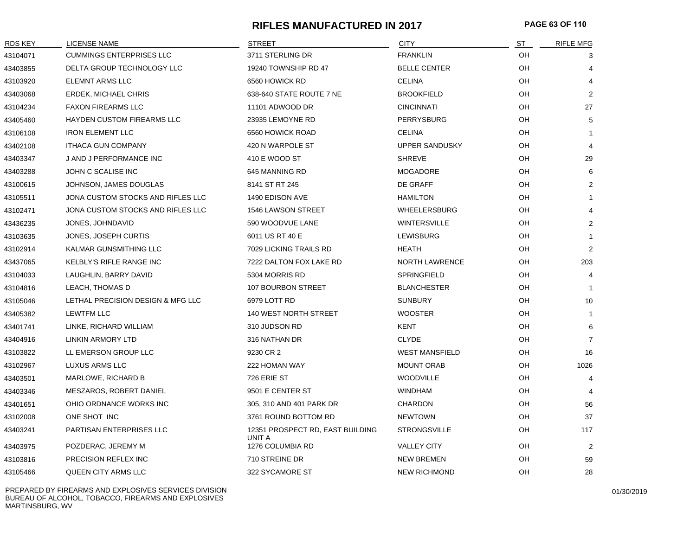# **RIFLES MANUFACTURED IN 2017 PAGE 63 OF 110**

| RDS KEY  | <b>LICENSE NAME</b>               | <b>STREET</b>                              | <b>CITY</b>           | ST | <b>RIFLE MFG</b> |
|----------|-----------------------------------|--------------------------------------------|-----------------------|----|------------------|
| 43104071 | <b>CUMMINGS ENTERPRISES LLC</b>   | 3711 STERLING DR                           | <b>FRANKLIN</b>       | OH | 3                |
| 43403855 | DELTA GROUP TECHNOLOGY LLC        | 19240 TOWNSHIP RD 47                       | <b>BELLE CENTER</b>   | OH | 4                |
| 43103920 | <b>ELEMNT ARMS LLC</b>            | 6560 HOWICK RD                             | <b>CELINA</b>         | OH | 4                |
| 43403068 | <b>ERDEK, MICHAEL CHRIS</b>       | 638-640 STATE ROUTE 7 NE                   | <b>BROOKFIELD</b>     | OH | $\overline{2}$   |
| 43104234 | <b>FAXON FIREARMS LLC</b>         | 11101 ADWOOD DR                            | <b>CINCINNATI</b>     | OH | 27               |
| 43405460 | HAYDEN CUSTOM FIREARMS LLC        | 23935 LEMOYNE RD                           | PERRYSBURG            | OH | 5                |
| 43106108 | <b>IRON ELEMENT LLC</b>           | 6560 HOWICK ROAD                           | <b>CELINA</b>         | OH |                  |
| 43402108 | <b>ITHACA GUN COMPANY</b>         | 420 N WARPOLE ST                           | <b>UPPER SANDUSKY</b> | OH | 4                |
| 43403347 | J AND J PERFORMANCE INC           | 410 E WOOD ST                              | <b>SHREVE</b>         | OH | 29               |
| 43403288 | JOHN C SCALISE INC                | 645 MANNING RD                             | <b>MOGADORE</b>       | OH | 6                |
| 43100615 | JOHNSON, JAMES DOUGLAS            | 8141 ST RT 245                             | DE GRAFF              | OH | 2                |
| 43105511 | JONA CUSTOM STOCKS AND RIFLES LLC | 1490 EDISON AVE                            | <b>HAMILTON</b>       | OH |                  |
| 43102471 | JONA CUSTOM STOCKS AND RIFLES LLC | 1546 LAWSON STREET                         | <b>WHEELERSBURG</b>   | OH | 4                |
| 43436235 | JONES, JOHNDAVID                  | 590 WOODVUE LANE                           | <b>WINTERSVILLE</b>   | OH | $\overline{2}$   |
| 43103635 | JONES, JOSEPH CURTIS              | 6011 US RT 40 E                            | <b>LEWISBURG</b>      | OH | $\mathbf 1$      |
| 43102914 | KALMAR GUNSMITHING LLC            | 7029 LICKING TRAILS RD                     | HEATH                 | OH | $\overline{2}$   |
| 43437065 | KELBLY'S RIFLE RANGE INC          | 7222 DALTON FOX LAKE RD                    | <b>NORTH LAWRENCE</b> | OH | 203              |
| 43104033 | LAUGHLIN, BARRY DAVID             | 5304 MORRIS RD                             | SPRINGFIELD           | OH | 4                |
| 43104816 | LEACH, THOMAS D                   | 107 BOURBON STREET                         | <b>BLANCHESTER</b>    | OH | $\mathbf 1$      |
| 43105046 | LETHAL PRECISION DESIGN & MFG LLC | 6979 LOTT RD                               | <b>SUNBURY</b>        | OH | 10               |
| 43405382 | <b>LEWTFM LLC</b>                 | 140 WEST NORTH STREET                      | <b>WOOSTER</b>        | OH | $\overline{1}$   |
| 43401741 | LINKE, RICHARD WILLIAM            | 310 JUDSON RD                              | <b>KENT</b>           | OH | 6                |
| 43404916 | LINKIN ARMORY LTD                 | 316 NATHAN DR                              | <b>CLYDE</b>          | OH | $\overline{7}$   |
| 43103822 | LL EMERSON GROUP LLC              | 9230 CR 2                                  | <b>WEST MANSFIELD</b> | OH | 16               |
| 43102967 | LUXUS ARMS LLC                    | 222 HOMAN WAY                              | <b>MOUNT ORAB</b>     | OH | 1026             |
| 43403501 | <b>MARLOWE, RICHARD B</b>         | 726 ERIE ST                                | <b>WOODVILLE</b>      | OH | 4                |
| 43403346 | MESZAROS, ROBERT DANIEL           | 9501 E CENTER ST                           | <b>WINDHAM</b>        | OH |                  |
| 43401651 | OHIO ORDNANCE WORKS INC           | 305, 310 AND 401 PARK DR                   | <b>CHARDON</b>        | OH | 56               |
| 43102008 | ONE SHOT INC                      | 3761 ROUND BOTTOM RD                       | <b>NEWTOWN</b>        | OH | 37               |
| 43403241 | PARTISAN ENTERPRISES LLC          | 12351 PROSPECT RD, EAST BUILDING<br>UNIT A | <b>STRONGSVILLE</b>   | OH | 117              |
| 43403975 | POZDERAC, JEREMY M                | 1276 COLUMBIA RD                           | <b>VALLEY CITY</b>    | OH | 2                |
| 43103816 | PRECISION REFLEX INC              | 710 STREINE DR                             | <b>NEW BREMEN</b>     | OH | 59               |
| 43105466 | QUEEN CITY ARMS LLC               | 322 SYCAMORE ST                            | <b>NEW RICHMOND</b>   | OH | 28               |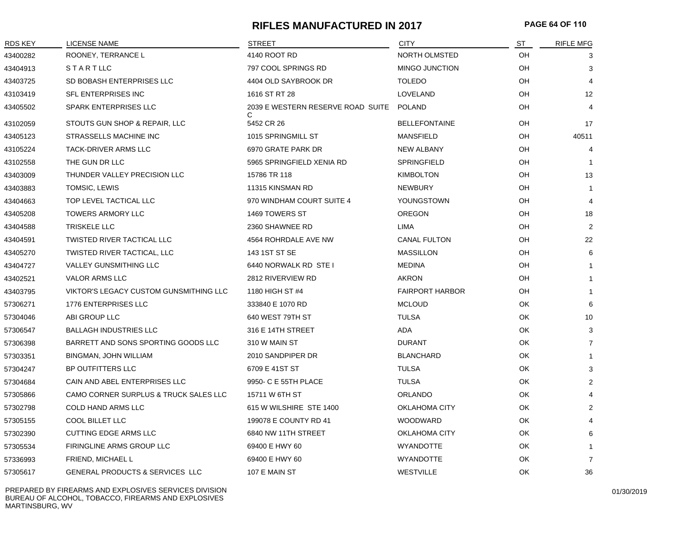# **RIFLES MANUFACTURED IN 2017 PAGE 64 OF 110**

| <b>RDS KEY</b> | <b>LICENSE NAME</b>                              | STREET                            | <b>CITY</b>            | ST | <b>RIFLE MFG</b> |
|----------------|--------------------------------------------------|-----------------------------------|------------------------|----|------------------|
| 43400282       | ROONEY, TERRANCE L                               | 4140 ROOT RD                      | NORTH OLMSTED          | OH | 3                |
| 43404913       | STARTLLC                                         | 797 COOL SPRINGS RD               | MINGO JUNCTION         | OH | 3                |
| 43403725       | SD BOBASH ENTERPRISES LLC                        | 4404 OLD SAYBROOK DR              | <b>TOLEDO</b>          | OH | $\overline{4}$   |
| 43103419       | SFL ENTERPRISES INC                              | 1616 ST RT 28                     | LOVELAND               | OH | 12               |
| 43405502       | <b>SPARK ENTERPRISES LLC</b>                     | 2039 E WESTERN RESERVE ROAD SUITE | <b>POLAND</b>          | OH | 4                |
| 43102059       | STOUTS GUN SHOP & REPAIR, LLC                    | 5452 CR 26                        | <b>BELLEFONTAINE</b>   | OH | 17               |
| 43405123       | STRASSELLS MACHINE INC                           | 1015 SPRINGMILL ST                | <b>MANSFIELD</b>       | OH | 40511            |
| 43105224       | <b>TACK-DRIVER ARMS LLC</b>                      | 6970 GRATE PARK DR                | <b>NEW ALBANY</b>      | OH | $\overline{4}$   |
| 43102558       | THE GUN DR LLC                                   | 5965 SPRINGFIELD XENIA RD         | SPRINGFIELD            | OH | $\mathbf{1}$     |
| 43403009       | THUNDER VALLEY PRECISION LLC                     | 15786 TR 118                      | <b>KIMBOLTON</b>       | OH | 13               |
| 43403883       | TOMSIC, LEWIS                                    | 11315 KINSMAN RD                  | <b>NEWBURY</b>         | OH | $\mathbf{1}$     |
| 43404663       | TOP LEVEL TACTICAL LLC                           | 970 WINDHAM COURT SUITE 4         | YOUNGSTOWN             | OH | 4                |
| 43405208       | <b>TOWERS ARMORY LLC</b>                         | 1469 TOWERS ST                    | <b>OREGON</b>          | OH | 18               |
| 43404588       | <b>TRISKELE LLC</b>                              | 2360 SHAWNEE RD                   | <b>LIMA</b>            | OH | $\overline{2}$   |
| 43404591       | TWISTED RIVER TACTICAL LLC                       | 4564 ROHRDALE AVE NW              | <b>CANAL FULTON</b>    | OH | 22               |
| 43405270       | TWISTED RIVER TACTICAL, LLC                      | 143 1ST ST SE                     | <b>MASSILLON</b>       | OH | 6                |
| 43404727       | <b>VALLEY GUNSMITHING LLC</b>                    | 6440 NORWALK RD STE I             | <b>MEDINA</b>          | OH | $\mathbf{1}$     |
| 43402521       | <b>VALOR ARMS LLC</b>                            | 2812 RIVERVIEW RD                 | <b>AKRON</b>           | OH | 1                |
| 43403795       | VIKTOR'S LEGACY CUSTOM GUNSMITHING LLC           | 1180 HIGH ST #4                   | <b>FAIRPORT HARBOR</b> | OH | $\mathbf{1}$     |
| 57306271       | 1776 ENTERPRISES LLC                             | 333840 E 1070 RD                  | <b>MCLOUD</b>          | OK | 6                |
| 57304046       | ABI GROUP LLC                                    | 640 WEST 79TH ST                  | <b>TULSA</b>           | OK | 10               |
| 57306547       | <b>BALLAGH INDUSTRIES LLC</b>                    | 316 E 14TH STREET                 | ADA                    | OK | 3                |
| 57306398       | BARRETT AND SONS SPORTING GOODS LLC              | 310 W MAIN ST                     | <b>DURANT</b>          | OK | $\overline{7}$   |
| 57303351       | BINGMAN, JOHN WILLIAM                            | 2010 SANDPIPER DR                 | <b>BLANCHARD</b>       | OK | $\mathbf{1}$     |
| 57304247       | BP OUTFITTERS LLC                                | 6709 E 41ST ST                    | <b>TULSA</b>           | OK | 3                |
| 57304684       | CAIN AND ABEL ENTERPRISES LLC                    | 9950- C E 55TH PLACE              | <b>TULSA</b>           | OK | $\overline{2}$   |
| 57305866       | <b>CAMO CORNER SURPLUS &amp; TRUCK SALES LLC</b> | 15711 W 6TH ST                    | <b>ORLANDO</b>         | OK |                  |
| 57302798       | <b>COLD HAND ARMS LLC</b>                        | 615 W WILSHIRE STE 1400           | OKLAHOMA CITY          | OK | 2                |
| 57305155       | COOL BILLET LLC                                  | 199078 E COUNTY RD 41             | WOODWARD               | OK | $\overline{4}$   |
| 57302390       | <b>CUTTING EDGE ARMS LLC</b>                     | 6840 NW 11TH STREET               | OKLAHOMA CITY          | OK | 6                |
| 57305534       | FIRINGLINE ARMS GROUP LLC                        | 69400 E HWY 60                    | <b>WYANDOTTE</b>       | OK | -1               |
| 57336993       | <b>FRIEND, MICHAEL L</b>                         | 69400 E HWY 60                    | <b>WYANDOTTE</b>       | OK | $\overline{7}$   |
| 57305617       | GENERAL PRODUCTS & SERVICES LLC                  | 107 E MAIN ST                     | WESTVILLE              | ОΚ | 36               |

PREPARED BY FIREARMS AND EXPLOSIVES SERVICES DIVISION BUREAU OF ALCOHOL, TOBACCO, FIREARMS AND EXPLOSIVES MARTINSBURG, WV

01/30/2019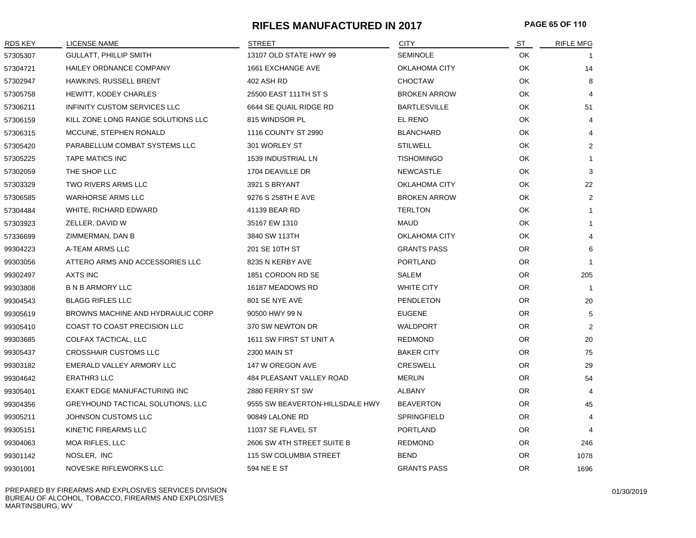# **RIFLES MANUFACTURED IN 2017 PAGE 65 OF 110**

| <b>RDS KEY</b> | <b>LICENSE NAME</b>                 | STREET                          | <b>CITY</b>          | ST        | <b>RIFLE MFG</b> |
|----------------|-------------------------------------|---------------------------------|----------------------|-----------|------------------|
| 57305307       | <b>GULLATT, PHILLIP SMITH</b>       | 13107 OLD STATE HWY 99          | <b>SEMINOLE</b>      | OK        |                  |
| 57304721       | HAILEY ORDNANCE COMPANY             | 1661 EXCHANGE AVE               | OKLAHOMA CITY        | OK        | 14               |
| 57302947       | HAWKINS, RUSSELL BRENT              | 402 ASH RD                      | <b>CHOCTAW</b>       | OK        | 8                |
| 57305758       | <b>HEWITT, KODEY CHARLES</b>        | 25500 EAST 111TH ST S           | <b>BROKEN ARROW</b>  | <b>OK</b> | 4                |
| 57306211       | <b>INFINITY CUSTOM SERVICES LLC</b> | 6644 SE QUAIL RIDGE RD          | <b>BARTLESVILLE</b>  | OK        | 51               |
| 57306159       | KILL ZONE LONG RANGE SOLUTIONS LLC  | 815 WINDSOR PL                  | EL RENO              | OK        | 4                |
| 57306315       | MCCUNE, STEPHEN RONALD              | 1116 COUNTY ST 2990             | <b>BLANCHARD</b>     | OK        | $\overline{4}$   |
| 57305420       | PARABELLUM COMBAT SYSTEMS LLC       | 301 WORLEY ST                   | <b>STILWELL</b>      | OK        | $\overline{2}$   |
| 57305225       | <b>TAPE MATICS INC</b>              | 1539 INDUSTRIAL LN              | <b>TISHOMINGO</b>    | OK        | $\mathbf{1}$     |
| 57302059       | THE SHOP LLC                        | 1704 DEAVILLE DR                | <b>NEWCASTLE</b>     | OK        | 3                |
| 57303329       | <b>TWO RIVERS ARMS LLC</b>          | 3921 S BRYANT                   | OKLAHOMA CITY        | <b>OK</b> | 22               |
| 57306585       | <b>WARHORSE ARMS LLC</b>            | 9276 S 258TH E AVE              | <b>BROKEN ARROW</b>  | OK        | 2                |
| 57304484       | WHITE, RICHARD EDWARD               | 41139 BEAR RD                   | <b>TERLTON</b>       | OK        | $\mathbf{1}$     |
| 57303923       | ZELLER, DAVID W                     | 35167 EW 1310                   | <b>MAUD</b>          | OK        | $\mathbf{1}$     |
| 57336699       | ZIMMERMAN, DAN B                    | 3840 SW 113TH                   | <b>OKLAHOMA CITY</b> | OK        | 4                |
| 99304223       | A-TEAM ARMS LLC                     | 201 SE 10TH ST                  | <b>GRANTS PASS</b>   | OR.       | 6                |
| 99303056       | ATTERO ARMS AND ACCESSORIES LLC     | 8235 N KERBY AVE                | <b>PORTLAND</b>      | OR.       | $\mathbf{1}$     |
| 99302497       | <b>AXTS INC</b>                     | 1851 CORDON RD SE               | <b>SALEM</b>         | OR.       | 205              |
| 99303808       | <b>B N B ARMORY LLC</b>             | 16187 MEADOWS RD                | <b>WHITE CITY</b>    | OR.       | $\overline{1}$   |
| 99304543       | <b>BLAGG RIFLES LLC</b>             | 801 SE NYE AVE                  | PENDLETON            | OR.       | 20               |
| 99305619       | BROWNS MACHINE AND HYDRAULIC CORP   | 90500 HWY 99 N                  | <b>EUGENE</b>        | OR.       | 5                |
| 99305410       | COAST TO COAST PRECISION LLC        | 370 SW NEWTON DR                | <b>WALDPORT</b>      | <b>OR</b> | $\overline{2}$   |
| 99303685       | COLFAX TACTICAL, LLC                | 1611 SW FIRST ST UNIT A         | <b>REDMOND</b>       | OR.       | 20               |
| 99305437       | CROSSHAIR CUSTOMS LLC               | <b>2300 MAIN ST</b>             | <b>BAKER CITY</b>    | OR.       | 75               |
| 99303182       | EMERALD VALLEY ARMORY LLC           | 147 W OREGON AVE                | <b>CRESWELL</b>      | <b>OR</b> | 29               |
| 99304642       | ERATHR3 LLC                         | 484 PLEASANT VALLEY ROAD        | <b>MERLIN</b>        | OR.       | 54               |
| 99305401       | EXAKT EDGE MANUFACTURING INC        | 2880 FERRY ST SW                | <b>ALBANY</b>        | OR        | 4                |
| 99304356       | GREYHOUND TACTICAL SOLUTIONS, LLC   | 9555 SW BEAVERTON-HILLSDALE HWY | <b>BEAVERTON</b>     | OR.       | 45               |
| 99305211       | JOHNSON CUSTOMS LLC                 | 90849 LALONE RD                 | <b>SPRINGFIELD</b>   | <b>OR</b> | 4                |
| 99305151       | KINETIC FIREARMS LLC                | 11037 SE FLAVEL ST              | <b>PORTLAND</b>      | OR.       | 4                |
| 99304063       | <b>MOA RIFLES, LLC</b>              | 2606 SW 4TH STREET SUITE B      | <b>REDMOND</b>       | OR.       | 246              |
| 99301142       | NOSLER, INC                         | 115 SW COLUMBIA STREET          | <b>BEND</b>          | <b>OR</b> | 1078             |
| 99301001       | NOVESKE RIFLEWORKS LLC              | 594 NE E ST                     | <b>GRANTS PASS</b>   | OR.       | 1696             |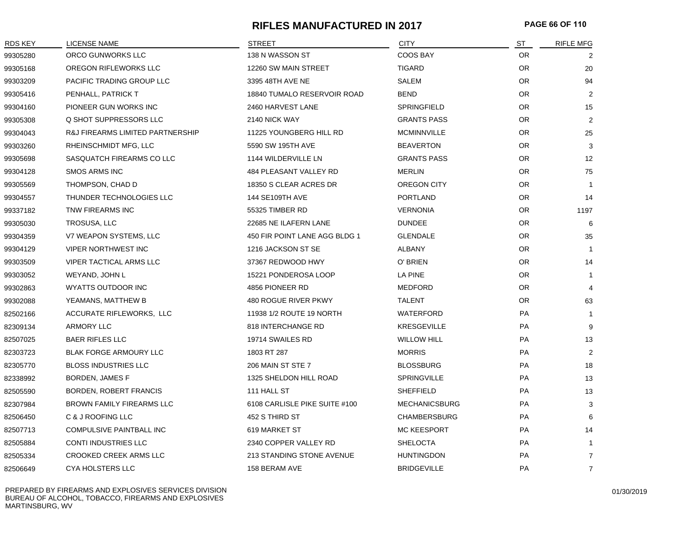# **RIFLES MANUFACTURED IN 2017 PAGE 66 OF 110**

| RDS KEY  | <b>LICENSE NAME</b>                         | <b>STREET</b>                    | <b>CITY</b>          | ST        | RIFLE MFG      |
|----------|---------------------------------------------|----------------------------------|----------------------|-----------|----------------|
| 99305280 | ORCO GUNWORKS LLC                           | 138 N WASSON ST                  | <b>COOS BAY</b>      | <b>OR</b> | 2              |
| 99305168 | OREGON RIFLEWORKS LLC                       | 12260 SW MAIN STREET             | <b>TIGARD</b>        | <b>OR</b> | 20             |
| 99303209 | PACIFIC TRADING GROUP LLC                   | 3395 48TH AVE NE                 | SALEM                | <b>OR</b> | 94             |
| 99305416 | PENHALL, PATRICK T                          | 18840 TUMALO RESERVOIR ROAD      | <b>BEND</b>          | <b>OR</b> | 2              |
| 99304160 | PIONEER GUN WORKS INC                       | 2460 HARVEST LANE                | SPRINGFIELD          | <b>OR</b> | 15             |
| 99305308 | Q SHOT SUPPRESSORS LLC                      | 2140 NICK WAY                    | <b>GRANTS PASS</b>   | <b>OR</b> | $\overline{2}$ |
| 99304043 | <b>R&amp;J FIREARMS LIMITED PARTNERSHIP</b> | 11225 YOUNGBERG HILL RD          | <b>MCMINNVILLE</b>   | <b>OR</b> | 25             |
| 99303260 | RHEINSCHMIDT MFG, LLC                       | 5590 SW 195TH AVE                | <b>BEAVERTON</b>     | <b>OR</b> | 3              |
| 99305698 | SASQUATCH FIREARMS CO LLC                   | 1144 WILDERVILLE LN              | <b>GRANTS PASS</b>   | <b>OR</b> | 12             |
| 99304128 | <b>SMOS ARMS INC</b>                        | 484 PLEASANT VALLEY RD           | <b>MERLIN</b>        | <b>OR</b> | 75             |
| 99305569 | THOMPSON, CHAD D                            | 18350 S CLEAR ACRES DR           | OREGON CITY          | OR.       |                |
| 99304557 | THUNDER TECHNOLOGIES LLC                    | 144 SE109TH AVE                  | <b>PORTLAND</b>      | <b>OR</b> | 14             |
| 99337182 | <b>TNW FIREARMS INC</b>                     | 55325 TIMBER RD                  | <b>VERNONIA</b>      | <b>OR</b> | 1197           |
| 99305030 | TROSUSA, LLC                                | 22685 NE ILAFERN LANE            | <b>DUNDEE</b>        | <b>OR</b> | 6              |
| 99304359 | V7 WEAPON SYSTEMS, LLC                      | 450 FIR POINT LANE AGG BLDG 1    | <b>GLENDALE</b>      | <b>OR</b> | 35             |
| 99304129 | <b>VIPER NORTHWEST INC</b>                  | 1216 JACKSON ST SE               | <b>ALBANY</b>        | <b>OR</b> | $\overline{1}$ |
| 99303509 | <b>VIPER TACTICAL ARMS LLC</b>              | 37367 REDWOOD HWY                | O' BRIEN             | <b>OR</b> | 14             |
| 99303052 | WEYAND, JOHN L                              | 15221 PONDEROSA LOOP             | LA PINE              | <b>OR</b> |                |
| 99302863 | WYATTS OUTDOOR INC                          | 4856 PIONEER RD                  | <b>MEDFORD</b>       | <b>OR</b> |                |
| 99302088 | YEAMANS, MATTHEW B                          | 480 ROGUE RIVER PKWY             | <b>TALENT</b>        | <b>OR</b> | 63             |
| 82502166 | ACCURATE RIFLEWORKS, LLC                    | 11938 1/2 ROUTE 19 NORTH         | <b>WATERFORD</b>     | <b>PA</b> |                |
| 82309134 | <b>ARMORY LLC</b>                           | 818 INTERCHANGE RD               | <b>KRESGEVILLE</b>   | <b>PA</b> | 9              |
| 82507025 | <b>BAER RIFLES LLC</b>                      | 19714 SWAILES RD                 | <b>WILLOW HILL</b>   | PA        | 13             |
| 82303723 | BLAK FORGE ARMOURY LLC                      | 1803 RT 287                      | <b>MORRIS</b>        | PA        | 2              |
| 82305770 | <b>BLOSS INDUSTRIES LLC</b>                 | 206 MAIN ST STE 7                | <b>BLOSSBURG</b>     | <b>PA</b> | 18             |
| 82338992 | <b>BORDEN, JAMES F</b>                      | 1325 SHELDON HILL ROAD           | <b>SPRINGVILLE</b>   | PA        | 13             |
| 82505590 | <b>BORDEN, ROBERT FRANCIS</b>               | 111 HALL ST                      | <b>SHEFFIELD</b>     | PA        | 13             |
| 82307984 | <b>BROWN FAMILY FIREARMS LLC</b>            | 6108 CARLISLE PIKE SUITE #100    | <b>MECHANICSBURG</b> | <b>PA</b> | 3              |
| 82506450 | C & J ROOFING LLC                           | 452 S THIRD ST                   | <b>CHAMBERSBURG</b>  | <b>PA</b> | 6              |
| 82507713 | COMPULSIVE PAINTBALL INC                    | 619 MARKET ST                    | <b>MC KEESPORT</b>   | <b>PA</b> | 14             |
| 82505884 | <b>CONTI INDUSTRIES LLC</b>                 | 2340 COPPER VALLEY RD            | <b>SHELOCTA</b>      | PA        |                |
| 82505334 | CROOKED CREEK ARMS LLC                      | <b>213 STANDING STONE AVENUE</b> | <b>HUNTINGDON</b>    | PA        | $\overline{7}$ |
| 82506649 | <b>CYA HOLSTERS LLC</b>                     | 158 BERAM AVE                    | <b>BRIDGEVILLE</b>   | <b>PA</b> | $\overline{7}$ |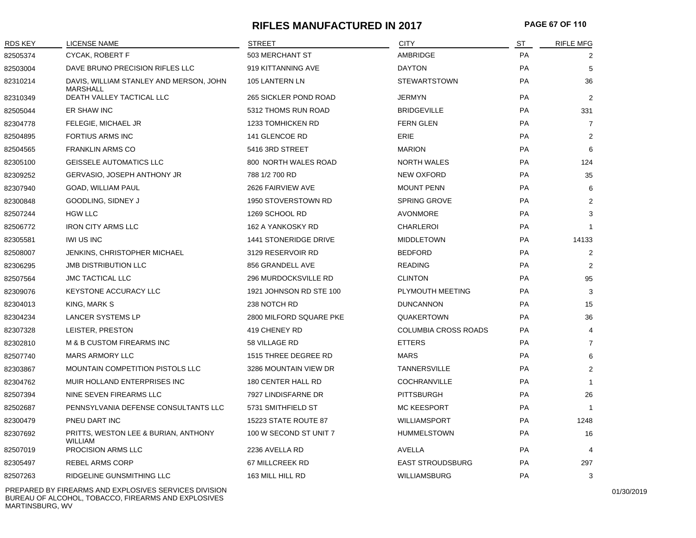# **RIFLES MANUFACTURED IN 2017 PAGE 67 OF 110**

| RDS KEY  | LICENSE NAME                                               | STREET                       | <b>CITY</b>             | <u>ST</u> | <b>RIFLE MFG</b> |
|----------|------------------------------------------------------------|------------------------------|-------------------------|-----------|------------------|
| 82505374 | CYCAK, ROBERT F                                            | 503 MERCHANT ST              | AMBRIDGE                | PA        | 2                |
| 82503004 | DAVE BRUNO PRECISION RIFLES LLC                            | 919 KITTANNING AVE           | <b>DAYTON</b>           | PA        | 5                |
| 82310214 | DAVIS, WILLIAM STANLEY AND MERSON, JOHN<br><b>MARSHALL</b> | 105 LANTERN LN               | <b>STEWARTSTOWN</b>     | PA        | 36               |
| 82310349 | DEATH VALLEY TACTICAL LLC                                  | <b>265 SICKLER POND ROAD</b> | <b>JERMYN</b>           | PA        | $\overline{2}$   |
| 82505044 | ER SHAW INC                                                | 5312 THOMS RUN ROAD          | <b>BRIDGEVILLE</b>      | PA        | 331              |
| 82304778 | FELEGIE, MICHAEL JR                                        | 1233 TOMHICKEN RD            | <b>FERN GLEN</b>        | PA        | $\overline{7}$   |
| 82504895 | <b>FORTIUS ARMS INC</b>                                    | 141 GLENCOE RD               | <b>ERIE</b>             | PA        | $\overline{2}$   |
| 82504565 | <b>FRANKLIN ARMS CO</b>                                    | 5416 3RD STREET              | <b>MARION</b>           | <b>PA</b> | 6                |
| 82305100 | <b>GEISSELE AUTOMATICS LLC</b>                             | 800 NORTH WALES ROAD         | <b>NORTH WALES</b>      | PA        | 124              |
| 82309252 | <b>GERVASIO, JOSEPH ANTHONY JR</b>                         | 788 1/2 700 RD               | <b>NEW OXFORD</b>       | PA        | 35               |
| 82307940 | <b>GOAD, WILLIAM PAUL</b>                                  | 2626 FAIRVIEW AVE            | <b>MOUNT PENN</b>       | <b>PA</b> | 6                |
| 82300848 | GOODLING, SIDNEY J                                         | 1950 STOVERSTOWN RD          | <b>SPRING GROVE</b>     | PA        | $\overline{2}$   |
| 82507244 | <b>HGW LLC</b>                                             | 1269 SCHOOL RD               | <b>AVONMORE</b>         | <b>PA</b> | 3                |
| 82506772 | <b>IRON CITY ARMS LLC</b>                                  | 162 A YANKOSKY RD            | <b>CHARLEROI</b>        | PA        | $\mathbf{1}$     |
| 82305581 | <b>IWI US INC</b>                                          | 1441 STONERIDGE DRIVE        | <b>MIDDLETOWN</b>       | PA        | 14133            |
| 82508007 | JENKINS, CHRISTOPHER MICHAEL                               | 3129 RESERVOIR RD            | <b>BEDFORD</b>          | <b>PA</b> | $\overline{2}$   |
| 82306295 | <b>JMB DISTRIBUTION LLC</b>                                | 856 GRANDELL AVE             | <b>READING</b>          | PA        | $\overline{2}$   |
| 82507564 | <b>JMC TACTICAL LLC</b>                                    | 296 MURDOCKSVILLE RD         | <b>CLINTON</b>          | PA        | 95               |
| 82309076 | KEYSTONE ACCURACY LLC                                      | 1921 JOHNSON RD STE 100      | PLYMOUTH MEETING        | <b>PA</b> | 3                |
| 82304013 | KING, MARK S                                               | 238 NOTCH RD                 | <b>DUNCANNON</b>        | PA        | 15               |
| 82304234 | LANCER SYSTEMS LP                                          | 2800 MILFORD SQUARE PKE      | <b>QUAKERTOWN</b>       | <b>PA</b> | 36               |
| 82307328 | LEISTER, PRESTON                                           | 419 CHENEY RD                | COLUMBIA CROSS ROADS    | <b>PA</b> | 4                |
| 82302810 | M & B CUSTOM FIREARMS INC                                  | 58 VILLAGE RD                | <b>ETTERS</b>           | PA        | 7                |
| 82507740 | <b>MARS ARMORY LLC</b>                                     | 1515 THREE DEGREE RD         | <b>MARS</b>             | <b>PA</b> | 6                |
| 82303867 | <b>MOUNTAIN COMPETITION PISTOLS LLC</b>                    | 3286 MOUNTAIN VIEW DR        | <b>TANNERSVILLE</b>     | PA        | $\overline{2}$   |
| 82304762 | MUIR HOLLAND ENTERPRISES INC                               | 180 CENTER HALL RD           | COCHRANVILLE            | PA        | $\mathbf{1}$     |
| 82507394 | NINE SEVEN FIREARMS LLC                                    | 7927 LINDISFARNE DR          | <b>PITTSBURGH</b>       | PA        | 26               |
| 82502687 | PENNSYLVANIA DEFENSE CONSULTANTS LLC                       | 5731 SMITHFIELD ST           | <b>MC KEESPORT</b>      | PA        | $\mathbf{1}$     |
| 82300479 | PNEU DART INC                                              | 15223 STATE ROUTE 87         | <b>WILLIAMSPORT</b>     | PA        | 1248             |
| 82307692 | PRITTS, WESTON LEE & BURIAN, ANTHONY<br><b>WILLIAM</b>     | 100 W SECOND ST UNIT 7       | <b>HUMMELSTOWN</b>      | PA        | 16               |
| 82507019 | PROCISION ARMS LLC                                         | 2236 AVELLA RD               | AVELLA                  | PA        | 4                |
| 82305497 | <b>REBEL ARMS CORP</b>                                     | 67 MILLCREEK RD              | <b>EAST STROUDSBURG</b> | <b>PA</b> | 297              |
| 82507263 | RIDGELINE GUNSMITHING LLC                                  | 163 MILL HILL RD             | <b>WILLIAMSBURG</b>     | PA        | 3                |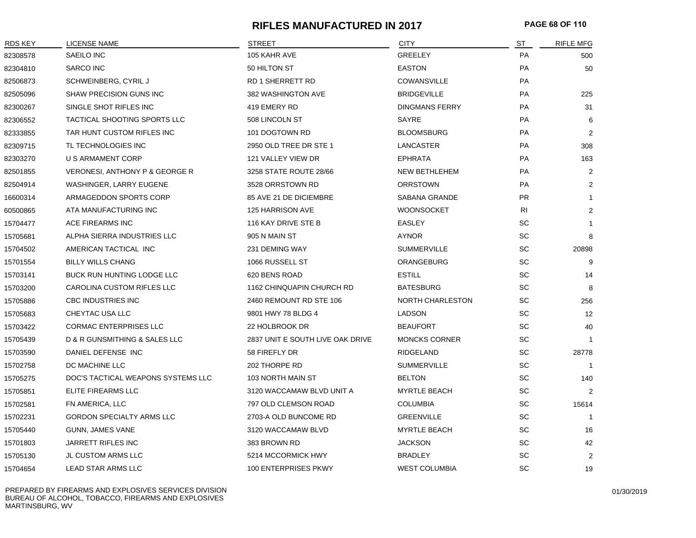## **RIFLES MANUFACTURED IN 2017 PAGE 68 OF 110**

| RDS KEY  | LICENSE NAME                       | <b>STREET</b>                    | <b>CITY</b>           | ST        | <b>RIFLE MFG</b> |
|----------|------------------------------------|----------------------------------|-----------------------|-----------|------------------|
| 82308578 | SAEILO INC                         | 105 KAHR AVE                     | <b>GREELEY</b>        | PA        | 500              |
| 82304810 | <b>SARCO INC</b>                   | 50 HILTON ST                     | <b>EASTON</b>         | PA        | 50               |
| 82506873 | SCHWEINBERG, CYRIL J               | <b>RD 1 SHERRETT RD</b>          | <b>COWANSVILLE</b>    | <b>PA</b> |                  |
| 82505096 | SHAW PRECISION GUNS INC            | 382 WASHINGTON AVE               | <b>BRIDGEVILLE</b>    | PA        | 225              |
| 82300267 | SINGLE SHOT RIFLES INC             | 419 EMERY RD                     | <b>DINGMANS FERRY</b> | PA        | 31               |
| 82306552 | TACTICAL SHOOTING SPORTS LLC       | 508 LINCOLN ST                   | SAYRE                 | PA        | 6                |
| 82333855 | TAR HUNT CUSTOM RIFLES INC         | 101 DOGTOWN RD                   | <b>BLOOMSBURG</b>     | <b>PA</b> | 2                |
| 82309715 | TL TECHNOLOGIES INC                | 2950 OLD TREE DR STE 1           | LANCASTER             | PA        | 308              |
| 82303270 | U S ARMAMENT CORP                  | 121 VALLEY VIEW DR               | <b>EPHRATA</b>        | PA        | 163              |
| 82501855 | VERONESI, ANTHONY P & GEORGE R     | 3258 STATE ROUTE 28/66           | <b>NEW BETHLEHEM</b>  | PA        | $\overline{2}$   |
| 82504914 | WASHINGER, LARRY EUGENE            | 3528 ORRSTOWN RD                 | <b>ORRSTOWN</b>       | PA        | $\overline{2}$   |
| 16600314 | ARMAGEDDON SPORTS CORP             | 85 AVE 21 DE DICIEMBRE           | <b>SABANA GRANDE</b>  | <b>PR</b> | -1               |
| 60500865 | ATA MANUFACTURING INC              | 125 HARRISON AVE                 | <b>WOONSOCKET</b>     | <b>RI</b> | 2                |
| 15704477 | ACE FIREARMS INC                   | 116 KAY DRIVE STE B              | <b>EASLEY</b>         | SC        | $\mathbf 1$      |
| 15705681 | ALPHA SIERRA INDUSTRIES LLC        | 905 N MAIN ST                    | <b>AYNOR</b>          | SC        | 8                |
| 15704502 | AMERICAN TACTICAL INC              | 231 DEMING WAY                   | <b>SUMMERVILLE</b>    | SC        | 20898            |
| 15701554 | <b>BILLY WILLS CHANG</b>           | 1066 RUSSELL ST                  | ORANGEBURG            | SC        | 9                |
| 15703141 | BUCK RUN HUNTING LODGE LLC         | 620 BENS ROAD                    | <b>ESTILL</b>         | SC        | 14               |
| 15703200 | <b>CAROLINA CUSTOM RIFLES LLC</b>  | 1162 CHINQUAPIN CHURCH RD        | <b>BATESBURG</b>      | SC        | 8                |
| 15705886 | CBC INDUSTRIES INC                 | 2460 REMOUNT RD STE 106          | NORTH CHARLESTON      | SC        | 256              |
| 15705683 | CHEYTAC USA LLC                    | 9801 HWY 78 BLDG 4               | LADSON                | SC        | 12               |
| 15703422 | <b>CORMAC ENTERPRISES LLC</b>      | 22 HOLBROOK DR                   | <b>BEAUFORT</b>       | <b>SC</b> | 40               |
| 15705439 | D & R GUNSMITHING & SALES LLC      | 2837 UNIT E SOUTH LIVE OAK DRIVE | <b>MONCKS CORNER</b>  | <b>SC</b> | -1               |
| 15703590 | DANIEL DEFENSE INC                 | 58 FIREFLY DR                    | RIDGELAND             | <b>SC</b> | 28778            |
| 15702758 | DC MACHINE LLC                     | 202 THORPE RD                    | <b>SUMMERVILLE</b>    | <b>SC</b> | $\overline{1}$   |
| 15705275 | DOC'S TACTICAL WEAPONS SYSTEMS LLC | 103 NORTH MAIN ST                | <b>BELTON</b>         | SC        | 140              |
| 15705851 | ELITE FIREARMS LLC                 | 3120 WACCAMAW BLVD UNIT A        | <b>MYRTLE BEACH</b>   | SC        | 2                |
| 15702581 | FN AMERICA, LLC                    | 797 OLD CLEMSON ROAD             | <b>COLUMBIA</b>       | SC        | 15614            |
| 15702231 | <b>GORDON SPECIALTY ARMS LLC</b>   | 2703-A OLD BUNCOME RD            | <b>GREENVILLE</b>     | SC        | $\overline{1}$   |
| 15705440 | GUNN, JAMES VANE                   | 3120 WACCAMAW BLVD               | <b>MYRTLE BEACH</b>   | SC        | 16               |
| 15701803 | <b>JARRETT RIFLES INC</b>          | 383 BROWN RD                     | <b>JACKSON</b>        | SC        | 42               |
| 15705130 | JL CUSTOM ARMS LLC                 | 5214 MCCORMICK HWY               | <b>BRADLEY</b>        | SC        | 2                |
| 15704654 | LEAD STAR ARMS LLC                 | 100 ENTERPRISES PKWY             | <b>WEST COLUMBIA</b>  | <b>SC</b> | 19               |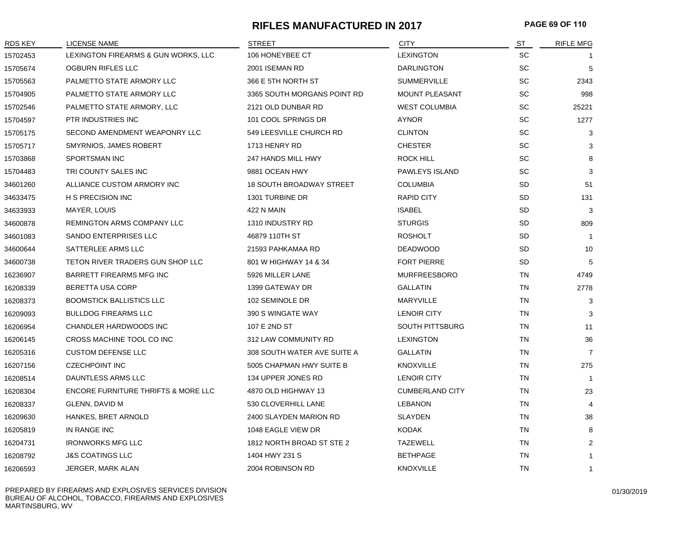# **RIFLES MANUFACTURED IN 2017 PAGE 69 OF 110**

| RDS KEY  | LICENSE NAME                                   | <b>STREET</b>                   | <b>CITY</b>            | ST        | <b>RIFLE MFG</b> |
|----------|------------------------------------------------|---------------------------------|------------------------|-----------|------------------|
| 15702453 | LEXINGTON FIREARMS & GUN WORKS, LLC            | 106 HONEYBEE CT                 | <b>LEXINGTON</b>       | <b>SC</b> |                  |
| 15705674 | OGBURN RIFLES LLC                              | 2001 ISEMAN RD                  | <b>DARLINGTON</b>      | <b>SC</b> | 5                |
| 15705563 | PALMETTO STATE ARMORY LLC                      | 366 E 5TH NORTH ST              | <b>SUMMERVILLE</b>     | <b>SC</b> | 2343             |
| 15704905 | PALMETTO STATE ARMORY LLC                      | 3365 SOUTH MORGANS POINT RD     | <b>MOUNT PLEASANT</b>  | <b>SC</b> | 998              |
| 15702546 | PALMETTO STATE ARMORY, LLC                     | 2121 OLD DUNBAR RD              | <b>WEST COLUMBIA</b>   | <b>SC</b> | 25221            |
| 15704597 | PTR INDUSTRIES INC                             | 101 COOL SPRINGS DR             | <b>AYNOR</b>           | <b>SC</b> | 1277             |
| 15705175 | SECOND AMENDMENT WEAPONRY LLC                  | 549 LEESVILLE CHURCH RD         | <b>CLINTON</b>         | SC        | 3                |
| 15705717 | SMYRNIOS, JAMES ROBERT                         | 1713 HENRY RD                   | <b>CHESTER</b>         | <b>SC</b> | 3                |
| 15703868 | <b>SPORTSMAN INC</b>                           | 247 HANDS MILL HWY              | <b>ROCK HILL</b>       | <b>SC</b> | 8                |
| 15704483 | TRI COUNTY SALES INC                           | 9881 OCEAN HWY                  | PAWLEYS ISLAND         | <b>SC</b> | 3                |
| 34601260 | ALLIANCE CUSTOM ARMORY INC                     | <b>18 SOUTH BROADWAY STREET</b> | <b>COLUMBIA</b>        | SD        | 51               |
| 34633475 | H S PRECISION INC                              | 1301 TURBINE DR                 | <b>RAPID CITY</b>      | SD        | 131              |
| 34633933 | MAYER, LOUIS                                   | 422 N MAIN                      | <b>ISABEL</b>          | <b>SD</b> | 3                |
| 34600878 | REMINGTON ARMS COMPANY LLC                     | 1310 INDUSTRY RD                | <b>STURGIS</b>         | <b>SD</b> | 809              |
| 34601083 | SANDO ENTERPRISES LLC                          | 46879 110TH ST                  | <b>ROSHOLT</b>         | <b>SD</b> | $\overline{1}$   |
| 34600644 | SATTERLEE ARMS LLC                             | 21593 PAHKAMAA RD               | <b>DEADWOOD</b>        | <b>SD</b> | 10               |
| 34600738 | TETON RIVER TRADERS GUN SHOP LLC               | 801 W HIGHWAY 14 & 34           | <b>FORT PIERRE</b>     | SD        | 5                |
| 16236907 | BARRETT FIREARMS MFG INC                       | 5926 MILLER LANE                | <b>MURFREESBORO</b>    | TN        | 4749             |
| 16208339 | <b>BERETTA USA CORP</b>                        | 1399 GATEWAY DR                 | <b>GALLATIN</b>        | <b>TN</b> | 2778             |
| 16208373 | <b>BOOMSTICK BALLISTICS LLC</b>                | 102 SEMINOLE DR                 | <b>MARYVILLE</b>       | TN        | 3                |
| 16209093 | <b>BULLDOG FIREARMS LLC</b>                    | 390 S WINGATE WAY               | <b>LENOIR CITY</b>     | <b>TN</b> | 3                |
| 16206954 | <b>CHANDLER HARDWOODS INC</b>                  | 107 E 2ND ST                    | SOUTH PITTSBURG        | <b>TN</b> | 11               |
| 16206145 | CROSS MACHINE TOOL CO INC                      | 312 LAW COMMUNITY RD            | <b>LEXINGTON</b>       | TN        | 36               |
| 16205316 | <b>CUSTOM DEFENSE LLC</b>                      | 308 SOUTH WATER AVE SUITE A     | <b>GALLATIN</b>        | TN        | $\overline{7}$   |
| 16207156 | <b>CZECHPOINT INC</b>                          | 5005 CHAPMAN HWY SUITE B        | <b>KNOXVILLE</b>       | TN        | 275              |
| 16208514 | DAUNTLESS ARMS LLC                             | 134 UPPER JONES RD              | <b>LENOIR CITY</b>     | <b>TN</b> | $\overline{1}$   |
| 16208304 | <b>ENCORE FURNITURE THRIFTS &amp; MORE LLC</b> | 4870 OLD HIGHWAY 13             | <b>CUMBERLAND CITY</b> | <b>TN</b> | 23               |
| 16208337 | GLENN, DAVID M                                 | 530 CLOVERHILL LANE             | <b>LEBANON</b>         | <b>TN</b> | $\overline{4}$   |
| 16209630 | HANKES, BRET ARNOLD                            | 2400 SLAYDEN MARION RD          | <b>SLAYDEN</b>         | TN        | 38               |
| 16205819 | IN RANGE INC                                   | 1048 EAGLE VIEW DR              | <b>KODAK</b>           | TN        | 8                |
| 16204731 | <b>IRONWORKS MFG LLC</b>                       | 1812 NORTH BROAD ST STE 2       | <b>TAZEWELL</b>        | TN        | $\overline{2}$   |
| 16208792 | <b>J&amp;S COATINGS LLC</b>                    | 1404 HWY 231 S                  | <b>BETHPAGE</b>        | <b>TN</b> | $\overline{1}$   |
| 16206593 | JERGER, MARK ALAN                              | 2004 ROBINSON RD                | <b>KNOXVILLE</b>       | <b>TN</b> | $\mathbf{1}$     |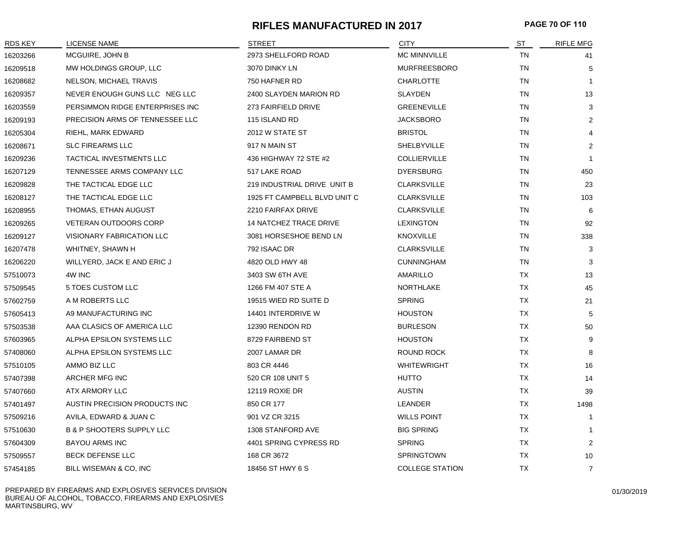#### **RIFLES MANUFACTURED IN 2017 PAGE 70 OF 110**

| RDS KEY  | LICENSE NAME                         | <b>STREET</b>                 | <b>CITY</b>            | ST        | <b>RIFLE MFG</b> |
|----------|--------------------------------------|-------------------------------|------------------------|-----------|------------------|
| 16203266 | MCGUIRE, JOHN B                      | 2973 SHELLFORD ROAD           | <b>MC MINNVILLE</b>    | <b>TN</b> | 41               |
| 16209518 | MW HOLDINGS GROUP, LLC               | 3070 DINKY LN                 | <b>MURFREESBORO</b>    | <b>TN</b> | 5                |
| 16208682 | <b>NELSON, MICHAEL TRAVIS</b>        | 750 HAFNER RD                 | <b>CHARLOTTE</b>       | <b>TN</b> | $\mathbf{1}$     |
| 16209357 | NEVER ENOUGH GUNS LLC NEG LLC        | 2400 SLAYDEN MARION RD        | <b>SLAYDEN</b>         | TN        | 13               |
| 16203559 | PERSIMMON RIDGE ENTERPRISES INC      | 273 FAIRFIELD DRIVE           | <b>GREENEVILLE</b>     | TN        | 3                |
| 16209193 | PRECISION ARMS OF TENNESSEE LLC      | 115 ISLAND RD                 | <b>JACKSBORO</b>       | TN        | $\overline{2}$   |
| 16205304 | RIEHL, MARK EDWARD                   | 2012 W STATE ST               | <b>BRISTOL</b>         | <b>TN</b> | 4                |
| 16208671 | <b>SLC FIREARMS LLC</b>              | 917 N MAIN ST                 | SHELBYVILLE            | <b>TN</b> | $\overline{2}$   |
| 16209236 | TACTICAL INVESTMENTS LLC             | 436 HIGHWAY 72 STE #2         | <b>COLLIERVILLE</b>    | <b>TN</b> | $\overline{1}$   |
| 16207129 | TENNESSEE ARMS COMPANY LLC           | 517 LAKE ROAD                 | <b>DYERSBURG</b>       | TN        | 450              |
| 16209828 | THE TACTICAL EDGE LLC                | 219 INDUSTRIAL DRIVE UNIT B   | <b>CLARKSVILLE</b>     | TN        | 23               |
| 16208127 | THE TACTICAL EDGE LLC                | 1925 FT CAMPBELL BLVD UNIT C  | <b>CLARKSVILLE</b>     | <b>TN</b> | 103              |
| 16208955 | THOMAS, ETHAN AUGUST                 | 2210 FAIRFAX DRIVE            | <b>CLARKSVILLE</b>     | <b>TN</b> | 6                |
| 16209265 | <b>VETERAN OUTDOORS CORP</b>         | <b>14 NATCHEZ TRACE DRIVE</b> | <b>LEXINGTON</b>       | TN        | 92               |
| 16209127 | <b>VISIONARY FABRICATION LLC</b>     | 3081 HORSESHOE BEND LN        | <b>KNOXVILLE</b>       | <b>TN</b> | 338              |
| 16207478 | WHITNEY, SHAWN H                     | 792 ISAAC DR                  | <b>CLARKSVILLE</b>     | <b>TN</b> | 3                |
| 16206220 | WILLYERD, JACK E AND ERIC J          | 4820 OLD HWY 48               | <b>CUNNINGHAM</b>      | TN        | 3                |
| 57510073 | 4W INC                               | 3403 SW 6TH AVE               | AMARILLO               | TX        | 13               |
| 57509545 | 5 TOES CUSTOM LLC                    | 1266 FM 407 STE A             | <b>NORTHLAKE</b>       | TX        | 45               |
| 57602759 | A M ROBERTS LLC                      | 19515 WIED RD SUITE D         | <b>SPRING</b>          | ТX        | 21               |
| 57605413 | A9 MANUFACTURING INC                 | 14401 INTERDRIVE W            | <b>HOUSTON</b>         | TX        | 5                |
| 57503538 | AAA CLASICS OF AMERICA LLC           | 12390 RENDON RD               | <b>BURLESON</b>        | <b>TX</b> | 50               |
| 57603965 | ALPHA EPSILON SYSTEMS LLC            | 8729 FAIRBEND ST              | <b>HOUSTON</b>         | TX        | 9                |
| 57408060 | ALPHA EPSILON SYSTEMS LLC            | 2007 LAMAR DR                 | ROUND ROCK             | TX        | 8                |
| 57510105 | AMMO BIZ LLC                         | 803 CR 4446                   | <b>WHITEWRIGHT</b>     | TX        | 16               |
| 57407398 | ARCHER MFG INC                       | 520 CR 108 UNIT 5             | <b>HUTTO</b>           | TX        | 14               |
| 57407660 | ATX ARMORY LLC                       | 12119 ROXIE DR                | <b>AUSTIN</b>          | <b>TX</b> | 39               |
| 57401497 | AUSTIN PRECISION PRODUCTS INC        | 850 CR 177                    | LEANDER                | TX        | 1498             |
| 57509216 | AVILA, EDWARD & JUAN C               | 901 VZ CR 3215                | <b>WILLS POINT</b>     | TX        | $\mathbf{1}$     |
| 57510630 | <b>B &amp; P SHOOTERS SUPPLY LLC</b> | 1308 STANFORD AVE             | <b>BIG SPRING</b>      | TX        | $\mathbf{1}$     |
| 57604309 | <b>BAYOU ARMS INC</b>                | 4401 SPRING CYPRESS RD        | <b>SPRING</b>          | ТX        | $\overline{c}$   |
| 57509557 | <b>BECK DEFENSE LLC</b>              | 168 CR 3672                   | <b>SPRINGTOWN</b>      | TX        | 10               |
| 57454185 | BILL WISEMAN & CO, INC               | 18456 ST HWY 6 S              | <b>COLLEGE STATION</b> | <b>TX</b> | $\overline{7}$   |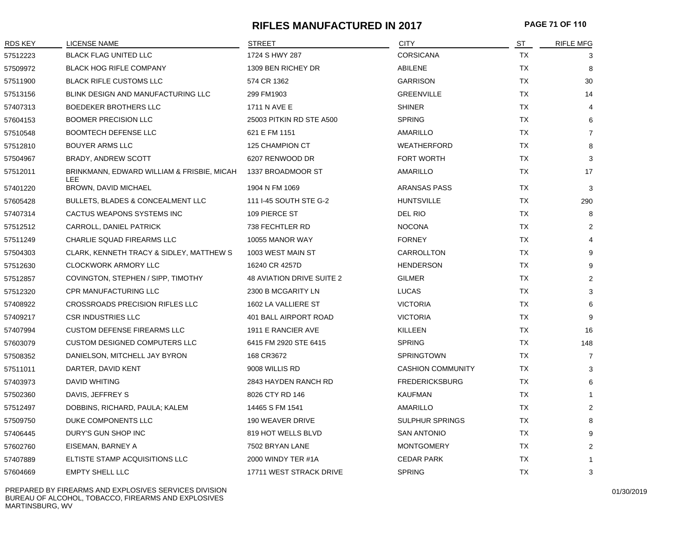# **RIFLES MANUFACTURED IN 2017 PAGE 71 OF 110**

| <b>RDS KEY</b> | <b>LICENSE NAME</b>                                | <b>STREET</b>             | <b>CITY</b>              | ST        | <b>RIFLE MFG</b> |
|----------------|----------------------------------------------------|---------------------------|--------------------------|-----------|------------------|
| 57512223       | <b>BLACK FLAG UNITED LLC</b>                       | 1724 S HWY 287            | <b>CORSICANA</b>         | TX        | 3                |
| 57509972       | <b>BLACK HOG RIFLE COMPANY</b>                     | 1309 BEN RICHEY DR        | ABILENE                  | TX        | 8                |
| 57511900       | BLACK RIFLE CUSTOMS LLC                            | 574 CR 1362               | <b>GARRISON</b>          | <b>TX</b> | 30               |
| 57513156       | BLINK DESIGN AND MANUFACTURING LLC                 | 299 FM1903                | <b>GREENVILLE</b>        | <b>TX</b> | 14               |
| 57407313       | BOEDEKER BROTHERS LLC                              | 1711 N AVE E              | SHINER                   | <b>TX</b> | $\overline{4}$   |
| 57604153       | <b>BOOMER PRECISION LLC</b>                        | 25003 PITKIN RD STE A500  | <b>SPRING</b>            | <b>TX</b> | 6                |
| 57510548       | <b>BOOMTECH DEFENSE LLC</b>                        | 621 E FM 1151             | AMARILLO                 | <b>TX</b> | $\overline{7}$   |
| 57512810       | <b>BOUYER ARMS LLC</b>                             | 125 CHAMPION CT           | <b>WEATHERFORD</b>       | <b>TX</b> | 8                |
| 57504967       | <b>BRADY, ANDREW SCOTT</b>                         | 6207 RENWOOD DR           | FORT WORTH               | TX        | 3                |
| 57512011       | BRINKMANN, EDWARD WILLIAM & FRISBIE, MICAH<br>LEE. | 1337 BROADMOOR ST         | AMARILLO                 | <b>TX</b> | 17               |
| 57401220       | BROWN, DAVID MICHAEL                               | 1904 N FM 1069            | <b>ARANSAS PASS</b>      | TX        | 3                |
| 57605428       | BULLETS, BLADES & CONCEALMENT LLC                  | 111 I-45 SOUTH STE G-2    | <b>HUNTSVILLE</b>        | <b>TX</b> | 290              |
| 57407314       | CACTUS WEAPONS SYSTEMS INC                         | 109 PIERCE ST             | DEL RIO                  | TX        | 8                |
| 57512512       | CARROLL, DANIEL PATRICK                            | 738 FECHTLER RD           | <b>NOCONA</b>            | TX        | 2                |
| 57511249       | CHARLIE SQUAD FIREARMS LLC                         | 10055 MANOR WAY           | <b>FORNEY</b>            | <b>TX</b> | $\overline{4}$   |
| 57504303       | CLARK, KENNETH TRACY & SIDLEY, MATTHEW S           | 1003 WEST MAIN ST         | CARROLLTON               | TX        | 9                |
| 57512630       | <b>CLOCKWORK ARMORY LLC</b>                        | 16240 CR 4257D            | <b>HENDERSON</b>         | TX        | 9                |
| 57512857       | COVINGTON, STEPHEN / SIPP, TIMOTHY                 | 48 AVIATION DRIVE SUITE 2 | <b>GILMER</b>            | TX        | 2                |
| 57512320       | <b>CPR MANUFACTURING LLC</b>                       | 2300 B MCGARITY LN        | <b>LUCAS</b>             | TX        | 3                |
| 57408922       | CROSSROADS PRECISION RIFLES LLC                    | 1602 LA VALLIERE ST       | <b>VICTORIA</b>          | TX        | 6                |
| 57409217       | <b>CSR INDUSTRIES LLC</b>                          | 401 BALL AIRPORT ROAD     | <b>VICTORIA</b>          | TX        | 9                |
| 57407994       | <b>CUSTOM DEFENSE FIREARMS LLC</b>                 | 1911 E RANCIER AVE        | KILLEEN                  | TX        | 16               |
| 57603079       | <b>CUSTOM DESIGNED COMPUTERS LLC</b>               | 6415 FM 2920 STE 6415     | <b>SPRING</b>            | TX        | 148              |
| 57508352       | DANIELSON, MITCHELL JAY BYRON                      | 168 CR3672                | <b>SPRINGTOWN</b>        | TX        | $\overline{7}$   |
| 57511011       | DARTER, DAVID KENT                                 | 9008 WILLIS RD            | <b>CASHION COMMUNITY</b> | TX        | 3                |
| 57403973       | <b>DAVID WHITING</b>                               | 2843 HAYDEN RANCH RD      | <b>FREDERICKSBURG</b>    | TX        | 6                |
| 57502360       | DAVIS, JEFFREY S                                   | 8026 CTY RD 146           | <b>KAUFMAN</b>           | <b>TX</b> | 1                |
| 57512497       | DOBBINS, RICHARD, PAULA; KALEM                     | 14465 S FM 1541           | AMARILLO                 | <b>TX</b> | $\overline{2}$   |
| 57509750       | DUKE COMPONENTS LLC                                | 190 WEAVER DRIVE          | <b>SULPHUR SPRINGS</b>   | ТX        | 8                |
| 57406445       | DURY'S GUN SHOP INC                                | 819 HOT WELLS BLVD        | <b>SAN ANTONIO</b>       | TX        | 9                |
| 57602760       | EISEMAN, BARNEY A                                  | 7502 BRYAN LANE           | <b>MONTGOMERY</b>        | <b>TX</b> | 2                |
| 57407889       | ELTISTE STAMP ACQUISITIONS LLC                     | 2000 WINDY TER #1A        | <b>CEDAR PARK</b>        | <b>TX</b> | $\mathbf{1}$     |
| 57604669       | <b>EMPTY SHELL LLC</b>                             | 17711 WEST STRACK DRIVE   | <b>SPRING</b>            | <b>TX</b> | 3                |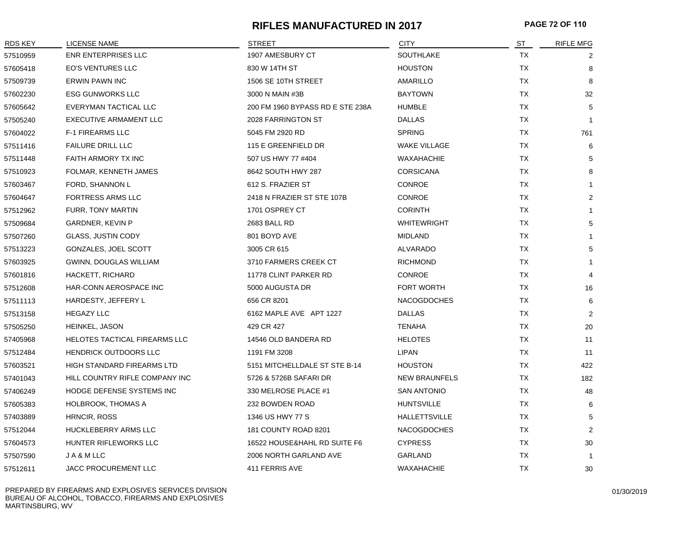#### **RIFLES MANUFACTURED IN 2017 PAGE 72 OF 110**

| RDS KEY  | LICENSE NAME                      | <b>STREET</b>                    | <b>CITY</b>          | ST        | <b>RIFLE MFG</b> |
|----------|-----------------------------------|----------------------------------|----------------------|-----------|------------------|
| 57510959 | <b>ENR ENTERPRISES LLC</b>        | 1907 AMESBURY CT                 | SOUTHLAKE            | TX        |                  |
| 57605418 | <b>EO'S VENTURES LLC</b>          | 830 W 14TH ST                    | <b>HOUSTON</b>       | TX        | 8                |
| 57509739 | <b>ERWIN PAWN INC</b>             | 1506 SE 10TH STREET              | AMARILLO             | TX        | 8                |
| 57602230 | <b>ESG GUNWORKS LLC</b>           | 3000 N MAIN #3B                  | <b>BAYTOWN</b>       | TX        | 32               |
| 57605642 | EVERYMAN TACTICAL LLC             | 200 FM 1960 BYPASS RD E STE 238A | <b>HUMBLE</b>        | TX        | 5                |
| 57505240 | EXECUTIVE ARMAMENT LLC            | 2028 FARRINGTON ST               | <b>DALLAS</b>        | TX        | $\mathbf{1}$     |
| 57604022 | <b>F-1 FIREARMS LLC</b>           | 5045 FM 2920 RD                  | <b>SPRING</b>        | TX        | 761              |
| 57511416 | <b>FAILURE DRILL LLC</b>          | 115 E GREENFIELD DR              | <b>WAKE VILLAGE</b>  | TX        | 6                |
| 57511448 | <b>FAITH ARMORY TX INC</b>        | 507 US HWY 77 #404               | <b>WAXAHACHIE</b>    | TX        | 5                |
| 57510923 | FOLMAR, KENNETH JAMES             | 8642 SOUTH HWY 287               | <b>CORSICANA</b>     | TX        | 8                |
| 57603467 | FORD, SHANNON L                   | 612 S. FRAZIER ST                | <b>CONROE</b>        | TX        | 1                |
| 57604647 | <b>FORTRESS ARMS LLC</b>          | 2418 N FRAZIER ST STE 107B       | <b>CONROE</b>        | <b>TX</b> | 2                |
| 57512962 | <b>FURR, TONY MARTIN</b>          | 1701 OSPREY CT                   | <b>CORINTH</b>       | TX        | 1                |
| 57509684 | GARDNER, KEVIN P                  | 2683 BALL RD                     | <b>WHITEWRIGHT</b>   | TX        | 5                |
| 57507260 | <b>GLASS, JUSTIN CODY</b>         | 801 BOYD AVE                     | MIDLAND              | TX        | 1                |
| 57513223 | GONZALES, JOEL SCOTT              | 3005 CR 615                      | ALVARADO             | TX        | 5                |
| 57603925 | GWINN, DOUGLAS WILLIAM            | 3710 FARMERS CREEK CT            | <b>RICHMOND</b>      | TX        | $\mathbf{1}$     |
| 57601816 | HACKETT, RICHARD                  | 11778 CLINT PARKER RD            | <b>CONROE</b>        | <b>TX</b> | 4                |
| 57512608 | HAR-CONN AEROSPACE INC            | 5000 AUGUSTA DR                  | FORT WORTH           | TX        | 16               |
| 57511113 | HARDESTY, JEFFERY L               | 656 CR 8201                      | <b>NACOGDOCHES</b>   | TX        | 6                |
| 57513158 | <b>HEGAZY LLC</b>                 | 6162 MAPLE AVE APT 1227          | <b>DALLAS</b>        | TX        | $\overline{2}$   |
| 57505250 | HEINKEL, JASON                    | 429 CR 427                       | <b>TENAHA</b>        | TX        | 20               |
| 57405968 | HELOTES TACTICAL FIREARMS LLC     | 14546 OLD BANDERA RD             | <b>HELOTES</b>       | ТX        | 11               |
| 57512484 | <b>HENDRICK OUTDOORS LLC</b>      | 1191 FM 3208                     | LIPAN                | TX        | 11               |
| 57603521 | <b>HIGH STANDARD FIREARMS LTD</b> | 5151 MITCHELLDALE ST STE B-14    | <b>HOUSTON</b>       | <b>TX</b> | 422              |
| 57401043 | HILL COUNTRY RIFLE COMPANY INC    | 5726 & 5726B SAFARI DR           | <b>NEW BRAUNFELS</b> | <b>TX</b> | 182              |
| 57406249 | HODGE DEFENSE SYSTEMS INC         | 330 MELROSE PLACE #1             | <b>SAN ANTONIO</b>   | TX        | 48               |
| 57605383 | <b>HOLBROOK, THOMAS A</b>         | 232 BOWDEN ROAD                  | <b>HUNTSVILLE</b>    | TX        | 6                |
| 57403889 | HRNCIR, ROSS                      | 1346 US HWY 77 S                 | <b>HALLETTSVILLE</b> | <b>TX</b> | 5                |
| 57512044 | HUCKLEBERRY ARMS LLC              | 181 COUNTY ROAD 8201             | <b>NACOGDOCHES</b>   | TX        | $\overline{2}$   |
| 57604573 | HUNTER RIFLEWORKS LLC             | 16522 HOUSE&HAHL RD SUITE F6     | <b>CYPRESS</b>       | <b>TX</b> | 30               |
| 57507590 | JA&MLLC                           | 2006 NORTH GARLAND AVE           | GARLAND              | TX        | -1               |
| 57512611 | <b>JACC PROCUREMENT LLC</b>       | 411 FERRIS AVE                   | <b>WAXAHACHIE</b>    | <b>TX</b> | 30               |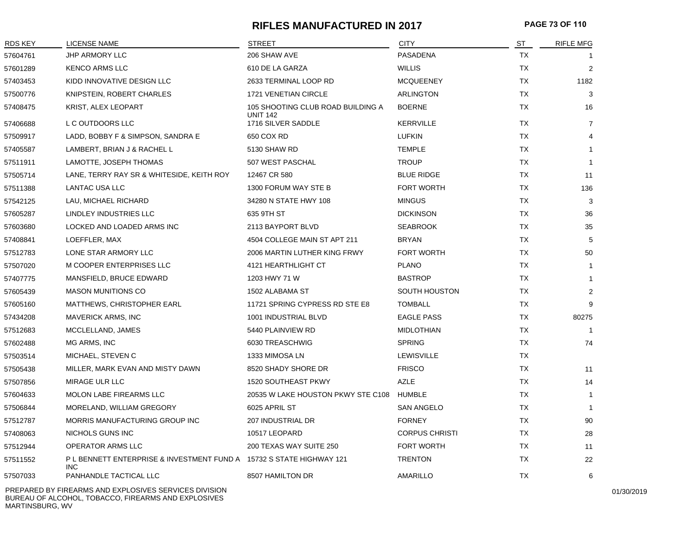## **RIFLES MANUFACTURED IN 2017 PAGE 73 OF 110**

| <u>RDS KEY</u> | LICENSE NAME                                                                      | <b>STREET</b>                                        | <b>CITY</b>           | ST        | <b>RIFLE MFG</b> |
|----------------|-----------------------------------------------------------------------------------|------------------------------------------------------|-----------------------|-----------|------------------|
| 57604761       | <b>JHP ARMORY LLC</b>                                                             | 206 SHAW AVE                                         | PASADENA              | TX        |                  |
| 57601289       | <b>KENCO ARMS LLC</b>                                                             | 610 DE LA GARZA                                      | <b>WILLIS</b>         | TX        | 2                |
| 57403453       | KIDD INNOVATIVE DESIGN LLC                                                        | 2633 TERMINAL LOOP RD                                | <b>MCQUEENEY</b>      | TX        | 1182             |
| 57500776       | KNIPSTEIN, ROBERT CHARLES                                                         | 1721 VENETIAN CIRCLE                                 | <b>ARLINGTON</b>      | TX        | 3                |
| 57408475       | KRIST, ALEX LEOPART                                                               | 105 SHOOTING CLUB ROAD BUILDING A<br><b>UNIT 142</b> | <b>BOERNE</b>         | TX        | 16               |
| 57406688       | L C OUTDOORS LLC                                                                  | 1716 SILVER SADDLE                                   | <b>KERRVILLE</b>      | <b>TX</b> | 7                |
| 57509917       | LADD, BOBBY F & SIMPSON, SANDRA E                                                 | 650 COX RD                                           | <b>LUFKIN</b>         | <b>TX</b> | 4                |
| 57405587       | LAMBERT, BRIAN J & RACHEL L                                                       | 5130 SHAW RD                                         | <b>TEMPLE</b>         | TX        | -1               |
| 57511911       | LAMOTTE, JOSEPH THOMAS                                                            | 507 WEST PASCHAL                                     | <b>TROUP</b>          | <b>TX</b> | $\overline{1}$   |
| 57505714       | LANE, TERRY RAY SR & WHITESIDE, KEITH ROY                                         | 12467 CR 580                                         | <b>BLUE RIDGE</b>     | TX        | 11               |
| 57511388       | LANTAC USA LLC                                                                    | 1300 FORUM WAY STE B                                 | FORT WORTH            | TX        | 136              |
| 57542125       | LAU, MICHAEL RICHARD                                                              | 34280 N STATE HWY 108                                | <b>MINGUS</b>         | <b>TX</b> | 3                |
| 57605287       | LINDLEY INDUSTRIES LLC                                                            | 635 9TH ST                                           | <b>DICKINSON</b>      | <b>TX</b> | 36               |
| 57603680       | LOCKED AND LOADED ARMS INC                                                        | 2113 BAYPORT BLVD                                    | <b>SEABROOK</b>       | TX        | 35               |
| 57408841       | LOEFFLER, MAX                                                                     | 4504 COLLEGE MAIN ST APT 211                         | <b>BRYAN</b>          | <b>TX</b> | 5                |
| 57512783       | LONE STAR ARMORY LLC                                                              | 2006 MARTIN LUTHER KING FRWY                         | FORT WORTH            | TX        | 50               |
| 57507020       | M COOPER ENTERPRISES LLC                                                          | 4121 HEARTHLIGHT CT                                  | <b>PLANO</b>          | TX        | $\overline{1}$   |
| 57407775       | MANSFIELD, BRUCE EDWARD                                                           | 1203 HWY 71 W                                        | <b>BASTROP</b>        | <b>TX</b> | -1               |
| 57605439       | <b>MASON MUNITIONS CO</b>                                                         | 1502 ALABAMA ST                                      | SOUTH HOUSTON         | TX        | $\overline{2}$   |
| 57605160       | MATTHEWS, CHRISTOPHER EARL                                                        | 11721 SPRING CYPRESS RD STE E8                       | <b>TOMBALL</b>        | <b>TX</b> | 9                |
| 57434208       | <b>MAVERICK ARMS, INC</b>                                                         | 1001 INDUSTRIAL BLVD                                 | <b>EAGLE PASS</b>     | TX        | 80275            |
| 57512683       | MCCLELLAND, JAMES                                                                 | 5440 PLAINVIEW RD                                    | <b>MIDLOTHIAN</b>     | <b>TX</b> |                  |
| 57602488       | MG ARMS, INC                                                                      | 6030 TREASCHWIG                                      | <b>SPRING</b>         | TX        | 74               |
| 57503514       | MICHAEL, STEVEN C                                                                 | 1333 MIMOSA LN                                       | LEWISVILLE            | TX        |                  |
| 57505438       | MILLER, MARK EVAN AND MISTY DAWN                                                  | 8520 SHADY SHORE DR                                  | <b>FRISCO</b>         | TX        | 11               |
| 57507856       | MIRAGE ULR LLC                                                                    | <b>1520 SOUTHEAST PKWY</b>                           | <b>AZLE</b>           | TX        | 14               |
| 57604633       | MOLON LABE FIREARMS LLC                                                           | 20535 W LAKE HOUSTON PKWY STE C108                   | <b>HUMBLE</b>         | <b>TX</b> | $\overline{1}$   |
| 57506844       | MORELAND, WILLIAM GREGORY                                                         | 6025 APRIL ST                                        | <b>SAN ANGELO</b>     | TX        | $\overline{1}$   |
| 57512787       | MORRIS MANUFACTURING GROUP INC                                                    | 207 INDUSTRIAL DR                                    | <b>FORNEY</b>         | TX        | 90               |
| 57408063       | NICHOLS GUNS INC                                                                  | 10517 LEOPARD                                        | <b>CORPUS CHRISTI</b> | TX        | 28               |
| 57512944       | OPERATOR ARMS LLC                                                                 | 200 TEXAS WAY SUITE 250                              | <b>FORT WORTH</b>     | TX        | 11               |
| 57511552       | PL BENNETT ENTERPRISE & INVESTMENT FUND A 15732 S STATE HIGHWAY 121<br><b>INC</b> |                                                      | <b>TRENTON</b>        | TX        | 22               |
| 57507033       | PANHANDLE TACTICAL LLC                                                            | 8507 HAMILTON DR                                     | AMARILLO              | TX        | 6                |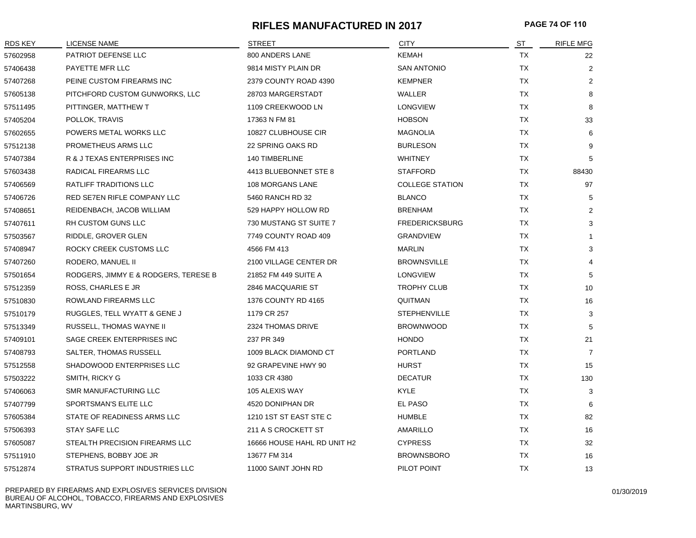## **RIFLES MANUFACTURED IN 2017 PAGE 74 OF 110**

| RDS KEY  | LICENSE NAME                         | <b>STREET</b>               | <b>CITY</b>            | ST        | <b>RIFLE MFG</b> |
|----------|--------------------------------------|-----------------------------|------------------------|-----------|------------------|
| 57602958 | PATRIOT DEFENSE LLC                  | 800 ANDERS LANE             | <b>KEMAH</b>           | TX        | 22               |
| 57406438 | PAYETTE MFR LLC                      | 9814 MISTY PLAIN DR         | <b>SAN ANTONIO</b>     | TX        | $\overline{2}$   |
| 57407268 | PEINE CUSTOM FIREARMS INC            | 2379 COUNTY ROAD 4390       | <b>KEMPNER</b>         | <b>TX</b> | $\overline{2}$   |
| 57605138 | PITCHFORD CUSTOM GUNWORKS, LLC       | 28703 MARGERSTADT           | WALLER                 | TX        | 8                |
| 57511495 | PITTINGER, MATTHEW T                 | 1109 CREEKWOOD LN           | <b>LONGVIEW</b>        | <b>TX</b> | 8                |
| 57405204 | POLLOK, TRAVIS                       | 17363 N FM 81               | <b>HOBSON</b>          | TX        | 33               |
| 57602655 | POWERS METAL WORKS LLC               | 10827 CLUBHOUSE CIR         | <b>MAGNOLIA</b>        | <b>TX</b> | 6                |
| 57512138 | PROMETHEUS ARMS LLC                  | 22 SPRING OAKS RD           | <b>BURLESON</b>        | <b>TX</b> | 9                |
| 57407384 | R & J TEXAS ENTERPRISES INC          | 140 TIMBERLINE              | <b>WHITNEY</b>         | <b>TX</b> | 5                |
| 57603438 | RADICAL FIREARMS LLC                 | 4413 BLUEBONNET STE 8       | <b>STAFFORD</b>        | TX        | 88430            |
| 57406569 | RATLIFF TRADITIONS LLC               | 108 MORGANS LANE            | <b>COLLEGE STATION</b> | TX        | 97               |
| 57406726 | RED SE7EN RIFLE COMPANY LLC          | 5460 RANCH RD 32            | <b>BLANCO</b>          | TX        | 5                |
| 57408651 | REIDENBACH, JACOB WILLIAM            | 529 HAPPY HOLLOW RD         | <b>BRENHAM</b>         | <b>TX</b> | 2                |
| 57407611 | RH CUSTOM GUNS LLC                   | 730 MUSTANG ST SUITE 7      | <b>FREDERICKSBURG</b>  | TX        | 3                |
| 57503567 | RIDDLE, GROVER GLEN                  | 7749 COUNTY ROAD 409        | <b>GRANDVIEW</b>       | TX        | $\mathbf{1}$     |
| 57408947 | ROCKY CREEK CUSTOMS LLC              | 4566 FM 413                 | <b>MARLIN</b>          | TX        | 3                |
| 57407260 | RODERO, MANUEL II                    | 2100 VILLAGE CENTER DR      | <b>BROWNSVILLE</b>     | TX        | 4                |
| 57501654 | RODGERS, JIMMY E & RODGERS, TERESE B | 21852 FM 449 SUITE A        | <b>LONGVIEW</b>        | TX        | 5                |
| 57512359 | ROSS, CHARLES E JR                   | 2846 MACQUARIE ST           | <b>TROPHY CLUB</b>     | <b>TX</b> | 10               |
| 57510830 | ROWLAND FIREARMS LLC                 | 1376 COUNTY RD 4165         | QUITMAN                | <b>TX</b> | 16               |
| 57510179 | RUGGLES, TELL WYATT & GENE J         | 1179 CR 257                 | <b>STEPHENVILLE</b>    | TX        | 3                |
| 57513349 | RUSSELL, THOMAS WAYNE II             | 2324 THOMAS DRIVE           | <b>BROWNWOOD</b>       | TX        | 5                |
| 57409101 | SAGE CREEK ENTERPRISES INC           | 237 PR 349                  | <b>HONDO</b>           | <b>TX</b> | 21               |
| 57408793 | SALTER, THOMAS RUSSELL               | 1009 BLACK DIAMOND CT       | PORTLAND               | <b>TX</b> | $\overline{7}$   |
| 57512558 | SHADOWOOD ENTERPRISES LLC            | 92 GRAPEVINE HWY 90         | <b>HURST</b>           | <b>TX</b> | 15               |
| 57503222 | SMITH, RICKY G                       | 1033 CR 4380                | <b>DECATUR</b>         | TX        | 130              |
| 57406063 | SMR MANUFACTURING LLC                | 105 ALEXIS WAY              | <b>KYLE</b>            | TX        | 3                |
| 57407799 | SPORTSMAN'S ELITE LLC                | 4520 DONIPHAN DR            | EL PASO                | TX        | 6                |
| 57605384 | STATE OF READINESS ARMS LLC          | 1210 1ST ST EAST STE C      | <b>HUMBLE</b>          | TX        | 82               |
| 57506393 | <b>STAY SAFE LLC</b>                 | 211 A S CROCKETT ST         | AMARILLO               | TX        | 16               |
| 57605087 | STEALTH PRECISION FIREARMS LLC       | 16666 HOUSE HAHL RD UNIT H2 | <b>CYPRESS</b>         | TX        | 32               |
| 57511910 | STEPHENS, BOBBY JOE JR               | 13677 FM 314                | <b>BROWNSBORO</b>      | <b>TX</b> | 16               |
| 57512874 | STRATUS SUPPORT INDUSTRIES LLC       | 11000 SAINT JOHN RD         | PILOT POINT            | <b>TX</b> | 13               |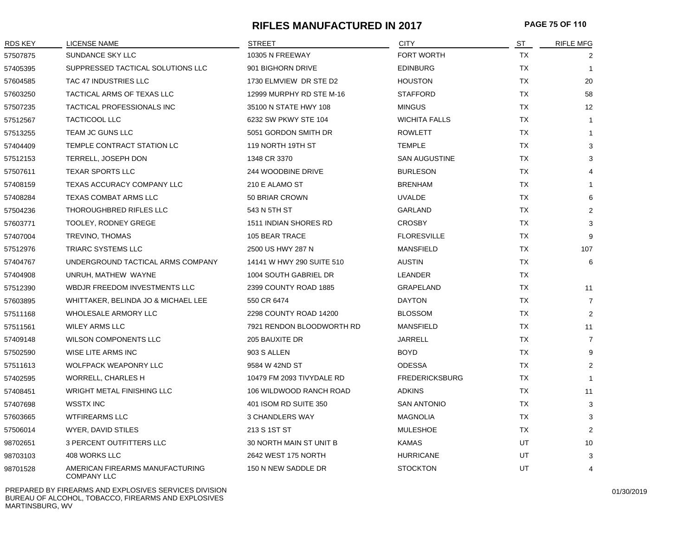## **RIFLES MANUFACTURED IN 2017 PAGE 75 OF 110**

| <b>RDS KEY</b> | LICENSE NAME                                          | <b>STREET</b>             | CITY                  | ST        | <b>RIFLE MFG</b>        |
|----------------|-------------------------------------------------------|---------------------------|-----------------------|-----------|-------------------------|
| 57507875       | SUNDANCE SKY LLC                                      | 10305 N FREEWAY           | <b>FORT WORTH</b>     | <b>TX</b> | 2                       |
| 57405395       | SUPPRESSED TACTICAL SOLUTIONS LLC                     | 901 BIGHORN DRIVE         | <b>EDINBURG</b>       | TX        | $\overline{\mathbf{1}}$ |
| 57604585       | TAC 47 INDUSTRIES LLC                                 | 1730 ELMVIEW DR STE D2    | <b>HOUSTON</b>        | TX        | 20                      |
| 57603250       | TACTICAL ARMS OF TEXAS LLC                            | 12999 MURPHY RD STE M-16  | <b>STAFFORD</b>       | TX        | 58                      |
| 57507235       | TACTICAL PROFESSIONALS INC                            | 35100 N STATE HWY 108     | <b>MINGUS</b>         | TX        | 12                      |
| 57512567       | <b>TACTICOOL LLC</b>                                  | 6232 SW PKWY STE 104      | <b>WICHITA FALLS</b>  | TX        | $\mathbf{1}$            |
| 57513255       | TEAM JC GUNS LLC                                      | 5051 GORDON SMITH DR      | <b>ROWLETT</b>        | TX        | -1                      |
| 57404409       | TEMPLE CONTRACT STATION LC                            | 119 NORTH 19TH ST         | <b>TEMPLE</b>         | TX        | 3                       |
| 57512153       | TERRELL, JOSEPH DON                                   | 1348 CR 3370              | <b>SAN AUGUSTINE</b>  | TX        | 3                       |
| 57507611       | <b>TEXAR SPORTS LLC</b>                               | 244 WOODBINE DRIVE        | <b>BURLESON</b>       | TX        | 4                       |
| 57408159       | TEXAS ACCURACY COMPANY LLC                            | 210 E ALAMO ST            | <b>BRENHAM</b>        | TX        |                         |
| 57408284       | <b>TEXAS COMBAT ARMS LLC</b>                          | 50 BRIAR CROWN            | <b>UVALDE</b>         | <b>TX</b> | 6                       |
| 57504236       | THOROUGHBRED RIFLES LLC                               | 543 N 5TH ST              | GARLAND               | TX        | $\overline{2}$          |
| 57603771       | <b>TOOLEY, RODNEY GREGE</b>                           | 1511 INDIAN SHORES RD     | <b>CROSBY</b>         | TX        | 3                       |
| 57407004       | TREVINO, THOMAS                                       | 105 BEAR TRACE            | <b>FLORESVILLE</b>    | TX        | 9                       |
| 57512976       | TRIARC SYSTEMS LLC                                    | 2500 US HWY 287 N         | <b>MANSFIELD</b>      | TX        | 107                     |
| 57404767       | UNDERGROUND TACTICAL ARMS COMPANY                     | 14141 W HWY 290 SUITE 510 | <b>AUSTIN</b>         | TX        | 6                       |
| 57404908       | UNRUH, MATHEW WAYNE                                   | 1004 SOUTH GABRIEL DR     | LEANDER               | TX.       |                         |
| 57512390       | WBDJR FREEDOM INVESTMENTS LLC                         | 2399 COUNTY ROAD 1885     | GRAPELAND             | TX        | 11                      |
| 57603895       | WHITTAKER, BELINDA JO & MICHAEL LEE                   | 550 CR 6474               | <b>DAYTON</b>         | TX        | $\overline{7}$          |
| 57511168       | WHOLESALE ARMORY LLC                                  | 2298 COUNTY ROAD 14200    | <b>BLOSSOM</b>        | TX        | $\overline{2}$          |
| 57511561       | <b>WILEY ARMS LLC</b>                                 | 7921 RENDON BLOODWORTH RD | <b>MANSFIELD</b>      | TX        | 11                      |
| 57409148       | <b>WILSON COMPONENTS LLC</b>                          | 205 BAUXITE DR            | <b>JARRELL</b>        | TX        | $\overline{7}$          |
| 57502590       | WISE LITE ARMS INC                                    | 903 S ALLEN               | <b>BOYD</b>           | TX        | 9                       |
| 57511613       | <b>WOLFPACK WEAPONRY LLC</b>                          | 9584 W 42ND ST            | <b>ODESSA</b>         | TX        | $\overline{2}$          |
| 57402595       | WORRELL, CHARLES H                                    | 10479 FM 2093 TIVYDALE RD | <b>FREDERICKSBURG</b> | TX        | -1                      |
| 57408451       | <b>WRIGHT METAL FINISHING LLC</b>                     | 106 WILDWOOD RANCH ROAD   | <b>ADKINS</b>         | TX        | 11                      |
| 57407698       | <b>WSSTX INC</b>                                      | 401 ISOM RD SUITE 350     | <b>SAN ANTONIO</b>    | TX        | 3                       |
| 57603665       | <b>WTFIREARMS LLC</b>                                 | <b>3 CHANDLERS WAY</b>    | <b>MAGNOLIA</b>       | <b>TX</b> | 3                       |
| 57506014       | WYER, DAVID STILES                                    | 213 S 1ST ST              | <b>MULESHOE</b>       | TX        | 2                       |
| 98702651       | 3 PERCENT OUTFITTERS LLC                              | 30 NORTH MAIN ST UNIT B   | <b>KAMAS</b>          | UT        | 10                      |
| 98703103       | 408 WORKS LLC                                         | 2642 WEST 175 NORTH       | <b>HURRICANE</b>      | UT        | 3                       |
| 98701528       | AMERICAN FIREARMS MANUFACTURING<br><b>COMPANY LLC</b> | 150 N NEW SADDLE DR       | <b>STOCKTON</b>       | UT        | 4                       |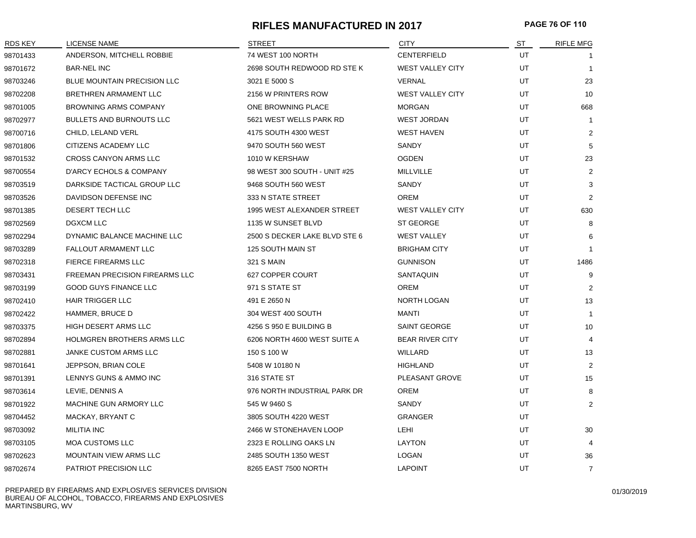#### **RIFLES MANUFACTURED IN 2017 PAGE 76 OF 110**

| <b>RDS KEY</b> | <b>LICENSE NAME</b>                   | STREET                        | <b>CITY</b>             | ST | <b>RIFLE MFG</b> |
|----------------|---------------------------------------|-------------------------------|-------------------------|----|------------------|
| 98701433       | ANDERSON, MITCHELL ROBBIE             | 74 WEST 100 NORTH             | CENTERFIELD             | UT |                  |
| 98701672       | <b>BAR-NEL INC</b>                    | 2698 SOUTH REDWOOD RD STE K   | WEST VALLEY CITY        | UT | $\mathbf{1}$     |
| 98703246       | <b>BLUE MOUNTAIN PRECISION LLC</b>    | 3021 E 5000 S                 | <b>VERNAL</b>           | UT | 23               |
| 98702208       | BRETHREN ARMAMENT LLC                 | 2156 W PRINTERS ROW           | <b>WEST VALLEY CITY</b> | UT | 10               |
| 98701005       | <b>BROWNING ARMS COMPANY</b>          | ONE BROWNING PLACE            | <b>MORGAN</b>           | UT | 668              |
| 98702977       | <b>BULLETS AND BURNOUTS LLC</b>       | 5621 WEST WELLS PARK RD       | <b>WEST JORDAN</b>      | UT | $\mathbf{1}$     |
| 98700716       | CHILD, LELAND VERL                    | 4175 SOUTH 4300 WEST          | <b>WEST HAVEN</b>       | UT | $\overline{2}$   |
| 98701806       | CITIZENS ACADEMY LLC                  | 9470 SOUTH 560 WEST           | SANDY                   | UT | 5                |
| 98701532       | <b>CROSS CANYON ARMS LLC</b>          | 1010 W KERSHAW                | <b>OGDEN</b>            | UT | 23               |
| 98700554       | D'ARCY ECHOLS & COMPANY               | 98 WEST 300 SOUTH - UNIT #25  | <b>MILLVILLE</b>        | UT | 2                |
| 98703519       | DARKSIDE TACTICAL GROUP LLC           | 9468 SOUTH 560 WEST           | SANDY                   | UT | 3                |
| 98703526       | DAVIDSON DEFENSE INC                  | 333 N STATE STREET            | <b>OREM</b>             | UT | 2                |
| 98701385       | DESERT TECH LLC                       | 1995 WEST ALEXANDER STREET    | <b>WEST VALLEY CITY</b> | UT | 630              |
| 98702569       | <b>DGXCM LLC</b>                      | 1135 W SUNSET BLVD            | <b>ST GEORGE</b>        | UT | 8                |
| 98702294       | DYNAMIC BALANCE MACHINE LLC           | 2500 S DECKER LAKE BLVD STE 6 | <b>WEST VALLEY</b>      | UT | 6                |
| 98703289       | FALLOUT ARMAMENT LLC                  | 125 SOUTH MAIN ST             | <b>BRIGHAM CITY</b>     | UT | $\mathbf{1}$     |
| 98702318       | <b>FIERCE FIREARMS LLC</b>            | <b>321 S MAIN</b>             | <b>GUNNISON</b>         | UT | 1486             |
| 98703431       | <b>FREEMAN PRECISION FIREARMS LLC</b> | 627 COPPER COURT              | SANTAQUIN               | UT | 9                |
| 98703199       | <b>GOOD GUYS FINANCE LLC</b>          | 971 S STATE ST                | <b>OREM</b>             | UT | 2                |
| 98702410       | <b>HAIR TRIGGER LLC</b>               | 491 E 2650 N                  | <b>NORTH LOGAN</b>      | UT | 13               |
| 98702422       | HAMMER, BRUCE D                       | 304 WEST 400 SOUTH            | MANTI                   | UT | $\overline{1}$   |
| 98703375       | <b>HIGH DESERT ARMS LLC</b>           | 4256 S 950 E BUILDING B       | <b>SAINT GEORGE</b>     | UT | 10               |
| 98702894       | HOLMGREN BROTHERS ARMS LLC            | 6206 NORTH 4600 WEST SUITE A  | <b>BEAR RIVER CITY</b>  | UT | 4                |
| 98702881       | <b>JANKE CUSTOM ARMS LLC</b>          | 150 S 100 W                   | WILLARD                 | UT | 13               |
| 98701641       | JEPPSON, BRIAN COLE                   | 5408 W 10180 N                | <b>HIGHLAND</b>         | UT | $\overline{2}$   |
| 98701391       | LENNYS GUNS & AMMO INC                | 316 STATE ST                  | PLEASANT GROVE          | UT | 15               |
| 98703614       | LEVIE, DENNIS A                       | 976 NORTH INDUSTRIAL PARK DR  | <b>OREM</b>             | UT | 8                |
| 98701922       | MACHINE GUN ARMORY LLC                | 545 W 9460 S                  | SANDY                   | UT | 2                |
| 98704452       | MACKAY, BRYANT C                      | 3805 SOUTH 4220 WEST          | GRANGER                 | UT |                  |
| 98703092       | <b>MILITIA INC</b>                    | 2466 W STONEHAVEN LOOP        | LEHI                    | UT | 30               |
| 98703105       | <b>MOA CUSTOMS LLC</b>                | 2323 E ROLLING OAKS LN        | LAYTON                  | UT | 4                |
| 98702623       | <b>MOUNTAIN VIEW ARMS LLC</b>         | 2485 SOUTH 1350 WEST          | LOGAN                   | UT | 36               |
| 98702674       | PATRIOT PRECISION LLC                 | 8265 EAST 7500 NORTH          | <b>LAPOINT</b>          | UT | $\overline{7}$   |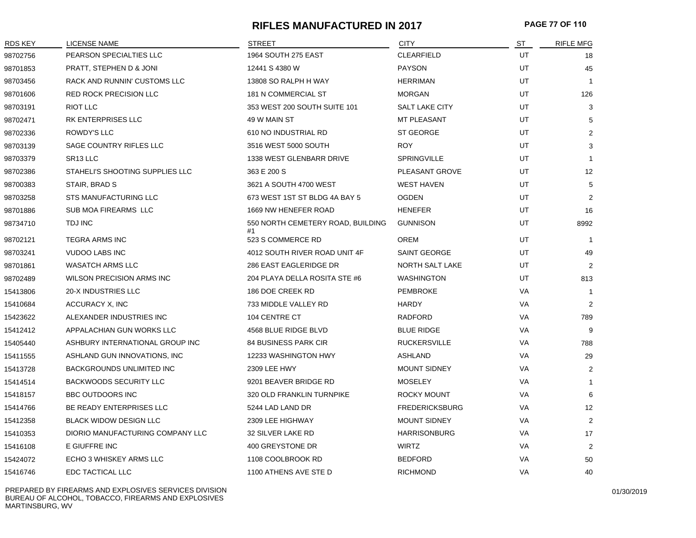#### **RIFLES MANUFACTURED IN 2017 PAGE 77 OF 110**

| <b>RDS KEY</b> | LICENSE NAME                     | <b>STREET</b>                           | <b>CITY</b>           | ST        | <b>RIFLE MFG</b> |
|----------------|----------------------------------|-----------------------------------------|-----------------------|-----------|------------------|
| 98702756       | PEARSON SPECIALTIES LLC          | 1964 SOUTH 275 EAST                     | <b>CLEARFIELD</b>     | UT        | 18               |
| 98701853       | PRATT, STEPHEN D & JONI          | 12441 S 4380 W                          | <b>PAYSON</b>         | UT        | 45               |
| 98703456       | RACK AND RUNNIN' CUSTOMS LLC     | 13808 SO RALPH H WAY                    | <b>HERRIMAN</b>       | UT        | $\overline{1}$   |
| 98701606       | <b>RED ROCK PRECISION LLC</b>    | 181 N COMMERCIAL ST                     | <b>MORGAN</b>         | UT        | 126              |
| 98703191       | <b>RIOT LLC</b>                  | 353 WEST 200 SOUTH SUITE 101            | <b>SALT LAKE CITY</b> | UT        | 3                |
| 98702471       | RK ENTERPRISES LLC               | 49 W MAIN ST                            | <b>MT PLEASANT</b>    | UT        | 5                |
| 98702336       | ROWDY'S LLC                      | 610 NO INDUSTRIAL RD                    | <b>ST GEORGE</b>      | UT        | $\overline{2}$   |
| 98703139       | SAGE COUNTRY RIFLES LLC          | 3516 WEST 5000 SOUTH                    | <b>ROY</b>            | UT        | 3                |
| 98703379       | SR <sub>13</sub> LLC             | 1338 WEST GLENBARR DRIVE                | <b>SPRINGVILLE</b>    | UT        | $\overline{1}$   |
| 98702386       | STAHELI'S SHOOTING SUPPLIES LLC  | 363 E 200 S                             | PLEASANT GROVE        | UT        | 12               |
| 98700383       | STAIR, BRAD S                    | 3621 A SOUTH 4700 WEST                  | <b>WEST HAVEN</b>     | UT        | 5                |
| 98703258       | STS MANUFACTURING LLC            | 673 WEST 1ST ST BLDG 4A BAY 5           | <b>OGDEN</b>          | <b>UT</b> | 2                |
| 98701886       | SUB MOA FIREARMS LLC             | 1669 NW HENEFER ROAD                    | <b>HENEFER</b>        | <b>UT</b> | 16               |
| 98734710       | <b>TDJ INC</b>                   | 550 NORTH CEMETERY ROAD, BUILDING<br>#1 | <b>GUNNISON</b>       | UT        | 8992             |
| 98702121       | <b>TEGRA ARMS INC</b>            | 523 S COMMERCE RD                       | <b>OREM</b>           | UT        | $\overline{1}$   |
| 98703241       | <b>VUDOO LABS INC</b>            | 4012 SOUTH RIVER ROAD UNIT 4F           | <b>SAINT GEORGE</b>   | UT        | 49               |
| 98701861       | <b>WASATCH ARMS LLC</b>          | 286 EAST EAGLERIDGE DR                  | NORTH SALT LAKE       | UT        | $\overline{2}$   |
| 98702489       | WILSON PRECISION ARMS INC        | 204 PLAYA DELLA ROSITA STE #6           | <b>WASHINGTON</b>     | UT        | 813              |
| 15413806       | 20-X INDUSTRIES LLC              | 186 DOE CREEK RD                        | <b>PEMBROKE</b>       | VA        | $\overline{1}$   |
| 15410684       | <b>ACCURACY X, INC</b>           | 733 MIDDLE VALLEY RD                    | <b>HARDY</b>          | VA        | 2                |
| 15423622       | ALEXANDER INDUSTRIES INC         | 104 CENTRE CT                           | <b>RADFORD</b>        | VA        | 789              |
| 15412412       | APPALACHIAN GUN WORKS LLC        | 4568 BLUE RIDGE BLVD                    | <b>BLUE RIDGE</b>     | VA        | 9                |
| 15405440       | ASHBURY INTERNATIONAL GROUP INC  | <b>84 BUSINESS PARK CIR</b>             | <b>RUCKERSVILLE</b>   | VA        | 788              |
| 15411555       | ASHLAND GUN INNOVATIONS, INC     | 12233 WASHINGTON HWY                    | <b>ASHLAND</b>        | VA        | 29               |
| 15413728       | BACKGROUNDS UNLIMITED INC        | 2309 LEE HWY                            | <b>MOUNT SIDNEY</b>   | VA        | 2                |
| 15414514       | <b>BACKWOODS SECURITY LLC</b>    | 9201 BEAVER BRIDGE RD                   | <b>MOSELEY</b>        | VA        | $\mathbf{1}$     |
| 15418157       | <b>BBC OUTDOORS INC</b>          | 320 OLD FRANKLIN TURNPIKE               | <b>ROCKY MOUNT</b>    | VA        | 6                |
| 15414766       | BE READY ENTERPRISES LLC         | 5244 LAD LAND DR                        | <b>FREDERICKSBURG</b> | VA        | 12               |
| 15412358       | <b>BLACK WIDOW DESIGN LLC</b>    | 2309 LEE HIGHWAY                        | <b>MOUNT SIDNEY</b>   | VA        | 2                |
| 15410353       | DIORIO MANUFACTURING COMPANY LLC | 32 SILVER LAKE RD                       | <b>HARRISONBURG</b>   | VA        | 17               |
| 15416108       | E GIUFFRE INC                    | 400 GREYSTONE DR                        | <b>WIRTZ</b>          | VA        | $\overline{2}$   |
| 15424072       | ECHO 3 WHISKEY ARMS LLC          | 1108 COOLBROOK RD                       | <b>BEDFORD</b>        | VA        | 50               |
| 15416746       | EDC TACTICAL LLC                 | 1100 ATHENS AVE STE D                   | <b>RICHMOND</b>       | VA        | 40               |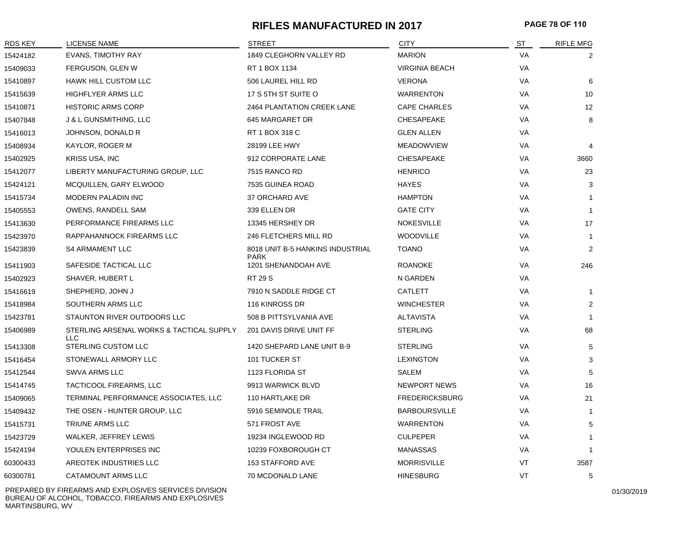## **RIFLES MANUFACTURED IN 2017 PAGE 78 OF 110**

| <b>RDS KEY</b> | <b>LICENSE NAME</b>                                    | <b>STREET</b>                      | <b>CITY</b>           | ST        | <b>RIFLE MFG</b> |
|----------------|--------------------------------------------------------|------------------------------------|-----------------------|-----------|------------------|
| 15424182       | <b>EVANS, TIMOTHY RAY</b>                              | 1849 CLEGHORN VALLEY RD            | <b>MARION</b>         | VA        | 2                |
| 15409033       | FERGUSON, GLEN W                                       | RT 1 BOX 1134                      | <b>VIRGINIA BEACH</b> | VA        |                  |
| 15410897       | <b>HAWK HILL CUSTOM LLC</b>                            | 506 LAUREL HILL RD                 | <b>VERONA</b>         | VA        | 6                |
| 15415639       | HIGHFLYER ARMS LLC                                     | 17 S 5TH ST SUITE O                | <b>WARRENTON</b>      | VA        | 10               |
| 15410871       | <b>HISTORIC ARMS CORP</b>                              | <b>2464 PLANTATION CREEK LANE</b>  | <b>CAPE CHARLES</b>   | <b>VA</b> | 12               |
| 15407848       | J & L GUNSMITHING, LLC                                 | 645 MARGARET DR                    | <b>CHESAPEAKE</b>     | VA        | 8                |
| 15416013       | JOHNSON, DONALD R                                      | RT 1 BOX 318 C                     | <b>GLEN ALLEN</b>     | VA        |                  |
| 15408934       | KAYLOR, ROGER M                                        | 28199 LEE HWY                      | <b>MEADOWVIEW</b>     | VA        | 4                |
| 15402925       | <b>KRISS USA, INC</b>                                  | 912 CORPORATE LANE                 | CHESAPEAKE            | VA        | 3660             |
| 15412077       | LIBERTY MANUFACTURING GROUP, LLC                       | 7515 RANCO RD                      | <b>HENRICO</b>        | VA        | 23               |
| 15424121       | MCQUILLEN, GARY ELWOOD                                 | 7535 GUINEA ROAD                   | <b>HAYES</b>          | VA        | 3                |
| 15415734       | MODERN PALADIN INC                                     | 37 ORCHARD AVE                     | <b>HAMPTON</b>        | VA        | $\mathbf 1$      |
| 15405553       | OWENS, RANDELL SAM                                     | 339 ELLEN DR                       | <b>GATE CITY</b>      | <b>VA</b> | $\mathbf{1}$     |
| 15413630       | PERFORMANCE FIREARMS LLC                               | 13345 HERSHEY DR                   | <b>NOKESVILLE</b>     | <b>VA</b> | 17               |
| 15423970       | RAPPAHANNOCK FIREARMS LLC                              | 246 FLETCHERS MILL RD              | <b>WOODVILLE</b>      | VA        | $\mathbf{1}$     |
| 15423839       | <b>S4 ARMAMENT LLC</b>                                 | 8018 UNIT B-5 HANKINS INDUSTRIAL   | <b>TOANO</b>          | VA        | 2                |
| 15411903       | SAFESIDE TACTICAL LLC                                  | <b>PARK</b><br>1201 SHENANDOAH AVE | <b>ROANOKE</b>        | <b>VA</b> | 246              |
| 15402923       | SHAVER, HUBERT L                                       | <b>RT 29 S</b>                     | N GARDEN              | <b>VA</b> |                  |
| 15416619       | SHEPHERD, JOHN J                                       | 7910 N SADDLE RIDGE CT             | CATLETT               | VA        | $\overline{1}$   |
| 15418984       | SOUTHERN ARMS LLC                                      | 116 KINROSS DR                     | <b>WINCHESTER</b>     | <b>VA</b> | 2                |
| 15423781       | STAUNTON RIVER OUTDOORS LLC                            | 508 B PITTSYLVANIA AVE             | <b>ALTAVISTA</b>      | <b>VA</b> |                  |
| 15406989       | STERLING ARSENAL WORKS & TACTICAL SUPPLY<br><b>LLC</b> | 201 DAVIS DRIVE UNIT FF            | <b>STERLING</b>       | <b>VA</b> | 68               |
| 15413308       | STERLING CUSTOM LLC                                    | 1420 SHEPARD LANE UNIT B-9         | <b>STERLING</b>       | VA        | 5                |
| 15416454       | STONEWALL ARMORY LLC                                   | 101 TUCKER ST                      | <b>LEXINGTON</b>      | VA        | 3                |
| 15412544       | <b>SWVA ARMS LLC</b>                                   | 1123 FLORIDA ST                    | <b>SALEM</b>          | VA        | 5                |
| 15414745       | TACTICOOL FIREARMS, LLC                                | 9913 WARWICK BLVD                  | <b>NEWPORT NEWS</b>   | VA        | 16               |
| 15409065       | TERMINAL PERFORMANCE ASSOCIATES, LLC                   | 110 HARTLAKE DR                    | <b>FREDERICKSBURG</b> | VA        | 21               |
| 15409432       | THE OSEN - HUNTER GROUP, LLC                           | 5916 SEMINOLE TRAIL                | <b>BARBOURSVILLE</b>  | <b>VA</b> | $\overline{1}$   |
| 15415731       | TRIUNE ARMS LLC                                        | 571 FROST AVE                      | <b>WARRENTON</b>      | VA        | 5                |
| 15423729       | WALKER, JEFFREY LEWIS                                  | 19234 INGLEWOOD RD                 | <b>CULPEPER</b>       | <b>VA</b> | -1               |
| 15424194       | YOULEN ENTERPRISES INC                                 | 10239 FOXBOROUGH CT                | <b>MANASSAS</b>       | VA        | $\mathbf 1$      |
| 60300433       | AREOTEK INDUSTRIES LLC                                 | <b>153 STAFFORD AVE</b>            | <b>MORRISVILLE</b>    | VT        | 3587             |
| 60300781       | CATAMOUNT ARMS LLC                                     | 70 MCDONALD LANE                   | <b>HINESBURG</b>      | VT        | 5                |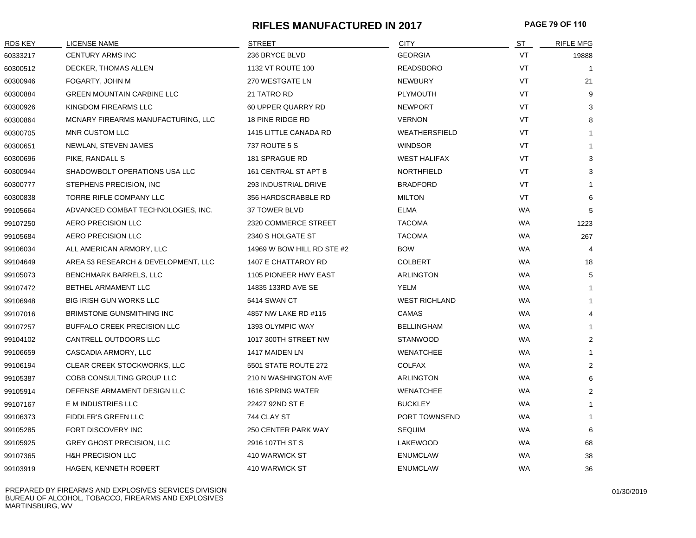## **RIFLES MANUFACTURED IN 2017 PAGE 79 OF 110**

| RDS KEY  | LICENSE NAME                        | <b>STREET</b>              | <b>CITY</b>          | <u>ST</u> | <b>RIFLE MFG</b> |
|----------|-------------------------------------|----------------------------|----------------------|-----------|------------------|
| 60333217 | <b>CENTURY ARMS INC</b>             | 236 BRYCE BLVD             | <b>GEORGIA</b>       | VT        | 19888            |
| 60300512 | DECKER, THOMAS ALLEN                | 1132 VT ROUTE 100          | <b>READSBORO</b>     | VT        |                  |
| 60300946 | FOGARTY, JOHN M                     | 270 WESTGATE LN            | <b>NEWBURY</b>       | VT        | 21               |
| 60300884 | <b>GREEN MOUNTAIN CARBINE LLC</b>   | 21 TATRO RD                | <b>PLYMOUTH</b>      | VT        | 9                |
| 60300926 | KINGDOM FIREARMS LLC                | 60 UPPER QUARRY RD         | <b>NEWPORT</b>       | VT        | 3                |
| 60300864 | MCNARY FIREARMS MANUFACTURING, LLC  | 18 PINE RIDGE RD           | <b>VERNON</b>        | VT        | 8                |
| 60300705 | MNR CUSTOM LLC                      | 1415 LITTLE CANADA RD      | WEATHERSFIELD        | VT        | $\mathbf{1}$     |
| 60300651 | NEWLAN, STEVEN JAMES                | 737 ROUTE 5 S              | <b>WINDSOR</b>       | VT        | -1               |
| 60300696 | PIKE, RANDALL S                     | 181 SPRAGUE RD             | <b>WEST HALIFAX</b>  | VT        | 3                |
| 60300944 | SHADOWBOLT OPERATIONS USA LLC       | 161 CENTRAL ST APT B       | <b>NORTHFIELD</b>    | VT        | 3                |
| 60300777 | STEPHENS PRECISION, INC             | 293 INDUSTRIAL DRIVE       | <b>BRADFORD</b>      | VT        |                  |
| 60300838 | TORRE RIFLE COMPANY LLC             | 356 HARDSCRABBLE RD        | <b>MILTON</b>        | VT        | 6                |
| 99105664 | ADVANCED COMBAT TECHNOLOGIES, INC.  | 37 TOWER BLVD              | ELMA                 | WA        | 5                |
| 99107250 | AERO PRECISION LLC                  | 2320 COMMERCE STREET       | <b>TACOMA</b>        | <b>WA</b> | 1223             |
| 99105684 | AERO PRECISION LLC                  | 2340 S HOLGATE ST          | <b>TACOMA</b>        | <b>WA</b> | 267              |
| 99106034 | ALL AMERICAN ARMORY, LLC            | 14969 W BOW HILL RD STE #2 | <b>BOW</b>           | <b>WA</b> | $\overline{4}$   |
| 99104649 | AREA 53 RESEARCH & DEVELOPMENT, LLC | 1407 E CHATTAROY RD        | <b>COLBERT</b>       | <b>WA</b> | 18               |
| 99105073 | BENCHMARK BARRELS, LLC              | 1105 PIONEER HWY EAST      | ARLINGTON            | <b>WA</b> | 5                |
| 99107472 | BETHEL ARMAMENT LLC                 | 14835 133RD AVE SE         | YELM                 | <b>WA</b> | $\mathbf{1}$     |
| 99106948 | <b>BIG IRISH GUN WORKS LLC</b>      | 5414 SWAN CT               | <b>WEST RICHLAND</b> | <b>WA</b> | $\mathbf{1}$     |
| 99107016 | <b>BRIMSTONE GUNSMITHING INC</b>    | 4857 NW LAKE RD #115       | CAMAS                | <b>WA</b> | 4                |
| 99107257 | BUFFALO CREEK PRECISION LLC         | 1393 OLYMPIC WAY           | <b>BELLINGHAM</b>    | WA        | $\mathbf{1}$     |
| 99104102 | CANTRELL OUTDOORS LLC               | 1017 300TH STREET NW       | <b>STANWOOD</b>      | WA        | $\overline{2}$   |
| 99106659 | CASCADIA ARMORY, LLC                | 1417 MAIDEN LN             | <b>WENATCHEE</b>     | <b>WA</b> | $\mathbf{1}$     |
| 99106194 | CLEAR CREEK STOCKWORKS, LLC         | 5501 STATE ROUTE 272       | <b>COLFAX</b>        | <b>WA</b> | 2                |
| 99105387 | COBB CONSULTING GROUP LLC           | 210 N WASHINGTON AVE       | ARLINGTON            | <b>WA</b> | 6                |
| 99105914 | DEFENSE ARMAMENT DESIGN LLC         | 1616 SPRING WATER          | <b>WENATCHEE</b>     | <b>WA</b> | $\overline{c}$   |
| 99107167 | E M INDUSTRIES LLC                  | 22427 92ND ST E            | <b>BUCKLEY</b>       | WA        |                  |
| 99106373 | <b>FIDDLER'S GREEN LLC</b>          | 744 CLAY ST                | PORT TOWNSEND        | WA        | $\mathbf{1}$     |
| 99105285 | FORT DISCOVERY INC                  | 250 CENTER PARK WAY        | <b>SEQUIM</b>        | WA        | 6                |
| 99105925 | <b>GREY GHOST PRECISION, LLC</b>    | 2916 107TH ST S            | LAKEWOOD             | <b>WA</b> | 68               |
| 99107365 | <b>H&amp;H PRECISION LLC</b>        | 410 WARWICK ST             | <b>ENUMCLAW</b>      | WA        | 38               |
| 99103919 | HAGEN, KENNETH ROBERT               | 410 WARWICK ST             | <b>ENUMCLAW</b>      | WA        | 36               |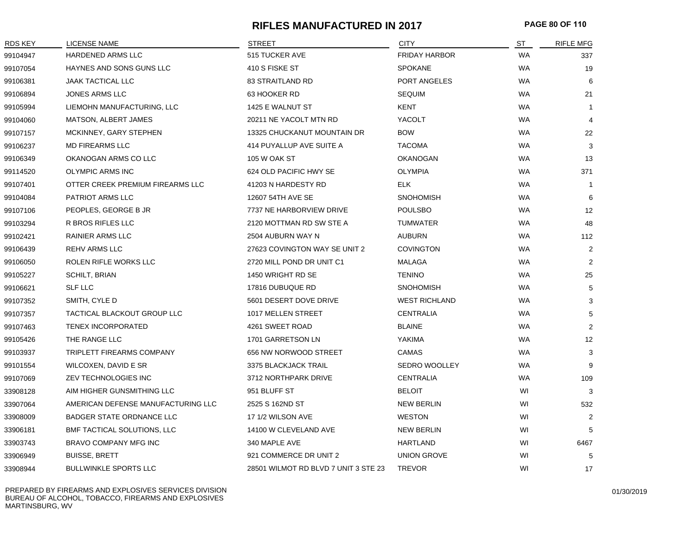## **RIFLES MANUFACTURED IN 2017 PAGE 80 OF 110**

| <b>RDS KEY</b> | <b>LICENSE NAME</b>                | <b>STREET</b>                        | <b>CITY</b>          | <b>ST</b> | <b>RIFLE MFG</b> |
|----------------|------------------------------------|--------------------------------------|----------------------|-----------|------------------|
| 99104947       | HARDENED ARMS LLC                  | 515 TUCKER AVE                       | <b>FRIDAY HARBOR</b> | <b>WA</b> | 337              |
| 99107054       | HAYNES AND SONS GUNS LLC           | 410 S FISKE ST                       | <b>SPOKANE</b>       | <b>WA</b> | 19               |
| 99106381       | <b>JAAK TACTICAL LLC</b>           | <b>83 STRAITLAND RD</b>              | PORT ANGELES         | <b>WA</b> | 6                |
| 99106894       | JONES ARMS LLC                     | 63 HOOKER RD                         | <b>SEQUIM</b>        | <b>WA</b> | 21               |
| 99105994       | LIEMOHN MANUFACTURING, LLC         | 1425 E WALNUT ST                     | KENT                 | <b>WA</b> | -1               |
| 99104060       | MATSON, ALBERT JAMES               | 20211 NE YACOLT MTN RD               | YACOLT               | <b>WA</b> | $\overline{4}$   |
| 99107157       | MCKINNEY, GARY STEPHEN             | 13325 CHUCKANUT MOUNTAIN DR          | <b>BOW</b>           | <b>WA</b> | 22               |
| 99106237       | <b>MD FIREARMS LLC</b>             | 414 PUYALLUP AVE SUITE A             | <b>TACOMA</b>        | <b>WA</b> | 3                |
| 99106349       | OKANOGAN ARMS CO LLC               | 105 W OAK ST                         | <b>OKANOGAN</b>      | <b>WA</b> | 13               |
| 99114520       | OLYMPIC ARMS INC                   | 624 OLD PACIFIC HWY SE               | <b>OLYMPIA</b>       | <b>WA</b> | 371              |
| 99107401       | OTTER CREEK PREMIUM FIREARMS LLC   | 41203 N HARDESTY RD                  | <b>ELK</b>           | <b>WA</b> | $\overline{1}$   |
| 99104084       | PATRIOT ARMS LLC                   | 12607 54TH AVE SE                    | <b>SNOHOMISH</b>     | <b>WA</b> | 6                |
| 99107106       | PEOPLES, GEORGE B JR               | 7737 NE HARBORVIEW DRIVE             | <b>POULSBO</b>       | <b>WA</b> | 12               |
| 99103294       | R BROS RIFLES LLC                  | 2120 MOTTMAN RD SW STE A             | TUMWATER             | <b>WA</b> | 48               |
| 99102421       | <b>RAINIER ARMS LLC</b>            | 2504 AUBURN WAY N                    | <b>AUBURN</b>        | <b>WA</b> | 112              |
| 99106439       | <b>REHV ARMS LLC</b>               | 27623 COVINGTON WAY SE UNIT 2        | <b>COVINGTON</b>     | <b>WA</b> | $\overline{2}$   |
| 99106050       | ROLEN RIFLE WORKS LLC              | 2720 MILL POND DR UNIT C1            | MALAGA               | <b>WA</b> | 2                |
| 99105227       | SCHILT, BRIAN                      | 1450 WRIGHT RD SE                    | <b>TENINO</b>        | <b>WA</b> | 25               |
| 99106621       | <b>SLF LLC</b>                     | 17816 DUBUQUE RD                     | <b>SNOHOMISH</b>     | <b>WA</b> | 5                |
| 99107352       | SMITH, CYLE D                      | 5601 DESERT DOVE DRIVE               | <b>WEST RICHLAND</b> | <b>WA</b> | 3                |
| 99107357       | TACTICAL BLACKOUT GROUP LLC        | 1017 MELLEN STREET                   | <b>CENTRALIA</b>     | WA        | 5                |
| 99107463       | <b>TENEX INCORPORATED</b>          | 4261 SWEET ROAD                      | <b>BLAINE</b>        | <b>WA</b> | 2                |
| 99105426       | THE RANGE LLC                      | 1701 GARRETSON LN                    | YAKIMA               | <b>WA</b> | 12               |
| 99103937       | TRIPLETT FIREARMS COMPANY          | 656 NW NORWOOD STREET                | CAMAS                | <b>WA</b> | 3                |
| 99101554       | WILCOXEN, DAVID E SR               | 3375 BLACKJACK TRAIL                 | <b>SEDRO WOOLLEY</b> | <b>WA</b> | 9                |
| 99107069       | ZEV TECHNOLOGIES INC               | 3712 NORTHPARK DRIVE                 | <b>CENTRALIA</b>     | <b>WA</b> | 109              |
| 33908128       | AIM HIGHER GUNSMITHING LLC         | 951 BLUFF ST                         | <b>BELOIT</b>        | WI        | 3                |
| 33907064       | AMERICAN DEFENSE MANUFACTURING LLC | 2525 S 162ND ST                      | <b>NEW BERLIN</b>    | WI        | 532              |
| 33908009       | <b>BADGER STATE ORDNANCE LLC</b>   | 17 1/2 WILSON AVE                    | <b>WESTON</b>        | WI        | 2                |
| 33906181       | BMF TACTICAL SOLUTIONS, LLC        | 14100 W CLEVELAND AVE                | <b>NEW BERLIN</b>    | WI        | 5                |
| 33903743       | BRAVO COMPANY MFG INC              | 340 MAPLE AVE                        | <b>HARTLAND</b>      | WI        | 6467             |
| 33906949       | <b>BUISSE, BRETT</b>               | 921 COMMERCE DR UNIT 2               | <b>UNION GROVE</b>   | WI        | 5                |
| 33908944       | <b>BULLWINKLE SPORTS LLC</b>       | 28501 WILMOT RD BLVD 7 UNIT 3 STE 23 | <b>TREVOR</b>        | WI        | 17               |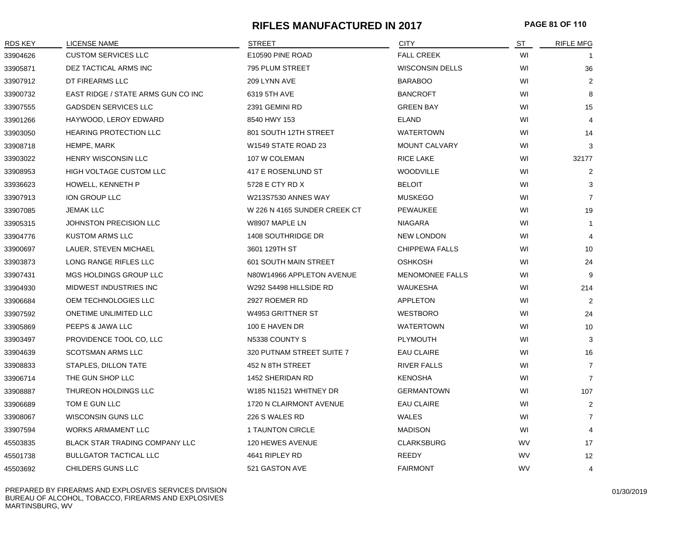## **RIFLES MANUFACTURED IN 2017 PAGE 81 OF 110**

| <b>RDS KEY</b> | LICENSE NAME                       | <b>STREET</b>                | <b>CITY</b>            | <u>ST</u> | <b>RIFLE MFG</b> |
|----------------|------------------------------------|------------------------------|------------------------|-----------|------------------|
| 33904626       | <b>CUSTOM SERVICES LLC</b>         | E10590 PINE ROAD             | <b>FALL CREEK</b>      | WI        |                  |
| 33905871       | DEZ TACTICAL ARMS INC              | 795 PLUM STREET              | <b>WISCONSIN DELLS</b> | WI        | 36               |
| 33907912       | DT FIREARMS LLC                    | 209 LYNN AVE                 | <b>BARABOO</b>         | WI        | $\overline{2}$   |
| 33900732       | EAST RIDGE / STATE ARMS GUN CO INC | 6319 5TH AVE                 | <b>BANCROFT</b>        | WI        | 8                |
| 33907555       | <b>GADSDEN SERVICES LLC</b>        | 2391 GEMINI RD               | <b>GREEN BAY</b>       | WI        | 15               |
| 33901266       | HAYWOOD, LEROY EDWARD              | 8540 HWY 153                 | <b>ELAND</b>           | WI        | $\overline{4}$   |
| 33903050       | <b>HEARING PROTECTION LLC</b>      | 801 SOUTH 12TH STREET        | <b>WATERTOWN</b>       | WI        | 14               |
| 33908718       | HEMPE, MARK                        | W1549 STATE ROAD 23          | <b>MOUNT CALVARY</b>   | WI        | 3                |
| 33903022       | HENRY WISCONSIN LLC                | 107 W COLEMAN                | <b>RICE LAKE</b>       | WI        | 32177            |
| 33908953       | HIGH VOLTAGE CUSTOM LLC            | 417 E ROSENLUND ST           | <b>WOODVILLE</b>       | WI        | $\overline{2}$   |
| 33936623       | HOWELL, KENNETH P                  | 5728 E CTY RD X              | <b>BELOIT</b>          | WI        | 3                |
| 33907913       | ION GROUP LLC                      | W213S7530 ANNES WAY          | <b>MUSKEGO</b>         | WI        | $\overline{7}$   |
| 33907085       | <b>JEMAK LLC</b>                   | W 226 N 4165 SUNDER CREEK CT | PEWAUKEE               | WI        | 19               |
| 33905315       | JOHNSTON PRECISION LLC             | W8907 MAPLE LN               | <b>NIAGARA</b>         | WI        | $\mathbf{1}$     |
| 33904776       | <b>KUSTOM ARMS LLC</b>             | 1408 SOUTHRIDGE DR           | <b>NEW LONDON</b>      | WI        | $\overline{4}$   |
| 33900697       | LAUER, STEVEN MICHAEL              | 3601 129TH ST                | <b>CHIPPEWA FALLS</b>  | WI        | 10               |
| 33903873       | LONG RANGE RIFLES LLC              | 601 SOUTH MAIN STREET        | <b>OSHKOSH</b>         | WI        | 24               |
| 33907431       | MGS HOLDINGS GROUP LLC             | N80W14966 APPLETON AVENUE    | MENOMONEE FALLS        | WI        | 9                |
| 33904930       | MIDWEST INDUSTRIES INC             | W292 S4498 HILLSIDE RD       | WAUKESHA               | WI        | 214              |
| 33906684       | OEM TECHNOLOGIES LLC               | 2927 ROEMER RD               | <b>APPLETON</b>        | WI        | 2                |
| 33907592       | ONETIME UNLIMITED LLC              | W4953 GRITTNER ST            | <b>WESTBORO</b>        | WI        | 24               |
| 33905869       | PEEPS & JAWA LLC                   | 100 E HAVEN DR               | <b>WATERTOWN</b>       | WI        | 10               |
| 33903497       | PROVIDENCE TOOL CO, LLC            | N5338 COUNTY S               | PLYMOUTH               | WI        | 3                |
| 33904639       | <b>SCOTSMAN ARMS LLC</b>           | 320 PUTNAM STREET SUITE 7    | <b>EAU CLAIRE</b>      | WI        | 16               |
| 33908833       | STAPLES, DILLON TATE               | 452 N 8TH STREET             | <b>RIVER FALLS</b>     | WI        | $\overline{7}$   |
| 33906714       | THE GUN SHOP LLC                   | 1452 SHERIDAN RD             | <b>KENOSHA</b>         | WI        | $\overline{7}$   |
| 33908887       | THUREON HOLDINGS LLC               | W185 N11521 WHITNEY DR       | <b>GERMANTOWN</b>      | WI        | 107              |
| 33906689       | TOM E GUN LLC                      | 1720 N CLAIRMONT AVENUE      | <b>EAU CLAIRE</b>      | WI        | $\overline{2}$   |
| 33908067       | WISCONSIN GUNS LLC                 | 226 S WALES RD               | <b>WALES</b>           | WI        | $\overline{7}$   |
| 33907594       | WORKS ARMAMENT LLC                 | 1 TAUNTON CIRCLE             | <b>MADISON</b>         | WI        | $\overline{4}$   |
| 45503835       | BLACK STAR TRADING COMPANY LLC     | 120 HEWES AVENUE             | <b>CLARKSBURG</b>      | <b>WV</b> | 17               |
| 45501738       | <b>BULLGATOR TACTICAL LLC</b>      | 4641 RIPLEY RD               | REEDY                  | WV        | 12               |
| 45503692       | CHILDERS GUNS LLC                  | 521 GASTON AVE               | <b>FAIRMONT</b>        | WV        | 4                |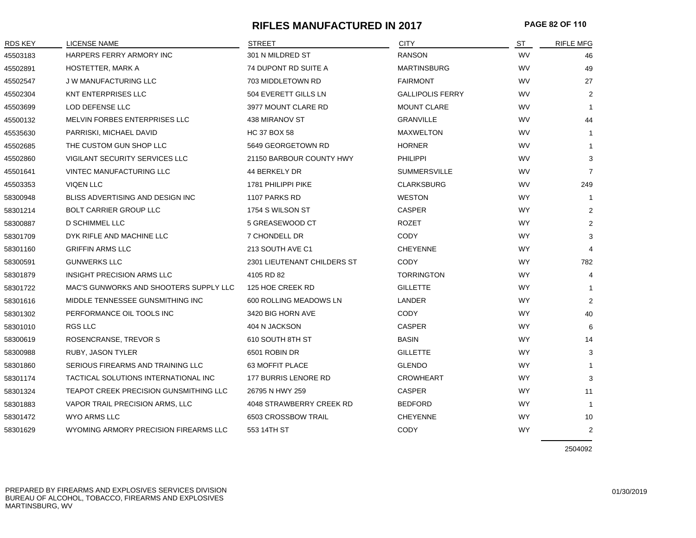## **RIFLES MANUFACTURED IN 2017 PAGE 82 OF 110**

| <b>RDS KEY</b> | LICENSE NAME                           | <b>STREET</b>               | <b>CITY</b>             | S <sub>T</sub> | <b>RIFLE MFG</b> |
|----------------|----------------------------------------|-----------------------------|-------------------------|----------------|------------------|
| 45503183       | HARPERS FERRY ARMORY INC               | 301 N MILDRED ST            | <b>RANSON</b>           | <b>WV</b>      | 46               |
| 45502891       | HOSTETTER, MARK A                      | 74 DUPONT RD SUITE A        | <b>MARTINSBURG</b>      | WV             | 49               |
| 45502547       | <b>JW MANUFACTURING LLC</b>            | 703 MIDDLETOWN RD           | <b>FAIRMONT</b>         | WV             | 27               |
| 45502304       | KNT ENTERPRISES LLC                    | 504 EVERETT GILLS LN        | <b>GALLIPOLIS FERRY</b> | <b>WV</b>      | 2                |
| 45503699       | LOD DEFENSE LLC                        | 3977 MOUNT CLARE RD         | <b>MOUNT CLARE</b>      | <b>WV</b>      |                  |
| 45500132       | MELVIN FORBES ENTERPRISES LLC          | 438 MIRANOV ST              | <b>GRANVILLE</b>        | <b>WV</b>      | 44               |
| 45535630       | PARRISKI, MICHAEL DAVID                | HC 37 BOX 58                | <b>MAXWELTON</b>        | WV             | 1                |
| 45502685       | THE CUSTOM GUN SHOP LLC                | 5649 GEORGETOWN RD          | <b>HORNER</b>           | <b>WV</b>      | $\mathbf{1}$     |
| 45502860       | VIGILANT SECURITY SERVICES LLC         | 21150 BARBOUR COUNTY HWY    | <b>PHILIPPI</b>         | <b>WV</b>      | 3                |
| 45501641       | <b>VINTEC MANUFACTURING LLC</b>        | 44 BERKELY DR               | <b>SUMMERSVILLE</b>     | <b>WV</b>      | $\overline{7}$   |
| 45503353       | <b>VIQEN LLC</b>                       | 1781 PHILIPPI PIKE          | <b>CLARKSBURG</b>       | <b>WV</b>      | 249              |
| 58300948       | BLISS ADVERTISING AND DESIGN INC       | 1107 PARKS RD               | <b>WESTON</b>           | <b>WY</b>      | -1               |
| 58301214       | <b>BOLT CARRIER GROUP LLC</b>          | 1754 S WILSON ST            | <b>CASPER</b>           | <b>WY</b>      | $\overline{2}$   |
| 58300887       | D SCHIMMEL LLC                         | 5 GREASEWOOD CT             | ROZET                   | <b>WY</b>      | 2                |
| 58301709       | DYK RIFLE AND MACHINE LLC              | 7 CHONDELL DR               | <b>CODY</b>             | <b>WY</b>      | 3                |
| 58301160       | <b>GRIFFIN ARMS LLC</b>                | 213 SOUTH AVE C1            | <b>CHEYENNE</b>         | <b>WY</b>      | 4                |
| 58300591       | <b>GUNWERKS LLC</b>                    | 2301 LIEUTENANT CHILDERS ST | CODY                    | <b>WY</b>      | 782              |
| 58301879       | INSIGHT PRECISION ARMS LLC             | 4105 RD 82                  | <b>TORRINGTON</b>       | WY.            | 4                |
| 58301722       | MAC'S GUNWORKS AND SHOOTERS SUPPLY LLC | 125 HOE CREEK RD            | <b>GILLETTE</b>         | <b>WY</b>      | -1               |
| 58301616       | MIDDLE TENNESSEE GUNSMITHING INC       | 600 ROLLING MEADOWS LN      | LANDER                  | WY.            | 2                |
| 58301302       | PERFORMANCE OIL TOOLS INC              | 3420 BIG HORN AVE           | <b>CODY</b>             | <b>WY</b>      | 40               |
| 58301010       | <b>RGS LLC</b>                         | 404 N JACKSON               | <b>CASPER</b>           | <b>WY</b>      | 6                |
| 58300619       | ROSENCRANSE, TREVOR S                  | 610 SOUTH 8TH ST            | <b>BASIN</b>            | <b>WY</b>      | 14               |
| 58300988       | RUBY, JASON TYLER                      | 6501 ROBIN DR               | <b>GILLETTE</b>         | WY.            | 3                |
| 58301860       | SERIOUS FIREARMS AND TRAINING LLC      | 63 MOFFIT PLACE             | <b>GLENDO</b>           | <b>WY</b>      | -1               |
| 58301174       | TACTICAL SOLUTIONS INTERNATIONAL INC   | 177 BURRIS LENORE RD        | <b>CROWHEART</b>        | WY.            | 3                |
| 58301324       | TEAPOT CREEK PRECISION GUNSMITHING LLC | 26795 N HWY 259             | <b>CASPER</b>           | <b>WY</b>      | 11               |
| 58301883       | VAPOR TRAIL PRECISION ARMS, LLC        | 4048 STRAWBERRY CREEK RD    | <b>BEDFORD</b>          | WY.            | -1               |
| 58301472       | WYO ARMS LLC                           | 6503 CROSSBOW TRAIL         | <b>CHEYENNE</b>         | WY.            | 10               |
| 58301629       | WYOMING ARMORY PRECISION FIREARMS LLC  | 553 14TH ST                 | <b>CODY</b>             | <b>WY</b>      | $\overline{2}$   |

2504092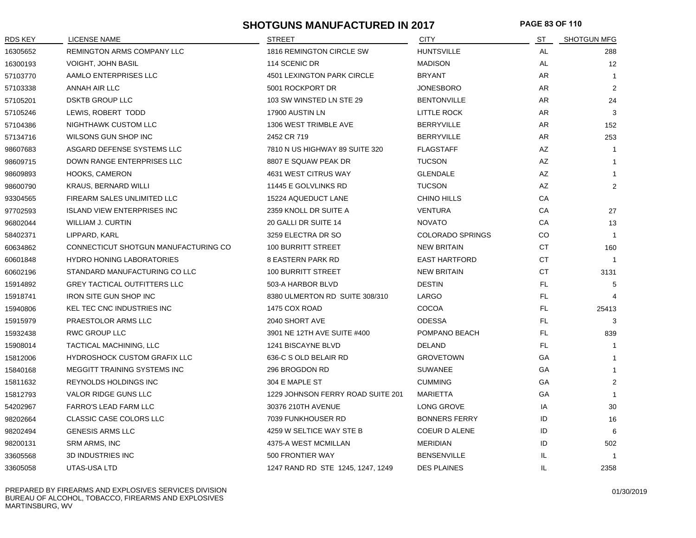## **SHOTGUNS MANUFACTURED IN 2017 PAGE 83 OF 110**

| RDS KEY  | <b>LICENSE NAME</b>                  | <b>STREET</b>                     | <b>CITY</b>             | ST        | <b>SHOTGUN MFG</b> |
|----------|--------------------------------------|-----------------------------------|-------------------------|-----------|--------------------|
| 16305652 | REMINGTON ARMS COMPANY LLC           | 1816 REMINGTON CIRCLE SW          | <b>HUNTSVILLE</b>       | AL        | 288                |
| 16300193 | <b>VOIGHT, JOHN BASIL</b>            | 114 SCENIC DR                     | <b>MADISON</b>          | AL        | 12 <sup>2</sup>    |
| 57103770 | AAMLO ENTERPRISES LLC                | 4501 LEXINGTON PARK CIRCLE        | <b>BRYANT</b>           | AR.       | $\overline{1}$     |
| 57103338 | ANNAH AIR LLC                        | 5001 ROCKPORT DR                  | <b>JONESBORO</b>        | AR.       | 2                  |
| 57105201 | <b>DSKTB GROUP LLC</b>               | 103 SW WINSTED LN STE 29          | <b>BENTONVILLE</b>      | AR        | 24                 |
| 57105246 | LEWIS, ROBERT TODD                   | 17900 AUSTIN LN                   | <b>LITTLE ROCK</b>      | AR        | 3                  |
| 57104386 | NIGHTHAWK CUSTOM LLC                 | 1306 WEST TRIMBLE AVE             | <b>BERRYVILLE</b>       | AR        | 152                |
| 57134716 | WILSONS GUN SHOP INC                 | 2452 CR 719                       | <b>BERRYVILLE</b>       | AR        | 253                |
| 98607683 | ASGARD DEFENSE SYSTEMS LLC           | 7810 N US HIGHWAY 89 SUITE 320    | <b>FLAGSTAFF</b>        | AZ        | $\overline{1}$     |
| 98609715 | DOWN RANGE ENTERPRISES LLC           | 8807 E SQUAW PEAK DR              | <b>TUCSON</b>           | AZ        | $\mathbf{1}$       |
| 98609893 | HOOKS, CAMERON                       | 4631 WEST CITRUS WAY              | <b>GLENDALE</b>         | AZ        | $\overline{1}$     |
| 98600790 | <b>KRAUS, BERNARD WILLI</b>          | 11445 E GOLVLINKS RD              | <b>TUCSON</b>           | AZ        | $\overline{2}$     |
| 93304565 | FIREARM SALES UNLIMITED LLC          | 15224 AQUEDUCT LANE               | <b>CHINO HILLS</b>      | СA        |                    |
| 97702593 | <b>ISLAND VIEW ENTERPRISES INC</b>   | 2359 KNOLL DR SUITE A             | <b>VENTURA</b>          | CA        | 27                 |
| 96802044 | WILLIAM J. CURTIN                    | 20 GALLI DR SUITE 14              | <b>NOVATO</b>           | СA        | 13                 |
| 58402371 | LIPPARD, KARL                        | 3259 ELECTRA DR SO                | <b>COLORADO SPRINGS</b> | CO        | $\overline{1}$     |
| 60634862 | CONNECTICUT SHOTGUN MANUFACTURING CO | <b>100 BURRITT STREET</b>         | <b>NEW BRITAIN</b>      | <b>CT</b> | 160                |
| 60601848 | <b>HYDRO HONING LABORATORIES</b>     | <b>8 EASTERN PARK RD</b>          | <b>EAST HARTFORD</b>    | СT        | $\overline{1}$     |
| 60602196 | STANDARD MANUFACTURING CO LLC        | 100 BURRITT STREET                | <b>NEW BRITAIN</b>      | CT        | 3131               |
| 15914892 | <b>GREY TACTICAL OUTFITTERS LLC</b>  | 503-A HARBOR BLVD                 | <b>DESTIN</b>           | FL.       | 5                  |
| 15918741 | <b>IRON SITE GUN SHOP INC</b>        | 8380 ULMERTON RD SUITE 308/310    | LARGO                   | FL.       |                    |
| 15940806 | <b>KEL TEC CNC INDUSTRIES INC</b>    | 1475 COX ROAD                     | <b>COCOA</b>            | FL.       | 25413              |
| 15915979 | PRAESTOLOR ARMS LLC                  | 2040 SHORT AVE                    | <b>ODESSA</b>           | FL.       | 3                  |
| 15932438 | <b>RWC GROUP LLC</b>                 | 3901 NE 12TH AVE SUITE #400       | POMPANO BEACH           | FL.       | 839                |
| 15908014 | TACTICAL MACHINING, LLC              | 1241 BISCAYNE BLVD                | DELAND                  | FL.       | $\overline{1}$     |
| 15812006 | <b>HYDROSHOCK CUSTOM GRAFIX LLC</b>  | 636-C S OLD BELAIR RD             | <b>GROVETOWN</b>        | GA        | $\mathbf{1}$       |
| 15840168 | MEGGITT TRAINING SYSTEMS INC         | 296 BROGDON RD                    | <b>SUWANEE</b>          | GA        | $\mathbf{1}$       |
| 15811632 | <b>REYNOLDS HOLDINGS INC</b>         | 304 E MAPLE ST                    | <b>CUMMING</b>          | GA        | $\overline{2}$     |
| 15812793 | VALOR RIDGE GUNS LLC                 | 1229 JOHNSON FERRY ROAD SUITE 201 | <b>MARIETTA</b>         | GA        | $\overline{1}$     |
| 54202967 | <b>FARRO'S LEAD FARM LLC</b>         | 30376 210TH AVENUE                | LONG GROVE              | IA        | 30                 |
| 98202664 | CLASSIC CASE COLORS LLC              | 7039 FUNKHOUSER RD                | <b>BONNERS FERRY</b>    | ID        | 16                 |
| 98202494 | <b>GENESIS ARMS LLC</b>              | 4259 W SELTICE WAY STE B          | COEUR D ALENE           | ID        | 6                  |
| 98200131 | SRM ARMS, INC                        | 4375-A WEST MCMILLAN              | <b>MERIDIAN</b>         | ID        | 502                |
| 33605568 | <b>3D INDUSTRIES INC</b>             | 500 FRONTIER WAY                  | <b>BENSENVILLE</b>      | IL.       | $\overline{1}$     |
| 33605058 | UTAS-USA LTD                         | 1247 RAND RD STE 1245, 1247, 1249 | <b>DES PLAINES</b>      | IL        | 2358               |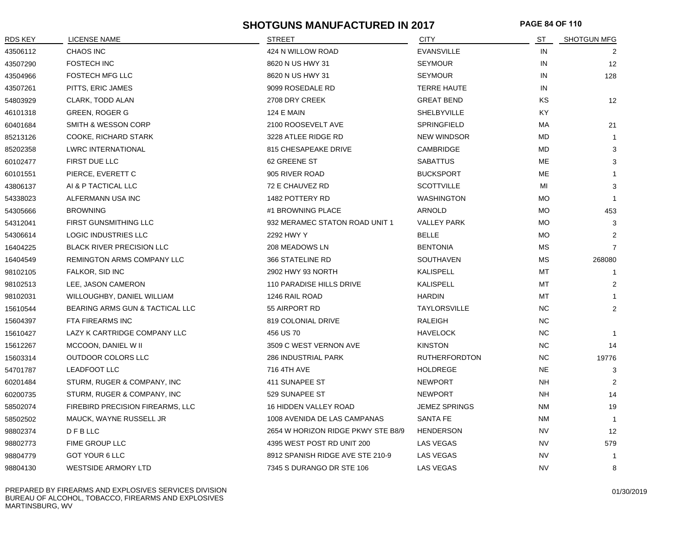## **SHOTGUNS MANUFACTURED IN 2017 PAGE 84 OF 110**

| RDS KEY  | LICENSE NAME                     | <b>STREET</b>                      | <b>CITY</b>          | ST        | SHOTGUN MFG       |
|----------|----------------------------------|------------------------------------|----------------------|-----------|-------------------|
| 43506112 | <b>CHAOS INC</b>                 | 424 N WILLOW ROAD                  | <b>EVANSVILLE</b>    | IN        | 2                 |
| 43507290 | <b>FOSTECH INC</b>               | 8620 N US HWY 31                   | <b>SEYMOUR</b>       | IN        | $12 \overline{ }$ |
| 43504966 | <b>FOSTECH MFG LLC</b>           | 8620 N US HWY 31                   | <b>SEYMOUR</b>       | IN        | 128               |
| 43507261 | PITTS, ERIC JAMES                | 9099 ROSEDALE RD                   | <b>TERRE HAUTE</b>   | IN        |                   |
| 54803929 | CLARK, TODD ALAN                 | 2708 DRY CREEK                     | <b>GREAT BEND</b>    | KS        | 12                |
| 46101318 | <b>GREEN, ROGER G</b>            | <b>124 E MAIN</b>                  | SHELBYVILLE          | KY.       |                   |
| 60401684 | SMITH & WESSON CORP              | 2100 ROOSEVELT AVE                 | <b>SPRINGFIELD</b>   | МA        | 21                |
| 85213126 | COOKE, RICHARD STARK             | 3228 ATLEE RIDGE RD                | <b>NEW WINDSOR</b>   | MD        | -1                |
| 85202358 | <b>LWRC INTERNATIONAL</b>        | 815 CHESAPEAKE DRIVE               | CAMBRIDGE            | MD        | 3                 |
| 60102477 | FIRST DUE LLC                    | 62 GREENE ST                       | <b>SABATTUS</b>      | ME        | 3                 |
| 60101551 | PIERCE, EVERETT C                | 905 RIVER ROAD                     | <b>BUCKSPORT</b>     | ME        |                   |
| 43806137 | AI & P TACTICAL LLC              | 72 E CHAUVEZ RD                    | <b>SCOTTVILLE</b>    | MI        | 3                 |
| 54338023 | ALFERMANN USA INC                | 1482 POTTERY RD                    | <b>WASHINGTON</b>    | <b>MO</b> | $\mathbf{1}$      |
| 54305666 | <b>BROWNING</b>                  | #1 BROWNING PLACE                  | ARNOLD               | MO        | 453               |
| 54312041 | <b>FIRST GUNSMITHING LLC</b>     | 932 MERAMEC STATON ROAD UNIT 1     | <b>VALLEY PARK</b>   | <b>MO</b> | 3                 |
| 54306614 | <b>LOGIC INDUSTRIES LLC</b>      | 2292 HWY Y                         | <b>BELLE</b>         | <b>MO</b> | 2                 |
| 16404225 | <b>BLACK RIVER PRECISION LLC</b> | 208 MEADOWS LN                     | <b>BENTONIA</b>      | МS        | $\overline{7}$    |
| 16404549 | REMINGTON ARMS COMPANY LLC       | 366 STATELINE RD                   | SOUTHAVEN            | МS        | 268080            |
| 98102105 | FALKOR, SID INC                  | 2902 HWY 93 NORTH                  | KALISPELL            | МT        | $\mathbf{1}$      |
| 98102513 | LEE, JASON CAMERON               | 110 PARADISE HILLS DRIVE           | KALISPELL            | МT        | 2                 |
| 98102031 | WILLOUGHBY, DANIEL WILLIAM       | 1246 RAIL ROAD                     | <b>HARDIN</b>        | МT        |                   |
| 15610544 | BEARING ARMS GUN & TACTICAL LLC  | 55 AIRPORT RD                      | <b>TAYLORSVILLE</b>  | <b>NC</b> | $\overline{2}$    |
| 15604397 | FTA FIREARMS INC                 | 819 COLONIAL DRIVE                 | <b>RALEIGH</b>       | <b>NC</b> |                   |
| 15610427 | LAZY K CARTRIDGE COMPANY LLC     | 456 US 70                          | <b>HAVELOCK</b>      | <b>NC</b> | $\mathbf{1}$      |
| 15612267 | MCCOON, DANIEL W II              | 3509 C WEST VERNON AVE             | <b>KINSTON</b>       | <b>NC</b> | 14                |
| 15603314 | OUTDOOR COLORS LLC               | 286 INDUSTRIAL PARK                | <b>RUTHERFORDTON</b> | NC.       | 19776             |
| 54701787 | <b>LEADFOOT LLC</b>              | 716 4TH AVE                        | <b>HOLDREGE</b>      | <b>NE</b> | 3                 |
| 60201484 | STURM, RUGER & COMPANY, INC      | 411 SUNAPEE ST                     | <b>NEWPORT</b>       | <b>NH</b> | 2                 |
| 60200735 | STURM, RUGER & COMPANY, INC      | 529 SUNAPEE ST                     | <b>NEWPORT</b>       | <b>NH</b> | 14                |
| 58502074 | FIREBIRD PRECISION FIREARMS, LLC | 16 HIDDEN VALLEY ROAD              | <b>JEMEZ SPRINGS</b> | <b>NM</b> | 19                |
| 58502502 | MAUCK, WAYNE RUSSELL JR          | 1008 AVENIDA DE LAS CAMPANAS       | <b>SANTA FE</b>      | <b>NM</b> | $\mathbf{1}$      |
| 98802374 | D F B LLC                        | 2654 W HORIZON RIDGE PKWY STE B8/9 | <b>HENDERSON</b>     | <b>NV</b> | 12                |
| 98802773 | FIME GROUP LLC                   | 4395 WEST POST RD UNIT 200         | LAS VEGAS            | <b>NV</b> | 579               |
| 98804779 | GOT YOUR 6 LLC                   | 8912 SPANISH RIDGE AVE STE 210-9   | LAS VEGAS            | <b>NV</b> | $\overline{1}$    |
| 98804130 | <b>WESTSIDE ARMORY LTD</b>       | 7345 S DURANGO DR STE 106          | <b>LAS VEGAS</b>     | <b>NV</b> | 8                 |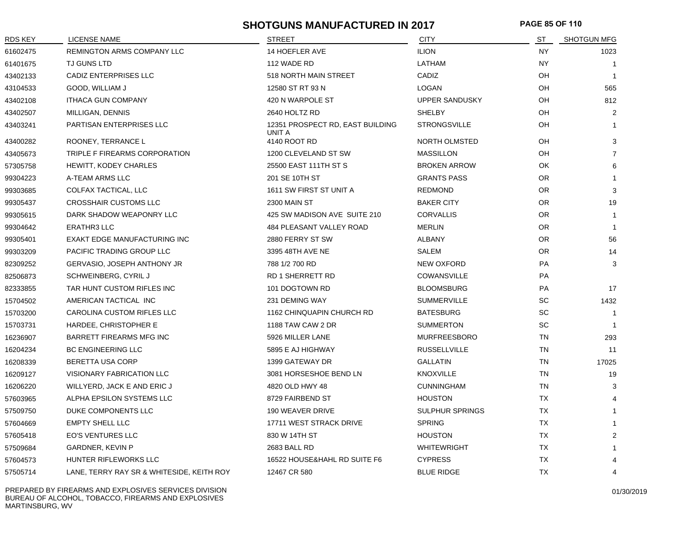## **SHOTGUNS MANUFACTURED IN 2017 PAGE 85 OF 110**

| <b>RDS KEY</b> | <b>LICENSE NAME</b>                       | <b>STREET</b>                              | <b>CITY</b>            | ST        | <b>SHOTGUN MFG</b> |
|----------------|-------------------------------------------|--------------------------------------------|------------------------|-----------|--------------------|
| 61602475       | REMINGTON ARMS COMPANY LLC                | 14 HOEFLER AVE                             | <b>ILION</b>           | <b>NY</b> | 1023               |
| 61401675       | TJ GUNS LTD                               | 112 WADE RD                                | LATHAM                 | NY.       | $\overline{1}$     |
| 43402133       | CADIZ ENTERPRISES LLC                     | 518 NORTH MAIN STREET                      | CADIZ                  | OH        | $\overline{1}$     |
| 43104533       | GOOD, WILLIAM J                           | 12580 ST RT 93 N                           | <b>LOGAN</b>           | OH        | 565                |
| 43402108       | <b>ITHACA GUN COMPANY</b>                 | 420 N WARPOLE ST                           | <b>UPPER SANDUSKY</b>  | OH        | 812                |
| 43402507       | MILLIGAN, DENNIS                          | 2640 HOLTZ RD                              | SHELBY                 | OH        | $\overline{2}$     |
| 43403241       | <b>PARTISAN ENTERPRISES LLC</b>           | 12351 PROSPECT RD, EAST BUILDING<br>UNIT A | <b>STRONGSVILLE</b>    | OH        | $\overline{1}$     |
| 43400282       | ROONEY, TERRANCE L                        | 4140 ROOT RD                               | NORTH OLMSTED          | OH        | 3                  |
| 43405673       | TRIPLE F FIREARMS CORPORATION             | 1200 CLEVELAND ST SW                       | <b>MASSILLON</b>       | OH        | $\overline{7}$     |
| 57305758       | <b>HEWITT, KODEY CHARLES</b>              | 25500 EAST 111TH ST S                      | <b>BROKEN ARROW</b>    | <b>OK</b> | 6                  |
| 99304223       | A-TEAM ARMS LLC                           | 201 SE 10TH ST                             | <b>GRANTS PASS</b>     | <b>OR</b> | $\mathbf{1}$       |
| 99303685       | COLFAX TACTICAL, LLC                      | 1611 SW FIRST ST UNIT A                    | <b>REDMOND</b>         | <b>OR</b> | 3                  |
| 99305437       | <b>CROSSHAIR CUSTOMS LLC</b>              | <b>2300 MAIN ST</b>                        | <b>BAKER CITY</b>      | <b>OR</b> | 19                 |
| 99305615       | DARK SHADOW WEAPONRY LLC                  | 425 SW MADISON AVE SUITE 210               | <b>CORVALLIS</b>       | <b>OR</b> | $\mathbf{1}$       |
| 99304642       | <b>ERATHR3 LLC</b>                        | 484 PLEASANT VALLEY ROAD                   | <b>MERLIN</b>          | OR.       | $\mathbf{1}$       |
| 99305401       | EXAKT EDGE MANUFACTURING INC              | 2880 FERRY ST SW                           | <b>ALBANY</b>          | <b>OR</b> | 56                 |
| 99303209       | PACIFIC TRADING GROUP LLC                 | 3395 48TH AVE NE                           | <b>SALEM</b>           | <b>OR</b> | 14                 |
| 82309252       | <b>GERVASIO, JOSEPH ANTHONY JR</b>        | 788 1/2 700 RD                             | <b>NEW OXFORD</b>      | PA        | 3                  |
| 82506873       | SCHWEINBERG, CYRIL J                      | <b>RD 1 SHERRETT RD</b>                    | COWANSVILLE            | PA        |                    |
| 82333855       | TAR HUNT CUSTOM RIFLES INC                | 101 DOGTOWN RD                             | <b>BLOOMSBURG</b>      | PA        | 17                 |
| 15704502       | AMERICAN TACTICAL INC                     | 231 DEMING WAY                             | <b>SUMMERVILLE</b>     | <b>SC</b> | 1432               |
| 15703200       | CAROLINA CUSTOM RIFLES LLC                | 1162 CHINQUAPIN CHURCH RD                  | <b>BATESBURG</b>       | <b>SC</b> | $\overline{1}$     |
| 15703731       | HARDEE, CHRISTOPHER E                     | 1188 TAW CAW 2 DR                          | <b>SUMMERTON</b>       | <b>SC</b> | $\overline{1}$     |
| 16236907       | BARRETT FIREARMS MFG INC                  | 5926 MILLER LANE                           | <b>MURFREESBORO</b>    | <b>TN</b> | 293                |
| 16204234       | <b>BC ENGINEERING LLC</b>                 | 5895 E AJ HIGHWAY                          | <b>RUSSELLVILLE</b>    | <b>TN</b> | 11                 |
| 16208339       | <b>BERETTA USA CORP</b>                   | 1399 GATEWAY DR                            | <b>GALLATIN</b>        | <b>TN</b> | 17025              |
| 16209127       | <b>VISIONARY FABRICATION LLC</b>          | 3081 HORSESHOE BEND LN                     | <b>KNOXVILLE</b>       | <b>TN</b> | 19                 |
| 16206220       | WILLYERD, JACK E AND ERIC J               | 4820 OLD HWY 48                            | <b>CUNNINGHAM</b>      | <b>TN</b> | 3                  |
| 57603965       | ALPHA EPSILON SYSTEMS LLC                 | 8729 FAIRBEND ST                           | <b>HOUSTON</b>         | TX        | 4                  |
| 57509750       | DUKE COMPONENTS LLC                       | 190 WEAVER DRIVE                           | <b>SULPHUR SPRINGS</b> | TX        | $\mathbf{1}$       |
| 57604669       | <b>EMPTY SHELL LLC</b>                    | 17711 WEST STRACK DRIVE                    | <b>SPRING</b>          | TX        | $\mathbf{1}$       |
| 57605418       | EO'S VENTURES LLC                         | 830 W 14TH ST                              | <b>HOUSTON</b>         | <b>TX</b> | $\overline{2}$     |
| 57509684       | GARDNER, KEVIN P                          | 2683 BALL RD                               | <b>WHITEWRIGHT</b>     | <b>TX</b> | $\overline{1}$     |
| 57604573       | HUNTER RIFLEWORKS LLC                     | 16522 HOUSE&HAHL RD SUITE F6               | <b>CYPRESS</b>         | ТX        | 4                  |
| 57505714       | LANE, TERRY RAY SR & WHITESIDE, KEITH ROY | 12467 CR 580                               | <b>BLUE RIDGE</b>      | <b>TX</b> | 4                  |

PREPARED BY FIREARMS AND EXPLOSIVES SERVICES DIVISION BUREAU OF ALCOHOL, TOBACCO, FIREARMS AND EXPLOSIVES MARTINSBURG, WV

01/30/2019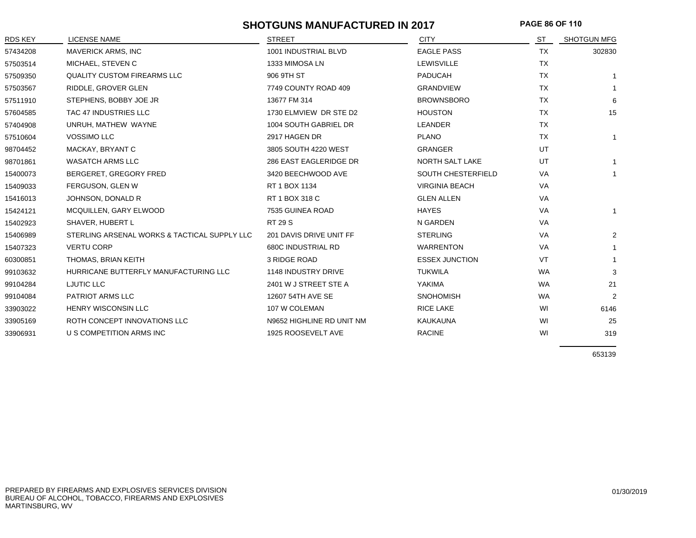## **SHOTGUNS MANUFACTURED IN 2017 PAGE 86 OF 110**

| RDS KEY  | <b>LICENSE NAME</b>                          | <b>STREET</b>             | <b>CITY</b>           | ST        | <b>SHOTGUN MFG</b> |
|----------|----------------------------------------------|---------------------------|-----------------------|-----------|--------------------|
| 57434208 | <b>MAVERICK ARMS, INC</b>                    | 1001 INDUSTRIAL BLVD      | <b>EAGLE PASS</b>     | TX        | 302830             |
| 57503514 | MICHAEL, STEVEN C                            | 1333 MIMOSA LN            | <b>LEWISVILLE</b>     | <b>TX</b> |                    |
| 57509350 | <b>QUALITY CUSTOM FIREARMS LLC</b>           | 906 9TH ST                | PADUCAH               | <b>TX</b> |                    |
| 57503567 | RIDDLE, GROVER GLEN                          | 7749 COUNTY ROAD 409      | <b>GRANDVIEW</b>      | TX        | -1                 |
| 57511910 | STEPHENS, BOBBY JOE JR                       | 13677 FM 314              | <b>BROWNSBORO</b>     | <b>TX</b> | 6                  |
| 57604585 | TAC 47 INDUSTRIES LLC                        | 1730 ELMVIEW DR STE D2    | <b>HOUSTON</b>        | <b>TX</b> | 15                 |
| 57404908 | UNRUH, MATHEW WAYNE                          | 1004 SOUTH GABRIEL DR     | LEANDER               | TX        |                    |
| 57510604 | <b>VOSSIMO LLC</b>                           | 2917 HAGEN DR             | <b>PLANO</b>          | <b>TX</b> | $\mathbf{1}$       |
| 98704452 | MACKAY, BRYANT C                             | 3805 SOUTH 4220 WEST      | <b>GRANGER</b>        | UT        |                    |
| 98701861 | <b>WASATCH ARMS LLC</b>                      | 286 EAST EAGLERIDGE DR    | NORTH SALT LAKE       | UT        | $\mathbf{1}$       |
| 15400073 | BERGERET, GREGORY FRED                       | 3420 BEECHWOOD AVE        | SOUTH CHESTERFIELD    | <b>VA</b> | $\mathbf{1}$       |
| 15409033 | FERGUSON, GLEN W                             | RT 1 BOX 1134             | <b>VIRGINIA BEACH</b> | VA        |                    |
| 15416013 | JOHNSON, DONALD R                            | RT 1 BOX 318 C            | <b>GLEN ALLEN</b>     | VA        |                    |
| 15424121 | MCQUILLEN, GARY ELWOOD                       | 7535 GUINEA ROAD          | <b>HAYES</b>          | VA        | $\mathbf{1}$       |
| 15402923 | SHAVER, HUBERT L                             | <b>RT 29 S</b>            | N GARDEN              | VA        |                    |
| 15406989 | STERLING ARSENAL WORKS & TACTICAL SUPPLY LLC | 201 DAVIS DRIVE UNIT FF   | <b>STERLING</b>       | VA        | 2                  |
| 15407323 | <b>VERTU CORP</b>                            | <b>680C INDUSTRIAL RD</b> | <b>WARRENTON</b>      | VA        | 1                  |
| 60300851 | THOMAS, BRIAN KEITH                          | 3 RIDGE ROAD              | <b>ESSEX JUNCTION</b> | VT        | 1                  |
| 99103632 | HURRICANE BUTTERFLY MANUFACTURING LLC        | 1148 INDUSTRY DRIVE       | <b>TUKWILA</b>        | <b>WA</b> | 3                  |
| 99104284 | LJUTIC LLC                                   | 2401 W J STREET STE A     | YAKIMA                | <b>WA</b> | 21                 |
| 99104084 | PATRIOT ARMS LLC                             | 12607 54TH AVE SE         | <b>SNOHOMISH</b>      | <b>WA</b> | 2                  |
| 33903022 | HENRY WISCONSIN LLC                          | 107 W COLEMAN             | <b>RICE LAKE</b>      | WI        | 6146               |
| 33905169 | ROTH CONCEPT INNOVATIONS LLC                 | N9652 HIGHLINE RD UNIT NM | <b>KAUKAUNA</b>       | WI        | 25                 |
| 33906931 | U S COMPETITION ARMS INC                     | 1925 ROOSEVELT AVE        | <b>RACINE</b>         | WI        | 319                |

653139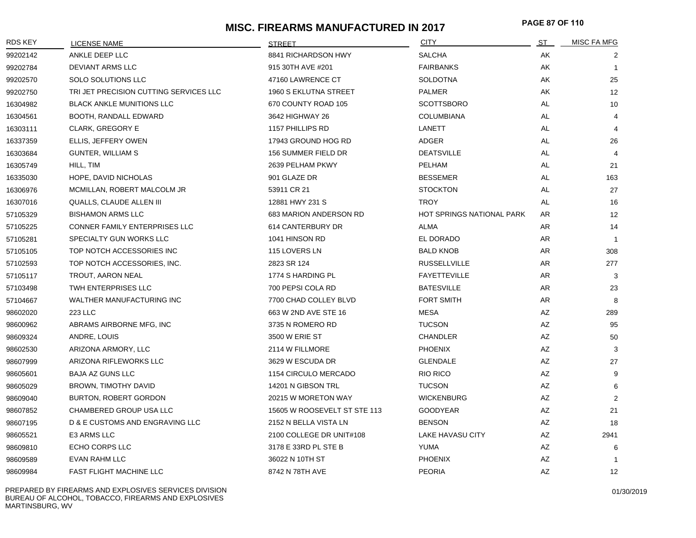# **MISC. FIREARMS MANUFACTURED IN 2017 PAGE 87 OF <sup>110</sup>**

| RDS KEY  | <b>LICENSE NAME</b>                    | <b>STREET</b>                | <b>CITY</b>                      | <u>ST</u> | <b>MISC FA MFG</b> |
|----------|----------------------------------------|------------------------------|----------------------------------|-----------|--------------------|
| 99202142 | ANKLE DEEP LLC                         | 8841 RICHARDSON HWY          | <b>SALCHA</b>                    | AK        | 2                  |
| 99202784 | DEVIANT ARMS LLC                       | 915 30TH AVE #201            | <b>FAIRBANKS</b>                 | AK        | $\overline{1}$     |
| 99202570 | SOLO SOLUTIONS LLC                     | 47160 LAWRENCE CT            | <b>SOLDOTNA</b>                  | AK        | 25                 |
| 99202750 | TRI JET PRECISION CUTTING SERVICES LLC | 1960 S EKLUTNA STREET        | PALMER                           | AK        | 12                 |
| 16304982 | <b>BLACK ANKLE MUNITIONS LLC</b>       | 670 COUNTY ROAD 105          | <b>SCOTTSBORO</b>                | AL        | 10                 |
| 16304561 | BOOTH, RANDALL EDWARD                  | 3642 HIGHWAY 26              | <b>COLUMBIANA</b>                | AL        | 4                  |
| 16303111 | <b>CLARK, GREGORY E</b>                | 1157 PHILLIPS RD             | LANETT                           | AL        | $\overline{4}$     |
| 16337359 | ELLIS, JEFFERY OWEN                    | 17943 GROUND HOG RD          | ADGER                            | AL        | 26                 |
| 16303684 | <b>GUNTER, WILLIAM S</b>               | 156 SUMMER FIELD DR          | <b>DEATSVILLE</b>                | AL        | 4                  |
| 16305749 | HILL, TIM                              | 2639 PELHAM PKWY             | PELHAM                           | AL        | 21                 |
| 16335030 | HOPE, DAVID NICHOLAS                   | 901 GLAZE DR                 | <b>BESSEMER</b>                  | AL        | 163                |
| 16306976 | MCMILLAN, ROBERT MALCOLM JR            | 53911 CR 21                  | <b>STOCKTON</b>                  | AL        | 27                 |
| 16307016 | QUALLS, CLAUDE ALLEN III               | 12881 HWY 231 S              | <b>TROY</b>                      | AL        | 16                 |
| 57105329 | <b>BISHAMON ARMS LLC</b>               | 683 MARION ANDERSON RD       | <b>HOT SPRINGS NATIONAL PARK</b> | AR.       | 12                 |
| 57105225 | CONNER FAMILY ENTERPRISES LLC          | 614 CANTERBURY DR            | <b>ALMA</b>                      | AR        | 14                 |
| 57105281 | SPECIALTY GUN WORKS LLC                | 1041 HINSON RD               | EL DORADO                        | AR        | $\overline{1}$     |
| 57105105 | TOP NOTCH ACCESSORIES INC              | 115 LOVERS LN                | <b>BALD KNOB</b>                 | AR        | 308                |
| 57102593 | TOP NOTCH ACCESSORIES, INC.            | 2823 SR 124                  | <b>RUSSELLVILLE</b>              | AR        | 277                |
| 57105117 | TROUT, AARON NEAL                      | 1774 S HARDING PL            | <b>FAYETTEVILLE</b>              | AR        | 3                  |
| 57103498 | TWH ENTERPRISES LLC                    | 700 PEPSI COLA RD            | <b>BATESVILLE</b>                | AR        | 23                 |
| 57104667 | WALTHER MANUFACTURING INC              | 7700 CHAD COLLEY BLVD        | <b>FORT SMITH</b>                | AR        | 8                  |
| 98602020 | 223 LLC                                | 663 W 2ND AVE STE 16         | MESA                             | AZ        | 289                |
| 98600962 | ABRAMS AIRBORNE MFG, INC               | 3735 N ROMERO RD             | <b>TUCSON</b>                    | AZ        | 95                 |
| 98609324 | ANDRE, LOUIS                           | 3500 W ERIE ST               | <b>CHANDLER</b>                  | AZ        | 50                 |
| 98602530 | ARIZONA ARMORY, LLC                    | 2114 W FILLMORE              | <b>PHOENIX</b>                   | AZ        | 3                  |
| 98607999 | ARIZONA RIFLEWORKS LLC                 | 3629 W ESCUDA DR             | <b>GLENDALE</b>                  | AZ        | 27                 |
| 98605601 | <b>BAJA AZ GUNS LLC</b>                | 1154 CIRCULO MERCADO         | RIO RICO                         | AZ        | 9                  |
| 98605029 | BROWN, TIMOTHY DAVID                   | 14201 N GIBSON TRL           | <b>TUCSON</b>                    | AZ        | 6                  |
| 98609040 | <b>BURTON, ROBERT GORDON</b>           | 20215 W MORETON WAY          | <b>WICKENBURG</b>                | AZ        | 2                  |
| 98607852 | CHAMBERED GROUP USA LLC                | 15605 W ROOSEVELT ST STE 113 | <b>GOODYEAR</b>                  | AZ        | 21                 |
| 98607195 | D & E CUSTOMS AND ENGRAVING LLC        | 2152 N BELLA VISTA LN        | <b>BENSON</b>                    | AZ        | 18                 |
| 98605521 | E3 ARMS LLC                            | 2100 COLLEGE DR UNIT#108     | LAKE HAVASU CITY                 | AZ        | 2941               |
| 98609810 | ECHO CORPS LLC                         | 3178 E 33RD PL STE B         | YUMA                             | AZ        | 6                  |
| 98609589 | <b>EVAN RAHM LLC</b>                   | 36022 N 10TH ST              | <b>PHOENIX</b>                   | AZ        | $\overline{1}$     |
| 98609984 | <b>FAST FLIGHT MACHINE LLC</b>         | 8742 N 78TH AVE              | <b>PEORIA</b>                    | <b>AZ</b> | 12                 |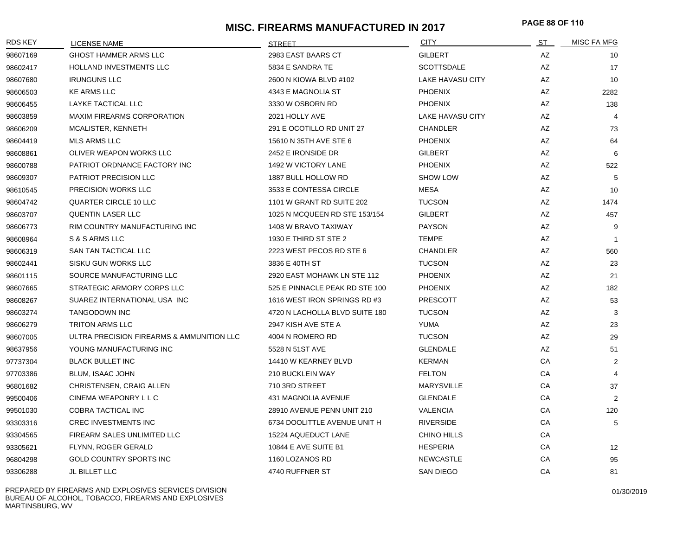## **MISC. FIREARMS MANUFACTURED IN 2017 PAGE 88 OF <sup>110</sup>**

| <b>RDS KEY</b> | <b>LICENSE NAME</b>                       | <b>STREET</b>                  | <b>CITY</b>             | ST | MISC FA MFG    |
|----------------|-------------------------------------------|--------------------------------|-------------------------|----|----------------|
| 98607169       | <b>GHOST HAMMER ARMS LLC</b>              | 2983 EAST BAARS CT             | <b>GILBERT</b>          | AZ | 10             |
| 98602417       | HOLLAND INVESTMENTS LLC                   | 5834 E SANDRA TE               | <b>SCOTTSDALE</b>       | AZ | 17             |
| 98607680       | <b>IRUNGUNS LLC</b>                       | 2600 N KIOWA BLVD #102         | <b>LAKE HAVASU CITY</b> | AZ | 10             |
| 98606503       | <b>KE ARMS LLC</b>                        | 4343 E MAGNOLIA ST             | <b>PHOENIX</b>          | AZ | 2282           |
| 98606455       | LAYKE TACTICAL LLC                        | 3330 W OSBORN RD               | <b>PHOENIX</b>          | AZ | 138            |
| 98603859       | <b>MAXIM FIREARMS CORPORATION</b>         | 2021 HOLLY AVE                 | <b>LAKE HAVASU CITY</b> | AZ | 4              |
| 98606209       | MCALISTER, KENNETH                        | 291 E OCOTILLO RD UNIT 27      | <b>CHANDLER</b>         | AZ | 73             |
| 98604419       | <b>MLS ARMS LLC</b>                       | 15610 N 35TH AVE STE 6         | <b>PHOENIX</b>          | AZ | 64             |
| 98608861       | OLIVER WEAPON WORKS LLC                   | 2452 E IRONSIDE DR             | GILBERT                 | AZ | 6              |
| 98600788       | PATRIOT ORDNANCE FACTORY INC              | 1492 W VICTORY LANE            | <b>PHOENIX</b>          | AZ | 522            |
| 98609307       | <b>PATRIOT PRECISION LLC</b>              | 1887 BULL HOLLOW RD            | <b>SHOW LOW</b>         | AZ | 5              |
| 98610545       | PRECISION WORKS LLC                       | 3533 E CONTESSA CIRCLE         | <b>MESA</b>             | AZ | 10             |
| 98604742       | <b>QUARTER CIRCLE 10 LLC</b>              | 1101 W GRANT RD SUITE 202      | <b>TUCSON</b>           | AZ | 1474           |
| 98603707       | <b>QUENTIN LASER LLC</b>                  | 1025 N MCQUEEN RD STE 153/154  | <b>GILBERT</b>          | AZ | 457            |
| 98606773       | RIM COUNTRY MANUFACTURING INC             | 1408 W BRAVO TAXIWAY           | <b>PAYSON</b>           | AZ | 9              |
| 98608964       | S & S ARMS LLC                            | 1930 E THIRD ST STE 2          | <b>TEMPE</b>            | AZ | $\overline{1}$ |
| 98606319       | SAN TAN TACTICAL LLC                      | 2223 WEST PECOS RD STE 6       | <b>CHANDLER</b>         | AZ | 560            |
| 98602441       | SISKU GUN WORKS LLC                       | 3836 E 40TH ST                 | <b>TUCSON</b>           | AZ | 23             |
| 98601115       | SOURCE MANUFACTURING LLC                  | 2920 EAST MOHAWK LN STE 112    | <b>PHOENIX</b>          | AZ | 21             |
| 98607665       | STRATEGIC ARMORY CORPS LLC                | 525 E PINNACLE PEAK RD STE 100 | <b>PHOENIX</b>          | AZ | 182            |
| 98608267       | SUAREZ INTERNATIONAL USA INC              | 1616 WEST IRON SPRINGS RD #3   | <b>PRESCOTT</b>         | AZ | 53             |
| 98603274       | <b>TANGODOWN INC</b>                      | 4720 N LACHOLLA BLVD SUITE 180 | <b>TUCSON</b>           | AZ | 3              |
| 98606279       | <b>TRITON ARMS LLC</b>                    | 2947 KISH AVE STE A            | YUMA                    | AZ | 23             |
| 98607005       | ULTRA PRECISION FIREARMS & AMMUNITION LLC | 4004 N ROMERO RD               | <b>TUCSON</b>           | AZ | 29             |
| 98637956       | YOUNG MANUFACTURING INC                   | 5528 N 51ST AVE                | <b>GLENDALE</b>         | AZ | 51             |
| 97737304       | <b>BLACK BULLET INC</b>                   | 14410 W KEARNEY BLVD           | <b>KERMAN</b>           | CA | 2              |
| 97703386       | BLUM, ISAAC JOHN                          | 210 BUCKLEIN WAY               | <b>FELTON</b>           | CA | 4              |
| 96801682       | CHRISTENSEN, CRAIG ALLEN                  | 710 3RD STREET                 | <b>MARYSVILLE</b>       | CA | 37             |
| 99500406       | CINEMA WEAPONRY L L C                     | 431 MAGNOLIA AVENUE            | <b>GLENDALE</b>         | СA | 2              |
| 99501030       | COBRA TACTICAL INC                        | 28910 AVENUE PENN UNIT 210     | <b>VALENCIA</b>         | CA | 120            |
| 93303316       | <b>CREC INVESTMENTS INC</b>               | 6734 DOOLITTLE AVENUE UNIT H   | <b>RIVERSIDE</b>        | СA | 5              |
| 93304565       | FIREARM SALES UNLIMITED LLC               | 15224 AQUEDUCT LANE            | CHINO HILLS             | CA |                |
| 93305621       | FLYNN, ROGER GERALD                       | 10844 E AVE SUITE B1           | <b>HESPERIA</b>         | СA | 12             |
| 96804298       | <b>GOLD COUNTRY SPORTS INC</b>            | 1160 LOZANOS RD                | <b>NEWCASTLE</b>        | СA | 95             |
| 93306288       | JL BILLET LLC                             | 4740 RUFFNER ST                | <b>SAN DIEGO</b>        | CA | 81             |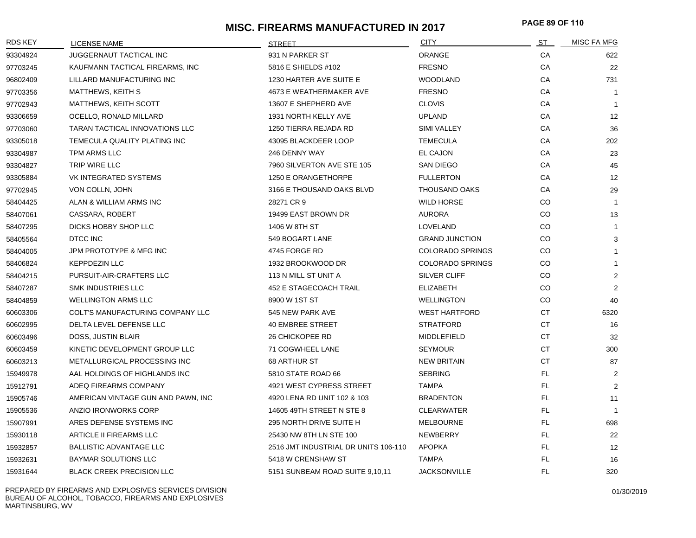# **MISC. FIREARMS MANUFACTURED IN 2017 PAGE 89 OF <sup>110</sup>**

| <b>RDS KEY</b> | LICENSE NAME                       | <b>STREET</b>                        | <b>CITY</b>             | ST        | <b>MISC FA MFG</b> |
|----------------|------------------------------------|--------------------------------------|-------------------------|-----------|--------------------|
| 93304924       | JUGGERNAUT TACTICAL INC            | 931 N PARKER ST                      | ORANGE                  | CA        | 622                |
| 97703245       | KAUFMANN TACTICAL FIREARMS, INC    | 5816 E SHIELDS #102                  | <b>FRESNO</b>           | CA        | 22                 |
| 96802409       | LILLARD MANUFACTURING INC          | 1230 HARTER AVE SUITE E              | <b>WOODLAND</b>         | CA        | 731                |
| 97703356       | <b>MATTHEWS, KEITH S</b>           | 4673 E WEATHERMAKER AVE              | <b>FRESNO</b>           | CA        | $\overline{1}$     |
| 97702943       | MATTHEWS, KEITH SCOTT              | 13607 E SHEPHERD AVE                 | <b>CLOVIS</b>           | CA        | $\overline{1}$     |
| 93306659       | OCELLO, RONALD MILLARD             | 1931 NORTH KELLY AVE                 | <b>UPLAND</b>           | CA        | 12                 |
| 97703060       | TARAN TACTICAL INNOVATIONS LLC     | 1250 TIERRA REJADA RD                | SIMI VALLEY             | CA        | 36                 |
| 93305018       | TEMECULA QUALITY PLATING INC       | 43095 BLACKDEER LOOP                 | <b>TEMECULA</b>         | CA        | 202                |
| 93304987       | TPM ARMS LLC                       | 246 DENNY WAY                        | EL CAJON                | CA        | 23                 |
| 93304827       | TRIP WIRE LLC                      | 7960 SILVERTON AVE STE 105           | <b>SAN DIEGO</b>        | CA        | 45                 |
| 93305884       | VK INTEGRATED SYSTEMS              | 1250 E ORANGETHORPE                  | <b>FULLERTON</b>        | CA        | 12                 |
| 97702945       | VON COLLN, JOHN                    | 3166 E THOUSAND OAKS BLVD            | <b>THOUSAND OAKS</b>    | CA        | 29                 |
| 58404425       | ALAN & WILLIAM ARMS INC            | 28271 CR 9                           | <b>WILD HORSE</b>       | CO        | $\overline{1}$     |
| 58407061       | CASSARA, ROBERT                    | 19499 EAST BROWN DR                  | <b>AURORA</b>           | CO.       | 13                 |
| 58407295       | DICKS HOBBY SHOP LLC               | 1406 W 8TH ST                        | LOVELAND                | CO.       | $\overline{1}$     |
| 58405564       | DTCC INC                           | 549 BOGART LANE                      | <b>GRAND JUNCTION</b>   | CO        | 3                  |
| 58404005       | JPM PROTOTYPE & MFG INC            | 4745 FORGE RD                        | <b>COLORADO SPRINGS</b> | CO        | 1                  |
| 58406824       | <b>KEPPDEZIN LLC</b>               | 1932 BROOKWOOD DR                    | <b>COLORADO SPRINGS</b> | <b>CO</b> | $\mathbf{1}$       |
| 58404215       | PURSUIT-AIR-CRAFTERS LLC           | 113 N MILL ST UNIT A                 | <b>SILVER CLIFF</b>     | CO        | $\overline{2}$     |
| 58407287       | <b>SMK INDUSTRIES LLC</b>          | 452 E STAGECOACH TRAIL               | <b>ELIZABETH</b>        | CO        | 2                  |
| 58404859       | <b>WELLINGTON ARMS LLC</b>         | 8900 W 1ST ST                        | <b>WELLINGTON</b>       | CO        | 40                 |
| 60603306       | COLT'S MANUFACTURING COMPANY LLC   | 545 NEW PARK AVE                     | <b>WEST HARTFORD</b>    | CT        | 6320               |
| 60602995       | DELTA LEVEL DEFENSE LLC            | <b>40 EMBREE STREET</b>              | <b>STRATFORD</b>        | CT.       | 16                 |
| 60603496       | DOSS, JUSTIN BLAIR                 | 26 CHICKOPEE RD                      | MIDDLEFIELD             | <b>CT</b> | 32                 |
| 60603459       | KINETIC DEVELOPMENT GROUP LLC      | 71 COGWHEEL LANE                     | <b>SEYMOUR</b>          | <b>CT</b> | 300                |
| 60603213       | METALLURGICAL PROCESSING INC       | 68 ARTHUR ST                         | <b>NEW BRITAIN</b>      | <b>CT</b> | 87                 |
| 15949978       | AAL HOLDINGS OF HIGHLANDS INC      | 5810 STATE ROAD 66                   | <b>SEBRING</b>          | FL.       | 2                  |
| 15912791       | ADEQ FIREARMS COMPANY              | 4921 WEST CYPRESS STREET             | <b>TAMPA</b>            | <b>FL</b> | 2                  |
| 15905746       | AMERICAN VINTAGE GUN AND PAWN, INC | 4920 LENA RD UNIT 102 & 103          | <b>BRADENTON</b>        | FL        | 11                 |
| 15905536       | ANZIO IRONWORKS CORP               | 14605 49TH STREET N STE 8            | <b>CLEARWATER</b>       | <b>FL</b> | $\overline{1}$     |
| 15907991       | ARES DEFENSE SYSTEMS INC           | 295 NORTH DRIVE SUITE H              | <b>MELBOURNE</b>        | FL        | 698                |
| 15930118       | ARTICLE II FIREARMS LLC            | 25430 NW 8TH LN STE 100              | NEWBERRY                | FL        | 22                 |
| 15932857       | <b>BALLISTIC ADVANTAGE LLC</b>     | 2516 JMT INDUSTRIAL DR UNITS 106-110 | <b>APOPKA</b>           | FL        | 12                 |
| 15932631       | <b>BAYMAR SOLUTIONS LLC</b>        | 5418 W CRENSHAW ST                   | <b>TAMPA</b>            | <b>FL</b> | 16                 |
| 15931644       | <b>BLACK CREEK PRECISION LLC</b>   | 5151 SUNBEAM ROAD SUITE 9,10,11      | <b>JACKSONVILLE</b>     | FL        | 320                |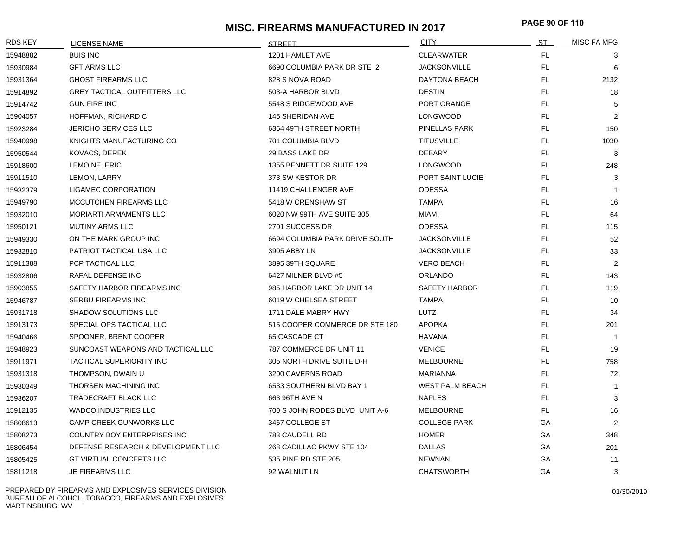# **MISC. FIREARMS MANUFACTURED IN 2017 PAGE 90 OF <sup>110</sup>**

| <b>RDS KEY</b> | <b>LICENSE NAME</b>                 | <b>STREET</b>                  | <b>CITY</b>            | ST  | MISC FA MFG    |
|----------------|-------------------------------------|--------------------------------|------------------------|-----|----------------|
| 15948882       | <b>BUIS INC</b>                     | 1201 HAMLET AVE                | <b>CLEARWATER</b>      | FL. | 3              |
| 15930984       | <b>GFT ARMS LLC</b>                 | 6690 COLUMBIA PARK DR STE 2    | <b>JACKSONVILLE</b>    | FL. | 6              |
| 15931364       | <b>GHOST FIREARMS LLC</b>           | 828 S NOVA ROAD                | DAYTONA BEACH          | FL. | 2132           |
| 15914892       | <b>GREY TACTICAL OUTFITTERS LLC</b> | 503-A HARBOR BLVD              | <b>DESTIN</b>          | FL. | 18             |
| 15914742       | <b>GUN FIRE INC</b>                 | 5548 S RIDGEWOOD AVE           | PORT ORANGE            | FL. | 5              |
| 15904057       | HOFFMAN, RICHARD C                  | 145 SHERIDAN AVE               | <b>LONGWOOD</b>        | FL. | 2              |
| 15923284       | <b>JERICHO SERVICES LLC</b>         | 6354 49TH STREET NORTH         | PINELLAS PARK          | FL. | 150            |
| 15940998       | KNIGHTS MANUFACTURING CO            | 701 COLUMBIA BLVD              | <b>TITUSVILLE</b>      | FL. | 1030           |
| 15950544       | KOVACS, DEREK                       | 29 BASS LAKE DR                | <b>DEBARY</b>          | FL. | 3              |
| 15918600       | LEMOINE, ERIC                       | 1355 BENNETT DR SUITE 129      | <b>LONGWOOD</b>        | FL. | 248            |
| 15911510       | LEMON, LARRY                        | 373 SW KESTOR DR               | PORT SAINT LUCIE       | FL. | 3              |
| 15932379       | LIGAMEC CORPORATION                 | 11419 CHALLENGER AVE           | <b>ODESSA</b>          | FL. | $\overline{1}$ |
| 15949790       | MCCUTCHEN FIREARMS LLC              | 5418 W CRENSHAW ST             | <b>TAMPA</b>           | FL. | 16             |
| 15932010       | <b>MORIARTI ARMAMENTS LLC</b>       | 6020 NW 99TH AVE SUITE 305     | MIAMI                  | FL. | 64             |
| 15950121       | <b>MUTINY ARMS LLC</b>              | 2701 SUCCESS DR                | <b>ODESSA</b>          | FL. | 115            |
| 15949330       | ON THE MARK GROUP INC               | 6694 COLUMBIA PARK DRIVE SOUTH | <b>JACKSONVILLE</b>    | FL. | 52             |
| 15932810       | PATRIOT TACTICAL USA LLC            | 3905 ABBY LN                   | <b>JACKSONVILLE</b>    | FL. | 33             |
| 15911388       | PCP TACTICAL LLC                    | 3895 39TH SQUARE               | <b>VERO BEACH</b>      | FL. | 2              |
| 15932806       | RAFAL DEFENSE INC                   | 6427 MILNER BLVD #5            | ORLANDO                | FL. | 143            |
| 15903855       | SAFETY HARBOR FIREARMS INC          | 985 HARBOR LAKE DR UNIT 14     | <b>SAFETY HARBOR</b>   | FL. | 119            |
| 15946787       | <b>SERBU FIREARMS INC</b>           | 6019 W CHELSEA STREET          | <b>TAMPA</b>           | FL. | 10             |
| 15931718       | SHADOW SOLUTIONS LLC                | 1711 DALE MABRY HWY            | LUTZ                   | FL. | 34             |
| 15913173       | SPECIAL OPS TACTICAL LLC            | 515 COOPER COMMERCE DR STE 180 | <b>APOPKA</b>          | FL. | 201            |
| 15940466       | SPOONER, BRENT COOPER               | 65 CASCADE CT                  | <b>HAVANA</b>          | FL. | $\overline{1}$ |
| 15948923       | SUNCOAST WEAPONS AND TACTICAL LLC   | 787 COMMERCE DR UNIT 11        | <b>VENICE</b>          | FL. | 19             |
| 15911971       | TACTICAL SUPERIORITY INC            | 305 NORTH DRIVE SUITE D-H      | <b>MELBOURNE</b>       | FL. | 758            |
| 15931318       | THOMPSON, DWAIN U                   | 3200 CAVERNS ROAD              | <b>MARIANNA</b>        | FL. | 72             |
| 15930349       | THORSEN MACHINING INC               | 6533 SOUTHERN BLVD BAY 1       | <b>WEST PALM BEACH</b> | FL. | $\mathbf{1}$   |
| 15936207       | TRADECRAFT BLACK LLC                | 663 96TH AVE N                 | <b>NAPLES</b>          | FL. | 3              |
| 15912135       | <b>WADCO INDUSTRIES LLC</b>         | 700 S JOHN RODES BLVD UNIT A-6 | <b>MELBOURNE</b>       | FL. | 16             |
| 15808613       | CAMP CREEK GUNWORKS LLC             | 3467 COLLEGE ST                | <b>COLLEGE PARK</b>    | GА  | 2              |
| 15808273       | COUNTRY BOY ENTERPRISES INC         | 783 CAUDELL RD                 | <b>HOMER</b>           | GA  | 348            |
| 15806454       | DEFENSE RESEARCH & DEVELOPMENT LLC  | 268 CADILLAC PKWY STE 104      | <b>DALLAS</b>          | GA  | 201            |
| 15805425       | <b>GT VIRTUAL CONCEPTS LLC</b>      | 535 PINE RD STE 205            | <b>NEWNAN</b>          | GA  | 11             |
| 15811218       | JE FIREARMS LLC                     | 92 WALNUT LN                   | <b>CHATSWORTH</b>      | GA  | 3              |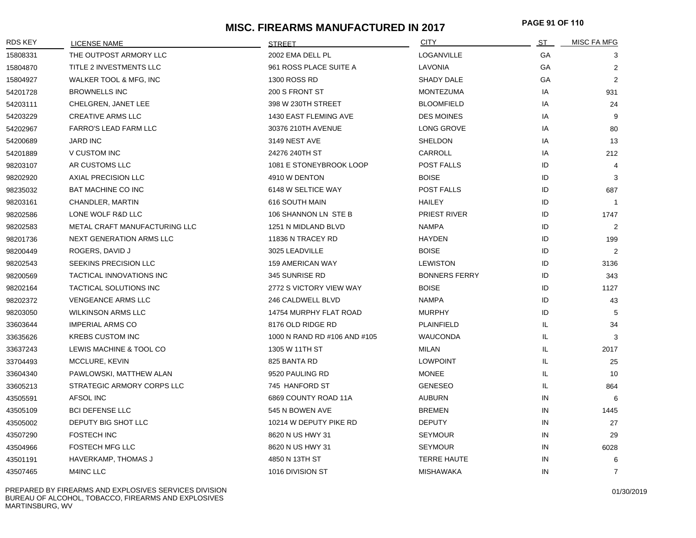# **MISC. FIREARMS MANUFACTURED IN 2017 PAGE 91 OF <sup>110</sup>**

| <b>RDS KEY</b> | <b>LICENSE NAME</b>           | <b>STREET</b>                | <b>CITY</b>          | ST        | <b>MISC FA MFG</b> |
|----------------|-------------------------------|------------------------------|----------------------|-----------|--------------------|
| 15808331       | THE OUTPOST ARMORY LLC        | 2002 EMA DELL PL             | LOGANVILLE           | <b>GA</b> | 3                  |
| 15804870       | TITLE 2 INVESTMENTS LLC       | 961 ROSS PLACE SUITE A       | LAVONIA              | GA        | $\overline{2}$     |
| 15804927       | WALKER TOOL & MFG, INC        | <b>1300 ROSS RD</b>          | <b>SHADY DALE</b>    | GA        | 2                  |
| 54201728       | <b>BROWNELLS INC</b>          | 200 S FRONT ST               | <b>MONTEZUMA</b>     | IA        | 931                |
| 54203111       | CHELGREN, JANET LEE           | 398 W 230TH STREET           | <b>BLOOMFIELD</b>    | IA        | 24                 |
| 54203229       | <b>CREATIVE ARMS LLC</b>      | 1430 EAST FLEMING AVE        | <b>DES MOINES</b>    | IA        | 9                  |
| 54202967       | <b>FARRO'S LEAD FARM LLC</b>  | 30376 210TH AVENUE           | LONG GROVE           | IA        | 80                 |
| 54200689       | <b>JARD INC</b>               | 3149 NEST AVE                | <b>SHELDON</b>       | IA        | 13                 |
| 54201889       | V CUSTOM INC                  | 24276 240TH ST               | CARROLL              | IA        | 212                |
| 98203107       | AR CUSTOMS LLC                | 1081 E STONEYBROOK LOOP      | <b>POST FALLS</b>    | ID        | 4                  |
| 98202920       | AXIAL PRECISION LLC           | 4910 W DENTON                | <b>BOISE</b>         | ID        | 3                  |
| 98235032       | <b>BAT MACHINE CO INC</b>     | 6148 W SELTICE WAY           | POST FALLS           | ID        | 687                |
| 98203161       | CHANDLER, MARTIN              | 616 SOUTH MAIN               | <b>HAILEY</b>        | ID        | $\overline{1}$     |
| 98202586       | LONE WOLF R&D LLC             | 106 SHANNON LN STE B         | <b>PRIEST RIVER</b>  | ID        | 1747               |
| 98202583       | METAL CRAFT MANUFACTURING LLC | 1251 N MIDLAND BLVD          | <b>NAMPA</b>         | ID        | $\overline{2}$     |
| 98201736       | NEXT GENERATION ARMS LLC      | 11836 N TRACEY RD            | <b>HAYDEN</b>        | ID        | 199                |
| 98200449       | ROGERS, DAVID J               | 3025 LEADVILLE               | <b>BOISE</b>         | ID        | $\overline{2}$     |
| 98202543       | SEEKINS PRECISION LLC         | <b>159 AMERICAN WAY</b>      | <b>LEWISTON</b>      | ID        | 3136               |
| 98200569       | TACTICAL INNOVATIONS INC      | 345 SUNRISE RD               | <b>BONNERS FERRY</b> | ID        | 343                |
| 98202164       | TACTICAL SOLUTIONS INC        | 2772 S VICTORY VIEW WAY      | <b>BOISE</b>         | ID        | 1127               |
| 98202372       | VENGEANCE ARMS LLC            | 246 CALDWELL BLVD            | <b>NAMPA</b>         | ID        | 43                 |
| 98203050       | <b>WILKINSON ARMS LLC</b>     | 14754 MURPHY FLAT ROAD       | <b>MURPHY</b>        | ID        | 5                  |
| 33603644       | <b>IMPERIAL ARMS CO</b>       | 8176 OLD RIDGE RD            | PLAINFIELD           | IL.       | 34                 |
| 33635626       | <b>KREBS CUSTOM INC</b>       | 1000 N RAND RD #106 AND #105 | <b>WAUCONDA</b>      | IL.       | 3                  |
| 33637243       | LEWIS MACHINE & TOOL CO       | 1305 W 11TH ST               | <b>MILAN</b>         | IL.       | 2017               |
| 33704493       | MCCLURE, KEVIN                | 825 BANTA RD                 | <b>LOWPOINT</b>      | IL.       | 25                 |
| 33604340       | PAWLOWSKI, MATTHEW ALAN       | 9520 PAULING RD              | <b>MONEE</b>         | IL.       | 10                 |
| 33605213       | STRATEGIC ARMORY CORPS LLC    | 745 HANFORD ST               | <b>GENESEO</b>       | IL.       | 864                |
| 43505591       | AFSOL INC                     | 6869 COUNTY ROAD 11A         | <b>AUBURN</b>        | IN        | 6                  |
| 43505109       | <b>BCI DEFENSE LLC</b>        | 545 N BOWEN AVE              | <b>BREMEN</b>        | IN        | 1445               |
| 43505002       | DEPUTY BIG SHOT LLC           | 10214 W DEPUTY PIKE RD       | <b>DEPUTY</b>        | IN        | 27                 |
| 43507290       | <b>FOSTECH INC</b>            | 8620 N US HWY 31             | <b>SEYMOUR</b>       | IN        | 29                 |
| 43504966       | <b>FOSTECH MFG LLC</b>        | 8620 N US HWY 31             | <b>SEYMOUR</b>       | IN        | 6028               |
| 43501191       | HAVERKAMP, THOMAS J           | 4850 N 13TH ST               | <b>TERRE HAUTE</b>   | IN        | 6                  |
| 43507465       | M4INC LLC                     | 1016 DIVISION ST             | <b>MISHAWAKA</b>     | IN        | $\overline{7}$     |

PREPARED BY FIREARMS AND EXPLOSIVES SERVICES DIVISION BUREAU OF ALCOHOL, TOBACCO, FIREARMS AND EXPLOSIVES MARTINSBURG, WV

01/30/2019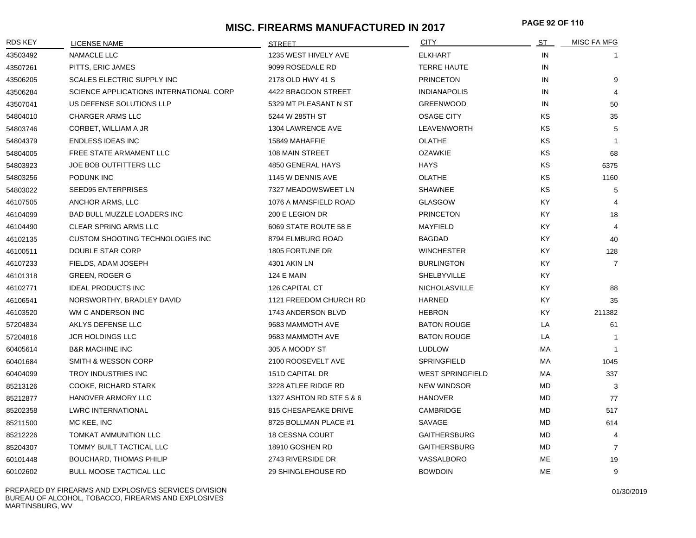## **MISC. FIREARMS MANUFACTURED IN 2017 PAGE 92 OF <sup>110</sup>**

| <b>RDS KEY</b> | LICENSE NAME                            | <b>STRFFT</b>            | <b>CITY</b>             | ST        | <b>MISC FA MFG</b> |
|----------------|-----------------------------------------|--------------------------|-------------------------|-----------|--------------------|
| 43503492       | NAMACLE LLC                             | 1235 WEST HIVELY AVE     | <b>ELKHART</b>          | IN        |                    |
| 43507261       | PITTS, ERIC JAMES                       | 9099 ROSEDALE RD         | <b>TERRE HAUTE</b>      | IN        |                    |
| 43506205       | <b>SCALES ELECTRIC SUPPLY INC</b>       | 2178 OLD HWY 41 S        | <b>PRINCETON</b>        | IN        | 9                  |
| 43506284       | SCIENCE APPLICATIONS INTERNATIONAL CORP | 4422 BRAGDON STREET      | <b>INDIANAPOLIS</b>     | IN        |                    |
| 43507041       | US DEFENSE SOLUTIONS LLP                | 5329 MT PLEASANT N ST    | <b>GREENWOOD</b>        | IN        | 50                 |
| 54804010       | <b>CHARGER ARMS LLC</b>                 | 5244 W 285TH ST          | <b>OSAGE CITY</b>       | ΚS        | 35                 |
| 54803746       | CORBET, WILLIAM A JR                    | 1304 LAWRENCE AVE        | LEAVENWORTH             | ΚS        | 5                  |
| 54804379       | <b>ENDLESS IDEAS INC</b>                | 15849 MAHAFFIE           | <b>OLATHE</b>           | ΚS        | $\overline{1}$     |
| 54804005       | FREE STATE ARMAMENT LLC                 | 108 MAIN STREET          | <b>OZAWKIE</b>          | <b>KS</b> | 68                 |
| 54803923       | JOE BOB OUTFITTERS LLC                  | 4850 GENERAL HAYS        | <b>HAYS</b>             | KS        | 6375               |
| 54803256       | PODUNK INC                              | 1145 W DENNIS AVE        | <b>OLATHE</b>           | KS.       | 1160               |
| 54803022       | <b>SEED95 ENTERPRISES</b>               | 7327 MEADOWSWEET LN      | <b>SHAWNEE</b>          | KS.       | 5                  |
| 46107505       | ANCHOR ARMS, LLC                        | 1076 A MANSFIELD ROAD    | <b>GLASGOW</b>          | KY.       |                    |
| 46104099       | BAD BULL MUZZLE LOADERS INC             | 200 E LEGION DR          | <b>PRINCETON</b>        | KY.       | 18                 |
| 46104490       | <b>CLEAR SPRING ARMS LLC</b>            | 6069 STATE ROUTE 58 E    | <b>MAYFIELD</b>         | KY.       | 4                  |
| 46102135       | <b>CUSTOM SHOOTING TECHNOLOGIES INC</b> | 8794 ELMBURG ROAD        | <b>BAGDAD</b>           | KY.       | 40                 |
| 46100511       | DOUBLE STAR CORP                        | 1805 FORTUNE DR          | <b>WINCHESTER</b>       | KY.       | 128                |
| 46107233       | FIELDS, ADAM JOSEPH                     | 4301 AKIN LN             | <b>BURLINGTON</b>       | KY.       | 7                  |
| 46101318       | <b>GREEN, ROGER G</b>                   | <b>124 E MAIN</b>        | <b>SHELBYVILLE</b>      | KY.       |                    |
| 46102771       | <b>IDEAL PRODUCTS INC</b>               | 126 CAPITAL CT           | <b>NICHOLASVILLE</b>    | ΚY        | 88                 |
| 46106541       | NORSWORTHY, BRADLEY DAVID               | 1121 FREEDOM CHURCH RD   | HARNED                  | KY        | 35                 |
| 46103520       | WM C ANDERSON INC                       | 1743 ANDERSON BLVD       | <b>HEBRON</b>           | KY.       | 211382             |
| 57204834       | AKLYS DEFENSE LLC                       | 9683 MAMMOTH AVE         | <b>BATON ROUGE</b>      | LA        | 61                 |
| 57204816       | <b>JCR HOLDINGS LLC</b>                 | 9683 MAMMOTH AVE         | <b>BATON ROUGE</b>      | LA        |                    |
| 60405614       | <b>B&amp;R MACHINE INC</b>              | 305 A MOODY ST           | <b>LUDLOW</b>           | MA        |                    |
| 60401684       | <b>SMITH &amp; WESSON CORP</b>          | 2100 ROOSEVELT AVE       | <b>SPRINGFIELD</b>      | MA        | 1045               |
| 60404099       | TROY INDUSTRIES INC                     | 151D CAPITAL DR          | <b>WEST SPRINGFIELD</b> | MA        | 337                |
| 85213126       | COOKE, RICHARD STARK                    | 3228 ATLEE RIDGE RD      | <b>NEW WINDSOR</b>      | MD        | 3                  |
| 85212877       | HANOVER ARMORY LLC                      | 1327 ASHTON RD STE 5 & 6 | <b>HANOVER</b>          | MD        | 77                 |
| 85202358       | <b>LWRC INTERNATIONAL</b>               | 815 CHESAPEAKE DRIVE     | CAMBRIDGE               | MD        | 517                |
| 85211500       | MC KEE, INC                             | 8725 BOLLMAN PLACE #1    | SAVAGE                  | MD        | 614                |
| 85212226       | <b>TOMKAT AMMUNITION LLC</b>            | <b>18 CESSNA COURT</b>   | <b>GAITHERSBURG</b>     | MD.       | 4                  |
| 85204307       | TOMMY BUILT TACTICAL LLC                | 18910 GOSHEN RD          | <b>GAITHERSBURG</b>     | MD        | $\overline{7}$     |
| 60101448       | <b>BOUCHARD, THOMAS PHILIP</b>          | 2743 RIVERSIDE DR        | VASSALBORO              | <b>ME</b> | 19                 |
| 60102602       | <b>BULL MOOSE TACTICAL LLC</b>          | 29 SHINGLEHOUSE RD       | <b>BOWDOIN</b>          | ME        | 9                  |

PREPARED BY FIREARMS AND EXPLOSIVES SERVICES DIVISION BUREAU OF ALCOHOL, TOBACCO, FIREARMS AND EXPLOSIVES MARTINSBURG, WV

01/30/2019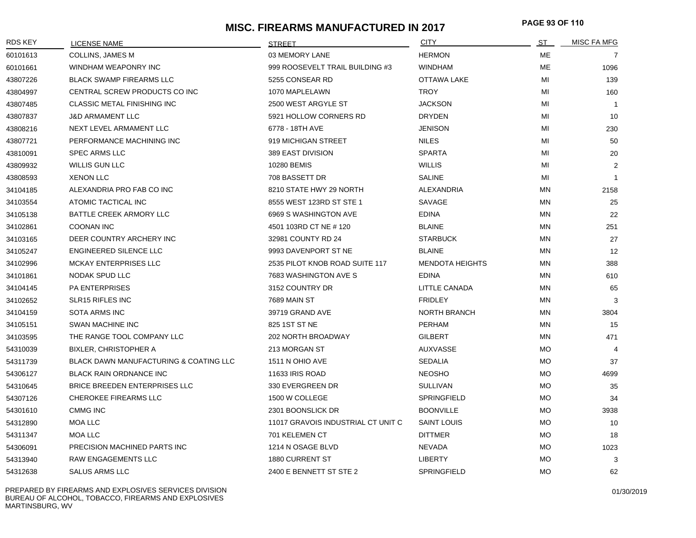# **MISC. FIREARMS MANUFACTURED IN 2017 PAGE 93 OF <sup>110</sup>**

| <b>RDS KEY</b> | <b>LICENSE NAME</b>                               | <b>STREET</b>                      | <b>CITY</b>            | ST        | <b>MISC FA MFG</b> |
|----------------|---------------------------------------------------|------------------------------------|------------------------|-----------|--------------------|
| 60101613       | COLLINS, JAMES M                                  | 03 MEMORY LANE                     | <b>HERMON</b>          | ME        | 7                  |
| 60101661       | WINDHAM WEAPONRY INC                              | 999 ROOSEVELT TRAIL BUILDING #3    | <b>WINDHAM</b>         | ME        | 1096               |
| 43807226       | <b>BLACK SWAMP FIREARMS LLC</b>                   | 5255 CONSEAR RD                    | OTTAWA LAKE            | MI        | 139                |
| 43804997       | CENTRAL SCREW PRODUCTS CO INC                     | 1070 MAPLELAWN                     | <b>TROY</b>            | MI        | 160                |
| 43807485       | <b>CLASSIC METAL FINISHING INC</b>                | 2500 WEST ARGYLE ST                | <b>JACKSON</b>         | MI        | $\overline{1}$     |
| 43807837       | <b>J&amp;D ARMAMENT LLC</b>                       | 5921 HOLLOW CORNERS RD             | <b>DRYDEN</b>          | MI        | 10                 |
| 43808216       | NEXT LEVEL ARMAMENT LLC                           | 6778 - 18TH AVE                    | <b>JENISON</b>         | MI        | 230                |
| 43807721       | PERFORMANCE MACHINING INC                         | 919 MICHIGAN STREET                | <b>NILES</b>           | MI        | 50                 |
| 43810091       | <b>SPEC ARMS LLC</b>                              | 389 EAST DIVISION                  | <b>SPARTA</b>          | MI        | 20                 |
| 43809932       | WILLIS GUN LLC                                    | 10280 BEMIS                        | <b>WILLIS</b>          | MI        | 2                  |
| 43808593       | <b>XENON LLC</b>                                  | 708 BASSETT DR                     | <b>SALINE</b>          | MI        | $\overline{1}$     |
| 34104185       | ALEXANDRIA PRO FAB CO INC                         | 8210 STATE HWY 29 NORTH            | ALEXANDRIA             | ΜN        | 2158               |
| 34103554       | ATOMIC TACTICAL INC                               | 8555 WEST 123RD ST STE 1           | SAVAGE                 | ΜN        | 25                 |
| 34105138       | BATTLE CREEK ARMORY LLC                           | 6969 S WASHINGTON AVE              | <b>EDINA</b>           | ΜN        | 22                 |
| 34102861       | <b>COONAN INC</b>                                 | 4501 103RD CT NE #120              | <b>BLAINE</b>          | ΜN        | 251                |
| 34103165       | DEER COUNTRY ARCHERY INC                          | 32981 COUNTY RD 24                 | <b>STARBUCK</b>        | ΜN        | 27                 |
| 34105247       | <b>ENGINEERED SILENCE LLC</b>                     | 9993 DAVENPORT ST NE               | <b>BLAINE</b>          | ΜN        | 12                 |
| 34102996       | MCKAY ENTERPRISES LLC                             | 2535 PILOT KNOB ROAD SUITE 117     | <b>MENDOTA HEIGHTS</b> | ΜN        | 388                |
| 34101861       | NODAK SPUD LLC                                    | 7683 WASHINGTON AVE S              | <b>EDINA</b>           | ΜN        | 610                |
| 34104145       | <b>PA ENTERPRISES</b>                             | 3152 COUNTRY DR                    | LITTLE CANADA          | ΜN        | 65                 |
| 34102652       | <b>SLR15 RIFLES INC</b>                           | 7689 MAIN ST                       | <b>FRIDLEY</b>         | ΜN        | 3                  |
| 34104159       | <b>SOTA ARMS INC</b>                              | 39719 GRAND AVE                    | <b>NORTH BRANCH</b>    | ΜN        | 3804               |
| 34105151       | <b>SWAN MACHINE INC</b>                           | 825 1ST ST NE                      | <b>PERHAM</b>          | ΜN        | 15                 |
| 34103595       | THE RANGE TOOL COMPANY LLC                        | <b>202 NORTH BROADWAY</b>          | <b>GILBERT</b>         | ΜN        | 471                |
| 54310039       | <b>BIXLER, CHRISTOPHER A</b>                      | 213 MORGAN ST                      | AUXVASSE               | МO        | $\overline{4}$     |
| 54311739       | <b>BLACK DAWN MANUFACTURING &amp; COATING LLC</b> | 1511 N OHIO AVE                    | <b>SEDALIA</b>         | MO.       | 37                 |
| 54306127       | <b>BLACK RAIN ORDNANCE INC</b>                    | 11633 IRIS ROAD                    | <b>NEOSHO</b>          | МO        | 4699               |
| 54310645       | BRICE BREEDEN ENTERPRISES LLC                     | 330 EVERGREEN DR                   | <b>SULLIVAN</b>        | <b>MO</b> | 35                 |
| 54307126       | <b>CHEROKEE FIREARMS LLC</b>                      | 1500 W COLLEGE                     | <b>SPRINGFIELD</b>     | <b>MO</b> | 34                 |
| 54301610       | <b>CMMG INC</b>                                   | 2301 BOONSLICK DR                  | <b>BOONVILLE</b>       | МO        | 3938               |
| 54312890       | <b>MOA LLC</b>                                    | 11017 GRAVOIS INDUSTRIAL CT UNIT C | <b>SAINT LOUIS</b>     | МO        | 10                 |
| 54311347       | MOA LLC                                           | 701 KELEMEN CT                     | <b>DITTMER</b>         | МO        | 18                 |
| 54306091       | PRECISION MACHINED PARTS INC                      | 1214 N OSAGE BLVD                  | NEVADA                 | МO        | 1023               |
| 54313940       | RAW ENGAGEMENTS LLC                               | <b>1880 CURRENT ST</b>             | <b>LIBERTY</b>         | <b>MO</b> | 3                  |
| 54312638       | <b>SALUS ARMS LLC</b>                             | 2400 E BENNETT ST STE 2            | <b>SPRINGFIELD</b>     | <b>MO</b> | 62                 |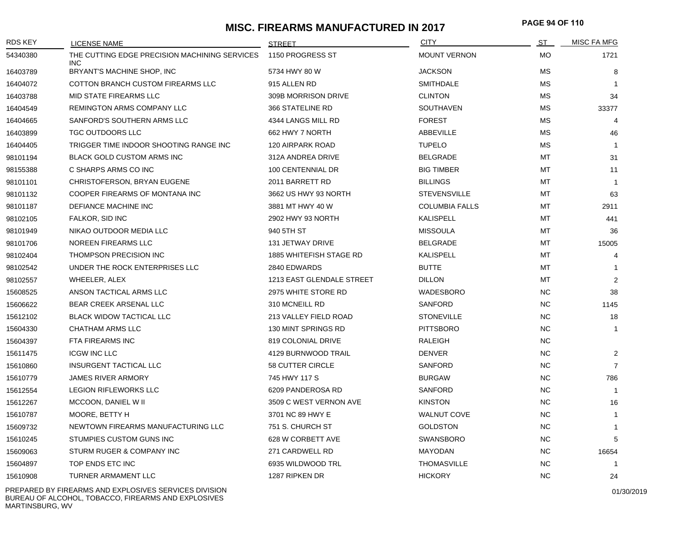# **MISC. FIREARMS MANUFACTURED IN 2017 PAGE 94 OF <sup>110</sup>**

| MOUNT VERNON<br>THE CUTTING EDGE PRECISION MACHINING SERVICES<br>1150 PROGRESS ST<br>54340380<br><b>INC</b><br>BRYANT'S MACHINE SHOP, INC<br>5734 HWY 80 W<br><b>JACKSON</b><br>16403789<br>COTTON BRANCH CUSTOM FIREARMS LLC<br>915 ALLEN RD<br><b>SMITHDALE</b><br>16404072<br>MID STATE FIREARMS LLC<br>309B MORRISON DRIVE<br><b>CLINTON</b><br>16403788<br>REMINGTON ARMS COMPANY LLC<br>366 STATELINE RD<br>SOUTHAVEN<br>16404549 | <b>MO</b><br>МS<br>МS<br>МS<br><b>MS</b><br><b>MS</b><br><b>MS</b><br>МS<br>МT<br>MT<br>MT | 1721<br>8<br>$\overline{1}$<br>34<br>33377<br>4<br>46<br>$\overline{1}$<br>31 |
|-----------------------------------------------------------------------------------------------------------------------------------------------------------------------------------------------------------------------------------------------------------------------------------------------------------------------------------------------------------------------------------------------------------------------------------------|--------------------------------------------------------------------------------------------|-------------------------------------------------------------------------------|
|                                                                                                                                                                                                                                                                                                                                                                                                                                         |                                                                                            |                                                                               |
|                                                                                                                                                                                                                                                                                                                                                                                                                                         |                                                                                            |                                                                               |
|                                                                                                                                                                                                                                                                                                                                                                                                                                         |                                                                                            |                                                                               |
|                                                                                                                                                                                                                                                                                                                                                                                                                                         |                                                                                            |                                                                               |
|                                                                                                                                                                                                                                                                                                                                                                                                                                         |                                                                                            |                                                                               |
| 16404665<br>SANFORD'S SOUTHERN ARMS LLC<br>4344 LANGS MILL RD<br><b>FOREST</b>                                                                                                                                                                                                                                                                                                                                                          |                                                                                            |                                                                               |
| <b>TGC OUTDOORS LLC</b><br>ABBEVILLE<br>16403899<br>662 HWY 7 NORTH                                                                                                                                                                                                                                                                                                                                                                     |                                                                                            |                                                                               |
| TRIGGER TIME INDOOR SHOOTING RANGE INC<br>120 AIRPARK ROAD<br><b>TUPELO</b><br>16404405                                                                                                                                                                                                                                                                                                                                                 |                                                                                            |                                                                               |
| <b>BLACK GOLD CUSTOM ARMS INC</b><br><b>BELGRADE</b><br>98101194<br>312A ANDREA DRIVE                                                                                                                                                                                                                                                                                                                                                   |                                                                                            |                                                                               |
| C SHARPS ARMS CO INC<br>100 CENTENNIAL DR<br><b>BIG TIMBER</b><br>98155388                                                                                                                                                                                                                                                                                                                                                              |                                                                                            | 11                                                                            |
| 2011 BARRETT RD<br><b>BILLINGS</b><br>98101101<br>CHRISTOFERSON, BRYAN EUGENE                                                                                                                                                                                                                                                                                                                                                           |                                                                                            | $\overline{1}$                                                                |
| COOPER FIREARMS OF MONTANA INC<br>3662 US HWY 93 NORTH<br><b>STEVENSVILLE</b><br>98101132                                                                                                                                                                                                                                                                                                                                               | MT                                                                                         | 63                                                                            |
| 98101187<br>DEFIANCE MACHINE INC<br>3881 MT HWY 40 W<br><b>COLUMBIA FALLS</b>                                                                                                                                                                                                                                                                                                                                                           | MT                                                                                         | 2911                                                                          |
| FALKOR, SID INC<br>2902 HWY 93 NORTH<br><b>KALISPELL</b><br>98102105                                                                                                                                                                                                                                                                                                                                                                    | MT                                                                                         | 441                                                                           |
| NIKAO OUTDOOR MEDIA LLC<br>940 5TH ST<br><b>MISSOULA</b><br>98101949                                                                                                                                                                                                                                                                                                                                                                    | MT                                                                                         | 36                                                                            |
| <b>NOREEN FIREARMS LLC</b><br>98101706<br><b>131 JETWAY DRIVE</b><br><b>BELGRADE</b>                                                                                                                                                                                                                                                                                                                                                    | <b>MT</b>                                                                                  | 15005                                                                         |
| THOMPSON PRECISION INC<br>1885 WHITEFISH STAGE RD<br><b>KALISPELL</b><br>98102404                                                                                                                                                                                                                                                                                                                                                       | MT                                                                                         | 4                                                                             |
| UNDER THE ROCK ENTERPRISES LLC<br>2840 EDWARDS<br><b>BUTTE</b><br>98102542                                                                                                                                                                                                                                                                                                                                                              | MT                                                                                         | $\mathbf{1}$                                                                  |
| WHEELER, ALEX<br>1213 EAST GLENDALE STREET<br><b>DILLON</b><br>98102557                                                                                                                                                                                                                                                                                                                                                                 | МT                                                                                         | 2                                                                             |
| ANSON TACTICAL ARMS LLC<br>2975 WHITE STORE RD<br>WADESBORO<br>15608525                                                                                                                                                                                                                                                                                                                                                                 | NC.                                                                                        | 38                                                                            |
| 15606622<br><b>BEAR CREEK ARSENAL LLC</b><br>310 MCNEILL RD<br><b>SANFORD</b>                                                                                                                                                                                                                                                                                                                                                           | NC.                                                                                        | 1145                                                                          |
| <b>BLACK WIDOW TACTICAL LLC</b><br>213 VALLEY FIELD ROAD<br><b>STONEVILLE</b><br>15612102                                                                                                                                                                                                                                                                                                                                               | <b>NC</b>                                                                                  | 18                                                                            |
| <b>CHATHAM ARMS LLC</b><br>130 MINT SPRINGS RD<br><b>PITTSBORO</b><br>15604330                                                                                                                                                                                                                                                                                                                                                          | NC.                                                                                        | $\mathbf{1}$                                                                  |
| FTA FIREARMS INC<br>819 COLONIAL DRIVE<br>RALEIGH<br>15604397                                                                                                                                                                                                                                                                                                                                                                           | <b>NC</b>                                                                                  |                                                                               |
| <b>ICGW INC LLC</b><br>4129 BURNWOOD TRAIL<br><b>DENVER</b><br>15611475                                                                                                                                                                                                                                                                                                                                                                 | <b>NC</b>                                                                                  | 2                                                                             |
| <b>INSURGENT TACTICAL LLC</b><br>58 CUTTER CIRCLE<br>15610860<br><b>SANFORD</b>                                                                                                                                                                                                                                                                                                                                                         | <b>NC</b>                                                                                  | $\overline{7}$                                                                |
| <b>JAMES RIVER ARMORY</b><br>745 HWY 117 S<br><b>BURGAW</b><br>15610779                                                                                                                                                                                                                                                                                                                                                                 | <b>NC</b>                                                                                  | 786                                                                           |
| <b>LEGION RIFLEWORKS LLC</b><br>6209 PANDEROSA RD<br><b>SANFORD</b><br>15612554                                                                                                                                                                                                                                                                                                                                                         | <b>NC</b>                                                                                  | $\overline{1}$                                                                |
| MCCOON, DANIEL W II<br>3509 C WEST VERNON AVE<br><b>KINSTON</b><br>15612267                                                                                                                                                                                                                                                                                                                                                             | <b>NC</b>                                                                                  | 16                                                                            |
| 15610787<br>MOORE, BETTY H<br>3701 NC 89 HWY E<br><b>WALNUT COVE</b>                                                                                                                                                                                                                                                                                                                                                                    | <b>NC</b>                                                                                  | $\mathbf{1}$                                                                  |
| 15609732<br>NEWTOWN FIREARMS MANUFACTURING LLC<br>751 S. CHURCH ST<br><b>GOLDSTON</b>                                                                                                                                                                                                                                                                                                                                                   | <b>NC</b>                                                                                  | $\mathbf{1}$                                                                  |
| STUMPIES CUSTOM GUNS INC<br>628 W CORBETT AVE<br><b>SWANSBORO</b><br>15610245                                                                                                                                                                                                                                                                                                                                                           | <b>NC</b>                                                                                  | 5                                                                             |
| STURM RUGER & COMPANY INC<br>271 CARDWELL RD<br><b>MAYODAN</b><br>15609063                                                                                                                                                                                                                                                                                                                                                              | <b>NC</b>                                                                                  | 16654                                                                         |
| TOP ENDS ETC INC<br>6935 WILDWOOD TRL<br>15604897<br><b>THOMASVILLE</b>                                                                                                                                                                                                                                                                                                                                                                 | <b>NC</b>                                                                                  | $\overline{1}$                                                                |
| <b>TURNER ARMAMENT LLC</b><br>1287 RIPKEN DR<br><b>HICKORY</b><br>15610908                                                                                                                                                                                                                                                                                                                                                              | <b>NC</b>                                                                                  | 24                                                                            |

PREPARED BY FIREARMS AND EXPLOSIVES SERVICES DIVISION BUREAU OF ALCOHOL, TOBACCO, FIREARMS AND EXPLOSIVES MARTINSBURG, WV

01/30/2019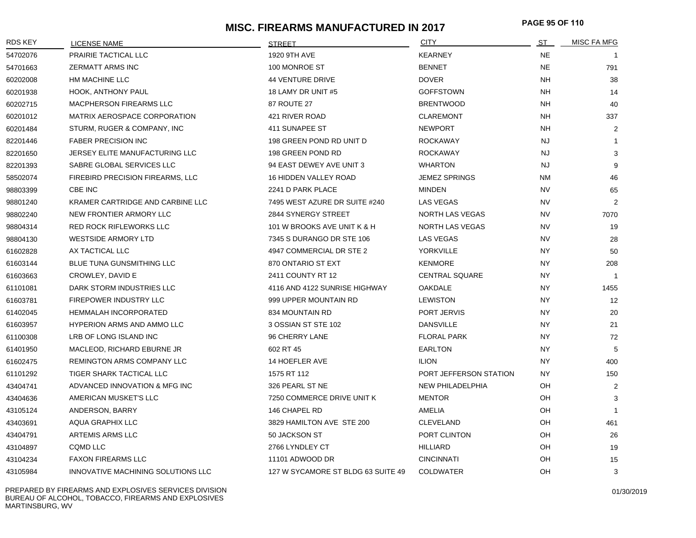# **MISC. FIREARMS MANUFACTURED IN 2017 PAGE 95 OF <sup>110</sup>**

| <b>RDS KEY</b> | <b>LICENSE NAME</b>                | <b>STREET</b>                      | <b>CITY</b>            | ST        | <b>MISC FA MFG</b> |
|----------------|------------------------------------|------------------------------------|------------------------|-----------|--------------------|
| 54702076       | <b>PRAIRIE TACTICAL LLC</b>        | 1920 9TH AVE                       | <b>KEARNEY</b>         | <b>NE</b> |                    |
| 54701663       | <b>ZERMATT ARMS INC</b>            | 100 MONROE ST                      | <b>BENNET</b>          | <b>NE</b> | 791                |
| 60202008       | HM MACHINE LLC                     | <b>44 VENTURE DRIVE</b>            | <b>DOVER</b>           | <b>NH</b> | 38                 |
| 60201938       | <b>HOOK, ANTHONY PAUL</b>          | 18 LAMY DR UNIT #5                 | <b>GOFFSTOWN</b>       | NH.       | 14                 |
| 60202715       | <b>MACPHERSON FIREARMS LLC</b>     | <b>87 ROUTE 27</b>                 | <b>BRENTWOOD</b>       | <b>NH</b> | 40                 |
| 60201012       | MATRIX AEROSPACE CORPORATION       | 421 RIVER ROAD                     | <b>CLAREMONT</b>       | <b>NH</b> | 337                |
| 60201484       | STURM, RUGER & COMPANY, INC        | 411 SUNAPEE ST                     | <b>NEWPORT</b>         | <b>NH</b> | 2                  |
| 82201446       | <b>FABER PRECISION INC</b>         | 198 GREEN POND RD UNIT D           | <b>ROCKAWAY</b>        | <b>NJ</b> | -1                 |
| 82201650       | JERSEY ELITE MANUFACTURING LLC     | 198 GREEN POND RD                  | <b>ROCKAWAY</b>        | <b>NJ</b> | 3                  |
| 82201393       | SABRE GLOBAL SERVICES LLC          | 94 EAST DEWEY AVE UNIT 3           | <b>WHARTON</b>         | <b>NJ</b> | 9                  |
| 58502074       | FIREBIRD PRECISION FIREARMS, LLC   | 16 HIDDEN VALLEY ROAD              | <b>JEMEZ SPRINGS</b>   | <b>NM</b> | 46                 |
| 98803399       | CBE INC                            | 2241 D PARK PLACE                  | <b>MINDEN</b>          | <b>NV</b> | 65                 |
| 98801240       | KRAMER CARTRIDGE AND CARBINE LLC   | 7495 WEST AZURE DR SUITE #240      | <b>LAS VEGAS</b>       | <b>NV</b> | $\overline{2}$     |
| 98802240       | NEW FRONTIER ARMORY LLC            | 2844 SYNERGY STREET                | NORTH LAS VEGAS        | <b>NV</b> | 7070               |
| 98804314       | RED ROCK RIFLEWORKS LLC            | 101 W BROOKS AVE UNIT K & H        | NORTH LAS VEGAS        | <b>NV</b> | 19                 |
| 98804130       | <b>WESTSIDE ARMORY LTD</b>         | 7345 S DURANGO DR STE 106          | LAS VEGAS              | <b>NV</b> | 28                 |
| 61602828       | AX TACTICAL LLC                    | 4947 COMMERCIAL DR STE 2           | <b>YORKVILLE</b>       | <b>NY</b> | 50                 |
| 61603144       | BLUE TUNA GUNSMITHING LLC          | 870 ONTARIO ST EXT                 | <b>KENMORE</b>         | <b>NY</b> | 208                |
| 61603663       | CROWLEY, DAVID E                   | 2411 COUNTY RT 12                  | <b>CENTRAL SQUARE</b>  | NY        | $\mathbf{1}$       |
| 61101081       | DARK STORM INDUSTRIES LLC          | 4116 AND 4122 SUNRISE HIGHWAY      | <b>OAKDALE</b>         | <b>NY</b> | 1455               |
| 61603781       | FIREPOWER INDUSTRY LLC             | 999 UPPER MOUNTAIN RD              | <b>LEWISTON</b>        | <b>NY</b> | 12                 |
| 61402045       | <b>HEMMALAH INCORPORATED</b>       | 834 MOUNTAIN RD                    | PORT JERVIS            | <b>NY</b> | 20                 |
| 61603957       | <b>HYPERION ARMS AND AMMO LLC</b>  | 3 OSSIAN ST STE 102                | <b>DANSVILLE</b>       | NY        | 21                 |
| 61100308       | LRB OF LONG ISLAND INC             | 96 CHERRY LANE                     | <b>FLORAL PARK</b>     | NY.       | 72                 |
| 61401950       | MACLEOD, RICHARD EBURNE JR         | 602 RT 45                          | <b>EARLTON</b>         | NY        | 5                  |
| 61602475       | REMINGTON ARMS COMPANY LLC         | 14 HOEFLER AVE                     | <b>ILION</b>           | NY        | 400                |
| 61101292       | TIGER SHARK TACTICAL LLC           | 1575 RT 112                        | PORT JEFFERSON STATION | NY.       | 150                |
| 43404741       | ADVANCED INNOVATION & MFG INC      | 326 PEARL ST NE                    | NEW PHILADELPHIA       | OН        | 2                  |
| 43404636       | AMERICAN MUSKET'S LLC              | 7250 COMMERCE DRIVE UNIT K         | <b>MENTOR</b>          | OH        | 3                  |
| 43105124       | ANDERSON, BARRY                    | 146 CHAPEL RD                      | AMELIA                 | OH        | $\overline{1}$     |
| 43403691       | <b>AQUA GRAPHIX LLC</b>            | 3829 HAMILTON AVE STE 200          | <b>CLEVELAND</b>       | OH        | 461                |
| 43404791       | ARTEMIS ARMS LLC                   | 50 JACKSON ST                      | PORT CLINTON           | OH        | 26                 |
| 43104897       | <b>CQMD LLC</b>                    | 2766 LYNDLEY CT                    | <b>HILLIARD</b>        | OH        | 19                 |
| 43104234       | <b>FAXON FIREARMS LLC</b>          | 11101 ADWOOD DR                    | <b>CINCINNATI</b>      | OH        | 15                 |
| 43105984       | INNOVATIVE MACHINING SOLUTIONS LLC | 127 W SYCAMORE ST BLDG 63 SUITE 49 | <b>COLDWATER</b>       | OH        | 3                  |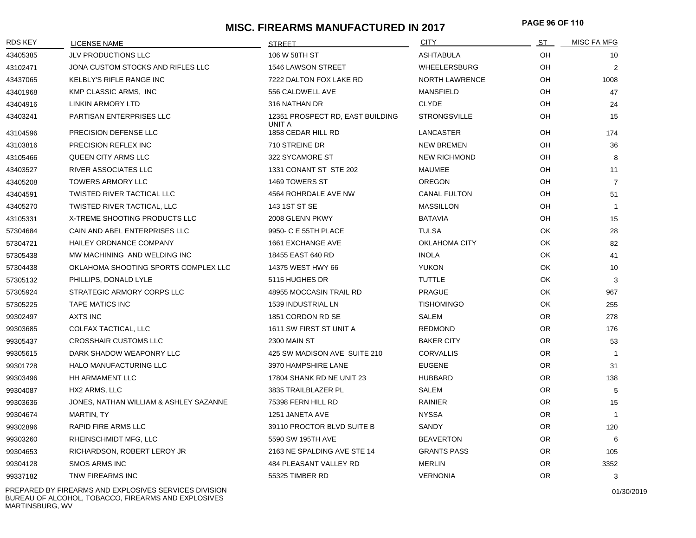# **MISC. FIREARMS MANUFACTURED IN 2017 PAGE 96 OF <sup>110</sup>**

| <b>RDS KEY</b> | <b>LICENSE NAME</b>                    | <b>STREET</b>                              | <b>CITY</b>           | ST        | MISC FA MFG    |
|----------------|----------------------------------------|--------------------------------------------|-----------------------|-----------|----------------|
| 43405385       | <b>JLV PRODUCTIONS LLC</b>             | 106 W 58TH ST                              | <b>ASHTABULA</b>      | OH        | 10             |
| 43102471       | JONA CUSTOM STOCKS AND RIFLES LLC      | 1546 LAWSON STREET                         | <b>WHEELERSBURG</b>   | OH        | 2              |
| 43437065       | KELBLY'S RIFLE RANGE INC               | 7222 DALTON FOX LAKE RD                    | <b>NORTH LAWRENCE</b> | OH        | 1008           |
| 43401968       | KMP CLASSIC ARMS, INC                  | 556 CALDWELL AVE                           | <b>MANSFIELD</b>      | OH        | 47             |
| 43404916       | LINKIN ARMORY LTD                      | 316 NATHAN DR                              | <b>CLYDE</b>          | OH        | 24             |
| 43403241       | PARTISAN ENTERPRISES LLC               | 12351 PROSPECT RD, EAST BUILDING<br>UNIT A | <b>STRONGSVILLE</b>   | OH        | 15             |
| 43104596       | PRECISION DEFENSE LLC                  | 1858 CEDAR HILL RD                         | LANCASTER             | OH        | 174            |
| 43103816       | PRECISION REFLEX INC                   | 710 STREINE DR                             | <b>NEW BREMEN</b>     | OH        | 36             |
| 43105466       | <b>QUEEN CITY ARMS LLC</b>             | 322 SYCAMORE ST                            | <b>NEW RICHMOND</b>   | OH        | 8              |
| 43403527       | RIVER ASSOCIATES LLC                   | 1331 CONANT ST STE 202                     | MAUMEE                | OH        | 11             |
| 43405208       | <b>TOWERS ARMORY LLC</b>               | 1469 TOWERS ST                             | <b>OREGON</b>         | OH        | $\overline{7}$ |
| 43404591       | <b>TWISTED RIVER TACTICAL LLC</b>      | 4564 ROHRDALE AVE NW                       | <b>CANAL FULTON</b>   | OH        | 51             |
| 43405270       | TWISTED RIVER TACTICAL, LLC            | 143 1ST ST SE                              | <b>MASSILLON</b>      | OH        | $\overline{1}$ |
| 43105331       | X-TREME SHOOTING PRODUCTS LLC          | 2008 GLENN PKWY                            | <b>BATAVIA</b>        | OH        | 15             |
| 57304684       | CAIN AND ABEL ENTERPRISES LLC          | 9950- C E 55TH PLACE                       | <b>TULSA</b>          | OK        | 28             |
| 57304721       | <b>HAILEY ORDNANCE COMPANY</b>         | 1661 EXCHANGE AVE                          | <b>OKLAHOMA CITY</b>  | OK        | 82             |
| 57305438       | MW MACHINING AND WELDING INC           | 18455 EAST 640 RD                          | <b>INOLA</b>          | OK        | 41             |
| 57304438       | OKLAHOMA SHOOTING SPORTS COMPLEX LLC   | 14375 WEST HWY 66                          | <b>YUKON</b>          | OK        | 10             |
| 57305132       | PHILLIPS, DONALD LYLE                  | 5115 HUGHES DR                             | <b>TUTTLE</b>         | OK        | 3              |
| 57305924       | STRATEGIC ARMORY CORPS LLC             | 48955 MOCCASIN TRAIL RD                    | <b>PRAGUE</b>         | OK        | 967            |
| 57305225       | <b>TAPE MATICS INC</b>                 | <b>1539 INDUSTRIAL LN</b>                  | <b>TISHOMINGO</b>     | OK        | 255            |
| 99302497       | <b>AXTS INC</b>                        | 1851 CORDON RD SE                          | <b>SALEM</b>          | <b>OR</b> | 278            |
| 99303685       | COLFAX TACTICAL, LLC                   | 1611 SW FIRST ST UNIT A                    | <b>REDMOND</b>        | OR.       | 176            |
| 99305437       | <b>CROSSHAIR CUSTOMS LLC</b>           | <b>2300 MAIN ST</b>                        | <b>BAKER CITY</b>     | <b>OR</b> | 53             |
| 99305615       | DARK SHADOW WEAPONRY LLC               | 425 SW MADISON AVE SUITE 210               | <b>CORVALLIS</b>      | <b>OR</b> | $\overline{1}$ |
| 99301728       | HALO MANUFACTURING LLC                 | 3970 HAMPSHIRE LANE                        | <b>EUGENE</b>         | <b>OR</b> | 31             |
| 99303496       | HH ARMAMENT LLC                        | 17804 SHANK RD NE UNIT 23                  | <b>HUBBARD</b>        | <b>OR</b> | 138            |
| 99304087       | HX2 ARMS, LLC                          | 3835 TRAILBLAZER PL                        | SALEM                 | OR        | -5             |
| 99303636       | JONES, NATHAN WILLIAM & ASHLEY SAZANNE | 75398 FERN HILL RD                         | RAINIER               | <b>OR</b> | 15             |
| 99304674       | MARTIN, TY                             | 1251 JANETA AVE                            | <b>NYSSA</b>          | <b>OR</b> | $\overline{1}$ |
| 99302896       | <b>RAPID FIRE ARMS LLC</b>             | 39110 PROCTOR BLVD SUITE B                 | <b>SANDY</b>          | <b>OR</b> | 120            |
| 99303260       | RHEINSCHMIDT MFG, LLC                  | 5590 SW 195TH AVE                          | <b>BEAVERTON</b>      | <b>OR</b> | 6              |
| 99304653       | RICHARDSON, ROBERT LEROY JR            | 2163 NE SPALDING AVE STE 14                | <b>GRANTS PASS</b>    | <b>OR</b> | 105            |
| 99304128       | <b>SMOS ARMS INC</b>                   | 484 PLEASANT VALLEY RD                     | <b>MERLIN</b>         | <b>OR</b> | 3352           |
| 99337182       | TNW FIREARMS INC                       | 55325 TIMBER RD                            | <b>VERNONIA</b>       | <b>OR</b> | 3              |

PREPARED BY FIREARMS AND EXPLOSIVES SERVICES DIVISION BUREAU OF ALCOHOL, TOBACCO, FIREARMS AND EXPLOSIVES MARTINSBURG, WV

01/30/2019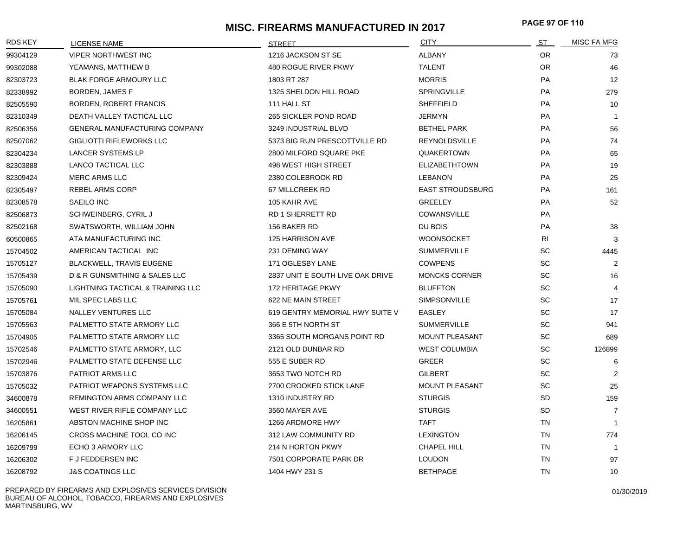# **MISC. FIREARMS MANUFACTURED IN 2017 PAGE 97 OF <sup>110</sup>**

| <b>RDS KEY</b> | <b>LICENSE NAME</b>                  | <b>STREET</b>                    | <b>CITY</b>             | <u>ST _</u> | <b>MISC FA MFG</b> |
|----------------|--------------------------------------|----------------------------------|-------------------------|-------------|--------------------|
| 99304129       | <b>VIPER NORTHWEST INC</b>           | 1216 JACKSON ST SE               | <b>ALBANY</b>           | OR.         | 73                 |
| 99302088       | YEAMANS, MATTHEW B                   | 480 ROGUE RIVER PKWY             | <b>TALENT</b>           | OR.         | 46                 |
| 82303723       | <b>BLAK FORGE ARMOURY LLC</b>        | 1803 RT 287                      | <b>MORRIS</b>           | PA          | 12                 |
| 82338992       | <b>BORDEN, JAMES F</b>               | 1325 SHELDON HILL ROAD           | <b>SPRINGVILLE</b>      | <b>PA</b>   | 279                |
| 82505590       | BORDEN, ROBERT FRANCIS               | 111 HALL ST                      | <b>SHEFFIELD</b>        | PA          | 10                 |
| 82310349       | DEATH VALLEY TACTICAL LLC            | 265 SICKLER POND ROAD            | <b>JERMYN</b>           | PA          | $\overline{1}$     |
| 82506356       | <b>GENERAL MANUFACTURING COMPANY</b> | 3249 INDUSTRIAL BLVD             | <b>BETHEL PARK</b>      | <b>PA</b>   | 56                 |
| 82507062       | GIGLIOTTI RIFLEWORKS LLC             | 5373 BIG RUN PRESCOTTVILLE RD    | REYNOLDSVILLE           | <b>PA</b>   | 74                 |
| 82304234       | LANCER SYSTEMS LP                    | 2800 MILFORD SQUARE PKE          | <b>QUAKERTOWN</b>       | PA          | 65                 |
| 82303888       | <b>LANCO TACTICAL LLC</b>            | 498 WEST HIGH STREET             | <b>ELIZABETHTOWN</b>    | PA          | 19                 |
| 82309424       | MERC ARMS LLC                        | 2380 COLEBROOK RD                | <b>LEBANON</b>          | PA          | 25                 |
| 82305497       | REBEL ARMS CORP                      | 67 MILLCREEK RD                  | <b>EAST STROUDSBURG</b> | PA          | 161                |
| 82308578       | SAEILO INC                           | 105 KAHR AVE                     | <b>GREELEY</b>          | <b>PA</b>   | 52                 |
| 82506873       | SCHWEINBERG, CYRIL J                 | <b>RD 1 SHERRETT RD</b>          | <b>COWANSVILLE</b>      | <b>PA</b>   |                    |
| 82502168       | SWATSWORTH, WILLIAM JOHN             | 156 BAKER RD                     | DU BOIS                 | PA          | 38                 |
| 60500865       | ATA MANUFACTURING INC                | 125 HARRISON AVE                 | <b>WOONSOCKET</b>       | RI          | 3                  |
| 15704502       | AMERICAN TACTICAL INC                | 231 DEMING WAY                   | <b>SUMMERVILLE</b>      | SC          | 4445               |
| 15705127       | <b>BLACKWELL, TRAVIS EUGENE</b>      | 171 OGLESBY LANE                 | <b>COWPENS</b>          | <b>SC</b>   | $\overline{2}$     |
| 15705439       | D & R GUNSMITHING & SALES LLC        | 2837 UNIT E SOUTH LIVE OAK DRIVE | <b>MONCKS CORNER</b>    | <b>SC</b>   | 16                 |
| 15705090       | LIGHTNING TACTICAL & TRAINING LLC    | 172 HERITAGE PKWY                | <b>BLUFFTON</b>         | <b>SC</b>   | $\overline{4}$     |
| 15705761       | MIL SPEC LABS LLC                    | 622 NE MAIN STREET               | SIMPSONVILLE            | SC          | 17                 |
| 15705084       | <b>NALLEY VENTURES LLC</b>           | 619 GENTRY MEMORIAL HWY SUITE V  | <b>EASLEY</b>           | SC          | 17                 |
| 15705563       | PALMETTO STATE ARMORY LLC            | 366 E 5TH NORTH ST               | <b>SUMMERVILLE</b>      | SC          | 941                |
| 15704905       | PALMETTO STATE ARMORY LLC            | 3365 SOUTH MORGANS POINT RD      | <b>MOUNT PLEASANT</b>   | SC          | 689                |
| 15702546       | PALMETTO STATE ARMORY, LLC           | 2121 OLD DUNBAR RD               | <b>WEST COLUMBIA</b>    | <b>SC</b>   | 126899             |
| 15702946       | PALMETTO STATE DEFENSE LLC           | 555 E SUBER RD                   | <b>GREER</b>            | <b>SC</b>   | 6                  |
| 15703876       | PATRIOT ARMS LLC                     | 3653 TWO NOTCH RD                | <b>GILBERT</b>          | SC          | 2                  |
| 15705032       | <b>PATRIOT WEAPONS SYSTEMS LLC</b>   | 2700 CROOKED STICK LANE          | <b>MOUNT PLEASANT</b>   | <b>SC</b>   | 25                 |
| 34600878       | REMINGTON ARMS COMPANY LLC           | 1310 INDUSTRY RD                 | <b>STURGIS</b>          | <b>SD</b>   | 159                |
| 34600551       | WEST RIVER RIFLE COMPANY LLC         | 3560 MAYER AVE                   | <b>STURGIS</b>          | <b>SD</b>   | $\overline{7}$     |
| 16205861       | ABSTON MACHINE SHOP INC              | 1266 ARDMORE HWY                 | <b>TAFT</b>             | <b>TN</b>   | $\overline{1}$     |
| 16206145       | CROSS MACHINE TOOL CO INC            | 312 LAW COMMUNITY RD             | <b>LEXINGTON</b>        | <b>TN</b>   | 774                |
| 16209799       | ECHO 3 ARMORY LLC                    | 214 N HORTON PKWY                | CHAPEL HILL             | TN          | $\overline{1}$     |
| 16206302       | F J FEDDERSEN INC                    | 7501 CORPORATE PARK DR           | <b>LOUDON</b>           | <b>TN</b>   | 97                 |
| 16208792       | <b>J&amp;S COATINGS LLC</b>          | 1404 HWY 231 S                   | <b>BETHPAGE</b>         | <b>TN</b>   | 10                 |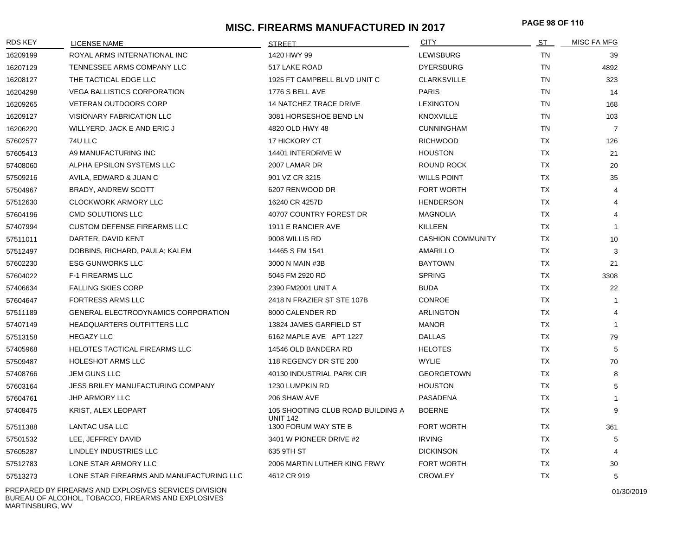## **MISC. FIREARMS MANUFACTURED IN 2017 PAGE 98 OF <sup>110</sup>**

| RDS KEY  | <b>LICENSE NAME</b>                        | <b>STREET</b>                                        | <b>CITY</b>              | <u>ST</u> | <b>MISC FA MFG</b> |
|----------|--------------------------------------------|------------------------------------------------------|--------------------------|-----------|--------------------|
| 16209199 | ROYAL ARMS INTERNATIONAL INC               | 1420 HWY 99                                          | <b>LEWISBURG</b>         | <b>TN</b> | 39                 |
| 16207129 | TENNESSEE ARMS COMPANY LLC                 | 517 LAKE ROAD                                        | <b>DYERSBURG</b>         | <b>TN</b> | 4892               |
| 16208127 | THE TACTICAL EDGE LLC                      | 1925 FT CAMPBELL BLVD UNIT C                         | <b>CLARKSVILLE</b>       | TN        | 323                |
| 16204298 | <b>VEGA BALLISTICS CORPORATION</b>         | 1776 S BELL AVE                                      | <b>PARIS</b>             | <b>TN</b> | 14                 |
| 16209265 | <b>VETERAN OUTDOORS CORP</b>               | <b>14 NATCHEZ TRACE DRIVE</b>                        | <b>LEXINGTON</b>         | <b>TN</b> | 168                |
| 16209127 | <b>VISIONARY FABRICATION LLC</b>           | 3081 HORSESHOE BEND LN                               | <b>KNOXVILLE</b>         | <b>TN</b> | 103                |
| 16206220 | WILLYERD, JACK E AND ERIC J                | 4820 OLD HWY 48                                      | <b>CUNNINGHAM</b>        | <b>TN</b> | $\overline{7}$     |
| 57602577 | 74U LLC                                    | 17 HICKORY CT                                        | <b>RICHWOOD</b>          | <b>TX</b> | 126                |
| 57605413 | A9 MANUFACTURING INC                       | 14401 INTERDRIVE W                                   | <b>HOUSTON</b>           | ТX        | 21                 |
| 57408060 | ALPHA EPSILON SYSTEMS LLC                  | 2007 LAMAR DR                                        | <b>ROUND ROCK</b>        | <b>TX</b> | 20                 |
| 57509216 | AVILA, EDWARD & JUAN C                     | 901 VZ CR 3215                                       | <b>WILLS POINT</b>       | <b>TX</b> | 35                 |
| 57504967 | <b>BRADY, ANDREW SCOTT</b>                 | 6207 RENWOOD DR                                      | <b>FORT WORTH</b>        | TX        | $\overline{4}$     |
| 57512630 | <b>CLOCKWORK ARMORY LLC</b>                | 16240 CR 4257D                                       | <b>HENDERSON</b>         | <b>TX</b> | $\overline{4}$     |
| 57604196 | CMD SOLUTIONS LLC                          | 40707 COUNTRY FOREST DR                              | <b>MAGNOLIA</b>          | TX        | $\overline{4}$     |
| 57407994 | <b>CUSTOM DEFENSE FIREARMS LLC</b>         | 1911 E RANCIER AVE                                   | <b>KILLEEN</b>           | <b>TX</b> | $\overline{1}$     |
| 57511011 | DARTER, DAVID KENT                         | 9008 WILLIS RD                                       | <b>CASHION COMMUNITY</b> | <b>TX</b> | 10                 |
| 57512497 | DOBBINS, RICHARD, PAULA; KALEM             | 14465 S FM 1541                                      | AMARILLO                 | TX        | 3                  |
| 57602230 | <b>ESG GUNWORKS LLC</b>                    | 3000 N MAIN #3B                                      | <b>BAYTOWN</b>           | <b>TX</b> | 21                 |
| 57604022 | <b>F-1 FIREARMS LLC</b>                    | 5045 FM 2920 RD                                      | <b>SPRING</b>            | TX        | 3308               |
| 57406634 | <b>FALLING SKIES CORP</b>                  | 2390 FM2001 UNIT A                                   | <b>BUDA</b>              | <b>TX</b> | 22                 |
| 57604647 | FORTRESS ARMS LLC                          | 2418 N FRAZIER ST STE 107B                           | <b>CONROE</b>            | <b>TX</b> | $\mathbf{1}$       |
| 57511189 | <b>GENERAL ELECTRODYNAMICS CORPORATION</b> | 8000 CALENDER RD                                     | ARLINGTON                | <b>TX</b> | $\overline{4}$     |
| 57407149 | <b>HEADQUARTERS OUTFITTERS LLC</b>         | 13824 JAMES GARFIELD ST                              | <b>MANOR</b>             | <b>TX</b> | $\mathbf{1}$       |
| 57513158 | <b>HEGAZY LLC</b>                          | 6162 MAPLE AVE APT 1227                              | <b>DALLAS</b>            | TX        | 79                 |
| 57405968 | HELOTES TACTICAL FIREARMS LLC              | 14546 OLD BANDERA RD                                 | <b>HELOTES</b>           | <b>TX</b> | 5                  |
| 57509487 | <b>HOLESHOT ARMS LLC</b>                   | 118 REGENCY DR STE 200                               | <b>WYLIE</b>             | <b>TX</b> | 70                 |
| 57408766 | JEM GUNS LLC                               | 40130 INDUSTRIAL PARK CIR                            | <b>GEORGETOWN</b>        | TX        | 8                  |
| 57603164 | JESS BRILEY MANUFACTURING COMPANY          | 1230 LUMPKIN RD                                      | <b>HOUSTON</b>           | <b>TX</b> | 5                  |
| 57604761 | <b>JHP ARMORY LLC</b>                      | 206 SHAW AVE                                         | <b>PASADENA</b>          | <b>TX</b> | $\mathbf{1}$       |
| 57408475 | KRIST, ALEX LEOPART                        | 105 SHOOTING CLUB ROAD BUILDING A<br><b>UNIT 142</b> | <b>BOERNE</b>            | <b>TX</b> | 9                  |
| 57511388 | LANTAC USA LLC                             | 1300 FORUM WAY STE B                                 | <b>FORT WORTH</b>        | <b>TX</b> | 361                |
| 57501532 | LEE, JEFFREY DAVID                         | 3401 W PIONEER DRIVE #2                              | <b>IRVING</b>            | <b>TX</b> | 5                  |
| 57605287 | LINDLEY INDUSTRIES LLC                     | 635 9TH ST                                           | <b>DICKINSON</b>         | <b>TX</b> | $\overline{4}$     |
| 57512783 | LONE STAR ARMORY LLC                       | 2006 MARTIN LUTHER KING FRWY                         | FORT WORTH               | TX        | 30                 |
| 57513273 | LONE STAR FIREARMS AND MANUFACTURING LLC   | 4612 CR 919                                          | <b>CROWLEY</b>           | <b>TX</b> | 5                  |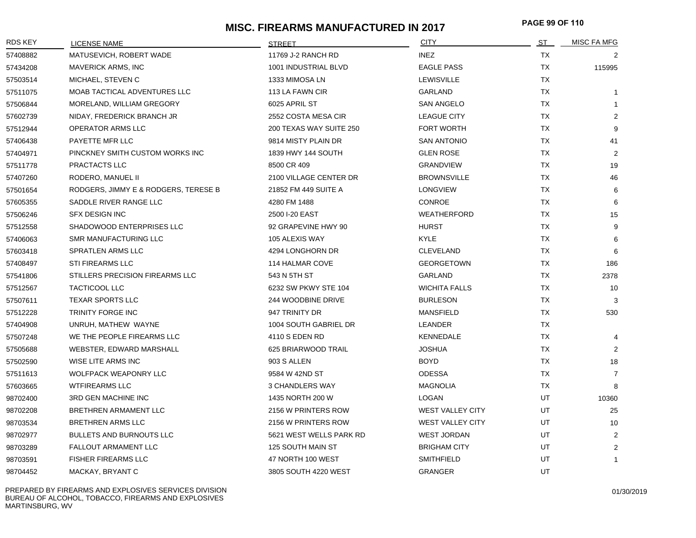# **MISC. FIREARMS MANUFACTURED IN 2017 PAGE 99 OF <sup>110</sup>**

| <b>RDS KEY</b> | <b>LICENSE NAME</b>                  | <b>STREET</b>           | <b>CITY</b>             | ST        | MISC FA MFG    |
|----------------|--------------------------------------|-------------------------|-------------------------|-----------|----------------|
| 57408882       | MATUSEVICH, ROBERT WADE              | 11769 J-2 RANCH RD      | <b>INEZ</b>             | TX        | 2              |
| 57434208       | <b>MAVERICK ARMS, INC</b>            | 1001 INDUSTRIAL BLVD    | <b>EAGLE PASS</b>       | TX        | 115995         |
| 57503514       | MICHAEL, STEVEN C                    | 1333 MIMOSA LN          | <b>LEWISVILLE</b>       | TX        |                |
| 57511075       | MOAB TACTICAL ADVENTURES LLC         | 113 LA FAWN CIR         | <b>GARLAND</b>          | <b>TX</b> | $\mathbf{1}$   |
| 57506844       | MORELAND, WILLIAM GREGORY            | 6025 APRIL ST           | <b>SAN ANGELO</b>       | <b>TX</b> | 1              |
| 57602739       | NIDAY, FREDERICK BRANCH JR           | 2552 COSTA MESA CIR     | <b>LEAGUE CITY</b>      | <b>TX</b> | $\overline{2}$ |
| 57512944       | OPERATOR ARMS LLC                    | 200 TEXAS WAY SUITE 250 | <b>FORT WORTH</b>       | <b>TX</b> | 9              |
| 57406438       | PAYETTE MFR LLC                      | 9814 MISTY PLAIN DR     | <b>SAN ANTONIO</b>      | TX        | 41             |
| 57404971       | PINCKNEY SMITH CUSTOM WORKS INC      | 1839 HWY 144 SOUTH      | <b>GLEN ROSE</b>        | TX        | 2              |
| 57511778       | PRACTACTS LLC                        | 8500 CR 409             | GRANDVIEW               | TX        | 19             |
| 57407260       | RODERO, MANUEL II                    | 2100 VILLAGE CENTER DR  | <b>BROWNSVILLE</b>      | <b>TX</b> | 46             |
| 57501654       | RODGERS, JIMMY E & RODGERS, TERESE B | 21852 FM 449 SUITE A    | <b>LONGVIEW</b>         | TX        | 6              |
| 57605355       | SADDLE RIVER RANGE LLC               | 4280 FM 1488            | CONROE                  | TX        | 6              |
| 57506246       | <b>SFX DESIGN INC</b>                | 2500 I-20 EAST          | <b>WEATHERFORD</b>      | TX        | 15             |
| 57512558       | SHADOWOOD ENTERPRISES LLC            | 92 GRAPEVINE HWY 90     | <b>HURST</b>            | TX        | 9              |
| 57406063       | SMR MANUFACTURING LLC                | 105 ALEXIS WAY          | <b>KYLE</b>             | TX        | 6              |
| 57603418       | SPRATLEN ARMS LLC                    | 4294 LONGHORN DR        | <b>CLEVELAND</b>        | TX        | 6              |
| 57408497       | <b>STI FIREARMS LLC</b>              | 114 HALMAR COVE         | <b>GEORGETOWN</b>       | <b>TX</b> | 186            |
| 57541806       | STILLERS PRECISION FIREARMS LLC      | 543 N 5TH ST            | GARLAND                 | <b>TX</b> | 2378           |
| 57512567       | <b>TACTICOOL LLC</b>                 | 6232 SW PKWY STE 104    | <b>WICHITA FALLS</b>    | <b>TX</b> | 10             |
| 57507611       | <b>TEXAR SPORTS LLC</b>              | 244 WOODBINE DRIVE      | <b>BURLESON</b>         | <b>TX</b> | 3              |
| 57512228       | TRINITY FORGE INC                    | 947 TRINITY DR          | <b>MANSFIELD</b>        | <b>TX</b> | 530            |
| 57404908       | UNRUH, MATHEW WAYNE                  | 1004 SOUTH GABRIEL DR   | LEANDER                 | TX        |                |
| 57507248       | WE THE PEOPLE FIREARMS LLC           | 4110 S EDEN RD          | KENNEDALE               | TX        | 4              |
| 57505688       | WEBSTER, EDWARD MARSHALL             | 625 BRIARWOOD TRAIL     | JOSHUA                  | TX        | 2              |
| 57502590       | WISE LITE ARMS INC                   | 903 S ALLEN             | BOYD                    | ТX        | 18             |
| 57511613       | <b>WOLFPACK WEAPONRY LLC</b>         | 9584 W 42ND ST          | <b>ODESSA</b>           | <b>TX</b> | $\overline{7}$ |
| 57603665       | <b>WTFIREARMS LLC</b>                | 3 CHANDLERS WAY         | <b>MAGNOLIA</b>         | TX        | 8              |
| 98702400       | 3RD GEN MACHINE INC                  | 1435 NORTH 200 W        | <b>LOGAN</b>            | UT        | 10360          |
| 98702208       | BRETHREN ARMAMENT LLC                | 2156 W PRINTERS ROW     | <b>WEST VALLEY CITY</b> | UT.       | 25             |
| 98703534       | <b>BRETHREN ARMS LLC</b>             | 2156 W PRINTERS ROW     | <b>WEST VALLEY CITY</b> | UT        | 10             |
| 98702977       | <b>BULLETS AND BURNOUTS LLC</b>      | 5621 WEST WELLS PARK RD | <b>WEST JORDAN</b>      | UT        | 2              |
| 98703289       | FALLOUT ARMAMENT LLC                 | 125 SOUTH MAIN ST       | <b>BRIGHAM CITY</b>     | UT.       | 2              |
| 98703591       | <b>FISHER FIREARMS LLC</b>           | 47 NORTH 100 WEST       | <b>SMITHFIELD</b>       | <b>UT</b> | 1              |
| 98704452       | MACKAY, BRYANT C                     | 3805 SOUTH 4220 WEST    | <b>GRANGER</b>          | UT        |                |

PREPARED BY FIREARMS AND EXPLOSIVES SERVICES DIVISION BUREAU OF ALCOHOL, TOBACCO, FIREARMS AND EXPLOSIVES MARTINSBURG, WV

01/30/2019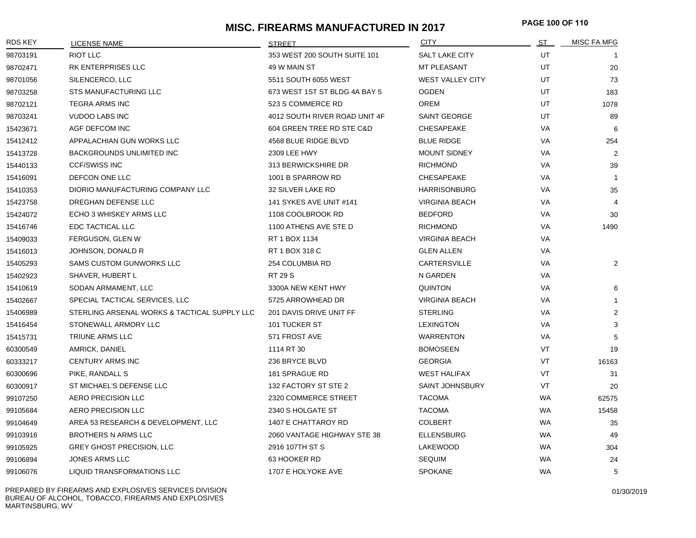# **MISC. FIREARMS MANUFACTURED IN 2017 PAGE 100 OF <sup>110</sup>**

| <b>RDS KEY</b> | <b>LICENSE NAME</b>                          | <b>STREET</b>                 | <b>CITY</b>             | ST        | MISC FA MFG    |
|----------------|----------------------------------------------|-------------------------------|-------------------------|-----------|----------------|
| 98703191       | <b>RIOT LLC</b>                              | 353 WEST 200 SOUTH SUITE 101  | <b>SALT LAKE CITY</b>   | UT        |                |
| 98702471       | RK ENTERPRISES LLC                           | 49 W MAIN ST                  | <b>MT PLEASANT</b>      | UT        | 20             |
| 98701056       | SILENCERCO, LLC                              | 5511 SOUTH 6055 WEST          | <b>WEST VALLEY CITY</b> | UT        | 73             |
| 98703258       | <b>STS MANUFACTURING LLC</b>                 | 673 WEST 1ST ST BLDG 4A BAY 5 | <b>OGDEN</b>            | UT        | 183            |
| 98702121       | <b>TEGRA ARMS INC</b>                        | 523 S COMMERCE RD             | <b>OREM</b>             | UT        | 1078           |
| 98703241       | <b>VUDOO LABS INC</b>                        | 4012 SOUTH RIVER ROAD UNIT 4F | SAINT GEORGE            | UT        | 89             |
| 15423671       | AGF DEFCOM INC                               | 604 GREEN TREE RD STE C&D     | <b>CHESAPEAKE</b>       | VA        | 6              |
| 15412412       | APPALACHIAN GUN WORKS LLC                    | 4568 BLUE RIDGE BLVD          | <b>BLUE RIDGE</b>       | VA        | 254            |
| 15413728       | <b>BACKGROUNDS UNLIMITED INC</b>             | 2309 LEE HWY                  | <b>MOUNT SIDNEY</b>     | VA        | 2              |
| 15440133       | <b>CCF/SWISS INC</b>                         | 313 BERWICKSHIRE DR           | <b>RICHMOND</b>         | VA        | 39             |
| 15416091       | DEFCON ONE LLC                               | 1001 B SPARROW RD             | <b>CHESAPEAKE</b>       | VA        | $\overline{1}$ |
| 15410353       | DIORIO MANUFACTURING COMPANY LLC             | 32 SILVER LAKE RD             | <b>HARRISONBURG</b>     | VA        | 35             |
| 15423758       | DREGHAN DEFENSE LLC                          | 141 SYKES AVE UNIT #141       | <b>VIRGINIA BEACH</b>   | VA        | $\overline{4}$ |
| 15424072       | ECHO 3 WHISKEY ARMS LLC                      | 1108 COOLBROOK RD             | <b>BEDFORD</b>          | VA        | 30             |
| 15416746       | EDC TACTICAL LLC                             | 1100 ATHENS AVE STE D         | <b>RICHMOND</b>         | VA        | 1490           |
| 15409033       | FERGUSON, GLEN W                             | RT 1 BOX 1134                 | <b>VIRGINIA BEACH</b>   | VA        |                |
| 15416013       | JOHNSON, DONALD R                            | RT 1 BOX 318 C                | <b>GLEN ALLEN</b>       | VA        |                |
| 15405293       | SAMS CUSTOM GUNWORKS LLC                     | 254 COLUMBIA RD               | CARTERSVILLE            | VA        | $\overline{2}$ |
| 15402923       | SHAVER, HUBERT L                             | <b>RT 29 S</b>                | N GARDEN                | VA        |                |
| 15410619       | SODAN ARMAMENT, LLC                          | 3300A NEW KENT HWY            | <b>QUINTON</b>          | VA        | 6              |
| 15402667       | SPECIAL TACTICAL SERVICES, LLC               | 5725 ARROWHEAD DR             | <b>VIRGINIA BEACH</b>   | VA        | $\overline{1}$ |
| 15406989       | STERLING ARSENAL WORKS & TACTICAL SUPPLY LLC | 201 DAVIS DRIVE UNIT FF       | <b>STERLING</b>         | VA        | $\overline{2}$ |
| 15416454       | STONEWALL ARMORY LLC                         | 101 TUCKER ST                 | <b>LEXINGTON</b>        | VA        | 3              |
| 15415731       | TRIUNE ARMS LLC                              | 571 FROST AVE                 | WARRENTON               | VA        | 5              |
| 60300549       | AMRICK, DANIEL                               | 1114 RT 30                    | <b>BOMOSEEN</b>         | VT        | 19             |
| 60333217       | <b>CENTURY ARMS INC</b>                      | 236 BRYCE BLVD                | <b>GEORGIA</b>          | VT        | 16163          |
| 60300696       | PIKE, RANDALL S                              | 181 SPRAGUE RD                | <b>WEST HALIFAX</b>     | VT        | 31             |
| 60300917       | ST MICHAEL'S DEFENSE LLC                     | 132 FACTORY ST STE 2          | <b>SAINT JOHNSBURY</b>  | VT        | 20             |
| 99107250       | AERO PRECISION LLC                           | 2320 COMMERCE STREET          | <b>TACOMA</b>           | <b>WA</b> | 62575          |
| 99105684       | AERO PRECISION LLC                           | 2340 S HOLGATE ST             | <b>TACOMA</b>           | WA        | 15458          |
| 99104649       | AREA 53 RESEARCH & DEVELOPMENT, LLC          | 1407 E CHATTAROY RD           | <b>COLBERT</b>          | WA        | 35             |
| 99103916       | <b>BROTHERS N ARMS LLC</b>                   | 2060 VANTAGE HIGHWAY STE 38   | <b>ELLENSBURG</b>       | WA        | 49             |
| 99105925       | <b>GREY GHOST PRECISION, LLC</b>             | 2916 107TH ST S               | LAKEWOOD                | WA        | 304            |
| 99106894       | <b>JONES ARMS LLC</b>                        | 63 HOOKER RD                  | <b>SEQUIM</b>           | <b>WA</b> | 24             |
| 99106076       | <b>LIQUID TRANSFORMATIONS LLC</b>            | 1707 E HOLYOKE AVE            | <b>SPOKANE</b>          | <b>WA</b> | 5              |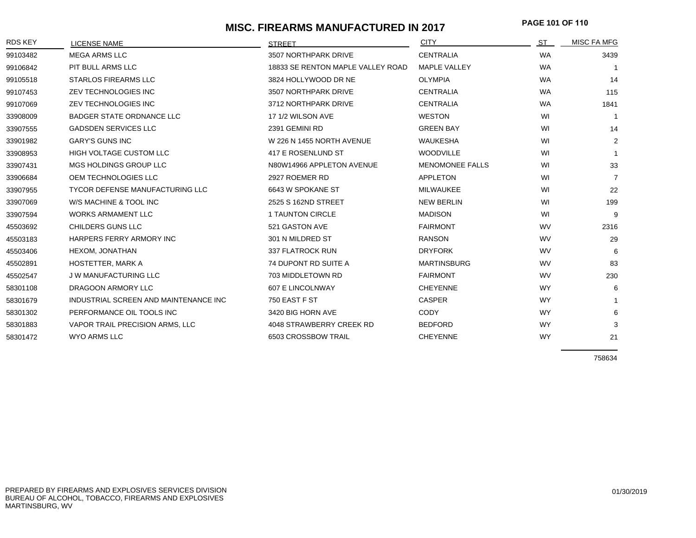# **MISC. FIREARMS MANUFACTURED IN 2017 PAGE 101 OF <sup>110</sup>**

| <b>RDS KEY</b> | <b>LICENSE NAME</b>                    | <b>STRFFT</b>                     | <b>CITY</b>            | ST        | <b>MISC FA MFG</b> |
|----------------|----------------------------------------|-----------------------------------|------------------------|-----------|--------------------|
| 99103482       | <b>MEGA ARMS LLC</b>                   | 3507 NORTHPARK DRIVE              | <b>CENTRALIA</b>       | <b>WA</b> | 3439               |
| 99106842       | PIT BULL ARMS LLC                      | 18833 SE RENTON MAPLE VALLEY ROAD | <b>MAPLE VALLEY</b>    | <b>WA</b> |                    |
| 99105518       | <b>STARLOS FIREARMS LLC</b>            | 3824 HOLLYWOOD DR NE              | <b>OLYMPIA</b>         | <b>WA</b> | 14                 |
| 99107453       | ZEV TECHNOLOGIES INC                   | 3507 NORTHPARK DRIVE              | <b>CENTRALIA</b>       | <b>WA</b> | 115                |
| 99107069       | <b>ZEV TECHNOLOGIES INC</b>            | 3712 NORTHPARK DRIVE              | <b>CENTRALIA</b>       | <b>WA</b> | 1841               |
| 33908009       | <b>BADGER STATE ORDNANCE LLC</b>       | 17 1/2 WILSON AVE                 | <b>WESTON</b>          | WI        | -1                 |
| 33907555       | <b>GADSDEN SERVICES LLC</b>            | 2391 GEMINI RD                    | <b>GREEN BAY</b>       | WI        | 14                 |
| 33901982       | <b>GARY'S GUNS INC</b>                 | W 226 N 1455 NORTH AVENUE         | <b>WAUKESHA</b>        | WI        | $\overline{2}$     |
| 33908953       | HIGH VOLTAGE CUSTOM LLC                | 417 E ROSENLUND ST                | <b>WOODVILLE</b>       | WI        | $\mathbf{1}$       |
| 33907431       | MGS HOLDINGS GROUP LLC                 | N80W14966 APPLETON AVENUE         | <b>MENOMONEE FALLS</b> | WI        | 33                 |
| 33906684       | OEM TECHNOLOGIES LLC                   | 2927 ROEMER RD                    | APPLETON               | WI        | $\overline{7}$     |
| 33907955       | <b>TYCOR DEFENSE MANUFACTURING LLC</b> | 6643 W SPOKANE ST                 | <b>MILWAUKEE</b>       | WI        | 22                 |
| 33907069       | W/S MACHINE & TOOL INC                 | 2525 S 162ND STREET               | <b>NEW BERLIN</b>      | WI        | 199                |
| 33907594       | <b>WORKS ARMAMENT LLC</b>              | 1 TAUNTON CIRCLE                  | <b>MADISON</b>         | WI        | 9                  |
| 45503692       | CHILDERS GUNS LLC                      | 521 GASTON AVE                    | <b>FAIRMONT</b>        | <b>WV</b> | 2316               |
| 45503183       | HARPERS FERRY ARMORY INC               | 301 N MILDRED ST                  | <b>RANSON</b>          | <b>WV</b> | 29                 |
| 45503406       | HEXOM, JONATHAN                        | 337 FLATROCK RUN                  | <b>DRYFORK</b>         | WV        | 6                  |
| 45502891       | <b>HOSTETTER, MARK A</b>               | 74 DUPONT RD SUITE A              | <b>MARTINSBURG</b>     | WV        | 83                 |
| 45502547       | <b>JW MANUFACTURING LLC</b>            | 703 MIDDLETOWN RD                 | <b>FAIRMONT</b>        | <b>WV</b> | 230                |
| 58301108       | DRAGOON ARMORY LLC                     | 607 E LINCOLNWAY                  | <b>CHEYENNE</b>        | <b>WY</b> | 6                  |
| 58301679       | INDUSTRIAL SCREEN AND MAINTENANCE INC  | 750 EAST F ST                     | <b>CASPER</b>          | <b>WY</b> | -1                 |
| 58301302       | PERFORMANCE OIL TOOLS INC              | 3420 BIG HORN AVE                 | <b>CODY</b>            | <b>WY</b> | 6                  |
| 58301883       | VAPOR TRAIL PRECISION ARMS, LLC        | 4048 STRAWBERRY CREEK RD          | <b>BEDFORD</b>         | <b>WY</b> | 3                  |
| 58301472       | WYO ARMS LLC                           | 6503 CROSSBOW TRAIL               | <b>CHEYENNE</b>        | <b>WY</b> | 21                 |

758634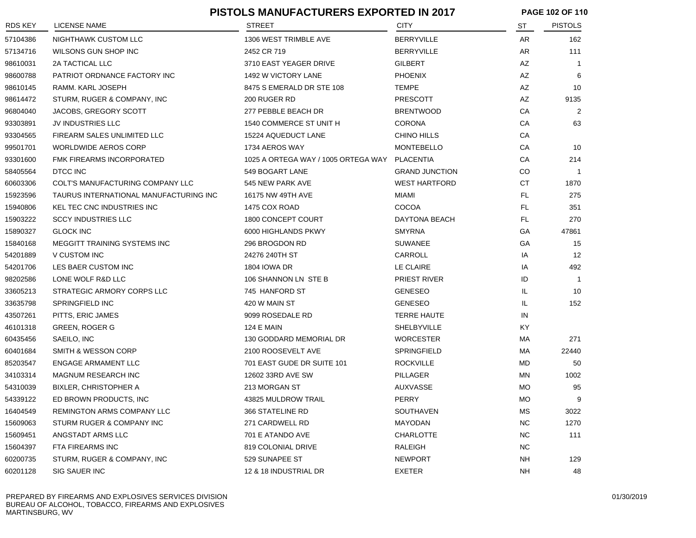|                |                                        | <b>PISTOLS MANUFACTURERS EXPORTED IN 2017</b> |                       | PAGE 102 OF 110 |                |
|----------------|----------------------------------------|-----------------------------------------------|-----------------------|-----------------|----------------|
| <b>RDS KEY</b> | <b>LICENSE NAME</b>                    | <b>STREET</b>                                 | <b>CITY</b>           | ST              | <b>PISTOLS</b> |
| 57104386       | NIGHTHAWK CUSTOM LLC                   | 1306 WEST TRIMBLE AVE                         | <b>BERRYVILLE</b>     | AR              | 162            |
| 57134716       | WILSONS GUN SHOP INC                   | 2452 CR 719                                   | <b>BERRYVILLE</b>     | AR              | 111            |
| 98610031       | 2A TACTICAL LLC                        | 3710 EAST YEAGER DRIVE                        | <b>GILBERT</b>        | AZ              | -1             |
| 98600788       | PATRIOT ORDNANCE FACTORY INC           | 1492 W VICTORY LANE                           | <b>PHOENIX</b>        | AZ              | 6              |
| 98610145       | RAMM. KARL JOSEPH                      | 8475 S EMERALD DR STE 108                     | TEMPE                 | AZ              | 10             |
| 98614472       | STURM, RUGER & COMPANY, INC            | 200 RUGER RD                                  | <b>PRESCOTT</b>       | AZ              | 9135           |
| 96804040       | JACOBS, GREGORY SCOTT                  | 277 PEBBLE BEACH DR                           | <b>BRENTWOOD</b>      | CA              | 2              |
| 93303891       | JV INDUSTRIES LLC                      | 1540 COMMERCE ST UNIT H                       | <b>CORONA</b>         | CA              | 63             |
| 93304565       | FIREARM SALES UNLIMITED LLC            | 15224 AQUEDUCT LANE                           | CHINO HILLS           | CA              |                |
| 99501701       | WORLDWIDE AEROS CORP                   | 1734 AEROS WAY                                | MONTEBELLO            | СA              | 10             |
| 93301600       | FMK FIREARMS INCORPORATED              | 1025 A ORTEGA WAY / 1005 ORTEGA WAY           | PLACENTIA             | CA              | 214            |
| 58405564       | DTCC INC                               | 549 BOGART LANE                               | <b>GRAND JUNCTION</b> | CO.             | $\mathbf{1}$   |
| 60603306       | COLT'S MANUFACTURING COMPANY LLC       | 545 NEW PARK AVE                              | <b>WEST HARTFORD</b>  | СT              | 1870           |
| 15923596       | TAURUS INTERNATIONAL MANUFACTURING INC | 16175 NW 49TH AVE                             | MIAMI                 | FL.             | 275            |
| 15940806       | KEL TEC CNC INDUSTRIES INC             | 1475 COX ROAD                                 | COCOA                 | FL.             | 351            |
| 15903222       | <b>SCCY INDUSTRIES LLC</b>             | 1800 CONCEPT COURT                            | DAYTONA BEACH         | FL.             | 270            |
| 15890327       | <b>GLOCK INC</b>                       | 6000 HIGHLANDS PKWY                           | <b>SMYRNA</b>         | GA              | 47861          |
| 15840168       | MEGGITT TRAINING SYSTEMS INC           | 296 BROGDON RD                                | <b>SUWANEE</b>        | GA              | 15             |
| 54201889       | V CUSTOM INC                           | 24276 240TH ST                                | CARROLL               | IA              | 12             |
| 54201706       | LES BAER CUSTOM INC                    | <b>1804 IOWA DR</b>                           | LE CLAIRE             | IA              | 492            |
| 98202586       | LONE WOLF R&D LLC                      | 106 SHANNON LN STE B                          | <b>PRIEST RIVER</b>   | ID              | -1             |
| 33605213       | STRATEGIC ARMORY CORPS LLC             | 745 HANFORD ST                                | <b>GENESEO</b>        | IL.             | 10             |
| 33635798       | <b>SPRINGFIELD INC</b>                 | 420 W MAIN ST                                 | <b>GENESEO</b>        | IL.             | 152            |
| 43507261       | PITTS, ERIC JAMES                      | 9099 ROSEDALE RD                              | <b>TERRE HAUTE</b>    | IN              |                |
| 46101318       | <b>GREEN, ROGER G</b>                  | <b>124 E MAIN</b>                             | SHELBYVILLE           | KY              |                |
| 60435456       | SAEILO, INC                            | 130 GODDARD MEMORIAL DR                       | <b>WORCESTER</b>      | МA              | 271            |
| 60401684       | SMITH & WESSON CORP                    | 2100 ROOSEVELT AVE                            | <b>SPRINGFIELD</b>    | МA              | 22440          |
| 85203547       | <b>ENGAGE ARMAMENT LLC</b>             | 701 EAST GUDE DR SUITE 101                    | <b>ROCKVILLE</b>      | MD              | 50             |
| 34103314       | <b>MAGNUM RESEARCH INC</b>             | 12602 33RD AVE SW                             | PILLAGER              | ΜN              | 1002           |
| 54310039       | <b>BIXLER, CHRISTOPHER A</b>           | 213 MORGAN ST                                 | <b>AUXVASSE</b>       | МO              | 95             |
| 54339122       | ED BROWN PRODUCTS, INC                 | 43825 MULDROW TRAIL                           | PERRY                 | <b>MO</b>       | 9              |
| 16404549       | REMINGTON ARMS COMPANY LLC             | 366 STATELINE RD                              | SOUTHAVEN             | <b>MS</b>       | 3022           |
| 15609063       | STURM RUGER & COMPANY INC              | 271 CARDWELL RD                               | MAYODAN               | <b>NC</b>       | 1270           |
| 15609451       | ANGSTADT ARMS LLC                      | 701 E ATANDO AVE                              | CHARLOTTE             | NC.             | 111            |
| 15604397       | FTA FIREARMS INC                       | 819 COLONIAL DRIVE                            | RALEIGH               | <b>NC</b>       |                |
| 60200735       | STURM, RUGER & COMPANY, INC            | 529 SUNAPEE ST                                | <b>NEWPORT</b>        | <b>NH</b>       | 129            |
| 60201128       | SIG SAUER INC                          | 12 & 18 INDUSTRIAL DR                         | EXETER                | <b>NH</b>       | 48             |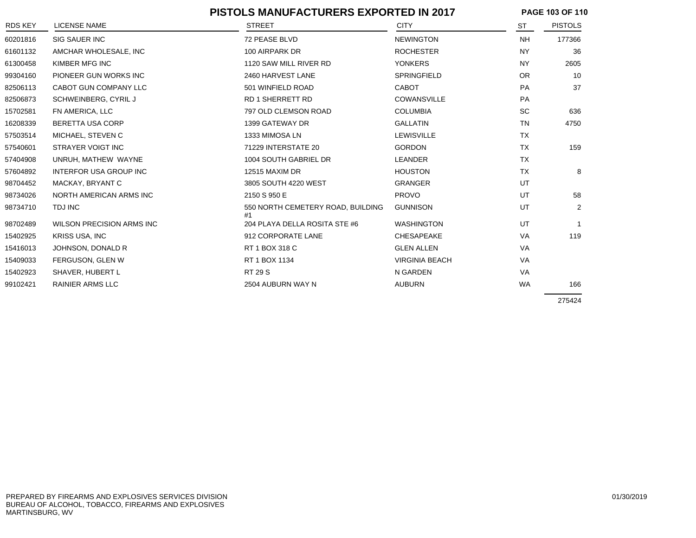|          | <b>PISTOLS MANUFACTURERS EXPORTED IN 2017</b> |                                         |                       |           | PAGE 103 OF 110 |  |
|----------|-----------------------------------------------|-----------------------------------------|-----------------------|-----------|-----------------|--|
| RDS KEY  | <b>LICENSE NAME</b>                           | <b>STREET</b>                           | <b>CITY</b>           | ST        | <b>PISTOLS</b>  |  |
| 60201816 | <b>SIG SAUER INC</b>                          | 72 PEASE BLVD                           | <b>NEWINGTON</b>      | <b>NH</b> | 177366          |  |
| 61601132 | AMCHAR WHOLESALE, INC                         | 100 AIRPARK DR                          | <b>ROCHESTER</b>      | <b>NY</b> | 36              |  |
| 61300458 | KIMBER MFG INC                                | 1120 SAW MILL RIVER RD                  | <b>YONKERS</b>        | NY.       | 2605            |  |
| 99304160 | PIONEER GUN WORKS INC                         | 2460 HARVEST LANE                       | SPRINGFIELD           | <b>OR</b> | 10              |  |
| 82506113 | CABOT GUN COMPANY LLC                         | 501 WINFIELD ROAD                       | <b>CABOT</b>          | PA        | 37              |  |
| 82506873 | SCHWEINBERG, CYRIL J                          | <b>RD 1 SHERRETT RD</b>                 | <b>COWANSVILLE</b>    | PA        |                 |  |
| 15702581 | FN AMERICA, LLC                               | 797 OLD CLEMSON ROAD                    | <b>COLUMBIA</b>       | <b>SC</b> | 636             |  |
| 16208339 | BERETTA USA CORP                              | 1399 GATEWAY DR                         | <b>GALLATIN</b>       | <b>TN</b> | 4750            |  |
| 57503514 | MICHAEL, STEVEN C                             | 1333 MIMOSA LN                          | LEWISVILLE            | <b>TX</b> |                 |  |
| 57540601 | STRAYER VOIGT INC                             | 71229 INTERSTATE 20                     | <b>GORDON</b>         | <b>TX</b> | 159             |  |
| 57404908 | UNRUH, MATHEW WAYNE                           | 1004 SOUTH GABRIEL DR                   | LEANDER               | <b>TX</b> |                 |  |
| 57604892 | <b>INTERFOR USA GROUP INC</b>                 | 12515 MAXIM DR                          | <b>HOUSTON</b>        | <b>TX</b> | 8               |  |
| 98704452 | MACKAY, BRYANT C                              | 3805 SOUTH 4220 WEST                    | <b>GRANGER</b>        | UT        |                 |  |
| 98734026 | NORTH AMERICAN ARMS INC                       | 2150 S 950 E                            | <b>PROVO</b>          | UT        | 58              |  |
| 98734710 | TDJ INC                                       | 550 NORTH CEMETERY ROAD, BUILDING<br>#1 | <b>GUNNISON</b>       | UT        | $\overline{2}$  |  |
| 98702489 | <b>WILSON PRECISION ARMS INC</b>              | 204 PLAYA DELLA ROSITA STE #6           | <b>WASHINGTON</b>     | UT        |                 |  |
| 15402925 | <b>KRISS USA, INC</b>                         | 912 CORPORATE LANE                      | <b>CHESAPEAKE</b>     | <b>VA</b> | 119             |  |
| 15416013 | JOHNSON, DONALD R                             | RT 1 BOX 318 C                          | <b>GLEN ALLEN</b>     | VA        |                 |  |
| 15409033 | FERGUSON, GLEN W                              | RT 1 BOX 1134                           | <b>VIRGINIA BEACH</b> | VA        |                 |  |
| 15402923 | SHAVER, HUBERT L                              | <b>RT 29 S</b>                          | N GARDEN              | VA        |                 |  |
| 99102421 | <b>RAINIER ARMS LLC</b>                       | 2504 AUBURN WAY N                       | <b>AUBURN</b>         | <b>WA</b> | 166             |  |
|          |                                               |                                         |                       |           | 275424          |  |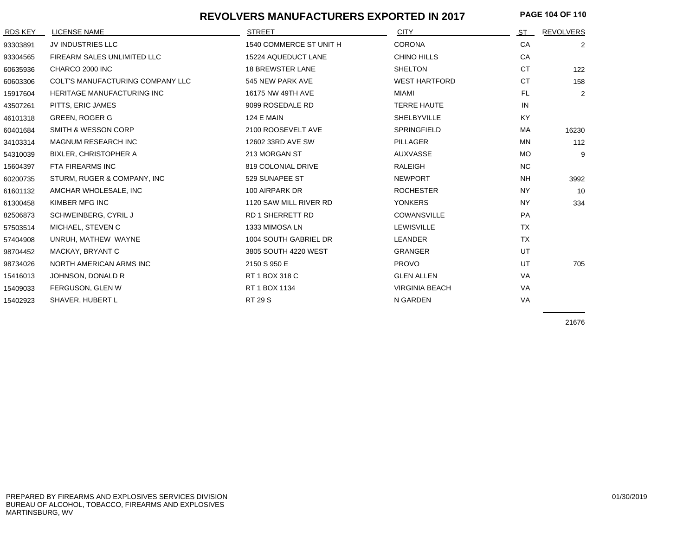#### **REVOLVERS MANUFACTURERS EXPORTED IN 2017**

**PAGE 104 OF 110**

| RDS KEY  | <b>LICENSE NAME</b>               | <b>STREET</b>           | <b>CITY</b>           | ST        | <b>REVOLVERS</b> |
|----------|-----------------------------------|-------------------------|-----------------------|-----------|------------------|
| 93303891 | JV INDUSTRIES LLC                 | 1540 COMMERCE ST UNIT H | <b>CORONA</b>         | CA        | $\overline{2}$   |
| 93304565 | FIREARM SALES UNLIMITED LLC       | 15224 AQUEDUCT LANE     | CHINO HILLS           | CA        |                  |
| 60635936 | CHARCO 2000 INC                   | <b>18 BREWSTER LANE</b> | <b>SHELTON</b>        | <b>CT</b> | 122              |
| 60603306 | COLT'S MANUFACTURING COMPANY LLC  | 545 NEW PARK AVE        | <b>WEST HARTFORD</b>  | <b>CT</b> | 158              |
| 15917604 | <b>HERITAGE MANUFACTURING INC</b> | 16175 NW 49TH AVE       | <b>MIAMI</b>          | FL.       | $\overline{2}$   |
| 43507261 | PITTS, ERIC JAMES                 | 9099 ROSEDALE RD        | <b>TERRE HAUTE</b>    | IN        |                  |
| 46101318 | <b>GREEN, ROGER G</b>             | <b>124 E MAIN</b>       | SHELBYVILLE           | <b>KY</b> |                  |
| 60401684 | <b>SMITH &amp; WESSON CORP</b>    | 2100 ROOSEVELT AVE      | SPRINGFIELD           | <b>MA</b> | 16230            |
| 34103314 | <b>MAGNUM RESEARCH INC</b>        | 12602 33RD AVE SW       | PILLAGER              | <b>MN</b> | 112              |
| 54310039 | <b>BIXLER, CHRISTOPHER A</b>      | 213 MORGAN ST           | AUXVASSE              | <b>MO</b> | 9                |
| 15604397 | FTA FIREARMS INC                  | 819 COLONIAL DRIVE      | RALEIGH               | <b>NC</b> |                  |
| 60200735 | STURM, RUGER & COMPANY, INC       | 529 SUNAPEE ST          | <b>NEWPORT</b>        | <b>NH</b> | 3992             |
| 61601132 | AMCHAR WHOLESALE, INC             | 100 AIRPARK DR          | <b>ROCHESTER</b>      | <b>NY</b> | 10               |
| 61300458 | KIMBER MFG INC                    | 1120 SAW MILL RIVER RD  | <b>YONKERS</b>        | <b>NY</b> | 334              |
| 82506873 | SCHWEINBERG, CYRIL J              | <b>RD 1 SHERRETT RD</b> | <b>COWANSVILLE</b>    | PA        |                  |
| 57503514 | MICHAEL, STEVEN C                 | 1333 MIMOSA LN          | LEWISVILLE            | <b>TX</b> |                  |
| 57404908 | UNRUH, MATHEW WAYNE               | 1004 SOUTH GABRIEL DR   | <b>LEANDER</b>        | <b>TX</b> |                  |
| 98704452 | MACKAY, BRYANT C                  | 3805 SOUTH 4220 WEST    | <b>GRANGER</b>        | UT        |                  |
| 98734026 | NORTH AMERICAN ARMS INC           | 2150 S 950 E            | <b>PROVO</b>          | UT        | 705              |
| 15416013 | JOHNSON, DONALD R                 | RT 1 BOX 318 C          | <b>GLEN ALLEN</b>     | VA        |                  |
| 15409033 | FERGUSON, GLEN W                  | RT 1 BOX 1134           | <b>VIRGINIA BEACH</b> | VA        |                  |
| 15402923 | SHAVER, HUBERT L                  | <b>RT 29 S</b>          | N GARDEN              | VA        |                  |

21676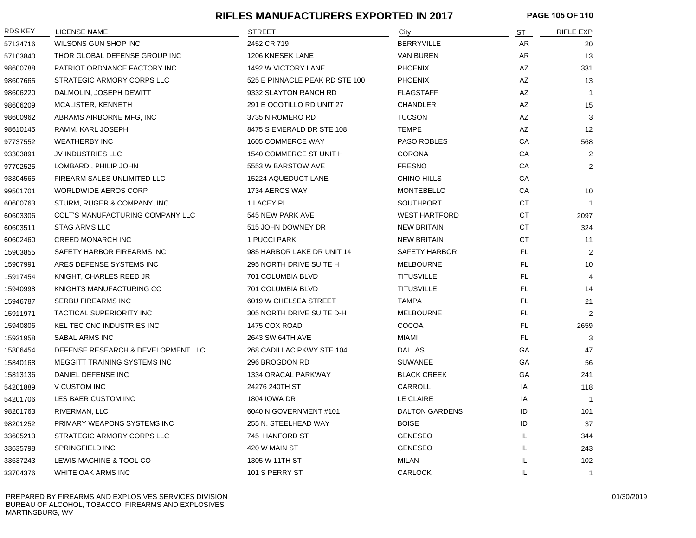#### **RIFLES MANUFACTURERS EXPORTED IN 2017 PAGE 105 OF 110**

| RDS KEY  | <b>LICENSE NAME</b>                | <b>STREET</b>                  | City                  | <u>ST</u> | <b>RIFLE EXP</b> |
|----------|------------------------------------|--------------------------------|-----------------------|-----------|------------------|
| 57134716 | WILSONS GUN SHOP INC               | 2452 CR 719                    | <b>BERRYVILLE</b>     | AR        | 20               |
| 57103840 | THOR GLOBAL DEFENSE GROUP INC      | 1206 KNESEK LANE               | <b>VAN BUREN</b>      | AR        | 13               |
| 98600788 | PATRIOT ORDNANCE FACTORY INC       | 1492 W VICTORY LANE            | <b>PHOENIX</b>        | AZ        | 331              |
| 98607665 | STRATEGIC ARMORY CORPS LLC         | 525 E PINNACLE PEAK RD STE 100 | <b>PHOENIX</b>        | AZ        | 13               |
| 98606220 | DALMOLIN, JOSEPH DEWITT            | 9332 SLAYTON RANCH RD          | <b>FLAGSTAFF</b>      | AZ        | $\mathbf{1}$     |
| 98606209 | MCALISTER, KENNETH                 | 291 E OCOTILLO RD UNIT 27      | <b>CHANDLER</b>       | AZ        | 15               |
| 98600962 | ABRAMS AIRBORNE MFG, INC           | 3735 N ROMERO RD               | <b>TUCSON</b>         | AZ        | 3                |
| 98610145 | RAMM. KARL JOSEPH                  | 8475 S EMERALD DR STE 108      | <b>TEMPE</b>          | <b>AZ</b> | 12               |
| 97737552 | <b>WEATHERBY INC</b>               | 1605 COMMERCE WAY              | PASO ROBLES           | CA        | 568              |
| 93303891 | JV INDUSTRIES LLC                  | 1540 COMMERCE ST UNIT H        | <b>CORONA</b>         | СA        | $\overline{2}$   |
| 97702525 | LOMBARDI, PHILIP JOHN              | 5553 W BARSTOW AVE             | <b>FRESNO</b>         | CA        | $\overline{2}$   |
| 93304565 | FIREARM SALES UNLIMITED LLC        | 15224 AQUEDUCT LANE            | <b>CHINO HILLS</b>    | CA        |                  |
| 99501701 | <b>WORLDWIDE AEROS CORP</b>        | 1734 AEROS WAY                 | <b>MONTEBELLO</b>     | CA        | 10               |
| 60600763 | STURM, RUGER & COMPANY, INC        | 1 LACEY PL                     | <b>SOUTHPORT</b>      | СT        |                  |
| 60603306 | COLT'S MANUFACTURING COMPANY LLC   | 545 NEW PARK AVE               | <b>WEST HARTFORD</b>  | <b>CT</b> | 2097             |
| 60603511 | <b>STAG ARMS LLC</b>               | 515 JOHN DOWNEY DR             | <b>NEW BRITAIN</b>    | СT        | 324              |
| 60602460 | <b>CREED MONARCH INC</b>           | 1 PUCCI PARK                   | <b>NEW BRITAIN</b>    | СT        | 11               |
| 15903855 | SAFETY HARBOR FIREARMS INC         | 985 HARBOR LAKE DR UNIT 14     | <b>SAFETY HARBOR</b>  | FL.       | $\overline{2}$   |
| 15907991 | ARES DEFENSE SYSTEMS INC           | 295 NORTH DRIVE SUITE H        | <b>MELBOURNE</b>      | FL.       | 10               |
| 15917454 | KNIGHT, CHARLES REED JR            | 701 COLUMBIA BLVD              | <b>TITUSVILLE</b>     | FL.       | 4                |
| 15940998 | KNIGHTS MANUFACTURING CO           | 701 COLUMBIA BLVD              | <b>TITUSVILLE</b>     | FL.       | 14               |
| 15946787 | SERBU FIREARMS INC                 | 6019 W CHELSEA STREET          | <b>TAMPA</b>          | FL        | 21               |
| 15911971 | <b>TACTICAL SUPERIORITY INC</b>    | 305 NORTH DRIVE SUITE D-H      | <b>MELBOURNE</b>      | FL.       | $\overline{2}$   |
| 15940806 | KEL TEC CNC INDUSTRIES INC         | 1475 COX ROAD                  | COCOA                 | FL.       | 2659             |
| 15931958 | SABAL ARMS INC                     | 2643 SW 64TH AVE               | MIAMI                 | FL.       | 3                |
| 15806454 | DEFENSE RESEARCH & DEVELOPMENT LLC | 268 CADILLAC PKWY STE 104      | <b>DALLAS</b>         | GA        | 47               |
| 15840168 | MEGGITT TRAINING SYSTEMS INC       | 296 BROGDON RD                 | <b>SUWANEE</b>        | GA        | 56               |
| 15813136 | DANIEL DEFENSE INC                 | 1334 ORACAL PARKWAY            | <b>BLACK CREEK</b>    | GA        | 241              |
| 54201889 | V CUSTOM INC                       | 24276 240TH ST                 | CARROLL               | IA        | 118              |
| 54201706 | LES BAER CUSTOM INC                | <b>1804 IOWA DR</b>            | LE CLAIRE             | IA        | $\overline{1}$   |
| 98201763 | RIVERMAN, LLC                      | 6040 N GOVERNMENT #101         | <b>DALTON GARDENS</b> | ID        | 101              |
| 98201252 | PRIMARY WEAPONS SYSTEMS INC        | 255 N. STEELHEAD WAY           | <b>BOISE</b>          | ID        | 37               |
| 33605213 | STRATEGIC ARMORY CORPS LLC         | 745 HANFORD ST                 | <b>GENESEO</b>        | IL        | 344              |
| 33635798 | SPRINGFIELD INC                    | 420 W MAIN ST                  | <b>GENESEO</b>        | IL        | 243              |
| 33637243 | LEWIS MACHINE & TOOL CO            | 1305 W 11TH ST                 | MILAN                 | IL        | 102              |
| 33704376 | WHITE OAK ARMS INC                 | 101 S PERRY ST                 | <b>CARLOCK</b>        | IL        | $\mathbf{1}$     |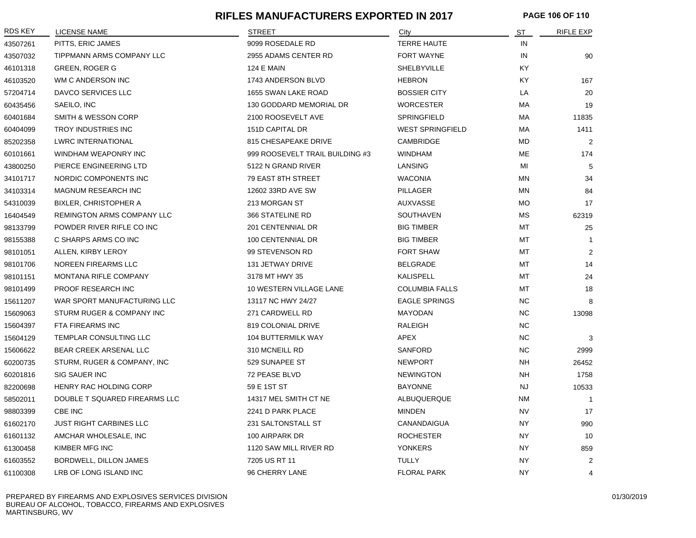#### **RIFLES MANUFACTURERS EXPORTED IN 2017 PAGE 106 OF 110**

| RDS KEY  | <b>LICENSE NAME</b>               | <b>STREET</b>                   | City                    | ST        | <b>RIFLE EXP</b> |
|----------|-----------------------------------|---------------------------------|-------------------------|-----------|------------------|
| 43507261 | PITTS, ERIC JAMES                 | 9099 ROSEDALE RD                | <b>TERRE HAUTE</b>      | IN        |                  |
| 43507032 | TIPPMANN ARMS COMPANY LLC         | 2955 ADAMS CENTER RD            | FORT WAYNE              | IN        | 90               |
| 46101318 | <b>GREEN, ROGER G</b>             | <b>124 E MAIN</b>               | SHELBYVILLE             | KY        |                  |
| 46103520 | WM C ANDERSON INC                 | 1743 ANDERSON BLVD              | <b>HEBRON</b>           | KY.       | 167              |
| 57204714 | DAVCO SERVICES LLC                | 1655 SWAN LAKE ROAD             | <b>BOSSIER CITY</b>     | LA        | 20               |
| 60435456 | SAEILO, INC                       | 130 GODDARD MEMORIAL DR         | <b>WORCESTER</b>        | MA        | 19               |
| 60401684 | <b>SMITH &amp; WESSON CORP</b>    | 2100 ROOSEVELT AVE              | <b>SPRINGFIELD</b>      | MA        | 11835            |
| 60404099 | TROY INDUSTRIES INC               | 151D CAPITAL DR                 | <b>WEST SPRINGFIELD</b> | МA        | 1411             |
| 85202358 | <b>LWRC INTERNATIONAL</b>         | 815 CHESAPEAKE DRIVE            | CAMBRIDGE               | MD        | 2                |
| 60101661 | WINDHAM WEAPONRY INC              | 999 ROOSEVELT TRAIL BUILDING #3 | <b>WINDHAM</b>          | ME        | 174              |
| 43800250 | PIERCE ENGINEERING LTD            | 5122 N GRAND RIVER              | LANSING                 | MI        | 5                |
| 34101717 | NORDIC COMPONENTS INC             | 79 EAST 8TH STREET              | <b>WACONIA</b>          | ΜN        | 34               |
| 34103314 | <b>MAGNUM RESEARCH INC</b>        | 12602 33RD AVE SW               | PILLAGER                | ΜN        | 84               |
| 54310039 | <b>BIXLER, CHRISTOPHER A</b>      | 213 MORGAN ST                   | AUXVASSE                | МO        | 17               |
| 16404549 | <b>REMINGTON ARMS COMPANY LLC</b> | 366 STATELINE RD                | <b>SOUTHAVEN</b>        | <b>MS</b> | 62319            |
| 98133799 | POWDER RIVER RIFLE CO INC         | 201 CENTENNIAL DR               | <b>BIG TIMBER</b>       | MT        | 25               |
| 98155388 | C SHARPS ARMS CO INC              | 100 CENTENNIAL DR               | <b>BIG TIMBER</b>       | MT        | $\mathbf{1}$     |
| 98101051 | ALLEN, KIRBY LEROY                | 99 STEVENSON RD                 | <b>FORT SHAW</b>        | МT        | 2                |
| 98101706 | NOREEN FIREARMS LLC               | 131 JETWAY DRIVE                | <b>BELGRADE</b>         | MT        | 14               |
| 98101151 | MONTANA RIFLE COMPANY             | 3178 MT HWY 35                  | <b>KALISPELL</b>        | MT        | 24               |
| 98101499 | PROOF RESEARCH INC                | 10 WESTERN VILLAGE LANE         | <b>COLUMBIA FALLS</b>   | MT        | 18               |
| 15611207 | WAR SPORT MANUFACTURING LLC       | 13117 NC HWY 24/27              | <b>EAGLE SPRINGS</b>    | NC        | 8                |
| 15609063 | STURM RUGER & COMPANY INC         | 271 CARDWELL RD                 | MAYODAN                 | <b>NC</b> | 13098            |
| 15604397 | FTA FIREARMS INC                  | 819 COLONIAL DRIVE              | RALEIGH                 | <b>NC</b> |                  |
| 15604129 | TEMPLAR CONSULTING LLC            | <b>104 BUTTERMILK WAY</b>       | APEX                    | NC        | 3                |
| 15606622 | BEAR CREEK ARSENAL LLC            | 310 MCNEILL RD                  | <b>SANFORD</b>          | NC        | 2999             |
| 60200735 | STURM, RUGER & COMPANY, INC       | 529 SUNAPEE ST                  | <b>NEWPORT</b>          | NH        | 26452            |
| 60201816 | SIG SAUER INC                     | 72 PEASE BLVD                   | <b>NEWINGTON</b>        | <b>NH</b> | 1758             |
| 82200698 | HENRY RAC HOLDING CORP            | 59 E 1ST ST                     | <b>BAYONNE</b>          | <b>NJ</b> | 10533            |
| 58502011 | DOUBLE T SQUARED FIREARMS LLC     | 14317 MEL SMITH CT NE           | ALBUQUERQUE             | ΝM        | $\overline{1}$   |
| 98803399 | CBE INC                           | 2241 D PARK PLACE               | MINDEN                  | <b>NV</b> | 17               |
| 61602170 | <b>JUST RIGHT CARBINES LLC</b>    | 231 SALTONSTALL ST              | CANANDAIGUA             | <b>NY</b> | 990              |
| 61601132 | AMCHAR WHOLESALE, INC             | 100 AIRPARK DR                  | <b>ROCHESTER</b>        | <b>NY</b> | 10               |
| 61300458 | KIMBER MFG INC                    | 1120 SAW MILL RIVER RD          | <b>YONKERS</b>          | <b>NY</b> | 859              |
| 61603552 | BORDWELL, DILLON JAMES            | 7205 US RT 11                   | <b>TULLY</b>            | <b>NY</b> | 2                |
| 61100308 | LRB OF LONG ISLAND INC            | 96 CHERRY LANE                  | <b>FLORAL PARK</b>      | <b>NY</b> | 4                |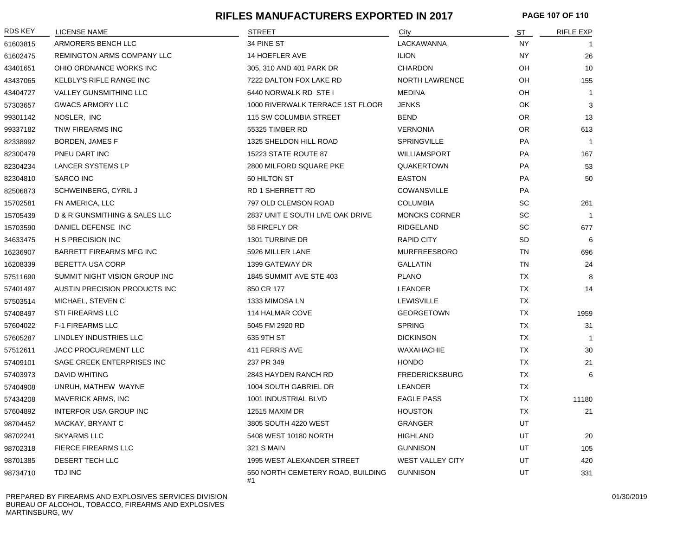#### **RIFLES MANUFACTURERS EXPORTED IN 2017 PAGE 107 OF 110**

| <b>RDS KEY</b> | LICENSE NAME                    | <b>STREET</b>                           | City                    | <u>ST</u> | <b>RIFLE EXP</b> |
|----------------|---------------------------------|-----------------------------------------|-------------------------|-----------|------------------|
| 61603815       | ARMORERS BENCH LLC              | 34 PINE ST                              | LACKAWANNA              | <b>NY</b> |                  |
| 61602475       | REMINGTON ARMS COMPANY LLC      | 14 HOEFLER AVE                          | <b>ILION</b>            | NΥ        | 26               |
| 43401651       | OHIO ORDNANCE WORKS INC         | 305, 310 AND 401 PARK DR                | CHARDON                 | OH        | 10               |
| 43437065       | <b>KELBLY'S RIFLE RANGE INC</b> | 7222 DALTON FOX LAKE RD                 | <b>NORTH LAWRENCE</b>   | OH        | 155              |
| 43404727       | VALLEY GUNSMITHING LLC          | 6440 NORWALK RD STE I                   | <b>MEDINA</b>           | OH        | $\overline{1}$   |
| 57303657       | <b>GWACS ARMORY LLC</b>         | 1000 RIVERWALK TERRACE 1ST FLOOR        | <b>JENKS</b>            | <b>OK</b> | 3                |
| 99301142       | NOSLER, INC                     | 115 SW COLUMBIA STREET                  | <b>BEND</b>             | <b>OR</b> | 13               |
| 99337182       | TNW FIREARMS INC                | 55325 TIMBER RD                         | <b>VERNONIA</b>         | <b>OR</b> | 613              |
| 82338992       | BORDEN, JAMES F                 | 1325 SHELDON HILL ROAD                  | <b>SPRINGVILLE</b>      | <b>PA</b> | $\overline{1}$   |
| 82300479       | PNEU DART INC                   | 15223 STATE ROUTE 87                    | WILLIAMSPORT            | <b>PA</b> | 167              |
| 82304234       | LANCER SYSTEMS LP               | 2800 MILFORD SQUARE PKE                 | QUAKERTOWN              | <b>PA</b> | 53               |
| 82304810       | <b>SARCO INC</b>                | 50 HILTON ST                            | <b>EASTON</b>           | PA        | 50               |
| 82506873       | SCHWEINBERG, CYRIL J            | <b>RD 1 SHERRETT RD</b>                 | <b>COWANSVILLE</b>      | PA        |                  |
| 15702581       | FN AMERICA, LLC                 | 797 OLD CLEMSON ROAD                    | <b>COLUMBIA</b>         | SC        | 261              |
| 15705439       | D & R GUNSMITHING & SALES LLC   | 2837 UNIT E SOUTH LIVE OAK DRIVE        | <b>MONCKS CORNER</b>    | <b>SC</b> | $\overline{1}$   |
| 15703590       | DANIEL DEFENSE INC              | 58 FIREFLY DR                           | RIDGELAND               | SC        | 677              |
| 34633475       | H S PRECISION INC               | 1301 TURBINE DR                         | <b>RAPID CITY</b>       | <b>SD</b> | 6                |
| 16236907       | BARRETT FIREARMS MFG INC        | 5926 MILLER LANE                        | <b>MURFREESBORO</b>     | <b>TN</b> | 696              |
| 16208339       | BERETTA USA CORP                | 1399 GATEWAY DR                         | <b>GALLATIN</b>         | <b>TN</b> | 24               |
| 57511690       | SUMMIT NIGHT VISION GROUP INC   | 1845 SUMMIT AVE STE 403                 | <b>PLANO</b>            | <b>TX</b> | 8                |
| 57401497       | AUSTIN PRECISION PRODUCTS INC   | 850 CR 177                              | LEANDER                 | <b>TX</b> | 14               |
| 57503514       | MICHAEL, STEVEN C               | 1333 MIMOSA LN                          | <b>LEWISVILLE</b>       | <b>TX</b> |                  |
| 57408497       | <b>STI FIREARMS LLC</b>         | 114 HALMAR COVE                         | <b>GEORGETOWN</b>       | <b>TX</b> | 1959             |
| 57604022       | <b>F-1 FIREARMS LLC</b>         | 5045 FM 2920 RD                         | <b>SPRING</b>           | <b>TX</b> | 31               |
| 57605287       | LINDLEY INDUSTRIES LLC          | 635 9TH ST                              | <b>DICKINSON</b>        | <b>TX</b> | -1               |
| 57512611       | <b>JACC PROCUREMENT LLC</b>     | 411 FERRIS AVE                          | WAXAHACHIE              | <b>TX</b> | 30               |
| 57409101       | SAGE CREEK ENTERPRISES INC      | 237 PR 349                              | <b>HONDO</b>            | <b>TX</b> | 21               |
| 57403973       | <b>DAVID WHITING</b>            | 2843 HAYDEN RANCH RD                    | <b>FREDERICKSBURG</b>   | <b>TX</b> | 6                |
| 57404908       | UNRUH, MATHEW WAYNE             | 1004 SOUTH GABRIEL DR                   | LEANDER                 | <b>TX</b> |                  |
| 57434208       | <b>MAVERICK ARMS, INC</b>       | 1001 INDUSTRIAL BLVD                    | <b>EAGLE PASS</b>       | <b>TX</b> | 11180            |
| 57604892       | INTERFOR USA GROUP INC          | 12515 MAXIM DR                          | <b>HOUSTON</b>          | <b>TX</b> | 21               |
| 98704452       | MACKAY, BRYANT C                | 3805 SOUTH 4220 WEST                    | <b>GRANGER</b>          | UT        |                  |
| 98702241       | <b>SKYARMS LLC</b>              | 5408 WEST 10180 NORTH                   | <b>HIGHLAND</b>         | UT        | 20               |
| 98702318       | FIERCE FIREARMS LLC             | <b>321 S MAIN</b>                       | <b>GUNNISON</b>         | UT        | 105              |
| 98701385       | DESERT TECH LLC                 | 1995 WEST ALEXANDER STREET              | <b>WEST VALLEY CITY</b> | UT        | 420              |
| 98734710       | TDJ INC                         | 550 NORTH CEMETERY ROAD, BUILDING<br>#1 | <b>GUNNISON</b>         | UT        | 331              |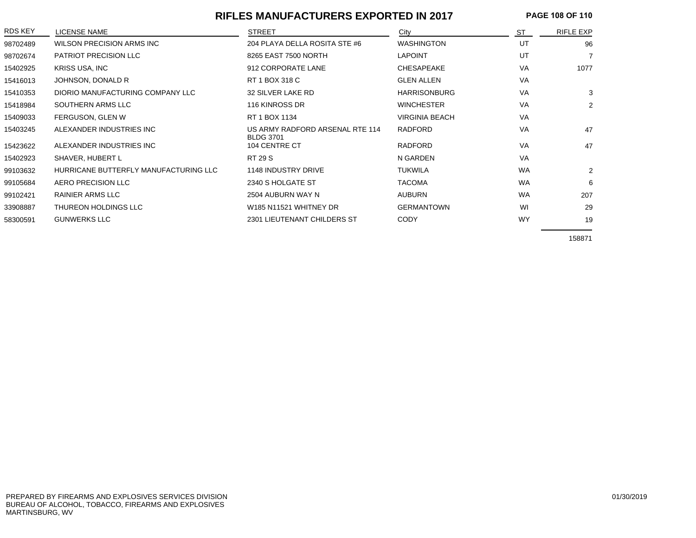## **RIFLES MANUFACTURERS EXPORTED IN 2017 PAGE 108 OF 110**

| <b>RDS KEY</b> | LICENSE NAME                          | <b>STREET</b>                                       | City                  | <b>ST</b> | <b>RIFLE EXP</b> |
|----------------|---------------------------------------|-----------------------------------------------------|-----------------------|-----------|------------------|
| 98702489       | WILSON PRECISION ARMS INC             | 204 PLAYA DELLA ROSITA STE #6                       | <b>WASHINGTON</b>     | UT        | 96               |
| 98702674       | <b>PATRIOT PRECISION LLC</b>          | 8265 EAST 7500 NORTH                                | <b>LAPOINT</b>        | UT        | 7                |
| 15402925       | KRISS USA, INC                        | 912 CORPORATE LANE                                  | CHESAPEAKE            | VA        | 1077             |
| 15416013       | JOHNSON, DONALD R                     | RT 1 BOX 318 C                                      | <b>GLEN ALLEN</b>     | VA        |                  |
| 15410353       | DIORIO MANUFACTURING COMPANY LLC      | 32 SILVER LAKE RD                                   | <b>HARRISONBURG</b>   | VA        | 3                |
| 15418984       | SOUTHERN ARMS LLC                     | 116 KINROSS DR                                      | <b>WINCHESTER</b>     | VA        | 2                |
| 15409033       | FERGUSON, GLEN W                      | RT 1 BOX 1134                                       | <b>VIRGINIA BEACH</b> | VA        |                  |
| 15403245       | ALEXANDER INDUSTRIES INC              | US ARMY RADFORD ARSENAL RTE 114<br><b>BLDG 3701</b> | <b>RADFORD</b>        | VA        | 47               |
| 15423622       | ALEXANDER INDUSTRIES INC              | 104 CENTRE CT                                       | <b>RADFORD</b>        | VA        | 47               |
| 15402923       | SHAVER, HUBERT L                      | <b>RT 29 S</b>                                      | N GARDEN              | VA        |                  |
| 99103632       | HURRICANE BUTTERFLY MANUFACTURING LLC | 1148 INDUSTRY DRIVE                                 | <b>TUKWILA</b>        | <b>WA</b> | 2                |
| 99105684       | AERO PRECISION LLC                    | 2340 S HOLGATE ST                                   | <b>TACOMA</b>         | <b>WA</b> | 6                |
| 99102421       | <b>RAINIER ARMS LLC</b>               | 2504 AUBURN WAY N                                   | <b>AUBURN</b>         | <b>WA</b> | 207              |
| 33908887       | THUREON HOLDINGS LLC                  | W185 N11521 WHITNEY DR                              | <b>GERMANTOWN</b>     | WI        | 29               |
| 58300591       | <b>GUNWERKS LLC</b>                   | 2301 LIEUTENANT CHILDERS ST                         | <b>CODY</b>           | <b>WY</b> | 19               |

158871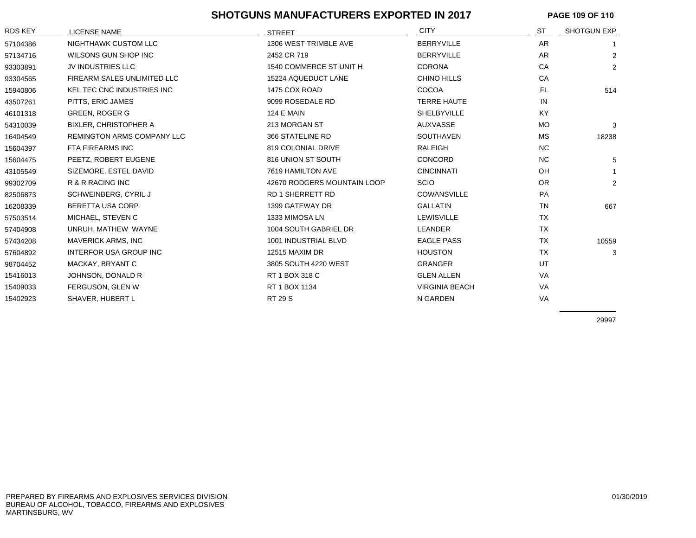## **SHOTGUNS MANUFACTURERS EXPORTED IN 2017 PAGE 109 OF 110**

| <b>RDS KEY</b> | <b>LICENSE NAME</b>               | <b>STREET</b>               | <b>CITY</b>           | <b>ST</b> | <b>SHOTGUN EXP</b> |
|----------------|-----------------------------------|-----------------------------|-----------------------|-----------|--------------------|
| 57104386       | NIGHTHAWK CUSTOM LLC              | 1306 WEST TRIMBLE AVE       | <b>BERRYVILLE</b>     | AR        |                    |
| 57134716       | WILSONS GUN SHOP INC              | 2452 CR 719                 | <b>BERRYVILLE</b>     | AR        | $\overline{2}$     |
| 93303891       | JV INDUSTRIES LLC                 | 1540 COMMERCE ST UNIT H     | <b>CORONA</b>         | CA        | $\overline{2}$     |
| 93304565       | FIREARM SALES UNLIMITED LLC       | 15224 AQUEDUCT LANE         | CHINO HILLS           | CA        |                    |
| 15940806       | <b>KEL TEC CNC INDUSTRIES INC</b> | 1475 COX ROAD               | COCOA                 | <b>FL</b> | 514                |
| 43507261       | PITTS, ERIC JAMES                 | 9099 ROSEDALE RD            | <b>TERRE HAUTE</b>    | IN        |                    |
| 46101318       | <b>GREEN, ROGER G</b>             | <b>124 E MAIN</b>           | SHELBYVILLE           | <b>KY</b> |                    |
| 54310039       | BIXLER, CHRISTOPHER A             | 213 MORGAN ST               | AUXVASSE              | <b>MO</b> | 3                  |
| 16404549       | <b>REMINGTON ARMS COMPANY LLC</b> | 366 STATELINE RD            | <b>SOUTHAVEN</b>      | MS        | 18238              |
| 15604397       | FTA FIREARMS INC                  | 819 COLONIAL DRIVE          | RALEIGH               | NC.       |                    |
| 15604475       | PEETZ, ROBERT EUGENE              | 816 UNION ST SOUTH          | CONCORD               | NC.       | 5                  |
| 43105549       | SIZEMORE, ESTEL DAVID             | 7619 HAMILTON AVE           | <b>CINCINNATI</b>     | <b>OH</b> |                    |
| 99302709       | R & R RACING INC                  | 42670 RODGERS MOUNTAIN LOOP | <b>SCIO</b>           | OR.       | $\overline{2}$     |
| 82506873       | SCHWEINBERG, CYRIL J              | <b>RD 1 SHERRETT RD</b>     | <b>COWANSVILLE</b>    | PA        |                    |
| 16208339       | BERETTA USA CORP                  | 1399 GATEWAY DR             | <b>GALLATIN</b>       | <b>TN</b> | 667                |
| 57503514       | MICHAEL, STEVEN C                 | 1333 MIMOSA LN              | <b>LEWISVILLE</b>     | <b>TX</b> |                    |
| 57404908       | UNRUH, MATHEW WAYNE               | 1004 SOUTH GABRIEL DR       | LEANDER               | TX        |                    |
| 57434208       | <b>MAVERICK ARMS, INC</b>         | 1001 INDUSTRIAL BLVD        | <b>EAGLE PASS</b>     | <b>TX</b> | 10559              |
| 57604892       | INTERFOR USA GROUP INC            | 12515 MAXIM DR              | <b>HOUSTON</b>        | <b>TX</b> | 3                  |
| 98704452       | MACKAY, BRYANT C                  | 3805 SOUTH 4220 WEST        | <b>GRANGER</b>        | UT        |                    |
| 15416013       | JOHNSON, DONALD R                 | RT 1 BOX 318 C              | <b>GLEN ALLEN</b>     | VA        |                    |
| 15409033       | <b>FERGUSON, GLEN W</b>           | RT 1 BOX 1134               | <b>VIRGINIA BEACH</b> | VA        |                    |
| 15402923       | <b>SHAVER, HUBERT L</b>           | <b>RT 29 S</b>              | N GARDEN              | VA        |                    |

29997